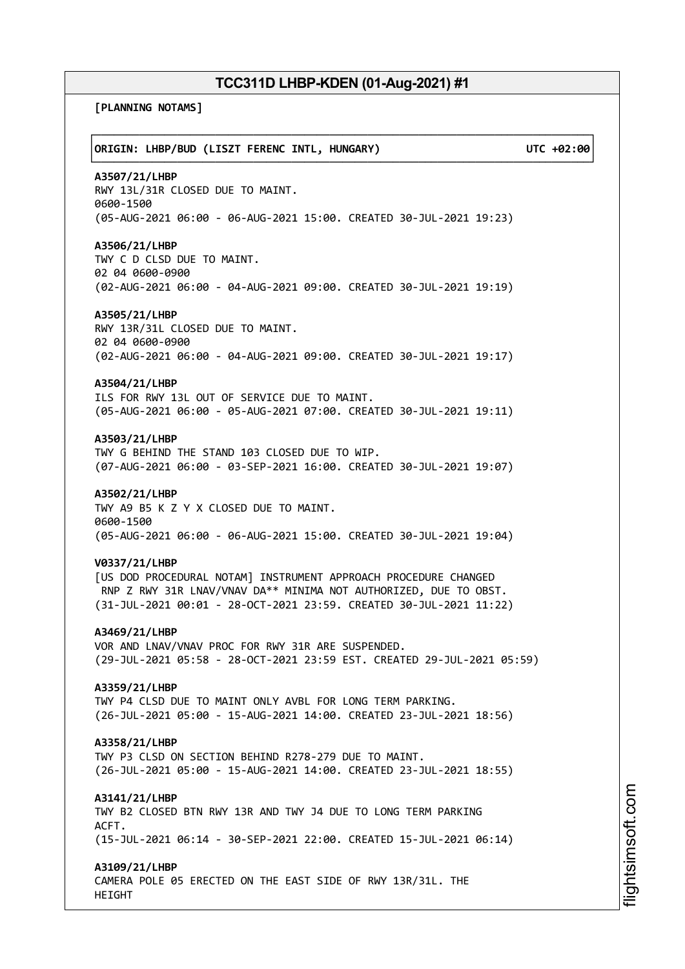**[PLANNING NOTAMS]**

┌──────────────────────────────────────────────────────────────────────────────┐ │**ORIGIN: LHBP/BUD (LISZT FERENC INTL, HUNGARY) UTC +02:00**│ └──────────────────────────────────────────────────────────────────────────────┘ **A3507/21/LHBP** RWY 13L/31R CLOSED DUE TO MAINT. 0600-1500 (05-AUG-2021 06:00 - 06-AUG-2021 15:00. CREATED 30-JUL-2021 19:23) **A3506/21/LHBP** TWY C D CLSD DUE TO MAINT. 02 04 0600-0900 (02-AUG-2021 06:00 - 04-AUG-2021 09:00. CREATED 30-JUL-2021 19:19) **A3505/21/LHBP** RWY 13R/31L CLOSED DUE TO MAINT. 02 04 0600-0900 (02-AUG-2021 06:00 - 04-AUG-2021 09:00. CREATED 30-JUL-2021 19:17) **A3504/21/LHBP** ILS FOR RWY 13L OUT OF SERVICE DUE TO MAINT. (05-AUG-2021 06:00 - 05-AUG-2021 07:00. CREATED 30-JUL-2021 19:11) **A3503/21/LHBP** TWY G BEHIND THE STAND 103 CLOSED DUE TO WIP. (07-AUG-2021 06:00 - 03-SEP-2021 16:00. CREATED 30-JUL-2021 19:07) **A3502/21/LHBP** TWY A9 B5 K Z Y X CLOSED DUE TO MAINT. 0600-1500 (05-AUG-2021 06:00 - 06-AUG-2021 15:00. CREATED 30-JUL-2021 19:04) **V0337/21/LHBP** [US DOD PROCEDURAL NOTAM] INSTRUMENT APPROACH PROCEDURE CHANGED RNP Z RWY 31R LNAV/VNAV DA\*\* MINIMA NOT AUTHORIZED, DUE TO OBST. (31-JUL-2021 00:01 - 28-OCT-2021 23:59. CREATED 30-JUL-2021 11:22) **A3469/21/LHBP** VOR AND LNAV/VNAV PROC FOR RWY 31R ARE SUSPENDED. (29-JUL-2021 05:58 - 28-OCT-2021 23:59 EST. CREATED 29-JUL-2021 05:59) **A3359/21/LHBP** TWY P4 CLSD DUE TO MAINT ONLY AVBL FOR LONG TERM PARKING. (26-JUL-2021 05:00 - 15-AUG-2021 14:00. CREATED 23-JUL-2021 18:56) **A3358/21/LHBP** TWY P3 CLSD ON SECTION BEHIND R278-279 DUE TO MAINT. (26-JUL-2021 05:00 - 15-AUG-2021 14:00. CREATED 23-JUL-2021 18:55) **A3141/21/LHBP** TWY B2 CLOSED BTN RWY 13R AND TWY J4 DUE TO LONG TERM PARKING ACFT. (15-JUL-2021 06:14 - 30-SEP-2021 22:00. CREATED 15-JUL-2021 06:14) **A3109/21/LHBP** CAMERA POLE 05 ERECTED ON THE EAST SIDE OF RWY 13R/31L. THE HEIGHT

m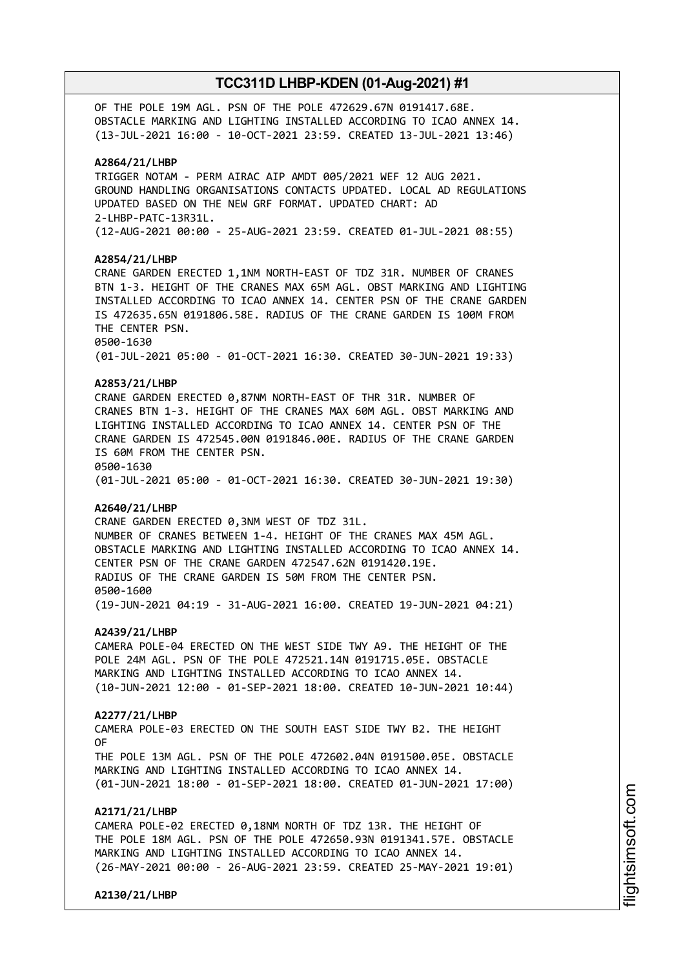OF THE POLE 19M AGL. PSN OF THE POLE 472629.67N 0191417.68E. OBSTACLE MARKING AND LIGHTING INSTALLED ACCORDING TO ICAO ANNEX 14. (13-JUL-2021 16:00 - 10-OCT-2021 23:59. CREATED 13-JUL-2021 13:46)

### **A2864/21/LHBP**

TRIGGER NOTAM - PERM AIRAC AIP AMDT 005/2021 WEF 12 AUG 2021. GROUND HANDLING ORGANISATIONS CONTACTS UPDATED. LOCAL AD REGULATIONS UPDATED BASED ON THE NEW GRF FORMAT. UPDATED CHART: AD 2-LHBP-PATC-13R31L. (12-AUG-2021 00:00 - 25-AUG-2021 23:59. CREATED 01-JUL-2021 08:55)

### **A2854/21/LHBP**

CRANE GARDEN ERECTED 1,1NM NORTH-EAST OF TDZ 31R. NUMBER OF CRANES BTN 1-3. HEIGHT OF THE CRANES MAX 65M AGL. OBST MARKING AND LIGHTING INSTALLED ACCORDING TO ICAO ANNEX 14. CENTER PSN OF THE CRANE GARDEN IS 472635.65N 0191806.58E. RADIUS OF THE CRANE GARDEN IS 100M FROM THE CENTER PSN. 0500-1630 (01-JUL-2021 05:00 - 01-OCT-2021 16:30. CREATED 30-JUN-2021 19:33)

### **A2853/21/LHBP**

CRANE GARDEN ERECTED 0,87NM NORTH-EAST OF THR 31R. NUMBER OF CRANES BTN 1-3. HEIGHT OF THE CRANES MAX 60M AGL. OBST MARKING AND LIGHTING INSTALLED ACCORDING TO ICAO ANNEX 14. CENTER PSN OF THE CRANE GARDEN IS 472545.00N 0191846.00E. RADIUS OF THE CRANE GARDEN IS 60M FROM THE CENTER PSN. 0500-1630 (01-JUL-2021 05:00 - 01-OCT-2021 16:30. CREATED 30-JUN-2021 19:30)

### **A2640/21/LHBP**

CRANE GARDEN ERECTED 0,3NM WEST OF TDZ 31L. NUMBER OF CRANES BETWEEN 1-4. HEIGHT OF THE CRANES MAX 45M AGL. OBSTACLE MARKING AND LIGHTING INSTALLED ACCORDING TO ICAO ANNEX 14. CENTER PSN OF THE CRANE GARDEN 472547.62N 0191420.19E. RADIUS OF THE CRANE GARDEN IS 50M FROM THE CENTER PSN. 0500-1600 (19-JUN-2021 04:19 - 31-AUG-2021 16:00. CREATED 19-JUN-2021 04:21)

### **A2439/21/LHBP**

CAMERA POLE-04 ERECTED ON THE WEST SIDE TWY A9. THE HEIGHT OF THE POLE 24M AGL. PSN OF THE POLE 472521.14N 0191715.05E. OBSTACLE MARKING AND LIGHTING INSTALLED ACCORDING TO ICAO ANNEX 14. (10-JUN-2021 12:00 - 01-SEP-2021 18:00. CREATED 10-JUN-2021 10:44)

### **A2277/21/LHBP**

CAMERA POLE-03 ERECTED ON THE SOUTH EAST SIDE TWY B2. THE HEIGHT OF THE POLE 13M AGL. PSN OF THE POLE 472602.04N 0191500.05E. OBSTACLE MARKING AND LIGHTING INSTALLED ACCORDING TO ICAO ANNEX 14.

(01-JUN-2021 18:00 - 01-SEP-2021 18:00. CREATED 01-JUN-2021 17:00)

## **A2171/21/LHBP**

CAMERA POLE-02 ERECTED 0,18NM NORTH OF TDZ 13R. THE HEIGHT OF THE POLE 18M AGL. PSN OF THE POLE 472650.93N 0191341.57E. OBSTACLE MARKING AND LIGHTING INSTALLED ACCORDING TO ICAO ANNEX 14. (26-MAY-2021 00:00 - 26-AUG-2021 23:59. CREATED 25-MAY-2021 19:01)

**A2130/21/LHBP**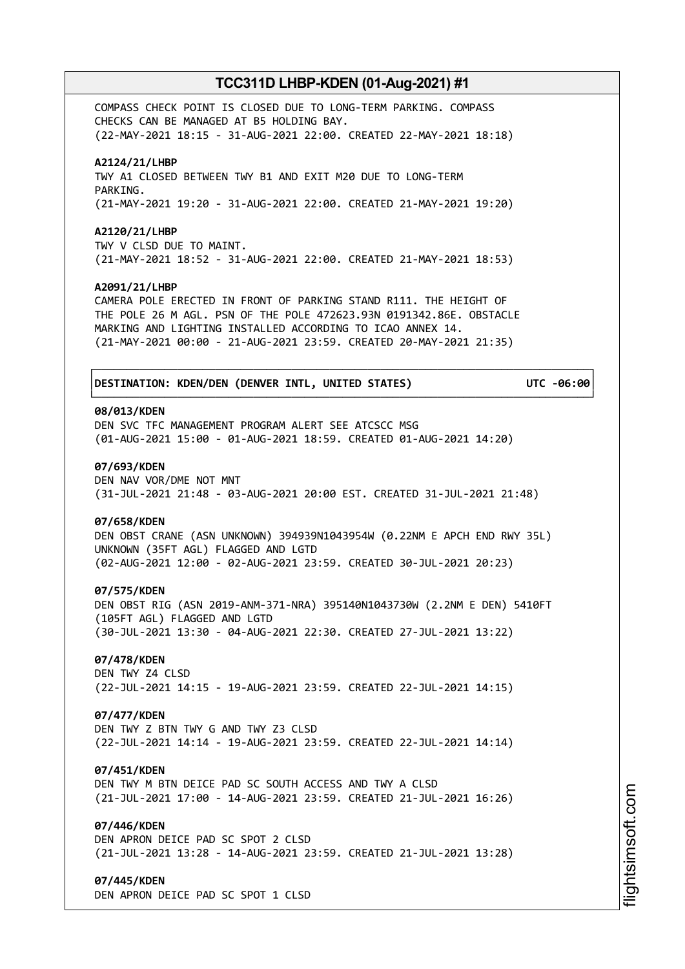COMPASS CHECK POINT IS CLOSED DUE TO LONG-TERM PARKING. COMPASS CHECKS CAN BE MANAGED AT B5 HOLDING BAY. (22-MAY-2021 18:15 - 31-AUG-2021 22:00. CREATED 22-MAY-2021 18:18)

### **A2124/21/LHBP**

TWY A1 CLOSED BETWEEN TWY B1 AND EXIT M20 DUE TO LONG-TERM PARKING. (21-MAY-2021 19:20 - 31-AUG-2021 22:00. CREATED 21-MAY-2021 19:20)

### **A2120/21/LHBP**

TWY V CLSD DUE TO MAINT. (21-MAY-2021 18:52 - 31-AUG-2021 22:00. CREATED 21-MAY-2021 18:53)

### **A2091/21/LHBP**

CAMERA POLE ERECTED IN FRONT OF PARKING STAND R111. THE HEIGHT OF THE POLE 26 M AGL. PSN OF THE POLE 472623.93N 0191342.86E. OBSTACLE MARKING AND LIGHTING INSTALLED ACCORDING TO ICAO ANNEX 14. (21-MAY-2021 00:00 - 21-AUG-2021 23:59. CREATED 20-MAY-2021 21:35)

┌──────────────────────────────────────────────────────────────────────────────┐

└──────────────────────────────────────────────────────────────────────────────┘

### │**DESTINATION: KDEN/DEN (DENVER INTL, UNITED STATES) UTC -06:00**│

### **08/013/KDEN**

DEN SVC TFC MANAGEMENT PROGRAM ALERT SEE ATCSCC MSG (01-AUG-2021 15:00 - 01-AUG-2021 18:59. CREATED 01-AUG-2021 14:20)

### **07/693/KDEN**

DEN NAV VOR/DME NOT MNT (31-JUL-2021 21:48 - 03-AUG-2021 20:00 EST. CREATED 31-JUL-2021 21:48)

### **07/658/KDEN**

DEN OBST CRANE (ASN UNKNOWN) 394939N1043954W (0.22NM E APCH END RWY 35L) UNKNOWN (35FT AGL) FLAGGED AND LGTD (02-AUG-2021 12:00 - 02-AUG-2021 23:59. CREATED 30-JUL-2021 20:23)

### **07/575/KDEN**

DEN OBST RIG (ASN 2019-ANM-371-NRA) 395140N1043730W (2.2NM E DEN) 5410FT (105FT AGL) FLAGGED AND LGTD (30-JUL-2021 13:30 - 04-AUG-2021 22:30. CREATED 27-JUL-2021 13:22)

## **07/478/KDEN**

DEN TWY Z4 CLSD (22-JUL-2021 14:15 - 19-AUG-2021 23:59. CREATED 22-JUL-2021 14:15)

### **07/477/KDEN**

DEN TWY Z BTN TWY G AND TWY Z3 CLSD (22-JUL-2021 14:14 - 19-AUG-2021 23:59. CREATED 22-JUL-2021 14:14)

### **07/451/KDEN**

DEN TWY M BTN DEICE PAD SC SOUTH ACCESS AND TWY A CLSD (21-JUL-2021 17:00 - 14-AUG-2021 23:59. CREATED 21-JUL-2021 16:26)

### **07/446/KDEN**

DEN APRON DEICE PAD SC SPOT 2 CLSD (21-JUL-2021 13:28 - 14-AUG-2021 23:59. CREATED 21-JUL-2021 13:28)

### **07/445/KDEN**

DEN APRON DEICE PAD SC SPOT 1 CLSD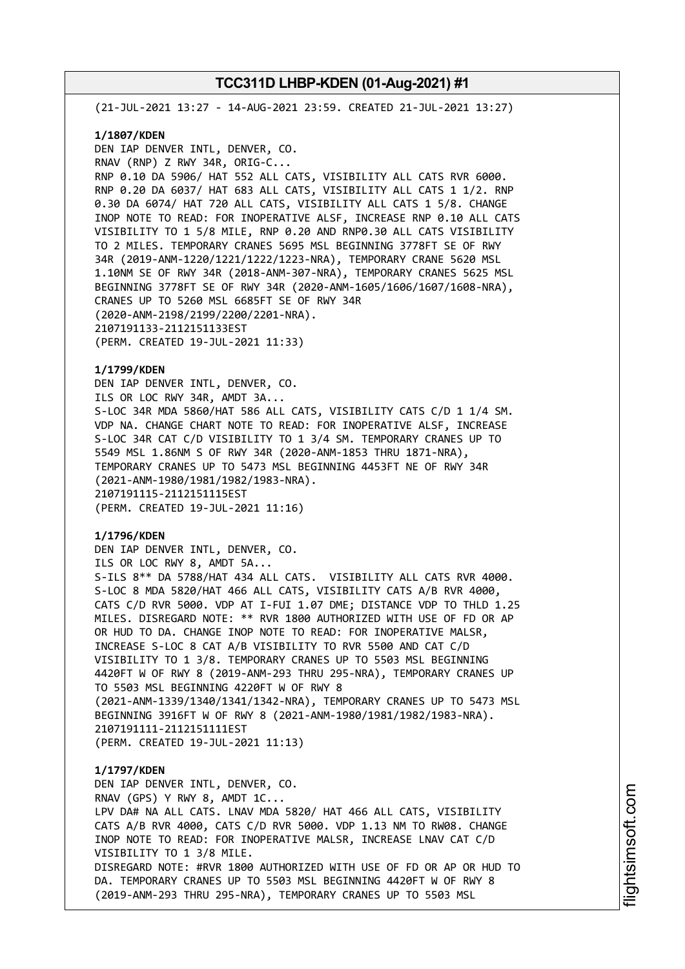(21-JUL-2021 13:27 - 14-AUG-2021 23:59. CREATED 21-JUL-2021 13:27)

### **1/1807/KDEN**

DEN IAP DENVER INTL, DENVER, CO. RNAV (RNP) Z RWY 34R, ORIG-C... RNP 0.10 DA 5906/ HAT 552 ALL CATS, VISIBILITY ALL CATS RVR 6000. RNP 0.20 DA 6037/ HAT 683 ALL CATS, VISIBILITY ALL CATS 1 1/2. RNP 0.30 DA 6074/ HAT 720 ALL CATS, VISIBILITY ALL CATS 1 5/8. CHANGE INOP NOTE TO READ: FOR INOPERATIVE ALSF, INCREASE RNP 0.10 ALL CATS VISIBILITY TO 1 5/8 MILE, RNP 0.20 AND RNP0.30 ALL CATS VISIBILITY TO 2 MILES. TEMPORARY CRANES 5695 MSL BEGINNING 3778FT SE OF RWY 34R (2019-ANM-1220/1221/1222/1223-NRA), TEMPORARY CRANE 5620 MSL 1.10NM SE OF RWY 34R (2018-ANM-307-NRA), TEMPORARY CRANES 5625 MSL BEGINNING 3778FT SE OF RWY 34R (2020-ANM-1605/1606/1607/1608-NRA), CRANES UP TO 5260 MSL 6685FT SE OF RWY 34R (2020-ANM-2198/2199/2200/2201-NRA). 2107191133-2112151133EST (PERM. CREATED 19-JUL-2021 11:33)

### **1/1799/KDEN**

DEN IAP DENVER INTL, DENVER, CO. ILS OR LOC RWY 34R, AMDT 3A... S-LOC 34R MDA 5860/HAT 586 ALL CATS, VISIBILITY CATS C/D 1 1/4 SM. VDP NA. CHANGE CHART NOTE TO READ: FOR INOPERATIVE ALSF, INCREASE S-LOC 34R CAT C/D VISIBILITY TO 1 3/4 SM. TEMPORARY CRANES UP TO 5549 MSL 1.86NM S OF RWY 34R (2020-ANM-1853 THRU 1871-NRA), TEMPORARY CRANES UP TO 5473 MSL BEGINNING 4453FT NE OF RWY 34R (2021-ANM-1980/1981/1982/1983-NRA). 2107191115-2112151115EST (PERM. CREATED 19-JUL-2021 11:16)

### **1/1796/KDEN**

DEN IAP DENVER INTL, DENVER, CO. ILS OR LOC RWY 8, AMDT 5A... S-ILS 8\*\* DA 5788/HAT 434 ALL CATS. VISIBILITY ALL CATS RVR 4000. S-LOC 8 MDA 5820/HAT 466 ALL CATS, VISIBILITY CATS A/B RVR 4000, CATS C/D RVR 5000. VDP AT I-FUI 1.07 DME; DISTANCE VDP TO THLD 1.25 MILES. DISREGARD NOTE: \*\* RVR 1800 AUTHORIZED WITH USE OF FD OR AP OR HUD TO DA. CHANGE INOP NOTE TO READ: FOR INOPERATIVE MALSR, INCREASE S-LOC 8 CAT A/B VISIBILITY TO RVR 5500 AND CAT C/D VISIBILITY TO 1 3/8. TEMPORARY CRANES UP TO 5503 MSL BEGINNING 4420FT W OF RWY 8 (2019-ANM-293 THRU 295-NRA), TEMPORARY CRANES UP TO 5503 MSL BEGINNING 4220FT W OF RWY 8 (2021-ANM-1339/1340/1341/1342-NRA), TEMPORARY CRANES UP TO 5473 MSL BEGINNING 3916FT W OF RWY 8 (2021-ANM-1980/1981/1982/1983-NRA). 2107191111-2112151111EST (PERM. CREATED 19-JUL-2021 11:13)

# **1/1797/KDEN** DEN IAP DENVER INTL, DENVER, CO. RNAV (GPS) Y RWY 8, AMDT 1C... LPV DA# NA ALL CATS. LNAV MDA 5820/ HAT 466 ALL CATS, VISIBILITY CATS A/B RVR 4000, CATS C/D RVR 5000. VDP 1.13 NM TO RW08. CHANGE INOP NOTE TO READ: FOR INOPERATIVE MALSR, INCREASE LNAV CAT C/D VISIBILITY TO 1 3/8 MILE. DISREGARD NOTE: #RVR 1800 AUTHORIZED WITH USE OF FD OR AP OR HUD TO DA. TEMPORARY CRANES UP TO 5503 MSL BEGINNING 4420FT W OF RWY 8 (2019-ANM-293 THRU 295-NRA), TEMPORARY CRANES UP TO 5503 MSL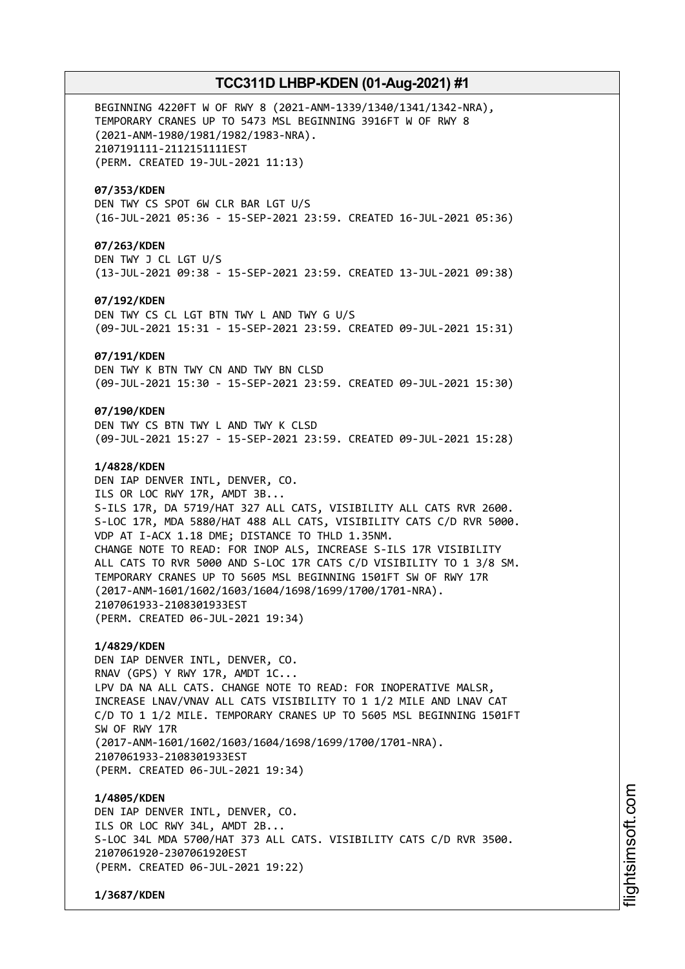BEGINNING 4220FT W OF RWY 8 (2021-ANM-1339/1340/1341/1342-NRA), TEMPORARY CRANES UP TO 5473 MSL BEGINNING 3916FT W OF RWY 8 (2021-ANM-1980/1981/1982/1983-NRA). 2107191111-2112151111EST (PERM. CREATED 19-JUL-2021 11:13)

### **07/353/KDEN**

DEN TWY CS SPOT 6W CLR BAR LGT U/S (16-JUL-2021 05:36 - 15-SEP-2021 23:59. CREATED 16-JUL-2021 05:36)

### **07/263/KDEN**

DEN TWY J CL LGT U/S (13-JUL-2021 09:38 - 15-SEP-2021 23:59. CREATED 13-JUL-2021 09:38)

### **07/192/KDEN**

DEN TWY CS CL LGT BTN TWY L AND TWY G U/S (09-JUL-2021 15:31 - 15-SEP-2021 23:59. CREATED 09-JUL-2021 15:31)

### **07/191/KDEN**

DEN TWY K BTN TWY CN AND TWY BN CLSD (09-JUL-2021 15:30 - 15-SEP-2021 23:59. CREATED 09-JUL-2021 15:30)

### **07/190/KDEN**

DEN TWY CS BTN TWY L AND TWY K CLSD (09-JUL-2021 15:27 - 15-SEP-2021 23:59. CREATED 09-JUL-2021 15:28)

### **1/4828/KDEN**

DEN IAP DENVER INTL, DENVER, CO. ILS OR LOC RWY 17R, AMDT 3B... S-ILS 17R, DA 5719/HAT 327 ALL CATS, VISIBILITY ALL CATS RVR 2600. S-LOC 17R, MDA 5880/HAT 488 ALL CATS, VISIBILITY CATS C/D RVR 5000. VDP AT I-ACX 1.18 DME; DISTANCE TO THLD 1.35NM. CHANGE NOTE TO READ: FOR INOP ALS, INCREASE S-ILS 17R VISIBILITY ALL CATS TO RVR 5000 AND S-LOC 17R CATS C/D VISIBILITY TO 1 3/8 SM. TEMPORARY CRANES UP TO 5605 MSL BEGINNING 1501FT SW OF RWY 17R (2017-ANM-1601/1602/1603/1604/1698/1699/1700/1701-NRA). 2107061933-2108301933EST (PERM. CREATED 06-JUL-2021 19:34)

### **1/4829/KDEN**

DEN IAP DENVER INTL, DENVER, CO. RNAV (GPS) Y RWY 17R, AMDT 1C... LPV DA NA ALL CATS. CHANGE NOTE TO READ: FOR INOPERATIVE MALSR, INCREASE LNAV/VNAV ALL CATS VISIBILITY TO 1 1/2 MILE AND LNAV CAT C/D TO 1 1/2 MILE. TEMPORARY CRANES UP TO 5605 MSL BEGINNING 1501FT SW OF RWY 17R (2017-ANM-1601/1602/1603/1604/1698/1699/1700/1701-NRA). 2107061933-2108301933EST (PERM. CREATED 06-JUL-2021 19:34)

### **1/4805/KDEN**

DEN IAP DENVER INTL, DENVER, CO. ILS OR LOC RWY 34L, AMDT 2B... S-LOC 34L MDA 5700/HAT 373 ALL CATS. VISIBILITY CATS C/D RVR 3500. 2107061920-2307061920EST (PERM. CREATED 06-JUL-2021 19:22)

**1/3687/KDEN**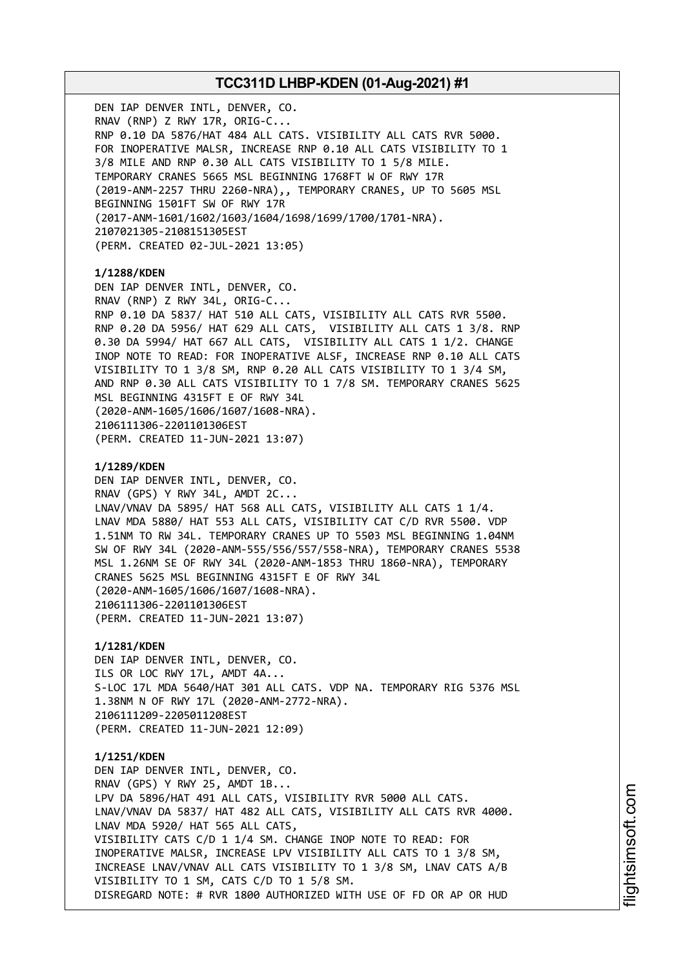DEN IAP DENVER INTL, DENVER, CO. RNAV (RNP) Z RWY 17R, ORIG-C... RNP 0.10 DA 5876/HAT 484 ALL CATS. VISIBILITY ALL CATS RVR 5000. FOR INOPERATIVE MALSR, INCREASE RNP 0.10 ALL CATS VISIBILITY TO 1 3/8 MILE AND RNP 0.30 ALL CATS VISIBILITY TO 1 5/8 MILE. TEMPORARY CRANES 5665 MSL BEGINNING 1768FT W OF RWY 17R (2019-ANM-2257 THRU 2260-NRA),, TEMPORARY CRANES, UP TO 5605 MSL BEGINNING 1501FT SW OF RWY 17R (2017-ANM-1601/1602/1603/1604/1698/1699/1700/1701-NRA). 2107021305-2108151305EST (PERM. CREATED 02-JUL-2021 13:05) **1/1288/KDEN** DEN IAP DENVER INTL, DENVER, CO. RNAV (RNP) Z RWY 34L, ORIG-C... RNP 0.10 DA 5837/ HAT 510 ALL CATS, VISIBILITY ALL CATS RVR 5500. RNP 0.20 DA 5956/ HAT 629 ALL CATS, VISIBILITY ALL CATS 1 3/8. RNP 0.30 DA 5994/ HAT 667 ALL CATS, VISIBILITY ALL CATS 1 1/2. CHANGE INOP NOTE TO READ: FOR INOPERATIVE ALSF, INCREASE RNP 0.10 ALL CATS VISIBILITY TO 1 3/8 SM, RNP 0.20 ALL CATS VISIBILITY TO 1 3/4 SM, AND RNP 0.30 ALL CATS VISIBILITY TO 1 7/8 SM. TEMPORARY CRANES 5625 MSL BEGINNING 4315FT E OF RWY 34L (2020-ANM-1605/1606/1607/1608-NRA). 2106111306-2201101306EST (PERM. CREATED 11-JUN-2021 13:07) **1/1289/KDEN** DEN IAP DENVER INTL, DENVER, CO. RNAV (GPS) Y RWY 34L, AMDT 2C... LNAV/VNAV DA 5895/ HAT 568 ALL CATS, VISIBILITY ALL CATS 1 1/4. LNAV MDA 5880/ HAT 553 ALL CATS, VISIBILITY CAT C/D RVR 5500. VDP 1.51NM TO RW 34L. TEMPORARY CRANES UP TO 5503 MSL BEGINNING 1.04NM SW OF RWY 34L (2020-ANM-555/556/557/558-NRA), TEMPORARY CRANES 5538 MSL 1.26NM SE OF RWY 34L (2020-ANM-1853 THRU 1860-NRA), TEMPORARY CRANES 5625 MSL BEGINNING 4315FT E OF RWY 34L (2020-ANM-1605/1606/1607/1608-NRA). 2106111306-2201101306EST (PERM. CREATED 11-JUN-2021 13:07) **1/1281/KDEN** DEN IAP DENVER INTL, DENVER, CO. ILS OR LOC RWY 17L, AMDT 4A... S-LOC 17L MDA 5640/HAT 301 ALL CATS. VDP NA. TEMPORARY RIG 5376 MSL 1.38NM N OF RWY 17L (2020-ANM-2772-NRA). 2106111209-2205011208EST (PERM. CREATED 11-JUN-2021 12:09) **1/1251/KDEN** DEN IAP DENVER INTL, DENVER, CO. RNAV (GPS) Y RWY 25, AMDT 1B... LPV DA 5896/HAT 491 ALL CATS, VISIBILITY RVR 5000 ALL CATS. LNAV/VNAV DA 5837/ HAT 482 ALL CATS, VISIBILITY ALL CATS RVR 4000. LNAV MDA 5920/ HAT 565 ALL CATS, VISIBILITY CATS C/D 1 1/4 SM. CHANGE INOP NOTE TO READ: FOR INOPERATIVE MALSR, INCREASE LPV VISIBILITY ALL CATS TO 1 3/8 SM, INCREASE LNAV/VNAV ALL CATS VISIBILITY TO 1 3/8 SM, LNAV CATS A/B VISIBILITY TO 1 SM, CATS C/D TO 1 5/8 SM. DISREGARD NOTE: # RVR 1800 AUTHORIZED WITH USE OF FD OR AP OR HUD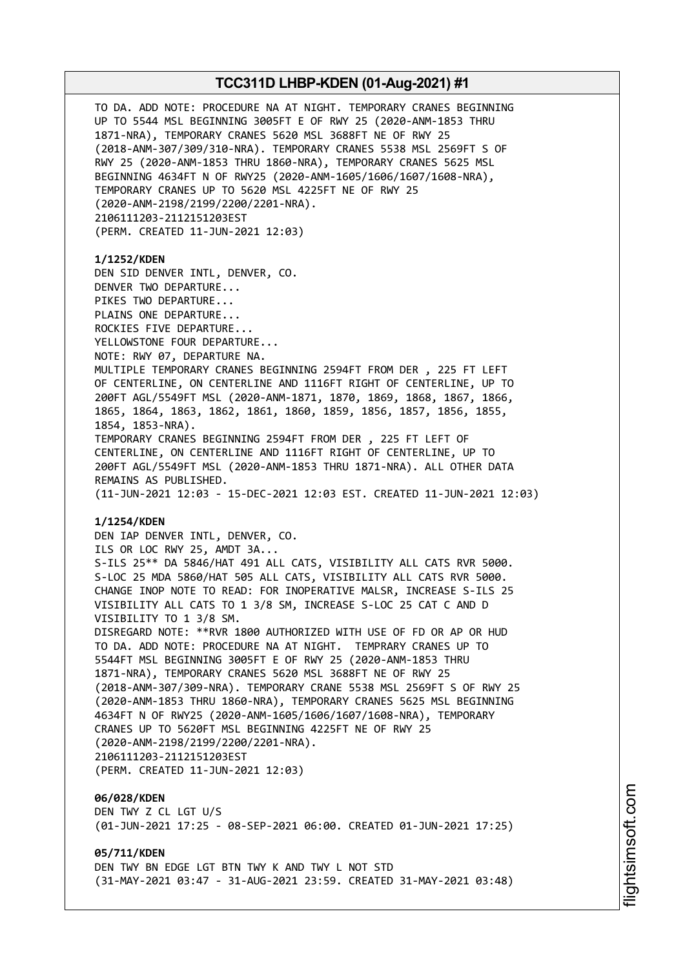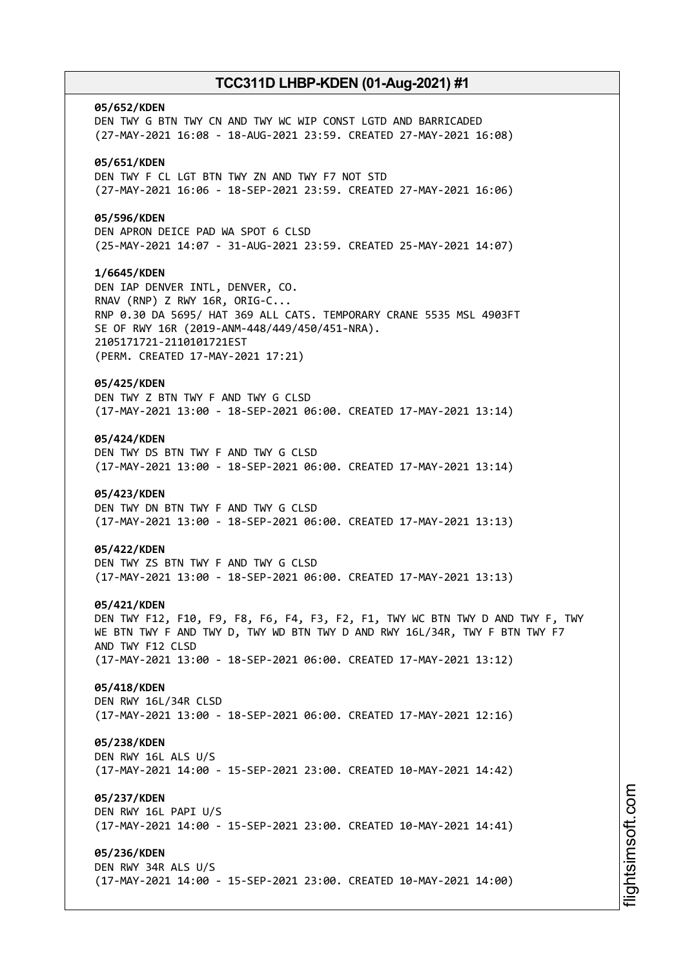# **05/652/KDEN** DEN TWY G BTN TWY CN AND TWY WC WIP CONST LGTD AND BARRICADED (27-MAY-2021 16:08 - 18-AUG-2021 23:59. CREATED 27-MAY-2021 16:08) **05/651/KDEN** DEN TWY F CL LGT BTN TWY ZN AND TWY F7 NOT STD (27-MAY-2021 16:06 - 18-SEP-2021 23:59. CREATED 27-MAY-2021 16:06) **05/596/KDEN** DEN APRON DEICE PAD WA SPOT 6 CLSD (25-MAY-2021 14:07 - 31-AUG-2021 23:59. CREATED 25-MAY-2021 14:07) **1/6645/KDEN** DEN IAP DENVER INTL, DENVER, CO. RNAV (RNP) Z RWY 16R, ORIG-C... RNP 0.30 DA 5695/ HAT 369 ALL CATS. TEMPORARY CRANE 5535 MSL 4903FT SE OF RWY 16R (2019-ANM-448/449/450/451-NRA). 2105171721-2110101721EST (PERM. CREATED 17-MAY-2021 17:21) **05/425/KDEN** DEN TWY Z BTN TWY F AND TWY G CLSD (17-MAY-2021 13:00 - 18-SEP-2021 06:00. CREATED 17-MAY-2021 13:14) **05/424/KDEN** DEN TWY DS BTN TWY F AND TWY G CLSD (17-MAY-2021 13:00 - 18-SEP-2021 06:00. CREATED 17-MAY-2021 13:14) **05/423/KDEN** DEN TWY DN BTN TWY F AND TWY G CLSD (17-MAY-2021 13:00 - 18-SEP-2021 06:00. CREATED 17-MAY-2021 13:13) **05/422/KDEN** DEN TWY ZS BTN TWY F AND TWY G CLSD (17-MAY-2021 13:00 - 18-SEP-2021 06:00. CREATED 17-MAY-2021 13:13) **05/421/KDEN** DEN TWY F12, F10, F9, F8, F6, F4, F3, F2, F1, TWY WC BTN TWY D AND TWY F, TWY WE BTN TWY F AND TWY D, TWY WD BTN TWY D AND RWY 16L/34R, TWY F BTN TWY F7 AND TWY F12 CLSD (17-MAY-2021 13:00 - 18-SEP-2021 06:00. CREATED 17-MAY-2021 13:12) **05/418/KDEN** DEN RWY 16L/34R CLSD (17-MAY-2021 13:00 - 18-SEP-2021 06:00. CREATED 17-MAY-2021 12:16) **05/238/KDEN** DEN RWY 16L ALS U/S (17-MAY-2021 14:00 - 15-SEP-2021 23:00. CREATED 10-MAY-2021 14:42) **05/237/KDEN** DEN RWY 16L PAPI U/S (17-MAY-2021 14:00 - 15-SEP-2021 23:00. CREATED 10-MAY-2021 14:41) **05/236/KDEN** DEN RWY 34R ALS U/S (17-MAY-2021 14:00 - 15-SEP-2021 23:00. CREATED 10-MAY-2021 14:00)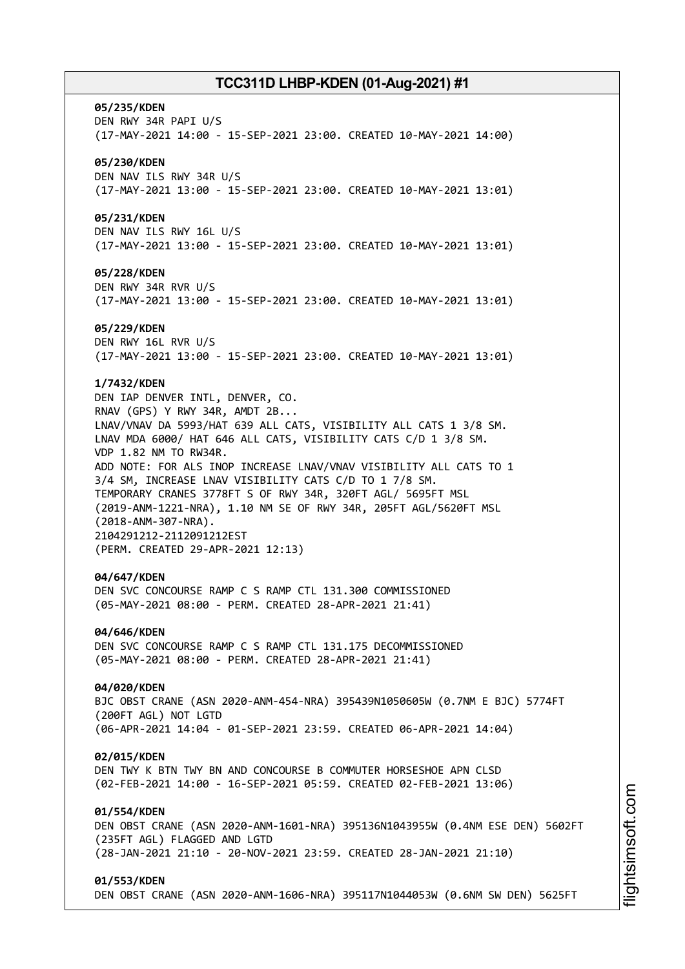#### **05/235/KDEN**

DEN RWY 34R PAPI U/S (17-MAY-2021 14:00 - 15-SEP-2021 23:00. CREATED 10-MAY-2021 14:00)

### **05/230/KDEN**

DEN NAV ILS RWY 34R U/S (17-MAY-2021 13:00 - 15-SEP-2021 23:00. CREATED 10-MAY-2021 13:01)

### **05/231/KDEN**

DEN NAV ILS RWY 16L U/S (17-MAY-2021 13:00 - 15-SEP-2021 23:00. CREATED 10-MAY-2021 13:01)

### **05/228/KDEN**

DEN RWY 34R RVR U/S (17-MAY-2021 13:00 - 15-SEP-2021 23:00. CREATED 10-MAY-2021 13:01)

#### **05/229/KDEN**

DEN RWY 16L RVR U/S (17-MAY-2021 13:00 - 15-SEP-2021 23:00. CREATED 10-MAY-2021 13:01)

### **1/7432/KDEN**

DEN IAP DENVER INTL, DENVER, CO. RNAV (GPS) Y RWY 34R, AMDT 2B... LNAV/VNAV DA 5993/HAT 639 ALL CATS, VISIBILITY ALL CATS 1 3/8 SM. LNAV MDA 6000/ HAT 646 ALL CATS, VISIBILITY CATS C/D 1 3/8 SM. VDP 1.82 NM TO RW34R. ADD NOTE: FOR ALS INOP INCREASE LNAV/VNAV VISIBILITY ALL CATS TO 1 3/4 SM, INCREASE LNAV VISIBILITY CATS C/D TO 1 7/8 SM. TEMPORARY CRANES 3778FT S OF RWY 34R, 320FT AGL/ 5695FT MSL (2019-ANM-1221-NRA), 1.10 NM SE OF RWY 34R, 205FT AGL/5620FT MSL (2018-ANM-307-NRA). 2104291212-2112091212EST (PERM. CREATED 29-APR-2021 12:13)

#### **04/647/KDEN**

DEN SVC CONCOURSE RAMP C S RAMP CTL 131.300 COMMISSIONED (05-MAY-2021 08:00 - PERM. CREATED 28-APR-2021 21:41)

#### **04/646/KDEN**

DEN SVC CONCOURSE RAMP C S RAMP CTL 131.175 DECOMMISSIONED (05-MAY-2021 08:00 - PERM. CREATED 28-APR-2021 21:41)

#### **04/020/KDEN**

BJC OBST CRANE (ASN 2020-ANM-454-NRA) 395439N1050605W (0.7NM E BJC) 5774FT (200FT AGL) NOT LGTD (06-APR-2021 14:04 - 01-SEP-2021 23:59. CREATED 06-APR-2021 14:04)

#### **02/015/KDEN**

DEN TWY K BTN TWY BN AND CONCOURSE B COMMUTER HORSESHOE APN CLSD (02-FEB-2021 14:00 - 16-SEP-2021 05:59. CREATED 02-FEB-2021 13:06)

### **01/554/KDEN**

DEN OBST CRANE (ASN 2020-ANM-1601-NRA) 395136N1043955W (0.4NM ESE DEN) 5602FT (235FT AGL) FLAGGED AND LGTD (28-JAN-2021 21:10 - 20-NOV-2021 23:59. CREATED 28-JAN-2021 21:10)

#### **01/553/KDEN**

DEN OBST CRANE (ASN 2020-ANM-1606-NRA) 395117N1044053W (0.6NM SW DEN) 5625FT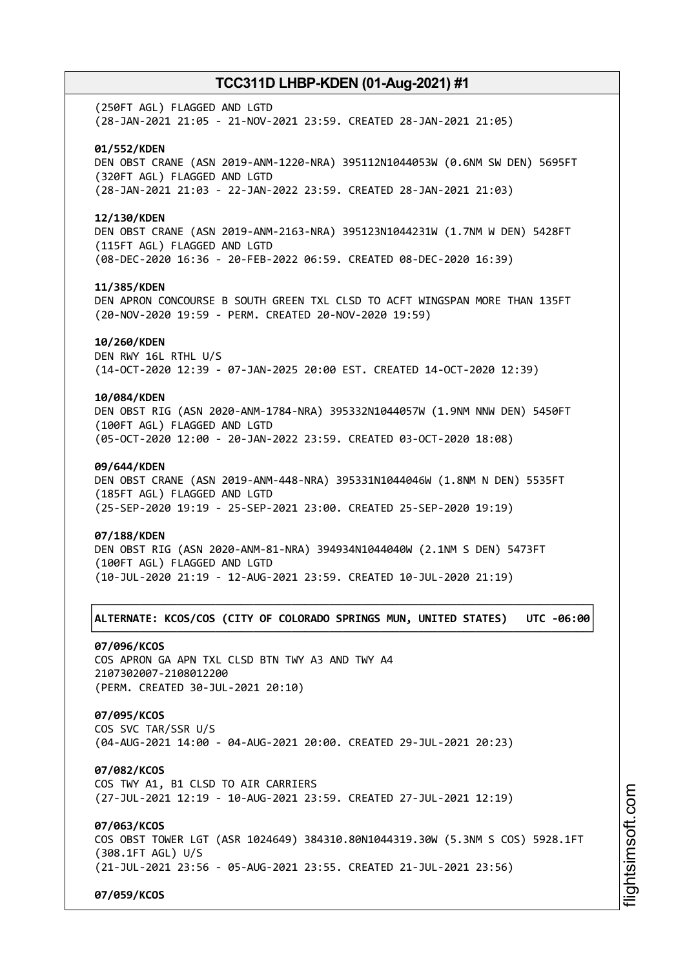(250FT AGL) FLAGGED AND LGTD (28-JAN-2021 21:05 - 21-NOV-2021 23:59. CREATED 28-JAN-2021 21:05)

### **01/552/KDEN**

DEN OBST CRANE (ASN 2019-ANM-1220-NRA) 395112N1044053W (0.6NM SW DEN) 5695FT (320FT AGL) FLAGGED AND LGTD (28-JAN-2021 21:03 - 22-JAN-2022 23:59. CREATED 28-JAN-2021 21:03)

### **12/130/KDEN**

DEN OBST CRANE (ASN 2019-ANM-2163-NRA) 395123N1044231W (1.7NM W DEN) 5428FT (115FT AGL) FLAGGED AND LGTD (08-DEC-2020 16:36 - 20-FEB-2022 06:59. CREATED 08-DEC-2020 16:39)

### **11/385/KDEN**

DEN APRON CONCOURSE B SOUTH GREEN TXL CLSD TO ACFT WINGSPAN MORE THAN 135FT (20-NOV-2020 19:59 - PERM. CREATED 20-NOV-2020 19:59)

### **10/260/KDEN**

DEN RWY 16L RTHL U/S (14-OCT-2020 12:39 - 07-JAN-2025 20:00 EST. CREATED 14-OCT-2020 12:39)

### **10/084/KDEN**

DEN OBST RIG (ASN 2020-ANM-1784-NRA) 395332N1044057W (1.9NM NNW DEN) 5450FT (100FT AGL) FLAGGED AND LGTD (05-OCT-2020 12:00 - 20-JAN-2022 23:59. CREATED 03-OCT-2020 18:08)

### **09/644/KDEN**

DEN OBST CRANE (ASN 2019-ANM-448-NRA) 395331N1044046W (1.8NM N DEN) 5535FT (185FT AGL) FLAGGED AND LGTD (25-SEP-2020 19:19 - 25-SEP-2021 23:00. CREATED 25-SEP-2020 19:19)

#### **07/188/KDEN**

DEN OBST RIG (ASN 2020-ANM-81-NRA) 394934N1044040W (2.1NM S DEN) 5473FT (100FT AGL) FLAGGED AND LGTD (10-JUL-2020 21:19 - 12-AUG-2021 23:59. CREATED 10-JUL-2020 21:19)

### ┌──────────────────────────────────────────────────────────────────────────────┐ │**ALTERNATE: KCOS/COS (CITY OF COLORADO SPRINGS MUN, UNITED STATES) UTC -06:00**│ └──────────────────────────────────────────────────────────────────────────────┘

### **07/096/KCOS**

COS APRON GA APN TXL CLSD BTN TWY A3 AND TWY A4 2107302007-2108012200 (PERM. CREATED 30-JUL-2021 20:10)

### **07/095/KCOS**

COS SVC TAR/SSR U/S (04-AUG-2021 14:00 - 04-AUG-2021 20:00. CREATED 29-JUL-2021 20:23)

#### **07/082/KCOS**

COS TWY A1, B1 CLSD TO AIR CARRIERS (27-JUL-2021 12:19 - 10-AUG-2021 23:59. CREATED 27-JUL-2021 12:19)

### **07/063/KCOS**

COS OBST TOWER LGT (ASR 1024649) 384310.80N1044319.30W (5.3NM S COS) 5928.1FT (308.1FT AGL) U/S (21-JUL-2021 23:56 - 05-AUG-2021 23:55. CREATED 21-JUL-2021 23:56)

**07/059/KCOS**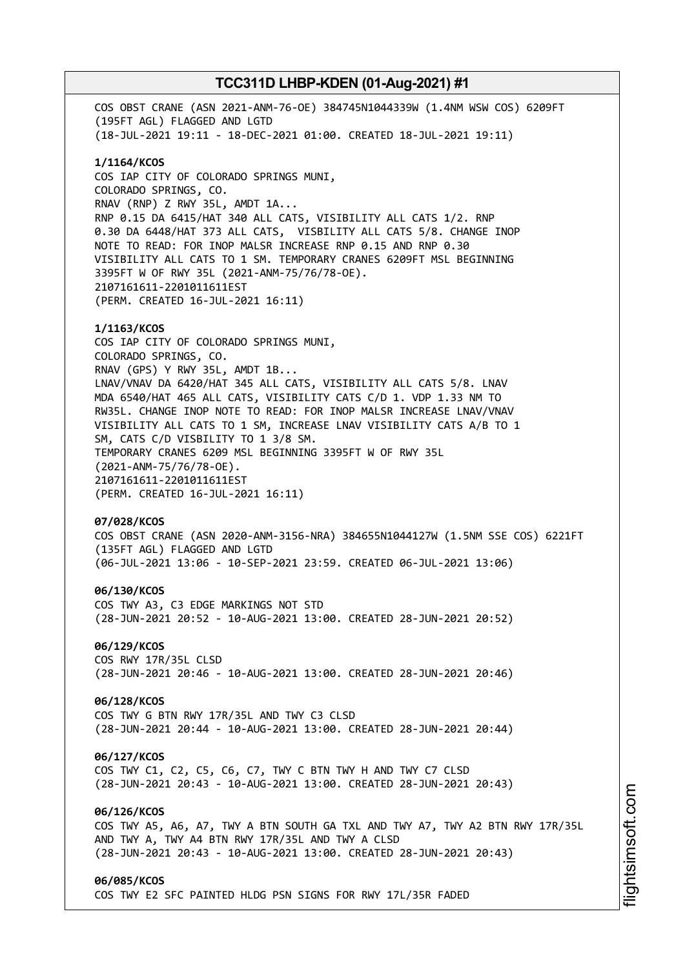COS OBST CRANE (ASN 2021-ANM-76-OE) 384745N1044339W (1.4NM WSW COS) 6209FT (195FT AGL) FLAGGED AND LGTD (18-JUL-2021 19:11 - 18-DEC-2021 01:00. CREATED 18-JUL-2021 19:11) **1/1164/KCOS** COS IAP CITY OF COLORADO SPRINGS MUNI, COLORADO SPRINGS, CO. RNAV (RNP) Z RWY 35L, AMDT 1A... RNP 0.15 DA 6415/HAT 340 ALL CATS, VISIBILITY ALL CATS 1/2. RNP 0.30 DA 6448/HAT 373 ALL CATS, VISBILITY ALL CATS 5/8. CHANGE INOP NOTE TO READ: FOR INOP MALSR INCREASE RNP 0.15 AND RNP 0.30 VISIBILITY ALL CATS TO 1 SM. TEMPORARY CRANES 6209FT MSL BEGINNING 3395FT W OF RWY 35L (2021-ANM-75/76/78-OE). 2107161611-2201011611EST (PERM. CREATED 16-JUL-2021 16:11) **1/1163/KCOS** COS IAP CITY OF COLORADO SPRINGS MUNI, COLORADO SPRINGS, CO. RNAV (GPS) Y RWY 35L, AMDT 1B... LNAV/VNAV DA 6420/HAT 345 ALL CATS, VISIBILITY ALL CATS 5/8. LNAV MDA 6540/HAT 465 ALL CATS, VISIBILITY CATS C/D 1. VDP 1.33 NM TO RW35L. CHANGE INOP NOTE TO READ: FOR INOP MALSR INCREASE LNAV/VNAV VISIBILITY ALL CATS TO 1 SM, INCREASE LNAV VISIBILITY CATS A/B TO 1 SM, CATS C/D VISBILITY TO 1 3/8 SM. TEMPORARY CRANES 6209 MSL BEGINNING 3395FT W OF RWY 35L (2021-ANM-75/76/78-OE). 2107161611-2201011611EST (PERM. CREATED 16-JUL-2021 16:11) **07/028/KCOS** COS OBST CRANE (ASN 2020-ANM-3156-NRA) 384655N1044127W (1.5NM SSE COS) 6221FT (135FT AGL) FLAGGED AND LGTD (06-JUL-2021 13:06 - 10-SEP-2021 23:59. CREATED 06-JUL-2021 13:06) **06/130/KCOS** COS TWY A3, C3 EDGE MARKINGS NOT STD (28-JUN-2021 20:52 - 10-AUG-2021 13:00. CREATED 28-JUN-2021 20:52) **06/129/KCOS** COS RWY 17R/35L CLSD (28-JUN-2021 20:46 - 10-AUG-2021 13:00. CREATED 28-JUN-2021 20:46) **06/128/KCOS** COS TWY G BTN RWY 17R/35L AND TWY C3 CLSD (28-JUN-2021 20:44 - 10-AUG-2021 13:00. CREATED 28-JUN-2021 20:44) **06/127/KCOS** COS TWY C1, C2, C5, C6, C7, TWY C BTN TWY H AND TWY C7 CLSD (28-JUN-2021 20:43 - 10-AUG-2021 13:00. CREATED 28-JUN-2021 20:43) **06/126/KCOS** COS TWY A5, A6, A7, TWY A BTN SOUTH GA TXL AND TWY A7, TWY A2 BTN RWY 17R/35L AND TWY A, TWY A4 BTN RWY 17R/35L AND TWY A CLSD (28-JUN-2021 20:43 - 10-AUG-2021 13:00. CREATED 28-JUN-2021 20:43) **06/085/KCOS** COS TWY E2 SFC PAINTED HLDG PSN SIGNS FOR RWY 17L/35R FADED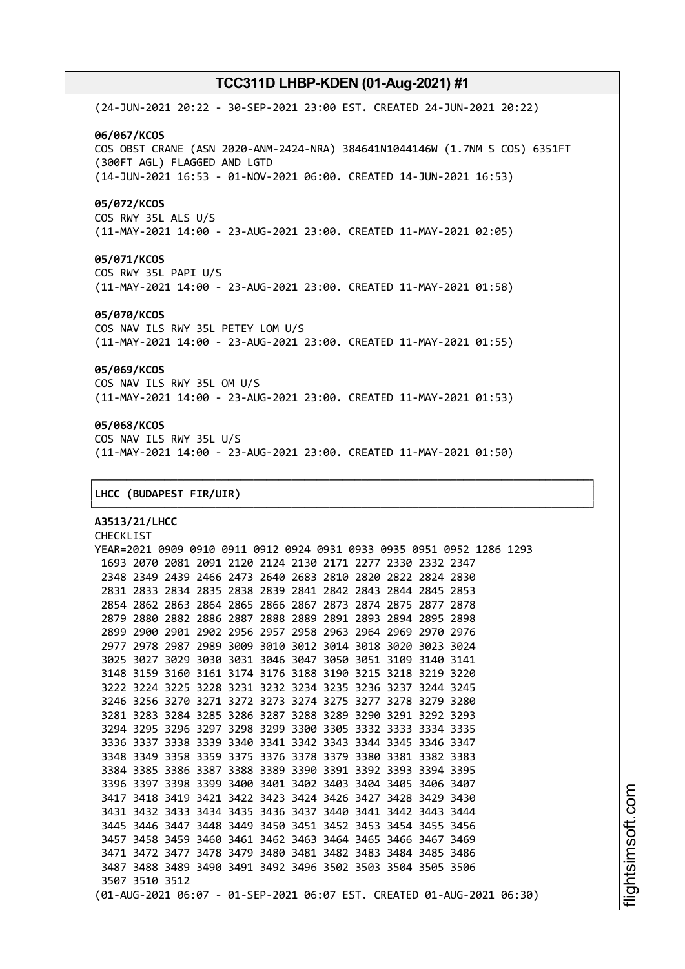(24-JUN-2021 20:22 - 30-SEP-2021 23:00 EST. CREATED 24-JUN-2021 20:22) **06/067/KCOS** COS OBST CRANE (ASN 2020-ANM-2424-NRA) 384641N1044146W (1.7NM S COS) 6351FT (300FT AGL) FLAGGED AND LGTD (14-JUN-2021 16:53 - 01-NOV-2021 06:00. CREATED 14-JUN-2021 16:53) **05/072/KCOS** COS RWY 35L ALS U/S (11-MAY-2021 14:00 - 23-AUG-2021 23:00. CREATED 11-MAY-2021 02:05) **05/071/KCOS**

COS RWY 35L PAPI U/S (11-MAY-2021 14:00 - 23-AUG-2021 23:00. CREATED 11-MAY-2021 01:58)

### **05/070/KCOS**

COS NAV ILS RWY 35L PETEY LOM U/S (11-MAY-2021 14:00 - 23-AUG-2021 23:00. CREATED 11-MAY-2021 01:55)

### **05/069/KCOS**

COS NAV ILS RWY 35L OM U/S (11-MAY-2021 14:00 - 23-AUG-2021 23:00. CREATED 11-MAY-2021 01:53)

### **05/068/KCOS**

COS NAV ILS RWY 35L U/S (11-MAY-2021 14:00 - 23-AUG-2021 23:00. CREATED 11-MAY-2021 01:50)

┌──────────────────────────────────────────────────────────────────────────────┐

└──────────────────────────────────────────────────────────────────────────────┘

### │**LHCC (BUDAPEST FIR/UIR)** │

**A3513/21/LHCC** CHECKLIST YEAR=2021 0909 0910 0911 0912 0924 0931 0933 0935 0951 0952 1286 1293 2070 2081 2091 2120 2124 2130 2171 2277 2330 2332 2347 2349 2439 2466 2473 2640 2683 2810 2820 2822 2824 2830 2833 2834 2835 2838 2839 2841 2842 2843 2844 2845 2853 2862 2863 2864 2865 2866 2867 2873 2874 2875 2877 2878 2880 2882 2886 2887 2888 2889 2891 2893 2894 2895 2898 2900 2901 2902 2956 2957 2958 2963 2964 2969 2970 2976 2978 2987 2989 3009 3010 3012 3014 3018 3020 3023 3024 3027 3029 3030 3031 3046 3047 3050 3051 3109 3140 3141 3159 3160 3161 3174 3176 3188 3190 3215 3218 3219 3220 3224 3225 3228 3231 3232 3234 3235 3236 3237 3244 3245 3256 3270 3271 3272 3273 3274 3275 3277 3278 3279 3280 3283 3284 3285 3286 3287 3288 3289 3290 3291 3292 3293 3295 3296 3297 3298 3299 3300 3305 3332 3333 3334 3335 3337 3338 3339 3340 3341 3342 3343 3344 3345 3346 3347 3349 3358 3359 3375 3376 3378 3379 3380 3381 3382 3383 3385 3386 3387 3388 3389 3390 3391 3392 3393 3394 3395 3397 3398 3399 3400 3401 3402 3403 3404 3405 3406 3407 3418 3419 3421 3422 3423 3424 3426 3427 3428 3429 3430 3432 3433 3434 3435 3436 3437 3440 3441 3442 3443 3444 3446 3447 3448 3449 3450 3451 3452 3453 3454 3455 3456 3458 3459 3460 3461 3462 3463 3464 3465 3466 3467 3469 3472 3477 3478 3479 3480 3481 3482 3483 3484 3485 3486 3488 3489 3490 3491 3492 3496 3502 3503 3504 3505 3506 3510 3512 (01-AUG-2021 06:07 - 01-SEP-2021 06:07 EST. CREATED 01-AUG-2021 06:30)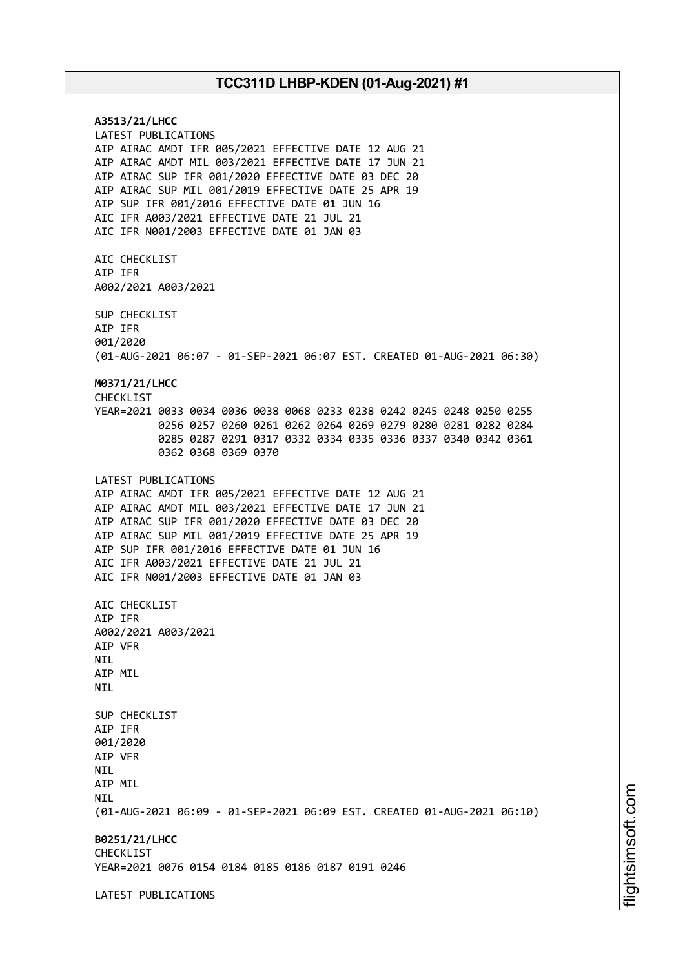**A3513/21/LHCC** LATEST PUBLICATIONS AIP AIRAC AMDT IFR 005/2021 EFFECTIVE DATE 12 AUG 21 AIP AIRAC AMDT MIL 003/2021 EFFECTIVE DATE 17 JUN 21 AIP AIRAC SUP IFR 001/2020 EFFECTIVE DATE 03 DEC 20 AIP AIRAC SUP MIL 001/2019 EFFECTIVE DATE 25 APR 19 AIP SUP IFR 001/2016 EFFECTIVE DATE 01 JUN 16 AIC IFR A003/2021 EFFECTIVE DATE 21 JUL 21 AIC IFR N001/2003 EFFECTIVE DATE 01 JAN 03 AIC CHECKLIST AIP IFR A002/2021 A003/2021 SUP CHECKLIST AIP IFR 001/2020 (01-AUG-2021 06:07 - 01-SEP-2021 06:07 EST. CREATED 01-AUG-2021 06:30) **M0371/21/LHCC** CHECKLIST YEAR=2021 0033 0034 0036 0038 0068 0233 0238 0242 0245 0248 0250 0255 0256 0257 0260 0261 0262 0264 0269 0279 0280 0281 0282 0284 0285 0287 0291 0317 0332 0334 0335 0336 0337 0340 0342 0361 0362 0368 0369 0370 LATEST PUBLICATIONS AIP AIRAC AMDT IFR 005/2021 EFFECTIVE DATE 12 AUG 21 AIP AIRAC AMDT MIL 003/2021 EFFECTIVE DATE 17 JUN 21 AIP AIRAC SUP IFR 001/2020 EFFECTIVE DATE 03 DEC 20 AIP AIRAC SUP MIL 001/2019 EFFECTIVE DATE 25 APR 19 AIP SUP IFR 001/2016 EFFECTIVE DATE 01 JUN 16 AIC IFR A003/2021 EFFECTIVE DATE 21 JUL 21 AIC IFR N001/2003 EFFECTIVE DATE 01 JAN 03 AIC CHECKLIST AIP IFR A002/2021 A003/2021 AIP VFR **NTL** AIP MIL NIL SUP CHECKLIST AIP IFR 001/2020 AIP VFR NIL AIP MIL **NTI** (01-AUG-2021 06:09 - 01-SEP-2021 06:09 EST. CREATED 01-AUG-2021 06:10) **B0251/21/LHCC** CHECKLIST YEAR=2021 0076 0154 0184 0185 0186 0187 0191 0246 LATEST PUBLICATIONS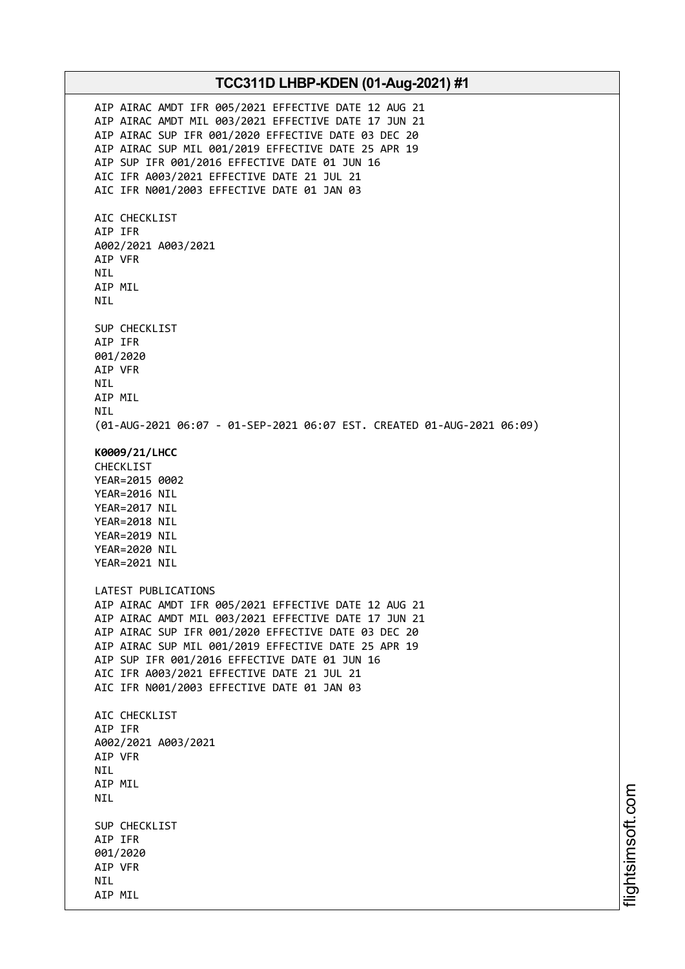AIP AIRAC AMDT IFR 005/2021 EFFECTIVE DATE 12 AUG 21 AIP AIRAC AMDT MIL 003/2021 EFFECTIVE DATE 17 JUN 21 AIP AIRAC SUP IFR 001/2020 EFFECTIVE DATE 03 DEC 20 AIP AIRAC SUP MIL 001/2019 EFFECTIVE DATE 25 APR 19 AIP SUP IFR 001/2016 EFFECTIVE DATE 01 JUN 16 AIC IFR A003/2021 EFFECTIVE DATE 21 JUL 21 AIC IFR N001/2003 EFFECTIVE DATE 01 JAN 03 AIC CHECKLIST AIP IFR A002/2021 A003/2021 AIP VFR NIL AIP MIL NIL SUP CHECKLIST AIP IFR 001/2020 AIP VFR NIL AIP MIL NIL (01-AUG-2021 06:07 - 01-SEP-2021 06:07 EST. CREATED 01-AUG-2021 06:09) **K0009/21/LHCC** CHECKLIST YEAR=2015 0002 YEAR=2016 NIL YEAR=2017 NIL YEAR=2018 NIL YEAR=2019 NIL YEAR=2020 NIL YEAR=2021 NIL LATEST PUBLICATIONS AIP AIRAC AMDT IFR 005/2021 EFFECTIVE DATE 12 AUG 21 AIP AIRAC AMDT MIL 003/2021 EFFECTIVE DATE 17 JUN 21 AIP AIRAC SUP IFR 001/2020 EFFECTIVE DATE 03 DEC 20 AIP AIRAC SUP MIL 001/2019 EFFECTIVE DATE 25 APR 19 AIP SUP IFR 001/2016 EFFECTIVE DATE 01 JUN 16 AIC IFR A003/2021 EFFECTIVE DATE 21 JUL 21 AIC IFR N001/2003 EFFECTIVE DATE 01 JAN 03 AIC CHECKLIST AIP IFR A002/2021 A003/2021 AIP VFR NIL AIP MIL NIL SUP CHECKLIST AIP IFR 001/2020 AIP VFR NIL AIP MIL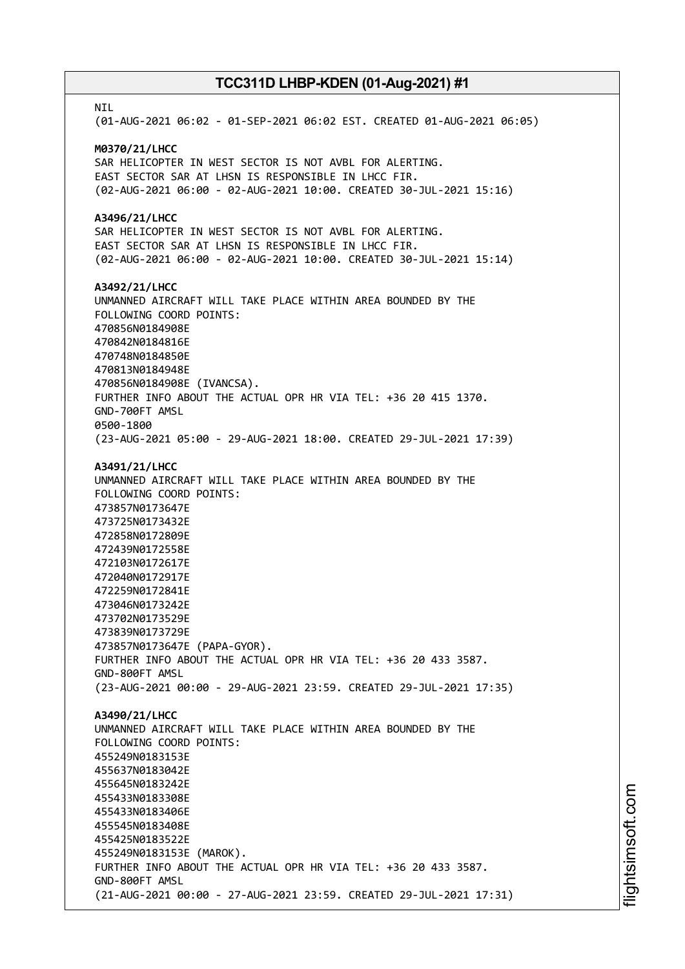**NTI** (01-AUG-2021 06:02 - 01-SEP-2021 06:02 EST. CREATED 01-AUG-2021 06:05) **M0370/21/LHCC** SAR HELICOPTER IN WEST SECTOR IS NOT AVBL FOR ALERTING. EAST SECTOR SAR AT LHSN IS RESPONSIBLE IN LHCC FIR. (02-AUG-2021 06:00 - 02-AUG-2021 10:00. CREATED 30-JUL-2021 15:16) **A3496/21/LHCC** SAR HELICOPTER IN WEST SECTOR IS NOT AVBL FOR ALERTING. EAST SECTOR SAR AT LHSN IS RESPONSIBLE IN LHCC FIR. (02-AUG-2021 06:00 - 02-AUG-2021 10:00. CREATED 30-JUL-2021 15:14) **A3492/21/LHCC** UNMANNED AIRCRAFT WILL TAKE PLACE WITHIN AREA BOUNDED BY THE FOLLOWING COORD POINTS: 470856N0184908E 470842N0184816E 470748N0184850E 470813N0184948E 470856N0184908E (IVANCSA). FURTHER INFO ABOUT THE ACTUAL OPR HR VIA TEL: +36 20 415 1370. GND-700FT AMSL 0500-1800 (23-AUG-2021 05:00 - 29-AUG-2021 18:00. CREATED 29-JUL-2021 17:39) **A3491/21/LHCC** UNMANNED AIRCRAFT WILL TAKE PLACE WITHIN AREA BOUNDED BY THE FOLLOWING COORD POINTS: 473857N0173647E 473725N0173432E 472858N0172809E 472439N0172558E 472103N0172617E 472040N0172917E 472259N0172841E 473046N0173242E 473702N0173529E 473839N0173729E 473857N0173647E (PAPA-GYOR). FURTHER INFO ABOUT THE ACTUAL OPR HR VIA TEL: +36 20 433 3587. GND-800FT AMSL (23-AUG-2021 00:00 - 29-AUG-2021 23:59. CREATED 29-JUL-2021 17:35) **A3490/21/LHCC** UNMANNED AIRCRAFT WILL TAKE PLACE WITHIN AREA BOUNDED BY THE FOLLOWING COORD POINTS: 455249N0183153E 455637N0183042E 455645N0183242E 455433N0183308E 455433N0183406E 455545N0183408E 455425N0183522E 455249N0183153E (MAROK). FURTHER INFO ABOUT THE ACTUAL OPR HR VIA TEL: +36 20 433 3587. GND-800FT AMSL (21-AUG-2021 00:00 - 27-AUG-2021 23:59. CREATED 29-JUL-2021 17:31)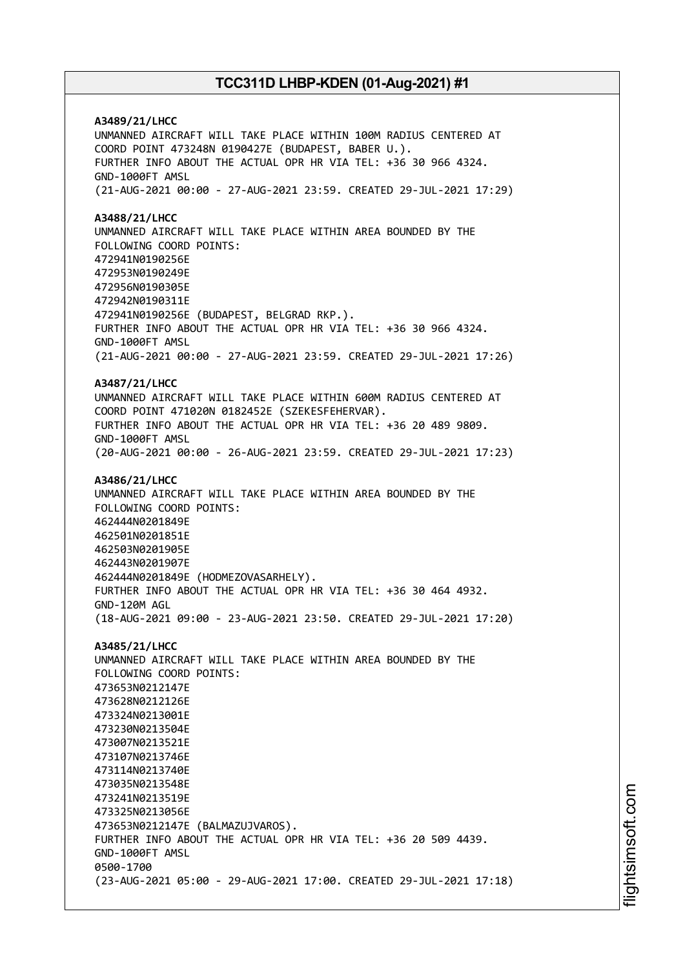**A3489/21/LHCC** UNMANNED AIRCRAFT WILL TAKE PLACE WITHIN 100M RADIUS CENTERED AT COORD POINT 473248N 0190427E (BUDAPEST, BABER U.). FURTHER INFO ABOUT THE ACTUAL OPR HR VIA TEL: +36 30 966 4324. GND-1000FT AMSL (21-AUG-2021 00:00 - 27-AUG-2021 23:59. CREATED 29-JUL-2021 17:29) **A3488/21/LHCC** UNMANNED AIRCRAFT WILL TAKE PLACE WITHIN AREA BOUNDED BY THE FOLLOWING COORD POINTS: 472941N0190256E 472953N0190249E 472956N0190305E 472942N0190311E 472941N0190256E (BUDAPEST, BELGRAD RKP.). FURTHER INFO ABOUT THE ACTUAL OPR HR VIA TEL: +36 30 966 4324. GND-1000FT AMSL (21-AUG-2021 00:00 - 27-AUG-2021 23:59. CREATED 29-JUL-2021 17:26) **A3487/21/LHCC** UNMANNED AIRCRAFT WILL TAKE PLACE WITHIN 600M RADIUS CENTERED AT COORD POINT 471020N 0182452E (SZEKESFEHERVAR). FURTHER INFO ABOUT THE ACTUAL OPR HR VIA TEL: +36 20 489 9809. GND-1000FT AMSL (20-AUG-2021 00:00 - 26-AUG-2021 23:59. CREATED 29-JUL-2021 17:23) **A3486/21/LHCC** UNMANNED AIRCRAFT WILL TAKE PLACE WITHIN AREA BOUNDED BY THE FOLLOWING COORD POINTS: 462444N0201849E 462501N0201851E 462503N0201905E 462443N0201907E 462444N0201849E (HODMEZOVASARHELY). FURTHER INFO ABOUT THE ACTUAL OPR HR VIA TEL: +36 30 464 4932. GND-120M AGL (18-AUG-2021 09:00 - 23-AUG-2021 23:50. CREATED 29-JUL-2021 17:20) **A3485/21/LHCC** UNMANNED AIRCRAFT WILL TAKE PLACE WITHIN AREA BOUNDED BY THE FOLLOWING COORD POINTS: 473653N0212147E 473628N0212126E 473324N0213001E 473230N0213504E 473007N0213521E 473107N0213746E 473114N0213740E 473035N0213548E 473241N0213519E 473325N0213056E 473653N0212147E (BALMAZUJVAROS). FURTHER INFO ABOUT THE ACTUAL OPR HR VIA TEL: +36 20 509 4439. GND-1000FT AMSL 0500-1700 (23-AUG-2021 05:00 - 29-AUG-2021 17:00. CREATED 29-JUL-2021 17:18)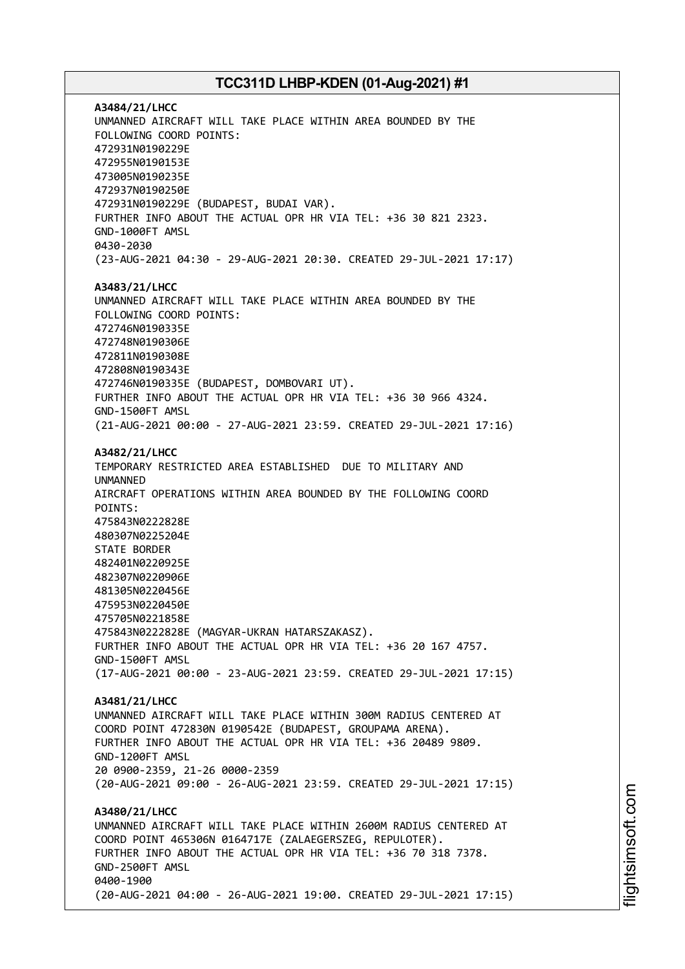**A3484/21/LHCC** UNMANNED AIRCRAFT WILL TAKE PLACE WITHIN AREA BOUNDED BY THE FOLLOWING COORD POINTS: 472931N0190229E 472955N0190153E 473005N0190235E 472937N0190250E 472931N0190229E (BUDAPEST, BUDAI VAR). FURTHER INFO ABOUT THE ACTUAL OPR HR VIA TEL: +36 30 821 2323. GND-1000FT AMSL 0430-2030 (23-AUG-2021 04:30 - 29-AUG-2021 20:30. CREATED 29-JUL-2021 17:17) **A3483/21/LHCC** UNMANNED AIRCRAFT WILL TAKE PLACE WITHIN AREA BOUNDED BY THE FOLLOWING COORD POINTS: 472746N0190335E 472748N0190306E 472811N0190308E 472808N0190343E 472746N0190335E (BUDAPEST, DOMBOVARI UT). FURTHER INFO ABOUT THE ACTUAL OPR HR VIA TEL: +36 30 966 4324. GND-1500FT AMSL (21-AUG-2021 00:00 - 27-AUG-2021 23:59. CREATED 29-JUL-2021 17:16) **A3482/21/LHCC** TEMPORARY RESTRICTED AREA ESTABLISHED DUE TO MILITARY AND UNMANNED AIRCRAFT OPERATIONS WITHIN AREA BOUNDED BY THE FOLLOWING COORD POINTS: 475843N0222828E 480307N0225204E STATE BORDER 482401N0220925E 482307N0220906E 481305N0220456E 475953N0220450E 475705N0221858E 475843N0222828E (MAGYAR-UKRAN HATARSZAKASZ). FURTHER INFO ABOUT THE ACTUAL OPR HR VIA TEL: +36 20 167 4757. GND-1500FT AMSL (17-AUG-2021 00:00 - 23-AUG-2021 23:59. CREATED 29-JUL-2021 17:15) **A3481/21/LHCC** UNMANNED AIRCRAFT WILL TAKE PLACE WITHIN 300M RADIUS CENTERED AT COORD POINT 472830N 0190542E (BUDAPEST, GROUPAMA ARENA). FURTHER INFO ABOUT THE ACTUAL OPR HR VIA TEL: +36 20489 9809. GND-1200FT AMSL 20 0900-2359, 21-26 0000-2359 (20-AUG-2021 09:00 - 26-AUG-2021 23:59. CREATED 29-JUL-2021 17:15) **A3480/21/LHCC** UNMANNED AIRCRAFT WILL TAKE PLACE WITHIN 2600M RADIUS CENTERED AT COORD POINT 465306N 0164717E (ZALAEGERSZEG, REPULOTER). FURTHER INFO ABOUT THE ACTUAL OPR HR VIA TEL: +36 70 318 7378. GND-2500FT AMSL 0400-1900 (20-AUG-2021 04:00 - 26-AUG-2021 19:00. CREATED 29-JUL-2021 17:15)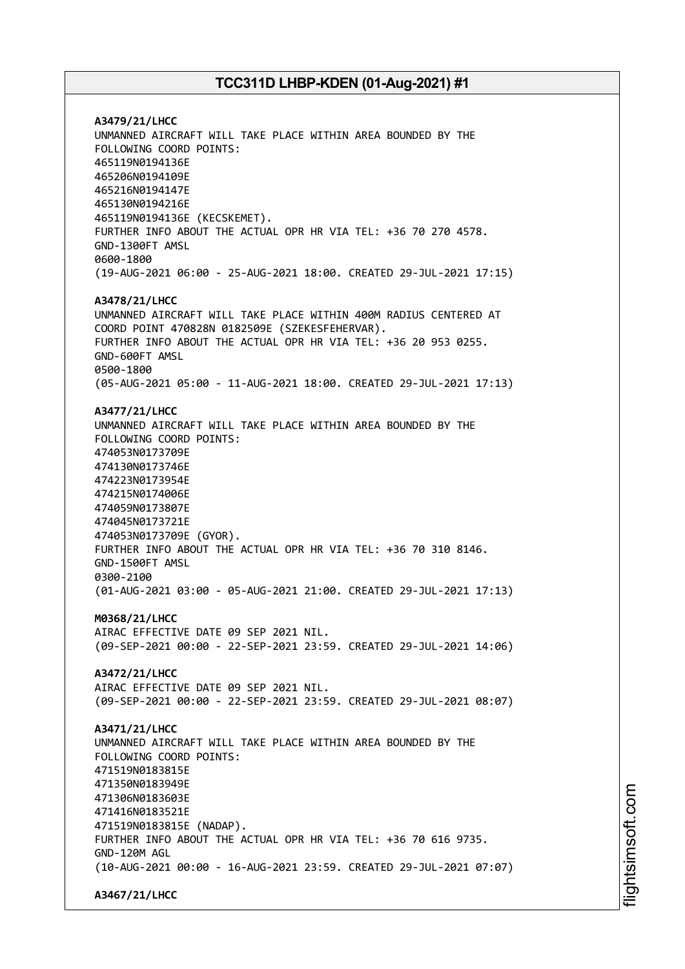**A3479/21/LHCC** UNMANNED AIRCRAFT WILL TAKE PLACE WITHIN AREA BOUNDED BY THE FOLLOWING COORD POINTS: 465119N0194136E 465206N0194109E 465216N0194147E 465130N0194216E 465119N0194136E (KECSKEMET). FURTHER INFO ABOUT THE ACTUAL OPR HR VIA TEL: +36 70 270 4578. GND-1300FT AMSL 0600-1800 (19-AUG-2021 06:00 - 25-AUG-2021 18:00. CREATED 29-JUL-2021 17:15) **A3478/21/LHCC** UNMANNED AIRCRAFT WILL TAKE PLACE WITHIN 400M RADIUS CENTERED AT COORD POINT 470828N 0182509E (SZEKESFEHERVAR). FURTHER INFO ABOUT THE ACTUAL OPR HR VIA TEL: +36 20 953 0255. GND-600FT AMSL 0500-1800 (05-AUG-2021 05:00 - 11-AUG-2021 18:00. CREATED 29-JUL-2021 17:13) **A3477/21/LHCC** UNMANNED AIRCRAFT WILL TAKE PLACE WITHIN AREA BOUNDED BY THE FOLLOWING COORD POINTS: 474053N0173709E 474130N0173746E 474223N0173954E 474215N0174006E 474059N0173807E 474045N0173721E 474053N0173709E (GYOR). FURTHER INFO ABOUT THE ACTUAL OPR HR VIA TEL: +36 70 310 8146. GND-1500FT AMSL 0300-2100 (01-AUG-2021 03:00 - 05-AUG-2021 21:00. CREATED 29-JUL-2021 17:13) **M0368/21/LHCC** AIRAC EFFECTIVE DATE 09 SEP 2021 NIL. (09-SEP-2021 00:00 - 22-SEP-2021 23:59. CREATED 29-JUL-2021 14:06) **A3472/21/LHCC** AIRAC EFFECTIVE DATE 09 SEP 2021 NIL. (09-SEP-2021 00:00 - 22-SEP-2021 23:59. CREATED 29-JUL-2021 08:07) **A3471/21/LHCC** UNMANNED AIRCRAFT WILL TAKE PLACE WITHIN AREA BOUNDED BY THE FOLLOWING COORD POINTS: 471519N0183815E 471350N0183949E 471306N0183603E 471416N0183521E 471519N0183815E (NADAP). FURTHER INFO ABOUT THE ACTUAL OPR HR VIA TEL: +36 70 616 9735. GND-120M AGL (10-AUG-2021 00:00 - 16-AUG-2021 23:59. CREATED 29-JUL-2021 07:07)

**A3467/21/LHCC**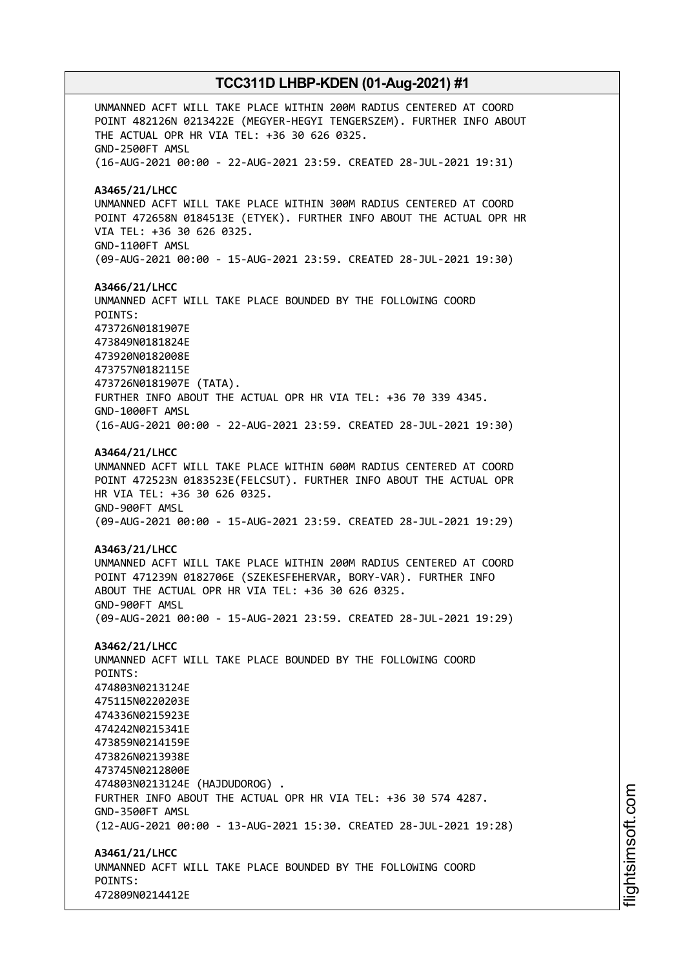UNMANNED ACFT WILL TAKE PLACE WITHIN 200M RADIUS CENTERED AT COORD POINT 482126N 0213422E (MEGYER-HEGYI TENGERSZEM). FURTHER INFO ABOUT THE ACTUAL OPR HR VIA TEL: +36 30 626 0325. GND-2500FT AMSL (16-AUG-2021 00:00 - 22-AUG-2021 23:59. CREATED 28-JUL-2021 19:31) **A3465/21/LHCC** UNMANNED ACFT WILL TAKE PLACE WITHIN 300M RADIUS CENTERED AT COORD POINT 472658N 0184513E (ETYEK). FURTHER INFO ABOUT THE ACTUAL OPR HR VIA TEL: +36 30 626 0325. GND-1100FT AMSL (09-AUG-2021 00:00 - 15-AUG-2021 23:59. CREATED 28-JUL-2021 19:30) **A3466/21/LHCC** UNMANNED ACFT WILL TAKE PLACE BOUNDED BY THE FOLLOWING COORD POINTS: 473726N0181907E 473849N0181824E 473920N0182008E 473757N0182115E 473726N0181907E (TATA). FURTHER INFO ABOUT THE ACTUAL OPR HR VIA TEL: +36 70 339 4345. GND-1000FT AMSL (16-AUG-2021 00:00 - 22-AUG-2021 23:59. CREATED 28-JUL-2021 19:30) **A3464/21/LHCC** UNMANNED ACFT WILL TAKE PLACE WITHIN 600M RADIUS CENTERED AT COORD POINT 472523N 0183523E(FELCSUT). FURTHER INFO ABOUT THE ACTUAL OPR HR VIA TEL: +36 30 626 0325. GND-900FT AMSL (09-AUG-2021 00:00 - 15-AUG-2021 23:59. CREATED 28-JUL-2021 19:29) **A3463/21/LHCC** UNMANNED ACFT WILL TAKE PLACE WITHIN 200M RADIUS CENTERED AT COORD POINT 471239N 0182706E (SZEKESFEHERVAR, BORY-VAR). FURTHER INFO ABOUT THE ACTUAL OPR HR VIA TEL: +36 30 626 0325. GND-900FT AMSL (09-AUG-2021 00:00 - 15-AUG-2021 23:59. CREATED 28-JUL-2021 19:29) **A3462/21/LHCC** UNMANNED ACFT WILL TAKE PLACE BOUNDED BY THE FOLLOWING COORD POINTS: 474803N0213124E 475115N0220203E 474336N0215923E 474242N0215341E 473859N0214159E 473826N0213938E 473745N0212800E 474803N0213124E (HAJDUDOROG) . FURTHER INFO ABOUT THE ACTUAL OPR HR VIA TEL: +36 30 574 4287. GND-3500FT AMSL (12-AUG-2021 00:00 - 13-AUG-2021 15:30. CREATED 28-JUL-2021 19:28) **A3461/21/LHCC** UNMANNED ACFT WILL TAKE PLACE BOUNDED BY THE FOLLOWING COORD POINTS: 472809N0214412E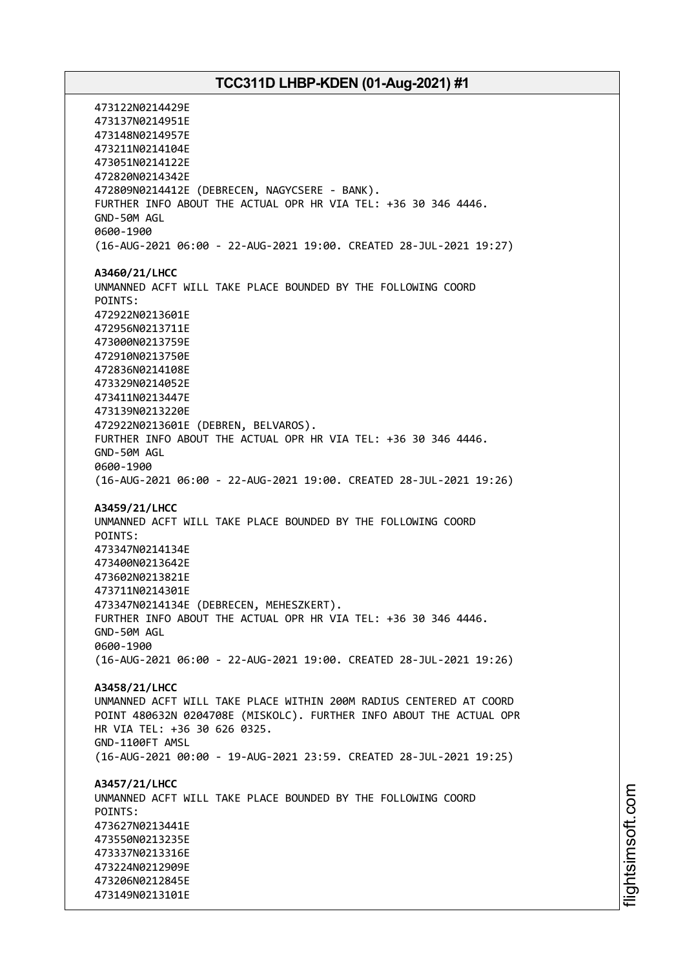473122N0214429E 473137N0214951E 473148N0214957E 473211N0214104E 473051N0214122E 472820N0214342E 472809N0214412E (DEBRECEN, NAGYCSERE - BANK). FURTHER INFO ABOUT THE ACTUAL OPR HR VIA TEL: +36 30 346 4446. GND-50M AGL 0600-1900 (16-AUG-2021 06:00 - 22-AUG-2021 19:00. CREATED 28-JUL-2021 19:27) **A3460/21/LHCC** UNMANNED ACFT WILL TAKE PLACE BOUNDED BY THE FOLLOWING COORD POINTS: 472922N0213601E 472956N0213711E 473000N0213759E 472910N0213750E 472836N0214108E 473329N0214052E 473411N0213447E 473139N0213220E 472922N0213601E (DEBREN, BELVAROS). FURTHER INFO ABOUT THE ACTUAL OPR HR VIA TEL: +36 30 346 4446. GND-50M AGL 0600-1900 (16-AUG-2021 06:00 - 22-AUG-2021 19:00. CREATED 28-JUL-2021 19:26) **A3459/21/LHCC** UNMANNED ACFT WILL TAKE PLACE BOUNDED BY THE FOLLOWING COORD POINTS: 473347N0214134E 473400N0213642E 473602N0213821E 473711N0214301E 473347N0214134E (DEBRECEN, MEHESZKERT). FURTHER INFO ABOUT THE ACTUAL OPR HR VIA TEL: +36 30 346 4446. GND-50M AGL 0600-1900 (16-AUG-2021 06:00 - 22-AUG-2021 19:00. CREATED 28-JUL-2021 19:26) **A3458/21/LHCC** UNMANNED ACFT WILL TAKE PLACE WITHIN 200M RADIUS CENTERED AT COORD POINT 480632N 0204708E (MISKOLC). FURTHER INFO ABOUT THE ACTUAL OPR HR VIA TEL: +36 30 626 0325. GND-1100FT AMSL (16-AUG-2021 00:00 - 19-AUG-2021 23:59. CREATED 28-JUL-2021 19:25) **A3457/21/LHCC** UNMANNED ACFT WILL TAKE PLACE BOUNDED BY THE FOLLOWING COORD POINTS: 473627N0213441E 473550N0213235E 473337N0213316E 473224N0212909E 473206N0212845E 473149N0213101E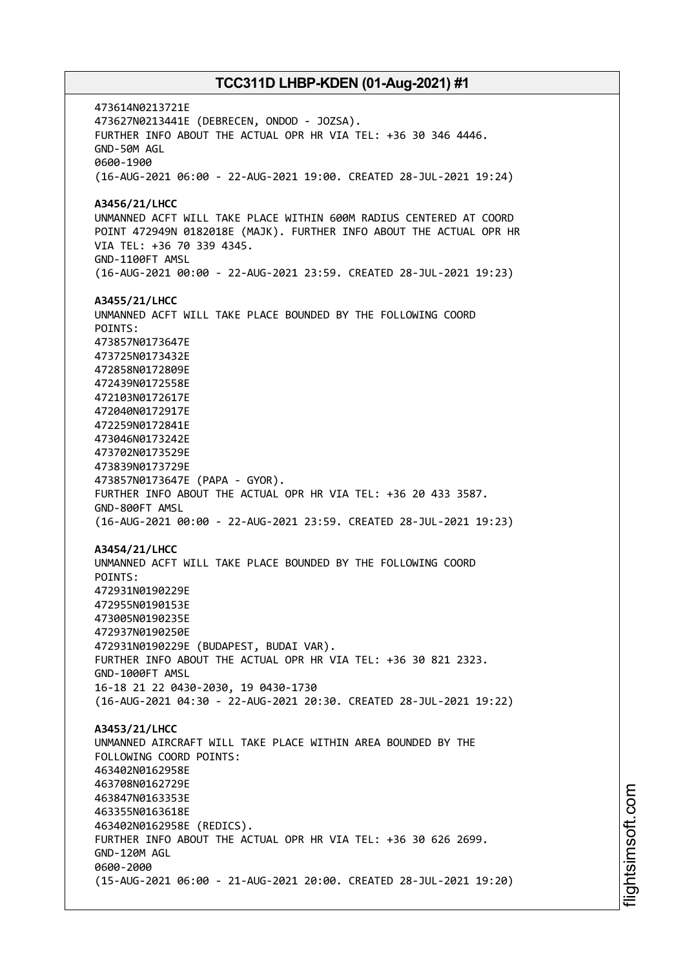473614N0213721E 473627N0213441E (DEBRECEN, ONDOD - JOZSA). FURTHER INFO ABOUT THE ACTUAL OPR HR VIA TEL: +36 30 346 4446. GND-50M AGL 0600-1900 (16-AUG-2021 06:00 - 22-AUG-2021 19:00. CREATED 28-JUL-2021 19:24) **A3456/21/LHCC** UNMANNED ACFT WILL TAKE PLACE WITHIN 600M RADIUS CENTERED AT COORD POINT 472949N 0182018E (MAJK). FURTHER INFO ABOUT THE ACTUAL OPR HR VIA TEL: +36 70 339 4345. GND-1100FT AMSL (16-AUG-2021 00:00 - 22-AUG-2021 23:59. CREATED 28-JUL-2021 19:23) **A3455/21/LHCC** UNMANNED ACFT WILL TAKE PLACE BOUNDED BY THE FOLLOWING COORD POINTS: 473857N0173647E 473725N0173432E 472858N0172809E 472439N0172558E 472103N0172617E 472040N0172917E 472259N0172841E 473046N0173242E 473702N0173529E 473839N0173729E 473857N0173647E (PAPA - GYOR). FURTHER INFO ABOUT THE ACTUAL OPR HR VIA TEL: +36 20 433 3587. GND-800FT AMSL (16-AUG-2021 00:00 - 22-AUG-2021 23:59. CREATED 28-JUL-2021 19:23) **A3454/21/LHCC** UNMANNED ACFT WILL TAKE PLACE BOUNDED BY THE FOLLOWING COORD POINTS: 472931N0190229E 472955N0190153E 473005N0190235E 472937N0190250E 472931N0190229E (BUDAPEST, BUDAI VAR). FURTHER INFO ABOUT THE ACTUAL OPR HR VIA TEL: +36 30 821 2323. GND-1000FT AMSL 16-18 21 22 0430-2030, 19 0430-1730 (16-AUG-2021 04:30 - 22-AUG-2021 20:30. CREATED 28-JUL-2021 19:22) **A3453/21/LHCC** UNMANNED AIRCRAFT WILL TAKE PLACE WITHIN AREA BOUNDED BY THE FOLLOWING COORD POINTS: 463402N0162958E 463708N0162729E 463847N0163353E 463355N0163618E 463402N0162958E (REDICS). FURTHER INFO ABOUT THE ACTUAL OPR HR VIA TEL: +36 30 626 2699. GND-120M AGL 0600-2000 (15-AUG-2021 06:00 - 21-AUG-2021 20:00. CREATED 28-JUL-2021 19:20)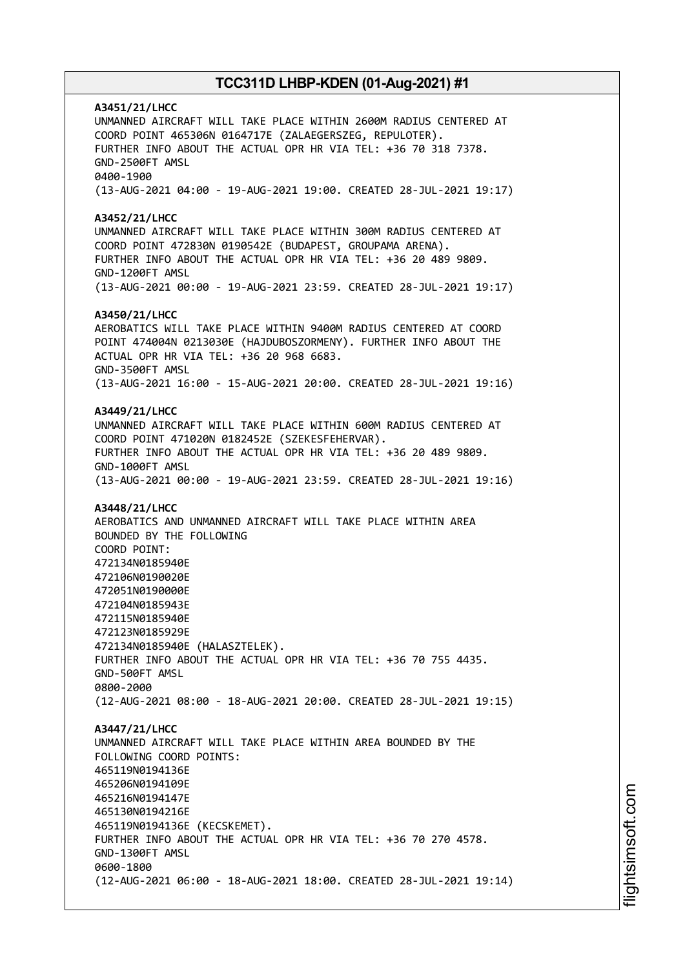**A3451/21/LHCC** UNMANNED AIRCRAFT WILL TAKE PLACE WITHIN 2600M RADIUS CENTERED AT COORD POINT 465306N 0164717E (ZALAEGERSZEG, REPULOTER). FURTHER INFO ABOUT THE ACTUAL OPR HR VIA TEL: +36 70 318 7378. GND-2500FT AMSL 0400-1900 (13-AUG-2021 04:00 - 19-AUG-2021 19:00. CREATED 28-JUL-2021 19:17) **A3452/21/LHCC** UNMANNED AIRCRAFT WILL TAKE PLACE WITHIN 300M RADIUS CENTERED AT COORD POINT 472830N 0190542E (BUDAPEST, GROUPAMA ARENA). FURTHER INFO ABOUT THE ACTUAL OPR HR VIA TEL: +36 20 489 9809. GND-1200FT AMSL (13-AUG-2021 00:00 - 19-AUG-2021 23:59. CREATED 28-JUL-2021 19:17) **A3450/21/LHCC** AEROBATICS WILL TAKE PLACE WITHIN 9400M RADIUS CENTERED AT COORD POINT 474004N 0213030E (HAJDUBOSZORMENY). FURTHER INFO ABOUT THE ACTUAL OPR HR VIA TEL: +36 20 968 6683. GND-3500FT AMSL (13-AUG-2021 16:00 - 15-AUG-2021 20:00. CREATED 28-JUL-2021 19:16) **A3449/21/LHCC** UNMANNED AIRCRAFT WILL TAKE PLACE WITHIN 600M RADIUS CENTERED AT COORD POINT 471020N 0182452E (SZEKESFEHERVAR). FURTHER INFO ABOUT THE ACTUAL OPR HR VIA TEL: +36 20 489 9809. GND-1000FT AMSL (13-AUG-2021 00:00 - 19-AUG-2021 23:59. CREATED 28-JUL-2021 19:16) **A3448/21/LHCC** AEROBATICS AND UNMANNED AIRCRAFT WILL TAKE PLACE WITHIN AREA BOUNDED BY THE FOLLOWING COORD POINT: 472134N0185940E 472106N0190020E 472051N0190000E 472104N0185943E 472115N0185940E 472123N0185929E 472134N0185940E (HALASZTELEK). FURTHER INFO ABOUT THE ACTUAL OPR HR VIA TEL: +36 70 755 4435. GND-500FT AMSL 0800-2000 (12-AUG-2021 08:00 - 18-AUG-2021 20:00. CREATED 28-JUL-2021 19:15) **A3447/21/LHCC** UNMANNED AIRCRAFT WILL TAKE PLACE WITHIN AREA BOUNDED BY THE FOLLOWING COORD POINTS: 465119N0194136E 465206N0194109E 465216N0194147E 465130N0194216E 465119N0194136E (KECSKEMET). FURTHER INFO ABOUT THE ACTUAL OPR HR VIA TEL: +36 70 270 4578. GND-1300FT AMSL 0600-1800 (12-AUG-2021 06:00 - 18-AUG-2021 18:00. CREATED 28-JUL-2021 19:14)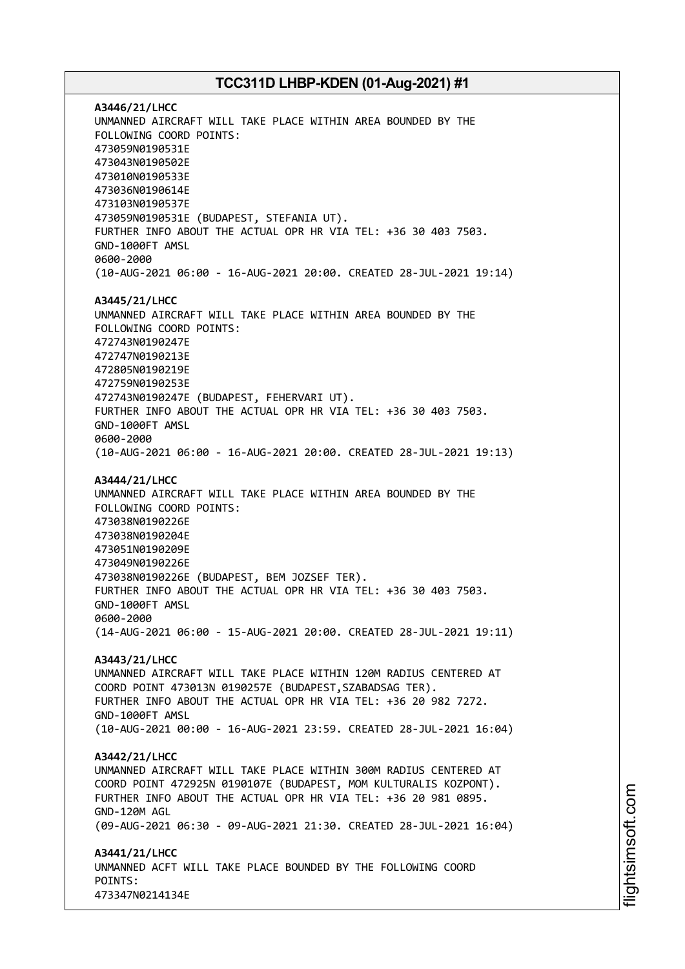**A3446/21/LHCC** UNMANNED AIRCRAFT WILL TAKE PLACE WITHIN AREA BOUNDED BY THE FOLLOWING COORD POINTS: 473059N0190531E 473043N0190502E 473010N0190533E 473036N0190614E 473103N0190537E 473059N0190531E (BUDAPEST, STEFANIA UT). FURTHER INFO ABOUT THE ACTUAL OPR HR VIA TEL: +36 30 403 7503. GND-1000FT AMSL 0600-2000 (10-AUG-2021 06:00 - 16-AUG-2021 20:00. CREATED 28-JUL-2021 19:14) **A3445/21/LHCC** UNMANNED AIRCRAFT WILL TAKE PLACE WITHIN AREA BOUNDED BY THE FOLLOWING COORD POINTS: 472743N0190247E 472747N0190213E 472805N0190219E 472759N0190253E 472743N0190247E (BUDAPEST, FEHERVARI UT). FURTHER INFO ABOUT THE ACTUAL OPR HR VIA TEL: +36 30 403 7503. GND-1000FT AMSL 0600-2000 (10-AUG-2021 06:00 - 16-AUG-2021 20:00. CREATED 28-JUL-2021 19:13) **A3444/21/LHCC** UNMANNED AIRCRAFT WILL TAKE PLACE WITHIN AREA BOUNDED BY THE FOLLOWING COORD POINTS: 473038N0190226E 473038N0190204E 473051N0190209E 473049N0190226E 473038N0190226E (BUDAPEST, BEM JOZSEF TER). FURTHER INFO ABOUT THE ACTUAL OPR HR VIA TEL: +36 30 403 7503. GND-1000FT AMSL 0600-2000 (14-AUG-2021 06:00 - 15-AUG-2021 20:00. CREATED 28-JUL-2021 19:11) **A3443/21/LHCC** UNMANNED AIRCRAFT WILL TAKE PLACE WITHIN 120M RADIUS CENTERED AT COORD POINT 473013N 0190257E (BUDAPEST,SZABADSAG TER). FURTHER INFO ABOUT THE ACTUAL OPR HR VIA TEL: +36 20 982 7272. GND-1000FT AMSL (10-AUG-2021 00:00 - 16-AUG-2021 23:59. CREATED 28-JUL-2021 16:04) **A3442/21/LHCC** UNMANNED AIRCRAFT WILL TAKE PLACE WITHIN 300M RADIUS CENTERED AT COORD POINT 472925N 0190107E (BUDAPEST, MOM KULTURALIS KOZPONT). FURTHER INFO ABOUT THE ACTUAL OPR HR VIA TEL: +36 20 981 0895. GND-120M AGL (09-AUG-2021 06:30 - 09-AUG-2021 21:30. CREATED 28-JUL-2021 16:04) **A3441/21/LHCC** UNMANNED ACFT WILL TAKE PLACE BOUNDED BY THE FOLLOWING COORD POINTS: 473347N0214134E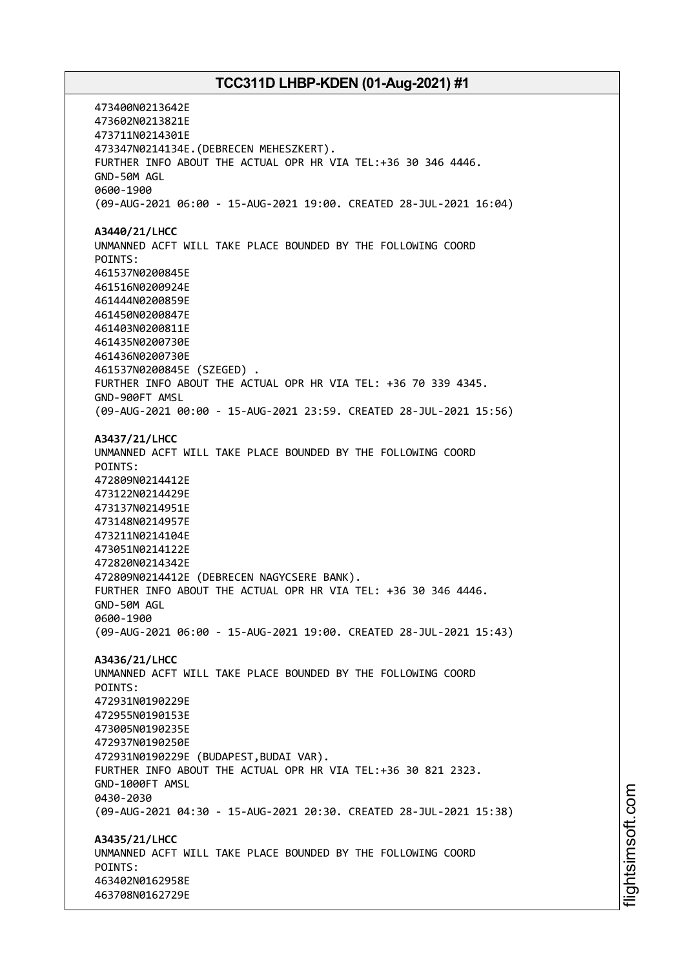473400N0213642E 473602N0213821E 473711N0214301E 473347N0214134E.(DEBRECEN MEHESZKERT). FURTHER INFO ABOUT THE ACTUAL OPR HR VIA TEL:+36 30 346 4446. GND-50M AGL 0600-1900 (09-AUG-2021 06:00 - 15-AUG-2021 19:00. CREATED 28-JUL-2021 16:04) **A3440/21/LHCC** UNMANNED ACFT WILL TAKE PLACE BOUNDED BY THE FOLLOWING COORD POINTS: 461537N0200845E 461516N0200924E 461444N0200859E 461450N0200847E 461403N0200811E 461435N0200730E 461436N0200730E 461537N0200845E (SZEGED) . FURTHER INFO ABOUT THE ACTUAL OPR HR VIA TEL: +36 70 339 4345. GND-900FT AMSL (09-AUG-2021 00:00 - 15-AUG-2021 23:59. CREATED 28-JUL-2021 15:56) **A3437/21/LHCC** UNMANNED ACFT WILL TAKE PLACE BOUNDED BY THE FOLLOWING COORD POINTS: 472809N0214412E 473122N0214429E 473137N0214951E 473148N0214957E 473211N0214104E 473051N0214122E 472820N0214342E 472809N0214412E (DEBRECEN NAGYCSERE BANK). FURTHER INFO ABOUT THE ACTUAL OPR HR VIA TEL: +36 30 346 4446. GND-50M AGL 0600-1900 (09-AUG-2021 06:00 - 15-AUG-2021 19:00. CREATED 28-JUL-2021 15:43) **A3436/21/LHCC** UNMANNED ACFT WILL TAKE PLACE BOUNDED BY THE FOLLOWING COORD POINTS: 472931N0190229E 472955N0190153E 473005N0190235E 472937N0190250E 472931N0190229E (BUDAPEST,BUDAI VAR). FURTHER INFO ABOUT THE ACTUAL OPR HR VIA TEL:+36 30 821 2323. GND-1000FT AMSL 0430-2030 (09-AUG-2021 04:30 - 15-AUG-2021 20:30. CREATED 28-JUL-2021 15:38) **A3435/21/LHCC** UNMANNED ACFT WILL TAKE PLACE BOUNDED BY THE FOLLOWING COORD POINTS: 463402N0162958E 463708N0162729E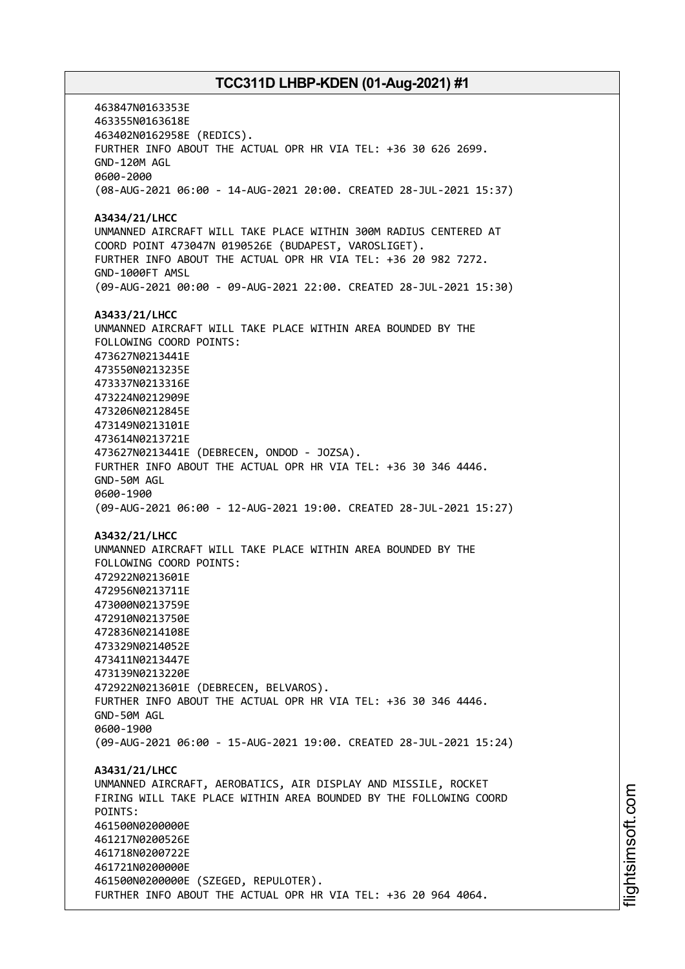463847N0163353E 463355N0163618E 463402N0162958E (REDICS). FURTHER INFO ABOUT THE ACTUAL OPR HR VIA TEL: +36 30 626 2699. GND-120M AGL 0600-2000 (08-AUG-2021 06:00 - 14-AUG-2021 20:00. CREATED 28-JUL-2021 15:37) **A3434/21/LHCC** UNMANNED AIRCRAFT WILL TAKE PLACE WITHIN 300M RADIUS CENTERED AT COORD POINT 473047N 0190526E (BUDAPEST, VAROSLIGET). FURTHER INFO ABOUT THE ACTUAL OPR HR VIA TEL: +36 20 982 7272. GND-1000FT AMSL (09-AUG-2021 00:00 - 09-AUG-2021 22:00. CREATED 28-JUL-2021 15:30) **A3433/21/LHCC** UNMANNED AIRCRAFT WILL TAKE PLACE WITHIN AREA BOUNDED BY THE FOLLOWING COORD POINTS: 473627N0213441E 473550N0213235E 473337N0213316E 473224N0212909E 473206N0212845E 473149N0213101E 473614N0213721E 473627N0213441E (DEBRECEN, ONDOD - JOZSA). FURTHER INFO ABOUT THE ACTUAL OPR HR VIA TEL: +36 30 346 4446. GND-50M AGL 0600-1900 (09-AUG-2021 06:00 - 12-AUG-2021 19:00. CREATED 28-JUL-2021 15:27) **A3432/21/LHCC** UNMANNED AIRCRAFT WILL TAKE PLACE WITHIN AREA BOUNDED BY THE FOLLOWING COORD POINTS: 472922N0213601E 472956N0213711E 473000N0213759E 472910N0213750E 472836N0214108E 473329N0214052E 473411N0213447E 473139N0213220E 472922N0213601E (DEBRECEN, BELVAROS). FURTHER INFO ABOUT THE ACTUAL OPR HR VIA TEL: +36 30 346 4446. GND-50M AGL 0600-1900 (09-AUG-2021 06:00 - 15-AUG-2021 19:00. CREATED 28-JUL-2021 15:24) **A3431/21/LHCC** UNMANNED AIRCRAFT, AEROBATICS, AIR DISPLAY AND MISSILE, ROCKET FIRING WILL TAKE PLACE WITHIN AREA BOUNDED BY THE FOLLOWING COORD POINTS: 461500N0200000E 461217N0200526E 461718N0200722E 461721N0200000E 461500N0200000E (SZEGED, REPULOTER). FURTHER INFO ABOUT THE ACTUAL OPR HR VIA TEL: +36 20 964 4064.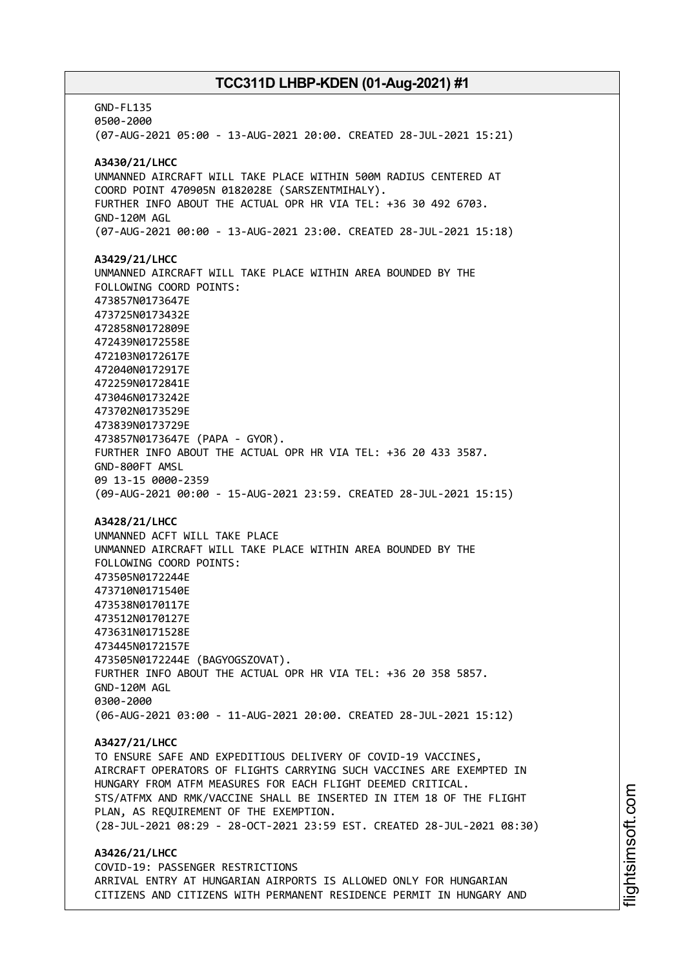GND-FL135 0500-2000 (07-AUG-2021 05:00 - 13-AUG-2021 20:00. CREATED 28-JUL-2021 15:21) **A3430/21/LHCC** UNMANNED AIRCRAFT WILL TAKE PLACE WITHIN 500M RADIUS CENTERED AT COORD POINT 470905N 0182028E (SARSZENTMIHALY). FURTHER INFO ABOUT THE ACTUAL OPR HR VIA TEL: +36 30 492 6703. GND-120M AGL (07-AUG-2021 00:00 - 13-AUG-2021 23:00. CREATED 28-JUL-2021 15:18) **A3429/21/LHCC** UNMANNED AIRCRAFT WILL TAKE PLACE WITHIN AREA BOUNDED BY THE FOLLOWING COORD POINTS: 473857N0173647E 473725N0173432E 472858N0172809E 472439N0172558E 472103N0172617E 472040N0172917E 472259N0172841E 473046N0173242E 473702N0173529E 473839N0173729E 473857N0173647E (PAPA - GYOR). FURTHER INFO ABOUT THE ACTUAL OPR HR VIA TEL: +36 20 433 3587. GND-800FT AMSL 09 13-15 0000-2359 (09-AUG-2021 00:00 - 15-AUG-2021 23:59. CREATED 28-JUL-2021 15:15) **A3428/21/LHCC** UNMANNED ACFT WILL TAKE PLACE UNMANNED AIRCRAFT WILL TAKE PLACE WITHIN AREA BOUNDED BY THE FOLLOWING COORD POINTS: 473505N0172244E 473710N0171540E 473538N0170117E 473512N0170127E 473631N0171528E 473445N0172157E 473505N0172244E (BAGYOGSZOVAT). FURTHER INFO ABOUT THE ACTUAL OPR HR VIA TEL: +36 20 358 5857. GND-120M AGL 0300-2000 (06-AUG-2021 03:00 - 11-AUG-2021 20:00. CREATED 28-JUL-2021 15:12) **A3427/21/LHCC** TO ENSURE SAFE AND EXPEDITIOUS DELIVERY OF COVID-19 VACCINES, AIRCRAFT OPERATORS OF FLIGHTS CARRYING SUCH VACCINES ARE EXEMPTED IN HUNGARY FROM ATFM MEASURES FOR EACH FLIGHT DEEMED CRITICAL. STS/ATFMX AND RMK/VACCINE SHALL BE INSERTED IN ITEM 18 OF THE FLIGHT PLAN, AS REQUIREMENT OF THE EXEMPTION. (28-JUL-2021 08:29 - 28-OCT-2021 23:59 EST. CREATED 28-JUL-2021 08:30) **A3426/21/LHCC** COVID-19: PASSENGER RESTRICTIONS ARRIVAL ENTRY AT HUNGARIAN AIRPORTS IS ALLOWED ONLY FOR HUNGARIAN CITIZENS AND CITIZENS WITH PERMANENT RESIDENCE PERMIT IN HUNGARY AND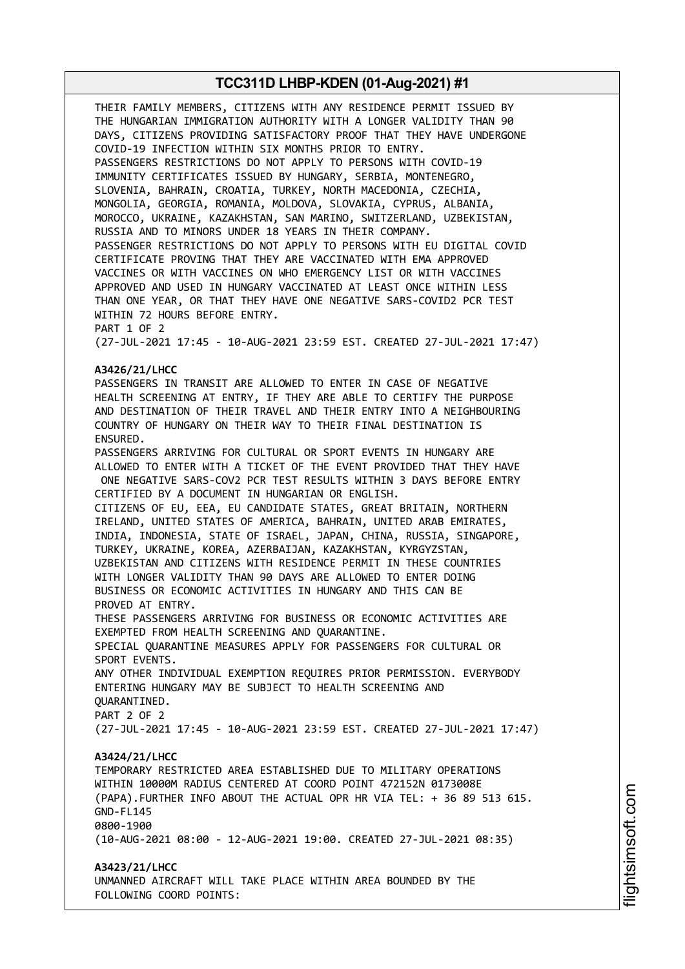THEIR FAMILY MEMBERS, CITIZENS WITH ANY RESIDENCE PERMIT ISSUED BY THE HUNGARIAN IMMIGRATION AUTHORITY WITH A LONGER VALIDITY THAN 90 DAYS, CITIZENS PROVIDING SATISFACTORY PROOF THAT THEY HAVE UNDERGONE COVID-19 INFECTION WITHIN SIX MONTHS PRIOR TO ENTRY. PASSENGERS RESTRICTIONS DO NOT APPLY TO PERSONS WITH COVID-19 IMMUNITY CERTIFICATES ISSUED BY HUNGARY, SERBIA, MONTENEGRO, SLOVENIA, BAHRAIN, CROATIA, TURKEY, NORTH MACEDONIA, CZECHIA, MONGOLIA, GEORGIA, ROMANIA, MOLDOVA, SLOVAKIA, CYPRUS, ALBANIA, MOROCCO, UKRAINE, KAZAKHSTAN, SAN MARINO, SWITZERLAND, UZBEKISTAN, RUSSIA AND TO MINORS UNDER 18 YEARS IN THEIR COMPANY. PASSENGER RESTRICTIONS DO NOT APPLY TO PERSONS WITH EU DIGITAL COVID CERTIFICATE PROVING THAT THEY ARE VACCINATED WITH EMA APPROVED VACCINES OR WITH VACCINES ON WHO EMERGENCY LIST OR WITH VACCINES APPROVED AND USED IN HUNGARY VACCINATED AT LEAST ONCE WITHIN LESS THAN ONE YEAR, OR THAT THEY HAVE ONE NEGATIVE SARS-COVID2 PCR TEST WITHIN 72 HOURS BEFORE ENTRY. PART 1 OF 2 (27-JUL-2021 17:45 - 10-AUG-2021 23:59 EST. CREATED 27-JUL-2021 17:47) **A3426/21/LHCC** PASSENGERS IN TRANSIT ARE ALLOWED TO ENTER IN CASE OF NEGATIVE HEALTH SCREENING AT ENTRY, IF THEY ARE ABLE TO CERTIFY THE PURPOSE AND DESTINATION OF THEIR TRAVEL AND THEIR ENTRY INTO A NEIGHBOURING COUNTRY OF HUNGARY ON THEIR WAY TO THEIR FINAL DESTINATION IS ENSURED. PASSENGERS ARRIVING FOR CULTURAL OR SPORT EVENTS IN HUNGARY ARE ALLOWED TO ENTER WITH A TICKET OF THE EVENT PROVIDED THAT THEY HAVE ONE NEGATIVE SARS-COV2 PCR TEST RESULTS WITHIN 3 DAYS BEFORE ENTRY CERTIFIED BY A DOCUMENT IN HUNGARIAN OR ENGLISH. CITIZENS OF EU, EEA, EU CANDIDATE STATES, GREAT BRITAIN, NORTHERN IRELAND, UNITED STATES OF AMERICA, BAHRAIN, UNITED ARAB EMIRATES, INDIA, INDONESIA, STATE OF ISRAEL, JAPAN, CHINA, RUSSIA, SINGAPORE, TURKEY, UKRAINE, KOREA, AZERBAIJAN, KAZAKHSTAN, KYRGYZSTAN, UZBEKISTAN AND CITIZENS WITH RESIDENCE PERMIT IN THESE COUNTRIES WITH LONGER VALIDITY THAN 90 DAYS ARE ALLOWED TO ENTER DOING BUSINESS OR ECONOMIC ACTIVITIES IN HUNGARY AND THIS CAN BE PROVED AT ENTRY. THESE PASSENGERS ARRIVING FOR BUSINESS OR ECONOMIC ACTIVITIES ARE EXEMPTED FROM HEALTH SCREENING AND QUARANTINE. SPECIAL QUARANTINE MEASURES APPLY FOR PASSENGERS FOR CULTURAL OR SPORT EVENTS. ANY OTHER INDIVIDUAL EXEMPTION REQUIRES PRIOR PERMISSION. EVERYBODY ENTERING HUNGARY MAY BE SUBJECT TO HEALTH SCREENING AND QUARANTINED. PART 2 OF 2 (27-JUL-2021 17:45 - 10-AUG-2021 23:59 EST. CREATED 27-JUL-2021 17:47) **A3424/21/LHCC** TEMPORARY RESTRICTED AREA ESTABLISHED DUE TO MILITARY OPERATIONS WITHIN 10000M RADIUS CENTERED AT COORD POINT 472152N 0173008E (PAPA).FURTHER INFO ABOUT THE ACTUAL OPR HR VIA TEL: + 36 89 513 615. GND-FL145 0800-1900 (10-AUG-2021 08:00 - 12-AUG-2021 19:00. CREATED 27-JUL-2021 08:35) **A3423/21/LHCC** UNMANNED AIRCRAFT WILL TAKE PLACE WITHIN AREA BOUNDED BY THE FOLLOWING COORD POINTS: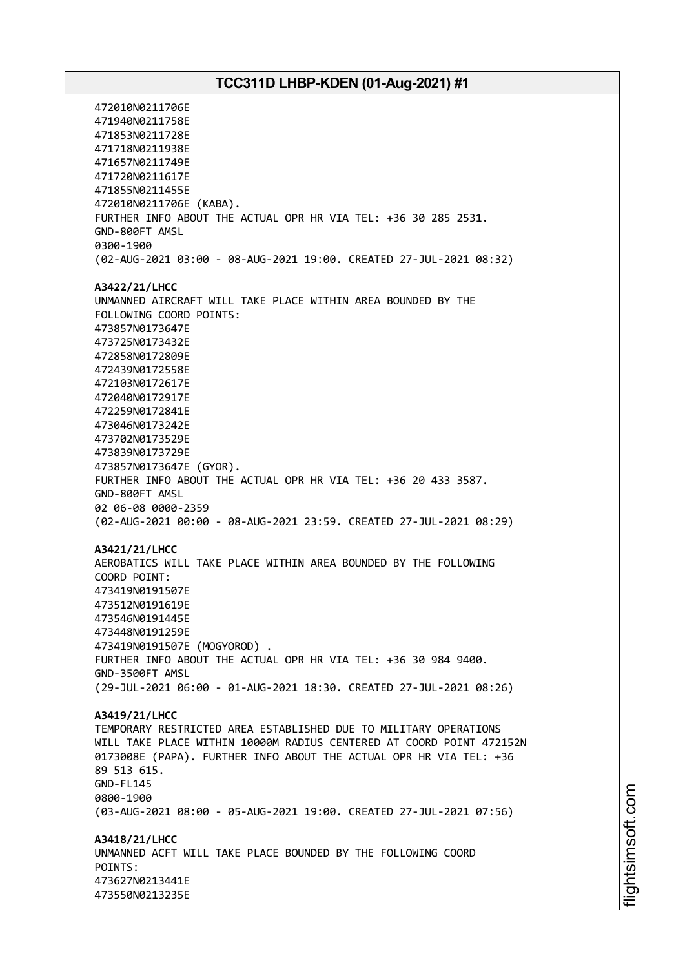472010N0211706E 471940N0211758E 471853N0211728E 471718N0211938E 471657N0211749E 471720N0211617E 471855N0211455E 472010N0211706E (KABA). FURTHER INFO ABOUT THE ACTUAL OPR HR VIA TEL: +36 30 285 2531. GND-800FT AMSL 0300-1900 (02-AUG-2021 03:00 - 08-AUG-2021 19:00. CREATED 27-JUL-2021 08:32) **A3422/21/LHCC** UNMANNED AIRCRAFT WILL TAKE PLACE WITHIN AREA BOUNDED BY THE FOLLOWING COORD POINTS: 473857N0173647E 473725N0173432E 472858N0172809E 472439N0172558E 472103N0172617E 472040N0172917E 472259N0172841E 473046N0173242E 473702N0173529E 473839N0173729E 473857N0173647E (GYOR). FURTHER INFO ABOUT THE ACTUAL OPR HR VIA TEL: +36 20 433 3587. GND-800FT AMSL 02 06-08 0000-2359 (02-AUG-2021 00:00 - 08-AUG-2021 23:59. CREATED 27-JUL-2021 08:29) **A3421/21/LHCC** AEROBATICS WILL TAKE PLACE WITHIN AREA BOUNDED BY THE FOLLOWING COORD POINT: 473419N0191507E 473512N0191619E 473546N0191445E 473448N0191259E 473419N0191507E (MOGYOROD) . FURTHER INFO ABOUT THE ACTUAL OPR HR VIA TEL: +36 30 984 9400. GND-3500FT AMSL (29-JUL-2021 06:00 - 01-AUG-2021 18:30. CREATED 27-JUL-2021 08:26) **A3419/21/LHCC** TEMPORARY RESTRICTED AREA ESTABLISHED DUE TO MILITARY OPERATIONS WILL TAKE PLACE WITHIN 10000M RADIUS CENTERED AT COORD POINT 472152N 0173008E (PAPA). FURTHER INFO ABOUT THE ACTUAL OPR HR VIA TEL: +36 89 513 615. GND-FL145 0800-1900 (03-AUG-2021 08:00 - 05-AUG-2021 19:00. CREATED 27-JUL-2021 07:56) **A3418/21/LHCC** UNMANNED ACFT WILL TAKE PLACE BOUNDED BY THE FOLLOWING COORD POINTS: 473627N0213441E 473550N0213235E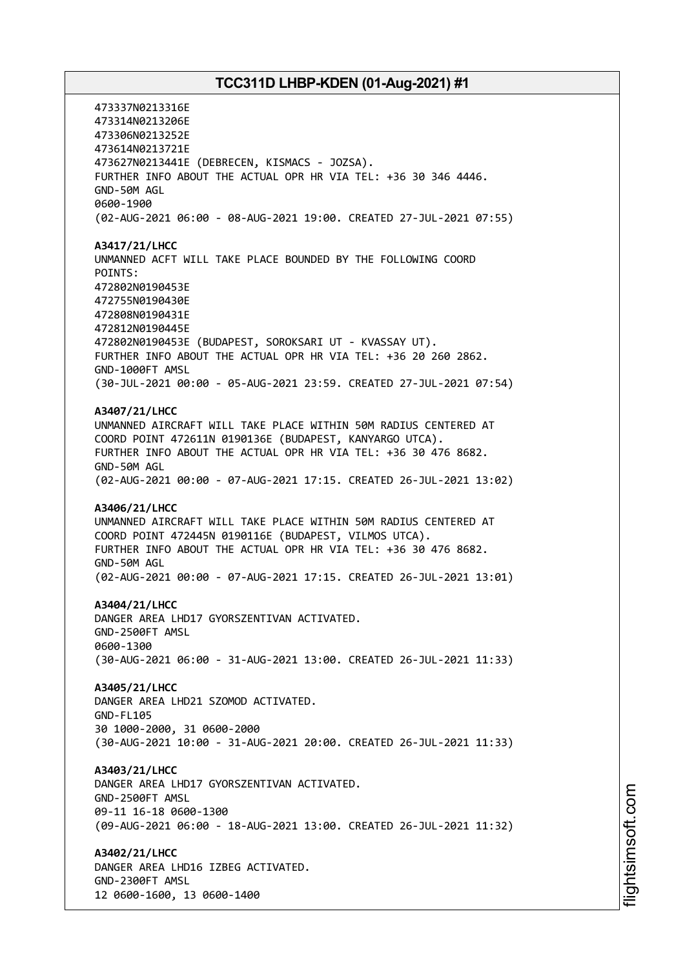473337N0213316E 473314N0213206E 473306N0213252E 473614N0213721E 473627N0213441E (DEBRECEN, KISMACS - JOZSA). FURTHER INFO ABOUT THE ACTUAL OPR HR VIA TEL: +36 30 346 4446. GND-50M AGL 0600-1900 (02-AUG-2021 06:00 - 08-AUG-2021 19:00. CREATED 27-JUL-2021 07:55) **A3417/21/LHCC** UNMANNED ACFT WILL TAKE PLACE BOUNDED BY THE FOLLOWING COORD POINTS: 472802N0190453E 472755N0190430E 472808N0190431E 472812N0190445E 472802N0190453E (BUDAPEST, SOROKSARI UT - KVASSAY UT). FURTHER INFO ABOUT THE ACTUAL OPR HR VIA TEL: +36 20 260 2862. GND-1000FT AMSL (30-JUL-2021 00:00 - 05-AUG-2021 23:59. CREATED 27-JUL-2021 07:54) **A3407/21/LHCC** UNMANNED AIRCRAFT WILL TAKE PLACE WITHIN 50M RADIUS CENTERED AT COORD POINT 472611N 0190136E (BUDAPEST, KANYARGO UTCA). FURTHER INFO ABOUT THE ACTUAL OPR HR VIA TEL: +36 30 476 8682. GND-50M AGL (02-AUG-2021 00:00 - 07-AUG-2021 17:15. CREATED 26-JUL-2021 13:02) **A3406/21/LHCC** UNMANNED AIRCRAFT WILL TAKE PLACE WITHIN 50M RADIUS CENTERED AT COORD POINT 472445N 0190116E (BUDAPEST, VILMOS UTCA). FURTHER INFO ABOUT THE ACTUAL OPR HR VIA TEL: +36 30 476 8682. GND-50M AGL (02-AUG-2021 00:00 - 07-AUG-2021 17:15. CREATED 26-JUL-2021 13:01) **A3404/21/LHCC** DANGER AREA LHD17 GYORSZENTIVAN ACTIVATED. GND-2500FT AMSL 0600-1300 (30-AUG-2021 06:00 - 31-AUG-2021 13:00. CREATED 26-JUL-2021 11:33) **A3405/21/LHCC** DANGER AREA LHD21 SZOMOD ACTIVATED. GND-FL105 30 1000-2000, 31 0600-2000 (30-AUG-2021 10:00 - 31-AUG-2021 20:00. CREATED 26-JUL-2021 11:33) **A3403/21/LHCC** DANGER AREA LHD17 GYORSZENTIVAN ACTIVATED. GND-2500FT AMSL 09-11 16-18 0600-1300 (09-AUG-2021 06:00 - 18-AUG-2021 13:00. CREATED 26-JUL-2021 11:32) **A3402/21/LHCC** DANGER AREA LHD16 IZBEG ACTIVATED. GND-2300FT AMSL 12 0600-1600, 13 0600-1400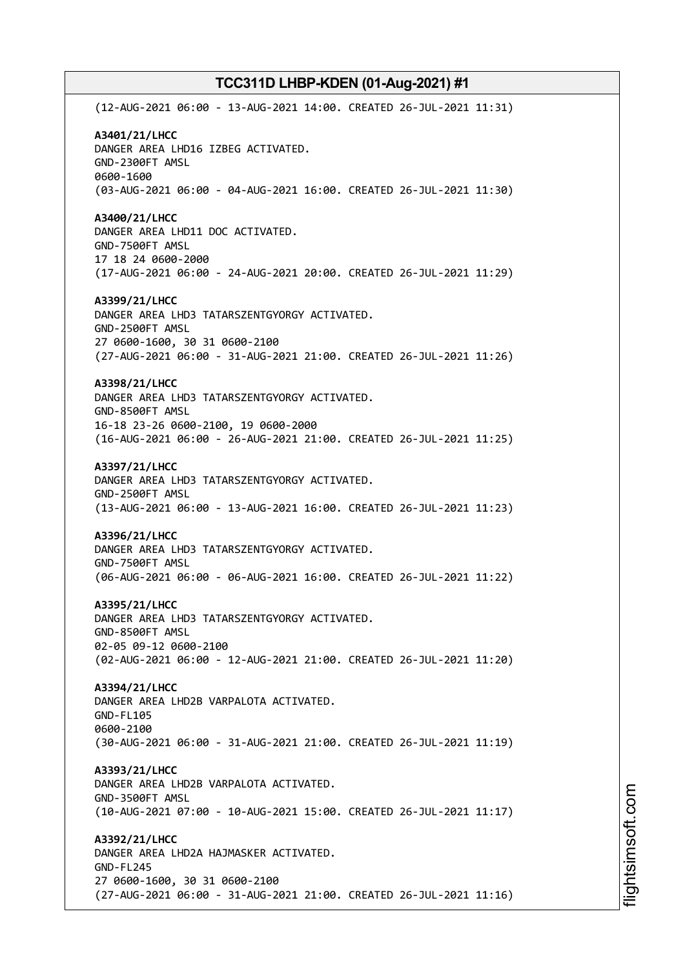(12-AUG-2021 06:00 - 13-AUG-2021 14:00. CREATED 26-JUL-2021 11:31) **A3401/21/LHCC** DANGER AREA LHD16 IZBEG ACTIVATED. GND-2300FT AMSL 0600-1600 (03-AUG-2021 06:00 - 04-AUG-2021 16:00. CREATED 26-JUL-2021 11:30) **A3400/21/LHCC** DANGER AREA LHD11 DOC ACTIVATED. GND-7500FT AMSL 17 18 24 0600-2000 (17-AUG-2021 06:00 - 24-AUG-2021 20:00. CREATED 26-JUL-2021 11:29) **A3399/21/LHCC** DANGER AREA LHD3 TATARSZENTGYORGY ACTIVATED. GND-2500FT AMSL 27 0600-1600, 30 31 0600-2100 (27-AUG-2021 06:00 - 31-AUG-2021 21:00. CREATED 26-JUL-2021 11:26) **A3398/21/LHCC** DANGER AREA LHD3 TATARSZENTGYORGY ACTIVATED. GND-8500FT AMSL 16-18 23-26 0600-2100, 19 0600-2000 (16-AUG-2021 06:00 - 26-AUG-2021 21:00. CREATED 26-JUL-2021 11:25) **A3397/21/LHCC** DANGER AREA LHD3 TATARSZENTGYORGY ACTIVATED. GND-2500FT AMSL (13-AUG-2021 06:00 - 13-AUG-2021 16:00. CREATED 26-JUL-2021 11:23) **A3396/21/LHCC** DANGER AREA LHD3 TATARSZENTGYORGY ACTIVATED. GND-7500FT AMSL (06-AUG-2021 06:00 - 06-AUG-2021 16:00. CREATED 26-JUL-2021 11:22) **A3395/21/LHCC** DANGER AREA LHD3 TATARSZENTGYORGY ACTIVATED. GND-8500FT AMSL 02-05 09-12 0600-2100 (02-AUG-2021 06:00 - 12-AUG-2021 21:00. CREATED 26-JUL-2021 11:20) **A3394/21/LHCC** DANGER AREA LHD2B VARPALOTA ACTIVATED. GND-FL105 0600-2100 (30-AUG-2021 06:00 - 31-AUG-2021 21:00. CREATED 26-JUL-2021 11:19) **A3393/21/LHCC** DANGER AREA LHD2B VARPALOTA ACTIVATED. GND-3500FT AMSL (10-AUG-2021 07:00 - 10-AUG-2021 15:00. CREATED 26-JUL-2021 11:17) **A3392/21/LHCC** DANGER AREA LHD2A HAJMASKER ACTIVATED. GND-FL245 27 0600-1600, 30 31 0600-2100 (27-AUG-2021 06:00 - 31-AUG-2021 21:00. CREATED 26-JUL-2021 11:16)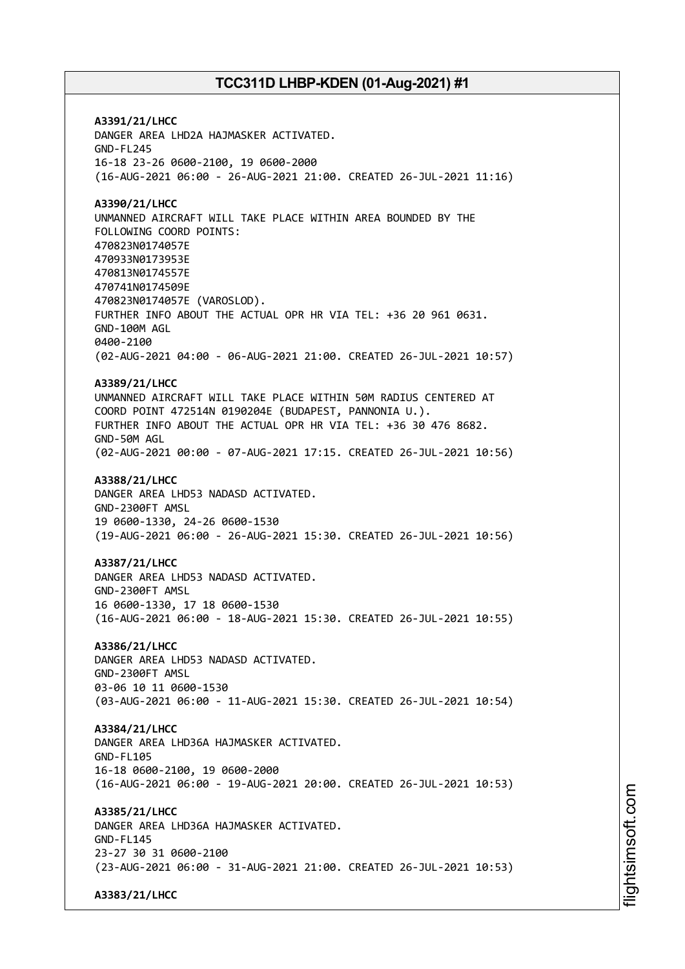**A3391/21/LHCC** DANGER AREA LHD2A HAJMASKER ACTIVATED. GND-FL245 16-18 23-26 0600-2100, 19 0600-2000 (16-AUG-2021 06:00 - 26-AUG-2021 21:00. CREATED 26-JUL-2021 11:16) **A3390/21/LHCC** UNMANNED AIRCRAFT WILL TAKE PLACE WITHIN AREA BOUNDED BY THE FOLLOWING COORD POINTS: 470823N0174057E 470933N0173953E 470813N0174557E 470741N0174509E 470823N0174057E (VAROSLOD). FURTHER INFO ABOUT THE ACTUAL OPR HR VIA TEL: +36 20 961 0631. GND-100M AGL 0400-2100 (02-AUG-2021 04:00 - 06-AUG-2021 21:00. CREATED 26-JUL-2021 10:57) **A3389/21/LHCC** UNMANNED AIRCRAFT WILL TAKE PLACE WITHIN 50M RADIUS CENTERED AT COORD POINT 472514N 0190204E (BUDAPEST, PANNONIA U.). FURTHER INFO ABOUT THE ACTUAL OPR HR VIA TEL: +36 30 476 8682. GND-50M AGL (02-AUG-2021 00:00 - 07-AUG-2021 17:15. CREATED 26-JUL-2021 10:56) **A3388/21/LHCC** DANGER AREA LHD53 NADASD ACTIVATED. GND-2300FT AMSL 19 0600-1330, 24-26 0600-1530 (19-AUG-2021 06:00 - 26-AUG-2021 15:30. CREATED 26-JUL-2021 10:56) **A3387/21/LHCC** DANGER AREA LHD53 NADASD ACTIVATED. GND-2300FT AMSL 16 0600-1330, 17 18 0600-1530 (16-AUG-2021 06:00 - 18-AUG-2021 15:30. CREATED 26-JUL-2021 10:55) **A3386/21/LHCC** DANGER AREA LHD53 NADASD ACTIVATED. GND-2300FT AMSL 03-06 10 11 0600-1530 (03-AUG-2021 06:00 - 11-AUG-2021 15:30. CREATED 26-JUL-2021 10:54) **A3384/21/LHCC** DANGER AREA LHD36A HAJMASKER ACTIVATED. GND-FL105 16-18 0600-2100, 19 0600-2000 (16-AUG-2021 06:00 - 19-AUG-2021 20:00. CREATED 26-JUL-2021 10:53) **A3385/21/LHCC** DANGER AREA LHD36A HAJMASKER ACTIVATED. GND-FL145 23-27 30 31 0600-2100 (23-AUG-2021 06:00 - 31-AUG-2021 21:00. CREATED 26-JUL-2021 10:53) **A3383/21/LHCC**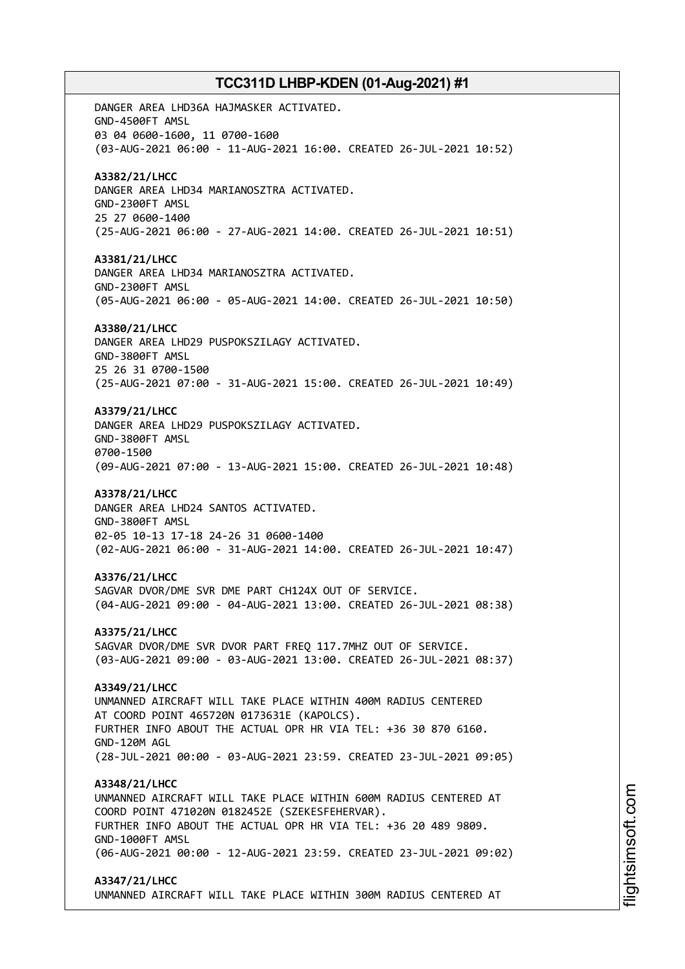DANGER AREA LHD36A HAJMASKER ACTIVATED. GND-4500FT AMSL 03 04 0600-1600, 11 0700-1600 (03-AUG-2021 06:00 - 11-AUG-2021 16:00. CREATED 26-JUL-2021 10:52) **A3382/21/LHCC** DANGER AREA LHD34 MARIANOSZTRA ACTIVATED. GND-2300FT AMSL 25 27 0600-1400 (25-AUG-2021 06:00 - 27-AUG-2021 14:00. CREATED 26-JUL-2021 10:51) **A3381/21/LHCC** DANGER AREA LHD34 MARIANOSZTRA ACTIVATED. GND-2300FT AMSL (05-AUG-2021 06:00 - 05-AUG-2021 14:00. CREATED 26-JUL-2021 10:50) **A3380/21/LHCC** DANGER AREA LHD29 PUSPOKSZILAGY ACTIVATED. GND-3800FT AMSL 25 26 31 0700-1500 (25-AUG-2021 07:00 - 31-AUG-2021 15:00. CREATED 26-JUL-2021 10:49) **A3379/21/LHCC** DANGER AREA LHD29 PUSPOKSZILAGY ACTIVATED. GND-3800FT AMSL 0700-1500 (09-AUG-2021 07:00 - 13-AUG-2021 15:00. CREATED 26-JUL-2021 10:48) **A3378/21/LHCC** DANGER AREA LHD24 SANTOS ACTIVATED. GND-3800FT AMSL 02-05 10-13 17-18 24-26 31 0600-1400 (02-AUG-2021 06:00 - 31-AUG-2021 14:00. CREATED 26-JUL-2021 10:47) **A3376/21/LHCC** SAGVAR DVOR/DME SVR DME PART CH124X OUT OF SERVICE. (04-AUG-2021 09:00 - 04-AUG-2021 13:00. CREATED 26-JUL-2021 08:38) **A3375/21/LHCC** SAGVAR DVOR/DME SVR DVOR PART FREQ 117.7MHZ OUT OF SERVICE. (03-AUG-2021 09:00 - 03-AUG-2021 13:00. CREATED 26-JUL-2021 08:37) **A3349/21/LHCC** UNMANNED AIRCRAFT WILL TAKE PLACE WITHIN 400M RADIUS CENTERED AT COORD POINT 465720N 0173631E (KAPOLCS). FURTHER INFO ABOUT THE ACTUAL OPR HR VIA TEL: +36 30 870 6160. GND-120M AGL (28-JUL-2021 00:00 - 03-AUG-2021 23:59. CREATED 23-JUL-2021 09:05) **A3348/21/LHCC** UNMANNED AIRCRAFT WILL TAKE PLACE WITHIN 600M RADIUS CENTERED AT COORD POINT 471020N 0182452E (SZEKESFEHERVAR). FURTHER INFO ABOUT THE ACTUAL OPR HR VIA TEL: +36 20 489 9809. GND-1000FT AMSL (06-AUG-2021 00:00 - 12-AUG-2021 23:59. CREATED 23-JUL-2021 09:02) **A3347/21/LHCC** UNMANNED AIRCRAFT WILL TAKE PLACE WITHIN 300M RADIUS CENTERED AT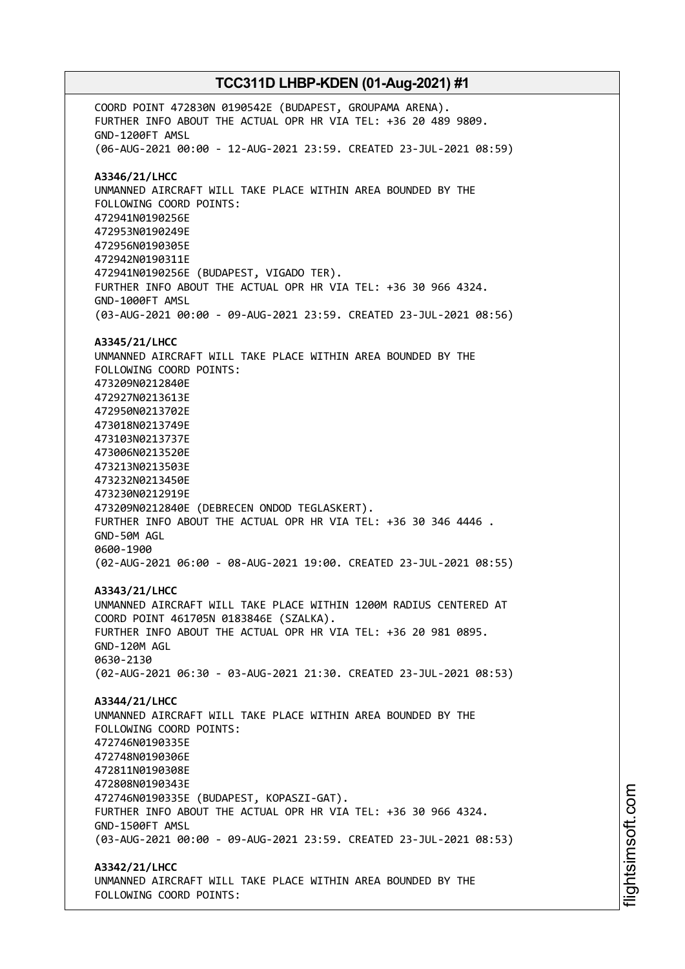COORD POINT 472830N 0190542E (BUDAPEST, GROUPAMA ARENA). FURTHER INFO ABOUT THE ACTUAL OPR HR VIA TEL: +36 20 489 9809. GND-1200FT AMSL (06-AUG-2021 00:00 - 12-AUG-2021 23:59. CREATED 23-JUL-2021 08:59) **A3346/21/LHCC** UNMANNED AIRCRAFT WILL TAKE PLACE WITHIN AREA BOUNDED BY THE FOLLOWING COORD POINTS: 472941N0190256E 472953N0190249E 472956N0190305E 472942N0190311E 472941N0190256E (BUDAPEST, VIGADO TER). FURTHER INFO ABOUT THE ACTUAL OPR HR VIA TEL: +36 30 966 4324. GND-1000FT AMSL (03-AUG-2021 00:00 - 09-AUG-2021 23:59. CREATED 23-JUL-2021 08:56) **A3345/21/LHCC** UNMANNED AIRCRAFT WILL TAKE PLACE WITHIN AREA BOUNDED BY THE FOLLOWING COORD POINTS: 473209N0212840E 472927N0213613E 472950N0213702E 473018N0213749E 473103N0213737E 473006N0213520E 473213N0213503E 473232N0213450E 473230N0212919E 473209N0212840E (DEBRECEN ONDOD TEGLASKERT). FURTHER INFO ABOUT THE ACTUAL OPR HR VIA TEL: +36 30 346 4446 . GND-50M AGL 0600-1900 (02-AUG-2021 06:00 - 08-AUG-2021 19:00. CREATED 23-JUL-2021 08:55) **A3343/21/LHCC** UNMANNED AIRCRAFT WILL TAKE PLACE WITHIN 1200M RADIUS CENTERED AT COORD POINT 461705N 0183846E (SZALKA). FURTHER INFO ABOUT THE ACTUAL OPR HR VIA TEL: +36 20 981 0895. GND-120M AGL 0630-2130 (02-AUG-2021 06:30 - 03-AUG-2021 21:30. CREATED 23-JUL-2021 08:53) **A3344/21/LHCC** UNMANNED AIRCRAFT WILL TAKE PLACE WITHIN AREA BOUNDED BY THE FOLLOWING COORD POINTS: 472746N0190335E 472748N0190306E 472811N0190308E 472808N0190343E 472746N0190335E (BUDAPEST, KOPASZI-GAT). FURTHER INFO ABOUT THE ACTUAL OPR HR VIA TEL: +36 30 966 4324. GND-1500FT AMSL (03-AUG-2021 00:00 - 09-AUG-2021 23:59. CREATED 23-JUL-2021 08:53) **A3342/21/LHCC** UNMANNED AIRCRAFT WILL TAKE PLACE WITHIN AREA BOUNDED BY THE FOLLOWING COORD POINTS: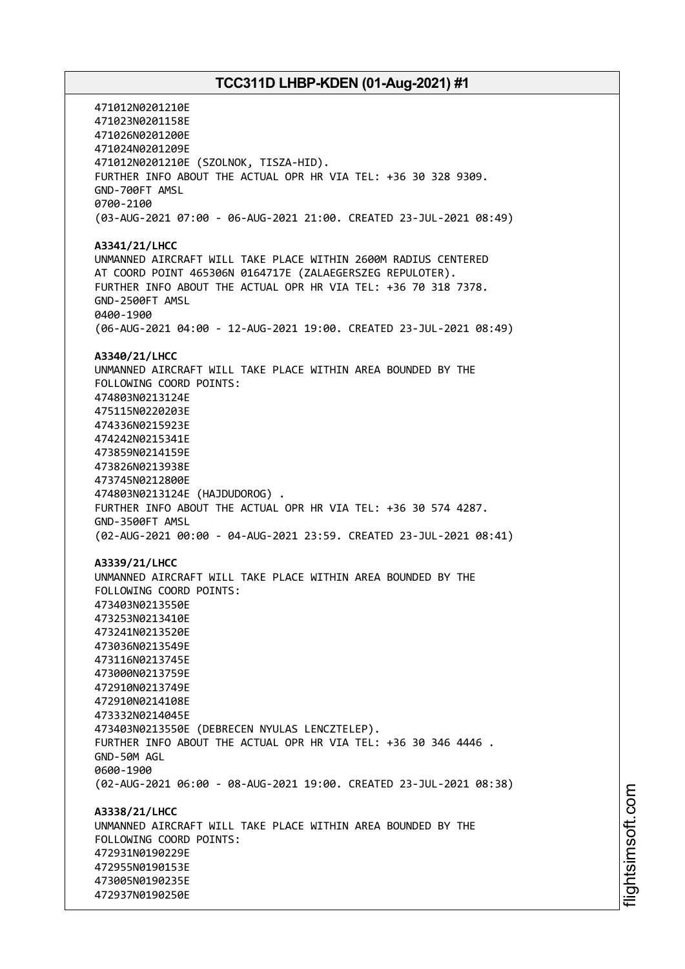471012N0201210E 471023N0201158E 471026N0201200E 471024N0201209E 471012N0201210E (SZOLNOK, TISZA-HID). FURTHER INFO ABOUT THE ACTUAL OPR HR VIA TEL: +36 30 328 9309. GND-700FT AMSL 0700-2100 (03-AUG-2021 07:00 - 06-AUG-2021 21:00. CREATED 23-JUL-2021 08:49) **A3341/21/LHCC** UNMANNED AIRCRAFT WILL TAKE PLACE WITHIN 2600M RADIUS CENTERED AT COORD POINT 465306N 0164717E (ZALAEGERSZEG REPULOTER). FURTHER INFO ABOUT THE ACTUAL OPR HR VIA TEL: +36 70 318 7378. GND-2500FT AMSL 0400-1900 (06-AUG-2021 04:00 - 12-AUG-2021 19:00. CREATED 23-JUL-2021 08:49) **A3340/21/LHCC** UNMANNED AIRCRAFT WILL TAKE PLACE WITHIN AREA BOUNDED BY THE FOLLOWING COORD POINTS: 474803N0213124E 475115N0220203E 474336N0215923E 474242N0215341E 473859N0214159E 473826N0213938E 473745N0212800E 474803N0213124E (HAJDUDOROG) . FURTHER INFO ABOUT THE ACTUAL OPR HR VIA TEL: +36 30 574 4287. GND-3500FT AMSL (02-AUG-2021 00:00 - 04-AUG-2021 23:59. CREATED 23-JUL-2021 08:41) **A3339/21/LHCC** UNMANNED AIRCRAFT WILL TAKE PLACE WITHIN AREA BOUNDED BY THE FOLLOWING COORD POINTS: 473403N0213550E 473253N0213410E 473241N0213520E 473036N0213549E 473116N0213745E 473000N0213759E 472910N0213749E 472910N0214108E 473332N0214045E 473403N0213550E (DEBRECEN NYULAS LENCZTELEP). FURTHER INFO ABOUT THE ACTUAL OPR HR VIA TEL: +36 30 346 4446 . GND-50M AGL 0600-1900 (02-AUG-2021 06:00 - 08-AUG-2021 19:00. CREATED 23-JUL-2021 08:38) **A3338/21/LHCC** UNMANNED AIRCRAFT WILL TAKE PLACE WITHIN AREA BOUNDED BY THE FOLLOWING COORD POINTS: 472931N0190229E 472955N0190153E 473005N0190235E 472937N0190250E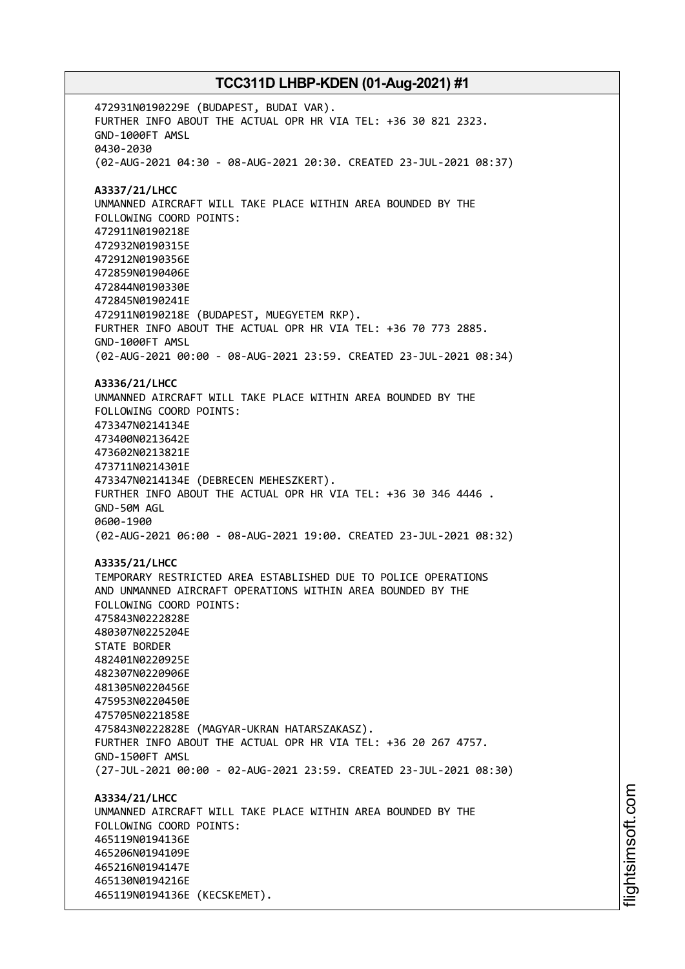472931N0190229E (BUDAPEST, BUDAI VAR). FURTHER INFO ABOUT THE ACTUAL OPR HR VIA TEL: +36 30 821 2323. GND-1000FT AMSL 0430-2030 (02-AUG-2021 04:30 - 08-AUG-2021 20:30. CREATED 23-JUL-2021 08:37) **A3337/21/LHCC** UNMANNED AIRCRAFT WILL TAKE PLACE WITHIN AREA BOUNDED BY THE FOLLOWING COORD POINTS: 472911N0190218E 472932N0190315E 472912N0190356E 472859N0190406E 472844N0190330E 472845N0190241E 472911N0190218E (BUDAPEST, MUEGYETEM RKP). FURTHER INFO ABOUT THE ACTUAL OPR HR VIA TEL: +36 70 773 2885. GND-1000FT AMSL (02-AUG-2021 00:00 - 08-AUG-2021 23:59. CREATED 23-JUL-2021 08:34) **A3336/21/LHCC** UNMANNED AIRCRAFT WILL TAKE PLACE WITHIN AREA BOUNDED BY THE FOLLOWING COORD POINTS: 473347N0214134E 473400N0213642E 473602N0213821E 473711N0214301E 473347N0214134E (DEBRECEN MEHESZKERT). FURTHER INFO ABOUT THE ACTUAL OPR HR VIA TEL: +36 30 346 4446 . GND-50M AGL 0600-1900 (02-AUG-2021 06:00 - 08-AUG-2021 19:00. CREATED 23-JUL-2021 08:32) **A3335/21/LHCC** TEMPORARY RESTRICTED AREA ESTABLISHED DUE TO POLICE OPERATIONS AND UNMANNED AIRCRAFT OPERATIONS WITHIN AREA BOUNDED BY THE FOLLOWING COORD POINTS: 475843N0222828E 480307N0225204E STATE BORDER 482401N0220925E 482307N0220906E 481305N0220456E 475953N0220450E 475705N0221858E 475843N0222828E (MAGYAR-UKRAN HATARSZAKASZ). FURTHER INFO ABOUT THE ACTUAL OPR HR VIA TEL: +36 20 267 4757. GND-1500FT AMSL (27-JUL-2021 00:00 - 02-AUG-2021 23:59. CREATED 23-JUL-2021 08:30) **A3334/21/LHCC** UNMANNED AIRCRAFT WILL TAKE PLACE WITHIN AREA BOUNDED BY THE FOLLOWING COORD POINTS: 465119N0194136E 465206N0194109E 465216N0194147E 465130N0194216E 465119N0194136E (KECSKEMET).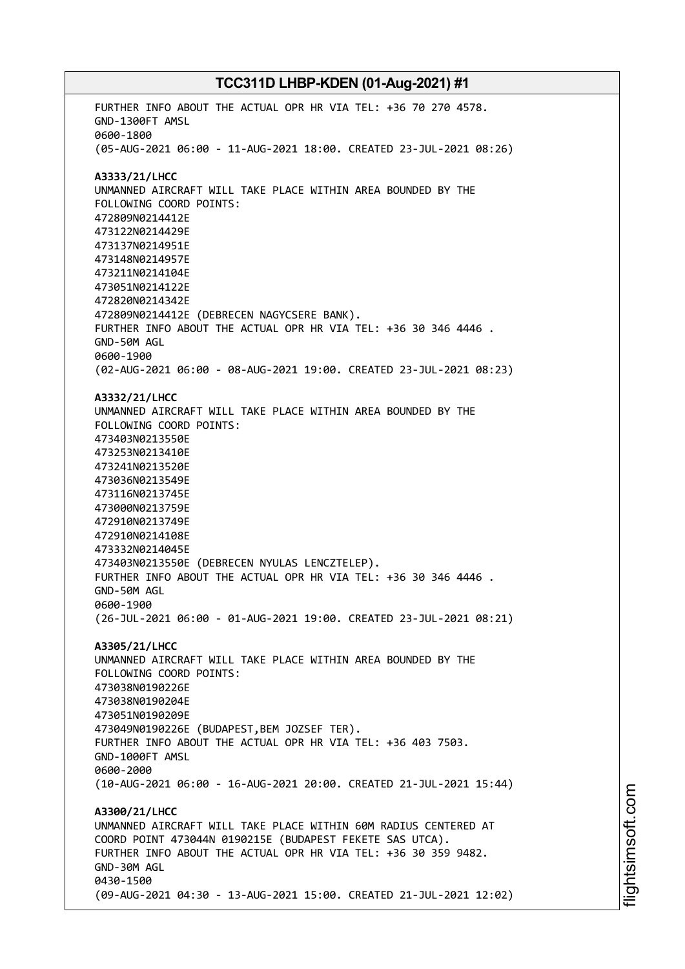FURTHER INFO ABOUT THE ACTUAL OPR HR VIA TEL: +36 70 270 4578. GND-1300FT AMSL 0600-1800 (05-AUG-2021 06:00 - 11-AUG-2021 18:00. CREATED 23-JUL-2021 08:26) **A3333/21/LHCC** UNMANNED AIRCRAFT WILL TAKE PLACE WITHIN AREA BOUNDED BY THE FOLLOWING COORD POINTS: 472809N0214412E 473122N0214429E 473137N0214951E 473148N0214957E 473211N0214104E 473051N0214122E 472820N0214342E 472809N0214412E (DEBRECEN NAGYCSERE BANK). FURTHER INFO ABOUT THE ACTUAL OPR HR VIA TEL: +36 30 346 4446 . GND-50M AGL 0600-1900 (02-AUG-2021 06:00 - 08-AUG-2021 19:00. CREATED 23-JUL-2021 08:23) **A3332/21/LHCC** UNMANNED AIRCRAFT WILL TAKE PLACE WITHIN AREA BOUNDED BY THE FOLLOWING COORD POINTS: 473403N0213550E 473253N0213410E 473241N0213520E 473036N0213549E 473116N0213745E 473000N0213759E 472910N0213749E 472910N0214108E 473332N0214045E 473403N0213550E (DEBRECEN NYULAS LENCZTELEP). FURTHER INFO ABOUT THE ACTUAL OPR HR VIA TEL: +36 30 346 4446 . GND-50M AGL 0600-1900 (26-JUL-2021 06:00 - 01-AUG-2021 19:00. CREATED 23-JUL-2021 08:21) **A3305/21/LHCC** UNMANNED AIRCRAFT WILL TAKE PLACE WITHIN AREA BOUNDED BY THE FOLLOWING COORD POINTS: 473038N0190226E 473038N0190204E 473051N0190209E 473049N0190226E (BUDAPEST,BEM JOZSEF TER). FURTHER INFO ABOUT THE ACTUAL OPR HR VIA TEL: +36 403 7503. GND-1000FT AMSL 0600-2000 (10-AUG-2021 06:00 - 16-AUG-2021 20:00. CREATED 21-JUL-2021 15:44) **A3300/21/LHCC** UNMANNED AIRCRAFT WILL TAKE PLACE WITHIN 60M RADIUS CENTERED AT COORD POINT 473044N 0190215E (BUDAPEST FEKETE SAS UTCA). FURTHER INFO ABOUT THE ACTUAL OPR HR VIA TEL: +36 30 359 9482. GND-30M AGL 0430-1500 (09-AUG-2021 04:30 - 13-AUG-2021 15:00. CREATED 21-JUL-2021 12:02)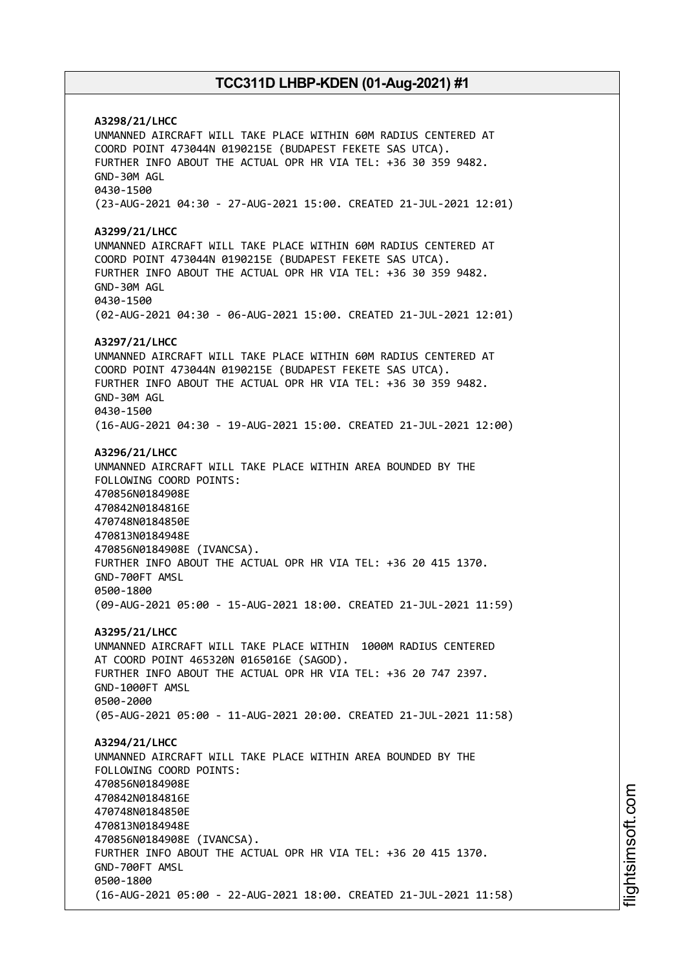**A3298/21/LHCC** UNMANNED AIRCRAFT WILL TAKE PLACE WITHIN 60M RADIUS CENTERED AT COORD POINT 473044N 0190215E (BUDAPEST FEKETE SAS UTCA). FURTHER INFO ABOUT THE ACTUAL OPR HR VIA TEL: +36 30 359 9482. GND-30M AGL 0430-1500 (23-AUG-2021 04:30 - 27-AUG-2021 15:00. CREATED 21-JUL-2021 12:01) **A3299/21/LHCC** UNMANNED AIRCRAFT WILL TAKE PLACE WITHIN 60M RADIUS CENTERED AT COORD POINT 473044N 0190215E (BUDAPEST FEKETE SAS UTCA). FURTHER INFO ABOUT THE ACTUAL OPR HR VIA TEL: +36 30 359 9482. GND-30M AGL 0430-1500 (02-AUG-2021 04:30 - 06-AUG-2021 15:00. CREATED 21-JUL-2021 12:01) **A3297/21/LHCC** UNMANNED AIRCRAFT WILL TAKE PLACE WITHIN 60M RADIUS CENTERED AT COORD POINT 473044N 0190215E (BUDAPEST FEKETE SAS UTCA). FURTHER INFO ABOUT THE ACTUAL OPR HR VIA TEL: +36 30 359 9482. GND-30M AGL 0430-1500 (16-AUG-2021 04:30 - 19-AUG-2021 15:00. CREATED 21-JUL-2021 12:00) **A3296/21/LHCC** UNMANNED AIRCRAFT WILL TAKE PLACE WITHIN AREA BOUNDED BY THE FOLLOWING COORD POINTS: 470856N0184908E 470842N0184816E 470748N0184850E 470813N0184948E 470856N0184908E (IVANCSA). FURTHER INFO ABOUT THE ACTUAL OPR HR VIA TEL: +36 20 415 1370. GND-700FT AMSL 0500-1800 (09-AUG-2021 05:00 - 15-AUG-2021 18:00. CREATED 21-JUL-2021 11:59) **A3295/21/LHCC** UNMANNED AIRCRAFT WILL TAKE PLACE WITHIN 1000M RADIUS CENTERED AT COORD POINT 465320N 0165016E (SAGOD). FURTHER INFO ABOUT THE ACTUAL OPR HR VIA TEL: +36 20 747 2397. GND-1000FT AMSL 0500-2000 (05-AUG-2021 05:00 - 11-AUG-2021 20:00. CREATED 21-JUL-2021 11:58) **A3294/21/LHCC** UNMANNED AIRCRAFT WILL TAKE PLACE WITHIN AREA BOUNDED BY THE FOLLOWING COORD POINTS: 470856N0184908E 470842N0184816E 470748N0184850E 470813N0184948E 470856N0184908E (IVANCSA). FURTHER INFO ABOUT THE ACTUAL OPR HR VIA TEL: +36 20 415 1370. GND-700FT AMSL 0500-1800 (16-AUG-2021 05:00 - 22-AUG-2021 18:00. CREATED 21-JUL-2021 11:58)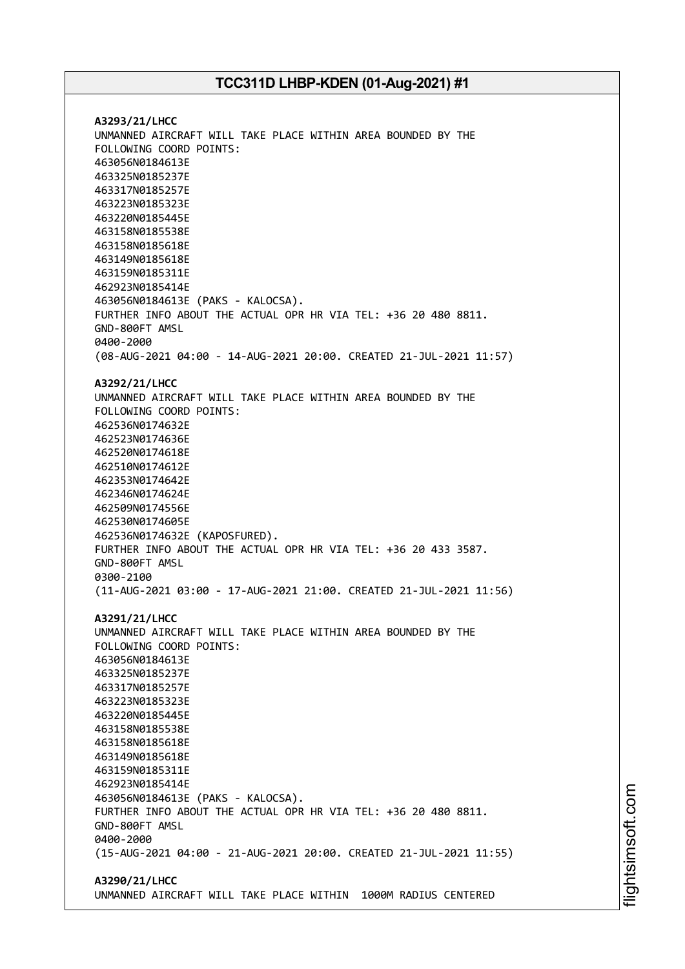**A3293/21/LHCC** UNMANNED AIRCRAFT WILL TAKE PLACE WITHIN AREA BOUNDED BY THE FOLLOWING COORD POINTS: 463056N0184613E 463325N0185237E 463317N0185257E 463223N0185323E 463220N0185445E 463158N0185538E 463158N0185618E 463149N0185618E 463159N0185311E 462923N0185414E 463056N0184613E (PAKS - KALOCSA). FURTHER INFO ABOUT THE ACTUAL OPR HR VIA TEL: +36 20 480 8811. GND-800FT AMSL 0400-2000 (08-AUG-2021 04:00 - 14-AUG-2021 20:00. CREATED 21-JUL-2021 11:57) **A3292/21/LHCC** UNMANNED AIRCRAFT WILL TAKE PLACE WITHIN AREA BOUNDED BY THE FOLLOWING COORD POINTS: 462536N0174632E 462523N0174636E 462520N0174618E 462510N0174612E 462353N0174642E 462346N0174624E 462509N0174556E 462530N0174605E 462536N0174632E (KAPOSFURED). FURTHER INFO ABOUT THE ACTUAL OPR HR VIA TEL: +36 20 433 3587. GND-800FT AMSL 0300-2100 (11-AUG-2021 03:00 - 17-AUG-2021 21:00. CREATED 21-JUL-2021 11:56) **A3291/21/LHCC** UNMANNED AIRCRAFT WILL TAKE PLACE WITHIN AREA BOUNDED BY THE FOLLOWING COORD POINTS: 463056N0184613E 463325N0185237E 463317N0185257E 463223N0185323E 463220N0185445E 463158N0185538E 463158N0185618E 463149N0185618E 463159N0185311E 462923N0185414E 463056N0184613E (PAKS - KALOCSA). FURTHER INFO ABOUT THE ACTUAL OPR HR VIA TEL: +36 20 480 8811. GND-800FT AMSL 0400-2000 (15-AUG-2021 04:00 - 21-AUG-2021 20:00. CREATED 21-JUL-2021 11:55) **A3290/21/LHCC**

UNMANNED AIRCRAFT WILL TAKE PLACE WITHIN 1000M RADIUS CENTERED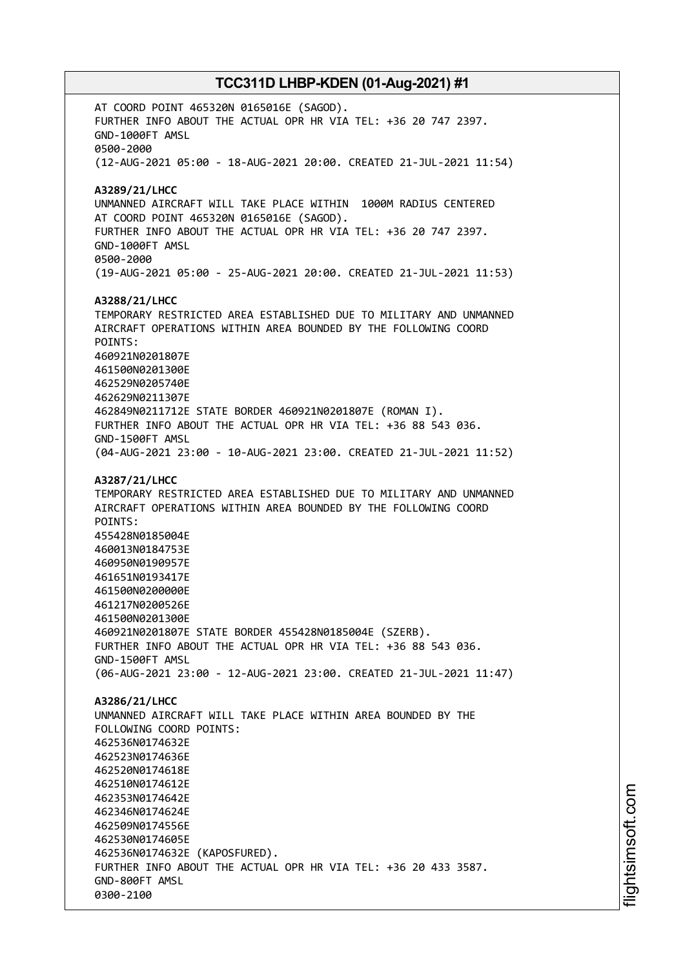AT COORD POINT 465320N 0165016E (SAGOD). FURTHER INFO ABOUT THE ACTUAL OPR HR VIA TEL: +36 20 747 2397. GND-1000FT AMSL 0500-2000 (12-AUG-2021 05:00 - 18-AUG-2021 20:00. CREATED 21-JUL-2021 11:54) **A3289/21/LHCC** UNMANNED AIRCRAFT WILL TAKE PLACE WITHIN 1000M RADIUS CENTERED AT COORD POINT 465320N 0165016E (SAGOD). FURTHER INFO ABOUT THE ACTUAL OPR HR VIA TEL: +36 20 747 2397. GND-1000FT AMSL 0500-2000 (19-AUG-2021 05:00 - 25-AUG-2021 20:00. CREATED 21-JUL-2021 11:53) **A3288/21/LHCC** TEMPORARY RESTRICTED AREA ESTABLISHED DUE TO MILITARY AND UNMANNED AIRCRAFT OPERATIONS WITHIN AREA BOUNDED BY THE FOLLOWING COORD POINTS: 460921N0201807E 461500N0201300E 462529N0205740E 462629N0211307E 462849N0211712E STATE BORDER 460921N0201807E (ROMAN I). FURTHER INFO ABOUT THE ACTUAL OPR HR VIA TEL: +36 88 543 036. GND-1500FT AMSL (04-AUG-2021 23:00 - 10-AUG-2021 23:00. CREATED 21-JUL-2021 11:52) **A3287/21/LHCC** TEMPORARY RESTRICTED AREA ESTABLISHED DUE TO MILITARY AND UNMANNED AIRCRAFT OPERATIONS WITHIN AREA BOUNDED BY THE FOLLOWING COORD POINTS: 455428N0185004E 460013N0184753E 460950N0190957E 461651N0193417E 461500N0200000E 461217N0200526E 461500N0201300E 460921N0201807E STATE BORDER 455428N0185004E (SZERB). FURTHER INFO ABOUT THE ACTUAL OPR HR VIA TEL: +36 88 543 036. GND-1500FT AMSL (06-AUG-2021 23:00 - 12-AUG-2021 23:00. CREATED 21-JUL-2021 11:47) **A3286/21/LHCC** UNMANNED AIRCRAFT WILL TAKE PLACE WITHIN AREA BOUNDED BY THE FOLLOWING COORD POINTS: 462536N0174632E 462523N0174636E 462520N0174618E 462510N0174612E 462353N0174642E 462346N0174624E 462509N0174556E 462530N0174605E 462536N0174632E (KAPOSFURED). FURTHER INFO ABOUT THE ACTUAL OPR HR VIA TEL: +36 20 433 3587. GND-800FT AMSL 0300-2100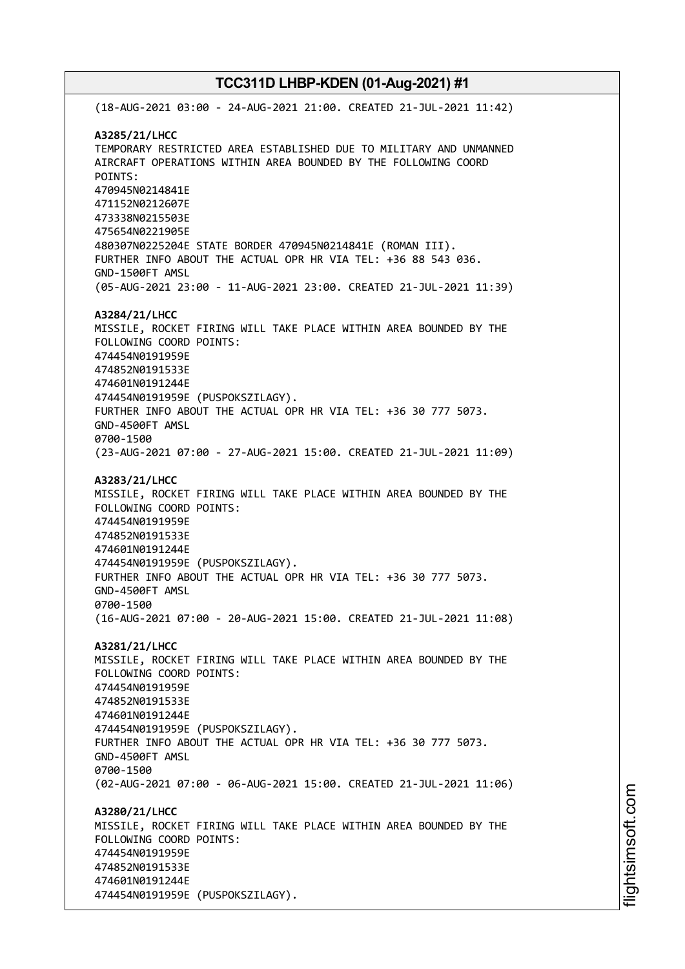(18-AUG-2021 03:00 - 24-AUG-2021 21:00. CREATED 21-JUL-2021 11:42) **A3285/21/LHCC** TEMPORARY RESTRICTED AREA ESTABLISHED DUE TO MILITARY AND UNMANNED AIRCRAFT OPERATIONS WITHIN AREA BOUNDED BY THE FOLLOWING COORD POINTS: 470945N0214841E 471152N0212607E 473338N0215503E 475654N0221905E 480307N0225204E STATE BORDER 470945N0214841E (ROMAN III). FURTHER INFO ABOUT THE ACTUAL OPR HR VIA TEL: +36 88 543 036. GND-1500FT AMSL (05-AUG-2021 23:00 - 11-AUG-2021 23:00. CREATED 21-JUL-2021 11:39) **A3284/21/LHCC** MISSILE, ROCKET FIRING WILL TAKE PLACE WITHIN AREA BOUNDED BY THE FOLLOWING COORD POINTS: 474454N0191959E 474852N0191533E 474601N0191244E 474454N0191959E (PUSPOKSZILAGY). FURTHER INFO ABOUT THE ACTUAL OPR HR VIA TEL: +36 30 777 5073. GND-4500FT AMSL 0700-1500 (23-AUG-2021 07:00 - 27-AUG-2021 15:00. CREATED 21-JUL-2021 11:09) **A3283/21/LHCC** MISSILE, ROCKET FIRING WILL TAKE PLACE WITHIN AREA BOUNDED BY THE FOLLOWING COORD POINTS: 474454N0191959E 474852N0191533E 474601N0191244E 474454N0191959E (PUSPOKSZILAGY). FURTHER INFO ABOUT THE ACTUAL OPR HR VIA TEL: +36 30 777 5073. GND-4500FT AMSL 0700-1500 (16-AUG-2021 07:00 - 20-AUG-2021 15:00. CREATED 21-JUL-2021 11:08) **A3281/21/LHCC** MISSILE, ROCKET FIRING WILL TAKE PLACE WITHIN AREA BOUNDED BY THE FOLLOWING COORD POINTS: 474454N0191959E 474852N0191533E 474601N0191244E 474454N0191959E (PUSPOKSZILAGY). FURTHER INFO ABOUT THE ACTUAL OPR HR VIA TEL: +36 30 777 5073. GND-4500FT AMSL 0700-1500 (02-AUG-2021 07:00 - 06-AUG-2021 15:00. CREATED 21-JUL-2021 11:06) **A3280/21/LHCC** MISSILE, ROCKET FIRING WILL TAKE PLACE WITHIN AREA BOUNDED BY THE FOLLOWING COORD POINTS: 474454N0191959E 474852N0191533E 474601N0191244E 474454N0191959E (PUSPOKSZILAGY).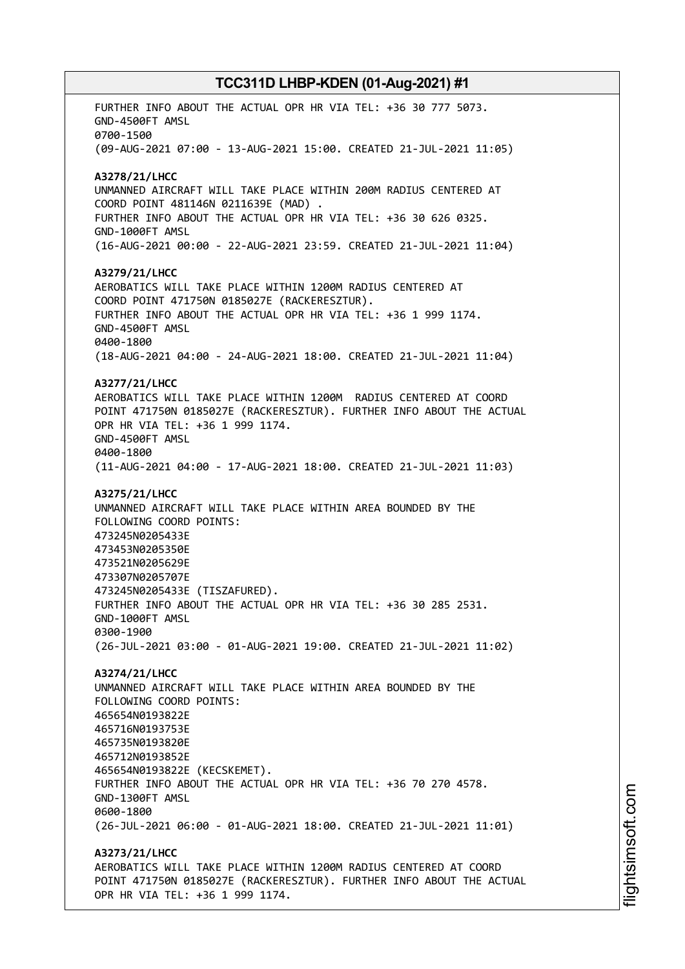FURTHER INFO ABOUT THE ACTUAL OPR HR VIA TEL: +36 30 777 5073. GND-4500FT AMSL 0700-1500 (09-AUG-2021 07:00 - 13-AUG-2021 15:00. CREATED 21-JUL-2021 11:05) **A3278/21/LHCC** UNMANNED AIRCRAFT WILL TAKE PLACE WITHIN 200M RADIUS CENTERED AT COORD POINT 481146N 0211639E (MAD) . FURTHER INFO ABOUT THE ACTUAL OPR HR VIA TEL: +36 30 626 0325. GND-1000FT AMSL (16-AUG-2021 00:00 - 22-AUG-2021 23:59. CREATED 21-JUL-2021 11:04) **A3279/21/LHCC** AEROBATICS WILL TAKE PLACE WITHIN 1200M RADIUS CENTERED AT COORD POINT 471750N 0185027E (RACKERESZTUR). FURTHER INFO ABOUT THE ACTUAL OPR HR VIA TEL: +36 1 999 1174. GND-4500FT AMSL 0400-1800 (18-AUG-2021 04:00 - 24-AUG-2021 18:00. CREATED 21-JUL-2021 11:04) **A3277/21/LHCC** AEROBATICS WILL TAKE PLACE WITHIN 1200M RADIUS CENTERED AT COORD POINT 471750N 0185027E (RACKERESZTUR). FURTHER INFO ABOUT THE ACTUAL OPR HR VIA TEL: +36 1 999 1174. GND-4500FT AMSL 0400-1800 (11-AUG-2021 04:00 - 17-AUG-2021 18:00. CREATED 21-JUL-2021 11:03) **A3275/21/LHCC** UNMANNED AIRCRAFT WILL TAKE PLACE WITHIN AREA BOUNDED BY THE FOLLOWING COORD POINTS: 473245N0205433E 473453N0205350E 473521N0205629E 473307N0205707E 473245N0205433E (TISZAFURED). FURTHER INFO ABOUT THE ACTUAL OPR HR VIA TEL: +36 30 285 2531. GND-1000FT AMSL 0300-1900 (26-JUL-2021 03:00 - 01-AUG-2021 19:00. CREATED 21-JUL-2021 11:02) **A3274/21/LHCC** UNMANNED AIRCRAFT WILL TAKE PLACE WITHIN AREA BOUNDED BY THE FOLLOWING COORD POINTS: 465654N0193822E 465716N0193753E 465735N0193820E 465712N0193852E 465654N0193822E (KECSKEMET). FURTHER INFO ABOUT THE ACTUAL OPR HR VIA TEL: +36 70 270 4578. GND-1300FT AMSL 0600-1800 (26-JUL-2021 06:00 - 01-AUG-2021 18:00. CREATED 21-JUL-2021 11:01) **A3273/21/LHCC** AEROBATICS WILL TAKE PLACE WITHIN 1200M RADIUS CENTERED AT COORD POINT 471750N 0185027E (RACKERESZTUR). FURTHER INFO ABOUT THE ACTUAL OPR HR VIA TEL: +36 1 999 1174.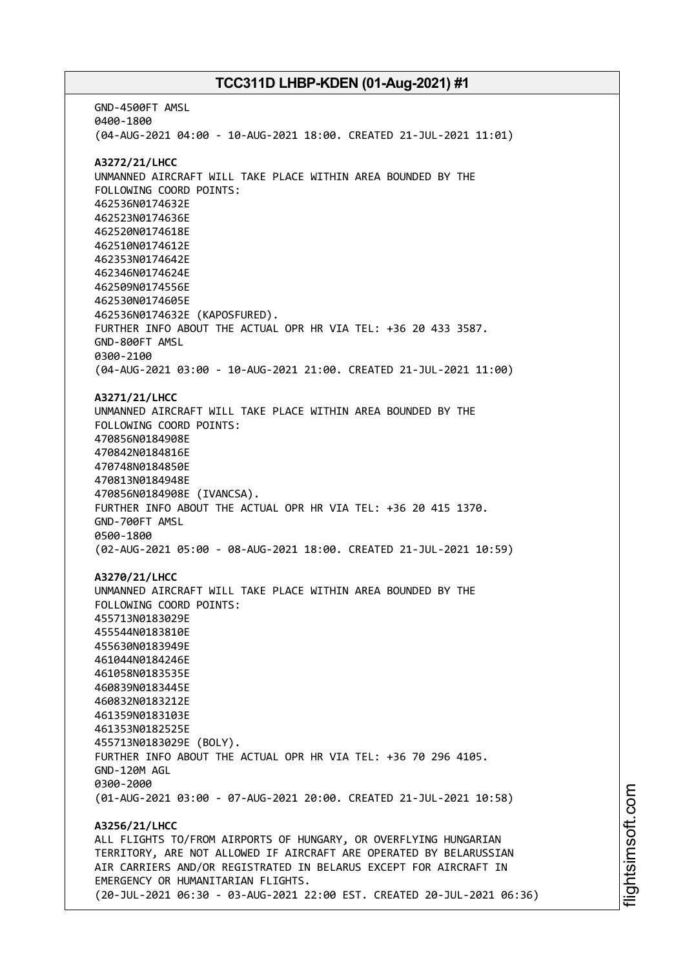GND-4500FT AMSL 0400-1800 (04-AUG-2021 04:00 - 10-AUG-2021 18:00. CREATED 21-JUL-2021 11:01) **A3272/21/LHCC** UNMANNED AIRCRAFT WILL TAKE PLACE WITHIN AREA BOUNDED BY THE FOLLOWING COORD POINTS: 462536N0174632E 462523N0174636E 462520N0174618E 462510N0174612E 462353N0174642E 462346N0174624E 462509N0174556E 462530N0174605E 462536N0174632E (KAPOSFURED). FURTHER INFO ABOUT THE ACTUAL OPR HR VIA TEL: +36 20 433 3587. GND-800FT AMSL 0300-2100 (04-AUG-2021 03:00 - 10-AUG-2021 21:00. CREATED 21-JUL-2021 11:00) **A3271/21/LHCC** UNMANNED AIRCRAFT WILL TAKE PLACE WITHIN AREA BOUNDED BY THE FOLLOWING COORD POINTS: 470856N0184908E 470842N0184816E 470748N0184850E 470813N0184948E 470856N0184908E (IVANCSA). FURTHER INFO ABOUT THE ACTUAL OPR HR VIA TEL: +36 20 415 1370. GND-700FT AMSL 0500-1800 (02-AUG-2021 05:00 - 08-AUG-2021 18:00. CREATED 21-JUL-2021 10:59) **A3270/21/LHCC** UNMANNED AIRCRAFT WILL TAKE PLACE WITHIN AREA BOUNDED BY THE FOLLOWING COORD POINTS: 455713N0183029E 455544N0183810E 455630N0183949E 461044N0184246E 461058N0183535E 460839N0183445E 460832N0183212E 461359N0183103E 461353N0182525E 455713N0183029E (BOLY). FURTHER INFO ABOUT THE ACTUAL OPR HR VIA TEL: +36 70 296 4105. GND-120M AGL 0300-2000 (01-AUG-2021 03:00 - 07-AUG-2021 20:00. CREATED 21-JUL-2021 10:58) **A3256/21/LHCC** ALL FLIGHTS TO/FROM AIRPORTS OF HUNGARY, OR OVERFLYING HUNGARIAN TERRITORY, ARE NOT ALLOWED IF AIRCRAFT ARE OPERATED BY BELARUSSIAN AIR CARRIERS AND/OR REGISTRATED IN BELARUS EXCEPT FOR AIRCRAFT IN EMERGENCY OR HUMANITARIAN FLIGHTS. (20-JUL-2021 06:30 - 03-AUG-2021 22:00 EST. CREATED 20-JUL-2021 06:36)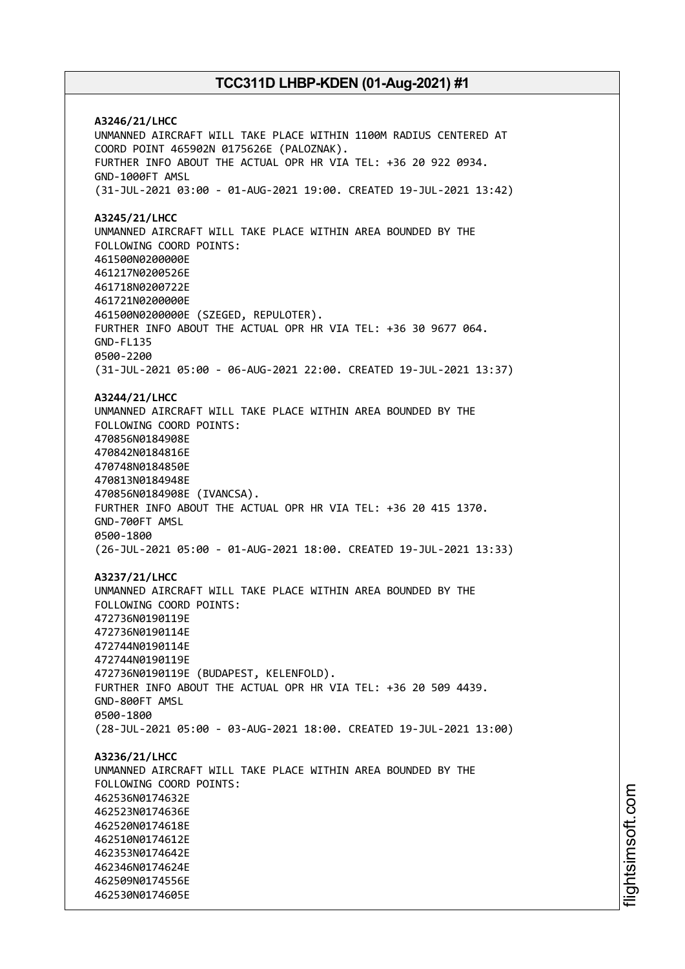**A3246/21/LHCC** UNMANNED AIRCRAFT WILL TAKE PLACE WITHIN 1100M RADIUS CENTERED AT COORD POINT 465902N 0175626E (PALOZNAK). FURTHER INFO ABOUT THE ACTUAL OPR HR VIA TEL: +36 20 922 0934. GND-1000FT AMSL (31-JUL-2021 03:00 - 01-AUG-2021 19:00. CREATED 19-JUL-2021 13:42) **A3245/21/LHCC** UNMANNED AIRCRAFT WILL TAKE PLACE WITHIN AREA BOUNDED BY THE FOLLOWING COORD POINTS: 461500N0200000E 461217N0200526E 461718N0200722E 461721N0200000E 461500N0200000E (SZEGED, REPULOTER). FURTHER INFO ABOUT THE ACTUAL OPR HR VIA TEL: +36 30 9677 064. GND-FL135 0500-2200 (31-JUL-2021 05:00 - 06-AUG-2021 22:00. CREATED 19-JUL-2021 13:37) **A3244/21/LHCC** UNMANNED AIRCRAFT WILL TAKE PLACE WITHIN AREA BOUNDED BY THE FOLLOWING COORD POINTS: 470856N0184908E 470842N0184816E 470748N0184850E 470813N0184948E 470856N0184908E (IVANCSA). FURTHER INFO ABOUT THE ACTUAL OPR HR VIA TEL: +36 20 415 1370. GND-700FT AMSL 0500-1800 (26-JUL-2021 05:00 - 01-AUG-2021 18:00. CREATED 19-JUL-2021 13:33) **A3237/21/LHCC** UNMANNED AIRCRAFT WILL TAKE PLACE WITHIN AREA BOUNDED BY THE FOLLOWING COORD POINTS: 472736N0190119E 472736N0190114E 472744N0190114E 472744N0190119E 472736N0190119E (BUDAPEST, KELENFOLD). FURTHER INFO ABOUT THE ACTUAL OPR HR VIA TEL: +36 20 509 4439. GND-800FT AMSL 0500-1800 (28-JUL-2021 05:00 - 03-AUG-2021 18:00. CREATED 19-JUL-2021 13:00) **A3236/21/LHCC** UNMANNED AIRCRAFT WILL TAKE PLACE WITHIN AREA BOUNDED BY THE FOLLOWING COORD POINTS: 462536N0174632E 462523N0174636E 462520N0174618E 462510N0174612E 462353N0174642E 462346N0174624E 462509N0174556E 462530N0174605E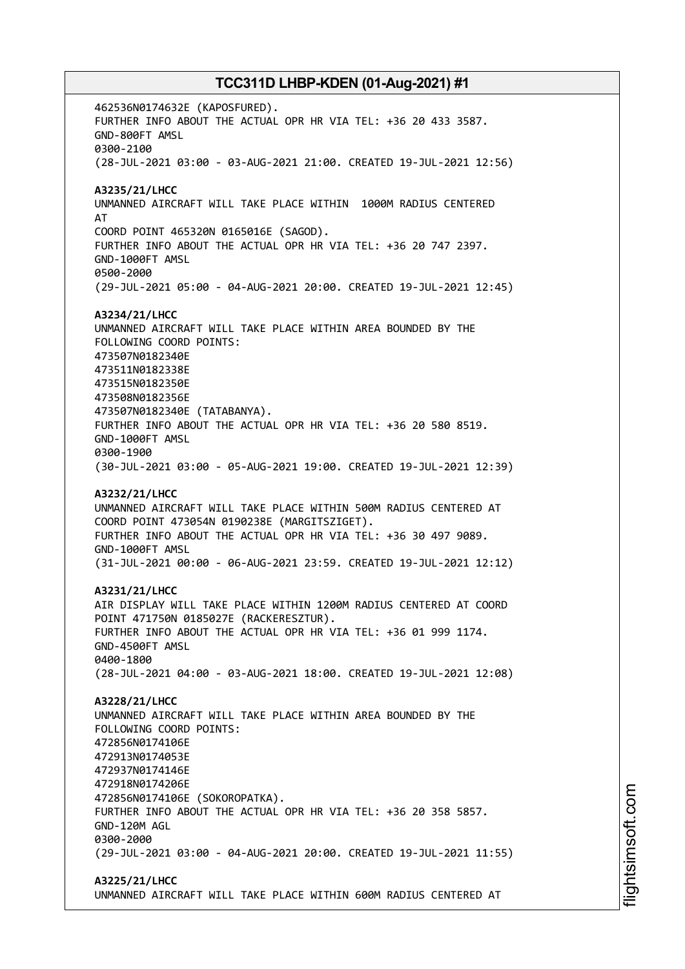462536N0174632E (KAPOSFURED). FURTHER INFO ABOUT THE ACTUAL OPR HR VIA TEL: +36 20 433 3587. GND-800FT AMSL 0300-2100 (28-JUL-2021 03:00 - 03-AUG-2021 21:00. CREATED 19-JUL-2021 12:56) **A3235/21/LHCC** UNMANNED AIRCRAFT WILL TAKE PLACE WITHIN 1000M RADIUS CENTERED AT COORD POINT 465320N 0165016E (SAGOD). FURTHER INFO ABOUT THE ACTUAL OPR HR VIA TEL: +36 20 747 2397. GND-1000FT AMSL 0500-2000 (29-JUL-2021 05:00 - 04-AUG-2021 20:00. CREATED 19-JUL-2021 12:45) **A3234/21/LHCC** UNMANNED AIRCRAFT WILL TAKE PLACE WITHIN AREA BOUNDED BY THE FOLLOWING COORD POINTS: 473507N0182340E 473511N0182338E 473515N0182350E 473508N0182356E 473507N0182340E (TATABANYA). FURTHER INFO ABOUT THE ACTUAL OPR HR VIA TEL: +36 20 580 8519. GND-1000FT AMSL 0300-1900 (30-JUL-2021 03:00 - 05-AUG-2021 19:00. CREATED 19-JUL-2021 12:39) **A3232/21/LHCC** UNMANNED AIRCRAFT WILL TAKE PLACE WITHIN 500M RADIUS CENTERED AT COORD POINT 473054N 0190238E (MARGITSZIGET). FURTHER INFO ABOUT THE ACTUAL OPR HR VIA TEL: +36 30 497 9089. GND-1000FT AMSL (31-JUL-2021 00:00 - 06-AUG-2021 23:59. CREATED 19-JUL-2021 12:12) **A3231/21/LHCC** AIR DISPLAY WILL TAKE PLACE WITHIN 1200M RADIUS CENTERED AT COORD POINT 471750N 0185027E (RACKERESZTUR). FURTHER INFO ABOUT THE ACTUAL OPR HR VIA TEL: +36 01 999 1174. GND-4500FT AMSL 0400-1800 (28-JUL-2021 04:00 - 03-AUG-2021 18:00. CREATED 19-JUL-2021 12:08) **A3228/21/LHCC** UNMANNED AIRCRAFT WILL TAKE PLACE WITHIN AREA BOUNDED BY THE FOLLOWING COORD POINTS: 472856N0174106E 472913N0174053E 472937N0174146E 472918N0174206E 472856N0174106E (SOKOROPATKA). FURTHER INFO ABOUT THE ACTUAL OPR HR VIA TEL: +36 20 358 5857. GND-120M AGL 0300-2000 (29-JUL-2021 03:00 - 04-AUG-2021 20:00. CREATED 19-JUL-2021 11:55) **A3225/21/LHCC**

UNMANNED AIRCRAFT WILL TAKE PLACE WITHIN 600M RADIUS CENTERED AT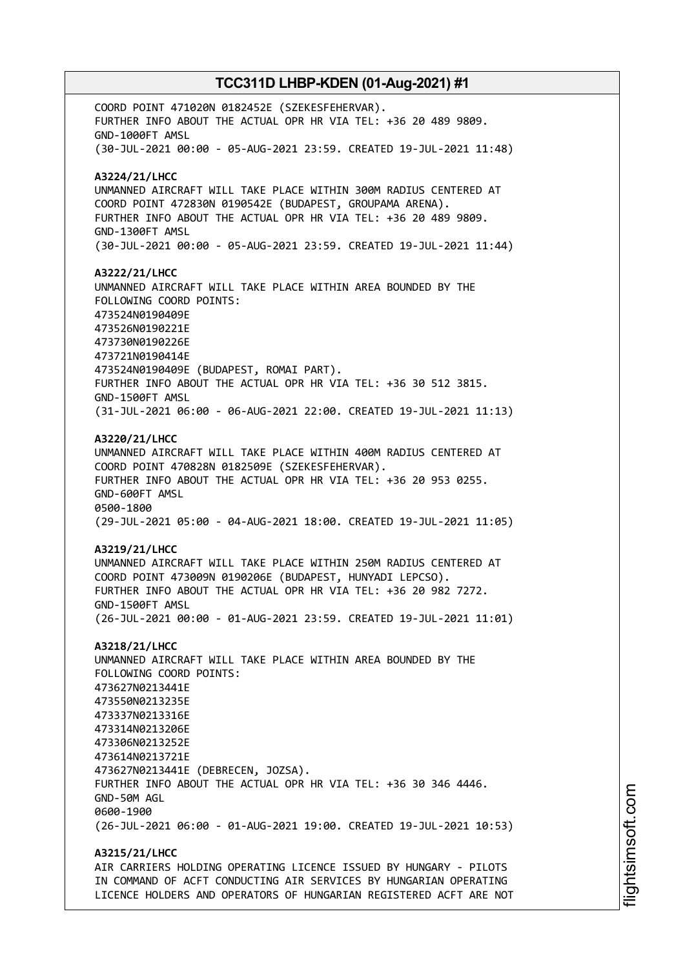COORD POINT 471020N 0182452E (SZEKESFEHERVAR). FURTHER INFO ABOUT THE ACTUAL OPR HR VIA TEL: +36 20 489 9809. GND-1000FT AMSL (30-JUL-2021 00:00 - 05-AUG-2021 23:59. CREATED 19-JUL-2021 11:48) **A3224/21/LHCC** UNMANNED AIRCRAFT WILL TAKE PLACE WITHIN 300M RADIUS CENTERED AT COORD POINT 472830N 0190542E (BUDAPEST, GROUPAMA ARENA). FURTHER INFO ABOUT THE ACTUAL OPR HR VIA TEL: +36 20 489 9809. GND-1300FT AMSL (30-JUL-2021 00:00 - 05-AUG-2021 23:59. CREATED 19-JUL-2021 11:44) **A3222/21/LHCC** UNMANNED AIRCRAFT WILL TAKE PLACE WITHIN AREA BOUNDED BY THE FOLLOWING COORD POINTS: 473524N0190409E 473526N0190221E 473730N0190226E 473721N0190414E 473524N0190409E (BUDAPEST, ROMAI PART). FURTHER INFO ABOUT THE ACTUAL OPR HR VIA TEL: +36 30 512 3815. GND-1500FT AMSL (31-JUL-2021 06:00 - 06-AUG-2021 22:00. CREATED 19-JUL-2021 11:13) **A3220/21/LHCC** UNMANNED AIRCRAFT WILL TAKE PLACE WITHIN 400M RADIUS CENTERED AT COORD POINT 470828N 0182509E (SZEKESFEHERVAR). FURTHER INFO ABOUT THE ACTUAL OPR HR VIA TEL: +36 20 953 0255. GND-600FT AMSL 0500-1800 (29-JUL-2021 05:00 - 04-AUG-2021 18:00. CREATED 19-JUL-2021 11:05) **A3219/21/LHCC** UNMANNED AIRCRAFT WILL TAKE PLACE WITHIN 250M RADIUS CENTERED AT COORD POINT 473009N 0190206E (BUDAPEST, HUNYADI LEPCSO). FURTHER INFO ABOUT THE ACTUAL OPR HR VIA TEL: +36 20 982 7272. GND-1500FT AMSL (26-JUL-2021 00:00 - 01-AUG-2021 23:59. CREATED 19-JUL-2021 11:01) **A3218/21/LHCC** UNMANNED AIRCRAFT WILL TAKE PLACE WITHIN AREA BOUNDED BY THE FOLLOWING COORD POINTS: 473627N0213441E 473550N0213235E 473337N0213316E 473314N0213206E 473306N0213252E 473614N0213721E 473627N0213441E (DEBRECEN, JOZSA). FURTHER INFO ABOUT THE ACTUAL OPR HR VIA TEL: +36 30 346 4446. GND-50M AGL 0600-1900 (26-JUL-2021 06:00 - 01-AUG-2021 19:00. CREATED 19-JUL-2021 10:53) **A3215/21/LHCC** AIR CARRIERS HOLDING OPERATING LICENCE ISSUED BY HUNGARY - PILOTS

IN COMMAND OF ACFT CONDUCTING AIR SERVICES BY HUNGARIAN OPERATING LICENCE HOLDERS AND OPERATORS OF HUNGARIAN REGISTERED ACFT ARE NOT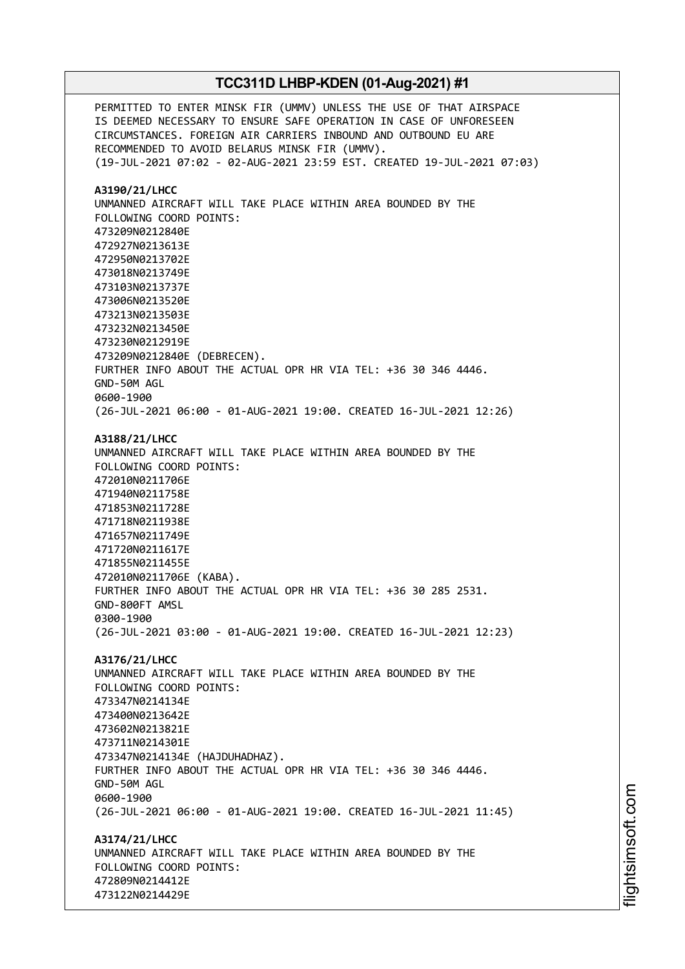PERMITTED TO ENTER MINSK FIR (UMMV) UNLESS THE USE OF THAT AIRSPACE IS DEEMED NECESSARY TO ENSURE SAFE OPERATION IN CASE OF UNFORESEEN CIRCUMSTANCES. FOREIGN AIR CARRIERS INBOUND AND OUTBOUND EU ARE RECOMMENDED TO AVOID BELARUS MINSK FIR (UMMV). (19-JUL-2021 07:02 - 02-AUG-2021 23:59 EST. CREATED 19-JUL-2021 07:03) **A3190/21/LHCC** UNMANNED AIRCRAFT WILL TAKE PLACE WITHIN AREA BOUNDED BY THE FOLLOWING COORD POINTS: 473209N0212840E 472927N0213613E 472950N0213702E 473018N0213749E 473103N0213737E 473006N0213520E 473213N0213503E 473232N0213450E 473230N0212919E 473209N0212840E (DEBRECEN). FURTHER INFO ABOUT THE ACTUAL OPR HR VIA TEL: +36 30 346 4446. GND-50M AGL 0600-1900 (26-JUL-2021 06:00 - 01-AUG-2021 19:00. CREATED 16-JUL-2021 12:26) **A3188/21/LHCC** UNMANNED AIRCRAFT WILL TAKE PLACE WITHIN AREA BOUNDED BY THE FOLLOWING COORD POINTS: 472010N0211706E 471940N0211758E 471853N0211728E 471718N0211938E 471657N0211749E 471720N0211617E 471855N0211455E 472010N0211706E (KABA). FURTHER INFO ABOUT THE ACTUAL OPR HR VIA TEL: +36 30 285 2531. GND-800FT AMSL 0300-1900 (26-JUL-2021 03:00 - 01-AUG-2021 19:00. CREATED 16-JUL-2021 12:23) **A3176/21/LHCC** UNMANNED AIRCRAFT WILL TAKE PLACE WITHIN AREA BOUNDED BY THE FOLLOWING COORD POINTS: 473347N0214134E 473400N0213642E 473602N0213821E 473711N0214301E 473347N0214134E (HAJDUHADHAZ). FURTHER INFO ABOUT THE ACTUAL OPR HR VIA TEL: +36 30 346 4446. GND-50M AGL 0600-1900 (26-JUL-2021 06:00 - 01-AUG-2021 19:00. CREATED 16-JUL-2021 11:45) **A3174/21/LHCC** UNMANNED AIRCRAFT WILL TAKE PLACE WITHIN AREA BOUNDED BY THE FOLLOWING COORD POINTS: 472809N0214412E 473122N0214429E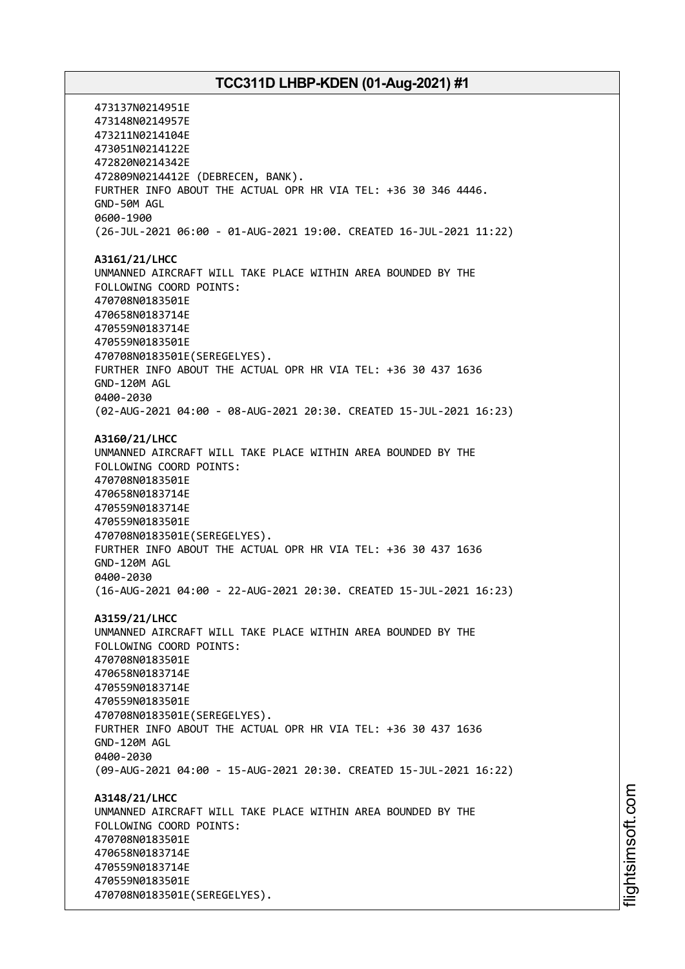473137N0214951E 473148N0214957E 473211N0214104E 473051N0214122E 472820N0214342E 472809N0214412E (DEBRECEN, BANK). FURTHER INFO ABOUT THE ACTUAL OPR HR VIA TEL: +36 30 346 4446. GND-50M AGL 0600-1900 (26-JUL-2021 06:00 - 01-AUG-2021 19:00. CREATED 16-JUL-2021 11:22) **A3161/21/LHCC** UNMANNED AIRCRAFT WILL TAKE PLACE WITHIN AREA BOUNDED BY THE FOLLOWING COORD POINTS: 470708N0183501E 470658N0183714E 470559N0183714E 470559N0183501E 470708N0183501E(SEREGELYES). FURTHER INFO ABOUT THE ACTUAL OPR HR VIA TEL: +36 30 437 1636 GND-120M AGL 0400-2030 (02-AUG-2021 04:00 - 08-AUG-2021 20:30. CREATED 15-JUL-2021 16:23) **A3160/21/LHCC** UNMANNED AIRCRAFT WILL TAKE PLACE WITHIN AREA BOUNDED BY THE FOLLOWING COORD POINTS: 470708N0183501E 470658N0183714E 470559N0183714E 470559N0183501E 470708N0183501E(SEREGELYES). FURTHER INFO ABOUT THE ACTUAL OPR HR VIA TEL: +36 30 437 1636 GND-120M AGL 0400-2030 (16-AUG-2021 04:00 - 22-AUG-2021 20:30. CREATED 15-JUL-2021 16:23) **A3159/21/LHCC** UNMANNED AIRCRAFT WILL TAKE PLACE WITHIN AREA BOUNDED BY THE FOLLOWING COORD POINTS: 470708N0183501E 470658N0183714E 470559N0183714E 470559N0183501E 470708N0183501E(SEREGELYES). FURTHER INFO ABOUT THE ACTUAL OPR HR VIA TEL: +36 30 437 1636 GND-120M AGL 0400-2030 (09-AUG-2021 04:00 - 15-AUG-2021 20:30. CREATED 15-JUL-2021 16:22) **A3148/21/LHCC** UNMANNED AIRCRAFT WILL TAKE PLACE WITHIN AREA BOUNDED BY THE FOLLOWING COORD POINTS: 470708N0183501E 470658N0183714E 470559N0183714E 470559N0183501E 470708N0183501E(SEREGELYES).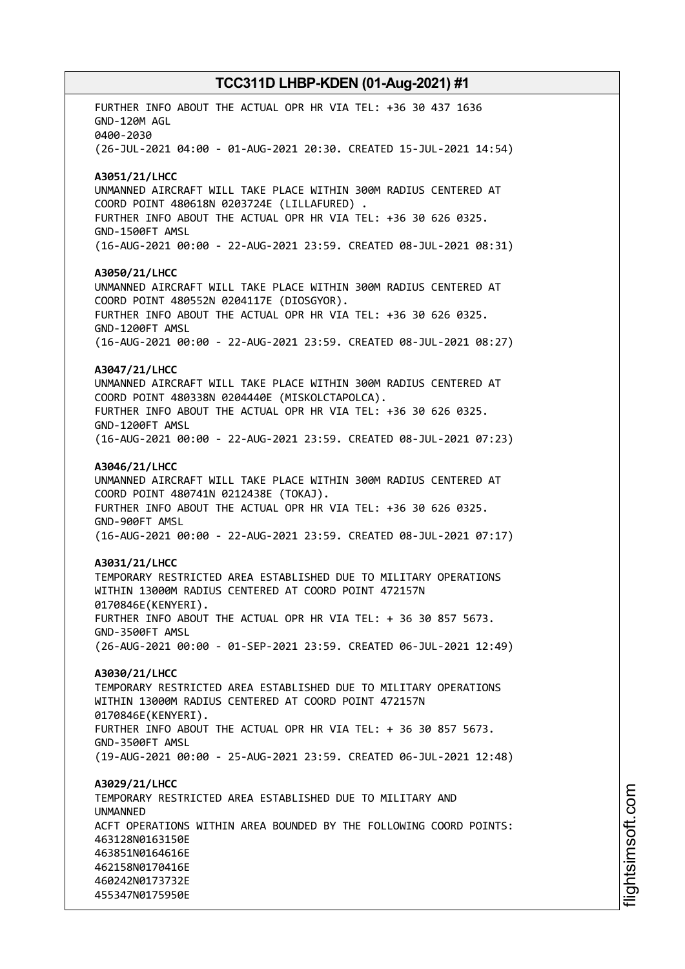FURTHER INFO ABOUT THE ACTUAL OPR HR VIA TEL: +36 30 437 1636 GND-120M AGL 0400-2030 (26-JUL-2021 04:00 - 01-AUG-2021 20:30. CREATED 15-JUL-2021 14:54) **A3051/21/LHCC** UNMANNED AIRCRAFT WILL TAKE PLACE WITHIN 300M RADIUS CENTERED AT COORD POINT 480618N 0203724E (LILLAFURED) . FURTHER INFO ABOUT THE ACTUAL OPR HR VIA TEL: +36 30 626 0325. GND-1500FT AMSL (16-AUG-2021 00:00 - 22-AUG-2021 23:59. CREATED 08-JUL-2021 08:31) **A3050/21/LHCC** UNMANNED AIRCRAFT WILL TAKE PLACE WITHIN 300M RADIUS CENTERED AT COORD POINT 480552N 0204117E (DIOSGYOR). FURTHER INFO ABOUT THE ACTUAL OPR HR VIA TEL: +36 30 626 0325. GND-1200FT AMSL (16-AUG-2021 00:00 - 22-AUG-2021 23:59. CREATED 08-JUL-2021 08:27) **A3047/21/LHCC** UNMANNED AIRCRAFT WILL TAKE PLACE WITHIN 300M RADIUS CENTERED AT COORD POINT 480338N 0204440E (MISKOLCTAPOLCA). FURTHER INFO ABOUT THE ACTUAL OPR HR VIA TEL: +36 30 626 0325. GND-1200FT AMSL (16-AUG-2021 00:00 - 22-AUG-2021 23:59. CREATED 08-JUL-2021 07:23) **A3046/21/LHCC** UNMANNED AIRCRAFT WILL TAKE PLACE WITHIN 300M RADIUS CENTERED AT COORD POINT 480741N 0212438E (TOKAJ). FURTHER INFO ABOUT THE ACTUAL OPR HR VIA TEL: +36 30 626 0325. GND-900FT AMSL (16-AUG-2021 00:00 - 22-AUG-2021 23:59. CREATED 08-JUL-2021 07:17) **A3031/21/LHCC** TEMPORARY RESTRICTED AREA ESTABLISHED DUE TO MILITARY OPERATIONS WITHIN 13000M RADIUS CENTERED AT COORD POINT 472157N 0170846E(KENYERI). FURTHER INFO ABOUT THE ACTUAL OPR HR VIA TEL: + 36 30 857 5673. GND-3500FT AMSL (26-AUG-2021 00:00 - 01-SEP-2021 23:59. CREATED 06-JUL-2021 12:49) **A3030/21/LHCC** TEMPORARY RESTRICTED AREA ESTABLISHED DUE TO MILITARY OPERATIONS WITHIN 13000M RADIUS CENTERED AT COORD POINT 472157N 0170846E(KENYERI). FURTHER INFO ABOUT THE ACTUAL OPR HR VIA TEL: + 36 30 857 5673. GND-3500FT AMSL (19-AUG-2021 00:00 - 25-AUG-2021 23:59. CREATED 06-JUL-2021 12:48) **A3029/21/LHCC** TEMPORARY RESTRICTED AREA ESTABLISHED DUE TO MILITARY AND **IINMANNED** ACFT OPERATIONS WITHIN AREA BOUNDED BY THE FOLLOWING COORD POINTS: 463128N0163150E 463851N0164616E 462158N0170416E 460242N0173732E 455347N0175950E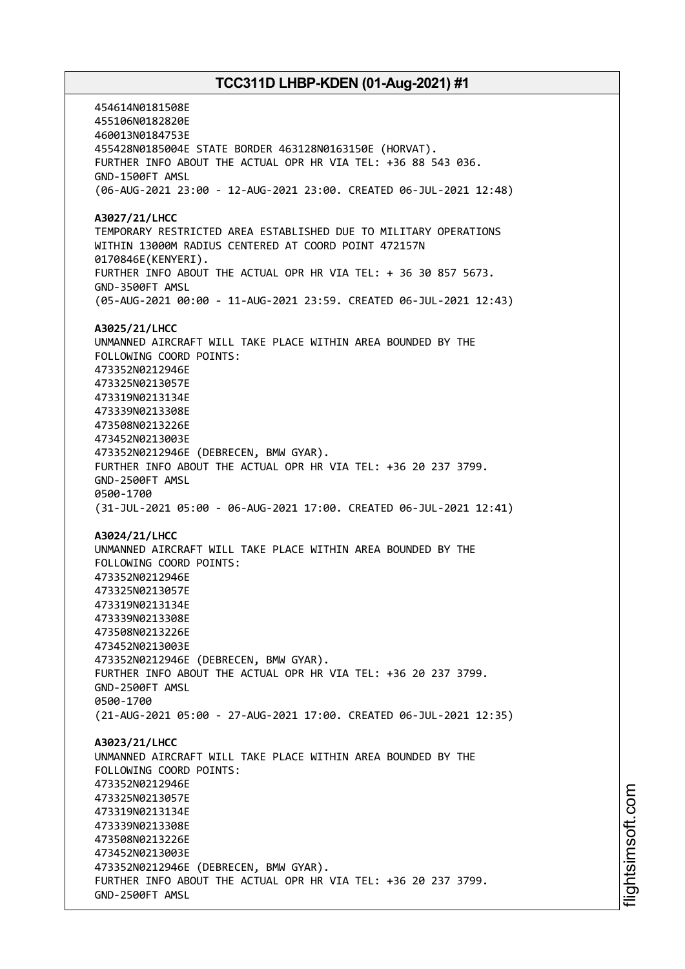454614N0181508E 455106N0182820E 460013N0184753E 455428N0185004E STATE BORDER 463128N0163150E (HORVAT). FURTHER INFO ABOUT THE ACTUAL OPR HR VIA TEL: +36 88 543 036. GND-1500FT AMSL (06-AUG-2021 23:00 - 12-AUG-2021 23:00. CREATED 06-JUL-2021 12:48) **A3027/21/LHCC** TEMPORARY RESTRICTED AREA ESTABLISHED DUE TO MILITARY OPERATIONS WITHIN 13000M RADIUS CENTERED AT COORD POINT 472157N 0170846E(KENYERI). FURTHER INFO ABOUT THE ACTUAL OPR HR VIA TEL: + 36 30 857 5673. GND-3500FT AMSL (05-AUG-2021 00:00 - 11-AUG-2021 23:59. CREATED 06-JUL-2021 12:43) **A3025/21/LHCC** UNMANNED AIRCRAFT WILL TAKE PLACE WITHIN AREA BOUNDED BY THE FOLLOWING COORD POINTS: 473352N0212946E 473325N0213057E 473319N0213134E 473339N0213308E 473508N0213226E 473452N0213003E 473352N0212946E (DEBRECEN, BMW GYAR). FURTHER INFO ABOUT THE ACTUAL OPR HR VIA TEL: +36 20 237 3799. GND-2500FT AMSL 0500-1700 (31-JUL-2021 05:00 - 06-AUG-2021 17:00. CREATED 06-JUL-2021 12:41) **A3024/21/LHCC** UNMANNED AIRCRAFT WILL TAKE PLACE WITHIN AREA BOUNDED BY THE FOLLOWING COORD POINTS: 473352N0212946E 473325N0213057E 473319N0213134E 473339N0213308E 473508N0213226E 473452N0213003E 473352N0212946E (DEBRECEN, BMW GYAR). FURTHER INFO ABOUT THE ACTUAL OPR HR VIA TEL: +36 20 237 3799. GND-2500FT AMSL 0500-1700 (21-AUG-2021 05:00 - 27-AUG-2021 17:00. CREATED 06-JUL-2021 12:35) **A3023/21/LHCC** UNMANNED AIRCRAFT WILL TAKE PLACE WITHIN AREA BOUNDED BY THE FOLLOWING COORD POINTS: 473352N0212946E 473325N0213057E 473319N0213134E 473339N0213308E 473508N0213226E 473452N0213003E 473352N0212946E (DEBRECEN, BMW GYAR). FURTHER INFO ABOUT THE ACTUAL OPR HR VIA TEL: +36 20 237 3799. GND-2500FT AMSL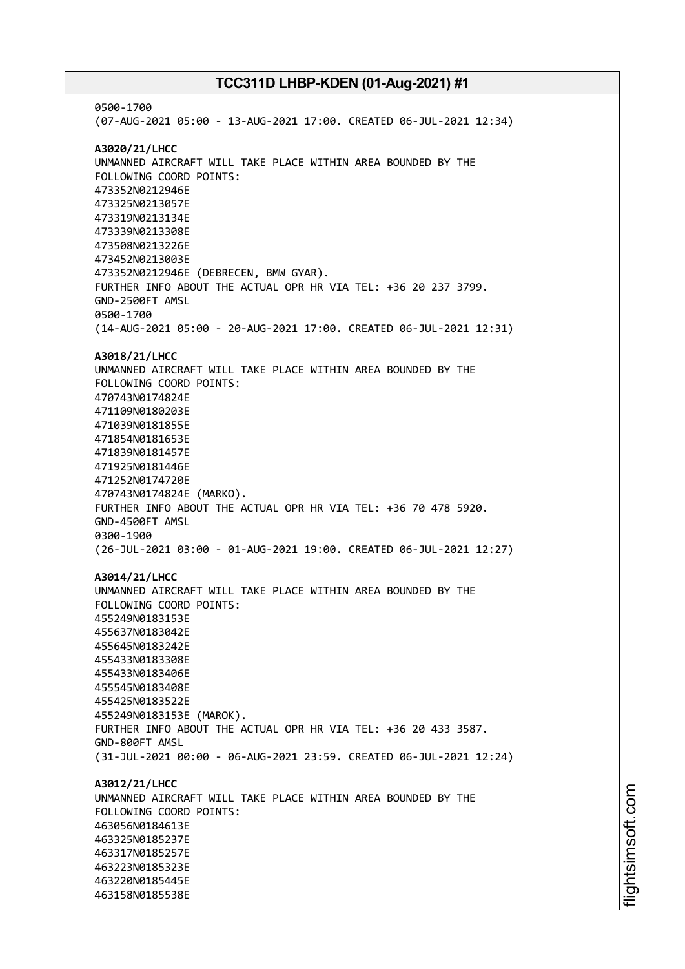0500-1700 (07-AUG-2021 05:00 - 13-AUG-2021 17:00. CREATED 06-JUL-2021 12:34) **A3020/21/LHCC** UNMANNED AIRCRAFT WILL TAKE PLACE WITHIN AREA BOUNDED BY THE FOLLOWING COORD POINTS: 473352N0212946E 473325N0213057E 473319N0213134E 473339N0213308E 473508N0213226E 473452N0213003E 473352N0212946E (DEBRECEN, BMW GYAR). FURTHER INFO ABOUT THE ACTUAL OPR HR VIA TEL: +36 20 237 3799. GND-2500FT AMSL 0500-1700 (14-AUG-2021 05:00 - 20-AUG-2021 17:00. CREATED 06-JUL-2021 12:31) **A3018/21/LHCC** UNMANNED AIRCRAFT WILL TAKE PLACE WITHIN AREA BOUNDED BY THE FOLLOWING COORD POINTS: 470743N0174824E 471109N0180203E 471039N0181855E 471854N0181653E 471839N0181457E 471925N0181446E 471252N0174720E 470743N0174824E (MARKO). FURTHER INFO ABOUT THE ACTUAL OPR HR VIA TEL: +36 70 478 5920. GND-4500FT AMSL 0300-1900 (26-JUL-2021 03:00 - 01-AUG-2021 19:00. CREATED 06-JUL-2021 12:27) **A3014/21/LHCC** UNMANNED AIRCRAFT WILL TAKE PLACE WITHIN AREA BOUNDED BY THE FOLLOWING COORD POINTS: 455249N0183153E 455637N0183042E 455645N0183242E 455433N0183308E 455433N0183406E 455545N0183408E 455425N0183522E 455249N0183153E (MAROK). FURTHER INFO ABOUT THE ACTUAL OPR HR VIA TEL: +36 20 433 3587. GND-800FT AMSL (31-JUL-2021 00:00 - 06-AUG-2021 23:59. CREATED 06-JUL-2021 12:24) **A3012/21/LHCC** UNMANNED AIRCRAFT WILL TAKE PLACE WITHIN AREA BOUNDED BY THE FOLLOWING COORD POINTS: 463056N0184613E 463325N0185237E 463317N0185257E 463223N0185323E 463220N0185445E 463158N0185538E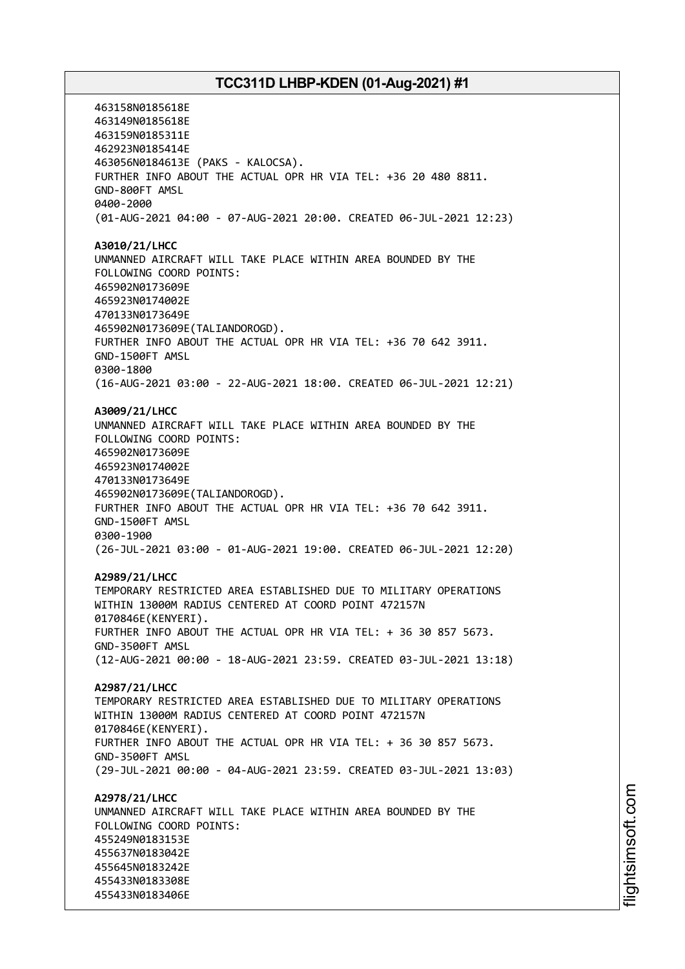463158N0185618E 463149N0185618E 463159N0185311E 462923N0185414E 463056N0184613E (PAKS - KALOCSA). FURTHER INFO ABOUT THE ACTUAL OPR HR VIA TEL: +36 20 480 8811. GND-800FT AMSL 0400-2000 (01-AUG-2021 04:00 - 07-AUG-2021 20:00. CREATED 06-JUL-2021 12:23) **A3010/21/LHCC** UNMANNED AIRCRAFT WILL TAKE PLACE WITHIN AREA BOUNDED BY THE FOLLOWING COORD POINTS: 465902N0173609E 465923N0174002E 470133N0173649E 465902N0173609E(TALIANDOROGD). FURTHER INFO ABOUT THE ACTUAL OPR HR VIA TEL: +36 70 642 3911. GND-1500FT AMSL 0300-1800 (16-AUG-2021 03:00 - 22-AUG-2021 18:00. CREATED 06-JUL-2021 12:21) **A3009/21/LHCC** UNMANNED AIRCRAFT WILL TAKE PLACE WITHIN AREA BOUNDED BY THE FOLLOWING COORD POINTS: 465902N0173609E 465923N0174002E 470133N0173649E 465902N0173609E(TALIANDOROGD). FURTHER INFO ABOUT THE ACTUAL OPR HR VIA TEL: +36 70 642 3911. GND-1500FT AMSL 0300-1900 (26-JUL-2021 03:00 - 01-AUG-2021 19:00. CREATED 06-JUL-2021 12:20) **A2989/21/LHCC** TEMPORARY RESTRICTED AREA ESTABLISHED DUE TO MILITARY OPERATIONS WITHIN 13000M RADIUS CENTERED AT COORD POINT 472157N 0170846E(KENYERI). FURTHER INFO ABOUT THE ACTUAL OPR HR VIA TEL: + 36 30 857 5673. GND-3500FT AMSL (12-AUG-2021 00:00 - 18-AUG-2021 23:59. CREATED 03-JUL-2021 13:18) **A2987/21/LHCC** TEMPORARY RESTRICTED AREA ESTABLISHED DUE TO MILITARY OPERATIONS WITHIN 13000M RADIUS CENTERED AT COORD POINT 472157N 0170846E(KENYERI). FURTHER INFO ABOUT THE ACTUAL OPR HR VIA TEL: + 36 30 857 5673. GND-3500FT AMSL (29-JUL-2021 00:00 - 04-AUG-2021 23:59. CREATED 03-JUL-2021 13:03) **A2978/21/LHCC** UNMANNED AIRCRAFT WILL TAKE PLACE WITHIN AREA BOUNDED BY THE FOLLOWING COORD POINTS: 455249N0183153E 455637N0183042E 455645N0183242E 455433N0183308E 455433N0183406E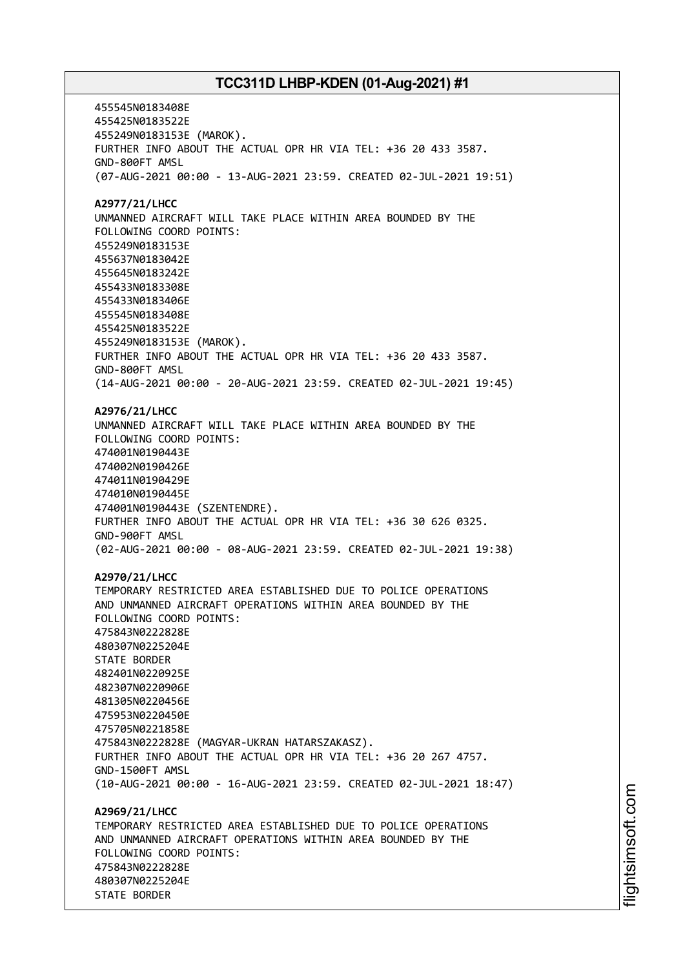455545N0183408E 455425N0183522E 455249N0183153E (MAROK). FURTHER INFO ABOUT THE ACTUAL OPR HR VIA TEL: +36 20 433 3587. GND-800FT AMSL (07-AUG-2021 00:00 - 13-AUG-2021 23:59. CREATED 02-JUL-2021 19:51) **A2977/21/LHCC** UNMANNED AIRCRAFT WILL TAKE PLACE WITHIN AREA BOUNDED BY THE FOLLOWING COORD POINTS: 455249N0183153E 455637N0183042E 455645N0183242E 455433N0183308E 455433N0183406E 455545N0183408E 455425N0183522E 455249N0183153E (MAROK). FURTHER INFO ABOUT THE ACTUAL OPR HR VIA TEL: +36 20 433 3587. GND-800FT AMSL (14-AUG-2021 00:00 - 20-AUG-2021 23:59. CREATED 02-JUL-2021 19:45) **A2976/21/LHCC** UNMANNED AIRCRAFT WILL TAKE PLACE WITHIN AREA BOUNDED BY THE FOLLOWING COORD POINTS: 474001N0190443E 474002N0190426E 474011N0190429E 474010N0190445E 474001N0190443E (SZENTENDRE). FURTHER INFO ABOUT THE ACTUAL OPR HR VIA TEL: +36 30 626 0325. GND-900FT AMSL (02-AUG-2021 00:00 - 08-AUG-2021 23:59. CREATED 02-JUL-2021 19:38) **A2970/21/LHCC** TEMPORARY RESTRICTED AREA ESTABLISHED DUE TO POLICE OPERATIONS AND UNMANNED AIRCRAFT OPERATIONS WITHIN AREA BOUNDED BY THE FOLLOWING COORD POINTS: 475843N0222828E 480307N0225204E STATE BORDER 482401N0220925E 482307N0220906E 481305N0220456E 475953N0220450E 475705N0221858E 475843N0222828E (MAGYAR-UKRAN HATARSZAKASZ). FURTHER INFO ABOUT THE ACTUAL OPR HR VIA TEL: +36 20 267 4757. GND-1500FT AMSL (10-AUG-2021 00:00 - 16-AUG-2021 23:59. CREATED 02-JUL-2021 18:47) **A2969/21/LHCC** TEMPORARY RESTRICTED AREA ESTABLISHED DUE TO POLICE OPERATIONS AND UNMANNED AIRCRAFT OPERATIONS WITHIN AREA BOUNDED BY THE FOLLOWING COORD POINTS: 475843N0222828E 480307N0225204E STATE BORDER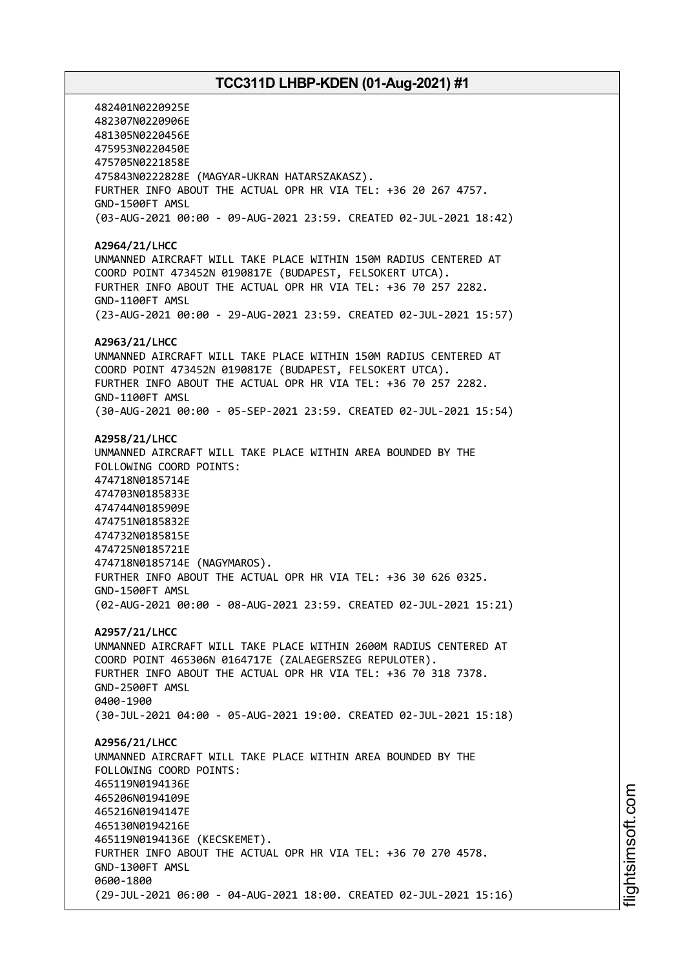482401N0220925E 482307N0220906E 481305N0220456E 475953N0220450E 475705N0221858E 475843N0222828E (MAGYAR-UKRAN HATARSZAKASZ). FURTHER INFO ABOUT THE ACTUAL OPR HR VIA TEL: +36 20 267 4757. GND-1500FT AMSL (03-AUG-2021 00:00 - 09-AUG-2021 23:59. CREATED 02-JUL-2021 18:42) **A2964/21/LHCC** UNMANNED AIRCRAFT WILL TAKE PLACE WITHIN 150M RADIUS CENTERED AT COORD POINT 473452N 0190817E (BUDAPEST, FELSOKERT UTCA). FURTHER INFO ABOUT THE ACTUAL OPR HR VIA TEL: +36 70 257 2282. GND-1100FT AMSL (23-AUG-2021 00:00 - 29-AUG-2021 23:59. CREATED 02-JUL-2021 15:57) **A2963/21/LHCC** UNMANNED AIRCRAFT WILL TAKE PLACE WITHIN 150M RADIUS CENTERED AT COORD POINT 473452N 0190817E (BUDAPEST, FELSOKERT UTCA). FURTHER INFO ABOUT THE ACTUAL OPR HR VIA TEL: +36 70 257 2282. GND-1100FT AMSL (30-AUG-2021 00:00 - 05-SEP-2021 23:59. CREATED 02-JUL-2021 15:54) **A2958/21/LHCC** UNMANNED AIRCRAFT WILL TAKE PLACE WITHIN AREA BOUNDED BY THE FOLLOWING COORD POINTS: 474718N0185714E 474703N0185833E 474744N0185909E 474751N0185832E 474732N0185815E 474725N0185721E 474718N0185714E (NAGYMAROS). FURTHER INFO ABOUT THE ACTUAL OPR HR VIA TEL: +36 30 626 0325. GND-1500FT AMSL (02-AUG-2021 00:00 - 08-AUG-2021 23:59. CREATED 02-JUL-2021 15:21) **A2957/21/LHCC** UNMANNED AIRCRAFT WILL TAKE PLACE WITHIN 2600M RADIUS CENTERED AT COORD POINT 465306N 0164717E (ZALAEGERSZEG REPULOTER). FURTHER INFO ABOUT THE ACTUAL OPR HR VIA TEL: +36 70 318 7378. GND-2500FT AMSL 0400-1900 (30-JUL-2021 04:00 - 05-AUG-2021 19:00. CREATED 02-JUL-2021 15:18) **A2956/21/LHCC** UNMANNED AIRCRAFT WILL TAKE PLACE WITHIN AREA BOUNDED BY THE FOLLOWING COORD POINTS: 465119N0194136E 465206N0194109E 465216N0194147E 465130N0194216E 465119N0194136E (KECSKEMET). FURTHER INFO ABOUT THE ACTUAL OPR HR VIA TEL: +36 70 270 4578. GND-1300FT AMSL 0600-1800 (29-JUL-2021 06:00 - 04-AUG-2021 18:00. CREATED 02-JUL-2021 15:16)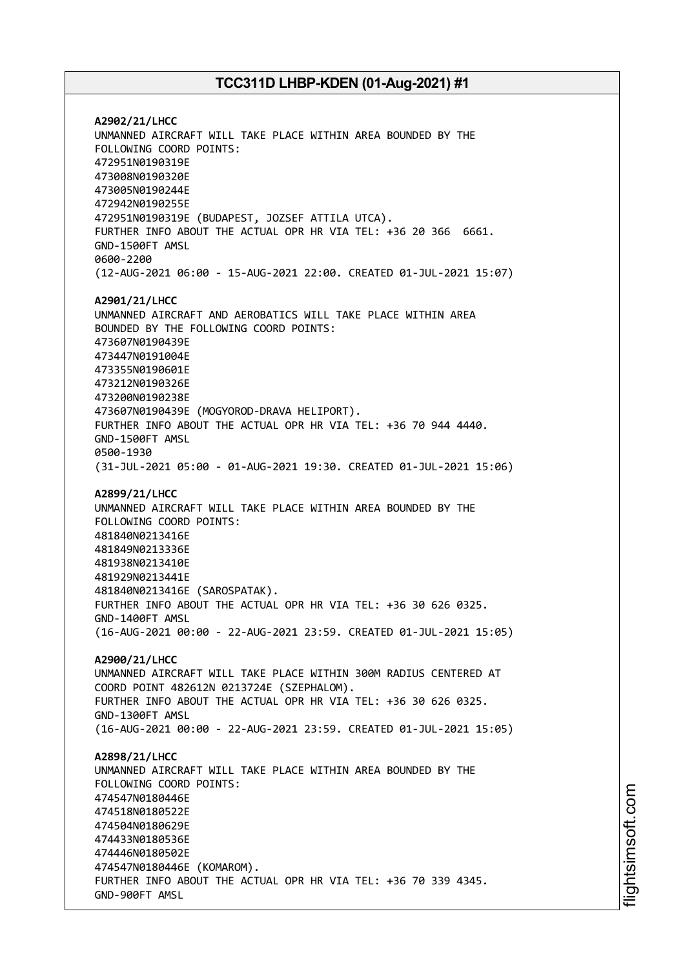**A2902/21/LHCC** UNMANNED AIRCRAFT WILL TAKE PLACE WITHIN AREA BOUNDED BY THE FOLLOWING COORD POINTS: 472951N0190319E 473008N0190320E 473005N0190244E 472942N0190255E 472951N0190319E (BUDAPEST, JOZSEF ATTILA UTCA). FURTHER INFO ABOUT THE ACTUAL OPR HR VIA TEL: +36 20 366 6661. GND-1500FT AMSL 0600-2200 (12-AUG-2021 06:00 - 15-AUG-2021 22:00. CREATED 01-JUL-2021 15:07) **A2901/21/LHCC** UNMANNED AIRCRAFT AND AEROBATICS WILL TAKE PLACE WITHIN AREA BOUNDED BY THE FOLLOWING COORD POINTS: 473607N0190439E 473447N0191004E 473355N0190601E 473212N0190326E 473200N0190238E 473607N0190439E (MOGYOROD-DRAVA HELIPORT). FURTHER INFO ABOUT THE ACTUAL OPR HR VIA TEL: +36 70 944 4440. GND-1500FT AMSL 0500-1930 (31-JUL-2021 05:00 - 01-AUG-2021 19:30. CREATED 01-JUL-2021 15:06) **A2899/21/LHCC** UNMANNED AIRCRAFT WILL TAKE PLACE WITHIN AREA BOUNDED BY THE FOLLOWING COORD POINTS: 481840N0213416E 481849N0213336E 481938N0213410E 481929N0213441E 481840N0213416E (SAROSPATAK). FURTHER INFO ABOUT THE ACTUAL OPR HR VIA TEL: +36 30 626 0325. GND-1400FT AMSL (16-AUG-2021 00:00 - 22-AUG-2021 23:59. CREATED 01-JUL-2021 15:05) **A2900/21/LHCC** UNMANNED AIRCRAFT WILL TAKE PLACE WITHIN 300M RADIUS CENTERED AT COORD POINT 482612N 0213724E (SZEPHALOM). FURTHER INFO ABOUT THE ACTUAL OPR HR VIA TEL: +36 30 626 0325. GND-1300FT AMSL (16-AUG-2021 00:00 - 22-AUG-2021 23:59. CREATED 01-JUL-2021 15:05) **A2898/21/LHCC** UNMANNED AIRCRAFT WILL TAKE PLACE WITHIN AREA BOUNDED BY THE FOLLOWING COORD POINTS: 474547N0180446E 474518N0180522E 474504N0180629E 474433N0180536E 474446N0180502E 474547N0180446E (KOMAROM). FURTHER INFO ABOUT THE ACTUAL OPR HR VIA TEL: +36 70 339 4345. GND-900FT AMSL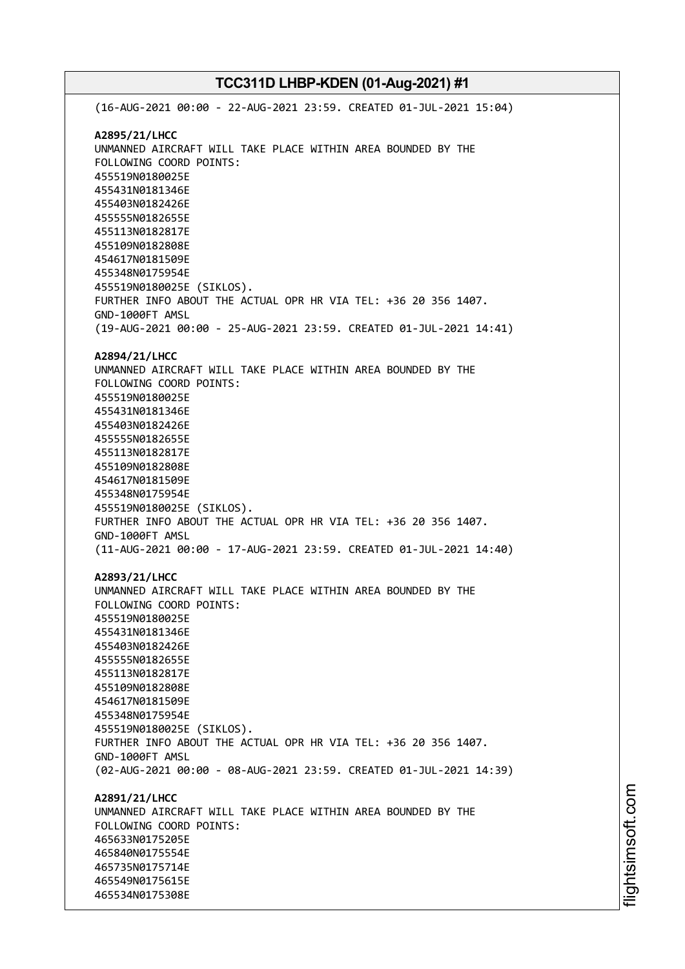(16-AUG-2021 00:00 - 22-AUG-2021 23:59. CREATED 01-JUL-2021 15:04) **A2895/21/LHCC** UNMANNED AIRCRAFT WILL TAKE PLACE WITHIN AREA BOUNDED BY THE FOLLOWING COORD POINTS: 455519N0180025E 455431N0181346E 455403N0182426E 455555N0182655E 455113N0182817E 455109N0182808E 454617N0181509E 455348N0175954E 455519N0180025E (SIKLOS). FURTHER INFO ABOUT THE ACTUAL OPR HR VIA TEL: +36 20 356 1407. GND-1000FT AMSL (19-AUG-2021 00:00 - 25-AUG-2021 23:59. CREATED 01-JUL-2021 14:41) **A2894/21/LHCC** UNMANNED AIRCRAFT WILL TAKE PLACE WITHIN AREA BOUNDED BY THE FOLLOWING COORD POINTS: 455519N0180025E 455431N0181346E 455403N0182426E 455555N0182655E 455113N0182817E 455109N0182808E 454617N0181509E 455348N0175954E 455519N0180025E (SIKLOS). FURTHER INFO ABOUT THE ACTUAL OPR HR VIA TEL: +36 20 356 1407. GND-1000FT AMSL (11-AUG-2021 00:00 - 17-AUG-2021 23:59. CREATED 01-JUL-2021 14:40) **A2893/21/LHCC** UNMANNED AIRCRAFT WILL TAKE PLACE WITHIN AREA BOUNDED BY THE FOLLOWING COORD POINTS: 455519N0180025E 455431N0181346E 455403N0182426E 455555N0182655E 455113N0182817E 455109N0182808E 454617N0181509E 455348N0175954E 455519N0180025E (SIKLOS). FURTHER INFO ABOUT THE ACTUAL OPR HR VIA TEL: +36 20 356 1407. GND-1000FT AMSL (02-AUG-2021 00:00 - 08-AUG-2021 23:59. CREATED 01-JUL-2021 14:39) **A2891/21/LHCC** UNMANNED AIRCRAFT WILL TAKE PLACE WITHIN AREA BOUNDED BY THE FOLLOWING COORD POINTS: 465633N0175205E 465840N0175554E 465735N0175714E 465549N0175615E 465534N0175308E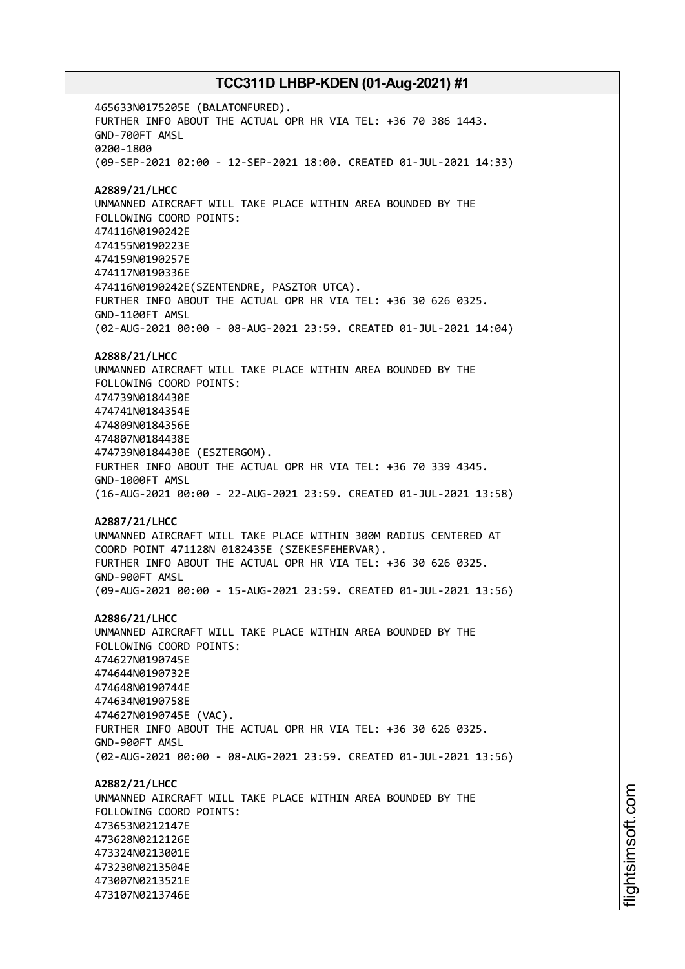465633N0175205E (BALATONFURED). FURTHER INFO ABOUT THE ACTUAL OPR HR VIA TEL: +36 70 386 1443. GND-700FT AMSL 0200-1800 (09-SEP-2021 02:00 - 12-SEP-2021 18:00. CREATED 01-JUL-2021 14:33) **A2889/21/LHCC** UNMANNED AIRCRAFT WILL TAKE PLACE WITHIN AREA BOUNDED BY THE FOLLOWING COORD POINTS: 474116N0190242E 474155N0190223E 474159N0190257E 474117N0190336E 474116N0190242E(SZENTENDRE, PASZTOR UTCA). FURTHER INFO ABOUT THE ACTUAL OPR HR VIA TEL: +36 30 626 0325. GND-1100FT AMSL (02-AUG-2021 00:00 - 08-AUG-2021 23:59. CREATED 01-JUL-2021 14:04) **A2888/21/LHCC** UNMANNED AIRCRAFT WILL TAKE PLACE WITHIN AREA BOUNDED BY THE FOLLOWING COORD POINTS: 474739N0184430E 474741N0184354E 474809N0184356E 474807N0184438E 474739N0184430E (ESZTERGOM). FURTHER INFO ABOUT THE ACTUAL OPR HR VIA TEL: +36 70 339 4345. GND-1000FT AMSL (16-AUG-2021 00:00 - 22-AUG-2021 23:59. CREATED 01-JUL-2021 13:58) **A2887/21/LHCC** UNMANNED AIRCRAFT WILL TAKE PLACE WITHIN 300M RADIUS CENTERED AT COORD POINT 471128N 0182435E (SZEKESFEHERVAR). FURTHER INFO ABOUT THE ACTUAL OPR HR VIA TEL: +36 30 626 0325. GND-900FT AMSL (09-AUG-2021 00:00 - 15-AUG-2021 23:59. CREATED 01-JUL-2021 13:56) **A2886/21/LHCC** UNMANNED AIRCRAFT WILL TAKE PLACE WITHIN AREA BOUNDED BY THE FOLLOWING COORD POINTS: 474627N0190745E 474644N0190732E 474648N0190744E 474634N0190758E 474627N0190745E (VAC). FURTHER INFO ABOUT THE ACTUAL OPR HR VIA TEL: +36 30 626 0325. GND-900FT AMSL (02-AUG-2021 00:00 - 08-AUG-2021 23:59. CREATED 01-JUL-2021 13:56) **A2882/21/LHCC** UNMANNED AIRCRAFT WILL TAKE PLACE WITHIN AREA BOUNDED BY THE FOLLOWING COORD POINTS: 473653N0212147E 473628N0212126E 473324N0213001E 473230N0213504E 473007N0213521E 473107N0213746E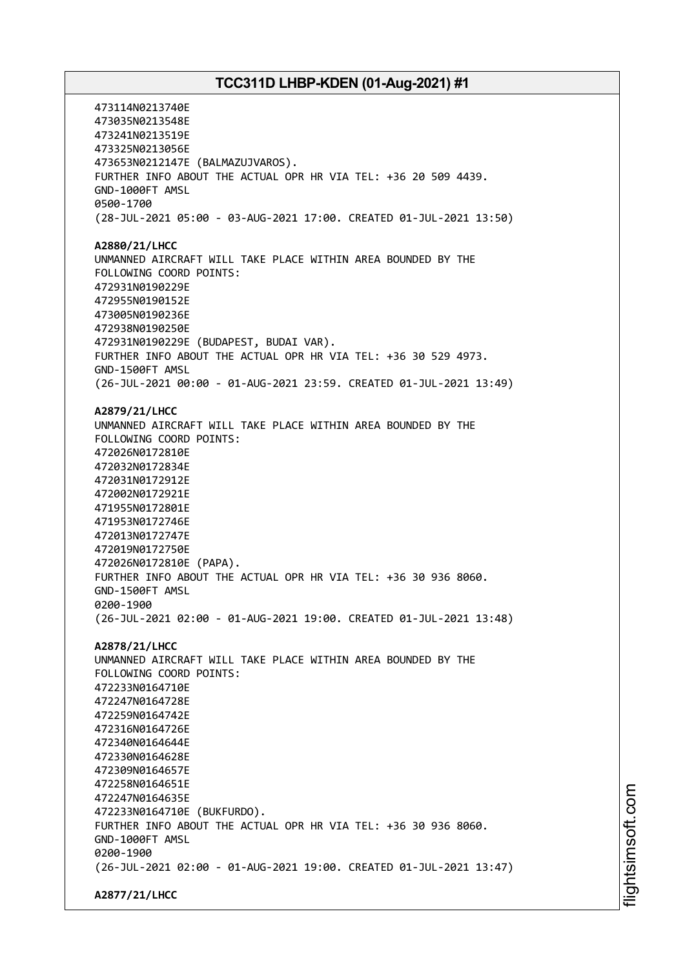473114N0213740E 473035N0213548E 473241N0213519E 473325N0213056E 473653N0212147E (BALMAZUJVAROS). FURTHER INFO ABOUT THE ACTUAL OPR HR VIA TEL: +36 20 509 4439. GND-1000FT AMSL 0500-1700 (28-JUL-2021 05:00 - 03-AUG-2021 17:00. CREATED 01-JUL-2021 13:50) **A2880/21/LHCC** UNMANNED AIRCRAFT WILL TAKE PLACE WITHIN AREA BOUNDED BY THE FOLLOWING COORD POINTS: 472931N0190229E 472955N0190152E 473005N0190236E 472938N0190250E 472931N0190229E (BUDAPEST, BUDAI VAR). FURTHER INFO ABOUT THE ACTUAL OPR HR VIA TEL: +36 30 529 4973. GND-1500FT AMSL (26-JUL-2021 00:00 - 01-AUG-2021 23:59. CREATED 01-JUL-2021 13:49) **A2879/21/LHCC** UNMANNED AIRCRAFT WILL TAKE PLACE WITHIN AREA BOUNDED BY THE FOLLOWING COORD POINTS: 472026N0172810E 472032N0172834E 472031N0172912E 472002N0172921E 471955N0172801E 471953N0172746E 472013N0172747E 472019N0172750E 472026N0172810E (PAPA). FURTHER INFO ABOUT THE ACTUAL OPR HR VIA TEL: +36 30 936 8060. GND-1500FT AMSL 0200-1900 (26-JUL-2021 02:00 - 01-AUG-2021 19:00. CREATED 01-JUL-2021 13:48) **A2878/21/LHCC** UNMANNED AIRCRAFT WILL TAKE PLACE WITHIN AREA BOUNDED BY THE FOLLOWING COORD POINTS: 472233N0164710E 472247N0164728E 472259N0164742E 472316N0164726E 472340N0164644E 472330N0164628E 472309N0164657E 472258N0164651E 472247N0164635E 472233N0164710E (BUKFURDO). FURTHER INFO ABOUT THE ACTUAL OPR HR VIA TEL: +36 30 936 8060. GND-1000FT AMSL 0200-1900 (26-JUL-2021 02:00 - 01-AUG-2021 19:00. CREATED 01-JUL-2021 13:47) **A2877/21/LHCC**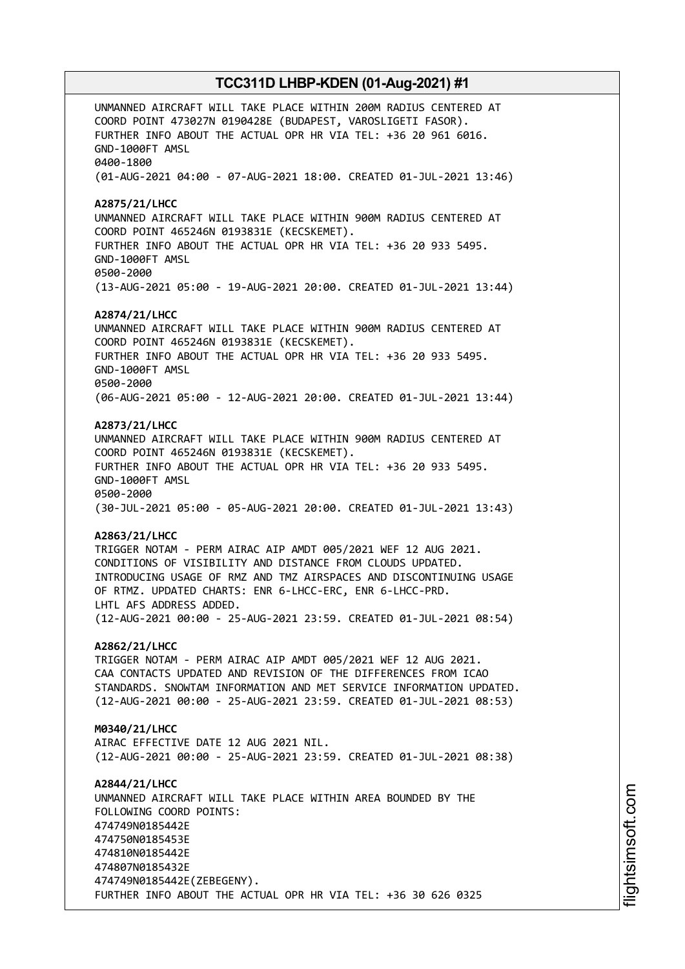UNMANNED AIRCRAFT WILL TAKE PLACE WITHIN 200M RADIUS CENTERED AT COORD POINT 473027N 0190428E (BUDAPEST, VAROSLIGETI FASOR). FURTHER INFO ABOUT THE ACTUAL OPR HR VIA TEL: +36 20 961 6016. GND-1000FT AMSL 0400-1800 (01-AUG-2021 04:00 - 07-AUG-2021 18:00. CREATED 01-JUL-2021 13:46) **A2875/21/LHCC** UNMANNED AIRCRAFT WILL TAKE PLACE WITHIN 900M RADIUS CENTERED AT COORD POINT 465246N 0193831E (KECSKEMET). FURTHER INFO ABOUT THE ACTUAL OPR HR VIA TEL: +36 20 933 5495. GND-1000FT AMSL 0500-2000 (13-AUG-2021 05:00 - 19-AUG-2021 20:00. CREATED 01-JUL-2021 13:44) **A2874/21/LHCC** UNMANNED AIRCRAFT WILL TAKE PLACE WITHIN 900M RADIUS CENTERED AT COORD POINT 465246N 0193831E (KECSKEMET). FURTHER INFO ABOUT THE ACTUAL OPR HR VIA TEL: +36 20 933 5495. GND-1000FT AMSL 0500-2000 (06-AUG-2021 05:00 - 12-AUG-2021 20:00. CREATED 01-JUL-2021 13:44) **A2873/21/LHCC** UNMANNED AIRCRAFT WILL TAKE PLACE WITHIN 900M RADIUS CENTERED AT COORD POINT 465246N 0193831E (KECSKEMET). FURTHER INFO ABOUT THE ACTUAL OPR HR VIA TEL: +36 20 933 5495. GND-1000FT AMSL 0500-2000 (30-JUL-2021 05:00 - 05-AUG-2021 20:00. CREATED 01-JUL-2021 13:43) **A2863/21/LHCC** TRIGGER NOTAM - PERM AIRAC AIP AMDT 005/2021 WEF 12 AUG 2021. CONDITIONS OF VISIBILITY AND DISTANCE FROM CLOUDS UPDATED. INTRODUCING USAGE OF RMZ AND TMZ AIRSPACES AND DISCONTINUING USAGE OF RTMZ. UPDATED CHARTS: ENR 6-LHCC-ERC, ENR 6-LHCC-PRD. LHTL AFS ADDRESS ADDED. (12-AUG-2021 00:00 - 25-AUG-2021 23:59. CREATED 01-JUL-2021 08:54) **A2862/21/LHCC** TRIGGER NOTAM - PERM AIRAC AIP AMDT 005/2021 WEF 12 AUG 2021. CAA CONTACTS UPDATED AND REVISION OF THE DIFFERENCES FROM ICAO STANDARDS. SNOWTAM INFORMATION AND MET SERVICE INFORMATION UPDATED. (12-AUG-2021 00:00 - 25-AUG-2021 23:59. CREATED 01-JUL-2021 08:53) **M0340/21/LHCC** AIRAC EFFECTIVE DATE 12 AUG 2021 NIL. (12-AUG-2021 00:00 - 25-AUG-2021 23:59. CREATED 01-JUL-2021 08:38) **A2844/21/LHCC** UNMANNED AIRCRAFT WILL TAKE PLACE WITHIN AREA BOUNDED BY THE FOLLOWING COORD POINTS: 474749N0185442E 474750N0185453E 474810N0185442E 474807N0185432E 474749N0185442E(ZEBEGENY). FURTHER INFO ABOUT THE ACTUAL OPR HR VIA TEL: +36 30 626 0325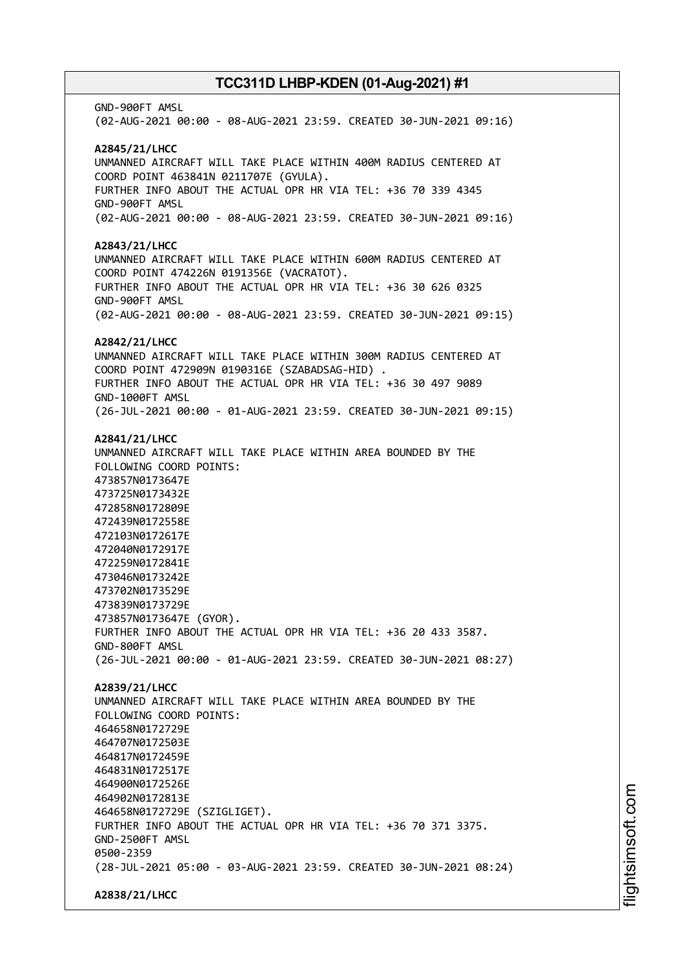GND-900FT AMSL (02-AUG-2021 00:00 - 08-AUG-2021 23:59. CREATED 30-JUN-2021 09:16) **A2845/21/LHCC** UNMANNED AIRCRAFT WILL TAKE PLACE WITHIN 400M RADIUS CENTERED AT COORD POINT 463841N 0211707E (GYULA). FURTHER INFO ABOUT THE ACTUAL OPR HR VIA TEL: +36 70 339 4345 GND-900FT AMSL (02-AUG-2021 00:00 - 08-AUG-2021 23:59. CREATED 30-JUN-2021 09:16) **A2843/21/LHCC** UNMANNED AIRCRAFT WILL TAKE PLACE WITHIN 600M RADIUS CENTERED AT COORD POINT 474226N 0191356E (VACRATOT). FURTHER INFO ABOUT THE ACTUAL OPR HR VIA TEL: +36 30 626 0325 GND-900FT AMSL (02-AUG-2021 00:00 - 08-AUG-2021 23:59. CREATED 30-JUN-2021 09:15) **A2842/21/LHCC** UNMANNED AIRCRAFT WILL TAKE PLACE WITHIN 300M RADIUS CENTERED AT COORD POINT 472909N 0190316E (SZABADSAG-HID) . FURTHER INFO ABOUT THE ACTUAL OPR HR VIA TEL: +36 30 497 9089 GND-1000FT AMSL (26-JUL-2021 00:00 - 01-AUG-2021 23:59. CREATED 30-JUN-2021 09:15) **A2841/21/LHCC** UNMANNED AIRCRAFT WILL TAKE PLACE WITHIN AREA BOUNDED BY THE FOLLOWING COORD POINTS: 473857N0173647E 473725N0173432E 472858N0172809E 472439N0172558E 472103N0172617E 472040N0172917E 472259N0172841E 473046N0173242E 473702N0173529E 473839N0173729E 473857N0173647E (GYOR). FURTHER INFO ABOUT THE ACTUAL OPR HR VIA TEL: +36 20 433 3587. GND-800FT AMSL (26-JUL-2021 00:00 - 01-AUG-2021 23:59. CREATED 30-JUN-2021 08:27) **A2839/21/LHCC** UNMANNED AIRCRAFT WILL TAKE PLACE WITHIN AREA BOUNDED BY THE FOLLOWING COORD POINTS: 464658N0172729E 464707N0172503E 464817N0172459E 464831N0172517E 464900N0172526E 464902N0172813E 464658N0172729E (SZIGLIGET). FURTHER INFO ABOUT THE ACTUAL OPR HR VIA TEL: +36 70 371 3375. GND-2500FT AMSL 0500-2359 (28-JUL-2021 05:00 - 03-AUG-2021 23:59. CREATED 30-JUN-2021 08:24) **A2838/21/LHCC**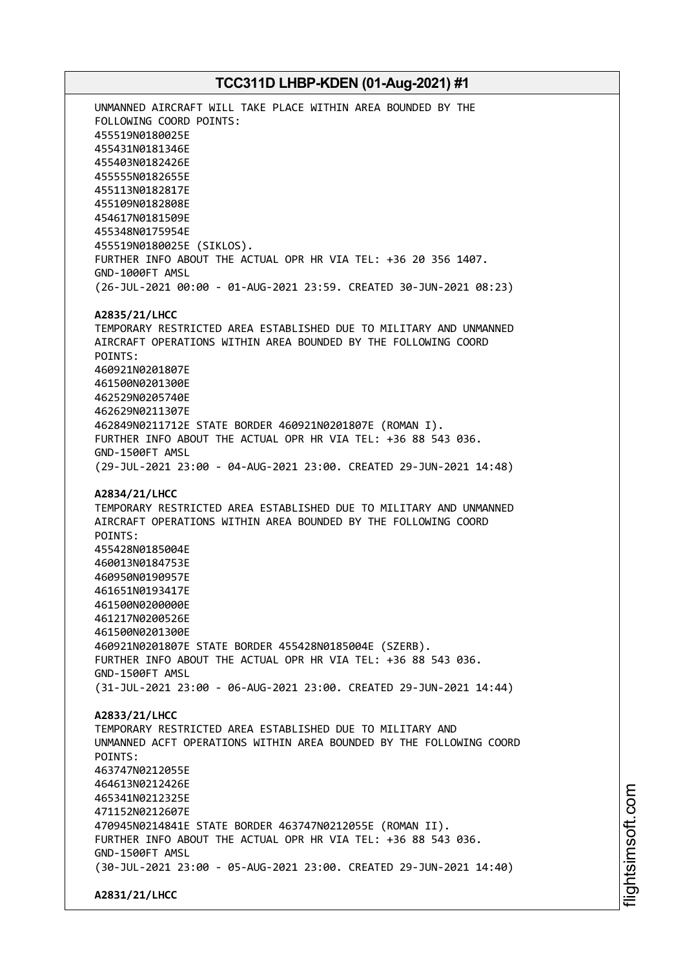UNMANNED AIRCRAFT WILL TAKE PLACE WITHIN AREA BOUNDED BY THE FOLLOWING COORD POINTS: 455519N0180025E 455431N0181346E 455403N0182426E 455555N0182655E 455113N0182817E 455109N0182808E 454617N0181509E 455348N0175954E 455519N0180025E (SIKLOS). FURTHER INFO ABOUT THE ACTUAL OPR HR VIA TEL: +36 20 356 1407. GND-1000FT AMSL (26-JUL-2021 00:00 - 01-AUG-2021 23:59. CREATED 30-JUN-2021 08:23) **A2835/21/LHCC** TEMPORARY RESTRICTED AREA ESTABLISHED DUE TO MILITARY AND UNMANNED AIRCRAFT OPERATIONS WITHIN AREA BOUNDED BY THE FOLLOWING COORD POINTS: 460921N0201807E 461500N0201300E 462529N0205740E 462629N0211307E 462849N0211712E STATE BORDER 460921N0201807E (ROMAN I). FURTHER INFO ABOUT THE ACTUAL OPR HR VIA TEL: +36 88 543 036. GND-1500FT AMSL (29-JUL-2021 23:00 - 04-AUG-2021 23:00. CREATED 29-JUN-2021 14:48) **A2834/21/LHCC** TEMPORARY RESTRICTED AREA ESTABLISHED DUE TO MILITARY AND UNMANNED AIRCRAFT OPERATIONS WITHIN AREA BOUNDED BY THE FOLLOWING COORD POINTS: 455428N0185004E 460013N0184753E 460950N0190957E 461651N0193417E 461500N0200000E 461217N0200526E 461500N0201300E 460921N0201807E STATE BORDER 455428N0185004E (SZERB). FURTHER INFO ABOUT THE ACTUAL OPR HR VIA TEL: +36 88 543 036. GND-1500FT AMSL (31-JUL-2021 23:00 - 06-AUG-2021 23:00. CREATED 29-JUN-2021 14:44) **A2833/21/LHCC** TEMPORARY RESTRICTED AREA ESTABLISHED DUE TO MILITARY AND UNMANNED ACFT OPERATIONS WITHIN AREA BOUNDED BY THE FOLLOWING COORD POINTS: 463747N0212055E 464613N0212426E 465341N0212325E 471152N0212607E 470945N0214841E STATE BORDER 463747N0212055E (ROMAN II). FURTHER INFO ABOUT THE ACTUAL OPR HR VIA TEL: +36 88 543 036. GND-1500FT AMSL (30-JUL-2021 23:00 - 05-AUG-2021 23:00. CREATED 29-JUN-2021 14:40) **A2831/21/LHCC**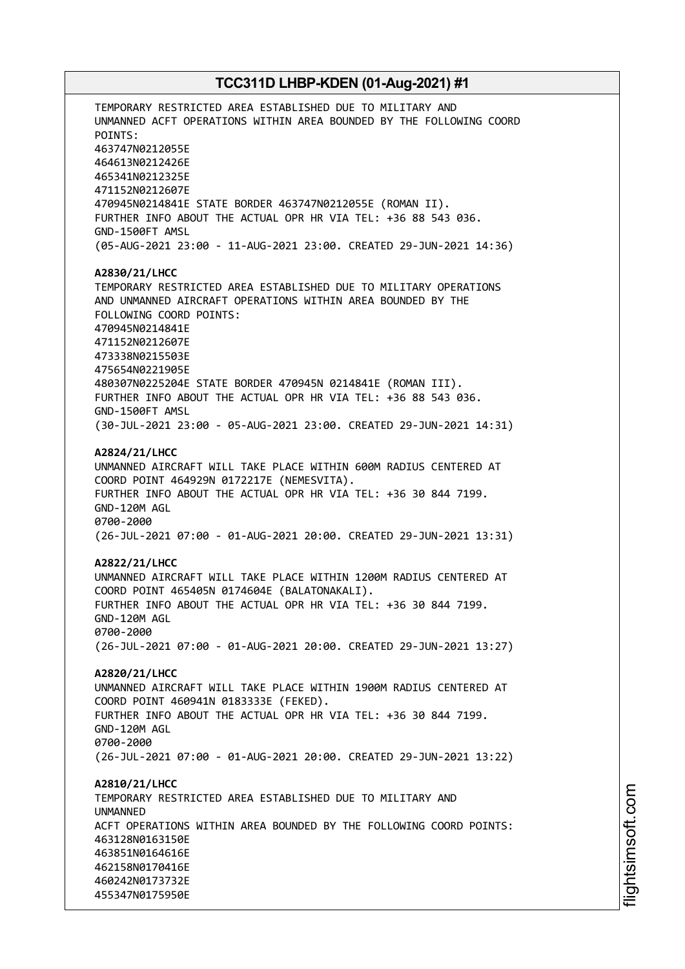TEMPORARY RESTRICTED AREA ESTABLISHED DUE TO MILITARY AND UNMANNED ACFT OPERATIONS WITHIN AREA BOUNDED BY THE FOLLOWING COORD POINTS: 463747N0212055E 464613N0212426E 465341N0212325E 471152N0212607E 470945N0214841E STATE BORDER 463747N0212055E (ROMAN II). FURTHER INFO ABOUT THE ACTUAL OPR HR VIA TEL: +36 88 543 036. GND-1500FT AMSL (05-AUG-2021 23:00 - 11-AUG-2021 23:00. CREATED 29-JUN-2021 14:36) **A2830/21/LHCC** TEMPORARY RESTRICTED AREA ESTABLISHED DUE TO MILITARY OPERATIONS AND UNMANNED AIRCRAFT OPERATIONS WITHIN AREA BOUNDED BY THE FOLLOWING COORD POINTS: 470945N0214841E 471152N0212607E 473338N0215503E 475654N0221905E 480307N0225204E STATE BORDER 470945N 0214841E (ROMAN III). FURTHER INFO ABOUT THE ACTUAL OPR HR VIA TEL: +36 88 543 036. GND-1500FT AMSL (30-JUL-2021 23:00 - 05-AUG-2021 23:00. CREATED 29-JUN-2021 14:31) **A2824/21/LHCC** UNMANNED AIRCRAFT WILL TAKE PLACE WITHIN 600M RADIUS CENTERED AT COORD POINT 464929N 0172217E (NEMESVITA). FURTHER INFO ABOUT THE ACTUAL OPR HR VIA TEL: +36 30 844 7199. GND-120M AGL 0700-2000 (26-JUL-2021 07:00 - 01-AUG-2021 20:00. CREATED 29-JUN-2021 13:31) **A2822/21/LHCC** UNMANNED AIRCRAFT WILL TAKE PLACE WITHIN 1200M RADIUS CENTERED AT COORD POINT 465405N 0174604E (BALATONAKALI). FURTHER INFO ABOUT THE ACTUAL OPR HR VIA TEL: +36 30 844 7199. GND-120M AGL 0700-2000 (26-JUL-2021 07:00 - 01-AUG-2021 20:00. CREATED 29-JUN-2021 13:27) **A2820/21/LHCC** UNMANNED AIRCRAFT WILL TAKE PLACE WITHIN 1900M RADIUS CENTERED AT COORD POINT 460941N 0183333E (FEKED). FURTHER INFO ABOUT THE ACTUAL OPR HR VIA TEL: +36 30 844 7199. GND-120M AGL 0700-2000 (26-JUL-2021 07:00 - 01-AUG-2021 20:00. CREATED 29-JUN-2021 13:22) **A2810/21/LHCC** TEMPORARY RESTRICTED AREA ESTABLISHED DUE TO MILITARY AND **IINMANNED** ACFT OPERATIONS WITHIN AREA BOUNDED BY THE FOLLOWING COORD POINTS: 463128N0163150E 463851N0164616E 462158N0170416E 460242N0173732E 455347N0175950E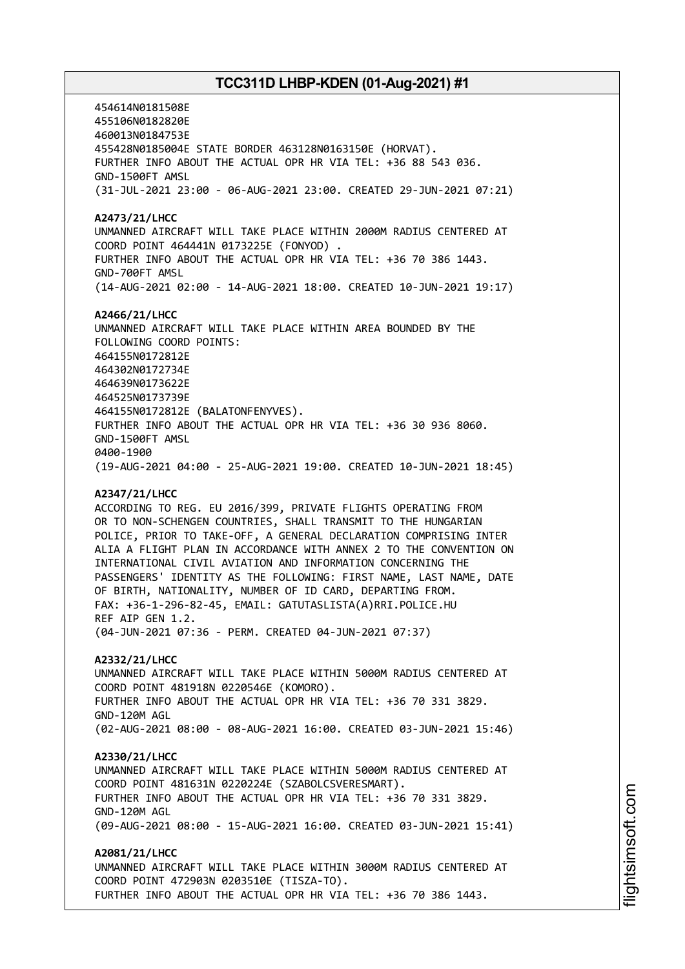454614N0181508E 455106N0182820E 460013N0184753E 455428N0185004E STATE BORDER 463128N0163150E (HORVAT). FURTHER INFO ABOUT THE ACTUAL OPR HR VIA TEL: +36 88 543 036. GND-1500FT AMSL (31-JUL-2021 23:00 - 06-AUG-2021 23:00. CREATED 29-JUN-2021 07:21) **A2473/21/LHCC** UNMANNED AIRCRAFT WILL TAKE PLACE WITHIN 2000M RADIUS CENTERED AT COORD POINT 464441N 0173225E (FONYOD) . FURTHER INFO ABOUT THE ACTUAL OPR HR VIA TEL: +36 70 386 1443. GND-700FT AMSL (14-AUG-2021 02:00 - 14-AUG-2021 18:00. CREATED 10-JUN-2021 19:17) **A2466/21/LHCC** UNMANNED AIRCRAFT WILL TAKE PLACE WITHIN AREA BOUNDED BY THE FOLLOWING COORD POINTS: 464155N0172812E 464302N0172734E 464639N0173622E 464525N0173739E 464155N0172812E (BALATONFENYVES). FURTHER INFO ABOUT THE ACTUAL OPR HR VIA TEL: +36 30 936 8060. GND-1500FT AMSL 0400-1900 (19-AUG-2021 04:00 - 25-AUG-2021 19:00. CREATED 10-JUN-2021 18:45) **A2347/21/LHCC** ACCORDING TO REG. EU 2016/399, PRIVATE FLIGHTS OPERATING FROM OR TO NON-SCHENGEN COUNTRIES, SHALL TRANSMIT TO THE HUNGARIAN POLICE, PRIOR TO TAKE-OFF, A GENERAL DECLARATION COMPRISING INTER ALIA A FLIGHT PLAN IN ACCORDANCE WITH ANNEX 2 TO THE CONVENTION ON INTERNATIONAL CIVIL AVIATION AND INFORMATION CONCERNING THE PASSENGERS' IDENTITY AS THE FOLLOWING: FIRST NAME, LAST NAME, DATE OF BIRTH, NATIONALITY, NUMBER OF ID CARD, DEPARTING FROM. FAX: +36-1-296-82-45, EMAIL: GATUTASLISTA(A)RRI.POLICE.HU REF AIP GEN 1.2. (04-JUN-2021 07:36 - PERM. CREATED 04-JUN-2021 07:37) **A2332/21/LHCC** UNMANNED AIRCRAFT WILL TAKE PLACE WITHIN 5000M RADIUS CENTERED AT COORD POINT 481918N 0220546E (KOMORO). FURTHER INFO ABOUT THE ACTUAL OPR HR VIA TEL: +36 70 331 3829. GND-120M AGL (02-AUG-2021 08:00 - 08-AUG-2021 16:00. CREATED 03-JUN-2021 15:46)

#### **A2330/21/LHCC**

UNMANNED AIRCRAFT WILL TAKE PLACE WITHIN 5000M RADIUS CENTERED AT COORD POINT 481631N 0220224E (SZABOLCSVERESMART). FURTHER INFO ABOUT THE ACTUAL OPR HR VIA TEL: +36 70 331 3829. GND-120M AGL (09-AUG-2021 08:00 - 15-AUG-2021 16:00. CREATED 03-JUN-2021 15:41)

**A2081/21/LHCC** UNMANNED AIRCRAFT WILL TAKE PLACE WITHIN 3000M RADIUS CENTERED AT COORD POINT 472903N 0203510E (TISZA-TO). FURTHER INFO ABOUT THE ACTUAL OPR HR VIA TEL: +36 70 386 1443.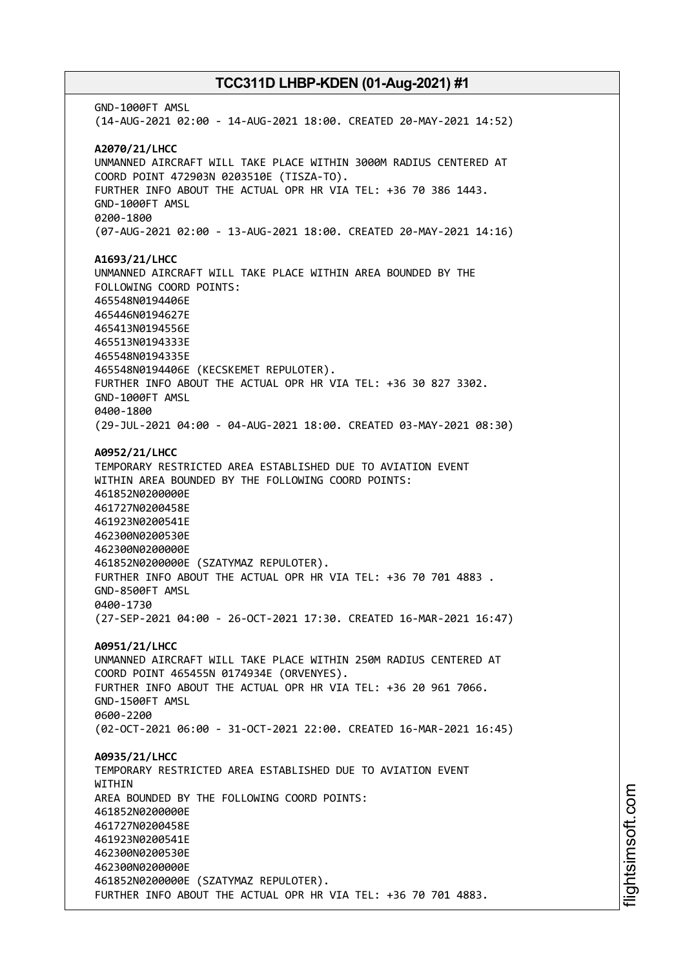GND-1000FT AMSL (14-AUG-2021 02:00 - 14-AUG-2021 18:00. CREATED 20-MAY-2021 14:52) **A2070/21/LHCC** UNMANNED AIRCRAFT WILL TAKE PLACE WITHIN 3000M RADIUS CENTERED AT COORD POINT 472903N 0203510E (TISZA-TO). FURTHER INFO ABOUT THE ACTUAL OPR HR VIA TEL: +36 70 386 1443. GND-1000FT AMSL 0200-1800 (07-AUG-2021 02:00 - 13-AUG-2021 18:00. CREATED 20-MAY-2021 14:16) **A1693/21/LHCC** UNMANNED AIRCRAFT WILL TAKE PLACE WITHIN AREA BOUNDED BY THE FOLLOWING COORD POINTS: 465548N0194406E 465446N0194627E 465413N0194556E 465513N0194333E 465548N0194335E 465548N0194406E (KECSKEMET REPULOTER). FURTHER INFO ABOUT THE ACTUAL OPR HR VIA TEL: +36 30 827 3302. GND-1000FT AMSL 0400-1800 (29-JUL-2021 04:00 - 04-AUG-2021 18:00. CREATED 03-MAY-2021 08:30) **A0952/21/LHCC** TEMPORARY RESTRICTED AREA ESTABLISHED DUE TO AVIATION EVENT WITHIN AREA BOUNDED BY THE FOLLOWING COORD POINTS: 461852N0200000E 461727N0200458E 461923N0200541E 462300N0200530E 462300N0200000E 461852N0200000E (SZATYMAZ REPULOTER). FURTHER INFO ABOUT THE ACTUAL OPR HR VIA TEL: +36 70 701 4883 . GND-8500FT AMSL 0400-1730 (27-SEP-2021 04:00 - 26-OCT-2021 17:30. CREATED 16-MAR-2021 16:47) **A0951/21/LHCC** UNMANNED AIRCRAFT WILL TAKE PLACE WITHIN 250M RADIUS CENTERED AT COORD POINT 465455N 0174934E (ORVENYES). FURTHER INFO ABOUT THE ACTUAL OPR HR VIA TEL: +36 20 961 7066. GND-1500FT AMSL 0600-2200 (02-OCT-2021 06:00 - 31-OCT-2021 22:00. CREATED 16-MAR-2021 16:45) **A0935/21/LHCC** TEMPORARY RESTRICTED AREA ESTABLISHED DUE TO AVIATION EVENT WITHIN AREA BOUNDED BY THE FOLLOWING COORD POINTS: 461852N0200000E 461727N0200458E 461923N0200541E 462300N0200530E 462300N0200000E 461852N0200000E (SZATYMAZ REPULOTER). FURTHER INFO ABOUT THE ACTUAL OPR HR VIA TEL: +36 70 701 4883.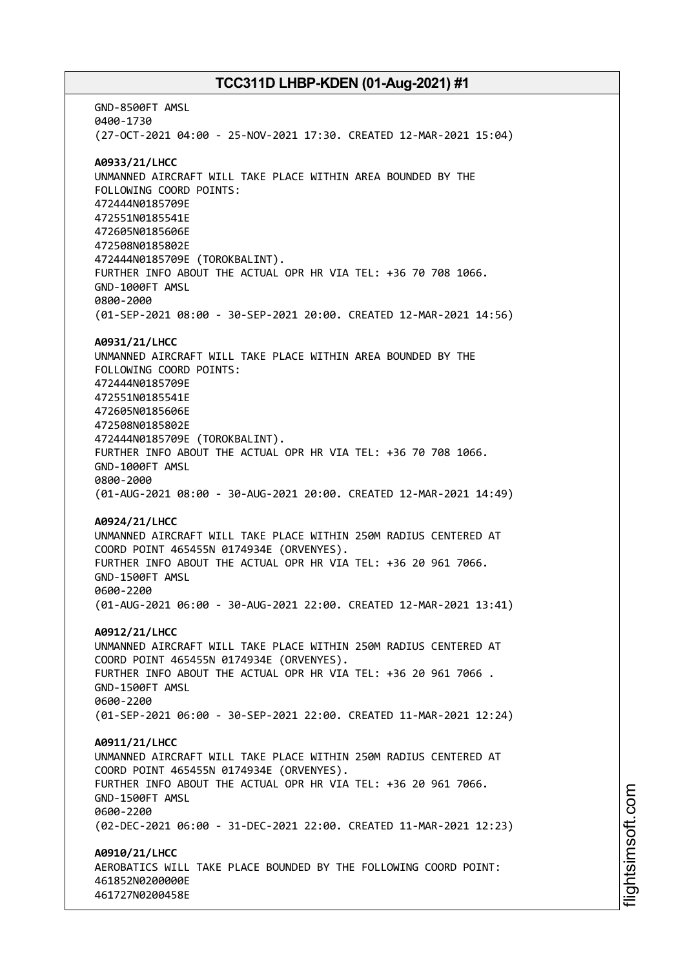GND-8500FT AMSL 0400-1730 (27-OCT-2021 04:00 - 25-NOV-2021 17:30. CREATED 12-MAR-2021 15:04) **A0933/21/LHCC** UNMANNED AIRCRAFT WILL TAKE PLACE WITHIN AREA BOUNDED BY THE FOLLOWING COORD POINTS: 472444N0185709E 472551N0185541E 472605N0185606E 472508N0185802E 472444N0185709E (TOROKBALINT). FURTHER INFO ABOUT THE ACTUAL OPR HR VIA TEL: +36 70 708 1066. GND-1000FT AMSL 0800-2000 (01-SEP-2021 08:00 - 30-SEP-2021 20:00. CREATED 12-MAR-2021 14:56) **A0931/21/LHCC** UNMANNED AIRCRAFT WILL TAKE PLACE WITHIN AREA BOUNDED BY THE FOLLOWING COORD POINTS: 472444N0185709E 472551N0185541E 472605N0185606E 472508N0185802E 472444N0185709E (TOROKBALINT). FURTHER INFO ABOUT THE ACTUAL OPR HR VIA TEL: +36 70 708 1066. GND-1000FT AMSL 0800-2000 (01-AUG-2021 08:00 - 30-AUG-2021 20:00. CREATED 12-MAR-2021 14:49) **A0924/21/LHCC** UNMANNED AIRCRAFT WILL TAKE PLACE WITHIN 250M RADIUS CENTERED AT COORD POINT 465455N 0174934E (ORVENYES). FURTHER INFO ABOUT THE ACTUAL OPR HR VIA TEL: +36 20 961 7066. GND-1500FT AMSL 0600-2200 (01-AUG-2021 06:00 - 30-AUG-2021 22:00. CREATED 12-MAR-2021 13:41) **A0912/21/LHCC** UNMANNED AIRCRAFT WILL TAKE PLACE WITHIN 250M RADIUS CENTERED AT COORD POINT 465455N 0174934E (ORVENYES). FURTHER INFO ABOUT THE ACTUAL OPR HR VIA TEL: +36 20 961 7066 . GND-1500FT AMSL 0600-2200 (01-SEP-2021 06:00 - 30-SEP-2021 22:00. CREATED 11-MAR-2021 12:24) **A0911/21/LHCC** UNMANNED AIRCRAFT WILL TAKE PLACE WITHIN 250M RADIUS CENTERED AT COORD POINT 465455N 0174934E (ORVENYES). FURTHER INFO ABOUT THE ACTUAL OPR HR VIA TEL: +36 20 961 7066. GND-1500FT AMSL 0600-2200 (02-DEC-2021 06:00 - 31-DEC-2021 22:00. CREATED 11-MAR-2021 12:23) **A0910/21/LHCC** AEROBATICS WILL TAKE PLACE BOUNDED BY THE FOLLOWING COORD POINT: 461852N0200000E 461727N0200458E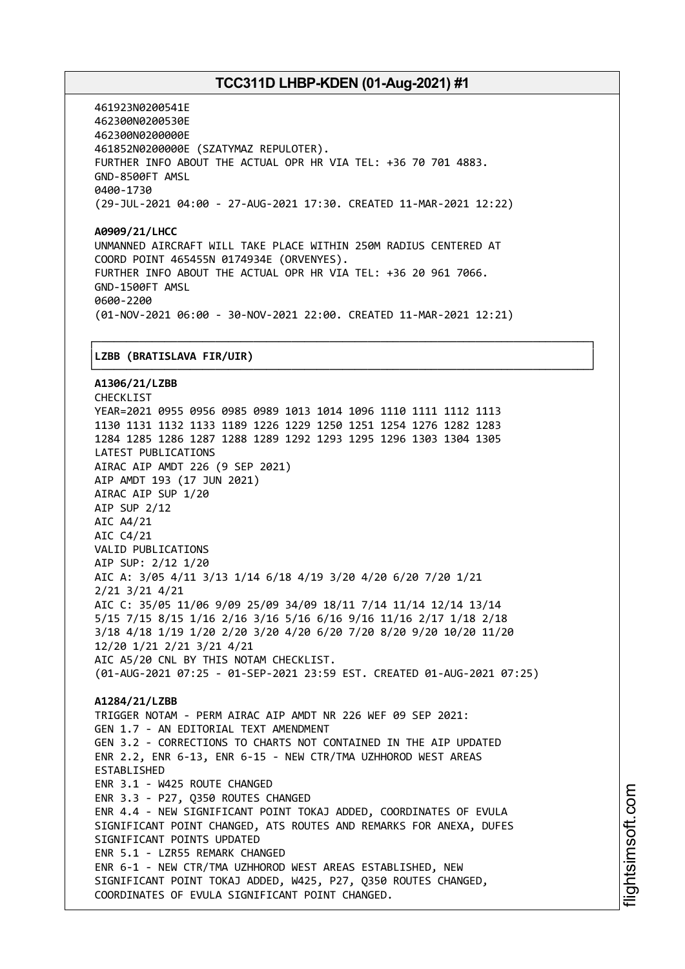461923N0200541E 462300N0200530E 462300N0200000E 461852N0200000E (SZATYMAZ REPULOTER). FURTHER INFO ABOUT THE ACTUAL OPR HR VIA TEL: +36 70 701 4883. GND-8500FT AMSL 0400-1730 (29-JUL-2021 04:00 - 27-AUG-2021 17:30. CREATED 11-MAR-2021 12:22)

**A0909/21/LHCC** UNMANNED AIRCRAFT WILL TAKE PLACE WITHIN 250M RADIUS CENTERED AT COORD POINT 465455N 0174934E (ORVENYES). FURTHER INFO ABOUT THE ACTUAL OPR HR VIA TEL: +36 20 961 7066. GND-1500FT AMSL 0600-2200 (01-NOV-2021 06:00 - 30-NOV-2021 22:00. CREATED 11-MAR-2021 12:21)

┌──────────────────────────────────────────────────────────────────────────────┐

#### │**LZBB (BRATISLAVA FIR/UIR)** │

└──────────────────────────────────────────────────────────────────────────────┘ **A1306/21/LZBB** CHECKLIST YEAR=2021 0955 0956 0985 0989 1013 1014 1096 1110 1111 1112 1113 1130 1131 1132 1133 1189 1226 1229 1250 1251 1254 1276 1282 1283 1284 1285 1286 1287 1288 1289 1292 1293 1295 1296 1303 1304 1305 LATEST PUBLICATIONS AIRAC AIP AMDT 226 (9 SEP 2021) AIP AMDT 193 (17 JUN 2021) AIRAC AIP SUP 1/20 AIP SUP 2/12 AIC A4/21 AIC C4/21 VALID PUBLICATIONS AIP SUP: 2/12 1/20 AIC A: 3/05 4/11 3/13 1/14 6/18 4/19 3/20 4/20 6/20 7/20 1/21 2/21 3/21 4/21 AIC C: 35/05 11/06 9/09 25/09 34/09 18/11 7/14 11/14 12/14 13/14 5/15 7/15 8/15 1/16 2/16 3/16 5/16 6/16 9/16 11/16 2/17 1/18 2/18 3/18 4/18 1/19 1/20 2/20 3/20 4/20 6/20 7/20 8/20 9/20 10/20 11/20 12/20 1/21 2/21 3/21 4/21 AIC A5/20 CNL BY THIS NOTAM CHECKLIST. (01-AUG-2021 07:25 - 01-SEP-2021 23:59 EST. CREATED 01-AUG-2021 07:25) **A1284/21/LZBB** TRIGGER NOTAM - PERM AIRAC AIP AMDT NR 226 WEF 09 SEP 2021: GEN 1.7 - AN EDITORIAL TEXT AMENDMENT GEN 3.2 - CORRECTIONS TO CHARTS NOT CONTAINED IN THE AIP UPDATED ENR 2.2, ENR 6-13, ENR 6-15 - NEW CTR/TMA UZHHOROD WEST AREAS ESTABLISHED ENR 3.1 - W425 ROUTE CHANGED ENR 3.3 - P27, Q350 ROUTES CHANGED ENR 4.4 - NEW SIGNIFICANT POINT TOKAJ ADDED, COORDINATES OF EVULA SIGNIFICANT POINT CHANGED, ATS ROUTES AND REMARKS FOR ANEXA, DUFES SIGNIFICANT POINTS UPDATED ENR 5.1 - LZR55 REMARK CHANGED ENR 6-1 - NEW CTR/TMA UZHHOROD WEST AREAS ESTABLISHED, NEW SIGNIFICANT POINT TOKAJ ADDED, W425, P27, Q350 ROUTES CHANGED, COORDINATES OF EVULA SIGNIFICANT POINT CHANGED.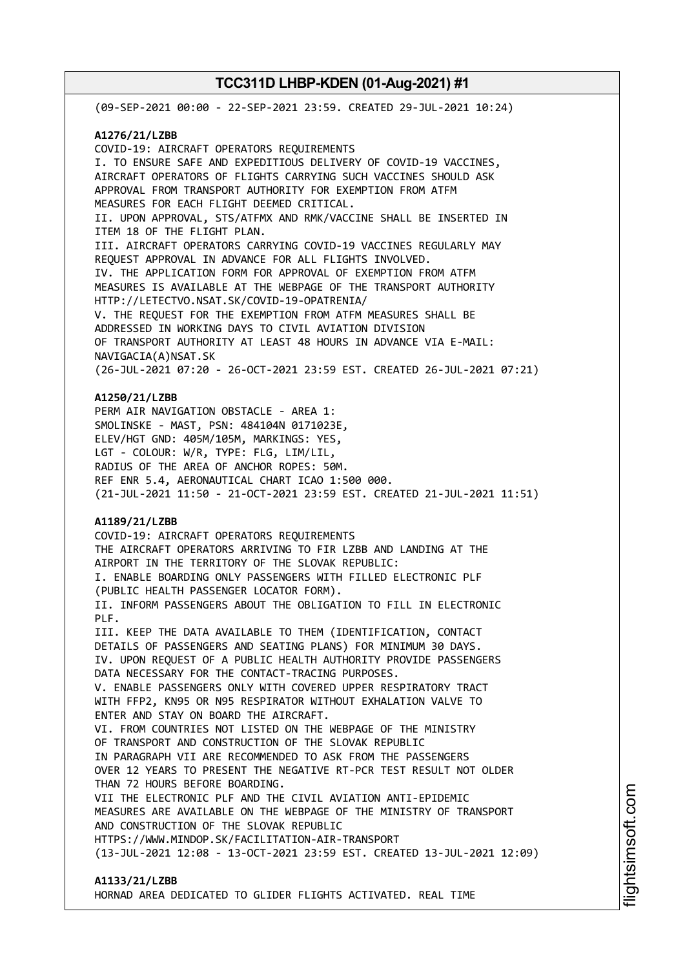(09-SEP-2021 00:00 - 22-SEP-2021 23:59. CREATED 29-JUL-2021 10:24) **A1276/21/LZBB** COVID-19: AIRCRAFT OPERATORS REQUIREMENTS I. TO ENSURE SAFE AND EXPEDITIOUS DELIVERY OF COVID-19 VACCINES, AIRCRAFT OPERATORS OF FLIGHTS CARRYING SUCH VACCINES SHOULD ASK APPROVAL FROM TRANSPORT AUTHORITY FOR EXEMPTION FROM ATFM MEASURES FOR EACH FLIGHT DEEMED CRITICAL. II. UPON APPROVAL, STS/ATFMX AND RMK/VACCINE SHALL BE INSERTED IN ITEM 18 OF THE FLIGHT PLAN. III. AIRCRAFT OPERATORS CARRYING COVID-19 VACCINES REGULARLY MAY REQUEST APPROVAL IN ADVANCE FOR ALL FLIGHTS INVOLVED. IV. THE APPLICATION FORM FOR APPROVAL OF EXEMPTION FROM ATFM MEASURES IS AVAILABLE AT THE WEBPAGE OF THE TRANSPORT AUTHORITY HTTP://LETECTVO.NSAT.SK/COVID-19-OPATRENIA/ V. THE REQUEST FOR THE EXEMPTION FROM ATFM MEASURES SHALL BE ADDRESSED IN WORKING DAYS TO CIVIL AVIATION DIVISION OF TRANSPORT AUTHORITY AT LEAST 48 HOURS IN ADVANCE VIA E-MAIL: NAVIGACIA(A)NSAT.SK (26-JUL-2021 07:20 - 26-OCT-2021 23:59 EST. CREATED 26-JUL-2021 07:21) **A1250/21/LZBB** PERM AIR NAVIGATION OBSTACLE - AREA 1: SMOLINSKE - MAST, PSN: 484104N 0171023E, ELEV/HGT GND: 405M/105M, MARKINGS: YES, LGT - COLOUR: W/R, TYPE: FLG, LIM/LIL, RADIUS OF THE AREA OF ANCHOR ROPES: 50M. REF ENR 5.4, AERONAUTICAL CHART ICAO 1:500 000. (21-JUL-2021 11:50 - 21-OCT-2021 23:59 EST. CREATED 21-JUL-2021 11:51) **A1189/21/LZBB** COVID-19: AIRCRAFT OPERATORS REQUIREMENTS THE AIRCRAFT OPERATORS ARRIVING TO FIR LZBB AND LANDING AT THE AIRPORT IN THE TERRITORY OF THE SLOVAK REPUBLIC: I. ENABLE BOARDING ONLY PASSENGERS WITH FILLED ELECTRONIC PLF (PUBLIC HEALTH PASSENGER LOCATOR FORM). II. INFORM PASSENGERS ABOUT THE OBLIGATION TO FILL IN ELECTRONIC PLF. III. KEEP THE DATA AVAILABLE TO THEM (IDENTIFICATION, CONTACT DETAILS OF PASSENGERS AND SEATING PLANS) FOR MINIMUM 30 DAYS. IV. UPON REQUEST OF A PUBLIC HEALTH AUTHORITY PROVIDE PASSENGERS DATA NECESSARY FOR THE CONTACT-TRACING PURPOSES. V. ENABLE PASSENGERS ONLY WITH COVERED UPPER RESPIRATORY TRACT WITH FFP2, KN95 OR N95 RESPIRATOR WITHOUT EXHALATION VALVE TO ENTER AND STAY ON BOARD THE AIRCRAFT. VI. FROM COUNTRIES NOT LISTED ON THE WEBPAGE OF THE MINISTRY OF TRANSPORT AND CONSTRUCTION OF THE SLOVAK REPUBLIC IN PARAGRAPH VII ARE RECOMMENDED TO ASK FROM THE PASSENGERS OVER 12 YEARS TO PRESENT THE NEGATIVE RT-PCR TEST RESULT NOT OLDER THAN 72 HOURS BEFORE BOARDING. VII THE ELECTRONIC PLF AND THE CIVIL AVIATION ANTI-EPIDEMIC MEASURES ARE AVAILABLE ON THE WEBPAGE OF THE MINISTRY OF TRANSPORT AND CONSTRUCTION OF THE SLOVAK REPUBLIC HTTPS://WWW.MINDOP.SK/FACILITATION-AIR-TRANSPORT (13-JUL-2021 12:08 - 13-OCT-2021 23:59 EST. CREATED 13-JUL-2021 12:09) **A1133/21/LZBB**

HORNAD AREA DEDICATED TO GLIDER FLIGHTS ACTIVATED. REAL TIME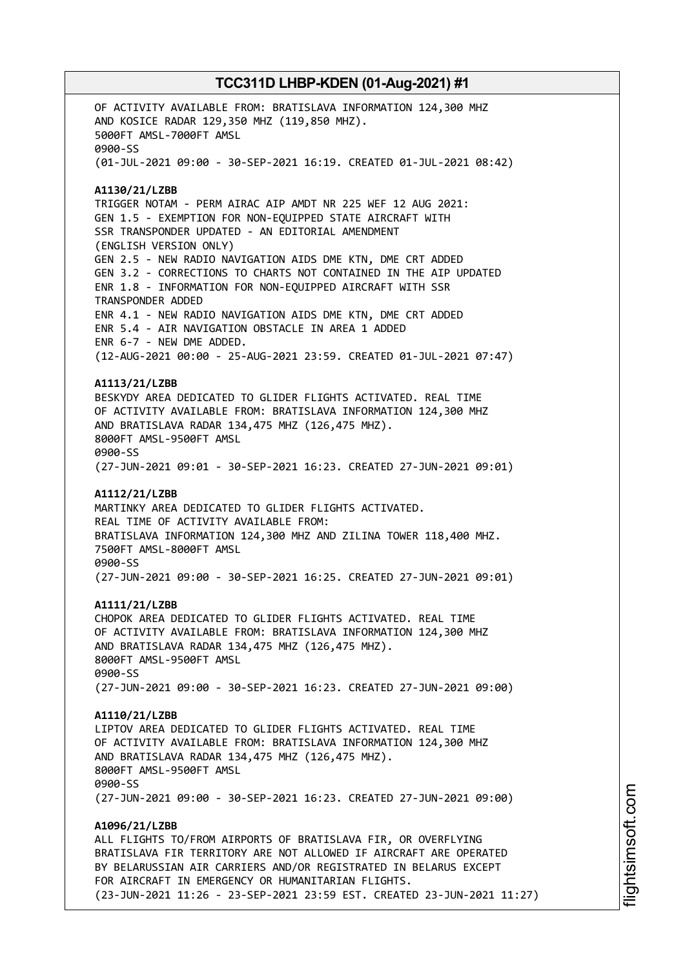OF ACTIVITY AVAILABLE FROM: BRATISLAVA INFORMATION 124,300 MHZ AND KOSICE RADAR 129,350 MHZ (119,850 MHZ). 5000FT AMSL-7000FT AMSL 0900-SS (01-JUL-2021 09:00 - 30-SEP-2021 16:19. CREATED 01-JUL-2021 08:42) **A1130/21/LZBB** TRIGGER NOTAM - PERM AIRAC AIP AMDT NR 225 WEF 12 AUG 2021: GEN 1.5 - EXEMPTION FOR NON-EQUIPPED STATE AIRCRAFT WITH SSR TRANSPONDER UPDATED - AN EDITORIAL AMENDMENT (ENGLISH VERSION ONLY) GEN 2.5 - NEW RADIO NAVIGATION AIDS DME KTN, DME CRT ADDED GEN 3.2 - CORRECTIONS TO CHARTS NOT CONTAINED IN THE AIP UPDATED ENR 1.8 - INFORMATION FOR NON-EQUIPPED AIRCRAFT WITH SSR TRANSPONDER ADDED ENR 4.1 - NEW RADIO NAVIGATION AIDS DME KTN, DME CRT ADDED ENR 5.4 - AIR NAVIGATION OBSTACLE IN AREA 1 ADDED ENR 6-7 - NEW DME ADDED. (12-AUG-2021 00:00 - 25-AUG-2021 23:59. CREATED 01-JUL-2021 07:47) **A1113/21/LZBB** BESKYDY AREA DEDICATED TO GLIDER FLIGHTS ACTIVATED. REAL TIME OF ACTIVITY AVAILABLE FROM: BRATISLAVA INFORMATION 124,300 MHZ AND BRATISLAVA RADAR 134,475 MHZ (126,475 MHZ). 8000FT AMSL-9500FT AMSL 0900-SS (27-JUN-2021 09:01 - 30-SEP-2021 16:23. CREATED 27-JUN-2021 09:01) **A1112/21/LZBB** MARTINKY AREA DEDICATED TO GLIDER FLIGHTS ACTIVATED. REAL TIME OF ACTIVITY AVAILABLE FROM: BRATISLAVA INFORMATION 124,300 MHZ AND ZILINA TOWER 118,400 MHZ. 7500FT AMSL-8000FT AMSL 0900-SS (27-JUN-2021 09:00 - 30-SEP-2021 16:25. CREATED 27-JUN-2021 09:01) **A1111/21/LZBB** CHOPOK AREA DEDICATED TO GLIDER FLIGHTS ACTIVATED. REAL TIME OF ACTIVITY AVAILABLE FROM: BRATISLAVA INFORMATION 124,300 MHZ AND BRATISLAVA RADAR 134,475 MHZ (126,475 MHZ). 8000FT AMSL-9500FT AMSL 0900-SS (27-JUN-2021 09:00 - 30-SEP-2021 16:23. CREATED 27-JUN-2021 09:00) **A1110/21/LZBB** LIPTOV AREA DEDICATED TO GLIDER FLIGHTS ACTIVATED. REAL TIME OF ACTIVITY AVAILABLE FROM: BRATISLAVA INFORMATION 124,300 MHZ AND BRATISLAVA RADAR 134,475 MHZ (126,475 MHZ). 8000FT AMSL-9500FT AMSL 0900-SS (27-JUN-2021 09:00 - 30-SEP-2021 16:23. CREATED 27-JUN-2021 09:00) **A1096/21/LZBB** ALL FLIGHTS TO/FROM AIRPORTS OF BRATISLAVA FIR, OR OVERFLYING BRATISLAVA FIR TERRITORY ARE NOT ALLOWED IF AIRCRAFT ARE OPERATED BY BELARUSSIAN AIR CARRIERS AND/OR REGISTRATED IN BELARUS EXCEPT FOR AIRCRAFT IN EMERGENCY OR HUMANITARIAN FLIGHTS. (23-JUN-2021 11:26 - 23-SEP-2021 23:59 EST. CREATED 23-JUN-2021 11:27)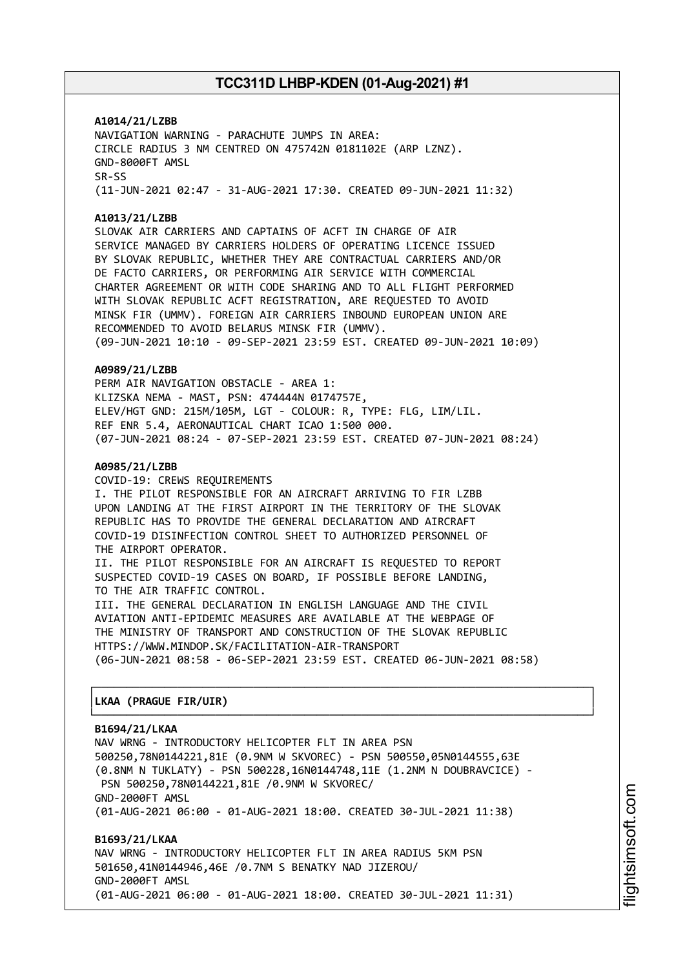**A1014/21/LZBB** NAVIGATION WARNING - PARACHUTE JUMPS IN AREA: CIRCLE RADIUS 3 NM CENTRED ON 475742N 0181102E (ARP LZNZ). GND-8000FT AMSL SR-SS (11-JUN-2021 02:47 - 31-AUG-2021 17:30. CREATED 09-JUN-2021 11:32)

#### **A1013/21/LZBB**

SLOVAK AIR CARRIERS AND CAPTAINS OF ACFT IN CHARGE OF AIR SERVICE MANAGED BY CARRIERS HOLDERS OF OPERATING LICENCE ISSUED BY SLOVAK REPUBLIC, WHETHER THEY ARE CONTRACTUAL CARRIERS AND/OR DE FACTO CARRIERS, OR PERFORMING AIR SERVICE WITH COMMERCIAL CHARTER AGREEMENT OR WITH CODE SHARING AND TO ALL FLIGHT PERFORMED WITH SLOVAK REPUBLIC ACFT REGISTRATION, ARE REQUESTED TO AVOID MINSK FIR (UMMV). FOREIGN AIR CARRIERS INBOUND EUROPEAN UNION ARE RECOMMENDED TO AVOID BELARUS MINSK FIR (UMMV). (09-JUN-2021 10:10 - 09-SEP-2021 23:59 EST. CREATED 09-JUN-2021 10:09)

#### **A0989/21/LZBB**

PERM AIR NAVIGATION OBSTACLE - AREA 1: KLIZSKA NEMA - MAST, PSN: 474444N 0174757E, ELEV/HGT GND: 215M/105M, LGT - COLOUR: R, TYPE: FLG, LIM/LIL. REF ENR 5.4, AERONAUTICAL CHART ICAO 1:500 000. (07-JUN-2021 08:24 - 07-SEP-2021 23:59 EST. CREATED 07-JUN-2021 08:24)

#### **A0985/21/LZBB**

COVID-19: CREWS REQUIREMENTS I. THE PILOT RESPONSIBLE FOR AN AIRCRAFT ARRIVING TO FIR LZBB UPON LANDING AT THE FIRST AIRPORT IN THE TERRITORY OF THE SLOVAK REPUBLIC HAS TO PROVIDE THE GENERAL DECLARATION AND AIRCRAFT COVID-19 DISINFECTION CONTROL SHEET TO AUTHORIZED PERSONNEL OF THE AIRPORT OPERATOR. II. THE PILOT RESPONSIBLE FOR AN AIRCRAFT IS REQUESTED TO REPORT SUSPECTED COVID-19 CASES ON BOARD, IF POSSIBLE BEFORE LANDING,

TO THE AIR TRAFFIC CONTROL. III. THE GENERAL DECLARATION IN ENGLISH LANGUAGE AND THE CIVIL AVIATION ANTI-EPIDEMIC MEASURES ARE AVAILABLE AT THE WEBPAGE OF THE MINISTRY OF TRANSPORT AND CONSTRUCTION OF THE SLOVAK REPUBLIC HTTPS://WWW.MINDOP.SK/FACILITATION-AIR-TRANSPORT (06-JUN-2021 08:58 - 06-SEP-2021 23:59 EST. CREATED 06-JUN-2021 08:58)

┌──────────────────────────────────────────────────────────────────────────────┐

└──────────────────────────────────────────────────────────────────────────────┘

#### │**LKAA (PRAGUE FIR/UIR)** │

#### **B1694/21/LKAA**

NAV WRNG - INTRODUCTORY HELICOPTER FLT IN AREA PSN 500250,78N0144221,81E (0.9NM W SKVOREC) - PSN 500550,05N0144555,63E (0.8NM N TUKLATY) - PSN 500228,16N0144748,11E (1.2NM N DOUBRAVCICE) - PSN 500250,78N0144221,81E /0.9NM W SKVOREC/ GND-2000FT AMSL (01-AUG-2021 06:00 - 01-AUG-2021 18:00. CREATED 30-JUL-2021 11:38)

**B1693/21/LKAA** NAV WRNG - INTRODUCTORY HELICOPTER FLT IN AREA RADIUS 5KM PSN 501650,41N0144946,46E /0.7NM S BENATKY NAD JIZEROU/ GND-2000FT AMSL (01-AUG-2021 06:00 - 01-AUG-2021 18:00. CREATED 30-JUL-2021 11:31)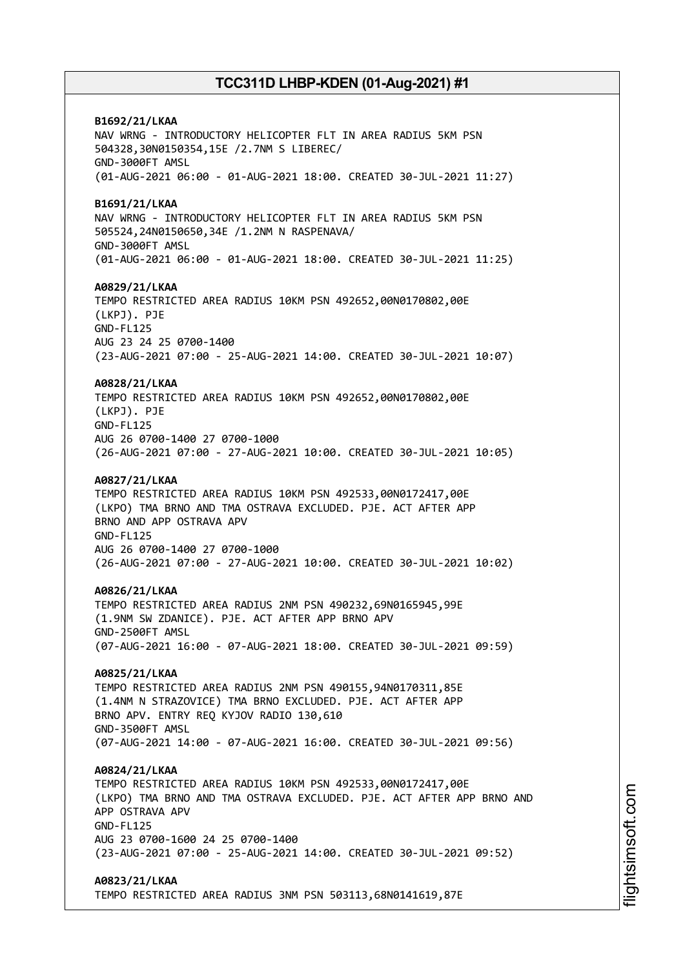**B1692/21/LKAA** NAV WRNG - INTRODUCTORY HELICOPTER FLT IN AREA RADIUS 5KM PSN 504328,30N0150354,15E /2.7NM S LIBEREC/ GND-3000FT AMSL (01-AUG-2021 06:00 - 01-AUG-2021 18:00. CREATED 30-JUL-2021 11:27) **B1691/21/LKAA** NAV WRNG - INTRODUCTORY HELICOPTER FLT IN AREA RADIUS 5KM PSN 505524,24N0150650,34E /1.2NM N RASPENAVA/ GND-3000FT AMSL (01-AUG-2021 06:00 - 01-AUG-2021 18:00. CREATED 30-JUL-2021 11:25) **A0829/21/LKAA** TEMPO RESTRICTED AREA RADIUS 10KM PSN 492652,00N0170802,00E (LKPJ). PJE GND-FL125 AUG 23 24 25 0700-1400 (23-AUG-2021 07:00 - 25-AUG-2021 14:00. CREATED 30-JUL-2021 10:07) **A0828/21/LKAA** TEMPO RESTRICTED AREA RADIUS 10KM PSN 492652,00N0170802,00E (LKPJ). PJE GND-FL125 AUG 26 0700-1400 27 0700-1000 (26-AUG-2021 07:00 - 27-AUG-2021 10:00. CREATED 30-JUL-2021 10:05) **A0827/21/LKAA** TEMPO RESTRICTED AREA RADIUS 10KM PSN 492533,00N0172417,00E (LKPO) TMA BRNO AND TMA OSTRAVA EXCLUDED. PJE. ACT AFTER APP BRNO AND APP OSTRAVA APV GND-FL125 AUG 26 0700-1400 27 0700-1000 (26-AUG-2021 07:00 - 27-AUG-2021 10:00. CREATED 30-JUL-2021 10:02) **A0826/21/LKAA** TEMPO RESTRICTED AREA RADIUS 2NM PSN 490232,69N0165945,99E (1.9NM SW ZDANICE). PJE. ACT AFTER APP BRNO APV GND-2500FT AMSL (07-AUG-2021 16:00 - 07-AUG-2021 18:00. CREATED 30-JUL-2021 09:59) **A0825/21/LKAA** TEMPO RESTRICTED AREA RADIUS 2NM PSN 490155,94N0170311,85E (1.4NM N STRAZOVICE) TMA BRNO EXCLUDED. PJE. ACT AFTER APP BRNO APV. ENTRY REQ KYJOV RADIO 130,610 GND-3500FT AMSL (07-AUG-2021 14:00 - 07-AUG-2021 16:00. CREATED 30-JUL-2021 09:56) **A0824/21/LKAA** TEMPO RESTRICTED AREA RADIUS 10KM PSN 492533,00N0172417,00E (LKPO) TMA BRNO AND TMA OSTRAVA EXCLUDED. PJE. ACT AFTER APP BRNO AND APP OSTRAVA APV GND-FL125 AUG 23 0700-1600 24 25 0700-1400 (23-AUG-2021 07:00 - 25-AUG-2021 14:00. CREATED 30-JUL-2021 09:52) **A0823/21/LKAA** TEMPO RESTRICTED AREA RADIUS 3NM PSN 503113,68N0141619,87E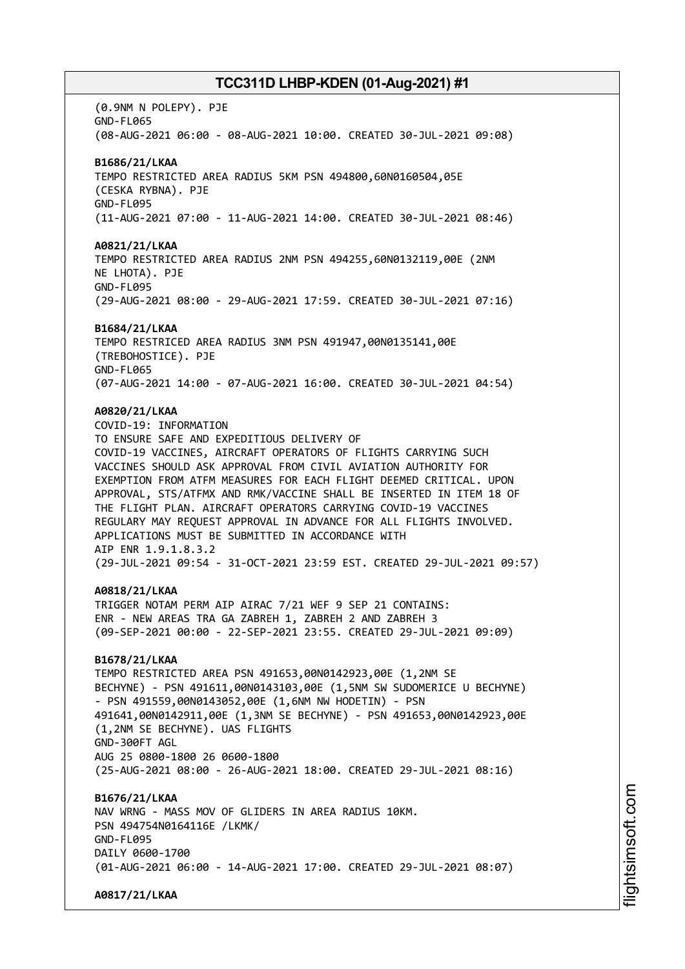(0.9NM N POLEPY). PJE GND-FL065 (08-AUG-2021 06:00 - 08-AUG-2021 10:00. CREATED 30-JUL-2021 09:08) **B1686/21/LKAA** TEMPO RESTRICTED AREA RADIUS 5KM PSN 494800,60N0160504,05E (CESKA RYBNA). PJE GND-FL095 (11-AUG-2021 07:00 - 11-AUG-2021 14:00. CREATED 30-JUL-2021 08:46) **A0821/21/LKAA** TEMPO RESTRICTED AREA RADIUS 2NM PSN 494255,60N0132119,00E (2NM NE LHOTA). PJE GND-FL095 (29-AUG-2021 08:00 - 29-AUG-2021 17:59. CREATED 30-JUL-2021 07:16) **B1684/21/LKAA** TEMPO RESTRICED AREA RADIUS 3NM PSN 491947,00N0135141,00E (TREBOHOSTICE). PJE GND-FL065 (07-AUG-2021 14:00 - 07-AUG-2021 16:00. CREATED 30-JUL-2021 04:54) **A0820/21/LKAA** COVID-19: INFORMATION TO ENSURE SAFE AND EXPEDITIOUS DELIVERY OF COVID-19 VACCINES, AIRCRAFT OPERATORS OF FLIGHTS CARRYING SUCH VACCINES SHOULD ASK APPROVAL FROM CIVIL AVIATION AUTHORITY FOR EXEMPTION FROM ATFM MEASURES FOR EACH FLIGHT DEEMED CRITICAL. UPON APPROVAL, STS/ATFMX AND RMK/VACCINE SHALL BE INSERTED IN ITEM 18 OF THE FLIGHT PLAN. AIRCRAFT OPERATORS CARRYING COVID-19 VACCINES REGULARY MAY REQUEST APPROVAL IN ADVANCE FOR ALL FLIGHTS INVOLVED. APPLICATIONS MUST BE SUBMITTED IN ACCORDANCE WITH AIP ENR 1.9.1.8.3.2 (29-JUL-2021 09:54 - 31-OCT-2021 23:59 EST. CREATED 29-JUL-2021 09:57) **A0818/21/LKAA** TRIGGER NOTAM PERM AIP AIRAC 7/21 WEF 9 SEP 21 CONTAINS: ENR - NEW AREAS TRA GA ZABREH 1, ZABREH 2 AND ZABREH 3 (09-SEP-2021 00:00 - 22-SEP-2021 23:55. CREATED 29-JUL-2021 09:09) **B1678/21/LKAA** TEMPO RESTRICTED AREA PSN 491653,00N0142923,00E (1,2NM SE BECHYNE) - PSN 491611,00N0143103,00E (1,5NM SW SUDOMERICE U BECHYNE) - PSN 491559,00N0143052,00E (1,6NM NW HODETIN) - PSN 491641,00N0142911,00E (1,3NM SE BECHYNE) - PSN 491653,00N0142923,00E (1,2NM SE BECHYNE). UAS FLIGHTS GND-300FT AGL AUG 25 0800-1800 26 0600-1800 (25-AUG-2021 08:00 - 26-AUG-2021 18:00. CREATED 29-JUL-2021 08:16) **B1676/21/LKAA** NAV WRNG - MASS MOV OF GLIDERS IN AREA RADIUS 10KM. PSN 494754N0164116E /LKMK/ GND-FL095 DATLY 0600-1700 (01-AUG-2021 06:00 - 14-AUG-2021 17:00. CREATED 29-JUL-2021 08:07) **A0817/21/LKAA**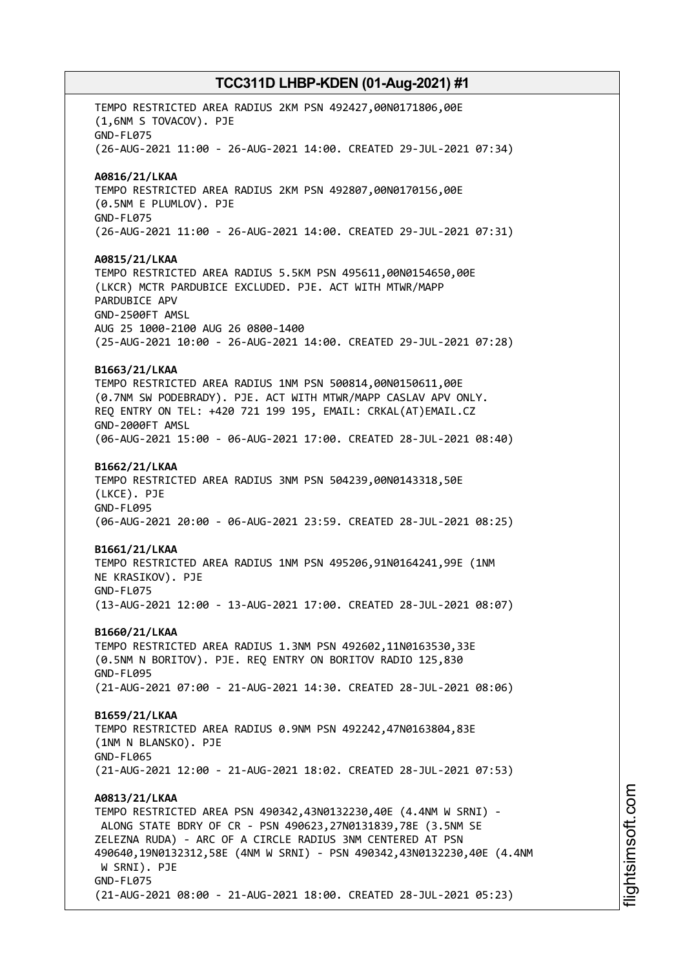TEMPO RESTRICTED AREA RADIUS 2KM PSN 492427,00N0171806,00E (1,6NM S TOVACOV). PJE GND-FL075 (26-AUG-2021 11:00 - 26-AUG-2021 14:00. CREATED 29-JUL-2021 07:34) **A0816/21/LKAA** TEMPO RESTRICTED AREA RADIUS 2KM PSN 492807,00N0170156,00E (0.5NM E PLUMLOV). PJE GND-FL075 (26-AUG-2021 11:00 - 26-AUG-2021 14:00. CREATED 29-JUL-2021 07:31) **A0815/21/LKAA** TEMPO RESTRICTED AREA RADIUS 5.5KM PSN 495611,00N0154650,00E (LKCR) MCTR PARDUBICE EXCLUDED. PJE. ACT WITH MTWR/MAPP PARDUBICE APV GND-2500FT AMSL AUG 25 1000-2100 AUG 26 0800-1400 (25-AUG-2021 10:00 - 26-AUG-2021 14:00. CREATED 29-JUL-2021 07:28) **B1663/21/LKAA** TEMPO RESTRICTED AREA RADIUS 1NM PSN 500814,00N0150611,00E (0.7NM SW PODEBRADY). PJE. ACT WITH MTWR/MAPP CASLAV APV ONLY. REQ ENTRY ON TEL: +420 721 199 195, EMAIL: CRKAL(AT)EMAIL.CZ GND-2000FT AMSL (06-AUG-2021 15:00 - 06-AUG-2021 17:00. CREATED 28-JUL-2021 08:40) **B1662/21/LKAA** TEMPO RESTRICTED AREA RADIUS 3NM PSN 504239,00N0143318,50E (LKCE). PJE GND-FL095 (06-AUG-2021 20:00 - 06-AUG-2021 23:59. CREATED 28-JUL-2021 08:25) **B1661/21/LKAA** TEMPO RESTRICTED AREA RADIUS 1NM PSN 495206,91N0164241,99E (1NM NE KRASIKOV). PJE GND-FL075 (13-AUG-2021 12:00 - 13-AUG-2021 17:00. CREATED 28-JUL-2021 08:07) **B1660/21/LKAA** TEMPO RESTRICTED AREA RADIUS 1.3NM PSN 492602,11N0163530,33E (0.5NM N BORITOV). PJE. REQ ENTRY ON BORITOV RADIO 125,830 GND-FL095 (21-AUG-2021 07:00 - 21-AUG-2021 14:30. CREATED 28-JUL-2021 08:06) **B1659/21/LKAA** TEMPO RESTRICTED AREA RADIUS 0.9NM PSN 492242,47N0163804,83E (1NM N BLANSKO). PJE GND-FL065 (21-AUG-2021 12:00 - 21-AUG-2021 18:02. CREATED 28-JUL-2021 07:53) **A0813/21/LKAA** TEMPO RESTRICTED AREA PSN 490342,43N0132230,40E (4.4NM W SRNI) - ALONG STATE BDRY OF CR - PSN 490623,27N0131839,78E (3.5NM SE ZELEZNA RUDA) - ARC OF A CIRCLE RADIUS 3NM CENTERED AT PSN 490640,19N0132312,58E (4NM W SRNI) - PSN 490342,43N0132230,40E (4.4NM W SRNI). PJE GND-FL075 (21-AUG-2021 08:00 - 21-AUG-2021 18:00. CREATED 28-JUL-2021 05:23)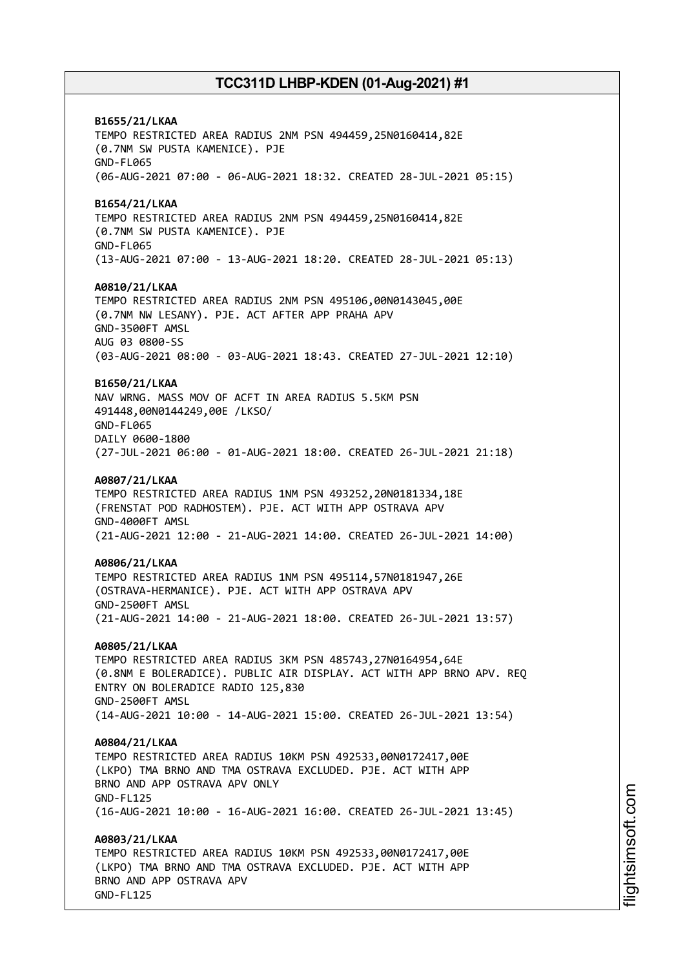**B1655/21/LKAA** TEMPO RESTRICTED AREA RADIUS 2NM PSN 494459,25N0160414,82E (0.7NM SW PUSTA KAMENICE). PJE GND-FL065 (06-AUG-2021 07:00 - 06-AUG-2021 18:32. CREATED 28-JUL-2021 05:15) **B1654/21/LKAA** TEMPO RESTRICTED AREA RADIUS 2NM PSN 494459,25N0160414,82E (0.7NM SW PUSTA KAMENICE). PJE GND-FL065 (13-AUG-2021 07:00 - 13-AUG-2021 18:20. CREATED 28-JUL-2021 05:13) **A0810/21/LKAA** TEMPO RESTRICTED AREA RADIUS 2NM PSN 495106,00N0143045,00E (0.7NM NW LESANY). PJE. ACT AFTER APP PRAHA APV GND-3500FT AMSL AUG 03 0800-SS (03-AUG-2021 08:00 - 03-AUG-2021 18:43. CREATED 27-JUL-2021 12:10) **B1650/21/LKAA** NAV WRNG. MASS MOV OF ACFT IN AREA RADIUS 5.5KM PSN 491448,00N0144249,00E /LKSO/ GND-FL065 DAILY 0600-1800 (27-JUL-2021 06:00 - 01-AUG-2021 18:00. CREATED 26-JUL-2021 21:18) **A0807/21/LKAA** TEMPO RESTRICTED AREA RADIUS 1NM PSN 493252,20N0181334,18E (FRENSTAT POD RADHOSTEM). PJE. ACT WITH APP OSTRAVA APV GND-4000FT AMSL (21-AUG-2021 12:00 - 21-AUG-2021 14:00. CREATED 26-JUL-2021 14:00) **A0806/21/LKAA** TEMPO RESTRICTED AREA RADIUS 1NM PSN 495114,57N0181947,26E (OSTRAVA-HERMANICE). PJE. ACT WITH APP OSTRAVA APV GND-2500FT AMSL (21-AUG-2021 14:00 - 21-AUG-2021 18:00. CREATED 26-JUL-2021 13:57) **A0805/21/LKAA** TEMPO RESTRICTED AREA RADIUS 3KM PSN 485743,27N0164954,64E (0.8NM E BOLERADICE). PUBLIC AIR DISPLAY. ACT WITH APP BRNO APV. REQ ENTRY ON BOLERADICE RADIO 125,830 GND-2500FT AMSL (14-AUG-2021 10:00 - 14-AUG-2021 15:00. CREATED 26-JUL-2021 13:54) **A0804/21/LKAA** TEMPO RESTRICTED AREA RADIUS 10KM PSN 492533,00N0172417,00E (LKPO) TMA BRNO AND TMA OSTRAVA EXCLUDED. PJE. ACT WITH APP BRNO AND APP OSTRAVA APV ONLY GND-FL125 (16-AUG-2021 10:00 - 16-AUG-2021 16:00. CREATED 26-JUL-2021 13:45) **A0803/21/LKAA** TEMPO RESTRICTED AREA RADIUS 10KM PSN 492533,00N0172417,00E (LKPO) TMA BRNO AND TMA OSTRAVA EXCLUDED. PJE. ACT WITH APP BRNO AND APP OSTRAVA APV GND-FL125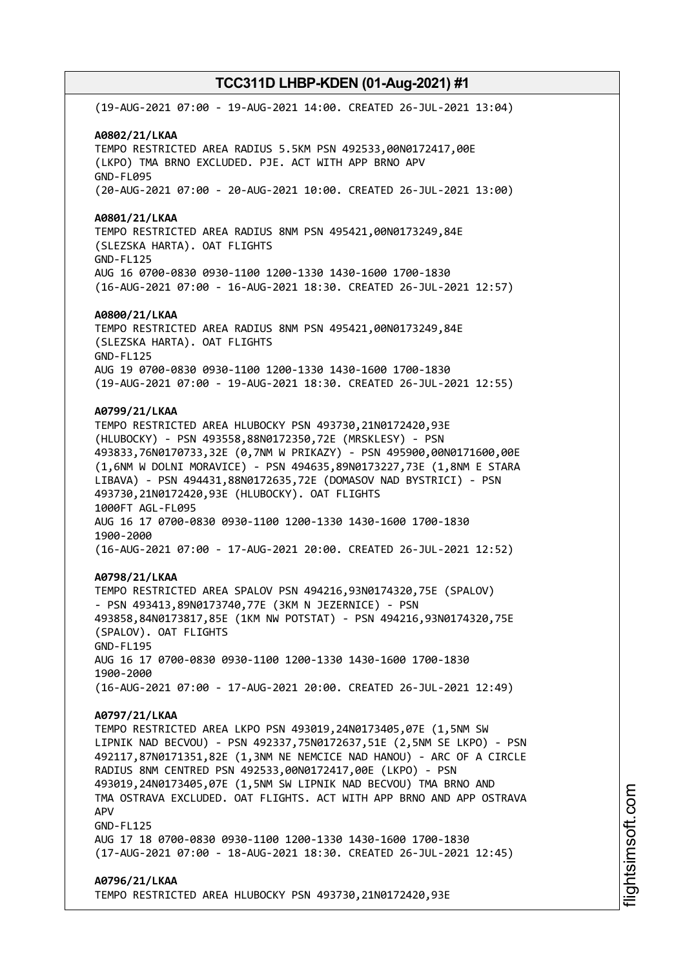(19-AUG-2021 07:00 - 19-AUG-2021 14:00. CREATED 26-JUL-2021 13:04) **A0802/21/LKAA** TEMPO RESTRICTED AREA RADIUS 5.5KM PSN 492533,00N0172417,00E (LKPO) TMA BRNO EXCLUDED. PJE. ACT WITH APP BRNO APV GND-FL095 (20-AUG-2021 07:00 - 20-AUG-2021 10:00. CREATED 26-JUL-2021 13:00) **A0801/21/LKAA** TEMPO RESTRICTED AREA RADIUS 8NM PSN 495421,00N0173249,84E (SLEZSKA HARTA). OAT FLIGHTS GND-FL125 AUG 16 0700-0830 0930-1100 1200-1330 1430-1600 1700-1830 (16-AUG-2021 07:00 - 16-AUG-2021 18:30. CREATED 26-JUL-2021 12:57) **A0800/21/LKAA** TEMPO RESTRICTED AREA RADIUS 8NM PSN 495421,00N0173249,84E (SLEZSKA HARTA). OAT FLIGHTS GND-FL125 AUG 19 0700-0830 0930-1100 1200-1330 1430-1600 1700-1830 (19-AUG-2021 07:00 - 19-AUG-2021 18:30. CREATED 26-JUL-2021 12:55) **A0799/21/LKAA** TEMPO RESTRICTED AREA HLUBOCKY PSN 493730,21N0172420,93E (HLUBOCKY) - PSN 493558,88N0172350,72E (MRSKLESY) - PSN 493833,76N0170733,32E (0,7NM W PRIKAZY) - PSN 495900,00N0171600,00E (1,6NM W DOLNI MORAVICE) - PSN 494635,89N0173227,73E (1,8NM E STARA LIBAVA) - PSN 494431,88N0172635,72E (DOMASOV NAD BYSTRICI) - PSN 493730,21N0172420,93E (HLUBOCKY). OAT FLIGHTS 1000FT AGL-FL095 AUG 16 17 0700-0830 0930-1100 1200-1330 1430-1600 1700-1830 1900-2000 (16-AUG-2021 07:00 - 17-AUG-2021 20:00. CREATED 26-JUL-2021 12:52) **A0798/21/LKAA** TEMPO RESTRICTED AREA SPALOV PSN 494216,93N0174320,75E (SPALOV) - PSN 493413,89N0173740,77E (3KM N JEZERNICE) - PSN 493858,84N0173817,85E (1KM NW POTSTAT) - PSN 494216,93N0174320,75E (SPALOV). OAT FLIGHTS GND-FL195 AUG 16 17 0700-0830 0930-1100 1200-1330 1430-1600 1700-1830 1900-2000 (16-AUG-2021 07:00 - 17-AUG-2021 20:00. CREATED 26-JUL-2021 12:49) **A0797/21/LKAA** TEMPO RESTRICTED AREA LKPO PSN 493019,24N0173405,07E (1,5NM SW LIPNIK NAD BECVOU) - PSN 492337,75N0172637,51E (2,5NM SE LKPO) - PSN 492117,87N0171351,82E (1,3NM NE NEMCICE NAD HANOU) - ARC OF A CIRCLE RADIUS 8NM CENTRED PSN 492533,00N0172417,00E (LKPO) - PSN 493019,24N0173405,07E (1,5NM SW LIPNIK NAD BECVOU) TMA BRNO AND TMA OSTRAVA EXCLUDED. OAT FLIGHTS. ACT WITH APP BRNO AND APP OSTRAVA APV GND-FL125 AUG 17 18 0700-0830 0930-1100 1200-1330 1430-1600 1700-1830 (17-AUG-2021 07:00 - 18-AUG-2021 18:30. CREATED 26-JUL-2021 12:45) **A0796/21/LKAA** TEMPO RESTRICTED AREA HLUBOCKY PSN 493730,21N0172420,93E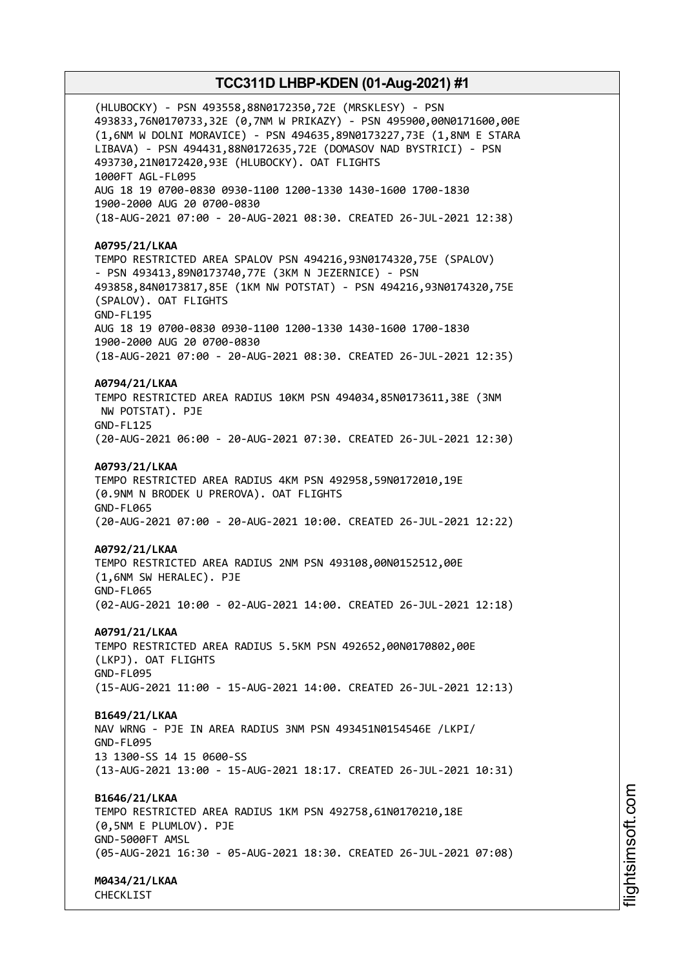(HLUBOCKY) - PSN 493558,88N0172350,72E (MRSKLESY) - PSN 493833,76N0170733,32E (0,7NM W PRIKAZY) - PSN 495900,00N0171600,00E (1,6NM W DOLNI MORAVICE) - PSN 494635,89N0173227,73E (1,8NM E STARA LIBAVA) - PSN 494431,88N0172635,72E (DOMASOV NAD BYSTRICI) - PSN 493730,21N0172420,93E (HLUBOCKY). OAT FLIGHTS 1000FT AGL-FL095 AUG 18 19 0700-0830 0930-1100 1200-1330 1430-1600 1700-1830 1900-2000 AUG 20 0700-0830 (18-AUG-2021 07:00 - 20-AUG-2021 08:30. CREATED 26-JUL-2021 12:38) **A0795/21/LKAA** TEMPO RESTRICTED AREA SPALOV PSN 494216,93N0174320,75E (SPALOV) - PSN 493413,89N0173740,77E (3KM N JEZERNICE) - PSN 493858,84N0173817,85E (1KM NW POTSTAT) - PSN 494216,93N0174320,75E (SPALOV). OAT FLIGHTS GND-FL195 AUG 18 19 0700-0830 0930-1100 1200-1330 1430-1600 1700-1830 1900-2000 AUG 20 0700-0830 (18-AUG-2021 07:00 - 20-AUG-2021 08:30. CREATED 26-JUL-2021 12:35) **A0794/21/LKAA** TEMPO RESTRICTED AREA RADIUS 10KM PSN 494034,85N0173611,38E (3NM NW POTSTAT). PJE GND-FL125 (20-AUG-2021 06:00 - 20-AUG-2021 07:30. CREATED 26-JUL-2021 12:30) **A0793/21/LKAA** TEMPO RESTRICTED AREA RADIUS 4KM PSN 492958,59N0172010,19E (0.9NM N BRODEK U PREROVA). OAT FLIGHTS GND-FL065 (20-AUG-2021 07:00 - 20-AUG-2021 10:00. CREATED 26-JUL-2021 12:22) **A0792/21/LKAA** TEMPO RESTRICTED AREA RADIUS 2NM PSN 493108,00N0152512,00E (1,6NM SW HERALEC). PJE GND-FL065 (02-AUG-2021 10:00 - 02-AUG-2021 14:00. CREATED 26-JUL-2021 12:18) **A0791/21/LKAA** TEMPO RESTRICTED AREA RADIUS 5.5KM PSN 492652,00N0170802,00E (LKPJ). OAT FLIGHTS GND-FL095 (15-AUG-2021 11:00 - 15-AUG-2021 14:00. CREATED 26-JUL-2021 12:13) **B1649/21/LKAA** NAV WRNG - PJE IN AREA RADIUS 3NM PSN 493451N0154546E /LKPI/ GND-FL095 13 1300-SS 14 15 0600-SS (13-AUG-2021 13:00 - 15-AUG-2021 18:17. CREATED 26-JUL-2021 10:31) **B1646/21/LKAA** TEMPO RESTRICTED AREA RADIUS 1KM PSN 492758,61N0170210,18E (0,5NM E PLUMLOV). PJE GND-5000FT AMSL (05-AUG-2021 16:30 - 05-AUG-2021 18:30. CREATED 26-JUL-2021 07:08) **M0434/21/LKAA**

CHECKLIST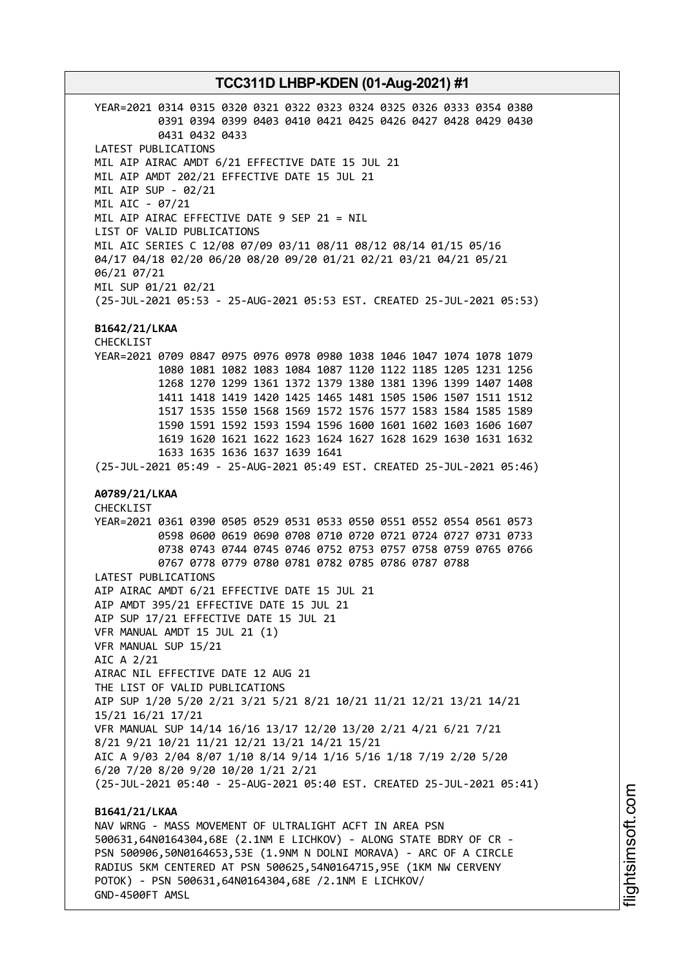YEAR=2021 0314 0315 0320 0321 0322 0323 0324 0325 0326 0333 0354 0380 0391 0394 0399 0403 0410 0421 0425 0426 0427 0428 0429 0430 0431 0432 0433 LATEST PUBLICATIONS MIL AIP AIRAC AMDT 6/21 EFFECTIVE DATE 15 JUL 21 MIL AIP AMDT 202/21 EFFECTIVE DATE 15 JUL 21 MIL AIP SUP - 02/21 MIL AIC - 07/21 MIL AIP AIRAC EFFECTIVE DATE 9 SEP 21 = NIL LIST OF VALID PUBLICATIONS MIL AIC SERIES C 12/08 07/09 03/11 08/11 08/12 08/14 01/15 05/16 04/17 04/18 02/20 06/20 08/20 09/20 01/21 02/21 03/21 04/21 05/21 06/21 07/21 MIL SUP 01/21 02/21 (25-JUL-2021 05:53 - 25-AUG-2021 05:53 EST. CREATED 25-JUL-2021 05:53) **B1642/21/LKAA** CHECKLIST YEAR=2021 0709 0847 0975 0976 0978 0980 1038 1046 1047 1074 1078 1079 1080 1081 1082 1083 1084 1087 1120 1122 1185 1205 1231 1256 1268 1270 1299 1361 1372 1379 1380 1381 1396 1399 1407 1408 1411 1418 1419 1420 1425 1465 1481 1505 1506 1507 1511 1512 1517 1535 1550 1568 1569 1572 1576 1577 1583 1584 1585 1589 1590 1591 1592 1593 1594 1596 1600 1601 1602 1603 1606 1607 1619 1620 1621 1622 1623 1624 1627 1628 1629 1630 1631 1632 1633 1635 1636 1637 1639 1641 (25-JUL-2021 05:49 - 25-AUG-2021 05:49 EST. CREATED 25-JUL-2021 05:46) **A0789/21/LKAA** CHECKLIST YEAR=2021 0361 0390 0505 0529 0531 0533 0550 0551 0552 0554 0561 0573 0598 0600 0619 0690 0708 0710 0720 0721 0724 0727 0731 0733 0738 0743 0744 0745 0746 0752 0753 0757 0758 0759 0765 0766 0767 0778 0779 0780 0781 0782 0785 0786 0787 0788 LATEST PUBLICATIONS AIP AIRAC AMDT 6/21 EFFECTIVE DATE 15 JUL 21 AIP AMDT 395/21 EFFECTIVE DATE 15 JUL 21 AIP SUP 17/21 EFFECTIVE DATE 15 JUL 21 VFR MANUAL AMDT 15 JUL 21 (1) VFR MANUAL SUP 15/21 AIC A 2/21 AIRAC NIL EFFECTIVE DATE 12 AUG 21 THE LIST OF VALID PUBLICATIONS AIP SUP 1/20 5/20 2/21 3/21 5/21 8/21 10/21 11/21 12/21 13/21 14/21 15/21 16/21 17/21 VFR MANUAL SUP 14/14 16/16 13/17 12/20 13/20 2/21 4/21 6/21 7/21 8/21 9/21 10/21 11/21 12/21 13/21 14/21 15/21 AIC A 9/03 2/04 8/07 1/10 8/14 9/14 1/16 5/16 1/18 7/19 2/20 5/20 6/20 7/20 8/20 9/20 10/20 1/21 2/21 (25-JUL-2021 05:40 - 25-AUG-2021 05:40 EST. CREATED 25-JUL-2021 05:41) **B1641/21/LKAA** NAV WRNG - MASS MOVEMENT OF ULTRALIGHT ACFT IN AREA PSN 500631,64N0164304,68E (2.1NM E LICHKOV) - ALONG STATE BDRY OF CR - PSN 500906,50N0164653,53E (1.9NM N DOLNI MORAVA) - ARC OF A CIRCLE RADIUS 5KM CENTERED AT PSN 500625,54N0164715,95E (1KM NW CERVENY POTOK) - PSN 500631,64N0164304,68E /2.1NM E LICHKOV/

GND-4500FT AMSL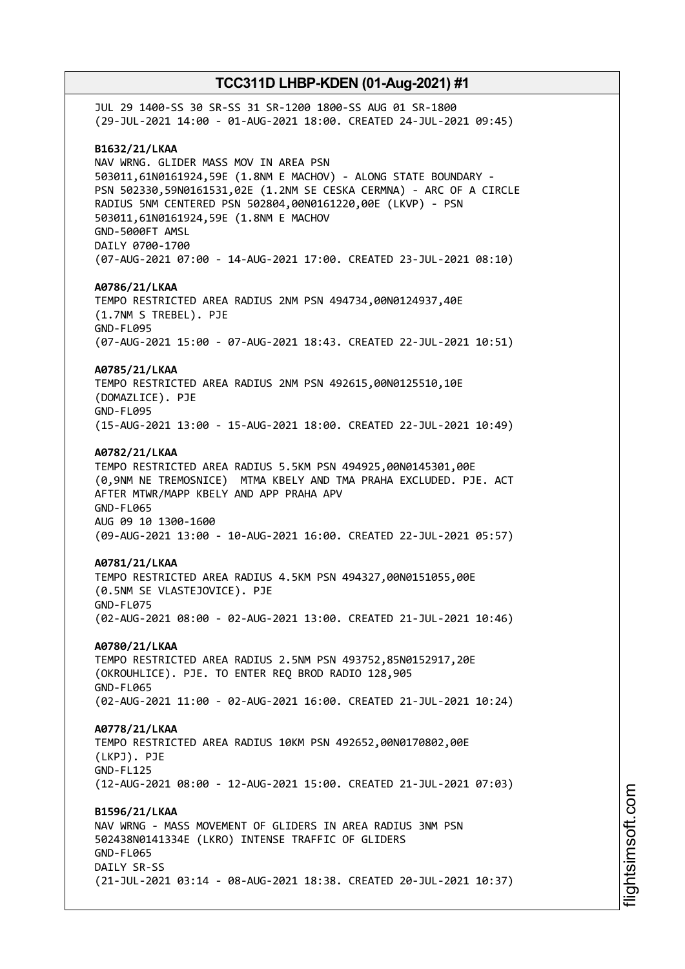JUL 29 1400-SS 30 SR-SS 31 SR-1200 1800-SS AUG 01 SR-1800 (29-JUL-2021 14:00 - 01-AUG-2021 18:00. CREATED 24-JUL-2021 09:45) **B1632/21/LKAA** NAV WRNG. GLIDER MASS MOV IN AREA PSN 503011,61N0161924,59E (1.8NM E MACHOV) - ALONG STATE BOUNDARY - PSN 502330,59N0161531,02E (1.2NM SE CESKA CERMNA) - ARC OF A CIRCLE RADIUS 5NM CENTERED PSN 502804,00N0161220,00E (LKVP) - PSN 503011,61N0161924,59E (1.8NM E MACHOV GND-5000FT AMSL DAILY 0700-1700 (07-AUG-2021 07:00 - 14-AUG-2021 17:00. CREATED 23-JUL-2021 08:10) **A0786/21/LKAA** TEMPO RESTRICTED AREA RADIUS 2NM PSN 494734,00N0124937,40E (1.7NM S TREBEL). PJE GND-FL095 (07-AUG-2021 15:00 - 07-AUG-2021 18:43. CREATED 22-JUL-2021 10:51) **A0785/21/LKAA** TEMPO RESTRICTED AREA RADIUS 2NM PSN 492615,00N0125510,10E (DOMAZLICE). PJE GND-FL095 (15-AUG-2021 13:00 - 15-AUG-2021 18:00. CREATED 22-JUL-2021 10:49) **A0782/21/LKAA** TEMPO RESTRICTED AREA RADIUS 5.5KM PSN 494925,00N0145301,00E (0,9NM NE TREMOSNICE) MTMA KBELY AND TMA PRAHA EXCLUDED. PJE. ACT AFTER MTWR/MAPP KBELY AND APP PRAHA APV GND-FL065 AUG 09 10 1300-1600 (09-AUG-2021 13:00 - 10-AUG-2021 16:00. CREATED 22-JUL-2021 05:57) **A0781/21/LKAA** TEMPO RESTRICTED AREA RADIUS 4.5KM PSN 494327,00N0151055,00E (0.5NM SE VLASTEJOVICE). PJE GND-FL075 (02-AUG-2021 08:00 - 02-AUG-2021 13:00. CREATED 21-JUL-2021 10:46) **A0780/21/LKAA** TEMPO RESTRICTED AREA RADIUS 2.5NM PSN 493752,85N0152917,20E (OKROUHLICE). PJE. TO ENTER REQ BROD RADIO 128,905 GND-FL065 (02-AUG-2021 11:00 - 02-AUG-2021 16:00. CREATED 21-JUL-2021 10:24) **A0778/21/LKAA** TEMPO RESTRICTED AREA RADIUS 10KM PSN 492652,00N0170802,00E (LKPJ). PJE GND-FL125 (12-AUG-2021 08:00 - 12-AUG-2021 15:00. CREATED 21-JUL-2021 07:03) **B1596/21/LKAA** NAV WRNG - MASS MOVEMENT OF GLIDERS IN AREA RADIUS 3NM PSN 502438N0141334E (LKRO) INTENSE TRAFFIC OF GLIDERS GND-FL065 DATLY SR-SS (21-JUL-2021 03:14 - 08-AUG-2021 18:38. CREATED 20-JUL-2021 10:37)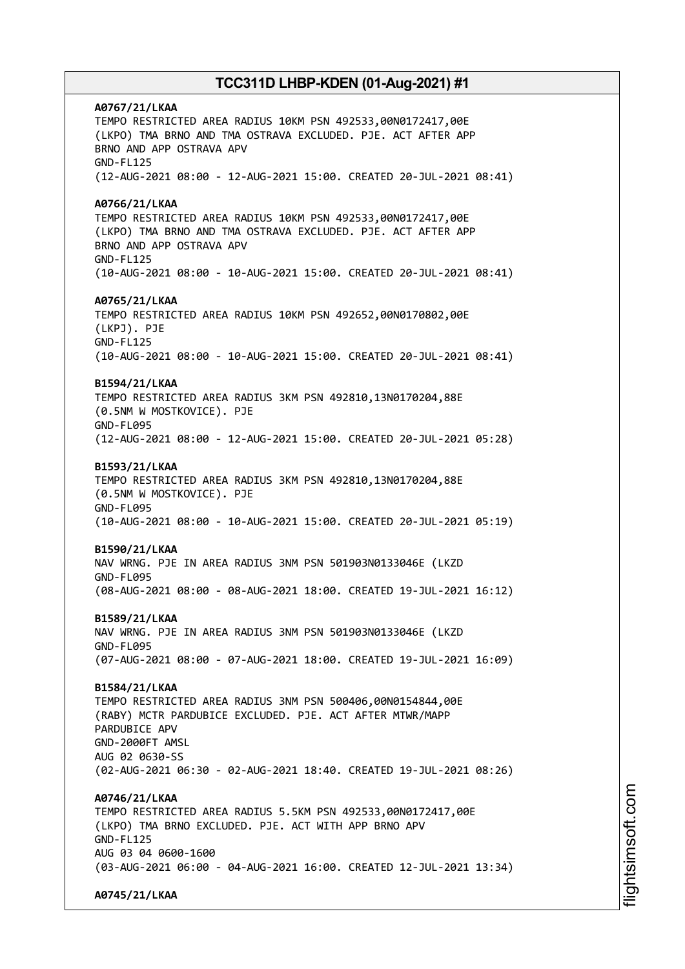**A0767/21/LKAA** TEMPO RESTRICTED AREA RADIUS 10KM PSN 492533,00N0172417,00E (LKPO) TMA BRNO AND TMA OSTRAVA EXCLUDED. PJE. ACT AFTER APP BRNO AND APP OSTRAVA APV GND-FL125 (12-AUG-2021 08:00 - 12-AUG-2021 15:00. CREATED 20-JUL-2021 08:41) **A0766/21/LKAA** TEMPO RESTRICTED AREA RADIUS 10KM PSN 492533,00N0172417,00E (LKPO) TMA BRNO AND TMA OSTRAVA EXCLUDED. PJE. ACT AFTER APP BRNO AND APP OSTRAVA APV GND-FL125 (10-AUG-2021 08:00 - 10-AUG-2021 15:00. CREATED 20-JUL-2021 08:41) **A0765/21/LKAA** TEMPO RESTRICTED AREA RADIUS 10KM PSN 492652,00N0170802,00E (LKPJ). PJE GND-FL125 (10-AUG-2021 08:00 - 10-AUG-2021 15:00. CREATED 20-JUL-2021 08:41) **B1594/21/LKAA** TEMPO RESTRICTED AREA RADIUS 3KM PSN 492810,13N0170204,88E (0.5NM W MOSTKOVICE). PJE GND-FL095 (12-AUG-2021 08:00 - 12-AUG-2021 15:00. CREATED 20-JUL-2021 05:28) **B1593/21/LKAA** TEMPO RESTRICTED AREA RADIUS 3KM PSN 492810,13N0170204,88E (0.5NM W MOSTKOVICE). PJE GND-FL095 (10-AUG-2021 08:00 - 10-AUG-2021 15:00. CREATED 20-JUL-2021 05:19) **B1590/21/LKAA** NAV WRNG. PJE IN AREA RADIUS 3NM PSN 501903N0133046E (LKZD GND-FL095 (08-AUG-2021 08:00 - 08-AUG-2021 18:00. CREATED 19-JUL-2021 16:12) **B1589/21/LKAA** NAV WRNG. PJE IN AREA RADIUS 3NM PSN 501903N0133046E (LKZD GND-FL095 (07-AUG-2021 08:00 - 07-AUG-2021 18:00. CREATED 19-JUL-2021 16:09) **B1584/21/LKAA** TEMPO RESTRICTED AREA RADIUS 3NM PSN 500406,00N0154844,00E (RABY) MCTR PARDUBICE EXCLUDED. PJE. ACT AFTER MTWR/MAPP PARDUBICE APV GND-2000FT AMSL AUG 02 0630-SS (02-AUG-2021 06:30 - 02-AUG-2021 18:40. CREATED 19-JUL-2021 08:26) **A0746/21/LKAA** TEMPO RESTRICTED AREA RADIUS 5.5KM PSN 492533,00N0172417,00E (LKPO) TMA BRNO EXCLUDED. PJE. ACT WITH APP BRNO APV GND-FL125 AUG 03 04 0600-1600 (03-AUG-2021 06:00 - 04-AUG-2021 16:00. CREATED 12-JUL-2021 13:34) **A0745/21/LKAA**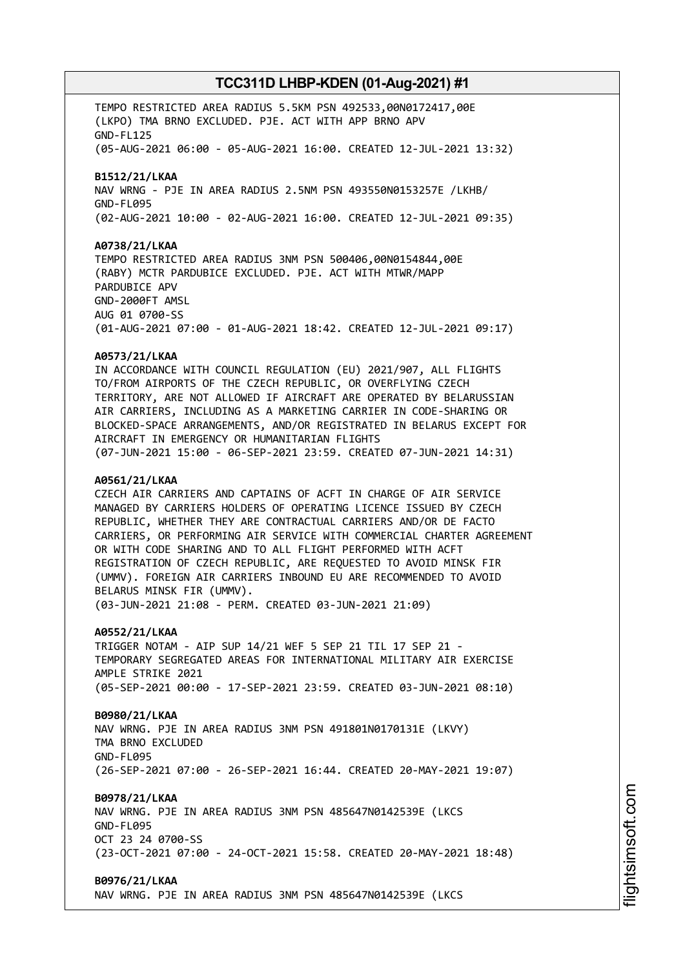TEMPO RESTRICTED AREA RADIUS 5.5KM PSN 492533,00N0172417,00E (LKPO) TMA BRNO EXCLUDED. PJE. ACT WITH APP BRNO APV GND-FL125 (05-AUG-2021 06:00 - 05-AUG-2021 16:00. CREATED 12-JUL-2021 13:32) **B1512/21/LKAA** NAV WRNG - PJE IN AREA RADIUS 2.5NM PSN 493550N0153257E /LKHB/ GND-FL095 (02-AUG-2021 10:00 - 02-AUG-2021 16:00. CREATED 12-JUL-2021 09:35) **A0738/21/LKAA** TEMPO RESTRICTED AREA RADIUS 3NM PSN 500406,00N0154844,00E (RABY) MCTR PARDUBICE EXCLUDED. PJE. ACT WITH MTWR/MAPP PARDUBICE APV GND-2000FT AMSL AUG 01 0700-SS (01-AUG-2021 07:00 - 01-AUG-2021 18:42. CREATED 12-JUL-2021 09:17) **A0573/21/LKAA** IN ACCORDANCE WITH COUNCIL REGULATION (EU) 2021/907, ALL FLIGHTS TO/FROM AIRPORTS OF THE CZECH REPUBLIC, OR OVERFLYING CZECH TERRITORY, ARE NOT ALLOWED IF AIRCRAFT ARE OPERATED BY BELARUSSIAN AIR CARRIERS, INCLUDING AS A MARKETING CARRIER IN CODE-SHARING OR BLOCKED-SPACE ARRANGEMENTS, AND/OR REGISTRATED IN BELARUS EXCEPT FOR AIRCRAFT IN EMERGENCY OR HUMANITARIAN FLIGHTS (07-JUN-2021 15:00 - 06-SEP-2021 23:59. CREATED 07-JUN-2021 14:31) **A0561/21/LKAA** CZECH AIR CARRIERS AND CAPTAINS OF ACFT IN CHARGE OF AIR SERVICE MANAGED BY CARRIERS HOLDERS OF OPERATING LICENCE ISSUED BY CZECH REPUBLIC, WHETHER THEY ARE CONTRACTUAL CARRIERS AND/OR DE FACTO CARRIERS, OR PERFORMING AIR SERVICE WITH COMMERCIAL CHARTER AGREEMENT OR WITH CODE SHARING AND TO ALL FLIGHT PERFORMED WITH ACFT REGISTRATION OF CZECH REPUBLIC, ARE REQUESTED TO AVOID MINSK FIR (UMMV). FOREIGN AIR CARRIERS INBOUND EU ARE RECOMMENDED TO AVOID BELARUS MINSK FIR (UMMV). (03-JUN-2021 21:08 - PERM. CREATED 03-JUN-2021 21:09) **A0552/21/LKAA** TRIGGER NOTAM - AIP SUP 14/21 WEF 5 SEP 21 TIL 17 SEP 21 - TEMPORARY SEGREGATED AREAS FOR INTERNATIONAL MILITARY AIR EXERCISE AMPLE STRIKE 2021 (05-SEP-2021 00:00 - 17-SEP-2021 23:59. CREATED 03-JUN-2021 08:10) **B0980/21/LKAA** NAV WRNG. PJE IN AREA RADIUS 3NM PSN 491801N0170131E (LKVY) TMA BRNO EXCLUDED GND-FL095 (26-SEP-2021 07:00 - 26-SEP-2021 16:44. CREATED 20-MAY-2021 19:07) **B0978/21/LKAA** NAV WRNG. PJE IN AREA RADIUS 3NM PSN 485647N0142539E (LKCS GND-FL095 OCT 23 24 0700-SS (23-OCT-2021 07:00 - 24-OCT-2021 15:58. CREATED 20-MAY-2021 18:48) **B0976/21/LKAA** NAV WRNG. PJE IN AREA RADIUS 3NM PSN 485647N0142539E (LKCS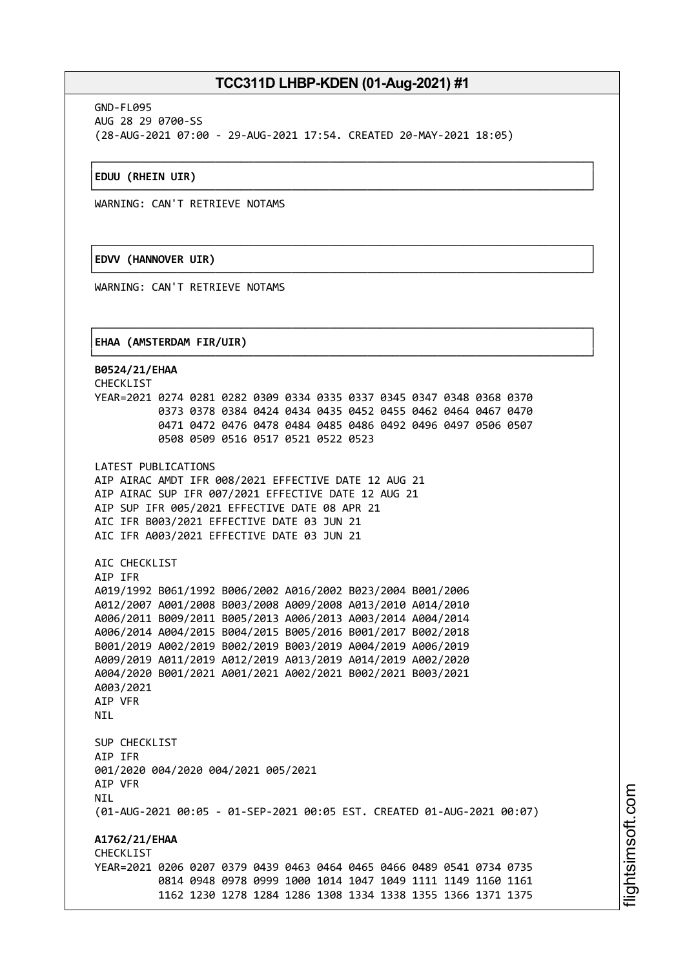┌──────────────────────────────────────────────────────────────────────────────┐

└──────────────────────────────────────────────────────────────────────────────┘

┌──────────────────────────────────────────────────────────────────────────────┐

└──────────────────────────────────────────────────────────────────────────────┘

┌──────────────────────────────────────────────────────────────────────────────┐

GND-FL095 AUG 28 29 0700-SS (28-AUG-2021 07:00 - 29-AUG-2021 17:54. CREATED 20-MAY-2021 18:05)

### │**EDUU (RHEIN UIR)** │

WARNING: CAN'T RETRIEVE NOTAMS

### │**EDVV (HANNOVER UIR)** │

WARNING: CAN'T RETRIEVE NOTAMS

### │**EHAA (AMSTERDAM FIR/UIR)** │

└──────────────────────────────────────────────────────────────────────────────┘ **B0524/21/EHAA** CHECKLIST YEAR=2021 0274 0281 0282 0309 0334 0335 0337 0345 0347 0348 0368 0370 0373 0378 0384 0424 0434 0435 0452 0455 0462 0464 0467 0470 0471 0472 0476 0478 0484 0485 0486 0492 0496 0497 0506 0507 0508 0509 0516 0517 0521 0522 0523 LATEST PUBLICATIONS AIP AIRAC AMDT IFR 008/2021 EFFECTIVE DATE 12 AUG 21 AIP AIRAC SUP IFR 007/2021 EFFECTIVE DATE 12 AUG 21 AIP SUP IFR 005/2021 EFFECTIVE DATE 08 APR 21 AIC IFR B003/2021 EFFECTIVE DATE 03 JUN 21 AIC IFR A003/2021 EFFECTIVE DATE 03 JUN 21 AIC CHECKLIST AIP IFR A019/1992 B061/1992 B006/2002 A016/2002 B023/2004 B001/2006 A012/2007 A001/2008 B003/2008 A009/2008 A013/2010 A014/2010 A006/2011 B009/2011 B005/2013 A006/2013 A003/2014 A004/2014 A006/2014 A004/2015 B004/2015 B005/2016 B001/2017 B002/2018 B001/2019 A002/2019 B002/2019 B003/2019 A004/2019 A006/2019 A009/2019 A011/2019 A012/2019 A013/2019 A014/2019 A002/2020 A004/2020 B001/2021 A001/2021 A002/2021 B002/2021 B003/2021 A003/2021 AIP VFR **NTI** SUP CHECKLIST AIP IFR 001/2020 004/2020 004/2021 005/2021 AIP VFR **NTI** (01-AUG-2021 00:05 - 01-SEP-2021 00:05 EST. CREATED 01-AUG-2021 00:07) **A1762/21/EHAA CHECKLIST** YEAR=2021 0206 0207 0379 0439 0463 0464 0465 0466 0489 0541 0734 0735 0814 0948 0978 0999 1000 1014 1047 1049 1111 1149 1160 1161 1162 1230 1278 1284 1286 1308 1334 1338 1355 1366 1371 1375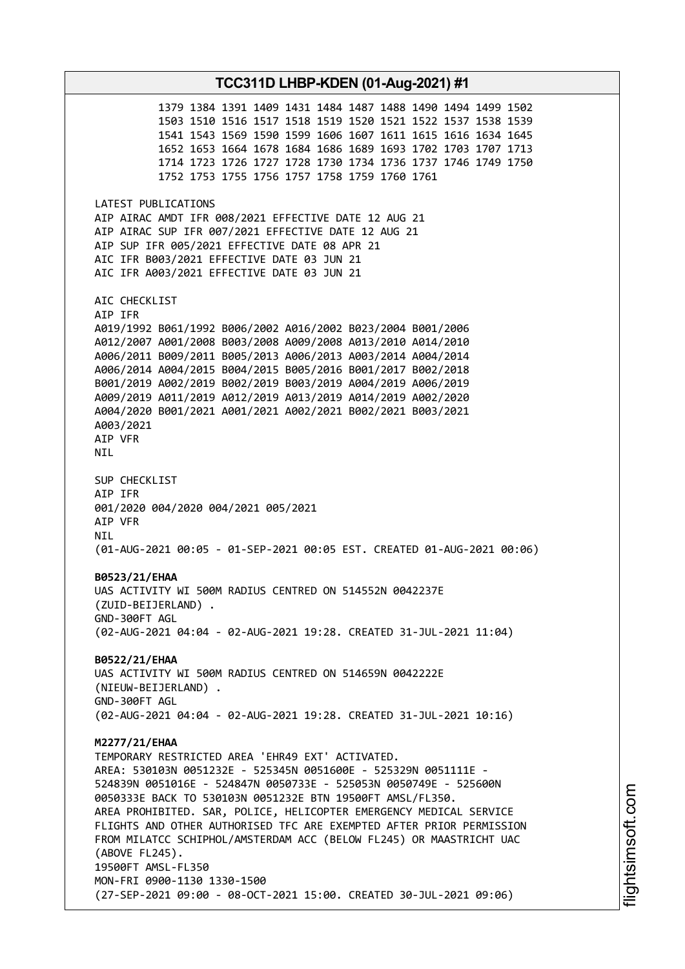1379 1384 1391 1409 1431 1484 1487 1488 1490 1494 1499 1502 1503 1510 1516 1517 1518 1519 1520 1521 1522 1537 1538 1539 1541 1543 1569 1590 1599 1606 1607 1611 1615 1616 1634 1645 1652 1653 1664 1678 1684 1686 1689 1693 1702 1703 1707 1713 1714 1723 1726 1727 1728 1730 1734 1736 1737 1746 1749 1750 1752 1753 1755 1756 1757 1758 1759 1760 1761 LATEST PUBLICATIONS AIP AIRAC AMDT IFR 008/2021 EFFECTIVE DATE 12 AUG 21 AIP AIRAC SUP IFR 007/2021 EFFECTIVE DATE 12 AUG 21 AIP SUP IFR 005/2021 EFFECTIVE DATE 08 APR 21 AIC IFR B003/2021 EFFECTIVE DATE 03 JUN 21 AIC IFR A003/2021 EFFECTIVE DATE 03 JUN 21 AIC CHECKLIST AIP IFR A019/1992 B061/1992 B006/2002 A016/2002 B023/2004 B001/2006 A012/2007 A001/2008 B003/2008 A009/2008 A013/2010 A014/2010 A006/2011 B009/2011 B005/2013 A006/2013 A003/2014 A004/2014 A006/2014 A004/2015 B004/2015 B005/2016 B001/2017 B002/2018 B001/2019 A002/2019 B002/2019 B003/2019 A004/2019 A006/2019 A009/2019 A011/2019 A012/2019 A013/2019 A014/2019 A002/2020 A004/2020 B001/2021 A001/2021 A002/2021 B002/2021 B003/2021 A003/2021 AIP VFR NIL SUP CHECKLIST AIP IFR 001/2020 004/2020 004/2021 005/2021 AIP VFR NIL (01-AUG-2021 00:05 - 01-SEP-2021 00:05 EST. CREATED 01-AUG-2021 00:06) **B0523/21/EHAA** UAS ACTIVITY WI 500M RADIUS CENTRED ON 514552N 0042237E (ZUID-BEIJERLAND) . GND-300FT AGL (02-AUG-2021 04:04 - 02-AUG-2021 19:28. CREATED 31-JUL-2021 11:04) **B0522/21/EHAA** UAS ACTIVITY WI 500M RADIUS CENTRED ON 514659N 0042222E (NIEUW-BEIJERLAND) . GND-300FT AGL (02-AUG-2021 04:04 - 02-AUG-2021 19:28. CREATED 31-JUL-2021 10:16) **M2277/21/EHAA** TEMPORARY RESTRICTED AREA 'EHR49 EXT' ACTIVATED. AREA: 530103N 0051232E - 525345N 0051600E - 525329N 0051111E - 524839N 0051016E - 524847N 0050733E - 525053N 0050749E - 525600N 0050333E BACK TO 530103N 0051232E BTN 19500FT AMSL/FL350. AREA PROHIBITED. SAR, POLICE, HELICOPTER EMERGENCY MEDICAL SERVICE FLIGHTS AND OTHER AUTHORISED TFC ARE EXEMPTED AFTER PRIOR PERMISSION FROM MILATCC SCHIPHOL/AMSTERDAM ACC (BELOW FL245) OR MAASTRICHT UAC (ABOVE FL245). 19500FT AMSL-FL350 MON-FRI 0900-1130 1330-1500 (27-SEP-2021 09:00 - 08-OCT-2021 15:00. CREATED 30-JUL-2021 09:06)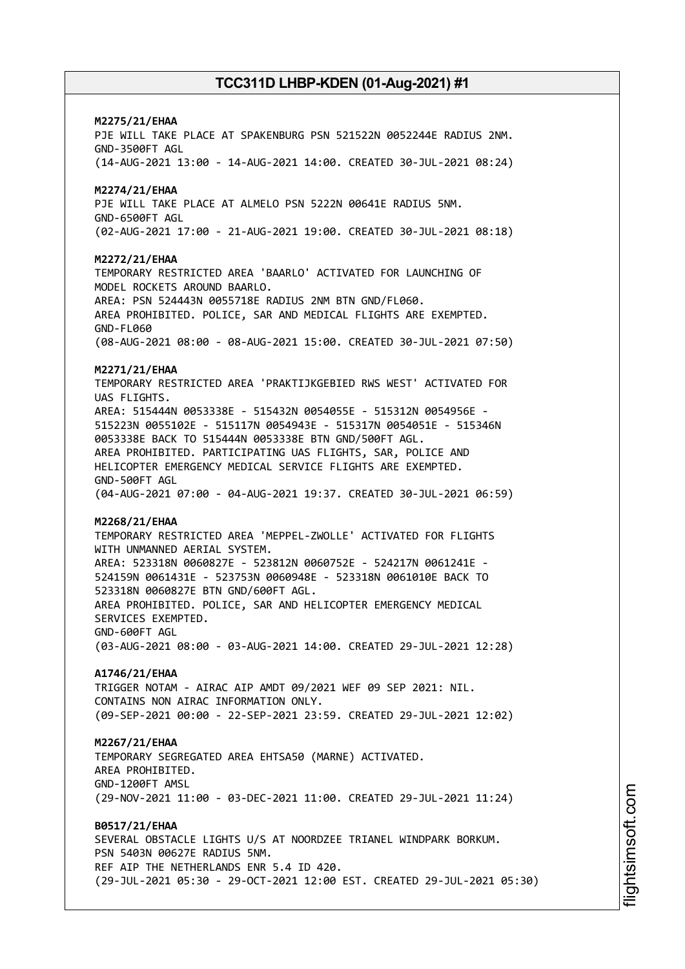# **M2275/21/EHAA** PJE WILL TAKE PLACE AT SPAKENBURG PSN 521522N 0052244E RADIUS 2NM. GND-3500FT AGL (14-AUG-2021 13:00 - 14-AUG-2021 14:00. CREATED 30-JUL-2021 08:24) **M2274/21/EHAA** PJE WILL TAKE PLACE AT ALMELO PSN 5222N 00641E RADIUS 5NM. GND-6500FT AGL (02-AUG-2021 17:00 - 21-AUG-2021 19:00. CREATED 30-JUL-2021 08:18) **M2272/21/EHAA** TEMPORARY RESTRICTED AREA 'BAARLO' ACTIVATED FOR LAUNCHING OF MODEL ROCKETS AROUND BAARLO. AREA: PSN 524443N 0055718E RADIUS 2NM BTN GND/FL060. AREA PROHIBITED. POLICE, SAR AND MEDICAL FLIGHTS ARE EXEMPTED. GND-FL060 (08-AUG-2021 08:00 - 08-AUG-2021 15:00. CREATED 30-JUL-2021 07:50) **M2271/21/EHAA** TEMPORARY RESTRICTED AREA 'PRAKTIJKGEBIED RWS WEST' ACTIVATED FOR UAS FLIGHTS. AREA: 515444N 0053338E - 515432N 0054055E - 515312N 0054956E - 515223N 0055102E - 515117N 0054943E - 515317N 0054051E - 515346N 0053338E BACK TO 515444N 0053338E BTN GND/500FT AGL. AREA PROHIBITED. PARTICIPATING UAS FLIGHTS, SAR, POLICE AND HELICOPTER EMERGENCY MEDICAL SERVICE FLIGHTS ARE EXEMPTED. GND-500FT AGL (04-AUG-2021 07:00 - 04-AUG-2021 19:37. CREATED 30-JUL-2021 06:59) **M2268/21/EHAA** TEMPORARY RESTRICTED AREA 'MEPPEL-ZWOLLE' ACTIVATED FOR FLIGHTS WITH UNMANNED AERIAL SYSTEM. AREA: 523318N 0060827E - 523812N 0060752E - 524217N 0061241E - 524159N 0061431E - 523753N 0060948E - 523318N 0061010E BACK TO 523318N 0060827E BTN GND/600FT AGL. AREA PROHIBITED. POLICE, SAR AND HELICOPTER EMERGENCY MEDICAL SERVICES EXEMPTED. GND-600FT AGL (03-AUG-2021 08:00 - 03-AUG-2021 14:00. CREATED 29-JUL-2021 12:28) **A1746/21/EHAA** TRIGGER NOTAM - AIRAC AIP AMDT 09/2021 WEF 09 SEP 2021: NIL. CONTAINS NON ATRAC INFORMATION ONLY. (09-SEP-2021 00:00 - 22-SEP-2021 23:59. CREATED 29-JUL-2021 12:02) **M2267/21/EHAA** TEMPORARY SEGREGATED AREA EHTSA50 (MARNE) ACTIVATED. AREA PROHIBITED. GND-1200FT AMSL (29-NOV-2021 11:00 - 03-DEC-2021 11:00. CREATED 29-JUL-2021 11:24) **B0517/21/EHAA** SEVERAL OBSTACLE LIGHTS U/S AT NOORDZEE TRIANEL WINDPARK BORKUM. PSN 5403N 00627E RADIUS 5NM. REF AIP THE NETHERLANDS ENR 5.4 ID 420. (29-JUL-2021 05:30 - 29-OCT-2021 12:00 EST. CREATED 29-JUL-2021 05:30)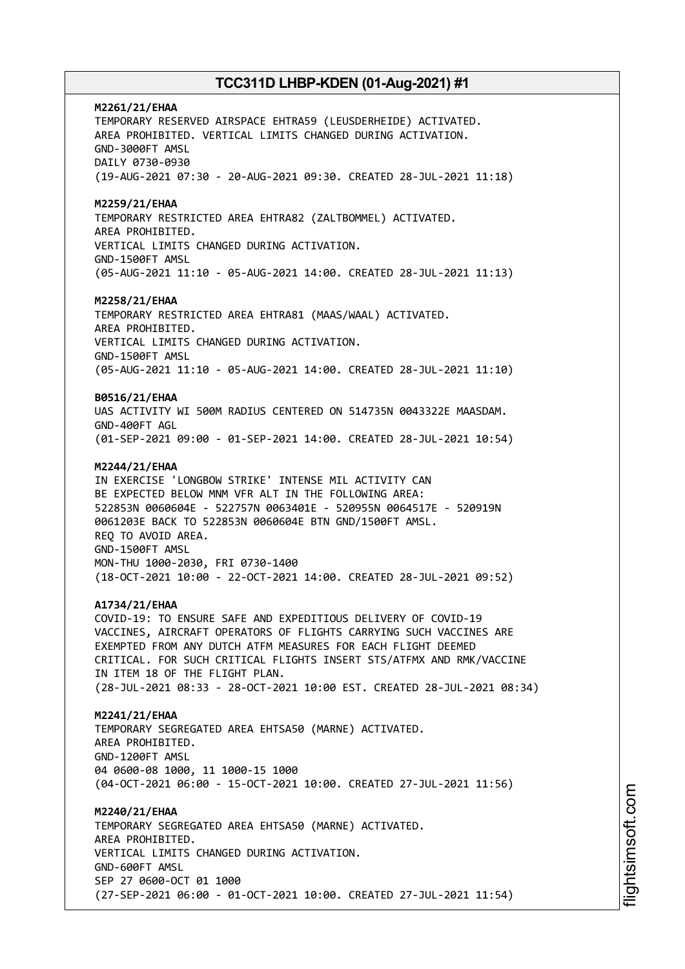**M2261/21/EHAA** TEMPORARY RESERVED AIRSPACE EHTRA59 (LEUSDERHEIDE) ACTIVATED. AREA PROHIBITED. VERTICAL LIMITS CHANGED DURING ACTIVATION. GND-3000FT AMSL DAILY 0730-0930 (19-AUG-2021 07:30 - 20-AUG-2021 09:30. CREATED 28-JUL-2021 11:18) **M2259/21/EHAA** TEMPORARY RESTRICTED AREA EHTRA82 (ZALTBOMMEL) ACTIVATED. AREA PROHIBITED. VERTICAL LIMITS CHANGED DURING ACTIVATION. GND-1500FT AMSL (05-AUG-2021 11:10 - 05-AUG-2021 14:00. CREATED 28-JUL-2021 11:13) **M2258/21/EHAA** TEMPORARY RESTRICTED AREA EHTRA81 (MAAS/WAAL) ACTIVATED. AREA PROHIBITED. VERTICAL LIMITS CHANGED DURING ACTIVATION. GND-1500FT AMSL (05-AUG-2021 11:10 - 05-AUG-2021 14:00. CREATED 28-JUL-2021 11:10) **B0516/21/EHAA** UAS ACTIVITY WI 500M RADIUS CENTERED ON 514735N 0043322E MAASDAM. GND-400FT AGL (01-SEP-2021 09:00 - 01-SEP-2021 14:00. CREATED 28-JUL-2021 10:54) **M2244/21/EHAA** IN EXERCISE 'LONGBOW STRIKE' INTENSE MIL ACTIVITY CAN BE EXPECTED BELOW MNM VFR ALT IN THE FOLLOWING AREA: 522853N 0060604E - 522757N 0063401E - 520955N 0064517E - 520919N 0061203E BACK TO 522853N 0060604E BTN GND/1500FT AMSL. REQ TO AVOID AREA. GND-1500FT AMSL MON-THU 1000-2030, FRI 0730-1400 (18-OCT-2021 10:00 - 22-OCT-2021 14:00. CREATED 28-JUL-2021 09:52) **A1734/21/EHAA** COVID-19: TO ENSURE SAFE AND EXPEDITIOUS DELIVERY OF COVID-19 VACCINES, AIRCRAFT OPERATORS OF FLIGHTS CARRYING SUCH VACCINES ARE EXEMPTED FROM ANY DUTCH ATFM MEASURES FOR EACH FLIGHT DEEMED CRITICAL. FOR SUCH CRITICAL FLIGHTS INSERT STS/ATFMX AND RMK/VACCINE IN ITEM 18 OF THE FLIGHT PLAN. (28-JUL-2021 08:33 - 28-OCT-2021 10:00 EST. CREATED 28-JUL-2021 08:34) **M2241/21/EHAA** TEMPORARY SEGREGATED AREA EHTSA50 (MARNE) ACTIVATED. AREA PROHIBITED. GND-1200FT AMSL 04 0600-08 1000, 11 1000-15 1000 (04-OCT-2021 06:00 - 15-OCT-2021 10:00. CREATED 27-JUL-2021 11:56) **M2240/21/EHAA** TEMPORARY SEGREGATED AREA EHTSA50 (MARNE) ACTIVATED. AREA PROHIBITED. VERTICAL LIMITS CHANGED DURING ACTIVATION. GND-600FT AMSL SEP 27 0600-OCT 01 1000 (27-SEP-2021 06:00 - 01-OCT-2021 10:00. CREATED 27-JUL-2021 11:54)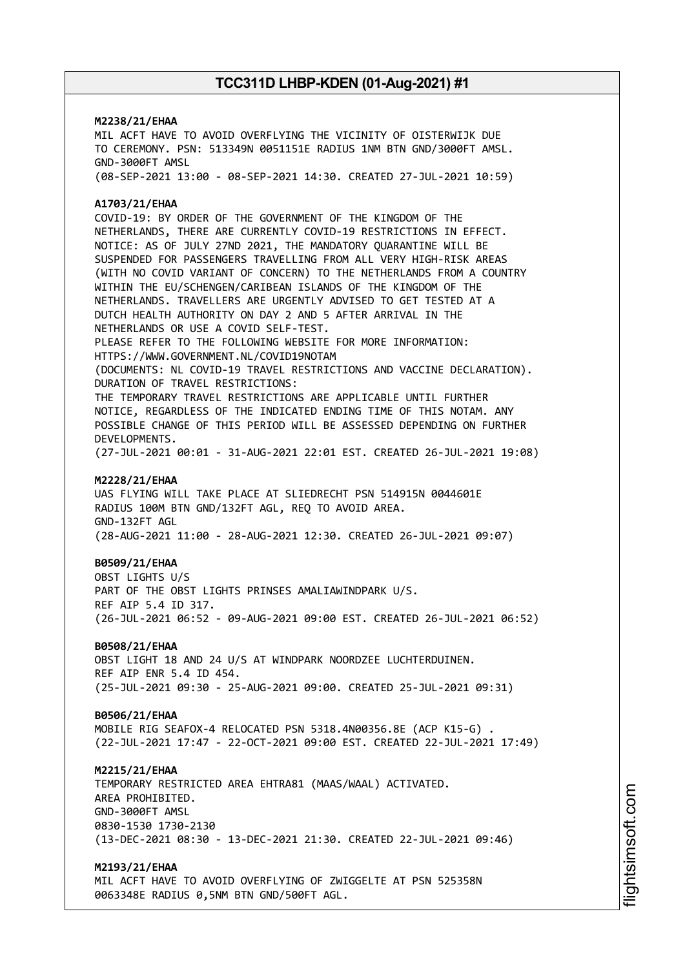# **M2238/21/EHAA** MIL ACFT HAVE TO AVOID OVERFLYING THE VICINITY OF OISTERWIJK DUE TO CEREMONY. PSN: 513349N 0051151E RADIUS 1NM BTN GND/3000FT AMSL. GND-3000FT AMSL (08-SEP-2021 13:00 - 08-SEP-2021 14:30. CREATED 27-JUL-2021 10:59) **A1703/21/EHAA** COVID-19: BY ORDER OF THE GOVERNMENT OF THE KINGDOM OF THE NETHERLANDS, THERE ARE CURRENTLY COVID-19 RESTRICTIONS IN EFFECT. NOTICE: AS OF JULY 27ND 2021, THE MANDATORY QUARANTINE WILL BE SUSPENDED FOR PASSENGERS TRAVELLING FROM ALL VERY HIGH-RISK AREAS (WITH NO COVID VARIANT OF CONCERN) TO THE NETHERLANDS FROM A COUNTRY WITHIN THE EU/SCHENGEN/CARIBEAN ISLANDS OF THE KINGDOM OF THE NETHERLANDS. TRAVELLERS ARE URGENTLY ADVISED TO GET TESTED AT A DUTCH HEALTH AUTHORITY ON DAY 2 AND 5 AFTER ARRIVAL IN THE NETHERLANDS OR USE A COVID SELF-TEST. PLEASE REFER TO THE FOLLOWING WEBSITE FOR MORE INFORMATION: HTTPS://WWW.GOVERNMENT.NL/COVID19NOTAM (DOCUMENTS: NL COVID-19 TRAVEL RESTRICTIONS AND VACCINE DECLARATION). DURATION OF TRAVEL RESTRICTIONS: THE TEMPORARY TRAVEL RESTRICTIONS ARE APPLICABLE UNTIL FURTHER NOTICE, REGARDLESS OF THE INDICATED ENDING TIME OF THIS NOTAM. ANY POSSIBLE CHANGE OF THIS PERIOD WILL BE ASSESSED DEPENDING ON FURTHER DEVELOPMENTS. (27-JUL-2021 00:01 - 31-AUG-2021 22:01 EST. CREATED 26-JUL-2021 19:08) **M2228/21/EHAA** UAS FLYING WILL TAKE PLACE AT SLIEDRECHT PSN 514915N 0044601E RADIUS 100M BTN GND/132FT AGL, REQ TO AVOID AREA. GND-132FT AGL (28-AUG-2021 11:00 - 28-AUG-2021 12:30. CREATED 26-JUL-2021 09:07) **B0509/21/EHAA** OBST LIGHTS U/S PART OF THE OBST LIGHTS PRINSES AMALIAWINDPARK U/S. REF AIP 5.4 ID 317. (26-JUL-2021 06:52 - 09-AUG-2021 09:00 EST. CREATED 26-JUL-2021 06:52) **B0508/21/EHAA** OBST LIGHT 18 AND 24 U/S AT WINDPARK NOORDZEE LUCHTERDUINEN. REF AIP ENR 5.4 ID 454. (25-JUL-2021 09:30 - 25-AUG-2021 09:00. CREATED 25-JUL-2021 09:31) **B0506/21/EHAA** MOBILE RIG SEAFOX-4 RELOCATED PSN 5318.4N00356.8E (ACP K15-G) . (22-JUL-2021 17:47 - 22-OCT-2021 09:00 EST. CREATED 22-JUL-2021 17:49) **M2215/21/EHAA** TEMPORARY RESTRICTED AREA EHTRA81 (MAAS/WAAL) ACTIVATED. AREA PROHIBITED. GND-3000FT AMSL 0830-1530 1730-2130 (13-DEC-2021 08:30 - 13-DEC-2021 21:30. CREATED 22-JUL-2021 09:46) **M2193/21/EHAA**

MIL ACFT HAVE TO AVOID OVERFLYING OF ZWIGGELTE AT PSN 525358N 0063348E RADIUS 0,5NM BTN GND/500FT AGL.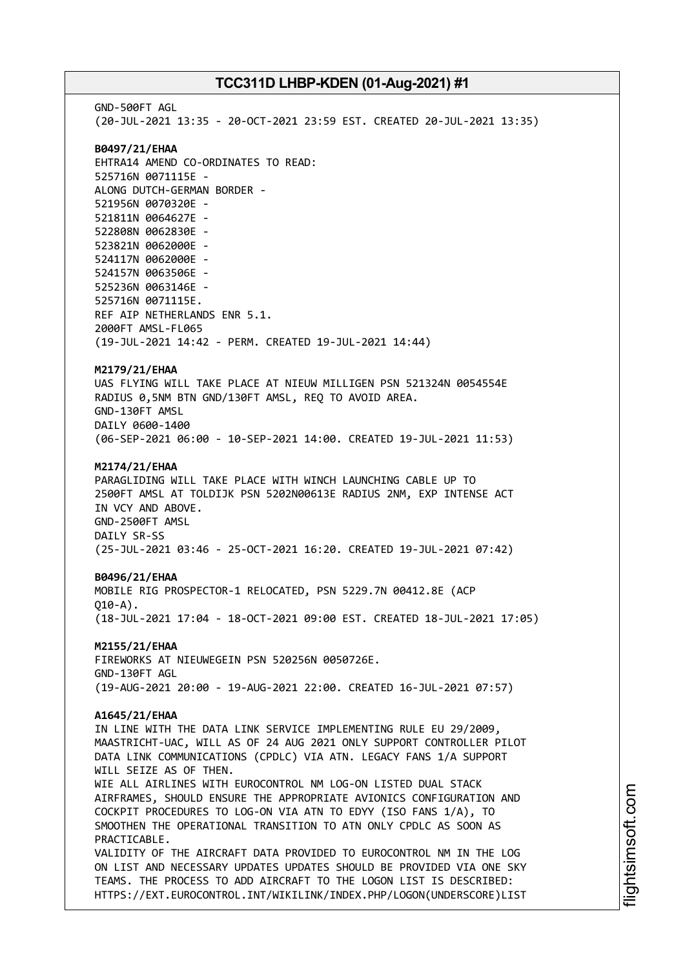GND-500FT AGL (20-JUL-2021 13:35 - 20-OCT-2021 23:59 EST. CREATED 20-JUL-2021 13:35) **B0497/21/EHAA** EHTRA14 AMEND CO-ORDINATES TO READ: 525716N 0071115E - ALONG DUTCH-GERMAN BORDER - 521956N 0070320E - 521811N 0064627E - 522808N 0062830E - 523821N 0062000E - 524117N 0062000E - 524157N 0063506E - 525236N 0063146E - 525716N 0071115E. REF AIP NETHERLANDS ENR 5.1. 2000FT AMSL-FL065 (19-JUL-2021 14:42 - PERM. CREATED 19-JUL-2021 14:44) **M2179/21/EHAA** UAS FLYING WILL TAKE PLACE AT NIEUW MILLIGEN PSN 521324N 0054554E RADIUS 0,5NM BTN GND/130FT AMSL, REQ TO AVOID AREA. GND-130FT AMSL DAILY 0600-1400 (06-SEP-2021 06:00 - 10-SEP-2021 14:00. CREATED 19-JUL-2021 11:53) **M2174/21/EHAA** PARAGLIDING WILL TAKE PLACE WITH WINCH LAUNCHING CABLE UP TO 2500FT AMSL AT TOLDIJK PSN 5202N00613E RADIUS 2NM, EXP INTENSE ACT IN VCY AND ABOVE. GND-2500FT AMSL DAILY SR-SS (25-JUL-2021 03:46 - 25-OCT-2021 16:20. CREATED 19-JUL-2021 07:42) **B0496/21/EHAA** MOBILE RIG PROSPECTOR-1 RELOCATED, PSN 5229.7N 00412.8E (ACP  $010 - A$ ). (18-JUL-2021 17:04 - 18-OCT-2021 09:00 EST. CREATED 18-JUL-2021 17:05) **M2155/21/EHAA** FIREWORKS AT NIEUWEGEIN PSN 520256N 0050726E. GND-130FT AGL (19-AUG-2021 20:00 - 19-AUG-2021 22:00. CREATED 16-JUL-2021 07:57) **A1645/21/EHAA** IN LINE WITH THE DATA LINK SERVICE IMPLEMENTING RULE EU 29/2009, MAASTRICHT-UAC, WILL AS OF 24 AUG 2021 ONLY SUPPORT CONTROLLER PILOT DATA LINK COMMUNICATIONS (CPDLC) VIA ATN. LEGACY FANS 1/A SUPPORT WILL SEIZE AS OF THEN. WIE ALL AIRLINES WITH EUROCONTROL NM LOG-ON LISTED DUAL STACK AIRFRAMES, SHOULD ENSURE THE APPROPRIATE AVIONICS CONFIGURATION AND COCKPIT PROCEDURES TO LOG-ON VIA ATN TO EDYY (ISO FANS 1/A), TO SMOOTHEN THE OPERATIONAL TRANSITION TO ATN ONLY CPDLC AS SOON AS PRACTICABLE. VALIDITY OF THE AIRCRAFT DATA PROVIDED TO EUROCONTROL NM IN THE LOG ON LIST AND NECESSARY UPDATES UPDATES SHOULD BE PROVIDED VIA ONE SKY TEAMS. THE PROCESS TO ADD AIRCRAFT TO THE LOGON LIST IS DESCRIBED: HTTPS://EXT.EUROCONTROL.INT/WIKILINK/INDEX.PHP/LOGON(UNDERSCORE)LIST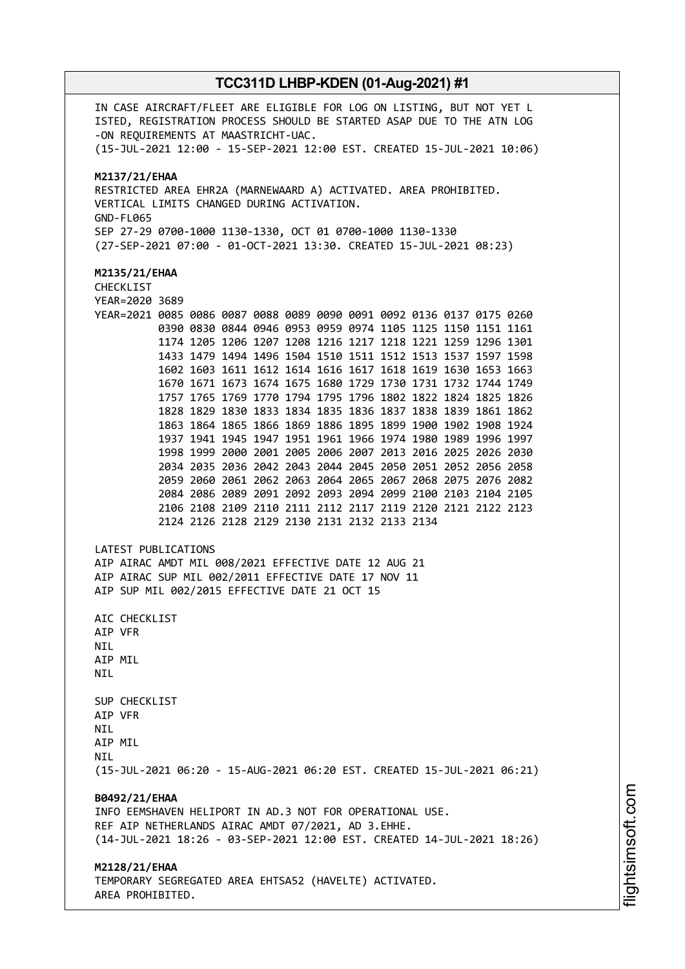IN CASE AIRCRAFT/FLEET ARE ELIGIBLE FOR LOG ON LISTING, BUT NOT YET L ISTED, REGISTRATION PROCESS SHOULD BE STARTED ASAP DUE TO THE ATN LOG -ON REQUIREMENTS AT MAASTRICHT-UAC. (15-JUL-2021 12:00 - 15-SEP-2021 12:00 EST. CREATED 15-JUL-2021 10:06) **M2137/21/EHAA** RESTRICTED AREA EHR2A (MARNEWAARD A) ACTIVATED. AREA PROHIBITED. VERTICAL LIMITS CHANGED DURING ACTIVATION. GND-FL065 SEP 27-29 0700-1000 1130-1330, OCT 01 0700-1000 1130-1330 (27-SEP-2021 07:00 - 01-OCT-2021 13:30. CREATED 15-JUL-2021 08:23) **M2135/21/EHAA** CHECKLIST YEAR=2020 3689 YEAR=2021 0085 0086 0087 0088 0089 0090 0091 0092 0136 0137 0175 0260 0390 0830 0844 0946 0953 0959 0974 1105 1125 1150 1151 1161 1174 1205 1206 1207 1208 1216 1217 1218 1221 1259 1296 1301 1433 1479 1494 1496 1504 1510 1511 1512 1513 1537 1597 1598 1602 1603 1611 1612 1614 1616 1617 1618 1619 1630 1653 1663 1670 1671 1673 1674 1675 1680 1729 1730 1731 1732 1744 1749 1757 1765 1769 1770 1794 1795 1796 1802 1822 1824 1825 1826 1828 1829 1830 1833 1834 1835 1836 1837 1838 1839 1861 1862 1863 1864 1865 1866 1869 1886 1895 1899 1900 1902 1908 1924 1937 1941 1945 1947 1951 1961 1966 1974 1980 1989 1996 1997 1998 1999 2000 2001 2005 2006 2007 2013 2016 2025 2026 2030 2034 2035 2036 2042 2043 2044 2045 2050 2051 2052 2056 2058 2059 2060 2061 2062 2063 2064 2065 2067 2068 2075 2076 2082 2084 2086 2089 2091 2092 2093 2094 2099 2100 2103 2104 2105 2106 2108 2109 2110 2111 2112 2117 2119 2120 2121 2122 2123 2124 2126 2128 2129 2130 2131 2132 2133 2134 LATEST PUBLICATIONS AIP AIRAC AMDT MIL 008/2021 EFFECTIVE DATE 12 AUG 21 AIP AIRAC SUP MIL 002/2011 EFFECTIVE DATE 17 NOV 11 AIP SUP MIL 002/2015 EFFECTIVE DATE 21 OCT 15 AIC CHECKLIST AIP VFR NIL AIP MIL **NTI** SUP CHECKLIST AIP VFR **NTI** AIP MIL **NTI** (15-JUL-2021 06:20 - 15-AUG-2021 06:20 EST. CREATED 15-JUL-2021 06:21) **B0492/21/EHAA** INFO EEMSHAVEN HELIPORT IN AD.3 NOT FOR OPERATIONAL USE. REF AIP NETHERLANDS AIRAC AMDT 07/2021, AD 3.EHHE. (14-JUL-2021 18:26 - 03-SEP-2021 12:00 EST. CREATED 14-JUL-2021 18:26) **M2128/21/EHAA** TEMPORARY SEGREGATED AREA EHTSA52 (HAVELTE) ACTIVATED. AREA PROHIBITED.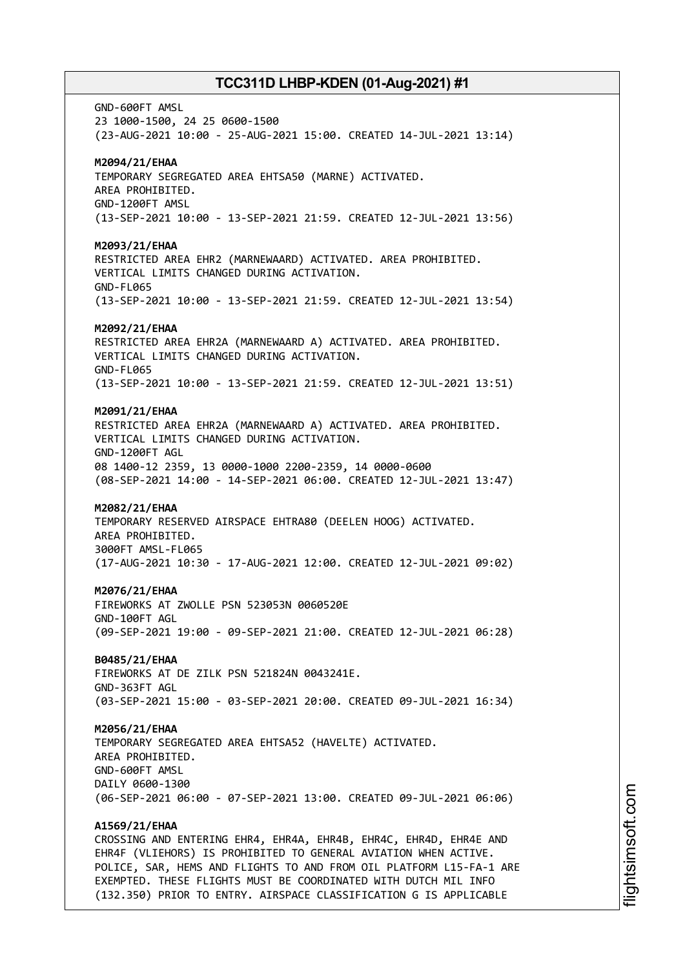GND-600FT AMSL 23 1000-1500, 24 25 0600-1500 (23-AUG-2021 10:00 - 25-AUG-2021 15:00. CREATED 14-JUL-2021 13:14) **M2094/21/EHAA** TEMPORARY SEGREGATED AREA EHTSA50 (MARNE) ACTIVATED. AREA PROHIBITED. GND-1200FT AMSL (13-SEP-2021 10:00 - 13-SEP-2021 21:59. CREATED 12-JUL-2021 13:56) **M2093/21/EHAA** RESTRICTED AREA EHR2 (MARNEWAARD) ACTIVATED. AREA PROHIBITED. VERTICAL LIMITS CHANGED DURING ACTIVATION. GND-FL065 (13-SEP-2021 10:00 - 13-SEP-2021 21:59. CREATED 12-JUL-2021 13:54) **M2092/21/EHAA** RESTRICTED AREA EHR2A (MARNEWAARD A) ACTIVATED. AREA PROHIBITED. VERTICAL LIMITS CHANGED DURING ACTIVATION. GND-FL065 (13-SEP-2021 10:00 - 13-SEP-2021 21:59. CREATED 12-JUL-2021 13:51) **M2091/21/EHAA** RESTRICTED AREA EHR2A (MARNEWAARD A) ACTIVATED. AREA PROHIBITED. VERTICAL LIMITS CHANGED DURING ACTIVATION. GND-1200FT AGL 08 1400-12 2359, 13 0000-1000 2200-2359, 14 0000-0600 (08-SEP-2021 14:00 - 14-SEP-2021 06:00. CREATED 12-JUL-2021 13:47) **M2082/21/EHAA** TEMPORARY RESERVED AIRSPACE EHTRA80 (DEELEN HOOG) ACTIVATED. AREA PROHIBITED. 3000FT AMSL-FL065 (17-AUG-2021 10:30 - 17-AUG-2021 12:00. CREATED 12-JUL-2021 09:02) **M2076/21/EHAA** FIREWORKS AT ZWOLLE PSN 523053N 0060520E GND-100FT AGL (09-SEP-2021 19:00 - 09-SEP-2021 21:00. CREATED 12-JUL-2021 06:28) **B0485/21/EHAA** FIREWORKS AT DE ZILK PSN 521824N 0043241E. GND-363FT AGL (03-SEP-2021 15:00 - 03-SEP-2021 20:00. CREATED 09-JUL-2021 16:34) **M2056/21/EHAA** TEMPORARY SEGREGATED AREA EHTSA52 (HAVELTE) ACTIVATED. AREA PROHIBITED. GND-600FT AMSL DAILY 0600-1300 (06-SEP-2021 06:00 - 07-SEP-2021 13:00. CREATED 09-JUL-2021 06:06) **A1569/21/EHAA** CROSSING AND ENTERING EHR4, EHR4A, EHR4B, EHR4C, EHR4D, EHR4E AND EHR4F (VLIEHORS) IS PROHIBITED TO GENERAL AVIATION WHEN ACTIVE. POLICE, SAR, HEMS AND FLIGHTS TO AND FROM OIL PLATFORM L15-FA-1 ARE EXEMPTED. THESE FLIGHTS MUST BE COORDINATED WITH DUTCH MIL INFO

(132.350) PRIOR TO ENTRY. AIRSPACE CLASSIFICATION G IS APPLICABLE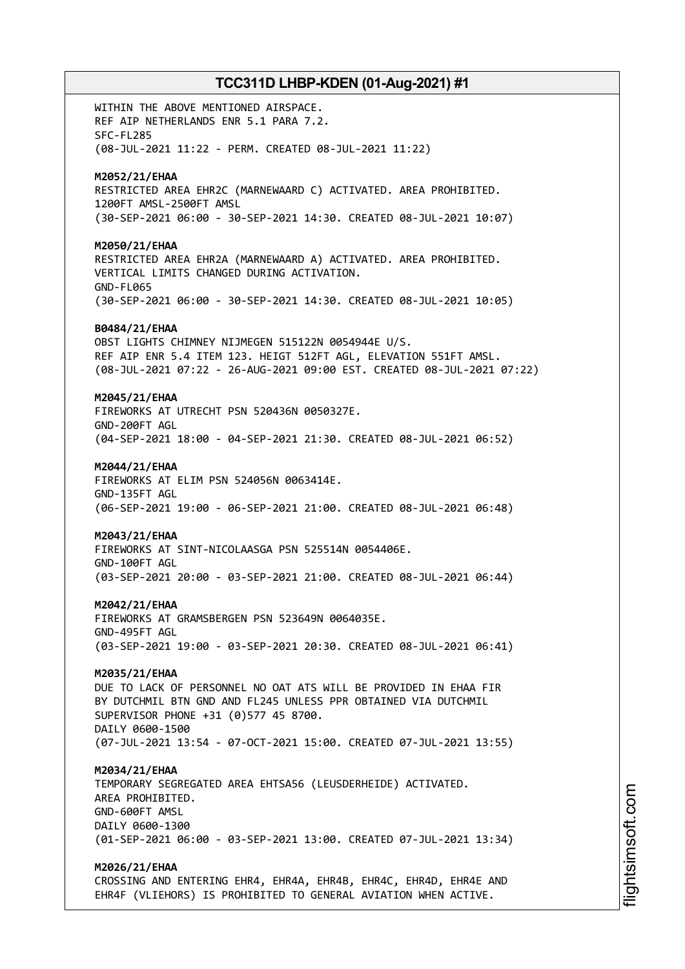WITHIN THE ABOVE MENTIONED AIRSPACE. REF AIP NETHERLANDS ENR 5.1 PARA 7.2. SFC-FL285 (08-JUL-2021 11:22 - PERM. CREATED 08-JUL-2021 11:22) **M2052/21/EHAA** RESTRICTED AREA EHR2C (MARNEWAARD C) ACTIVATED. AREA PROHIBITED. 1200FT AMSL-2500FT AMSL (30-SEP-2021 06:00 - 30-SEP-2021 14:30. CREATED 08-JUL-2021 10:07) **M2050/21/EHAA** RESTRICTED AREA EHR2A (MARNEWAARD A) ACTIVATED. AREA PROHIBITED. VERTICAL LIMITS CHANGED DURING ACTIVATION. GND-FL065 (30-SEP-2021 06:00 - 30-SEP-2021 14:30. CREATED 08-JUL-2021 10:05) **B0484/21/EHAA** OBST LIGHTS CHIMNEY NIJMEGEN 515122N 0054944E U/S. REF AIP ENR 5.4 ITEM 123. HEIGT 512FT AGL, ELEVATION 551FT AMSL. (08-JUL-2021 07:22 - 26-AUG-2021 09:00 EST. CREATED 08-JUL-2021 07:22) **M2045/21/EHAA** FIREWORKS AT UTRECHT PSN 520436N 0050327E. GND-200FT AGL (04-SEP-2021 18:00 - 04-SEP-2021 21:30. CREATED 08-JUL-2021 06:52) **M2044/21/EHAA** FIREWORKS AT ELIM PSN 524056N 0063414E. GND-135FT AGL (06-SEP-2021 19:00 - 06-SEP-2021 21:00. CREATED 08-JUL-2021 06:48) **M2043/21/EHAA** FIREWORKS AT SINT-NICOLAASGA PSN 525514N 0054406E. GND-100FT AGL (03-SEP-2021 20:00 - 03-SEP-2021 21:00. CREATED 08-JUL-2021 06:44) **M2042/21/EHAA** FIREWORKS AT GRAMSBERGEN PSN 523649N 0064035E. GND-495FT AGL (03-SEP-2021 19:00 - 03-SEP-2021 20:30. CREATED 08-JUL-2021 06:41) **M2035/21/EHAA** DUE TO LACK OF PERSONNEL NO OAT ATS WILL BE PROVIDED IN EHAA FIR BY DUTCHMIL BTN GND AND FL245 UNLESS PPR OBTAINED VIA DUTCHMIL SUPERVISOR PHONE +31 (0)577 45 8700. DAILY 0600-1500 (07-JUL-2021 13:54 - 07-OCT-2021 15:00. CREATED 07-JUL-2021 13:55) **M2034/21/EHAA** TEMPORARY SEGREGATED AREA EHTSA56 (LEUSDERHEIDE) ACTIVATED. AREA PROHIBITED. GND-600FT AMSL DAILY 0600-1300 (01-SEP-2021 06:00 - 03-SEP-2021 13:00. CREATED 07-JUL-2021 13:34) **M2026/21/EHAA**

CROSSING AND ENTERING EHR4, EHR4A, EHR4B, EHR4C, EHR4D, EHR4E AND EHR4F (VLIEHORS) IS PROHIBITED TO GENERAL AVIATION WHEN ACTIVE.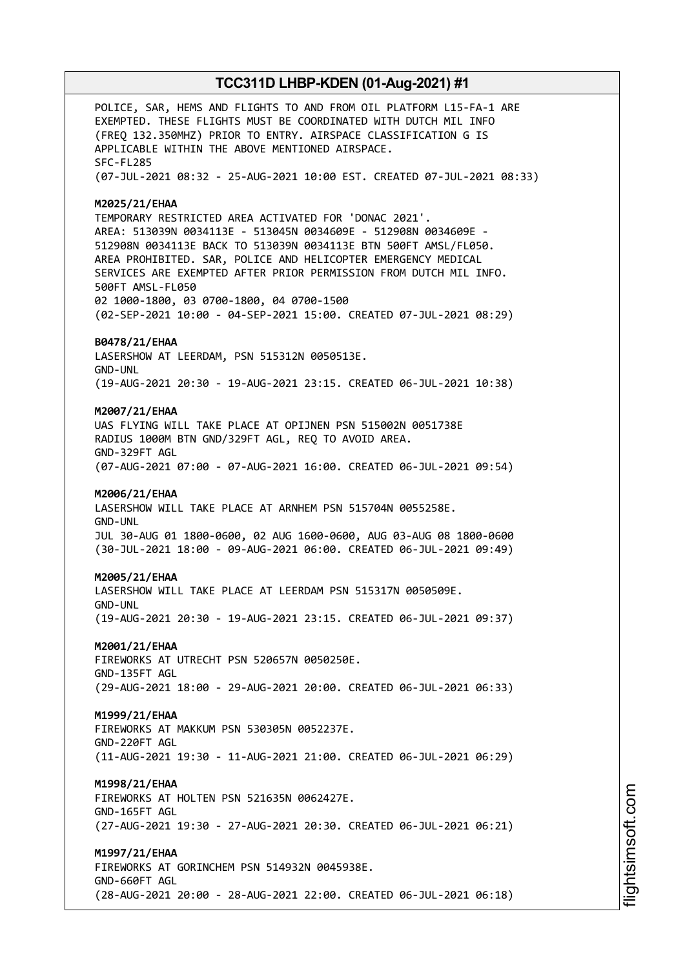POLICE, SAR, HEMS AND FLIGHTS TO AND FROM OIL PLATFORM L15-FA-1 ARE EXEMPTED. THESE FLIGHTS MUST BE COORDINATED WITH DUTCH MIL INFO (FREQ 132.350MHZ) PRIOR TO ENTRY. AIRSPACE CLASSIFICATION G IS APPLICABLE WITHIN THE ABOVE MENTIONED AIRSPACE. SFC-FL285 (07-JUL-2021 08:32 - 25-AUG-2021 10:00 EST. CREATED 07-JUL-2021 08:33) **M2025/21/EHAA** TEMPORARY RESTRICTED AREA ACTIVATED FOR 'DONAC 2021'. AREA: 513039N 0034113E - 513045N 0034609E - 512908N 0034609E - 512908N 0034113E BACK TO 513039N 0034113E BTN 500FT AMSL/FL050. AREA PROHIBITED. SAR, POLICE AND HELICOPTER EMERGENCY MEDICAL SERVICES ARE EXEMPTED AFTER PRIOR PERMISSION FROM DUTCH MIL INFO. 500FT AMSL-FL050 02 1000-1800, 03 0700-1800, 04 0700-1500 (02-SEP-2021 10:00 - 04-SEP-2021 15:00. CREATED 07-JUL-2021 08:29) **B0478/21/EHAA** LASERSHOW AT LEERDAM, PSN 515312N 0050513E. GND-UNL (19-AUG-2021 20:30 - 19-AUG-2021 23:15. CREATED 06-JUL-2021 10:38) **M2007/21/EHAA** UAS FLYING WILL TAKE PLACE AT OPIJNEN PSN 515002N 0051738E RADIUS 1000M BTN GND/329FT AGL, REQ TO AVOID AREA. GND-329FT AGL (07-AUG-2021 07:00 - 07-AUG-2021 16:00. CREATED 06-JUL-2021 09:54) **M2006/21/EHAA** LASERSHOW WILL TAKE PLACE AT ARNHEM PSN 515704N 0055258E. GND-UNL JUL 30-AUG 01 1800-0600, 02 AUG 1600-0600, AUG 03-AUG 08 1800-0600 (30-JUL-2021 18:00 - 09-AUG-2021 06:00. CREATED 06-JUL-2021 09:49) **M2005/21/EHAA** LASERSHOW WILL TAKE PLACE AT LEERDAM PSN 515317N 0050509E. GND-UNL (19-AUG-2021 20:30 - 19-AUG-2021 23:15. CREATED 06-JUL-2021 09:37) **M2001/21/EHAA** FIREWORKS AT UTRECHT PSN 520657N 0050250E. GND-135FT AGL (29-AUG-2021 18:00 - 29-AUG-2021 20:00. CREATED 06-JUL-2021 06:33) **M1999/21/EHAA** FIREWORKS AT MAKKUM PSN 530305N 0052237E. GND-220FT AGL (11-AUG-2021 19:30 - 11-AUG-2021 21:00. CREATED 06-JUL-2021 06:29) **M1998/21/EHAA** FIREWORKS AT HOLTEN PSN 521635N 0062427E. GND-165FT AGL (27-AUG-2021 19:30 - 27-AUG-2021 20:30. CREATED 06-JUL-2021 06:21) **M1997/21/EHAA** FIREWORKS AT GORINCHEM PSN 514932N 0045938E. GND-660FT AGL (28-AUG-2021 20:00 - 28-AUG-2021 22:00. CREATED 06-JUL-2021 06:18)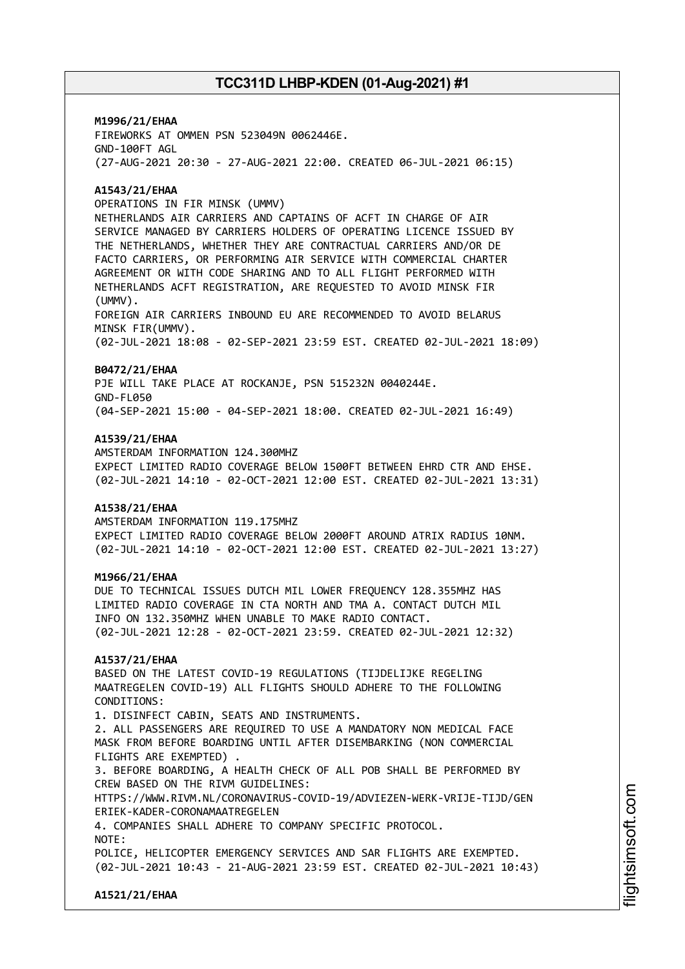**M1996/21/EHAA** FIREWORKS AT OMMEN PSN 523049N 0062446E. GND-100FT AGL (27-AUG-2021 20:30 - 27-AUG-2021 22:00. CREATED 06-JUL-2021 06:15)

### **A1543/21/EHAA**

OPERATIONS IN FIR MINSK (UMMV)

NETHERLANDS AIR CARRIERS AND CAPTAINS OF ACFT IN CHARGE OF AIR SERVICE MANAGED BY CARRIERS HOLDERS OF OPERATING LICENCE ISSUED BY THE NETHERLANDS, WHETHER THEY ARE CONTRACTUAL CARRIERS AND/OR DE FACTO CARRIERS, OR PERFORMING AIR SERVICE WITH COMMERCIAL CHARTER AGREEMENT OR WITH CODE SHARING AND TO ALL FLIGHT PERFORMED WITH NETHERLANDS ACFT REGISTRATION, ARE REQUESTED TO AVOID MINSK FIR (UMMV).

FOREIGN AIR CARRIERS INBOUND EU ARE RECOMMENDED TO AVOID BELARUS MINSK FIR(UMMV).

(02-JUL-2021 18:08 - 02-SEP-2021 23:59 EST. CREATED 02-JUL-2021 18:09)

#### **B0472/21/EHAA**

PJE WILL TAKE PLACE AT ROCKANJE, PSN 515232N 0040244E. GND-FL050 (04-SEP-2021 15:00 - 04-SEP-2021 18:00. CREATED 02-JUL-2021 16:49)

#### **A1539/21/EHAA**

AMSTERDAM INFORMATION 124.300MHZ EXPECT LIMITED RADIO COVERAGE BELOW 1500FT BETWEEN EHRD CTR AND EHSE. (02-JUL-2021 14:10 - 02-OCT-2021 12:00 EST. CREATED 02-JUL-2021 13:31)

### **A1538/21/EHAA**

AMSTERDAM INFORMATION 119.175MHZ EXPECT LIMITED RADIO COVERAGE BELOW 2000FT AROUND ATRIX RADIUS 10NM. (02-JUL-2021 14:10 - 02-OCT-2021 12:00 EST. CREATED 02-JUL-2021 13:27)

#### **M1966/21/EHAA**

DUE TO TECHNICAL ISSUES DUTCH MIL LOWER FREQUENCY 128.355MHZ HAS LIMITED RADIO COVERAGE IN CTA NORTH AND TMA A. CONTACT DUTCH MIL INFO ON 132.350MHZ WHEN UNABLE TO MAKE RADIO CONTACT. (02-JUL-2021 12:28 - 02-OCT-2021 23:59. CREATED 02-JUL-2021 12:32)

### **A1537/21/EHAA**

BASED ON THE LATEST COVID-19 REGULATIONS (TIJDELIJKE REGELING MAATREGELEN COVID-19) ALL FLIGHTS SHOULD ADHERE TO THE FOLLOWING CONDITIONS:

1. DISINFECT CABIN, SEATS AND INSTRUMENTS. 2. ALL PASSENGERS ARE REQUIRED TO USE A MANDATORY NON MEDICAL FACE MASK FROM BEFORE BOARDING UNTIL AFTER DISEMBARKING (NON COMMERCIAL FLIGHTS ARE EXEMPTED) .

3. BEFORE BOARDING, A HEALTH CHECK OF ALL POB SHALL BE PERFORMED BY CREW BASED ON THE RIVM GUIDELINES:

HTTPS://WWW.RIVM.NL/CORONAVIRUS-COVID-19/ADVIEZEN-WERK-VRIJE-TIJD/GEN ERIEK-KADER-CORONAMAATREGELEN

4. COMPANIES SHALL ADHERE TO COMPANY SPECIFIC PROTOCOL.

NOTE:

POLICE, HELICOPTER EMERGENCY SERVICES AND SAR FLIGHTS ARE EXEMPTED. (02-JUL-2021 10:43 - 21-AUG-2021 23:59 EST. CREATED 02-JUL-2021 10:43)

**A1521/21/EHAA**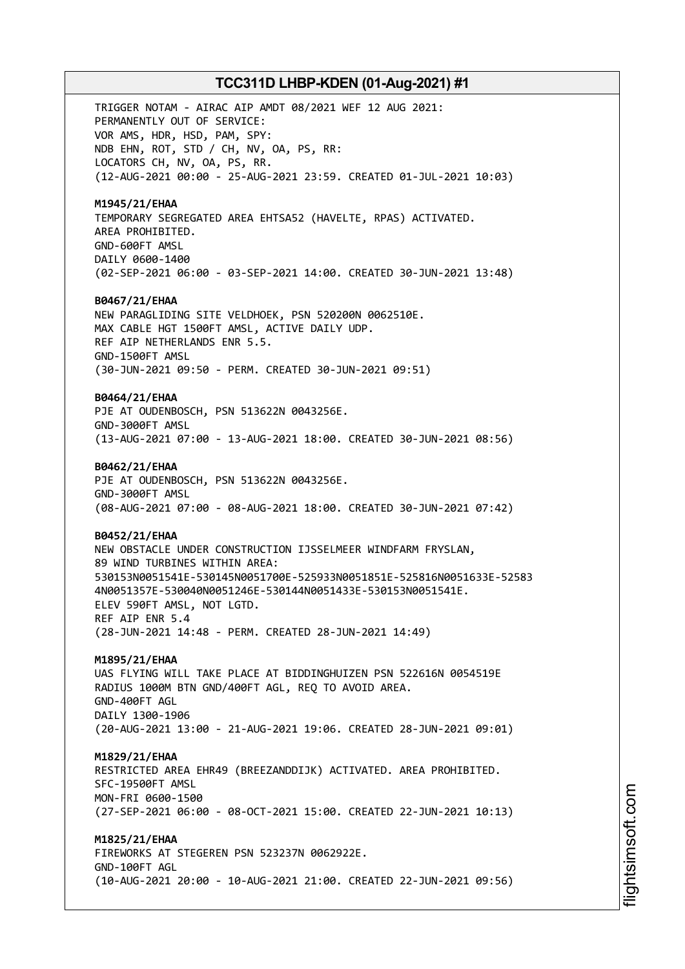TRIGGER NOTAM - AIRAC AIP AMDT 08/2021 WEF 12 AUG 2021: PERMANENTLY OUT OF SERVICE: VOR AMS, HDR, HSD, PAM, SPY: NDB EHN, ROT, STD / CH, NV, OA, PS, RR: LOCATORS CH, NV, OA, PS, RR. (12-AUG-2021 00:00 - 25-AUG-2021 23:59. CREATED 01-JUL-2021 10:03) **M1945/21/EHAA** TEMPORARY SEGREGATED AREA EHTSA52 (HAVELTE, RPAS) ACTIVATED. AREA PROHIBITED. GND-600FT AMSL DAILY 0600-1400 (02-SEP-2021 06:00 - 03-SEP-2021 14:00. CREATED 30-JUN-2021 13:48) **B0467/21/EHAA** NEW PARAGLIDING SITE VELDHOEK, PSN 520200N 0062510E. MAX CABLE HGT 1500FT AMSL, ACTIVE DAILY UDP. REF AIP NETHERLANDS ENR 5.5. GND-1500FT AMSL (30-JUN-2021 09:50 - PERM. CREATED 30-JUN-2021 09:51) **B0464/21/EHAA** PJE AT OUDENBOSCH, PSN 513622N 0043256E. GND-3000FT AMSL (13-AUG-2021 07:00 - 13-AUG-2021 18:00. CREATED 30-JUN-2021 08:56) **B0462/21/EHAA** PJE AT OUDENBOSCH, PSN 513622N 0043256E. GND-3000FT AMSL (08-AUG-2021 07:00 - 08-AUG-2021 18:00. CREATED 30-JUN-2021 07:42) **B0452/21/EHAA** NEW OBSTACLE UNDER CONSTRUCTION IJSSELMEER WINDFARM FRYSLAN, 89 WIND TURBINES WITHIN AREA: 530153N0051541E-530145N0051700E-525933N0051851E-525816N0051633E-52583 4N0051357E-530040N0051246E-530144N0051433E-530153N0051541E. ELEV 590FT AMSL, NOT LGTD. REF AIP ENR 5.4 (28-JUN-2021 14:48 - PERM. CREATED 28-JUN-2021 14:49) **M1895/21/EHAA** UAS FLYING WILL TAKE PLACE AT BIDDINGHUIZEN PSN 522616N 0054519E RADIUS 1000M BTN GND/400FT AGL, REQ TO AVOID AREA. GND-400FT AGL DAILY 1300-1906 (20-AUG-2021 13:00 - 21-AUG-2021 19:06. CREATED 28-JUN-2021 09:01) **M1829/21/EHAA** RESTRICTED AREA EHR49 (BREEZANDDIJK) ACTIVATED. AREA PROHIBITED. SFC-19500FT AMSL MON-FRI 0600-1500 (27-SEP-2021 06:00 - 08-OCT-2021 15:00. CREATED 22-JUN-2021 10:13) **M1825/21/EHAA** FIREWORKS AT STEGEREN PSN 523237N 0062922E. GND-100FT AGL

(10-AUG-2021 20:00 - 10-AUG-2021 21:00. CREATED 22-JUN-2021 09:56)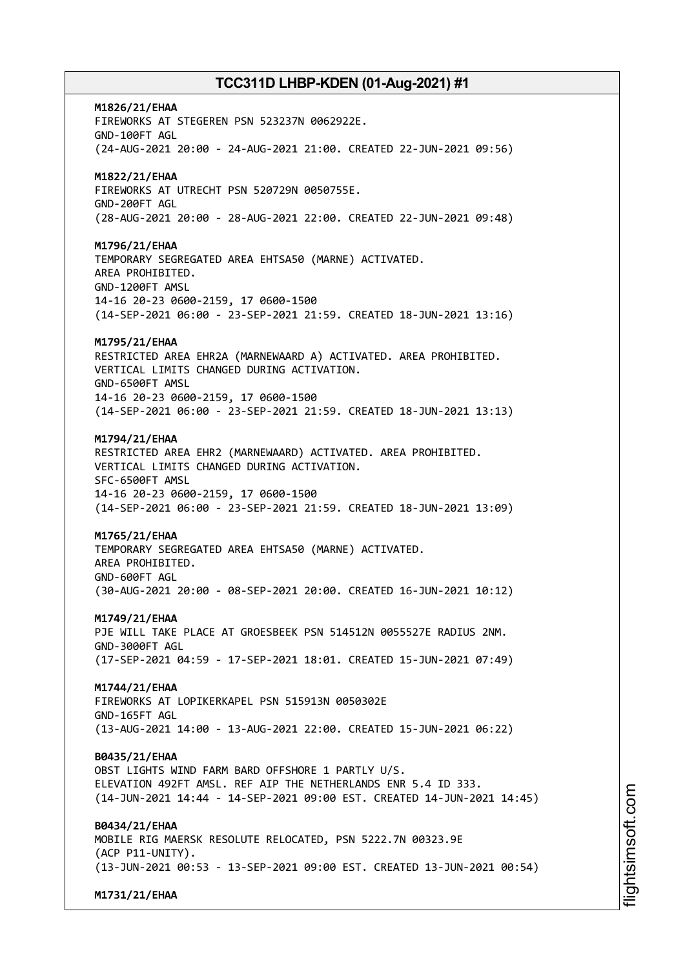**M1826/21/EHAA** FIREWORKS AT STEGEREN PSN 523237N 0062922E. GND-100FT AGL (24-AUG-2021 20:00 - 24-AUG-2021 21:00. CREATED 22-JUN-2021 09:56) **M1822/21/EHAA** FIREWORKS AT UTRECHT PSN 520729N 0050755E. GND-200FT AGL (28-AUG-2021 20:00 - 28-AUG-2021 22:00. CREATED 22-JUN-2021 09:48) **M1796/21/EHAA** TEMPORARY SEGREGATED AREA EHTSA50 (MARNE) ACTIVATED. AREA PROHIBITED. GND-1200FT AMSL 14-16 20-23 0600-2159, 17 0600-1500 (14-SEP-2021 06:00 - 23-SEP-2021 21:59. CREATED 18-JUN-2021 13:16) **M1795/21/EHAA** RESTRICTED AREA EHR2A (MARNEWAARD A) ACTIVATED. AREA PROHIBITED. VERTICAL LIMITS CHANGED DURING ACTIVATION. GND-6500FT AMSL 14-16 20-23 0600-2159, 17 0600-1500 (14-SEP-2021 06:00 - 23-SEP-2021 21:59. CREATED 18-JUN-2021 13:13) **M1794/21/EHAA** RESTRICTED AREA EHR2 (MARNEWAARD) ACTIVATED. AREA PROHIBITED. VERTICAL LIMITS CHANGED DURING ACTIVATION. SFC-6500FT AMSL 14-16 20-23 0600-2159, 17 0600-1500 (14-SEP-2021 06:00 - 23-SEP-2021 21:59. CREATED 18-JUN-2021 13:09) **M1765/21/EHAA** TEMPORARY SEGREGATED AREA EHTSA50 (MARNE) ACTIVATED. AREA PROHIBITED. GND-600FT AGL (30-AUG-2021 20:00 - 08-SEP-2021 20:00. CREATED 16-JUN-2021 10:12) **M1749/21/EHAA** PJE WILL TAKE PLACE AT GROESBEEK PSN 514512N 0055527E RADIUS 2NM. GND-3000FT AGL (17-SEP-2021 04:59 - 17-SEP-2021 18:01. CREATED 15-JUN-2021 07:49) **M1744/21/EHAA** FIREWORKS AT LOPIKERKAPEL PSN 515913N 0050302E GND-165FT AGL (13-AUG-2021 14:00 - 13-AUG-2021 22:00. CREATED 15-JUN-2021 06:22) **B0435/21/EHAA** OBST LIGHTS WIND FARM BARD OFFSHORE 1 PARTLY U/S. ELEVATION 492FT AMSL. REF AIP THE NETHERLANDS ENR 5.4 ID 333. (14-JUN-2021 14:44 - 14-SEP-2021 09:00 EST. CREATED 14-JUN-2021 14:45) **B0434/21/EHAA** MOBILE RIG MAERSK RESOLUTE RELOCATED, PSN 5222.7N 00323.9E (ACP P11-UNITY). (13-JUN-2021 00:53 - 13-SEP-2021 09:00 EST. CREATED 13-JUN-2021 00:54)

**M1731/21/EHAA**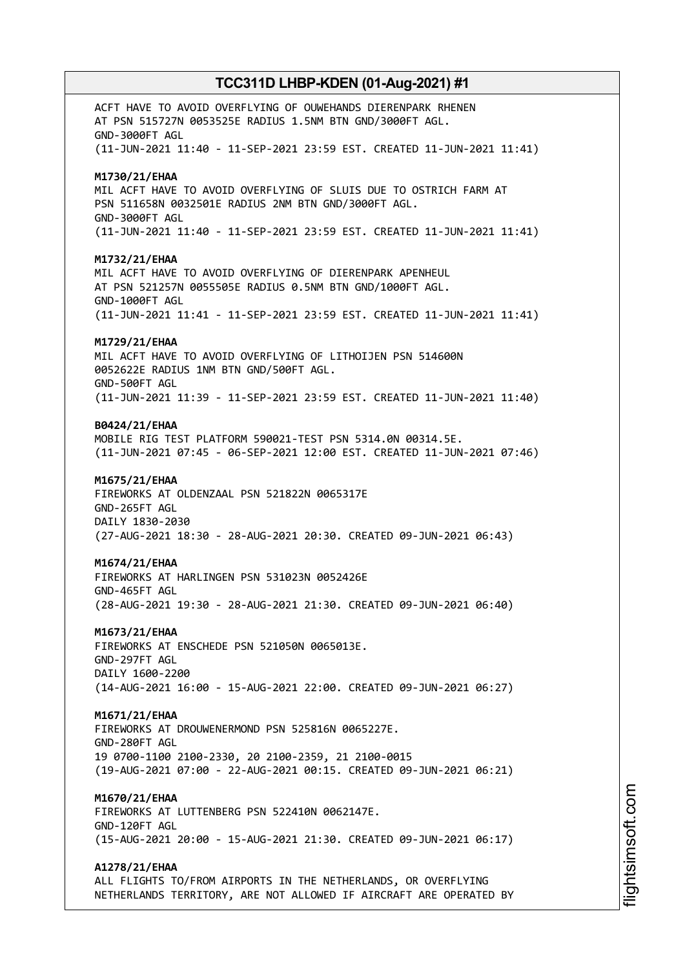ACFT HAVE TO AVOID OVERFLYING OF OUWEHANDS DIERENPARK RHENEN AT PSN 515727N 0053525E RADIUS 1.5NM BTN GND/3000FT AGL. GND-3000FT AGL (11-JUN-2021 11:40 - 11-SEP-2021 23:59 EST. CREATED 11-JUN-2021 11:41) **M1730/21/EHAA** MIL ACFT HAVE TO AVOID OVERFLYING OF SLUIS DUE TO OSTRICH FARM AT PSN 511658N 0032501E RADIUS 2NM BTN GND/3000FT AGL. GND-3000FT AGL (11-JUN-2021 11:40 - 11-SEP-2021 23:59 EST. CREATED 11-JUN-2021 11:41) **M1732/21/EHAA** MIL ACFT HAVE TO AVOID OVERFLYING OF DIERENPARK APENHEUL AT PSN 521257N 0055505E RADIUS 0.5NM BTN GND/1000FT AGL. GND-1000FT AGL (11-JUN-2021 11:41 - 11-SEP-2021 23:59 EST. CREATED 11-JUN-2021 11:41) **M1729/21/EHAA** MIL ACFT HAVE TO AVOID OVERFLYING OF LITHOIJEN PSN 514600N 0052622E RADIUS 1NM BTN GND/500FT AGL. GND-500FT AGL (11-JUN-2021 11:39 - 11-SEP-2021 23:59 EST. CREATED 11-JUN-2021 11:40) **B0424/21/EHAA** MOBILE RIG TEST PLATFORM 590021-TEST PSN 5314.0N 00314.5E. (11-JUN-2021 07:45 - 06-SEP-2021 12:00 EST. CREATED 11-JUN-2021 07:46) **M1675/21/EHAA** FIREWORKS AT OLDENZAAL PSN 521822N 0065317E GND-265FT AGL DAILY 1830-2030 (27-AUG-2021 18:30 - 28-AUG-2021 20:30. CREATED 09-JUN-2021 06:43) **M1674/21/EHAA** FIREWORKS AT HARLINGEN PSN 531023N 0052426E GND-465FT AGL (28-AUG-2021 19:30 - 28-AUG-2021 21:30. CREATED 09-JUN-2021 06:40) **M1673/21/EHAA** FIREWORKS AT ENSCHEDE PSN 521050N 0065013E. GND-297FT AGL DAILY 1600-2200 (14-AUG-2021 16:00 - 15-AUG-2021 22:00. CREATED 09-JUN-2021 06:27) **M1671/21/EHAA** FIREWORKS AT DROUWENERMOND PSN 525816N 0065227E. GND-280FT AGL 19 0700-1100 2100-2330, 20 2100-2359, 21 2100-0015 (19-AUG-2021 07:00 - 22-AUG-2021 00:15. CREATED 09-JUN-2021 06:21) **M1670/21/EHAA** FIREWORKS AT LUTTENBERG PSN 522410N 0062147E. GND-120FT AGL (15-AUG-2021 20:00 - 15-AUG-2021 21:30. CREATED 09-JUN-2021 06:17) **A1278/21/EHAA** ALL FLIGHTS TO/FROM AIRPORTS IN THE NETHERLANDS, OR OVERFLYING NETHERLANDS TERRITORY, ARE NOT ALLOWED IF AIRCRAFT ARE OPERATED BY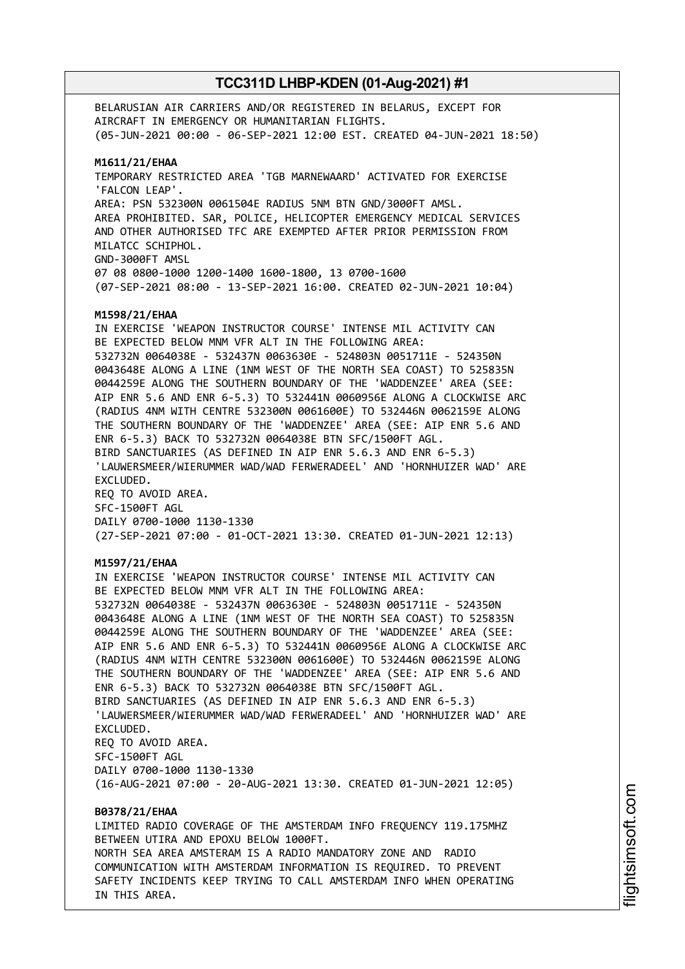BELARUSIAN AIR CARRIERS AND/OR REGISTERED IN BELARUS, EXCEPT FOR AIRCRAFT IN EMERGENCY OR HUMANITARIAN FLIGHTS. (05-JUN-2021 00:00 - 06-SEP-2021 12:00 EST. CREATED 04-JUN-2021 18:50) **M1611/21/EHAA** TEMPORARY RESTRICTED AREA 'TGB MARNEWAARD' ACTIVATED FOR EXERCISE 'FALCON LEAP'. AREA: PSN 532300N 0061504E RADIUS 5NM BTN GND/3000FT AMSL. AREA PROHIBITED. SAR, POLICE, HELICOPTER EMERGENCY MEDICAL SERVICES AND OTHER AUTHORISED TFC ARE EXEMPTED AFTER PRIOR PERMISSION FROM MILATCC SCHIPHOL. GND-3000FT AMSL 07 08 0800-1000 1200-1400 1600-1800, 13 0700-1600 (07-SEP-2021 08:00 - 13-SEP-2021 16:00. CREATED 02-JUN-2021 10:04) **M1598/21/EHAA** IN EXERCISE 'WEAPON INSTRUCTOR COURSE' INTENSE MIL ACTIVITY CAN BE EXPECTED BELOW MNM VFR ALT IN THE FOLLOWING AREA: 532732N 0064038E - 532437N 0063630E - 524803N 0051711E - 524350N 0043648E ALONG A LINE (1NM WEST OF THE NORTH SEA COAST) TO 525835N 0044259E ALONG THE SOUTHERN BOUNDARY OF THE 'WADDENZEE' AREA (SEE: AIP ENR 5.6 AND ENR 6-5.3) TO 532441N 0060956E ALONG A CLOCKWISE ARC (RADIUS 4NM WITH CENTRE 532300N 0061600E) TO 532446N 0062159E ALONG THE SOUTHERN BOUNDARY OF THE 'WADDENZEE' AREA (SEE: AIP ENR 5.6 AND ENR 6-5.3) BACK TO 532732N 0064038E BTN SFC/1500FT AGL. BIRD SANCTUARIES (AS DEFINED IN AIP ENR 5.6.3 AND ENR 6-5.3) 'LAUWERSMEER/WIERUMMER WAD/WAD FERWERADEEL' AND 'HORNHUIZER WAD' ARE EXCLUDED. REQ TO AVOID AREA. SFC-1500FT AGL DAILY 0700-1000 1130-1330 (27-SEP-2021 07:00 - 01-OCT-2021 13:30. CREATED 01-JUN-2021 12:13) **M1597/21/EHAA** IN EXERCISE 'WEAPON INSTRUCTOR COURSE' INTENSE MIL ACTIVITY CAN BE EXPECTED BELOW MNM VFR ALT IN THE FOLLOWING AREA: 532732N 0064038E - 532437N 0063630E - 524803N 0051711E - 524350N 0043648E ALONG A LINE (1NM WEST OF THE NORTH SEA COAST) TO 525835N 0044259E ALONG THE SOUTHERN BOUNDARY OF THE 'WADDENZEE' AREA (SEE: AIP ENR 5.6 AND ENR 6-5.3) TO 532441N 0060956E ALONG A CLOCKWISE ARC (RADIUS 4NM WITH CENTRE 532300N 0061600E) TO 532446N 0062159E ALONG THE SOUTHERN BOUNDARY OF THE 'WADDENZEE' AREA (SEE: AIP ENR 5.6 AND ENR 6-5.3) BACK TO 532732N 0064038E BTN SFC/1500FT AGL. BIRD SANCTUARIES (AS DEFINED IN AIP ENR 5.6.3 AND ENR 6-5.3) 'LAUWERSMEER/WIERUMMER WAD/WAD FERWERADEEL' AND 'HORNHUIZER WAD' ARE EXCLUDED. REQ TO AVOID AREA. SFC-1500FT AGL DAILY 0700-1000 1130-1330 (16-AUG-2021 07:00 - 20-AUG-2021 13:30. CREATED 01-JUN-2021 12:05) **B0378/21/EHAA** LIMITED RADIO COVERAGE OF THE AMSTERDAM INFO FREQUENCY 119.175MHZ BETWEEN UTIRA AND EPOXU BELOW 1000FT. NORTH SEA AREA AMSTERAM IS A RADIO MANDATORY ZONE AND RADIO COMMUNICATION WITH AMSTERDAM INFORMATION IS REQUIRED. TO PREVENT

SAFETY INCIDENTS KEEP TRYING TO CALL AMSTERDAM INFO WHEN OPERATING

IN THIS AREA.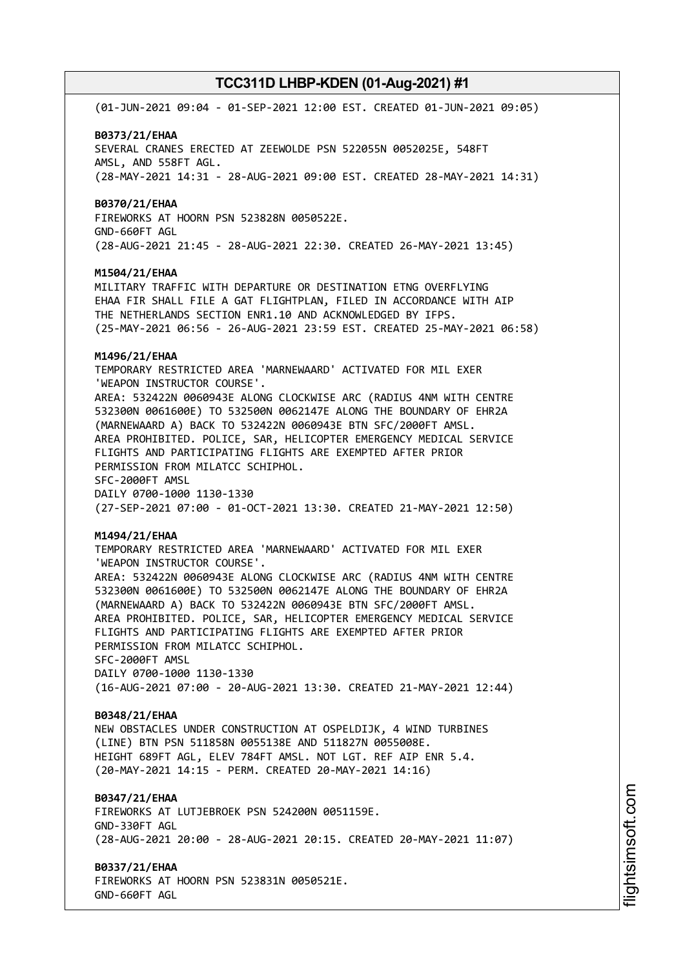(01-JUN-2021 09:04 - 01-SEP-2021 12:00 EST. CREATED 01-JUN-2021 09:05)

#### **B0373/21/EHAA**

SEVERAL CRANES ERECTED AT ZEEWOLDE PSN 522055N 0052025E, 548FT AMSL, AND 558FT AGL. (28-MAY-2021 14:31 - 28-AUG-2021 09:00 EST. CREATED 28-MAY-2021 14:31)

#### **B0370/21/EHAA**

FIREWORKS AT HOORN PSN 523828N 0050522E. GND-660FT AGL (28-AUG-2021 21:45 - 28-AUG-2021 22:30. CREATED 26-MAY-2021 13:45)

### **M1504/21/EHAA**

MILITARY TRAFFIC WITH DEPARTURE OR DESTINATION ETNG OVERFLYING EHAA FIR SHALL FILE A GAT FLIGHTPLAN, FILED IN ACCORDANCE WITH AIP THE NETHERLANDS SECTION ENR1.10 AND ACKNOWLEDGED BY IFPS. (25-MAY-2021 06:56 - 26-AUG-2021 23:59 EST. CREATED 25-MAY-2021 06:58)

#### **M1496/21/EHAA**

TEMPORARY RESTRICTED AREA 'MARNEWAARD' ACTIVATED FOR MIL EXER 'WEAPON INSTRUCTOR COURSE'. AREA: 532422N 0060943E ALONG CLOCKWISE ARC (RADIUS 4NM WITH CENTRE 532300N 0061600E) TO 532500N 0062147E ALONG THE BOUNDARY OF EHR2A (MARNEWAARD A) BACK TO 532422N 0060943E BTN SFC/2000FT AMSL.

AREA PROHIBITED. POLICE, SAR, HELICOPTER EMERGENCY MEDICAL SERVICE FLIGHTS AND PARTICIPATING FLIGHTS ARE EXEMPTED AFTER PRIOR PERMISSION FROM MILATCC SCHIPHOL.

SFC-2000FT AMSL DAILY 0700-1000 1130-1330 (27-SEP-2021 07:00 - 01-OCT-2021 13:30. CREATED 21-MAY-2021 12:50)

#### **M1494/21/EHAA**

TEMPORARY RESTRICTED AREA 'MARNEWAARD' ACTIVATED FOR MIL EXER 'WEAPON INSTRUCTOR COURSE'. AREA: 532422N 0060943E ALONG CLOCKWISE ARC (RADIUS 4NM WITH CENTRE 532300N 0061600E) TO 532500N 0062147E ALONG THE BOUNDARY OF EHR2A (MARNEWAARD A) BACK TO 532422N 0060943E BTN SFC/2000FT AMSL. AREA PROHIBITED. POLICE, SAR, HELICOPTER EMERGENCY MEDICAL SERVICE FLIGHTS AND PARTICIPATING FLIGHTS ARE EXEMPTED AFTER PRIOR PERMISSION FROM MILATCC SCHIPHOL. SFC-2000FT AMSL DAILY 0700-1000 1130-1330 (16-AUG-2021 07:00 - 20-AUG-2021 13:30. CREATED 21-MAY-2021 12:44)

#### **B0348/21/EHAA**

NEW OBSTACLES UNDER CONSTRUCTION AT OSPELDIJK, 4 WIND TURBINES (LINE) BTN PSN 511858N 0055138E AND 511827N 0055008E. HEIGHT 689FT AGL, ELEV 784FT AMSL. NOT LGT. REF AIP ENR 5.4. (20-MAY-2021 14:15 - PERM. CREATED 20-MAY-2021 14:16)

### **B0347/21/EHAA**

FIREWORKS AT LUTJEBROEK PSN 524200N 0051159E. GND-330FT AGL (28-AUG-2021 20:00 - 28-AUG-2021 20:15. CREATED 20-MAY-2021 11:07)

**B0337/21/EHAA** FIREWORKS AT HOORN PSN 523831N 0050521E.

GND-660FT AGL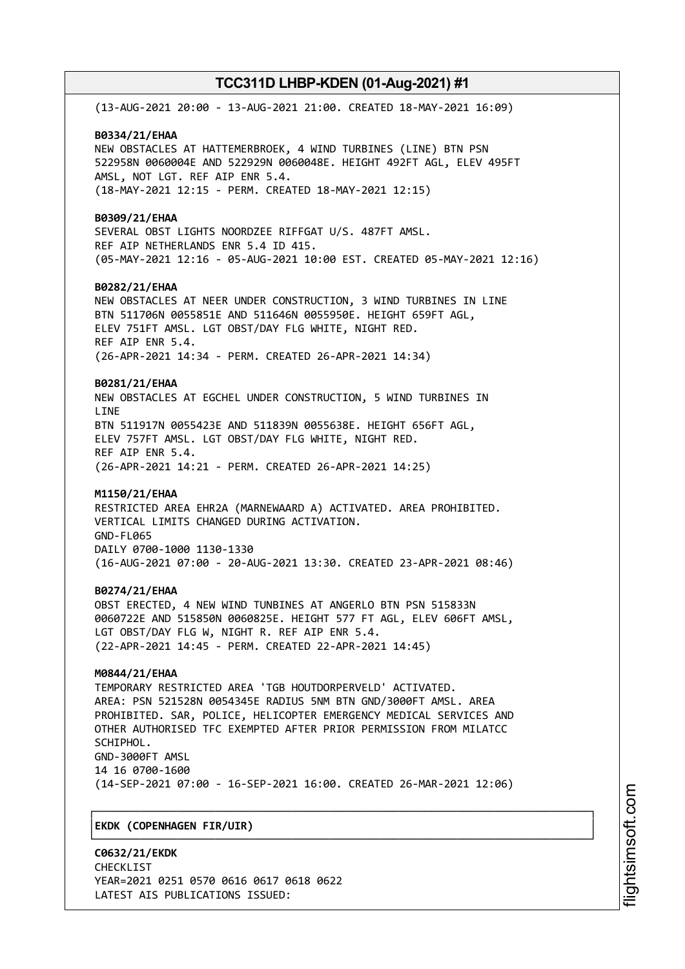(13-AUG-2021 20:00 - 13-AUG-2021 21:00. CREATED 18-MAY-2021 16:09) **B0334/21/EHAA** NEW OBSTACLES AT HATTEMERBROEK, 4 WIND TURBINES (LINE) BTN PSN 522958N 0060004E AND 522929N 0060048E. HEIGHT 492FT AGL, ELEV 495FT AMSL, NOT LGT. REF AIP ENR 5.4. (18-MAY-2021 12:15 - PERM. CREATED 18-MAY-2021 12:15) **B0309/21/EHAA** SEVERAL OBST LIGHTS NOORDZEE RIFFGAT U/S. 487FT AMSL. REF AIP NETHERLANDS ENR 5.4 ID 415. (05-MAY-2021 12:16 - 05-AUG-2021 10:00 EST. CREATED 05-MAY-2021 12:16) **B0282/21/EHAA** NEW OBSTACLES AT NEER UNDER CONSTRUCTION, 3 WIND TURBINES IN LINE BTN 511706N 0055851E AND 511646N 0055950E. HEIGHT 659FT AGL, ELEV 751FT AMSL. LGT OBST/DAY FLG WHITE, NIGHT RED. REF AIP ENR 5.4. (26-APR-2021 14:34 - PERM. CREATED 26-APR-2021 14:34) **B0281/21/EHAA** NEW OBSTACLES AT EGCHEL UNDER CONSTRUCTION, 5 WIND TURBINES IN **LTNF** BTN 511917N 0055423E AND 511839N 0055638E. HEIGHT 656FT AGL, ELEV 757FT AMSL. LGT OBST/DAY FLG WHITE, NIGHT RED. REF AIP ENR 5.4. (26-APR-2021 14:21 - PERM. CREATED 26-APR-2021 14:25) **M1150/21/EHAA** RESTRICTED AREA EHR2A (MARNEWAARD A) ACTIVATED. AREA PROHIBITED. VERTICAL LIMITS CHANGED DURING ACTIVATION. GND-FL065 DAILY 0700-1000 1130-1330 (16-AUG-2021 07:00 - 20-AUG-2021 13:30. CREATED 23-APR-2021 08:46) **B0274/21/EHAA** OBST ERECTED, 4 NEW WIND TUNBINES AT ANGERLO BTN PSN 515833N 0060722E AND 515850N 0060825E. HEIGHT 577 FT AGL, ELEV 606FT AMSL, LGT OBST/DAY FLG W, NIGHT R. REF AIP ENR 5.4. (22-APR-2021 14:45 - PERM. CREATED 22-APR-2021 14:45) **M0844/21/EHAA** TEMPORARY RESTRICTED AREA 'TGB HOUTDORPERVELD' ACTIVATED. AREA: PSN 521528N 0054345E RADIUS 5NM BTN GND/3000FT AMSL. AREA PROHIBITED. SAR, POLICE, HELICOPTER EMERGENCY MEDICAL SERVICES AND OTHER AUTHORISED TFC EXEMPTED AFTER PRIOR PERMISSION FROM MILATCC SCHIPHOL. GND-3000FT AMSL 14 16 0700-1600 (14-SEP-2021 07:00 - 16-SEP-2021 16:00. CREATED 26-MAR-2021 12:06) ┌──────────────────────────────────────────────────────────────────────────────┐ │**EKDK (COPENHAGEN FIR/UIR)** │

# └──────────────────────────────────────────────────────────────────────────────┘

**C0632/21/EKDK** CHECKL<sub>TST</sub> YEAR=2021 0251 0570 0616 0617 0618 0622 LATEST AIS PUBLICATIONS ISSUED: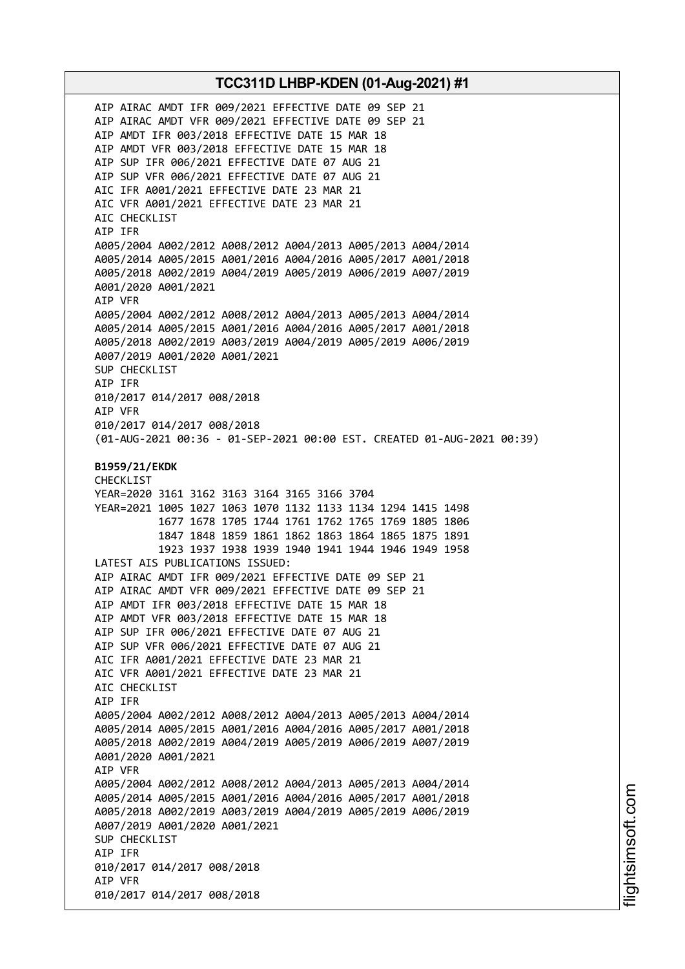AIP AIRAC AMDT IFR 009/2021 EFFECTIVE DATE 09 SEP 21 AIP AIRAC AMDT VFR 009/2021 EFFECTIVE DATE 09 SEP 21 AIP AMDT IFR 003/2018 EFFECTIVE DATE 15 MAR 18 AIP AMDT VFR 003/2018 EFFECTIVE DATE 15 MAR 18 AIP SUP IFR 006/2021 EFFECTIVE DATE 07 AUG 21 AIP SUP VFR 006/2021 EFFECTIVE DATE 07 AUG 21 AIC IFR A001/2021 EFFECTIVE DATE 23 MAR 21 AIC VFR A001/2021 EFFECTIVE DATE 23 MAR 21 AIC CHECKLIST AIP IFR A005/2004 A002/2012 A008/2012 A004/2013 A005/2013 A004/2014 A005/2014 A005/2015 A001/2016 A004/2016 A005/2017 A001/2018 A005/2018 A002/2019 A004/2019 A005/2019 A006/2019 A007/2019 A001/2020 A001/2021 AIP VFR A005/2004 A002/2012 A008/2012 A004/2013 A005/2013 A004/2014 A005/2014 A005/2015 A001/2016 A004/2016 A005/2017 A001/2018 A005/2018 A002/2019 A003/2019 A004/2019 A005/2019 A006/2019 A007/2019 A001/2020 A001/2021 SUP CHECKLIST AIP IFR 010/2017 014/2017 008/2018 AIP VFR 010/2017 014/2017 008/2018 (01-AUG-2021 00:36 - 01-SEP-2021 00:00 EST. CREATED 01-AUG-2021 00:39) **B1959/21/EKDK** CHECKLIST YEAR=2020 3161 3162 3163 3164 3165 3166 3704 YEAR=2021 1005 1027 1063 1070 1132 1133 1134 1294 1415 1498 1677 1678 1705 1744 1761 1762 1765 1769 1805 1806 1847 1848 1859 1861 1862 1863 1864 1865 1875 1891 1923 1937 1938 1939 1940 1941 1944 1946 1949 1958 LATEST AIS PUBLICATIONS ISSUED: AIP AIRAC AMDT IFR 009/2021 EFFECTIVE DATE 09 SEP 21 AIP AIRAC AMDT VFR 009/2021 EFFECTIVE DATE 09 SEP 21 AIP AMDT IFR 003/2018 EFFECTIVE DATE 15 MAR 18 AIP AMDT VFR 003/2018 EFFECTIVE DATE 15 MAR 18 AIP SUP IFR 006/2021 EFFECTIVE DATE 07 AUG 21 AIP SUP VFR 006/2021 EFFECTIVE DATE 07 AUG 21 AIC IFR A001/2021 EFFECTIVE DATE 23 MAR 21 AIC VFR A001/2021 EFFECTIVE DATE 23 MAR 21 AIC CHECKLIST AIP IFR A005/2004 A002/2012 A008/2012 A004/2013 A005/2013 A004/2014 A005/2014 A005/2015 A001/2016 A004/2016 A005/2017 A001/2018 A005/2018 A002/2019 A004/2019 A005/2019 A006/2019 A007/2019 A001/2020 A001/2021 AIP VFR A005/2004 A002/2012 A008/2012 A004/2013 A005/2013 A004/2014 A005/2014 A005/2015 A001/2016 A004/2016 A005/2017 A001/2018 A005/2018 A002/2019 A003/2019 A004/2019 A005/2019 A006/2019 A007/2019 A001/2020 A001/2021 SUP CHECKLIST AIP IFR 010/2017 014/2017 008/2018 AIP VFR 010/2017 014/2017 008/2018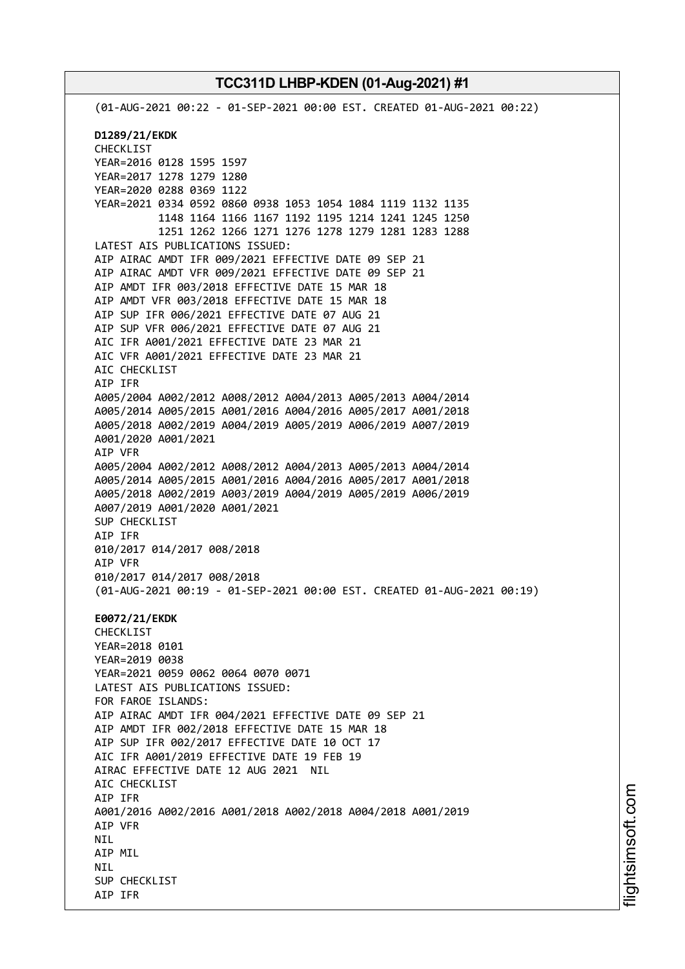(01-AUG-2021 00:22 - 01-SEP-2021 00:00 EST. CREATED 01-AUG-2021 00:22) **D1289/21/EKDK** CHECKLIST YEAR=2016 0128 1595 1597 YEAR=2017 1278 1279 1280 YEAR=2020 0288 0369 1122 YEAR=2021 0334 0592 0860 0938 1053 1054 1084 1119 1132 1135 1148 1164 1166 1167 1192 1195 1214 1241 1245 1250 1251 1262 1266 1271 1276 1278 1279 1281 1283 1288 LATEST AIS PUBLICATIONS ISSUED: AIP AIRAC AMDT IFR 009/2021 EFFECTIVE DATE 09 SEP 21 AIP AIRAC AMDT VFR 009/2021 EFFECTIVE DATE 09 SEP 21 AIP AMDT IFR 003/2018 EFFECTIVE DATE 15 MAR 18 AIP AMDT VFR 003/2018 EFFECTIVE DATE 15 MAR 18 AIP SUP IFR 006/2021 EFFECTIVE DATE 07 AUG 21 AIP SUP VFR 006/2021 EFFECTIVE DATE 07 AUG 21 AIC IFR A001/2021 EFFECTIVE DATE 23 MAR 21 AIC VFR A001/2021 EFFECTIVE DATE 23 MAR 21 AIC CHECKLIST AIP IFR A005/2004 A002/2012 A008/2012 A004/2013 A005/2013 A004/2014 A005/2014 A005/2015 A001/2016 A004/2016 A005/2017 A001/2018 A005/2018 A002/2019 A004/2019 A005/2019 A006/2019 A007/2019 A001/2020 A001/2021 AIP VFR A005/2004 A002/2012 A008/2012 A004/2013 A005/2013 A004/2014 A005/2014 A005/2015 A001/2016 A004/2016 A005/2017 A001/2018 A005/2018 A002/2019 A003/2019 A004/2019 A005/2019 A006/2019 A007/2019 A001/2020 A001/2021 SUP CHECKLIST AIP IFR 010/2017 014/2017 008/2018 AIP VFR 010/2017 014/2017 008/2018 (01-AUG-2021 00:19 - 01-SEP-2021 00:00 EST. CREATED 01-AUG-2021 00:19) **E0072/21/EKDK** CHECKLIST YEAR=2018 0101 YEAR=2019 0038 YEAR=2021 0059 0062 0064 0070 0071 LATEST AIS PUBLICATIONS ISSUED: FOR FAROE ISLANDS: AIP AIRAC AMDT IFR 004/2021 EFFECTIVE DATE 09 SEP 21 AIP AMDT IFR 002/2018 EFFECTIVE DATE 15 MAR 18 AIP SUP IFR 002/2017 EFFECTIVE DATE 10 OCT 17 AIC IFR A001/2019 EFFECTIVE DATE 19 FEB 19 AIRAC EFFECTIVE DATE 12 AUG 2021 NIL AIC CHECKLIST AIP IFR A001/2016 A002/2016 A001/2018 A002/2018 A004/2018 A001/2019 AIP VFR **NTI** AIP MIL **NTI** SUP CHECKLIST AIP IFR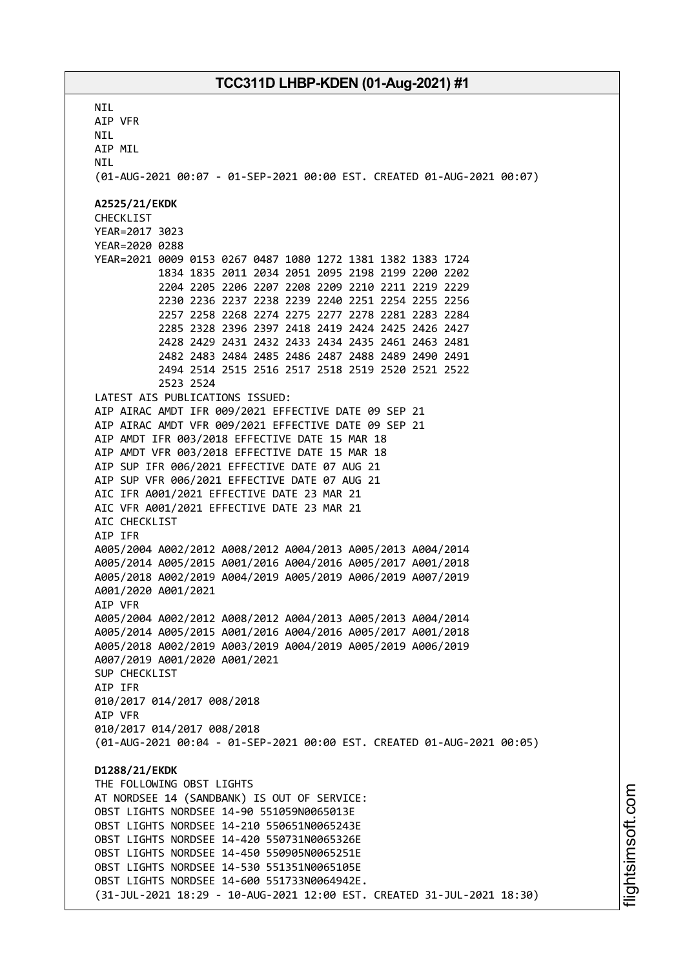**NTI** AIP VFR NIL AIP MIL **NTI** (01-AUG-2021 00:07 - 01-SEP-2021 00:00 EST. CREATED 01-AUG-2021 00:07) **A2525/21/EKDK** CHECKLIST YEAR=2017 3023 YEAR=2020 0288 YEAR=2021 0009 0153 0267 0487 1080 1272 1381 1382 1383 1724 1834 1835 2011 2034 2051 2095 2198 2199 2200 2202 2204 2205 2206 2207 2208 2209 2210 2211 2219 2229 2230 2236 2237 2238 2239 2240 2251 2254 2255 2256 2257 2258 2268 2274 2275 2277 2278 2281 2283 2284 2285 2328 2396 2397 2418 2419 2424 2425 2426 2427 2428 2429 2431 2432 2433 2434 2435 2461 2463 2481 2482 2483 2484 2485 2486 2487 2488 2489 2490 2491 2494 2514 2515 2516 2517 2518 2519 2520 2521 2522 2523 2524 LATEST AIS PUBLICATIONS ISSUED: AIP AIRAC AMDT IFR 009/2021 EFFECTIVE DATE 09 SEP 21 AIP AIRAC AMDT VFR 009/2021 EFFECTIVE DATE 09 SEP 21 AIP AMDT IFR 003/2018 EFFECTIVE DATE 15 MAR 18 AIP AMDT VFR 003/2018 EFFECTIVE DATE 15 MAR 18 AIP SUP IFR 006/2021 EFFECTIVE DATE 07 AUG 21 AIP SUP VFR 006/2021 EFFECTIVE DATE 07 AUG 21 AIC IFR A001/2021 EFFECTIVE DATE 23 MAR 21 AIC VFR A001/2021 EFFECTIVE DATE 23 MAR 21 AIC CHECKLIST AIP IFR A005/2004 A002/2012 A008/2012 A004/2013 A005/2013 A004/2014 A005/2014 A005/2015 A001/2016 A004/2016 A005/2017 A001/2018 A005/2018 A002/2019 A004/2019 A005/2019 A006/2019 A007/2019 A001/2020 A001/2021 AIP VFR A005/2004 A002/2012 A008/2012 A004/2013 A005/2013 A004/2014 A005/2014 A005/2015 A001/2016 A004/2016 A005/2017 A001/2018 A005/2018 A002/2019 A003/2019 A004/2019 A005/2019 A006/2019 A007/2019 A001/2020 A001/2021 SUP CHECKLIST AIP IFR 010/2017 014/2017 008/2018 AIP VFR 010/2017 014/2017 008/2018 (01-AUG-2021 00:04 - 01-SEP-2021 00:00 EST. CREATED 01-AUG-2021 00:05) **D1288/21/EKDK** THE FOLLOWING OBST LIGHTS AT NORDSEE 14 (SANDBANK) IS OUT OF SERVICE: OBST LIGHTS NORDSEE 14-90 551059N0065013E OBST LIGHTS NORDSEE 14-210 550651N0065243E OBST LIGHTS NORDSEE 14-420 550731N0065326E OBST LIGHTS NORDSEE 14-450 550905N0065251E OBST LIGHTS NORDSEE 14-530 551351N0065105E OBST LIGHTS NORDSEE 14-600 551733N0064942E. (31-JUL-2021 18:29 - 10-AUG-2021 12:00 EST. CREATED 31-JUL-2021 18:30)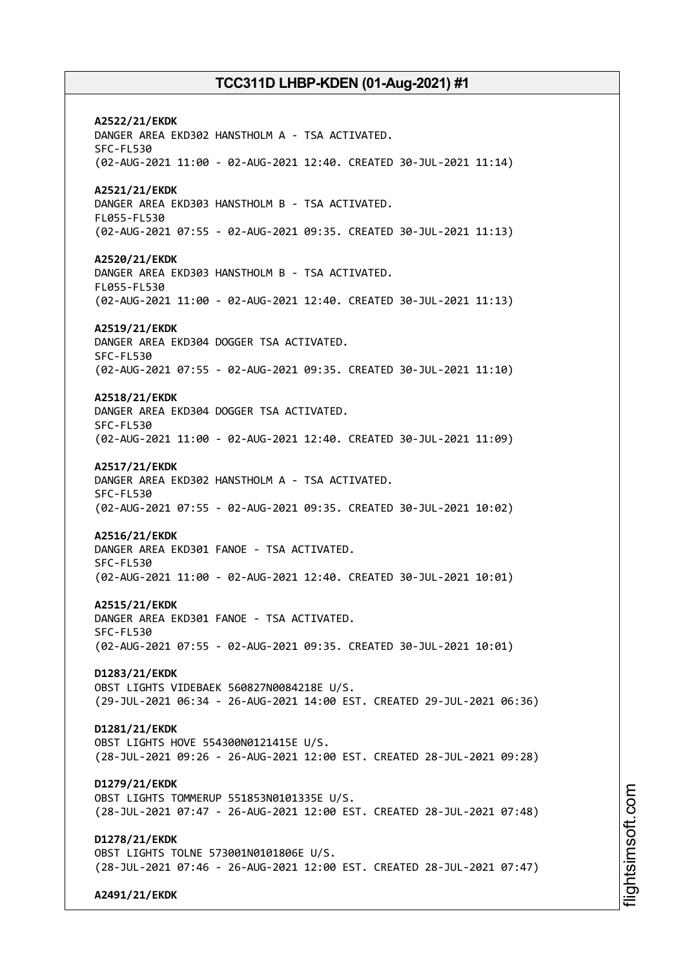**A2522/21/EKDK** DANGER AREA EKD302 HANSTHOLM A - TSA ACTIVATED. SFC-FL530 (02-AUG-2021 11:00 - 02-AUG-2021 12:40. CREATED 30-JUL-2021 11:14) **A2521/21/EKDK** DANGER AREA EKD303 HANSTHOLM B - TSA ACTIVATED. FL055-FL530 (02-AUG-2021 07:55 - 02-AUG-2021 09:35. CREATED 30-JUL-2021 11:13) **A2520/21/EKDK** DANGER AREA EKD303 HANSTHOLM B - TSA ACTIVATED. FL055-FL530 (02-AUG-2021 11:00 - 02-AUG-2021 12:40. CREATED 30-JUL-2021 11:13) **A2519/21/EKDK** DANGER AREA EKD304 DOGGER TSA ACTIVATED. SFC-FL530 (02-AUG-2021 07:55 - 02-AUG-2021 09:35. CREATED 30-JUL-2021 11:10) **A2518/21/EKDK** DANGER AREA EKD304 DOGGER TSA ACTIVATED. SFC-FL530 (02-AUG-2021 11:00 - 02-AUG-2021 12:40. CREATED 30-JUL-2021 11:09) **A2517/21/EKDK** DANGER AREA EKD302 HANSTHOLM A - TSA ACTIVATED. SFC-FL530 (02-AUG-2021 07:55 - 02-AUG-2021 09:35. CREATED 30-JUL-2021 10:02) **A2516/21/EKDK** DANGER AREA EKD301 FANOE - TSA ACTIVATED. SFC-FL530 (02-AUG-2021 11:00 - 02-AUG-2021 12:40. CREATED 30-JUL-2021 10:01) **A2515/21/EKDK** DANGER AREA EKD301 FANOE - TSA ACTIVATED. SFC-FL530 (02-AUG-2021 07:55 - 02-AUG-2021 09:35. CREATED 30-JUL-2021 10:01) **D1283/21/EKDK** OBST LIGHTS VIDEBAEK 560827N0084218E U/S. (29-JUL-2021 06:34 - 26-AUG-2021 14:00 EST. CREATED 29-JUL-2021 06:36) **D1281/21/EKDK** OBST LIGHTS HOVE 554300N0121415E U/S. (28-JUL-2021 09:26 - 26-AUG-2021 12:00 EST. CREATED 28-JUL-2021 09:28) **D1279/21/EKDK** OBST LIGHTS TOMMERUP 551853N0101335E U/S. (28-JUL-2021 07:47 - 26-AUG-2021 12:00 EST. CREATED 28-JUL-2021 07:48) **D1278/21/EKDK** OBST LIGHTS TOLNE 573001N0101806E U/S. (28-JUL-2021 07:46 - 26-AUG-2021 12:00 EST. CREATED 28-JUL-2021 07:47) **A2491/21/EKDK**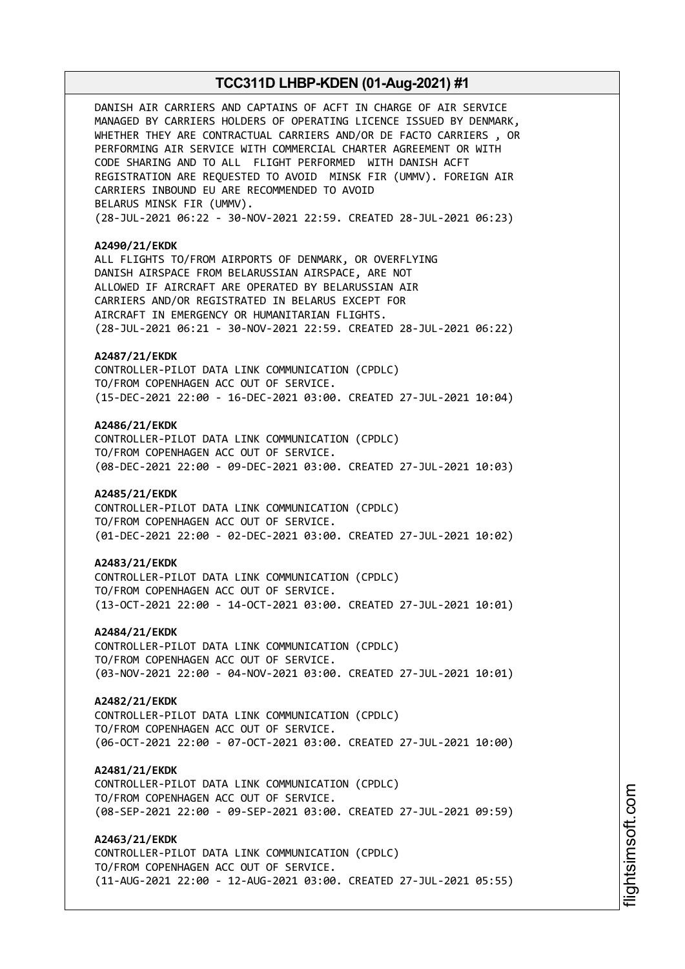DANISH AIR CARRIERS AND CAPTAINS OF ACFT IN CHARGE OF AIR SERVICE MANAGED BY CARRIERS HOLDERS OF OPERATING LICENCE ISSUED BY DENMARK, WHETHER THEY ARE CONTRACTUAL CARRIERS AND/OR DE FACTO CARRIERS , OR PERFORMING AIR SERVICE WITH COMMERCIAL CHARTER AGREEMENT OR WITH CODE SHARING AND TO ALL FLIGHT PERFORMED WITH DANISH ACFT REGISTRATION ARE REQUESTED TO AVOID MINSK FIR (UMMV). FOREIGN AIR CARRIERS INBOUND EU ARE RECOMMENDED TO AVOID BELARUS MINSK FIR (UMMV). (28-JUL-2021 06:22 - 30-NOV-2021 22:59. CREATED 28-JUL-2021 06:23) **A2490/21/EKDK** ALL FLIGHTS TO/FROM AIRPORTS OF DENMARK, OR OVERFLYING DANISH AIRSPACE FROM BELARUSSIAN AIRSPACE, ARE NOT ALLOWED IF AIRCRAFT ARE OPERATED BY BELARUSSIAN AIR CARRIERS AND/OR REGISTRATED IN BELARUS EXCEPT FOR AIRCRAFT IN EMERGENCY OR HUMANITARIAN FLIGHTS. (28-JUL-2021 06:21 - 30-NOV-2021 22:59. CREATED 28-JUL-2021 06:22) **A2487/21/EKDK** CONTROLLER-PILOT DATA LINK COMMUNICATION (CPDLC) TO/FROM COPENHAGEN ACC OUT OF SERVICE. (15-DEC-2021 22:00 - 16-DEC-2021 03:00. CREATED 27-JUL-2021 10:04) **A2486/21/EKDK** CONTROLLER-PILOT DATA LINK COMMUNICATION (CPDLC) TO/FROM COPENHAGEN ACC OUT OF SERVICE. (08-DEC-2021 22:00 - 09-DEC-2021 03:00. CREATED 27-JUL-2021 10:03) **A2485/21/EKDK** CONTROLLER-PILOT DATA LINK COMMUNICATION (CPDLC) TO/FROM COPENHAGEN ACC OUT OF SERVICE. (01-DEC-2021 22:00 - 02-DEC-2021 03:00. CREATED 27-JUL-2021 10:02) **A2483/21/EKDK** CONTROLLER-PILOT DATA LINK COMMUNICATION (CPDLC) TO/FROM COPENHAGEN ACC OUT OF SERVICE. (13-OCT-2021 22:00 - 14-OCT-2021 03:00. CREATED 27-JUL-2021 10:01) **A2484/21/EKDK** CONTROLLER-PILOT DATA LINK COMMUNICATION (CPDLC) TO/FROM COPENHAGEN ACC OUT OF SERVICE. (03-NOV-2021 22:00 - 04-NOV-2021 03:00. CREATED 27-JUL-2021 10:01) **A2482/21/EKDK** CONTROLLER-PILOT DATA LINK COMMUNICATION (CPDLC) TO/FROM COPENHAGEN ACC OUT OF SERVICE. (06-OCT-2021 22:00 - 07-OCT-2021 03:00. CREATED 27-JUL-2021 10:00) **A2481/21/EKDK** CONTROLLER-PILOT DATA LINK COMMUNICATION (CPDLC) TO/FROM COPENHAGEN ACC OUT OF SERVICE. (08-SEP-2021 22:00 - 09-SEP-2021 03:00. CREATED 27-JUL-2021 09:59) **A2463/21/EKDK** CONTROLLER-PILOT DATA LINK COMMUNICATION (CPDLC) TO/FROM COPENHAGEN ACC OUT OF SERVICE. (11-AUG-2021 22:00 - 12-AUG-2021 03:00. CREATED 27-JUL-2021 05:55)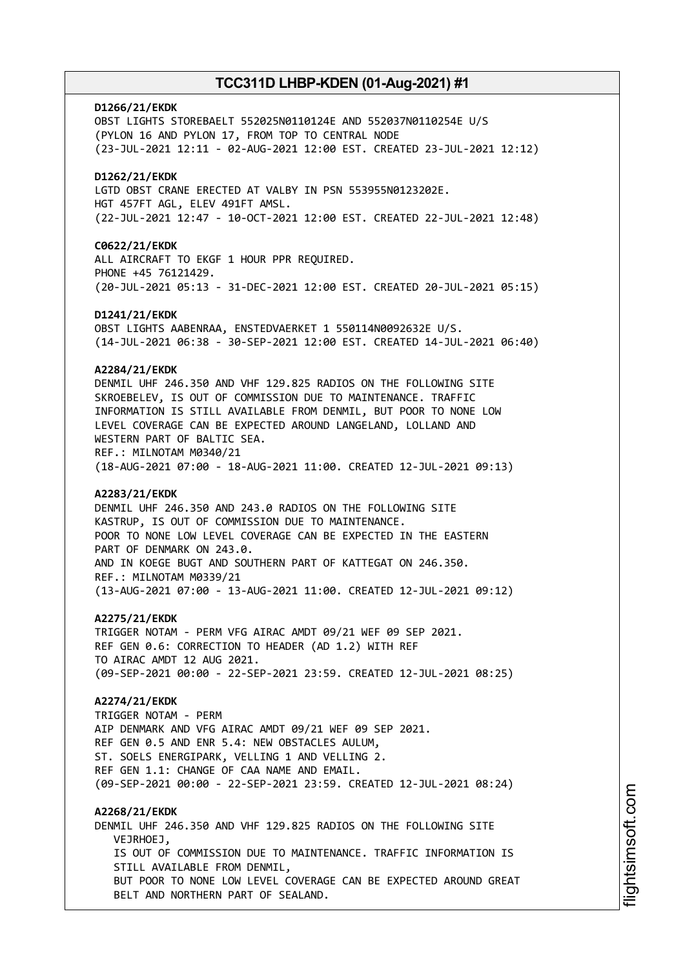# **D1266/21/EKDK** OBST LIGHTS STOREBAELT 552025N0110124E AND 552037N0110254E U/S (PYLON 16 AND PYLON 17, FROM TOP TO CENTRAL NODE (23-JUL-2021 12:11 - 02-AUG-2021 12:00 EST. CREATED 23-JUL-2021 12:12) **D1262/21/EKDK** LGTD OBST CRANE ERECTED AT VALBY IN PSN 553955N0123202E. HGT 457FT AGL, ELEV 491FT AMSL. (22-JUL-2021 12:47 - 10-OCT-2021 12:00 EST. CREATED 22-JUL-2021 12:48) **C0622/21/EKDK** ALL AIRCRAFT TO EKGF 1 HOUR PPR REQUIRED. PHONE +45 76121429. (20-JUL-2021 05:13 - 31-DEC-2021 12:00 EST. CREATED 20-JUL-2021 05:15) **D1241/21/EKDK** OBST LIGHTS AABENRAA, ENSTEDVAERKET 1 550114N0092632E U/S. (14-JUL-2021 06:38 - 30-SEP-2021 12:00 EST. CREATED 14-JUL-2021 06:40) **A2284/21/EKDK** DENMIL UHF 246.350 AND VHF 129.825 RADIOS ON THE FOLLOWING SITE SKROEBELEV, IS OUT OF COMMISSION DUE TO MAINTENANCE. TRAFFIC INFORMATION IS STILL AVAILABLE FROM DENMIL, BUT POOR TO NONE LOW LEVEL COVERAGE CAN BE EXPECTED AROUND LANGELAND, LOLLAND AND WESTERN PART OF BALTIC SEA. REF.: MILNOTAM M0340/21 (18-AUG-2021 07:00 - 18-AUG-2021 11:00. CREATED 12-JUL-2021 09:13) **A2283/21/EKDK** DENMIL UHF 246.350 AND 243.0 RADIOS ON THE FOLLOWING SITE KASTRUP, IS OUT OF COMMISSION DUE TO MAINTENANCE. POOR TO NONE LOW LEVEL COVERAGE CAN BE EXPECTED IN THE EASTERN PART OF DENMARK ON 243.0. AND IN KOEGE BUGT AND SOUTHERN PART OF KATTEGAT ON 246.350. REF.: MILNOTAM M0339/21 (13-AUG-2021 07:00 - 13-AUG-2021 11:00. CREATED 12-JUL-2021 09:12) **A2275/21/EKDK** TRIGGER NOTAM - PERM VFG AIRAC AMDT 09/21 WEF 09 SEP 2021. REF GEN 0.6: CORRECTION TO HEADER (AD 1.2) WITH REF TO AIRAC AMDT 12 AUG 2021. (09-SEP-2021 00:00 - 22-SEP-2021 23:59. CREATED 12-JUL-2021 08:25) **A2274/21/EKDK** TRIGGER NOTAM - PERM AIP DENMARK AND VFG AIRAC AMDT 09/21 WEF 09 SEP 2021. REF GEN 0.5 AND ENR 5.4: NEW OBSTACLES AULUM, ST. SOELS ENERGIPARK, VELLING 1 AND VELLING 2. REF GEN 1.1: CHANGE OF CAA NAME AND EMAIL. (09-SEP-2021 00:00 - 22-SEP-2021 23:59. CREATED 12-JUL-2021 08:24) **A2268/21/EKDK** DENMIL UHF 246.350 AND VHF 129.825 RADIOS ON THE FOLLOWING SITE VEJRHOEJ, IS OUT OF COMMISSION DUE TO MAINTENANCE. TRAFFIC INFORMATION IS STILL AVAILABLE FROM DENMIL, BUT POOR TO NONE LOW LEVEL COVERAGE CAN BE EXPECTED AROUND GREAT BELT AND NORTHERN PART OF SEALAND.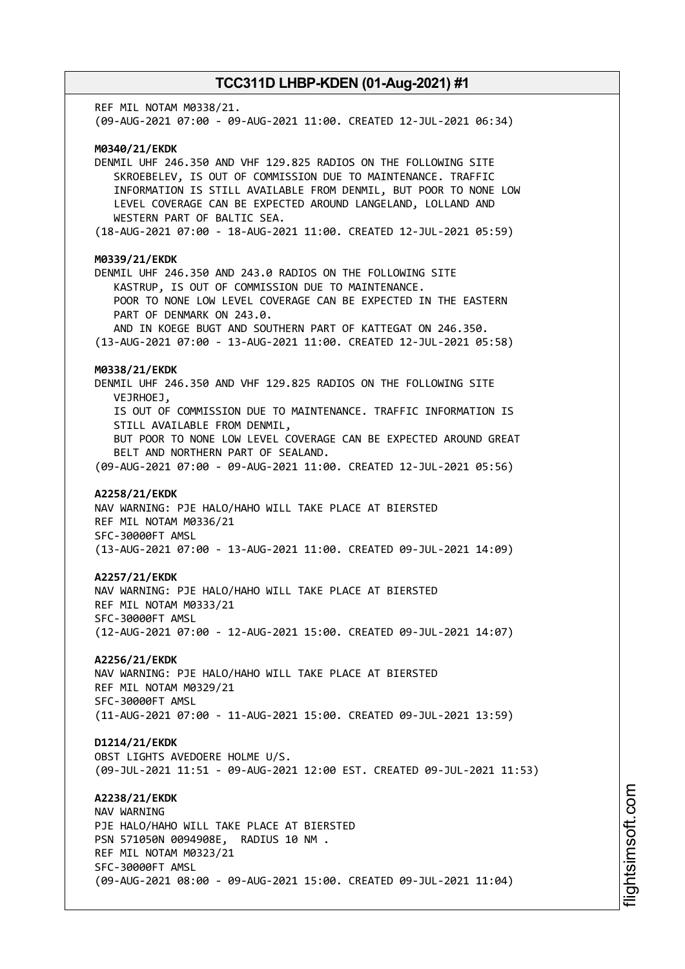REF MIL NOTAM M0338/21. (09-AUG-2021 07:00 - 09-AUG-2021 11:00. CREATED 12-JUL-2021 06:34) **M0340/21/EKDK** DENMIL UHF 246.350 AND VHF 129.825 RADIOS ON THE FOLLOWING SITE SKROEBELEV, IS OUT OF COMMISSION DUE TO MAINTENANCE. TRAFFIC INFORMATION IS STILL AVAILABLE FROM DENMIL, BUT POOR TO NONE LOW LEVEL COVERAGE CAN BE EXPECTED AROUND LANGELAND, LOLLAND AND WESTERN PART OF BALTIC SEA. (18-AUG-2021 07:00 - 18-AUG-2021 11:00. CREATED 12-JUL-2021 05:59) **M0339/21/EKDK** DENMIL UHF 246.350 AND 243.0 RADIOS ON THE FOLLOWING SITE KASTRUP, IS OUT OF COMMISSION DUE TO MAINTENANCE. POOR TO NONE LOW LEVEL COVERAGE CAN BE EXPECTED IN THE EASTERN PART OF DENMARK ON 243.0. AND IN KOEGE BUGT AND SOUTHERN PART OF KATTEGAT ON 246.350. (13-AUG-2021 07:00 - 13-AUG-2021 11:00. CREATED 12-JUL-2021 05:58) **M0338/21/EKDK** DENMIL UHF 246.350 AND VHF 129.825 RADIOS ON THE FOLLOWING SITE VEJRHOEJ, IS OUT OF COMMISSION DUE TO MAINTENANCE. TRAFFIC INFORMATION IS STILL AVAILABLE FROM DENMIL, BUT POOR TO NONE LOW LEVEL COVERAGE CAN BE EXPECTED AROUND GREAT BELT AND NORTHERN PART OF SEALAND. (09-AUG-2021 07:00 - 09-AUG-2021 11:00. CREATED 12-JUL-2021 05:56) **A2258/21/EKDK** NAV WARNING: PJE HALO/HAHO WILL TAKE PLACE AT BIERSTED REF MIL NOTAM M0336/21 SFC-30000FT AMSL (13-AUG-2021 07:00 - 13-AUG-2021 11:00. CREATED 09-JUL-2021 14:09) **A2257/21/EKDK** NAV WARNING: PJE HALO/HAHO WILL TAKE PLACE AT BIERSTED REF MIL NOTAM M0333/21 SFC-30000FT AMSL (12-AUG-2021 07:00 - 12-AUG-2021 15:00. CREATED 09-JUL-2021 14:07) **A2256/21/EKDK** NAV WARNING: PJE HALO/HAHO WILL TAKE PLACE AT BIERSTED REF MIL NOTAM M0329/21 SFC-30000FT AMSL (11-AUG-2021 07:00 - 11-AUG-2021 15:00. CREATED 09-JUL-2021 13:59) **D1214/21/EKDK** OBST LIGHTS AVEDOERE HOLME U/S. (09-JUL-2021 11:51 - 09-AUG-2021 12:00 EST. CREATED 09-JUL-2021 11:53) **A2238/21/EKDK** NAV WARNING PJE HALO/HAHO WILL TAKE PLACE AT BIERSTED PSN 571050N 0094908E, RADIUS 10 NM . REF MIL NOTAM M0323/21 SFC-30000FT AMSL (09-AUG-2021 08:00 - 09-AUG-2021 15:00. CREATED 09-JUL-2021 11:04)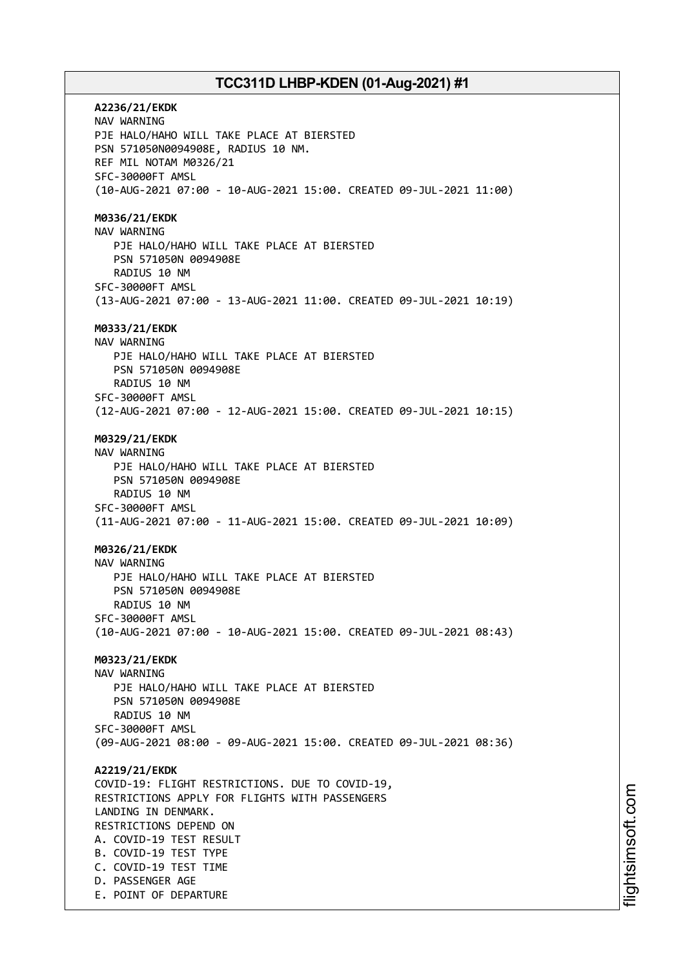**A2236/21/EKDK** NAV WARNING PJE HALO/HAHO WILL TAKE PLACE AT BIERSTED PSN 571050N0094908E, RADIUS 10 NM. REF MIL NOTAM M0326/21 SFC-30000FT AMSL (10-AUG-2021 07:00 - 10-AUG-2021 15:00. CREATED 09-JUL-2021 11:00) **M0336/21/EKDK** NAV WARNING PJE HALO/HAHO WILL TAKE PLACE AT BIERSTED PSN 571050N 0094908E RADIUS 10 NM SFC-30000FT AMSL (13-AUG-2021 07:00 - 13-AUG-2021 11:00. CREATED 09-JUL-2021 10:19) **M0333/21/EKDK** NAV WARNING PJE HALO/HAHO WILL TAKE PLACE AT BIERSTED PSN 571050N 0094908E RADIUS 10 NM SFC-30000FT AMSL (12-AUG-2021 07:00 - 12-AUG-2021 15:00. CREATED 09-JUL-2021 10:15) **M0329/21/EKDK** NAV WARNING PJE HALO/HAHO WILL TAKE PLACE AT BIERSTED PSN 571050N 0094908E RADIUS 10 NM SFC-30000FT AMSL (11-AUG-2021 07:00 - 11-AUG-2021 15:00. CREATED 09-JUL-2021 10:09) **M0326/21/EKDK** NAV WARNING PJE HALO/HAHO WILL TAKE PLACE AT BIERSTED PSN 571050N 0094908E RADIUS 10 NM SFC-30000FT AMSL (10-AUG-2021 07:00 - 10-AUG-2021 15:00. CREATED 09-JUL-2021 08:43) **M0323/21/EKDK** NAV WARNING PJE HALO/HAHO WILL TAKE PLACE AT BIERSTED PSN 571050N 0094908E RADIUS 10 NM SFC-30000FT AMSL (09-AUG-2021 08:00 - 09-AUG-2021 15:00. CREATED 09-JUL-2021 08:36) **A2219/21/EKDK** COVID-19: FLIGHT RESTRICTIONS. DUE TO COVID-19, RESTRICTIONS APPLY FOR FLIGHTS WITH PASSENGERS LANDING IN DENMARK. RESTRICTIONS DEPEND ON A. COVID-19 TEST RESULT B. COVID-19 TEST TYPE C. COVID-19 TEST TIME D. PASSENGER AGE E. POINT OF DEPARTURE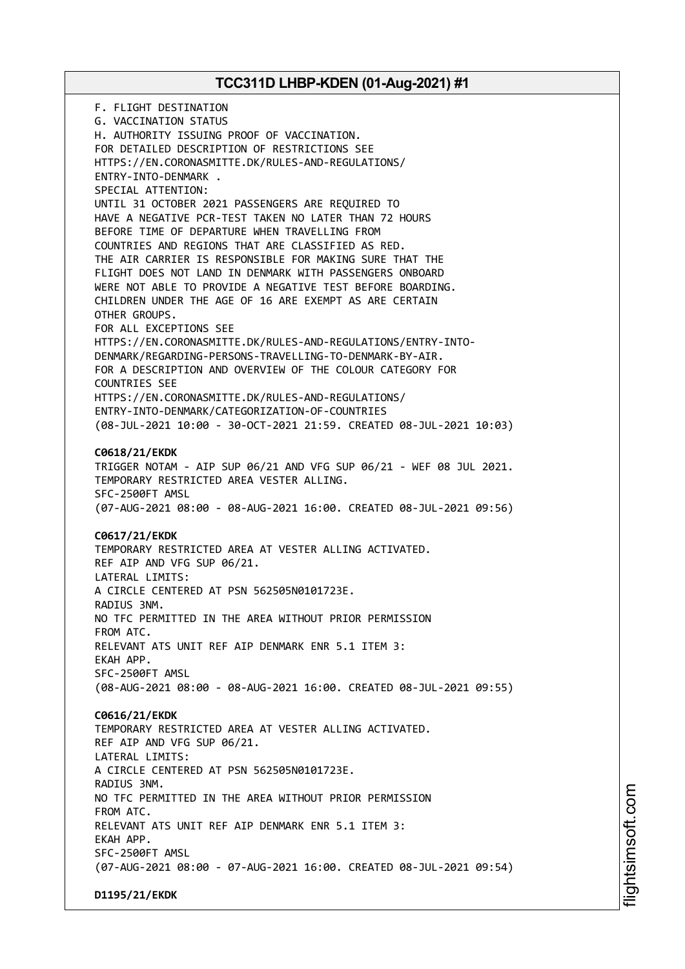F. FLIGHT DESTINATION G. VACCINATION STATUS H. AUTHORITY ISSUING PROOF OF VACCINATION. FOR DETAILED DESCRIPTION OF RESTRICTIONS SEE HTTPS://EN.CORONASMITTE.DK/RULES-AND-REGULATIONS/ ENTRY-INTO-DENMARK . SPECIAL ATTENTION: UNTIL 31 OCTOBER 2021 PASSENGERS ARE REQUIRED TO HAVE A NEGATIVE PCR-TEST TAKEN NO LATER THAN 72 HOURS BEFORE TIME OF DEPARTURE WHEN TRAVELLING FROM COUNTRIES AND REGIONS THAT ARE CLASSIFIED AS RED. THE AIR CARRIER IS RESPONSIBLE FOR MAKING SURE THAT THE FLIGHT DOES NOT LAND IN DENMARK WITH PASSENGERS ONBOARD WERE NOT ABLE TO PROVIDE A NEGATIVE TEST BEFORE BOARDING. CHILDREN UNDER THE AGE OF 16 ARE EXEMPT AS ARE CERTAIN OTHER GROUPS. FOR ALL EXCEPTIONS SEE HTTPS://EN.CORONASMITTE.DK/RULES-AND-REGULATIONS/ENTRY-INTO-DENMARK/REGARDING-PERSONS-TRAVELLING-TO-DENMARK-BY-AIR. FOR A DESCRIPTION AND OVERVIEW OF THE COLOUR CATEGORY FOR COUNTRIES SEE HTTPS://EN.CORONASMITTE.DK/RULES-AND-REGULATIONS/ ENTRY-INTO-DENMARK/CATEGORIZATION-OF-COUNTRIES (08-JUL-2021 10:00 - 30-OCT-2021 21:59. CREATED 08-JUL-2021 10:03) **C0618/21/EKDK** TRIGGER NOTAM - AIP SUP 06/21 AND VFG SUP 06/21 - WEF 08 JUL 2021. TEMPORARY RESTRICTED AREA VESTER ALLING. SFC-2500FT AMSL (07-AUG-2021 08:00 - 08-AUG-2021 16:00. CREATED 08-JUL-2021 09:56) **C0617/21/EKDK** TEMPORARY RESTRICTED AREA AT VESTER ALLING ACTIVATED. REF AIP AND VFG SUP 06/21. LATERAL LIMITS: A CIRCLE CENTERED AT PSN 562505N0101723E. RADIUS 3NM. NO TFC PERMITTED IN THE AREA WITHOUT PRIOR PERMISSION FROM ATC. RELEVANT ATS UNIT REF AIP DENMARK ENR 5.1 ITEM 3: EKAH APP. SFC-2500FT AMSL (08-AUG-2021 08:00 - 08-AUG-2021 16:00. CREATED 08-JUL-2021 09:55) **C0616/21/EKDK** TEMPORARY RESTRICTED AREA AT VESTER ALLING ACTIVATED. REF AIP AND VFG SUP 06/21. LATERAL LIMITS: A CIRCLE CENTERED AT PSN 562505N0101723E. RADIUS 3NM. NO TFC PERMITTED IN THE AREA WITHOUT PRIOR PERMISSION FROM ATC. RELEVANT ATS UNIT REF AIP DENMARK ENR 5.1 ITEM 3: EKAH APP. SFC-2500FT AMSL (07-AUG-2021 08:00 - 07-AUG-2021 16:00. CREATED 08-JUL-2021 09:54) **D1195/21/EKDK**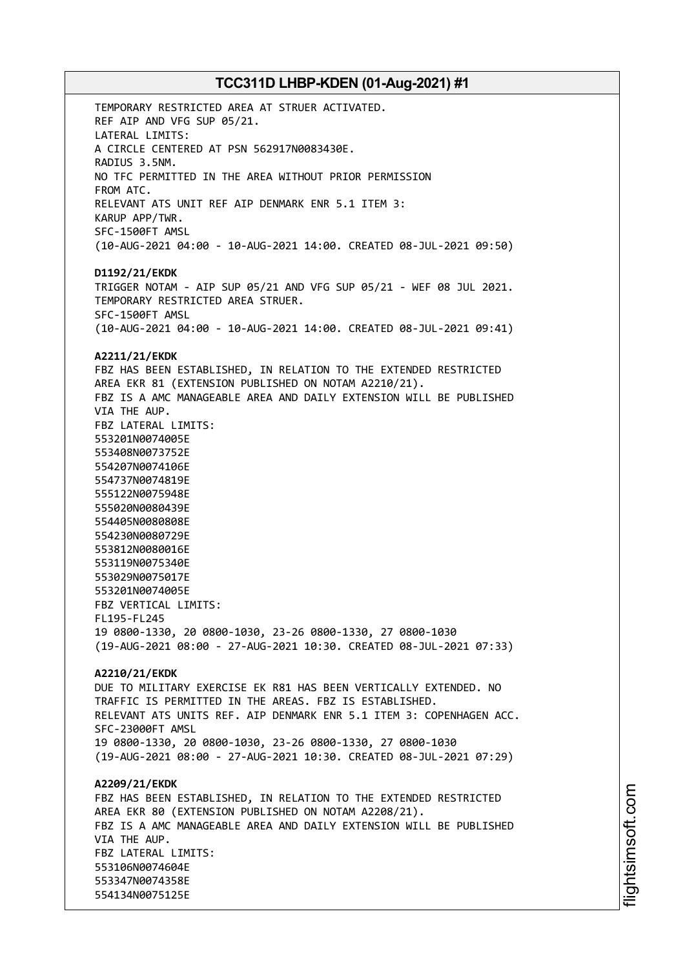TEMPORARY RESTRICTED AREA AT STRUER ACTIVATED. REF AIP AND VFG SUP 05/21. LATERAL LIMITS: A CIRCLE CENTERED AT PSN 562917N0083430E. RADIUS 3.5NM. NO TFC PERMITTED IN THE AREA WITHOUT PRIOR PERMISSION FROM ATC. RELEVANT ATS UNIT REF AIP DENMARK ENR 5.1 ITEM 3: KARUP APP/TWR. SFC-1500FT AMSL (10-AUG-2021 04:00 - 10-AUG-2021 14:00. CREATED 08-JUL-2021 09:50) **D1192/21/EKDK** TRIGGER NOTAM - AIP SUP 05/21 AND VFG SUP 05/21 - WEF 08 JUL 2021. TEMPORARY RESTRICTED AREA STRUER. SFC-1500FT AMSL (10-AUG-2021 04:00 - 10-AUG-2021 14:00. CREATED 08-JUL-2021 09:41) **A2211/21/EKDK** FBZ HAS BEEN ESTABLISHED, IN RELATION TO THE EXTENDED RESTRICTED AREA EKR 81 (EXTENSION PUBLISHED ON NOTAM A2210/21). FBZ IS A AMC MANAGEABLE AREA AND DAILY EXTENSION WILL BE PUBLISHED VIA THE AUP. FBZ LATERAL LIMITS: 553201N0074005E 553408N0073752E 554207N0074106E 554737N0074819E 555122N0075948E 555020N0080439E 554405N0080808E 554230N0080729E 553812N0080016E 553119N0075340E 553029N0075017E 553201N0074005E FBZ VERTICAL LIMITS: FL195-FL245 19 0800-1330, 20 0800-1030, 23-26 0800-1330, 27 0800-1030 (19-AUG-2021 08:00 - 27-AUG-2021 10:30. CREATED 08-JUL-2021 07:33) **A2210/21/EKDK** DUE TO MILITARY EXERCISE EK R81 HAS BEEN VERTICALLY EXTENDED. NO TRAFFIC IS PERMITTED IN THE AREAS. FBZ IS ESTABLISHED. RELEVANT ATS UNITS REF. AIP DENMARK ENR 5.1 ITEM 3: COPENHAGEN ACC. SFC-23000FT AMSL 19 0800-1330, 20 0800-1030, 23-26 0800-1330, 27 0800-1030 (19-AUG-2021 08:00 - 27-AUG-2021 10:30. CREATED 08-JUL-2021 07:29) **A2209/21/EKDK** FBZ HAS BEEN ESTABLISHED, IN RELATION TO THE EXTENDED RESTRICTED AREA EKR 80 (EXTENSION PUBLISHED ON NOTAM A2208/21). FBZ IS A AMC MANAGEABLE AREA AND DAILY EXTENSION WILL BE PUBLISHED VIA THE AUP. FBZ LATERAL LIMITS: 553106N0074604E 553347N0074358E 554134N0075125E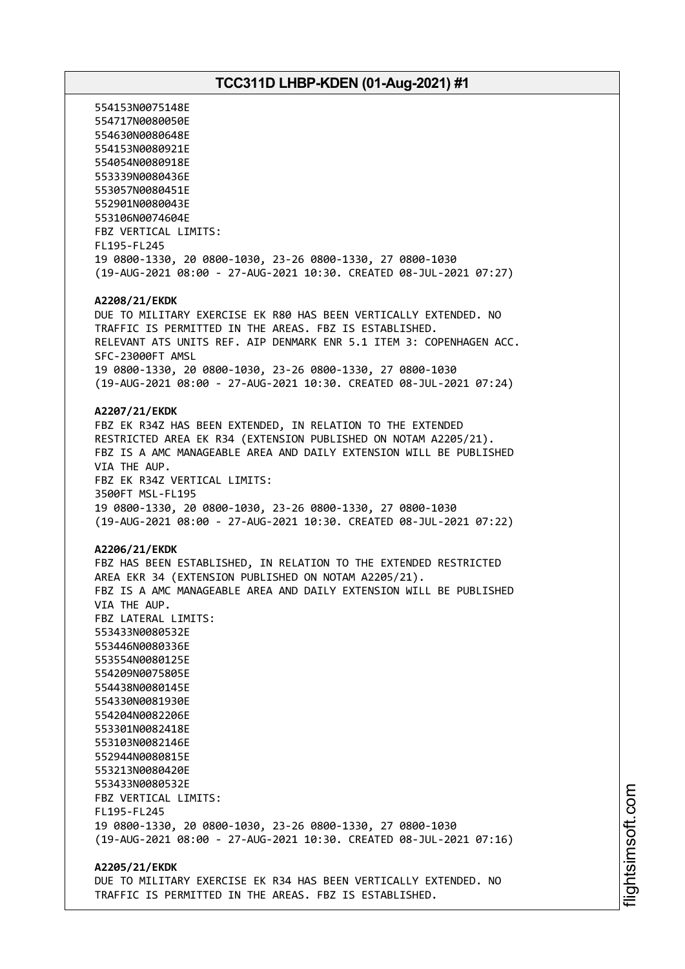554153N0075148E 554717N0080050E 554630N0080648E 554153N0080921E 554054N0080918E 553339N0080436E 553057N0080451E 552901N0080043E 553106N0074604E FBZ VERTICAL LIMITS: FL195-FL245 19 0800-1330, 20 0800-1030, 23-26 0800-1330, 27 0800-1030 (19-AUG-2021 08:00 - 27-AUG-2021 10:30. CREATED 08-JUL-2021 07:27) **A2208/21/EKDK** DUE TO MILITARY EXERCISE EK R80 HAS BEEN VERTICALLY EXTENDED. NO TRAFFIC IS PERMITTED IN THE AREAS. FBZ IS ESTABLISHED. RELEVANT ATS UNITS REF. AIP DENMARK ENR 5.1 ITEM 3: COPENHAGEN ACC. SFC-23000FT AMSL 19 0800-1330, 20 0800-1030, 23-26 0800-1330, 27 0800-1030 (19-AUG-2021 08:00 - 27-AUG-2021 10:30. CREATED 08-JUL-2021 07:24) **A2207/21/EKDK** FBZ EK R34Z HAS BEEN EXTENDED, IN RELATION TO THE EXTENDED RESTRICTED AREA EK R34 (EXTENSION PUBLISHED ON NOTAM A2205/21). FBZ IS A AMC MANAGEABLE AREA AND DAILY EXTENSION WILL BE PUBLISHED VIA THE AUP. FBZ EK R34Z VERTICAL LIMITS: 3500FT MSL-FL195 19 0800-1330, 20 0800-1030, 23-26 0800-1330, 27 0800-1030 (19-AUG-2021 08:00 - 27-AUG-2021 10:30. CREATED 08-JUL-2021 07:22) **A2206/21/EKDK** FBZ HAS BEEN ESTABLISHED, IN RELATION TO THE EXTENDED RESTRICTED AREA EKR 34 (EXTENSION PUBLISHED ON NOTAM A2205/21). FBZ IS A AMC MANAGEABLE AREA AND DAILY EXTENSION WILL BE PUBLISHED VIA THE AUP. FBZ LATERAL LIMITS: 553433N0080532E 553446N0080336E 553554N0080125E 554209N0075805E 554438N0080145E 554330N0081930E 554204N0082206E 553301N0082418E 553103N0082146E 552944N0080815E 553213N0080420E 553433N0080532E FBZ VERTICAL LIMITS: FL195-FL245 19 0800-1330, 20 0800-1030, 23-26 0800-1330, 27 0800-1030 (19-AUG-2021 08:00 - 27-AUG-2021 10:30. CREATED 08-JUL-2021 07:16) **A2205/21/EKDK**

DUE TO MILITARY EXERCISE EK R34 HAS BEEN VERTICALLY EXTENDED. NO TRAFFIC IS PERMITTED IN THE AREAS. FBZ IS ESTABLISHED.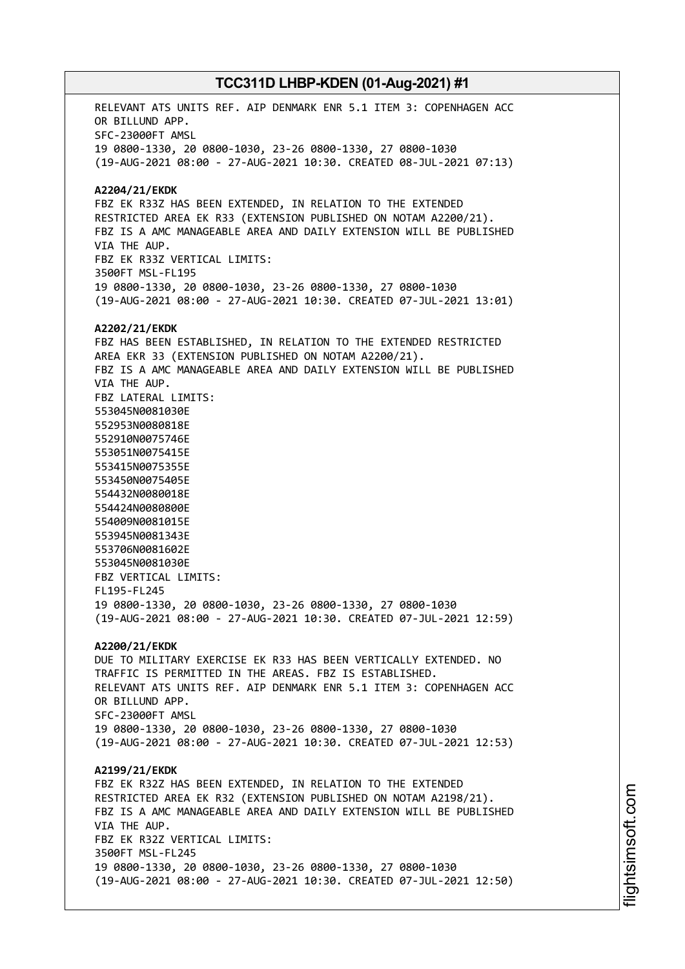RELEVANT ATS UNITS REF. AIP DENMARK ENR 5.1 ITEM 3: COPENHAGEN ACC OR BILLUND APP. SFC-23000FT AMSL 19 0800-1330, 20 0800-1030, 23-26 0800-1330, 27 0800-1030 (19-AUG-2021 08:00 - 27-AUG-2021 10:30. CREATED 08-JUL-2021 07:13) **A2204/21/EKDK** FBZ EK R33Z HAS BEEN EXTENDED, IN RELATION TO THE EXTENDED RESTRICTED AREA EK R33 (EXTENSION PUBLISHED ON NOTAM A2200/21). FBZ IS A AMC MANAGEABLE AREA AND DAILY EXTENSION WILL BE PUBLISHED VIA THE AUP. FBZ EK R33Z VERTICAL LIMITS: 3500FT MSL-FL195 19 0800-1330, 20 0800-1030, 23-26 0800-1330, 27 0800-1030 (19-AUG-2021 08:00 - 27-AUG-2021 10:30. CREATED 07-JUL-2021 13:01) **A2202/21/EKDK** FBZ HAS BEEN ESTABLISHED, IN RELATION TO THE EXTENDED RESTRICTED AREA EKR 33 (EXTENSION PUBLISHED ON NOTAM A2200/21). FBZ IS A AMC MANAGEABLE AREA AND DAILY EXTENSION WILL BE PUBLISHED VIA THE AUP. FBZ LATERAL LIMITS: 553045N0081030E 552953N0080818E 552910N0075746E 553051N0075415E 553415N0075355E 553450N0075405E 554432N0080018E 554424N0080800E 554009N0081015E 553945N0081343E 553706N0081602E 553045N0081030E FBZ VERTICAL LIMITS: FL195-FL245 19 0800-1330, 20 0800-1030, 23-26 0800-1330, 27 0800-1030 (19-AUG-2021 08:00 - 27-AUG-2021 10:30. CREATED 07-JUL-2021 12:59) **A2200/21/EKDK** DUE TO MILITARY EXERCISE EK R33 HAS BEEN VERTICALLY EXTENDED. NO TRAFFIC IS PERMITTED IN THE AREAS. FBZ IS ESTABLISHED. RELEVANT ATS UNITS REF. AIP DENMARK ENR 5.1 ITEM 3: COPENHAGEN ACC OR BILLUND APP. SFC-23000FT AMSL 19 0800-1330, 20 0800-1030, 23-26 0800-1330, 27 0800-1030 (19-AUG-2021 08:00 - 27-AUG-2021 10:30. CREATED 07-JUL-2021 12:53) **A2199/21/EKDK** FBZ EK R32Z HAS BEEN EXTENDED, IN RELATION TO THE EXTENDED RESTRICTED AREA EK R32 (EXTENSION PUBLISHED ON NOTAM A2198/21). FBZ IS A AMC MANAGEABLE AREA AND DAILY EXTENSION WILL BE PUBLISHED VIA THE AUP. FBZ EK R32Z VERTICAL LIMITS: 3500FT MSL-FL245 19 0800-1330, 20 0800-1030, 23-26 0800-1330, 27 0800-1030 (19-AUG-2021 08:00 - 27-AUG-2021 10:30. CREATED 07-JUL-2021 12:50)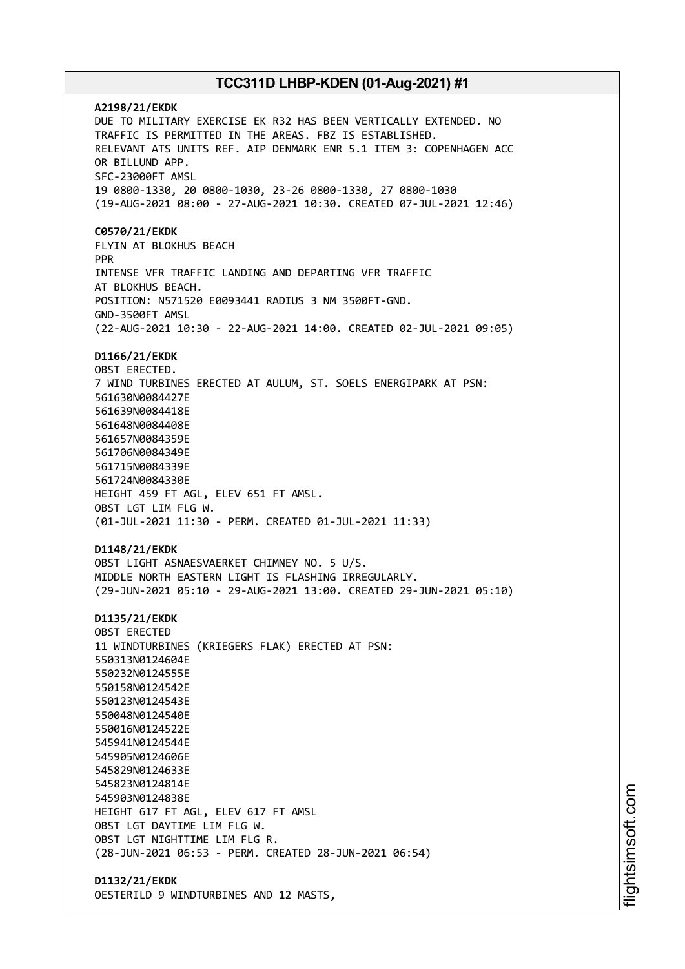**A2198/21/EKDK** DUE TO MILITARY EXERCISE EK R32 HAS BEEN VERTICALLY EXTENDED. NO TRAFFIC IS PERMITTED IN THE AREAS. FBZ IS ESTABLISHED. RELEVANT ATS UNITS REF. AIP DENMARK ENR 5.1 ITEM 3: COPENHAGEN ACC OR BILLUND APP. SFC-23000FT AMSL 19 0800-1330, 20 0800-1030, 23-26 0800-1330, 27 0800-1030 (19-AUG-2021 08:00 - 27-AUG-2021 10:30. CREATED 07-JUL-2021 12:46) **C0570/21/EKDK** FLYIN AT BLOKHUS BEACH PPR INTENSE VFR TRAFFIC LANDING AND DEPARTING VFR TRAFFIC AT BLOKHUS BEACH. POSITION: N571520 E0093441 RADIUS 3 NM 3500FT-GND. GND-3500FT AMSL (22-AUG-2021 10:30 - 22-AUG-2021 14:00. CREATED 02-JUL-2021 09:05) **D1166/21/EKDK** OBST ERECTED. 7 WIND TURBINES ERECTED AT AULUM, ST. SOELS ENERGIPARK AT PSN: 561630N0084427E 561639N0084418E 561648N0084408E 561657N0084359E 561706N0084349E 561715N0084339E 561724N0084330E HEIGHT 459 FT AGL, ELEV 651 FT AMSL. OBST LGT LIM FLG W. (01-JUL-2021 11:30 - PERM. CREATED 01-JUL-2021 11:33) **D1148/21/EKDK** OBST LIGHT ASNAESVAERKET CHIMNEY NO. 5 U/S. MIDDLE NORTH EASTERN LIGHT IS FLASHING IRREGULARLY. (29-JUN-2021 05:10 - 29-AUG-2021 13:00. CREATED 29-JUN-2021 05:10) **D1135/21/EKDK** OBST ERECTED 11 WINDTURBINES (KRIEGERS FLAK) ERECTED AT PSN: 550313N0124604E 550232N0124555E 550158N0124542E 550123N0124543E 550048N0124540E 550016N0124522E 545941N0124544E 545905N0124606E 545829N0124633E 545823N0124814E 545903N0124838E HEIGHT 617 FT AGL, ELEV 617 FT AMSL OBST LGT DAYTIME LIM FLG W. OBST LGT NIGHTTIME LIM FLG R. (28-JUN-2021 06:53 - PERM. CREATED 28-JUN-2021 06:54) **D1132/21/EKDK**

OESTERILD 9 WINDTURBINES AND 12 MASTS,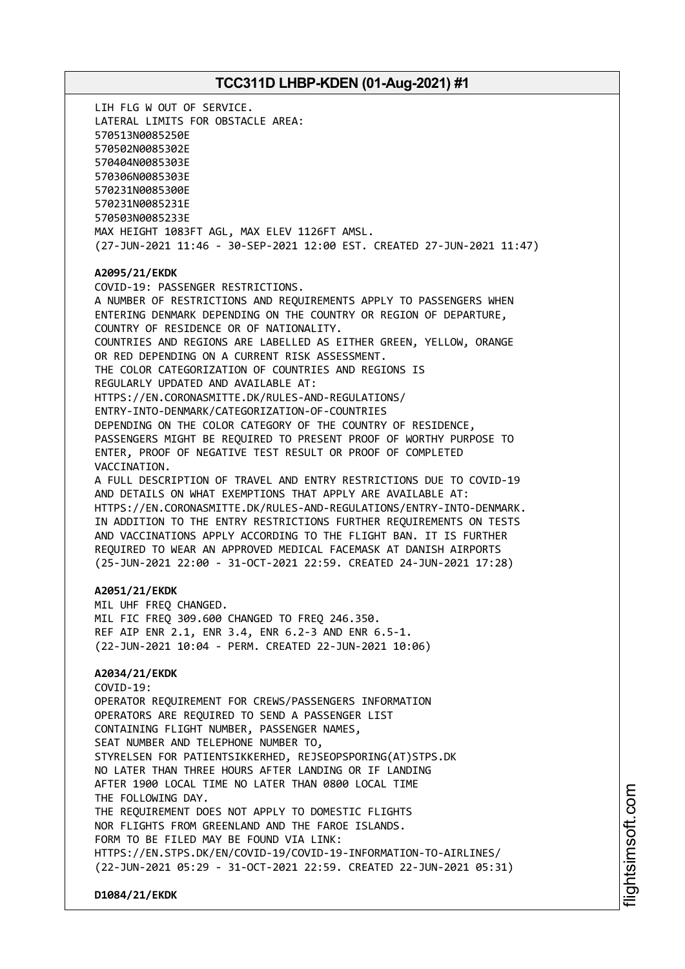LIH FLG W OUT OF SERVICE. LATERAL LIMITS FOR OBSTACLE AREA: 570513N0085250E 570502N0085302E 570404N0085303E 570306N0085303E 570231N0085300E 570231N0085231E 570503N0085233E MAX HEIGHT 1083FT AGL, MAX ELEV 1126FT AMSL. (27-JUN-2021 11:46 - 30-SEP-2021 12:00 EST. CREATED 27-JUN-2021 11:47) **A2095/21/EKDK** COVID-19: PASSENGER RESTRICTIONS. A NUMBER OF RESTRICTIONS AND REQUIREMENTS APPLY TO PASSENGERS WHEN ENTERING DENMARK DEPENDING ON THE COUNTRY OR REGION OF DEPARTURE, COUNTRY OF RESIDENCE OR OF NATIONALITY. COUNTRIES AND REGIONS ARE LABELLED AS EITHER GREEN, YELLOW, ORANGE OR RED DEPENDING ON A CURRENT RISK ASSESSMENT. THE COLOR CATEGORIZATION OF COUNTRIES AND REGIONS IS REGULARLY UPDATED AND AVAILABLE AT: HTTPS://EN.CORONASMITTE.DK/RULES-AND-REGULATIONS/ ENTRY-INTO-DENMARK/CATEGORIZATION-OF-COUNTRIES DEPENDING ON THE COLOR CATEGORY OF THE COUNTRY OF RESIDENCE, PASSENGERS MIGHT BE REQUIRED TO PRESENT PROOF OF WORTHY PURPOSE TO ENTER, PROOF OF NEGATIVE TEST RESULT OR PROOF OF COMPLETED VACCINATION. A FULL DESCRIPTION OF TRAVEL AND ENTRY RESTRICTIONS DUE TO COVID-19 AND DETAILS ON WHAT EXEMPTIONS THAT APPLY ARE AVAILABLE AT: HTTPS://EN.CORONASMITTE.DK/RULES-AND-REGULATIONS/ENTRY-INTO-DENMARK. IN ADDITION TO THE ENTRY RESTRICTIONS FURTHER REQUIREMENTS ON TESTS AND VACCINATIONS APPLY ACCORDING TO THE FLIGHT BAN. IT IS FURTHER REQUIRED TO WEAR AN APPROVED MEDICAL FACEMASK AT DANISH AIRPORTS (25-JUN-2021 22:00 - 31-OCT-2021 22:59. CREATED 24-JUN-2021 17:28) **A2051/21/EKDK** MIL UHF FREQ CHANGED. MIL FIC FREQ 309.600 CHANGED TO FREQ 246.350. REF AIP ENR 2.1, ENR 3.4, ENR 6.2-3 AND ENR 6.5-1. (22-JUN-2021 10:04 - PERM. CREATED 22-JUN-2021 10:06) **A2034/21/EKDK** COVID-19: OPERATOR REQUIREMENT FOR CREWS/PASSENGERS INFORMATION OPERATORS ARE REQUIRED TO SEND A PASSENGER LIST CONTAINING FLIGHT NUMBER, PASSENGER NAMES, SEAT NUMBER AND TELEPHONE NUMBER TO, STYRELSEN FOR PATIENTSIKKERHED, REJSEOPSPORING(AT)STPS.DK NO LATER THAN THREE HOURS AFTER LANDING OR IF LANDING AFTER 1900 LOCAL TIME NO LATER THAN 0800 LOCAL TIME THE FOLLOWING DAY. THE REQUIREMENT DOES NOT APPLY TO DOMESTIC FLIGHTS NOR FLIGHTS FROM GREENLAND AND THE FAROE ISLANDS. FORM TO BE FILED MAY BE FOUND VIA LINK: HTTPS://EN.STPS.DK/EN/COVID-19/COVID-19-INFORMATION-TO-AIRLINES/ (22-JUN-2021 05:29 - 31-OCT-2021 22:59. CREATED 22-JUN-2021 05:31)

**D1084/21/EKDK**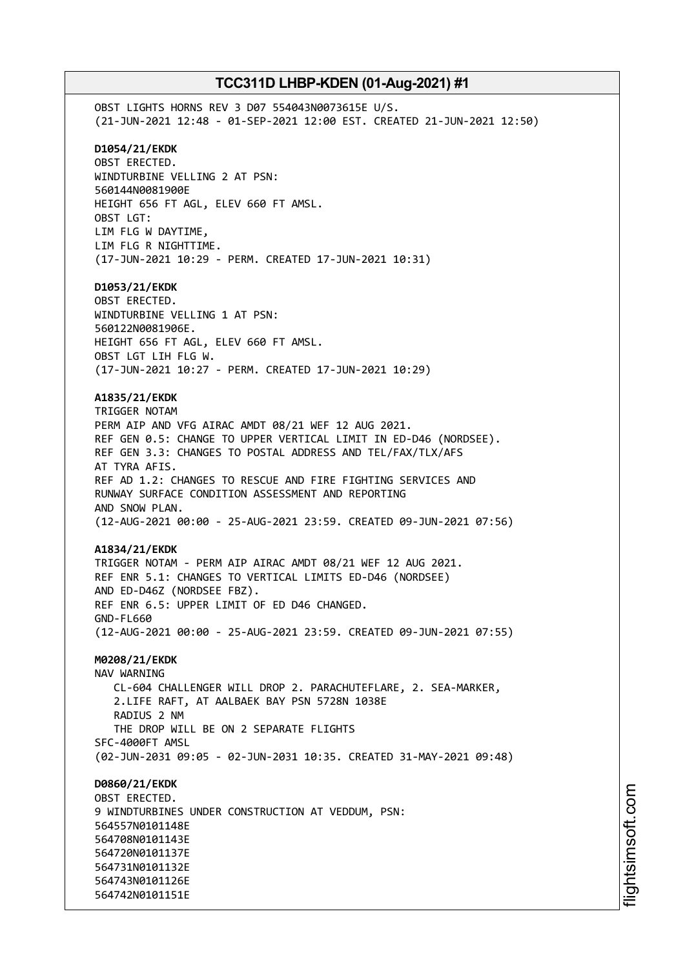OBST LIGHTS HORNS REV 3 D07 554043N0073615E U/S. (21-JUN-2021 12:48 - 01-SEP-2021 12:00 EST. CREATED 21-JUN-2021 12:50) **D1054/21/EKDK** OBST ERECTED. WINDTURBINE VELLING 2 AT PSN: 560144N0081900E HEIGHT 656 FT AGL, ELEV 660 FT AMSL. OBST LGT: LIM FLG W DAYTIME, LIM FLG R NIGHTTIME. (17-JUN-2021 10:29 - PERM. CREATED 17-JUN-2021 10:31) **D1053/21/EKDK** OBST ERECTED. WINDTURBINE VELLING 1 AT PSN: 560122N0081906E. HEIGHT 656 FT AGL, ELEV 660 FT AMSL. OBST LGT LIH FLG W. (17-JUN-2021 10:27 - PERM. CREATED 17-JUN-2021 10:29) **A1835/21/EKDK** TRIGGER NOTAM PERM AIP AND VFG AIRAC AMDT 08/21 WEF 12 AUG 2021. REF GEN 0.5: CHANGE TO UPPER VERTICAL LIMIT IN ED-D46 (NORDSEE). REF GEN 3.3: CHANGES TO POSTAL ADDRESS AND TEL/FAX/TLX/AFS AT TYRA AFIS. REF AD 1.2: CHANGES TO RESCUE AND FIRE FIGHTING SERVICES AND RUNWAY SURFACE CONDITION ASSESSMENT AND REPORTING AND SNOW PLAN. (12-AUG-2021 00:00 - 25-AUG-2021 23:59. CREATED 09-JUN-2021 07:56) **A1834/21/EKDK** TRIGGER NOTAM - PERM AIP AIRAC AMDT 08/21 WEF 12 AUG 2021. REF ENR 5.1: CHANGES TO VERTICAL LIMITS ED-D46 (NORDSEE) AND ED-D46Z (NORDSEE FBZ). REF ENR 6.5: UPPER LIMIT OF ED D46 CHANGED. GND-FL660 (12-AUG-2021 00:00 - 25-AUG-2021 23:59. CREATED 09-JUN-2021 07:55) **M0208/21/EKDK** NAV WARNING CL-604 CHALLENGER WILL DROP 2. PARACHUTEFLARE, 2. SEA-MARKER, 2.LIFE RAFT, AT AALBAEK BAY PSN 5728N 1038E RADIUS 2 NM THE DROP WILL BE ON 2 SEPARATE FLIGHTS SFC-4000FT AMSL (02-JUN-2031 09:05 - 02-JUN-2031 10:35. CREATED 31-MAY-2021 09:48) **D0860/21/EKDK** OBST ERECTED. 9 WINDTURBINES UNDER CONSTRUCTION AT VEDDUM, PSN: 564557N0101148E 564708N0101143E 564720N0101137E 564731N0101132E 564743N0101126E 564742N0101151E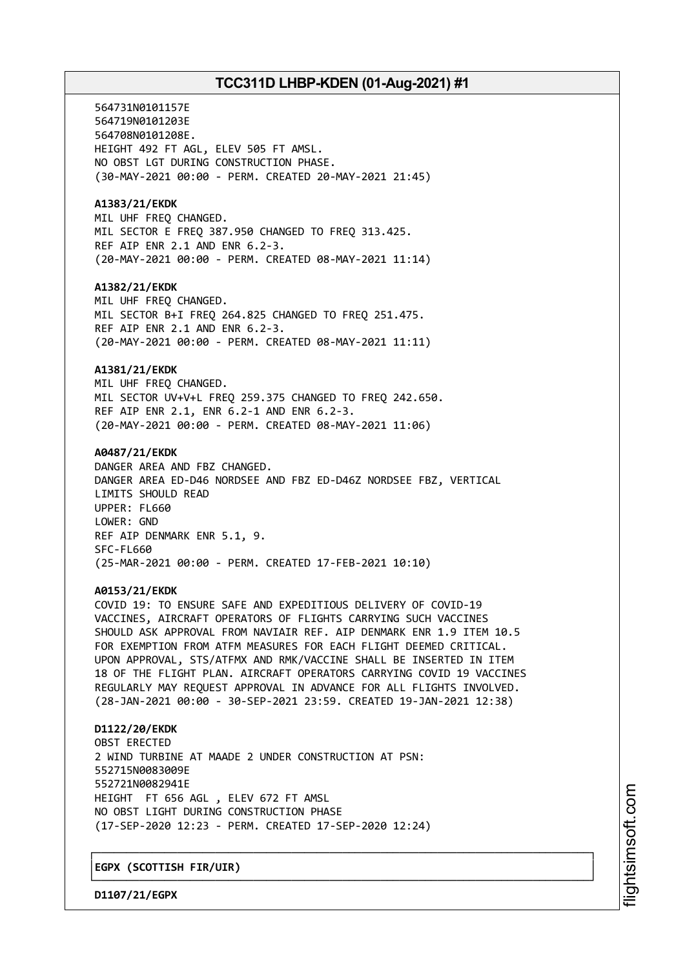564731N0101157E 564719N0101203E 564708N0101208E. HEIGHT 492 FT AGL, ELEV 505 FT AMSL. NO OBST LGT DURING CONSTRUCTION PHASE. (30-MAY-2021 00:00 - PERM. CREATED 20-MAY-2021 21:45) **A1383/21/EKDK** MIL UHF FREQ CHANGED. MIL SECTOR E FREQ 387.950 CHANGED TO FREQ 313.425. REF AIP ENR 2.1 AND ENR 6.2-3. (20-MAY-2021 00:00 - PERM. CREATED 08-MAY-2021 11:14) **A1382/21/EKDK** MIL UHF FREQ CHANGED. MIL SECTOR B+I FREQ 264.825 CHANGED TO FREQ 251.475. REF AIP ENR 2.1 AND ENR 6.2-3. (20-MAY-2021 00:00 - PERM. CREATED 08-MAY-2021 11:11) **A1381/21/EKDK** MIL UHF FREQ CHANGED. MIL SECTOR UV+V+L FREQ 259.375 CHANGED TO FREQ 242.650. REF AIP ENR 2.1, ENR 6.2-1 AND ENR 6.2-3. (20-MAY-2021 00:00 - PERM. CREATED 08-MAY-2021 11:06) **A0487/21/EKDK** DANGER AREA AND FBZ CHANGED. DANGER AREA ED-D46 NORDSEE AND FBZ ED-D46Z NORDSEE FBZ, VERTICAL LIMITS SHOULD READ UPPER: FL660 LOWER: GND REF AIP DENMARK ENR 5.1, 9. SFC-FL660 (25-MAR-2021 00:00 - PERM. CREATED 17-FEB-2021 10:10) **A0153/21/EKDK** COVID 19: TO ENSURE SAFE AND EXPEDITIOUS DELIVERY OF COVID-19 VACCINES, AIRCRAFT OPERATORS OF FLIGHTS CARRYING SUCH VACCINES SHOULD ASK APPROVAL FROM NAVIAIR REF. AIP DENMARK ENR 1.9 ITEM 10.5 FOR EXEMPTION FROM ATFM MEASURES FOR EACH FLIGHT DEEMED CRITICAL. UPON APPROVAL, STS/ATFMX AND RMK/VACCINE SHALL BE INSERTED IN ITEM 18 OF THE FLIGHT PLAN. AIRCRAFT OPERATORS CARRYING COVID 19 VACCINES REGULARLY MAY REQUEST APPROVAL IN ADVANCE FOR ALL FLIGHTS INVOLVED. (28-JAN-2021 00:00 - 30-SEP-2021 23:59. CREATED 19-JAN-2021 12:38) **D1122/20/EKDK** OBST ERECTED 2 WIND TURBINE AT MAADE 2 UNDER CONSTRUCTION AT PSN: 552715N0083009E 552721N0082941E HEIGHT FT 656 AGL , ELEV 672 FT AMSL NO OBST LIGHT DURING CONSTRUCTION PHASE (17-SEP-2020 12:23 - PERM. CREATED 17-SEP-2020 12:24)

┌──────────────────────────────────────────────────────────────────────────────┐

└──────────────────────────────────────────────────────────────────────────────┘

│**EGPX (SCOTTISH FIR/UIR)** │

**D1107/21/EGPX**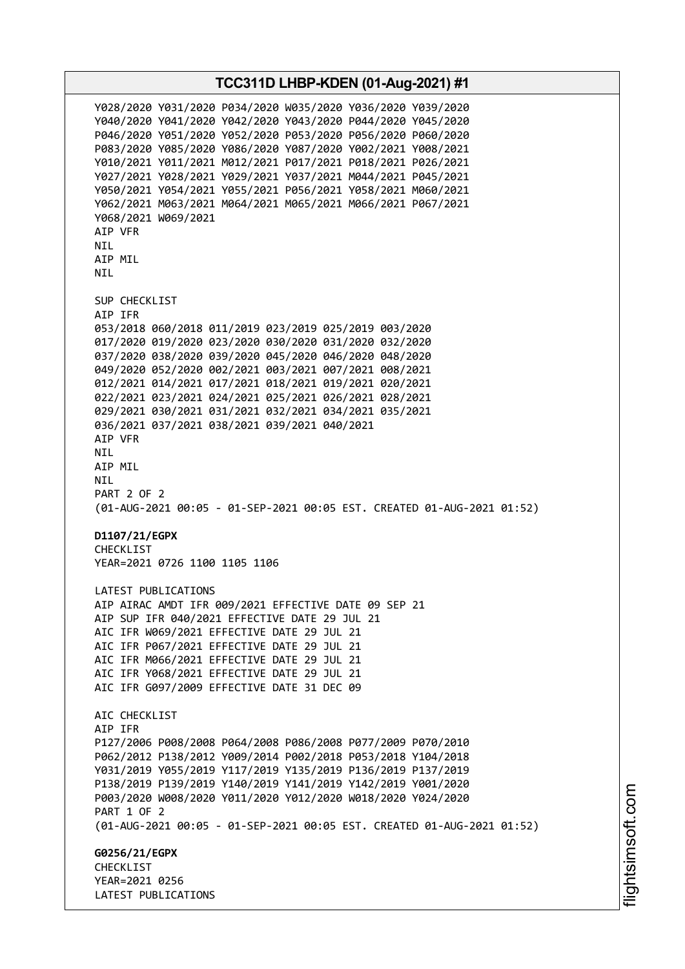**TCC311D LHBP-KDEN (01-Aug-2021) #1** Y028/2020 Y031/2020 P034/2020 W035/2020 Y036/2020 Y039/2020 Y040/2020 Y041/2020 Y042/2020 Y043/2020 P044/2020 Y045/2020 P046/2020 Y051/2020 Y052/2020 P053/2020 P056/2020 P060/2020 P083/2020 Y085/2020 Y086/2020 Y087/2020 Y002/2021 Y008/2021 Y010/2021 Y011/2021 M012/2021 P017/2021 P018/2021 P026/2021 Y027/2021 Y028/2021 Y029/2021 Y037/2021 M044/2021 P045/2021 Y050/2021 Y054/2021 Y055/2021 P056/2021 Y058/2021 M060/2021 Y062/2021 M063/2021 M064/2021 M065/2021 M066/2021 P067/2021 Y068/2021 W069/2021 AIP VFR NIL AIP MIL NIL SUP CHECKLIST AIP IFR 053/2018 060/2018 011/2019 023/2019 025/2019 003/2020 017/2020 019/2020 023/2020 030/2020 031/2020 032/2020 037/2020 038/2020 039/2020 045/2020 046/2020 048/2020 049/2020 052/2020 002/2021 003/2021 007/2021 008/2021 012/2021 014/2021 017/2021 018/2021 019/2021 020/2021 022/2021 023/2021 024/2021 025/2021 026/2021 028/2021 029/2021 030/2021 031/2021 032/2021 034/2021 035/2021 036/2021 037/2021 038/2021 039/2021 040/2021 AIP VFR NIL AIP MIL NIL PART 2 OF 2 (01-AUG-2021 00:05 - 01-SEP-2021 00:05 EST. CREATED 01-AUG-2021 01:52) **D1107/21/EGPX** CHECKLIST YEAR=2021 0726 1100 1105 1106 LATEST PUBLICATIONS AIP AIRAC AMDT IFR 009/2021 EFFECTIVE DATE 09 SEP 21 AIP SUP IFR 040/2021 EFFECTIVE DATE 29 JUL 21 AIC IFR W069/2021 EFFECTIVE DATE 29 JUL 21 AIC IFR P067/2021 EFFECTIVE DATE 29 JUL 21 AIC IFR M066/2021 EFFECTIVE DATE 29 JUL 21 AIC IFR Y068/2021 EFFECTIVE DATE 29 JUL 21 AIC IFR G097/2009 EFFECTIVE DATE 31 DEC 09 ATC CHECKLIST AIP IFR P127/2006 P008/2008 P064/2008 P086/2008 P077/2009 P070/2010 P062/2012 P138/2012 Y009/2014 P002/2018 P053/2018 Y104/2018 Y031/2019 Y055/2019 Y117/2019 Y135/2019 P136/2019 P137/2019 P138/2019 P139/2019 Y140/2019 Y141/2019 Y142/2019 Y001/2020 P003/2020 W008/2020 Y011/2020 Y012/2020 W018/2020 Y024/2020 PART 1 OF 2 (01-AUG-2021 00:05 - 01-SEP-2021 00:05 EST. CREATED 01-AUG-2021 01:52) **G0256/21/EGPX CHECKLIST** YEAR=2021 0256 LATEST PUBLICATIONS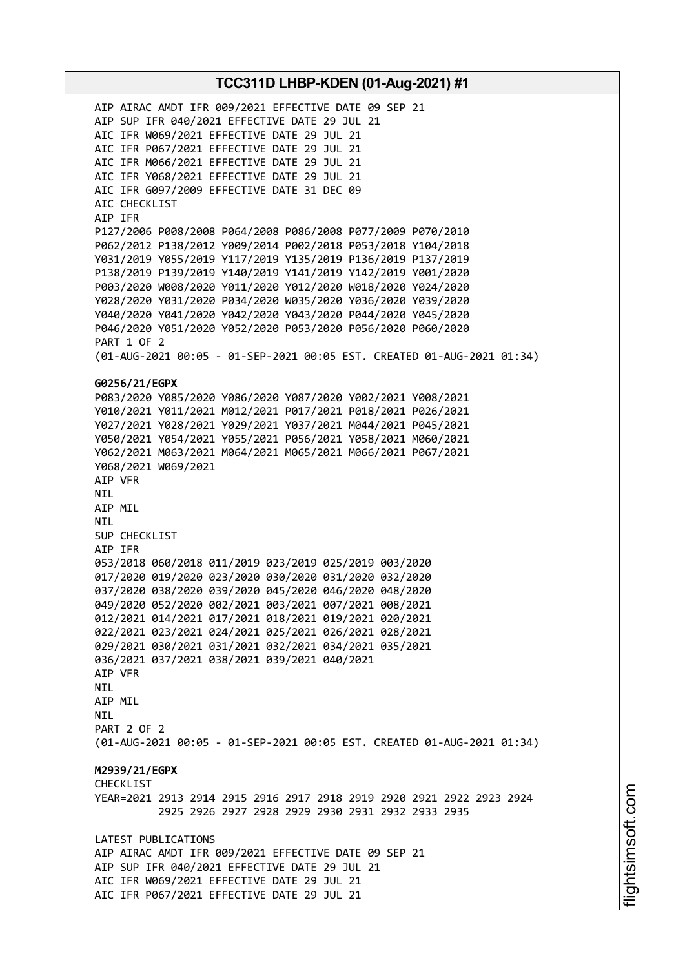AIP AIRAC AMDT IFR 009/2021 EFFECTIVE DATE 09 SEP 21 AIP SUP IFR 040/2021 EFFECTIVE DATE 29 JUL 21 AIC IFR W069/2021 EFFECTIVE DATE 29 JUL 21 AIC IFR P067/2021 EFFECTIVE DATE 29 JUL 21 AIC IFR M066/2021 EFFECTIVE DATE 29 JUL 21 AIC IFR Y068/2021 EFFECTIVE DATE 29 JUL 21 AIC IFR G097/2009 EFFECTIVE DATE 31 DEC 09 AIC CHECKLIST AIP IFR P127/2006 P008/2008 P064/2008 P086/2008 P077/2009 P070/2010 P062/2012 P138/2012 Y009/2014 P002/2018 P053/2018 Y104/2018 Y031/2019 Y055/2019 Y117/2019 Y135/2019 P136/2019 P137/2019 P138/2019 P139/2019 Y140/2019 Y141/2019 Y142/2019 Y001/2020 P003/2020 W008/2020 Y011/2020 Y012/2020 W018/2020 Y024/2020 Y028/2020 Y031/2020 P034/2020 W035/2020 Y036/2020 Y039/2020 Y040/2020 Y041/2020 Y042/2020 Y043/2020 P044/2020 Y045/2020 P046/2020 Y051/2020 Y052/2020 P053/2020 P056/2020 P060/2020 PART 1 OF 2 (01-AUG-2021 00:05 - 01-SEP-2021 00:05 EST. CREATED 01-AUG-2021 01:34) **G0256/21/EGPX** P083/2020 Y085/2020 Y086/2020 Y087/2020 Y002/2021 Y008/2021 Y010/2021 Y011/2021 M012/2021 P017/2021 P018/2021 P026/2021 Y027/2021 Y028/2021 Y029/2021 Y037/2021 M044/2021 P045/2021 Y050/2021 Y054/2021 Y055/2021 P056/2021 Y058/2021 M060/2021 Y062/2021 M063/2021 M064/2021 M065/2021 M066/2021 P067/2021 Y068/2021 W069/2021 AIP VFR NIL AIP MIL NIL SUP CHECKLIST AIP IFR 053/2018 060/2018 011/2019 023/2019 025/2019 003/2020 017/2020 019/2020 023/2020 030/2020 031/2020 032/2020 037/2020 038/2020 039/2020 045/2020 046/2020 048/2020 049/2020 052/2020 002/2021 003/2021 007/2021 008/2021 012/2021 014/2021 017/2021 018/2021 019/2021 020/2021 022/2021 023/2021 024/2021 025/2021 026/2021 028/2021 029/2021 030/2021 031/2021 032/2021 034/2021 035/2021 036/2021 037/2021 038/2021 039/2021 040/2021 AIP VFR NIL AIP MIL **NTI** PART 2 OF 2 (01-AUG-2021 00:05 - 01-SEP-2021 00:05 EST. CREATED 01-AUG-2021 01:34) **M2939/21/EGPX** CHECKLIST YEAR=2021 2913 2914 2915 2916 2917 2918 2919 2920 2921 2922 2923 2924 2925 2926 2927 2928 2929 2930 2931 2932 2933 2935 LATEST PUBLICATIONS AIP AIRAC AMDT IFR 009/2021 EFFECTIVE DATE 09 SEP 21 AIP SUP IFR 040/2021 EFFECTIVE DATE 29 JUL 21 AIC IFR W069/2021 EFFECTIVE DATE 29 JUL 21 AIC IFR P067/2021 EFFECTIVE DATE 29 JUL 21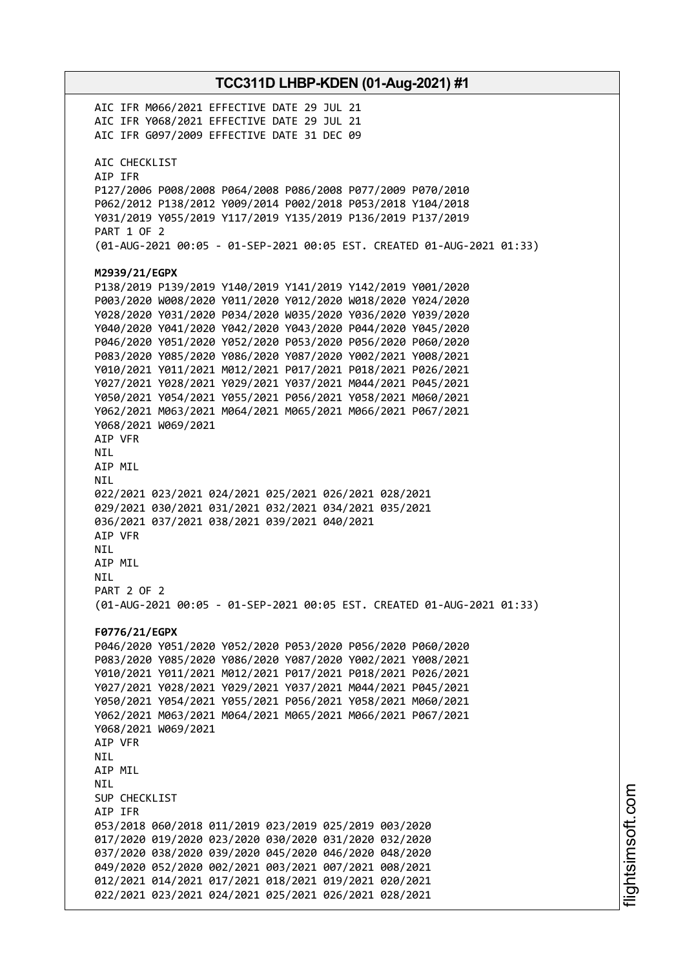**TCC311D LHBP-KDEN (01-Aug-2021) #1** AIC IFR M066/2021 EFFECTIVE DATE 29 JUL 21 AIC IFR Y068/2021 EFFECTIVE DATE 29 JUL 21 AIC IFR G097/2009 EFFECTIVE DATE 31 DEC 09 AIC CHECKLIST AIP IFR P127/2006 P008/2008 P064/2008 P086/2008 P077/2009 P070/2010 P062/2012 P138/2012 Y009/2014 P002/2018 P053/2018 Y104/2018 Y031/2019 Y055/2019 Y117/2019 Y135/2019 P136/2019 P137/2019 PART 1 OF 2 (01-AUG-2021 00:05 - 01-SEP-2021 00:05 EST. CREATED 01-AUG-2021 01:33) **M2939/21/EGPX** P138/2019 P139/2019 Y140/2019 Y141/2019 Y142/2019 Y001/2020 P003/2020 W008/2020 Y011/2020 Y012/2020 W018/2020 Y024/2020 Y028/2020 Y031/2020 P034/2020 W035/2020 Y036/2020 Y039/2020 Y040/2020 Y041/2020 Y042/2020 Y043/2020 P044/2020 Y045/2020 P046/2020 Y051/2020 Y052/2020 P053/2020 P056/2020 P060/2020 P083/2020 Y085/2020 Y086/2020 Y087/2020 Y002/2021 Y008/2021 Y010/2021 Y011/2021 M012/2021 P017/2021 P018/2021 P026/2021 Y027/2021 Y028/2021 Y029/2021 Y037/2021 M044/2021 P045/2021 Y050/2021 Y054/2021 Y055/2021 P056/2021 Y058/2021 M060/2021 Y062/2021 M063/2021 M064/2021 M065/2021 M066/2021 P067/2021 Y068/2021 W069/2021 AIP VFR NIL AIP MIL NIL 022/2021 023/2021 024/2021 025/2021 026/2021 028/2021 029/2021 030/2021 031/2021 032/2021 034/2021 035/2021 036/2021 037/2021 038/2021 039/2021 040/2021 AIP VFR NIL AIP MIL NIL PART 2 OF 2 (01-AUG-2021 00:05 - 01-SEP-2021 00:05 EST. CREATED 01-AUG-2021 01:33) **F0776/21/EGPX** P046/2020 Y051/2020 Y052/2020 P053/2020 P056/2020 P060/2020 P083/2020 Y085/2020 Y086/2020 Y087/2020 Y002/2021 Y008/2021 Y010/2021 Y011/2021 M012/2021 P017/2021 P018/2021 P026/2021 Y027/2021 Y028/2021 Y029/2021 Y037/2021 M044/2021 P045/2021 Y050/2021 Y054/2021 Y055/2021 P056/2021 Y058/2021 M060/2021 Y062/2021 M063/2021 M064/2021 M065/2021 M066/2021 P067/2021 Y068/2021 W069/2021 AIP VFR **NTI** AIP MIL NIL SUP CHECKLIST AIP IFR 053/2018 060/2018 011/2019 023/2019 025/2019 003/2020 017/2020 019/2020 023/2020 030/2020 031/2020 032/2020 037/2020 038/2020 039/2020 045/2020 046/2020 048/2020 049/2020 052/2020 002/2021 003/2021 007/2021 008/2021 012/2021 014/2021 017/2021 018/2021 019/2021 020/2021 022/2021 023/2021 024/2021 025/2021 026/2021 028/2021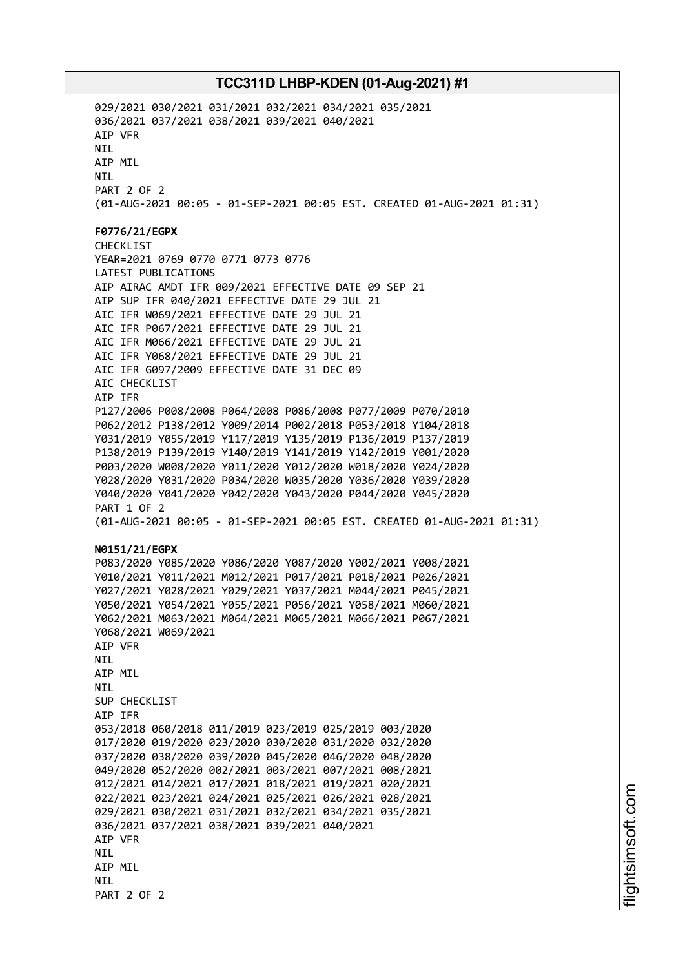029/2021 030/2021 031/2021 032/2021 034/2021 035/2021 036/2021 037/2021 038/2021 039/2021 040/2021 AIP VFR NIL AIP MIL NIL PART 2 OF 2 (01-AUG-2021 00:05 - 01-SEP-2021 00:05 EST. CREATED 01-AUG-2021 01:31) **F0776/21/EGPX** CHECKLIST YEAR=2021 0769 0770 0771 0773 0776 LATEST PUBLICATIONS AIP AIRAC AMDT IFR 009/2021 EFFECTIVE DATE 09 SEP 21 AIP SUP IFR 040/2021 EFFECTIVE DATE 29 JUL 21 AIC IFR W069/2021 EFFECTIVE DATE 29 JUL 21 AIC IFR P067/2021 EFFECTIVE DATE 29 JUL 21 AIC IFR M066/2021 EFFECTIVE DATE 29 JUL 21 AIC IFR Y068/2021 EFFECTIVE DATE 29 JUL 21 AIC IFR G097/2009 EFFECTIVE DATE 31 DEC 09 AIC CHECKLIST AIP IFR P127/2006 P008/2008 P064/2008 P086/2008 P077/2009 P070/2010 P062/2012 P138/2012 Y009/2014 P002/2018 P053/2018 Y104/2018 Y031/2019 Y055/2019 Y117/2019 Y135/2019 P136/2019 P137/2019 P138/2019 P139/2019 Y140/2019 Y141/2019 Y142/2019 Y001/2020 P003/2020 W008/2020 Y011/2020 Y012/2020 W018/2020 Y024/2020 Y028/2020 Y031/2020 P034/2020 W035/2020 Y036/2020 Y039/2020 Y040/2020 Y041/2020 Y042/2020 Y043/2020 P044/2020 Y045/2020 PART 1 OF 2 (01-AUG-2021 00:05 - 01-SEP-2021 00:05 EST. CREATED 01-AUG-2021 01:31) **N0151/21/EGPX** P083/2020 Y085/2020 Y086/2020 Y087/2020 Y002/2021 Y008/2021 Y010/2021 Y011/2021 M012/2021 P017/2021 P018/2021 P026/2021 Y027/2021 Y028/2021 Y029/2021 Y037/2021 M044/2021 P045/2021 Y050/2021 Y054/2021 Y055/2021 P056/2021 Y058/2021 M060/2021 Y062/2021 M063/2021 M064/2021 M065/2021 M066/2021 P067/2021 Y068/2021 W069/2021 AIP VFR **NTI** AIP MIL NIL SUP CHECKLIST AIP IFR 053/2018 060/2018 011/2019 023/2019 025/2019 003/2020 017/2020 019/2020 023/2020 030/2020 031/2020 032/2020 037/2020 038/2020 039/2020 045/2020 046/2020 048/2020 049/2020 052/2020 002/2021 003/2021 007/2021 008/2021 012/2021 014/2021 017/2021 018/2021 019/2021 020/2021 022/2021 023/2021 024/2021 025/2021 026/2021 028/2021 029/2021 030/2021 031/2021 032/2021 034/2021 035/2021 036/2021 037/2021 038/2021 039/2021 040/2021 AIP VFR **NTI** AIP MIL **NTI** PART 2 OF 2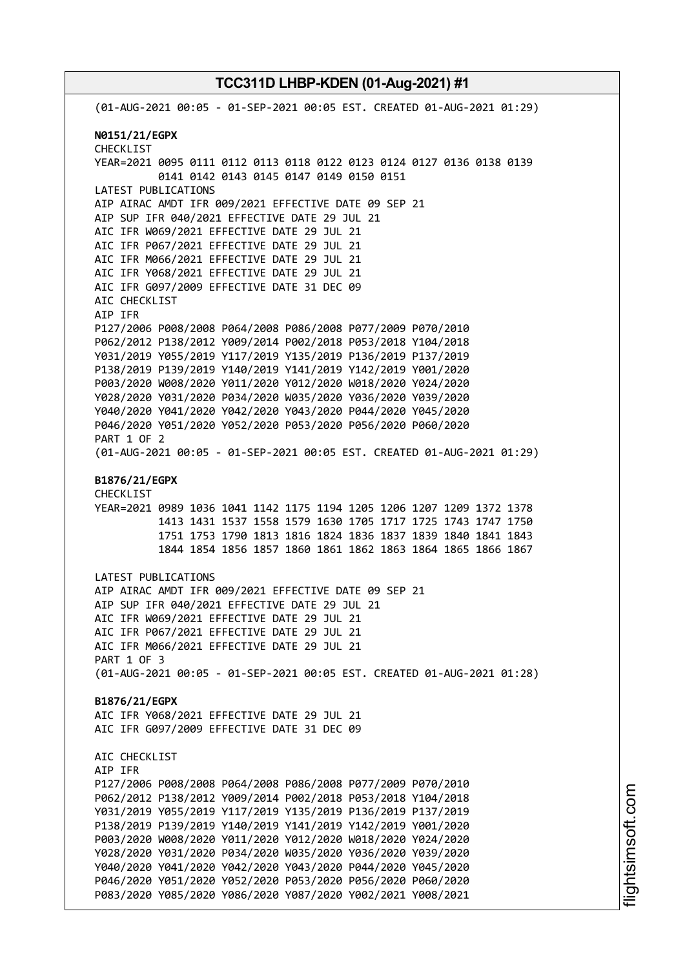(01-AUG-2021 00:05 - 01-SEP-2021 00:05 EST. CREATED 01-AUG-2021 01:29) **N0151/21/EGPX** CHECKLIST YEAR=2021 0095 0111 0112 0113 0118 0122 0123 0124 0127 0136 0138 0139 0141 0142 0143 0145 0147 0149 0150 0151 LATEST PUBLICATIONS AIP AIRAC AMDT IFR 009/2021 EFFECTIVE DATE 09 SEP 21 AIP SUP IFR 040/2021 EFFECTIVE DATE 29 JUL 21 AIC IFR W069/2021 EFFECTIVE DATE 29 JUL 21 AIC IFR P067/2021 EFFECTIVE DATE 29 JUL 21 AIC IFR M066/2021 EFFECTIVE DATE 29 JUL 21 AIC IFR Y068/2021 EFFECTIVE DATE 29 JUL 21 AIC IFR G097/2009 EFFECTIVE DATE 31 DEC 09 AIC CHECKLIST AIP IFR P127/2006 P008/2008 P064/2008 P086/2008 P077/2009 P070/2010 P062/2012 P138/2012 Y009/2014 P002/2018 P053/2018 Y104/2018 Y031/2019 Y055/2019 Y117/2019 Y135/2019 P136/2019 P137/2019 P138/2019 P139/2019 Y140/2019 Y141/2019 Y142/2019 Y001/2020 P003/2020 W008/2020 Y011/2020 Y012/2020 W018/2020 Y024/2020 Y028/2020 Y031/2020 P034/2020 W035/2020 Y036/2020 Y039/2020 Y040/2020 Y041/2020 Y042/2020 Y043/2020 P044/2020 Y045/2020 P046/2020 Y051/2020 Y052/2020 P053/2020 P056/2020 P060/2020 PART 1 OF 2 (01-AUG-2021 00:05 - 01-SEP-2021 00:05 EST. CREATED 01-AUG-2021 01:29) **B1876/21/EGPX** CHECKLIST YEAR=2021 0989 1036 1041 1142 1175 1194 1205 1206 1207 1209 1372 1378 1413 1431 1537 1558 1579 1630 1705 1717 1725 1743 1747 1750 1751 1753 1790 1813 1816 1824 1836 1837 1839 1840 1841 1843 1844 1854 1856 1857 1860 1861 1862 1863 1864 1865 1866 1867 LATEST PUBLICATIONS AIP AIRAC AMDT IFR 009/2021 EFFECTIVE DATE 09 SEP 21 AIP SUP IFR 040/2021 EFFECTIVE DATE 29 JUL 21 AIC IFR W069/2021 EFFECTIVE DATE 29 JUL 21 AIC IFR P067/2021 EFFECTIVE DATE 29 JUL 21 AIC IFR M066/2021 EFFECTIVE DATE 29 JUL 21 PART 1 OF 3 (01-AUG-2021 00:05 - 01-SEP-2021 00:05 EST. CREATED 01-AUG-2021 01:28) **B1876/21/EGPX** AIC IFR Y068/2021 EFFECTIVE DATE 29 JUL 21 AIC IFR G097/2009 EFFECTIVE DATE 31 DEC 09 AIC CHECKLIST AIP IFR P127/2006 P008/2008 P064/2008 P086/2008 P077/2009 P070/2010 P062/2012 P138/2012 Y009/2014 P002/2018 P053/2018 Y104/2018 Y031/2019 Y055/2019 Y117/2019 Y135/2019 P136/2019 P137/2019 P138/2019 P139/2019 Y140/2019 Y141/2019 Y142/2019 Y001/2020 P003/2020 W008/2020 Y011/2020 Y012/2020 W018/2020 Y024/2020 Y028/2020 Y031/2020 P034/2020 W035/2020 Y036/2020 Y039/2020 Y040/2020 Y041/2020 Y042/2020 Y043/2020 P044/2020 Y045/2020 P046/2020 Y051/2020 Y052/2020 P053/2020 P056/2020 P060/2020 P083/2020 Y085/2020 Y086/2020 Y087/2020 Y002/2021 Y008/2021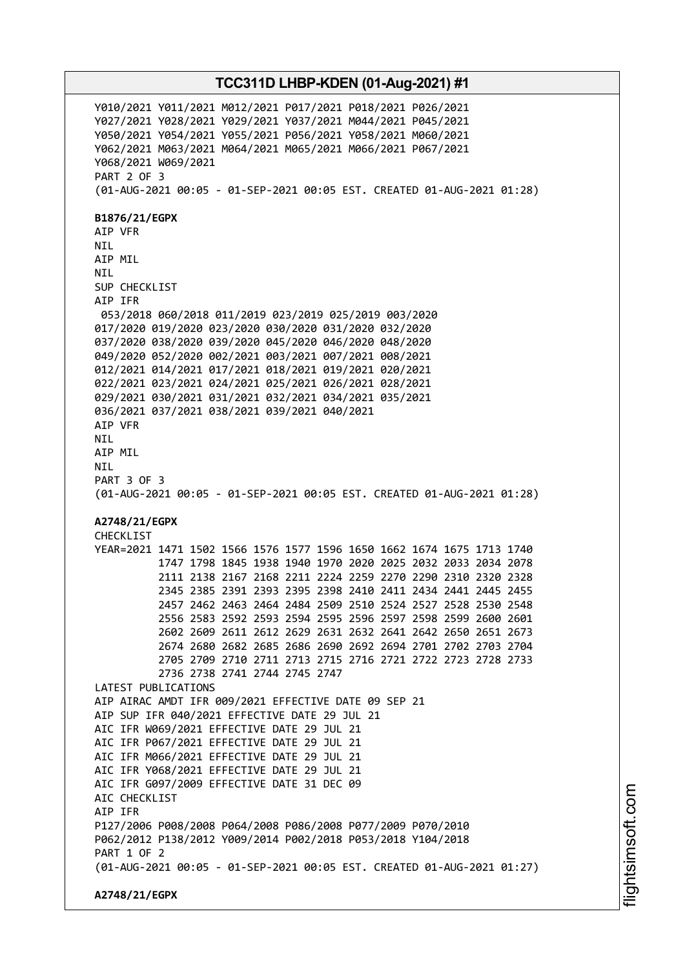Y010/2021 Y011/2021 M012/2021 P017/2021 P018/2021 P026/2021 Y027/2021 Y028/2021 Y029/2021 Y037/2021 M044/2021 P045/2021 Y050/2021 Y054/2021 Y055/2021 P056/2021 Y058/2021 M060/2021 Y062/2021 M063/2021 M064/2021 M065/2021 M066/2021 P067/2021 Y068/2021 W069/2021 PART 2 OF 3 (01-AUG-2021 00:05 - 01-SEP-2021 00:05 EST. CREATED 01-AUG-2021 01:28) **B1876/21/EGPX** AIP VFR NIL AIP MIL NIL SUP CHECKLIST AIP IFR 053/2018 060/2018 011/2019 023/2019 025/2019 003/2020 017/2020 019/2020 023/2020 030/2020 031/2020 032/2020 037/2020 038/2020 039/2020 045/2020 046/2020 048/2020 049/2020 052/2020 002/2021 003/2021 007/2021 008/2021 012/2021 014/2021 017/2021 018/2021 019/2021 020/2021 022/2021 023/2021 024/2021 025/2021 026/2021 028/2021 029/2021 030/2021 031/2021 032/2021 034/2021 035/2021 036/2021 037/2021 038/2021 039/2021 040/2021 AIP VFR NIL AIP MIL **NTI** PART 3 OF 3 (01-AUG-2021 00:05 - 01-SEP-2021 00:05 EST. CREATED 01-AUG-2021 01:28) **A2748/21/EGPX** CHECKLIST YEAR=2021 1471 1502 1566 1576 1577 1596 1650 1662 1674 1675 1713 1740 1747 1798 1845 1938 1940 1970 2020 2025 2032 2033 2034 2078 2111 2138 2167 2168 2211 2224 2259 2270 2290 2310 2320 2328 2345 2385 2391 2393 2395 2398 2410 2411 2434 2441 2445 2455 2457 2462 2463 2464 2484 2509 2510 2524 2527 2528 2530 2548 2556 2583 2592 2593 2594 2595 2596 2597 2598 2599 2600 2601 2602 2609 2611 2612 2629 2631 2632 2641 2642 2650 2651 2673 2674 2680 2682 2685 2686 2690 2692 2694 2701 2702 2703 2704 2705 2709 2710 2711 2713 2715 2716 2721 2722 2723 2728 2733 2736 2738 2741 2744 2745 2747 LATEST PUBLICATIONS AIP AIRAC AMDT IFR 009/2021 EFFECTIVE DATE 09 SEP 21 AIP SUP IFR 040/2021 EFFECTIVE DATE 29 JUL 21 AIC IFR W069/2021 EFFECTIVE DATE 29 JUL 21 AIC IFR P067/2021 EFFECTIVE DATE 29 JUL 21 AIC IFR M066/2021 EFFECTIVE DATE 29 JUL 21 AIC IFR Y068/2021 EFFECTIVE DATE 29 JUL 21 AIC IFR G097/2009 EFFECTIVE DATE 31 DEC 09 AIC CHECKLIST AIP IFR P127/2006 P008/2008 P064/2008 P086/2008 P077/2009 P070/2010 P062/2012 P138/2012 Y009/2014 P002/2018 P053/2018 Y104/2018 PART 1 OF 2 (01-AUG-2021 00:05 - 01-SEP-2021 00:05 EST. CREATED 01-AUG-2021 01:27) **A2748/21/EGPX**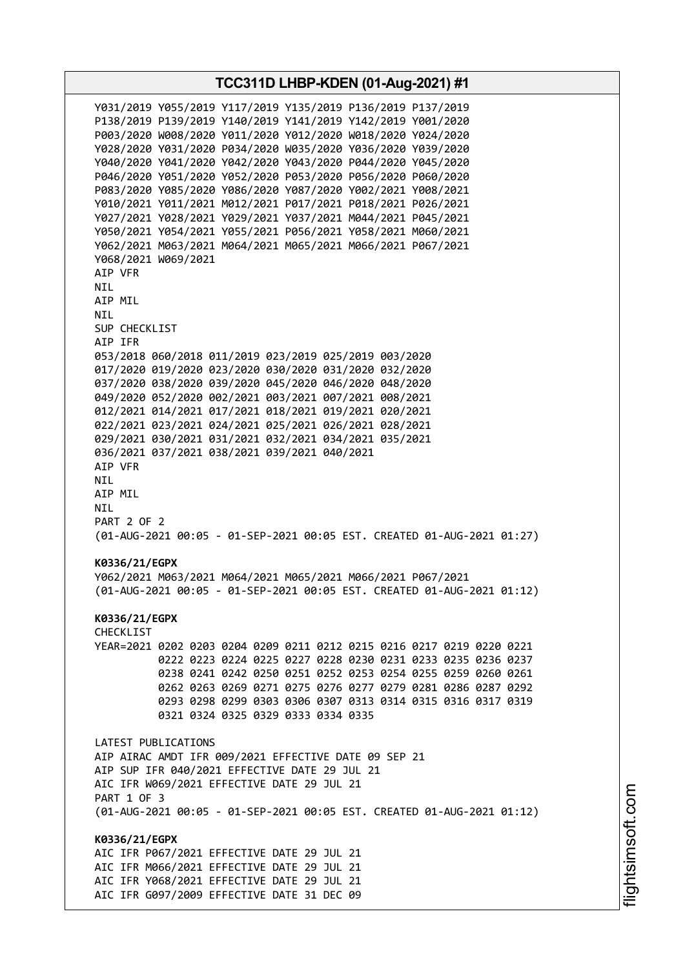**TCC311D LHBP-KDEN (01-Aug-2021) #1** Y031/2019 Y055/2019 Y117/2019 Y135/2019 P136/2019 P137/2019 P138/2019 P139/2019 Y140/2019 Y141/2019 Y142/2019 Y001/2020 P003/2020 W008/2020 Y011/2020 Y012/2020 W018/2020 Y024/2020 Y028/2020 Y031/2020 P034/2020 W035/2020 Y036/2020 Y039/2020 Y040/2020 Y041/2020 Y042/2020 Y043/2020 P044/2020 Y045/2020 P046/2020 Y051/2020 Y052/2020 P053/2020 P056/2020 P060/2020 P083/2020 Y085/2020 Y086/2020 Y087/2020 Y002/2021 Y008/2021 Y010/2021 Y011/2021 M012/2021 P017/2021 P018/2021 P026/2021 Y027/2021 Y028/2021 Y029/2021 Y037/2021 M044/2021 P045/2021 Y050/2021 Y054/2021 Y055/2021 P056/2021 Y058/2021 M060/2021 Y062/2021 M063/2021 M064/2021 M065/2021 M066/2021 P067/2021 Y068/2021 W069/2021 AIP VFR NIL AIP MIL NIL SUP CHECKLIST AIP IFR 053/2018 060/2018 011/2019 023/2019 025/2019 003/2020 017/2020 019/2020 023/2020 030/2020 031/2020 032/2020 037/2020 038/2020 039/2020 045/2020 046/2020 048/2020 049/2020 052/2020 002/2021 003/2021 007/2021 008/2021 012/2021 014/2021 017/2021 018/2021 019/2021 020/2021 022/2021 023/2021 024/2021 025/2021 026/2021 028/2021 029/2021 030/2021 031/2021 032/2021 034/2021 035/2021 036/2021 037/2021 038/2021 039/2021 040/2021 AIP VFR NIL AIP MIL NIL PART 2 OF 2 (01-AUG-2021 00:05 - 01-SEP-2021 00:05 EST. CREATED 01-AUG-2021 01:27) **K0336/21/EGPX** Y062/2021 M063/2021 M064/2021 M065/2021 M066/2021 P067/2021 (01-AUG-2021 00:05 - 01-SEP-2021 00:05 EST. CREATED 01-AUG-2021 01:12) **K0336/21/EGPX** CHECKLIST YEAR=2021 0202 0203 0204 0209 0211 0212 0215 0216 0217 0219 0220 0221 0222 0223 0224 0225 0227 0228 0230 0231 0233 0235 0236 0237 0238 0241 0242 0250 0251 0252 0253 0254 0255 0259 0260 0261 0262 0263 0269 0271 0275 0276 0277 0279 0281 0286 0287 0292 0293 0298 0299 0303 0306 0307 0313 0314 0315 0316 0317 0319 0321 0324 0325 0329 0333 0334 0335 LATEST PUBLICATIONS AIP AIRAC AMDT IFR 009/2021 EFFECTIVE DATE 09 SEP 21 AIP SUP IFR 040/2021 EFFECTIVE DATE 29 JUL 21 AIC IFR W069/2021 EFFECTIVE DATE 29 JUL 21 PART 1 OF 3 (01-AUG-2021 00:05 - 01-SEP-2021 00:05 EST. CREATED 01-AUG-2021 01:12) **K0336/21/EGPX** AIC IFR P067/2021 EFFECTIVE DATE 29 JUL 21 AIC IFR M066/2021 EFFECTIVE DATE 29 JUL 21 AIC IFR Y068/2021 EFFECTIVE DATE 29 JUL 21 AIC IFR G097/2009 EFFECTIVE DATE 31 DEC 09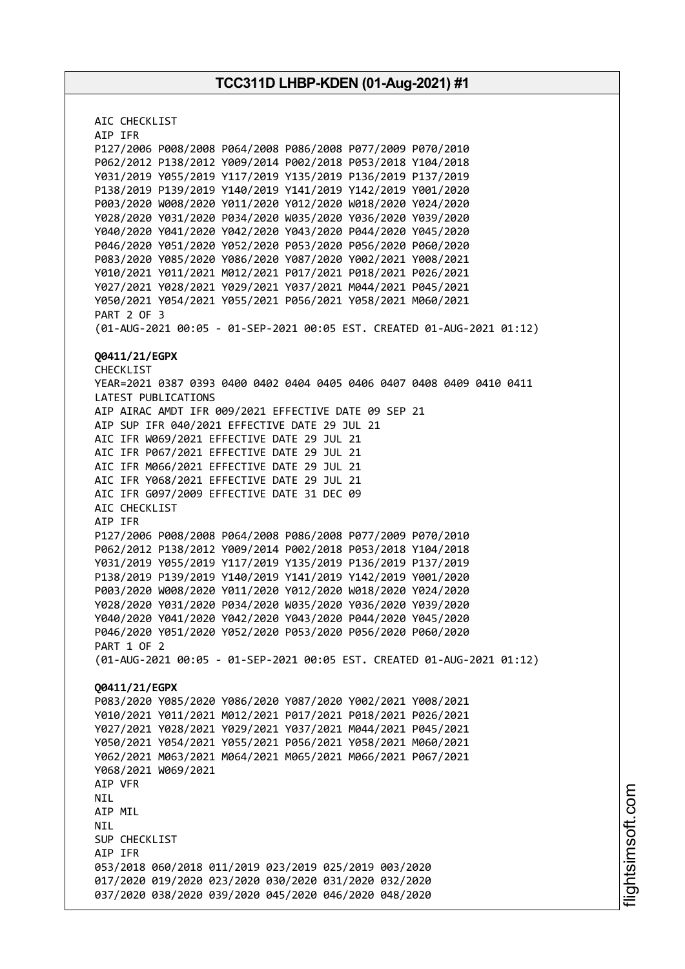AIC CHECKLIST AIP IFR P127/2006 P008/2008 P064/2008 P086/2008 P077/2009 P070/2010 P062/2012 P138/2012 Y009/2014 P002/2018 P053/2018 Y104/2018 Y031/2019 Y055/2019 Y117/2019 Y135/2019 P136/2019 P137/2019 P138/2019 P139/2019 Y140/2019 Y141/2019 Y142/2019 Y001/2020 P003/2020 W008/2020 Y011/2020 Y012/2020 W018/2020 Y024/2020 Y028/2020 Y031/2020 P034/2020 W035/2020 Y036/2020 Y039/2020 Y040/2020 Y041/2020 Y042/2020 Y043/2020 P044/2020 Y045/2020 P046/2020 Y051/2020 Y052/2020 P053/2020 P056/2020 P060/2020 P083/2020 Y085/2020 Y086/2020 Y087/2020 Y002/2021 Y008/2021 Y010/2021 Y011/2021 M012/2021 P017/2021 P018/2021 P026/2021 Y027/2021 Y028/2021 Y029/2021 Y037/2021 M044/2021 P045/2021 Y050/2021 Y054/2021 Y055/2021 P056/2021 Y058/2021 M060/2021 PART 2 OF 3 (01-AUG-2021 00:05 - 01-SEP-2021 00:05 EST. CREATED 01-AUG-2021 01:12) **Q0411/21/EGPX** CHECKLIST YEAR=2021 0387 0393 0400 0402 0404 0405 0406 0407 0408 0409 0410 0411 LATEST PUBLICATIONS AIP AIRAC AMDT IFR 009/2021 EFFECTIVE DATE 09 SEP 21 AIP SUP IFR 040/2021 EFFECTIVE DATE 29 JUL 21 AIC IFR W069/2021 EFFECTIVE DATE 29 JUL 21 AIC IFR P067/2021 EFFECTIVE DATE 29 JUL 21 AIC IFR M066/2021 EFFECTIVE DATE 29 JUL 21 AIC IFR Y068/2021 EFFECTIVE DATE 29 JUL 21 AIC IFR G097/2009 EFFECTIVE DATE 31 DEC 09 AIC CHECKLIST AIP IFR P127/2006 P008/2008 P064/2008 P086/2008 P077/2009 P070/2010 P062/2012 P138/2012 Y009/2014 P002/2018 P053/2018 Y104/2018 Y031/2019 Y055/2019 Y117/2019 Y135/2019 P136/2019 P137/2019 P138/2019 P139/2019 Y140/2019 Y141/2019 Y142/2019 Y001/2020 P003/2020 W008/2020 Y011/2020 Y012/2020 W018/2020 Y024/2020 Y028/2020 Y031/2020 P034/2020 W035/2020 Y036/2020 Y039/2020 Y040/2020 Y041/2020 Y042/2020 Y043/2020 P044/2020 Y045/2020 P046/2020 Y051/2020 Y052/2020 P053/2020 P056/2020 P060/2020 PART 1 OF 2 (01-AUG-2021 00:05 - 01-SEP-2021 00:05 EST. CREATED 01-AUG-2021 01:12) **Q0411/21/EGPX** P083/2020 Y085/2020 Y086/2020 Y087/2020 Y002/2021 Y008/2021 Y010/2021 Y011/2021 M012/2021 P017/2021 P018/2021 P026/2021 Y027/2021 Y028/2021 Y029/2021 Y037/2021 M044/2021 P045/2021 Y050/2021 Y054/2021 Y055/2021 P056/2021 Y058/2021 M060/2021 Y062/2021 M063/2021 M064/2021 M065/2021 M066/2021 P067/2021 Y068/2021 W069/2021 AIP VFR NIL AIP MIL NIL SUP CHECKLIST AIP IFR 053/2018 060/2018 011/2019 023/2019 025/2019 003/2020 017/2020 019/2020 023/2020 030/2020 031/2020 032/2020 037/2020 038/2020 039/2020 045/2020 046/2020 048/2020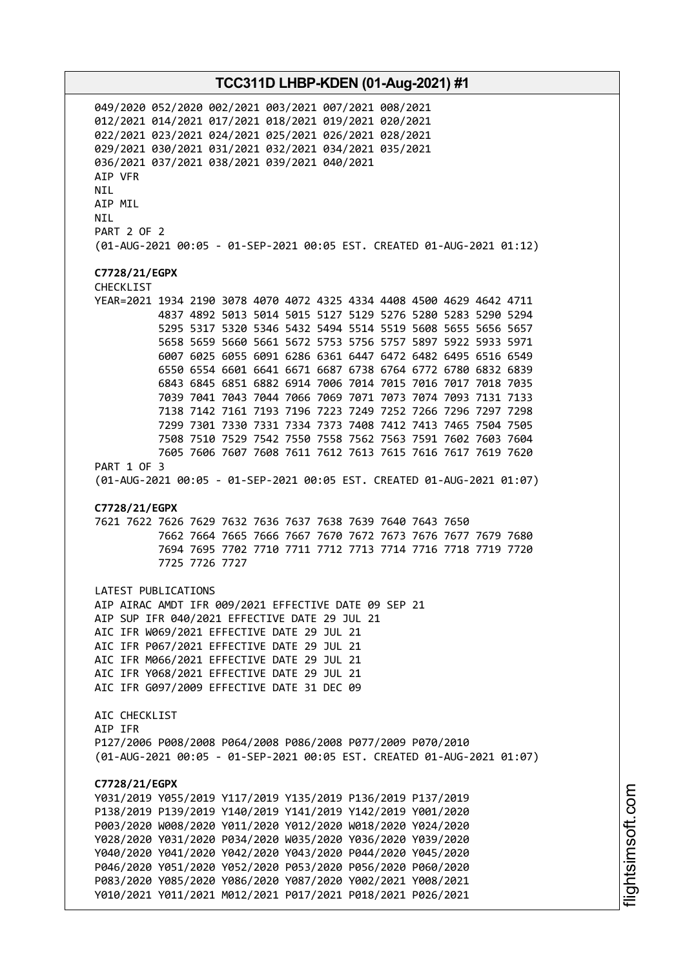049/2020 052/2020 002/2021 003/2021 007/2021 008/2021 012/2021 014/2021 017/2021 018/2021 019/2021 020/2021 022/2021 023/2021 024/2021 025/2021 026/2021 028/2021 029/2021 030/2021 031/2021 032/2021 034/2021 035/2021 036/2021 037/2021 038/2021 039/2021 040/2021 AIP VFR NIL AIP MIL NIL PART 2 OF 2 (01-AUG-2021 00:05 - 01-SEP-2021 00:05 EST. CREATED 01-AUG-2021 01:12) **C7728/21/EGPX** CHECKLIST YEAR=2021 1934 2190 3078 4070 4072 4325 4334 4408 4500 4629 4642 4711 4837 4892 5013 5014 5015 5127 5129 5276 5280 5283 5290 5294 5295 5317 5320 5346 5432 5494 5514 5519 5608 5655 5656 5657 5658 5659 5660 5661 5672 5753 5756 5757 5897 5922 5933 5971 6007 6025 6055 6091 6286 6361 6447 6472 6482 6495 6516 6549 6550 6554 6601 6641 6671 6687 6738 6764 6772 6780 6832 6839 6843 6845 6851 6882 6914 7006 7014 7015 7016 7017 7018 7035 7039 7041 7043 7044 7066 7069 7071 7073 7074 7093 7131 7133 7138 7142 7161 7193 7196 7223 7249 7252 7266 7296 7297 7298 7299 7301 7330 7331 7334 7373 7408 7412 7413 7465 7504 7505 7508 7510 7529 7542 7550 7558 7562 7563 7591 7602 7603 7604 7605 7606 7607 7608 7611 7612 7613 7615 7616 7617 7619 7620 PART 1 OF 3 (01-AUG-2021 00:05 - 01-SEP-2021 00:05 EST. CREATED 01-AUG-2021 01:07) **C7728/21/EGPX** 7621 7622 7626 7629 7632 7636 7637 7638 7639 7640 7643 7650 7662 7664 7665 7666 7667 7670 7672 7673 7676 7677 7679 7680 7694 7695 7702 7710 7711 7712 7713 7714 7716 7718 7719 7720 7725 7726 7727 LATEST PUBLICATIONS AIP AIRAC AMDT IFR 009/2021 EFFECTIVE DATE 09 SEP 21 AIP SUP IFR 040/2021 EFFECTIVE DATE 29 JUL 21 AIC IFR W069/2021 EFFECTIVE DATE 29 JUL 21 AIC IFR P067/2021 EFFECTIVE DATE 29 JUL 21 AIC IFR M066/2021 EFFECTIVE DATE 29 JUL 21 AIC IFR Y068/2021 EFFECTIVE DATE 29 JUL 21 AIC IFR G097/2009 EFFECTIVE DATE 31 DEC 09 AIC CHECKLIST AIP IFR P127/2006 P008/2008 P064/2008 P086/2008 P077/2009 P070/2010 (01-AUG-2021 00:05 - 01-SEP-2021 00:05 EST. CREATED 01-AUG-2021 01:07) **C7728/21/EGPX** Y031/2019 Y055/2019 Y117/2019 Y135/2019 P136/2019 P137/2019 P138/2019 P139/2019 Y140/2019 Y141/2019 Y142/2019 Y001/2020 P003/2020 W008/2020 Y011/2020 Y012/2020 W018/2020 Y024/2020 Y028/2020 Y031/2020 P034/2020 W035/2020 Y036/2020 Y039/2020 Y040/2020 Y041/2020 Y042/2020 Y043/2020 P044/2020 Y045/2020 P046/2020 Y051/2020 Y052/2020 P053/2020 P056/2020 P060/2020 P083/2020 Y085/2020 Y086/2020 Y087/2020 Y002/2021 Y008/2021 Y010/2021 Y011/2021 M012/2021 P017/2021 P018/2021 P026/2021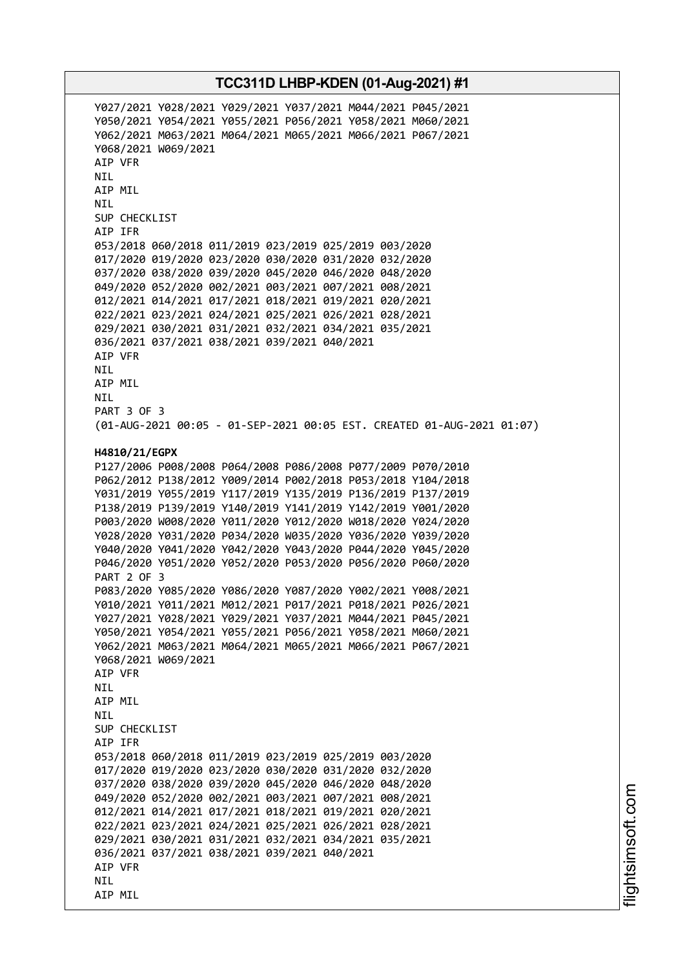Y027/2021 Y028/2021 Y029/2021 Y037/2021 M044/2021 P045/2021 Y050/2021 Y054/2021 Y055/2021 P056/2021 Y058/2021 M060/2021 Y062/2021 M063/2021 M064/2021 M065/2021 M066/2021 P067/2021 Y068/2021 W069/2021 AIP VFR NIL AIP MIL NIL SUP CHECKLIST AIP IFR 053/2018 060/2018 011/2019 023/2019 025/2019 003/2020 017/2020 019/2020 023/2020 030/2020 031/2020 032/2020 037/2020 038/2020 039/2020 045/2020 046/2020 048/2020 049/2020 052/2020 002/2021 003/2021 007/2021 008/2021 012/2021 014/2021 017/2021 018/2021 019/2021 020/2021 022/2021 023/2021 024/2021 025/2021 026/2021 028/2021 029/2021 030/2021 031/2021 032/2021 034/2021 035/2021 036/2021 037/2021 038/2021 039/2021 040/2021 AIP VFR NIL AIP MIL NIL PART 3 OF 3 (01-AUG-2021 00:05 - 01-SEP-2021 00:05 EST. CREATED 01-AUG-2021 01:07) **H4810/21/EGPX** P127/2006 P008/2008 P064/2008 P086/2008 P077/2009 P070/2010 P062/2012 P138/2012 Y009/2014 P002/2018 P053/2018 Y104/2018 Y031/2019 Y055/2019 Y117/2019 Y135/2019 P136/2019 P137/2019 P138/2019 P139/2019 Y140/2019 Y141/2019 Y142/2019 Y001/2020 P003/2020 W008/2020 Y011/2020 Y012/2020 W018/2020 Y024/2020 Y028/2020 Y031/2020 P034/2020 W035/2020 Y036/2020 Y039/2020 Y040/2020 Y041/2020 Y042/2020 Y043/2020 P044/2020 Y045/2020 P046/2020 Y051/2020 Y052/2020 P053/2020 P056/2020 P060/2020 PART 2 OF 3 P083/2020 Y085/2020 Y086/2020 Y087/2020 Y002/2021 Y008/2021 Y010/2021 Y011/2021 M012/2021 P017/2021 P018/2021 P026/2021 Y027/2021 Y028/2021 Y029/2021 Y037/2021 M044/2021 P045/2021 Y050/2021 Y054/2021 Y055/2021 P056/2021 Y058/2021 M060/2021 Y062/2021 M063/2021 M064/2021 M065/2021 M066/2021 P067/2021 Y068/2021 W069/2021 AIP VFR NIL AIP MIL **NTI** SUP CHECKLIST AIP IFR 053/2018 060/2018 011/2019 023/2019 025/2019 003/2020 017/2020 019/2020 023/2020 030/2020 031/2020 032/2020 037/2020 038/2020 039/2020 045/2020 046/2020 048/2020 049/2020 052/2020 002/2021 003/2021 007/2021 008/2021 012/2021 014/2021 017/2021 018/2021 019/2021 020/2021 022/2021 023/2021 024/2021 025/2021 026/2021 028/2021 029/2021 030/2021 031/2021 032/2021 034/2021 035/2021 036/2021 037/2021 038/2021 039/2021 040/2021 AIP VFR NIL AIP MIL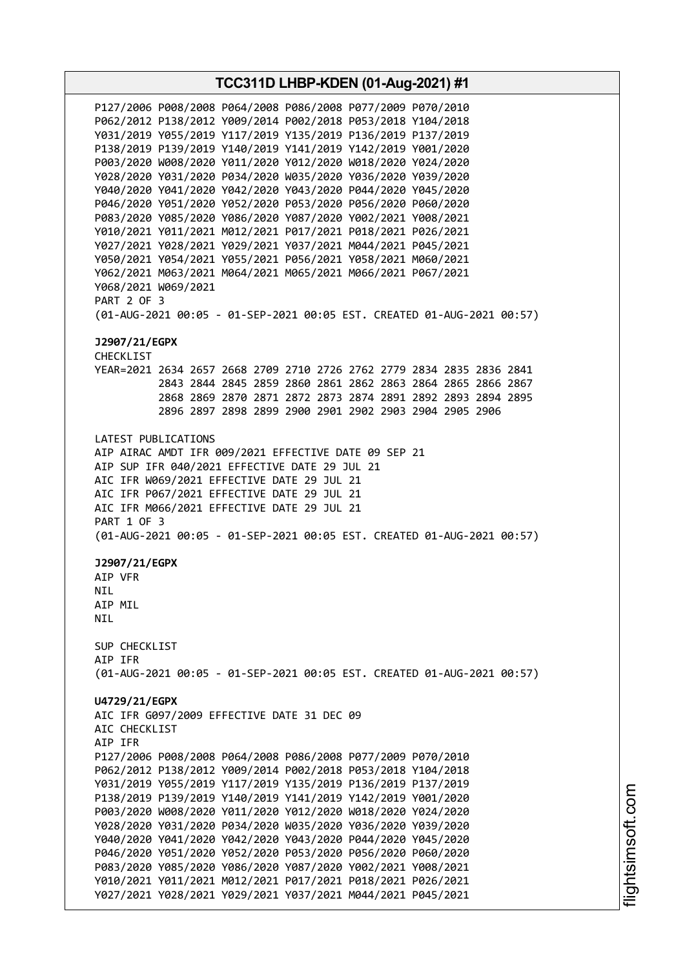**TCC311D LHBP-KDEN (01-Aug-2021) #1** P127/2006 P008/2008 P064/2008 P086/2008 P077/2009 P070/2010 P062/2012 P138/2012 Y009/2014 P002/2018 P053/2018 Y104/2018 Y031/2019 Y055/2019 Y117/2019 Y135/2019 P136/2019 P137/2019 P138/2019 P139/2019 Y140/2019 Y141/2019 Y142/2019 Y001/2020 P003/2020 W008/2020 Y011/2020 Y012/2020 W018/2020 Y024/2020 Y028/2020 Y031/2020 P034/2020 W035/2020 Y036/2020 Y039/2020 Y040/2020 Y041/2020 Y042/2020 Y043/2020 P044/2020 Y045/2020 P046/2020 Y051/2020 Y052/2020 P053/2020 P056/2020 P060/2020 P083/2020 Y085/2020 Y086/2020 Y087/2020 Y002/2021 Y008/2021 Y010/2021 Y011/2021 M012/2021 P017/2021 P018/2021 P026/2021 Y027/2021 Y028/2021 Y029/2021 Y037/2021 M044/2021 P045/2021 Y050/2021 Y054/2021 Y055/2021 P056/2021 Y058/2021 M060/2021 Y062/2021 M063/2021 M064/2021 M065/2021 M066/2021 P067/2021 Y068/2021 W069/2021 PART 2 OF 3 (01-AUG-2021 00:05 - 01-SEP-2021 00:05 EST. CREATED 01-AUG-2021 00:57) **J2907/21/EGPX** CHECKLIST YEAR=2021 2634 2657 2668 2709 2710 2726 2762 2779 2834 2835 2836 2841 2843 2844 2845 2859 2860 2861 2862 2863 2864 2865 2866 2867 2868 2869 2870 2871 2872 2873 2874 2891 2892 2893 2894 2895 2896 2897 2898 2899 2900 2901 2902 2903 2904 2905 2906 LATEST PUBLICATIONS AIP AIRAC AMDT IFR 009/2021 EFFECTIVE DATE 09 SEP 21 AIP SUP IFR 040/2021 EFFECTIVE DATE 29 JUL 21 AIC IFR W069/2021 EFFECTIVE DATE 29 JUL 21 AIC IFR P067/2021 EFFECTIVE DATE 29 JUL 21 AIC IFR M066/2021 EFFECTIVE DATE 29 JUL 21 PART 1 OF 3 (01-AUG-2021 00:05 - 01-SEP-2021 00:05 EST. CREATED 01-AUG-2021 00:57) **J2907/21/EGPX** AIP VFR **NTL** AIP MIL NIL SUP CHECKLIST AIP IFR (01-AUG-2021 00:05 - 01-SEP-2021 00:05 EST. CREATED 01-AUG-2021 00:57) **U4729/21/EGPX** AIC IFR G097/2009 EFFECTIVE DATE 31 DEC 09 AIC CHECKLIST AIP IFR P127/2006 P008/2008 P064/2008 P086/2008 P077/2009 P070/2010 P062/2012 P138/2012 Y009/2014 P002/2018 P053/2018 Y104/2018 Y031/2019 Y055/2019 Y117/2019 Y135/2019 P136/2019 P137/2019 P138/2019 P139/2019 Y140/2019 Y141/2019 Y142/2019 Y001/2020 P003/2020 W008/2020 Y011/2020 Y012/2020 W018/2020 Y024/2020 Y028/2020 Y031/2020 P034/2020 W035/2020 Y036/2020 Y039/2020 Y040/2020 Y041/2020 Y042/2020 Y043/2020 P044/2020 Y045/2020 P046/2020 Y051/2020 Y052/2020 P053/2020 P056/2020 P060/2020 P083/2020 Y085/2020 Y086/2020 Y087/2020 Y002/2021 Y008/2021 Y010/2021 Y011/2021 M012/2021 P017/2021 P018/2021 P026/2021 Y027/2021 Y028/2021 Y029/2021 Y037/2021 M044/2021 P045/2021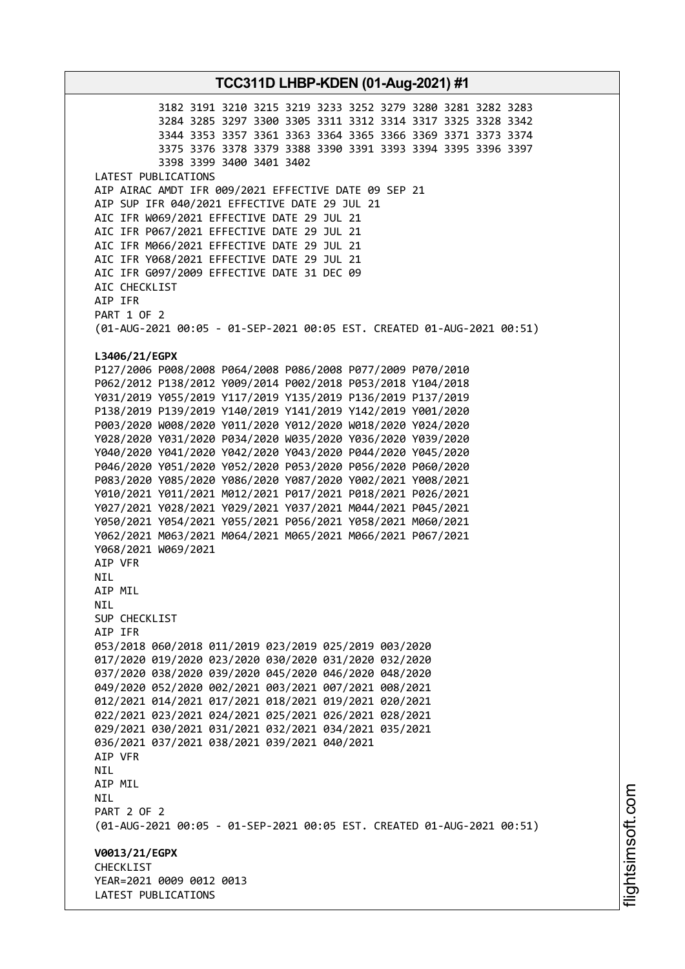3182 3191 3210 3215 3219 3233 3252 3279 3280 3281 3282 3283 3284 3285 3297 3300 3305 3311 3312 3314 3317 3325 3328 3342 3344 3353 3357 3361 3363 3364 3365 3366 3369 3371 3373 3374 3375 3376 3378 3379 3388 3390 3391 3393 3394 3395 3396 3397 3398 3399 3400 3401 3402 LATEST PUBLICATIONS AIP AIRAC AMDT IFR 009/2021 EFFECTIVE DATE 09 SEP 21 AIP SUP IFR 040/2021 EFFECTIVE DATE 29 JUL 21 AIC IFR W069/2021 EFFECTIVE DATE 29 JUL 21 AIC IFR P067/2021 EFFECTIVE DATE 29 JUL 21 AIC IFR M066/2021 EFFECTIVE DATE 29 JUL 21 AIC IFR Y068/2021 EFFECTIVE DATE 29 JUL 21 AIC IFR G097/2009 EFFECTIVE DATE 31 DEC 09 AIC CHECKLIST AIP IFR PART 1 OF 2 (01-AUG-2021 00:05 - 01-SEP-2021 00:05 EST. CREATED 01-AUG-2021 00:51) **L3406/21/EGPX** P127/2006 P008/2008 P064/2008 P086/2008 P077/2009 P070/2010 P062/2012 P138/2012 Y009/2014 P002/2018 P053/2018 Y104/2018 Y031/2019 Y055/2019 Y117/2019 Y135/2019 P136/2019 P137/2019 P138/2019 P139/2019 Y140/2019 Y141/2019 Y142/2019 Y001/2020 P003/2020 W008/2020 Y011/2020 Y012/2020 W018/2020 Y024/2020 Y028/2020 Y031/2020 P034/2020 W035/2020 Y036/2020 Y039/2020 Y040/2020 Y041/2020 Y042/2020 Y043/2020 P044/2020 Y045/2020 P046/2020 Y051/2020 Y052/2020 P053/2020 P056/2020 P060/2020 P083/2020 Y085/2020 Y086/2020 Y087/2020 Y002/2021 Y008/2021 Y010/2021 Y011/2021 M012/2021 P017/2021 P018/2021 P026/2021 Y027/2021 Y028/2021 Y029/2021 Y037/2021 M044/2021 P045/2021 Y050/2021 Y054/2021 Y055/2021 P056/2021 Y058/2021 M060/2021 Y062/2021 M063/2021 M064/2021 M065/2021 M066/2021 P067/2021 Y068/2021 W069/2021 AIP VFR NIL AIP MIL NIL SUP CHECKLIST AIP IFR 053/2018 060/2018 011/2019 023/2019 025/2019 003/2020 017/2020 019/2020 023/2020 030/2020 031/2020 032/2020 037/2020 038/2020 039/2020 045/2020 046/2020 048/2020 049/2020 052/2020 002/2021 003/2021 007/2021 008/2021 012/2021 014/2021 017/2021 018/2021 019/2021 020/2021 022/2021 023/2021 024/2021 025/2021 026/2021 028/2021 029/2021 030/2021 031/2021 032/2021 034/2021 035/2021 036/2021 037/2021 038/2021 039/2021 040/2021 AIP VFR NIL AIP MIL NIL PART 2 OF 2 (01-AUG-2021 00:05 - 01-SEP-2021 00:05 EST. CREATED 01-AUG-2021 00:51) **V0013/21/EGPX CHECKLIST** YEAR=2021 0009 0012 0013 LATEST PUBLICATIONS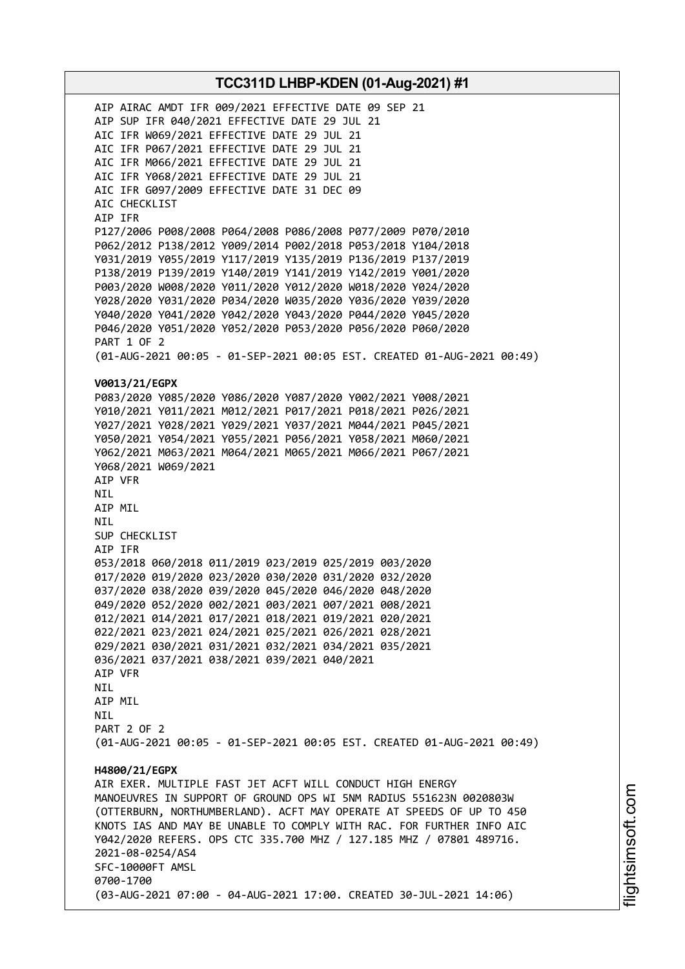AIP AIRAC AMDT IFR 009/2021 EFFECTIVE DATE 09 SEP 21 AIP SUP IFR 040/2021 EFFECTIVE DATE 29 JUL 21 AIC IFR W069/2021 EFFECTIVE DATE 29 JUL 21 AIC IFR P067/2021 EFFECTIVE DATE 29 JUL 21 AIC IFR M066/2021 EFFECTIVE DATE 29 JUL 21 AIC IFR Y068/2021 EFFECTIVE DATE 29 JUL 21 AIC IFR G097/2009 EFFECTIVE DATE 31 DEC 09 AIC CHECKLIST AIP IFR P127/2006 P008/2008 P064/2008 P086/2008 P077/2009 P070/2010 P062/2012 P138/2012 Y009/2014 P002/2018 P053/2018 Y104/2018 Y031/2019 Y055/2019 Y117/2019 Y135/2019 P136/2019 P137/2019 P138/2019 P139/2019 Y140/2019 Y141/2019 Y142/2019 Y001/2020 P003/2020 W008/2020 Y011/2020 Y012/2020 W018/2020 Y024/2020 Y028/2020 Y031/2020 P034/2020 W035/2020 Y036/2020 Y039/2020 Y040/2020 Y041/2020 Y042/2020 Y043/2020 P044/2020 Y045/2020 P046/2020 Y051/2020 Y052/2020 P053/2020 P056/2020 P060/2020 PART 1 OF 2 (01-AUG-2021 00:05 - 01-SEP-2021 00:05 EST. CREATED 01-AUG-2021 00:49) **V0013/21/EGPX** P083/2020 Y085/2020 Y086/2020 Y087/2020 Y002/2021 Y008/2021 Y010/2021 Y011/2021 M012/2021 P017/2021 P018/2021 P026/2021 Y027/2021 Y028/2021 Y029/2021 Y037/2021 M044/2021 P045/2021 Y050/2021 Y054/2021 Y055/2021 P056/2021 Y058/2021 M060/2021 Y062/2021 M063/2021 M064/2021 M065/2021 M066/2021 P067/2021 Y068/2021 W069/2021 AIP VFR NIL AIP MIL NIL SUP CHECKLIST AIP IFR 053/2018 060/2018 011/2019 023/2019 025/2019 003/2020 017/2020 019/2020 023/2020 030/2020 031/2020 032/2020 037/2020 038/2020 039/2020 045/2020 046/2020 048/2020 049/2020 052/2020 002/2021 003/2021 007/2021 008/2021 012/2021 014/2021 017/2021 018/2021 019/2021 020/2021 022/2021 023/2021 024/2021 025/2021 026/2021 028/2021 029/2021 030/2021 031/2021 032/2021 034/2021 035/2021 036/2021 037/2021 038/2021 039/2021 040/2021 AIP VFR NIL AIP MIL **NTI** PART 2 OF 2 (01-AUG-2021 00:05 - 01-SEP-2021 00:05 EST. CREATED 01-AUG-2021 00:49) **H4800/21/EGPX** AIR EXER. MULTIPLE FAST JET ACFT WILL CONDUCT HIGH ENERGY MANOEUVRES IN SUPPORT OF GROUND OPS WI 5NM RADIUS 551623N 0020803W (OTTERBURN, NORTHUMBERLAND). ACFT MAY OPERATE AT SPEEDS OF UP TO 450 KNOTS IAS AND MAY BE UNABLE TO COMPLY WITH RAC. FOR FURTHER INFO AIC Y042/2020 REFERS. OPS CTC 335.700 MHZ / 127.185 MHZ / 07801 489716. 2021-08-0254/AS4 SFC-10000FT AMSL 0700-1700 (03-AUG-2021 07:00 - 04-AUG-2021 17:00. CREATED 30-JUL-2021 14:06)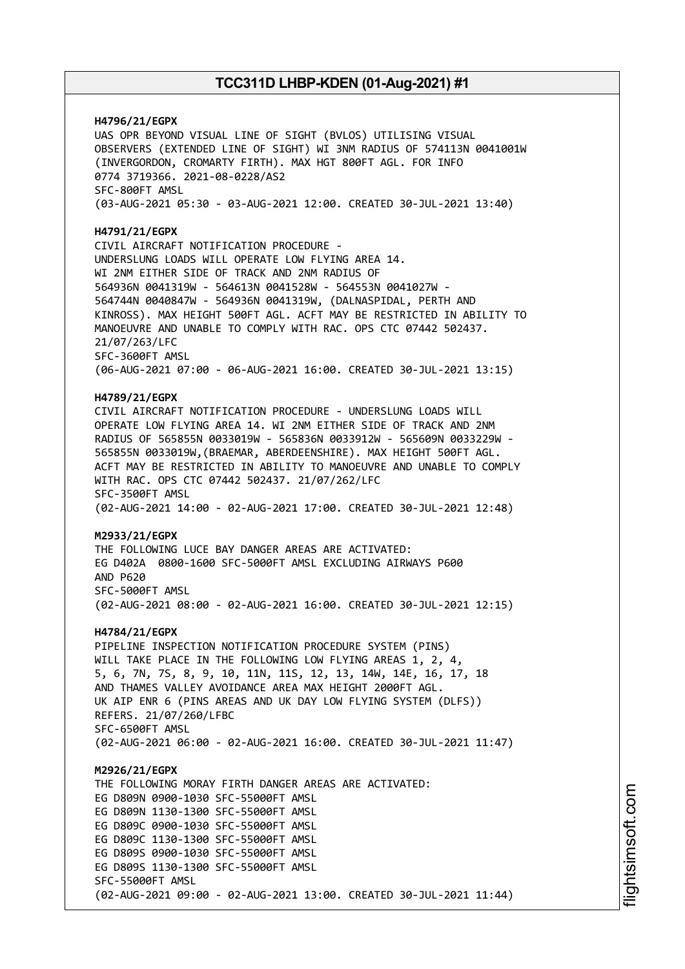**H4796/21/EGPX** UAS OPR BEYOND VISUAL LINE OF SIGHT (BVLOS) UTILISING VISUAL OBSERVERS (EXTENDED LINE OF SIGHT) WI 3NM RADIUS OF 574113N 0041001W (INVERGORDON, CROMARTY FIRTH). MAX HGT 800FT AGL. FOR INFO 0774 3719366. 2021-08-0228/AS2 SFC-800FT AMSL (03-AUG-2021 05:30 - 03-AUG-2021 12:00. CREATED 30-JUL-2021 13:40) **H4791/21/EGPX** CIVIL AIRCRAFT NOTIFICATION PROCEDURE - UNDERSLUNG LOADS WILL OPERATE LOW FLYING AREA 14. WI 2NM EITHER SIDE OF TRACK AND 2NM RADIUS OF 564936N 0041319W - 564613N 0041528W - 564553N 0041027W - 564744N 0040847W - 564936N 0041319W, (DALNASPIDAL, PERTH AND KINROSS). MAX HEIGHT 500FT AGL. ACFT MAY BE RESTRICTED IN ABILITY TO MANOEUVRE AND UNABLE TO COMPLY WITH RAC. OPS CTC 07442 502437. 21/07/263/LFC SFC-3600FT AMSL (06-AUG-2021 07:00 - 06-AUG-2021 16:00. CREATED 30-JUL-2021 13:15) **H4789/21/EGPX** CIVIL AIRCRAFT NOTIFICATION PROCEDURE - UNDERSLUNG LOADS WILL OPERATE LOW FLYING AREA 14. WI 2NM EITHER SIDE OF TRACK AND 2NM RADIUS OF 565855N 0033019W - 565836N 0033912W - 565609N 0033229W - 565855N 0033019W,(BRAEMAR, ABERDEENSHIRE). MAX HEIGHT 500FT AGL. ACFT MAY BE RESTRICTED IN ABILITY TO MANOEUVRE AND UNABLE TO COMPLY WITH RAC. OPS CTC 07442 502437. 21/07/262/LFC SFC-3500FT AMSL (02-AUG-2021 14:00 - 02-AUG-2021 17:00. CREATED 30-JUL-2021 12:48) **M2933/21/EGPX** THE FOLLOWING LUCE BAY DANGER AREAS ARE ACTIVATED: EG D402A 0800-1600 SFC-5000FT AMSL EXCLUDING AIRWAYS P600 AND P620 SFC-5000FT AMSL (02-AUG-2021 08:00 - 02-AUG-2021 16:00. CREATED 30-JUL-2021 12:15) **H4784/21/EGPX** PIPELINE INSPECTION NOTIFICATION PROCEDURE SYSTEM (PINS) WILL TAKE PLACE IN THE FOLLOWING LOW FLYING AREAS 1, 2, 4, 5, 6, 7N, 7S, 8, 9, 10, 11N, 11S, 12, 13, 14W, 14E, 16, 17, 18 AND THAMES VALLEY AVOIDANCE AREA MAX HEIGHT 2000FT AGL. UK AIP ENR 6 (PINS AREAS AND UK DAY LOW FLYING SYSTEM (DLFS)) REFERS. 21/07/260/LFBC SFC-6500FT AMSL (02-AUG-2021 06:00 - 02-AUG-2021 16:00. CREATED 30-JUL-2021 11:47) **M2926/21/EGPX** THE FOLLOWING MORAY FIRTH DANGER AREAS ARE ACTIVATED: EG D809N 0900-1030 SFC-55000FT AMSL EG D809N 1130-1300 SFC-55000FT AMSL EG D809C 0900-1030 SFC-55000FT AMSL EG D809C 1130-1300 SFC-55000FT AMSL EG D809S 0900-1030 SFC-55000FT AMSL EG D809S 1130-1300 SFC-55000FT AMSL SFC-55000FT AMSL (02-AUG-2021 09:00 - 02-AUG-2021 13:00. CREATED 30-JUL-2021 11:44)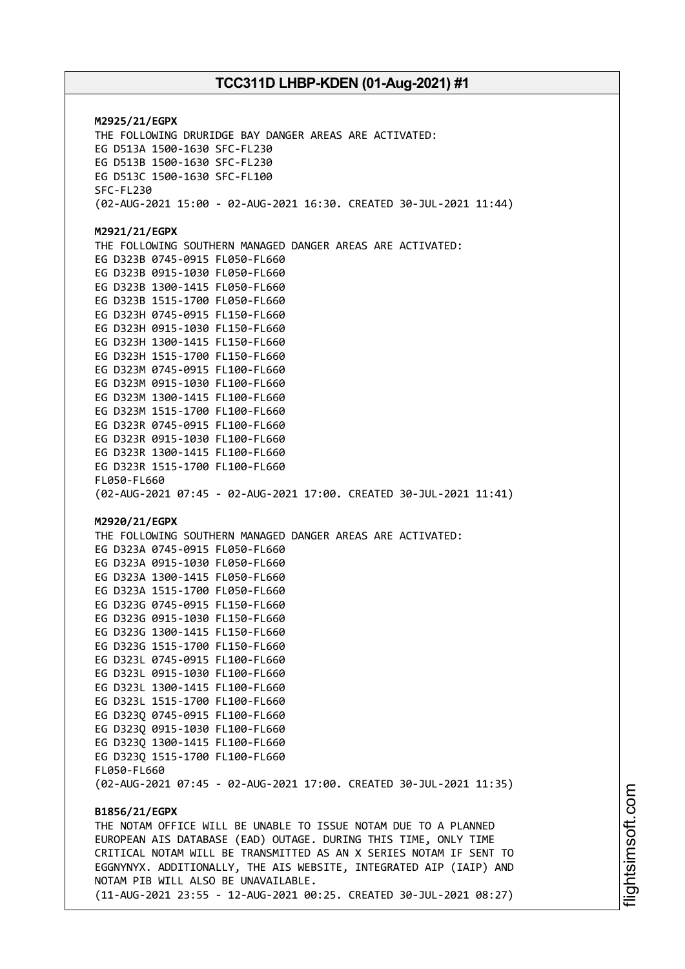**M2925/21/EGPX** THE FOLLOWING DRURIDGE BAY DANGER AREAS ARE ACTIVATED: EG D513A 1500-1630 SFC-FL230 EG D513B 1500-1630 SFC-FL230 EG D513C 1500-1630 SFC-FL100 SFC-FL230 (02-AUG-2021 15:00 - 02-AUG-2021 16:30. CREATED 30-JUL-2021 11:44) **M2921/21/EGPX** THE FOLLOWING SOUTHERN MANAGED DANGER AREAS ARE ACTIVATED: EG D323B 0745-0915 FL050-FL660 EG D323B 0915-1030 FL050-FL660 EG D323B 1300-1415 FL050-FL660 EG D323B 1515-1700 FL050-FL660 EG D323H 0745-0915 FL150-FL660 EG D323H 0915-1030 FL150-FL660 EG D323H 1300-1415 FL150-FL660 EG D323H 1515-1700 FL150-FL660 EG D323M 0745-0915 FL100-FL660 EG D323M 0915-1030 FL100-FL660 EG D323M 1300-1415 FL100-FL660 EG D323M 1515-1700 FL100-FL660 EG D323R 0745-0915 FL100-FL660 EG D323R 0915-1030 FL100-FL660 EG D323R 1300-1415 FL100-FL660 EG D323R 1515-1700 FL100-FL660 FL050-FL660 (02-AUG-2021 07:45 - 02-AUG-2021 17:00. CREATED 30-JUL-2021 11:41) **M2920/21/EGPX** THE FOLLOWING SOUTHERN MANAGED DANGER AREAS ARE ACTIVATED: EG D323A 0745-0915 FL050-FL660 EG D323A 0915-1030 FL050-FL660 EG D323A 1300-1415 FL050-FL660 EG D323A 1515-1700 FL050-FL660 EG D323G 0745-0915 FL150-FL660 EG D323G 0915-1030 FL150-FL660 EG D323G 1300-1415 FL150-FL660 EG D323G 1515-1700 FL150-FL660 EG D323L 0745-0915 FL100-FL660 EG D323L 0915-1030 FL100-FL660 EG D323L 1300-1415 FL100-FL660 EG D323L 1515-1700 FL100-FL660 EG D323Q 0745-0915 FL100-FL660 EG D323Q 0915-1030 FL100-FL660 EG D323Q 1300-1415 FL100-FL660 EG D323Q 1515-1700 FL100-FL660 FL050-FL660 (02-AUG-2021 07:45 - 02-AUG-2021 17:00. CREATED 30-JUL-2021 11:35) **B1856/21/EGPX** THE NOTAM OFFICE WILL BE UNABLE TO ISSUE NOTAM DUE TO A PLANNED EUROPEAN AIS DATABASE (EAD) OUTAGE. DURING THIS TIME, ONLY TIME CRITICAL NOTAM WILL BE TRANSMITTED AS AN X SERIES NOTAM IF SENT TO EGGNYNYX. ADDITIONALLY, THE AIS WEBSITE, INTEGRATED AIP (IAIP) AND NOTAM PIB WILL ALSO BE UNAVAILABLE. (11-AUG-2021 23:55 - 12-AUG-2021 00:25. CREATED 30-JUL-2021 08:27)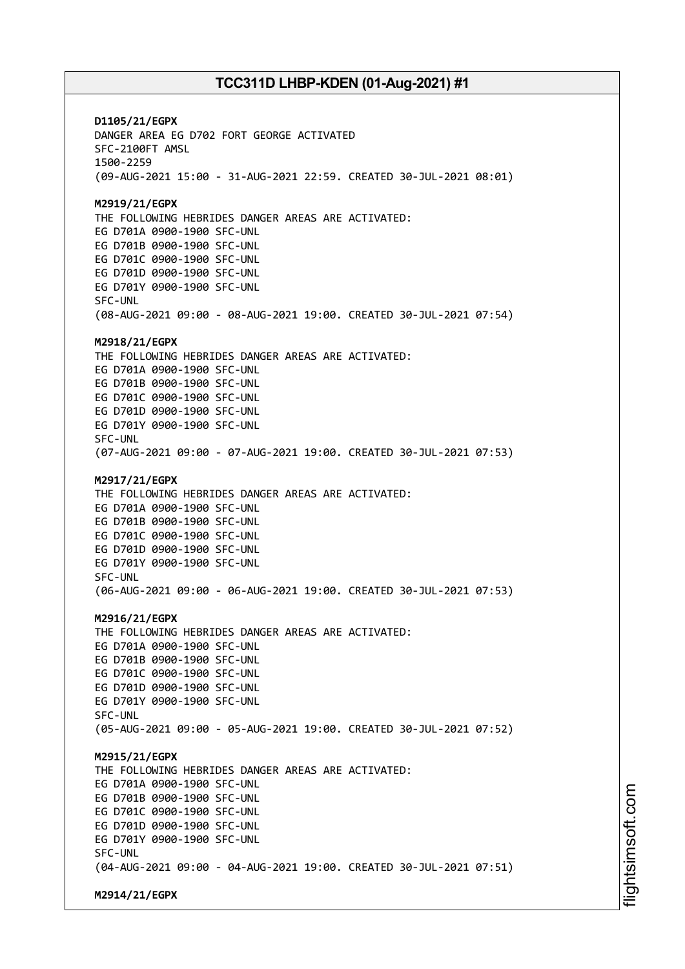**D1105/21/EGPX** DANGER AREA EG D702 FORT GEORGE ACTIVATED SFC-2100FT AMSL 1500-2259 (09-AUG-2021 15:00 - 31-AUG-2021 22:59. CREATED 30-JUL-2021 08:01) **M2919/21/EGPX** THE FOLLOWING HEBRIDES DANGER AREAS ARE ACTIVATED: EG D701A 0900-1900 SFC-UNL EG D701B 0900-1900 SFC-UNL EG D701C 0900-1900 SFC-UNL EG D701D 0900-1900 SFC-UNL EG D701Y 0900-1900 SFC-UNL SFC-UNL (08-AUG-2021 09:00 - 08-AUG-2021 19:00. CREATED 30-JUL-2021 07:54) **M2918/21/EGPX** THE FOLLOWING HEBRIDES DANGER AREAS ARE ACTIVATED: EG D701A 0900-1900 SFC-UNL EG D701B 0900-1900 SFC-UNL EG D701C 0900-1900 SFC-UNL EG D701D 0900-1900 SFC-UNL EG D701Y 0900-1900 SFC-UNL SFC-UNL (07-AUG-2021 09:00 - 07-AUG-2021 19:00. CREATED 30-JUL-2021 07:53) **M2917/21/EGPX** THE FOLLOWING HEBRIDES DANGER AREAS ARE ACTIVATED: EG D701A 0900-1900 SFC-UNL EG D701B 0900-1900 SFC-UNL EG D701C 0900-1900 SFC-UNL EG D701D 0900-1900 SFC-UNL EG D701Y 0900-1900 SFC-UNL SFC-UNL (06-AUG-2021 09:00 - 06-AUG-2021 19:00. CREATED 30-JUL-2021 07:53) **M2916/21/EGPX** THE FOLLOWING HEBRIDES DANGER AREAS ARE ACTIVATED: EG D701A 0900-1900 SFC-UNL EG D701B 0900-1900 SFC-UNL EG D701C 0900-1900 SFC-UNL EG D701D 0900-1900 SFC-UNL EG D701Y 0900-1900 SFC-UNL SFC-UNL (05-AUG-2021 09:00 - 05-AUG-2021 19:00. CREATED 30-JUL-2021 07:52) **M2915/21/EGPX** THE FOLLOWING HEBRIDES DANGER AREAS ARE ACTIVATED: EG D701A 0900-1900 SFC-UNL EG D701B 0900-1900 SFC-UNL EG D701C 0900-1900 SFC-UNL EG D701D 0900-1900 SFC-UNL EG D701Y 0900-1900 SFC-UNL SFC-UNL (04-AUG-2021 09:00 - 04-AUG-2021 19:00. CREATED 30-JUL-2021 07:51) **M2914/21/EGPX**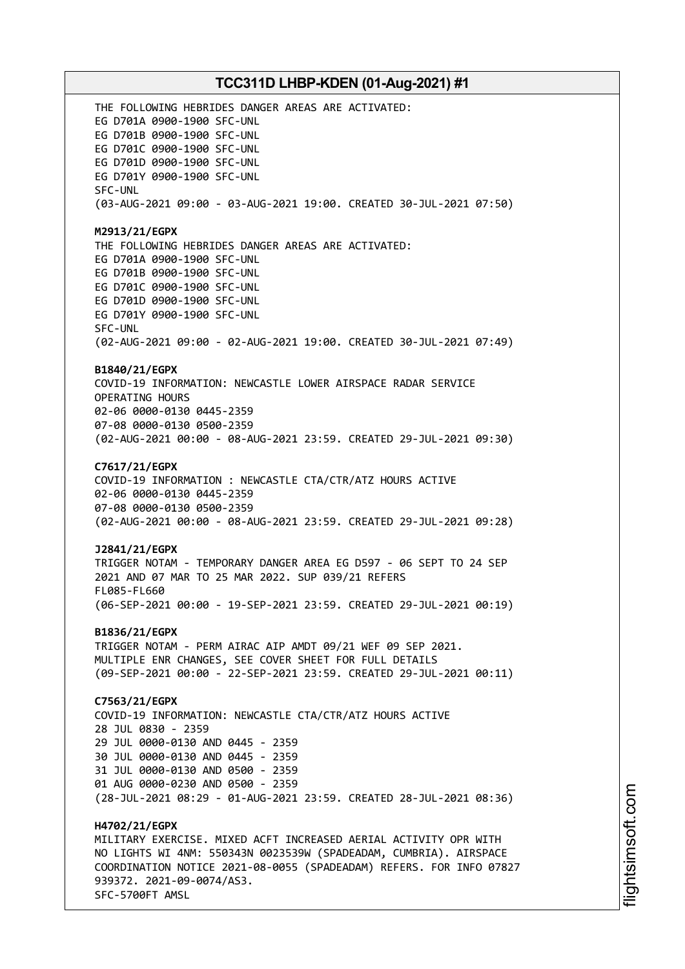THE FOLLOWING HEBRIDES DANGER AREAS ARE ACTIVATED: EG D701A 0900-1900 SFC-UNL EG D701B 0900-1900 SFC-UNL EG D701C 0900-1900 SFC-UNL EG D701D 0900-1900 SFC-UNL EG D701Y 0900-1900 SFC-UNL SFC-UNL (03-AUG-2021 09:00 - 03-AUG-2021 19:00. CREATED 30-JUL-2021 07:50) **M2913/21/EGPX** THE FOLLOWING HEBRIDES DANGER AREAS ARE ACTIVATED: EG D701A 0900-1900 SFC-UNL EG D701B 0900-1900 SFC-UNL EG D701C 0900-1900 SFC-UNL EG D701D 0900-1900 SFC-UNL EG D701Y 0900-1900 SFC-UNL SFC-UNL (02-AUG-2021 09:00 - 02-AUG-2021 19:00. CREATED 30-JUL-2021 07:49) **B1840/21/EGPX** COVID-19 INFORMATION: NEWCASTLE LOWER AIRSPACE RADAR SERVICE OPERATING HOURS 02-06 0000-0130 0445-2359 07-08 0000-0130 0500-2359 (02-AUG-2021 00:00 - 08-AUG-2021 23:59. CREATED 29-JUL-2021 09:30) **C7617/21/EGPX** COVID-19 INFORMATION : NEWCASTLE CTA/CTR/ATZ HOURS ACTIVE 02-06 0000-0130 0445-2359 07-08 0000-0130 0500-2359 (02-AUG-2021 00:00 - 08-AUG-2021 23:59. CREATED 29-JUL-2021 09:28) **J2841/21/EGPX** TRIGGER NOTAM - TEMPORARY DANGER AREA EG D597 - 06 SEPT TO 24 SEP 2021 AND 07 MAR TO 25 MAR 2022. SUP 039/21 REFERS FL085-FL660 (06-SEP-2021 00:00 - 19-SEP-2021 23:59. CREATED 29-JUL-2021 00:19) **B1836/21/EGPX** TRIGGER NOTAM - PERM AIRAC AIP AMDT 09/21 WEF 09 SEP 2021. MULTIPLE ENR CHANGES, SEE COVER SHEET FOR FULL DETAILS (09-SEP-2021 00:00 - 22-SEP-2021 23:59. CREATED 29-JUL-2021 00:11) **C7563/21/EGPX** COVID-19 INFORMATION: NEWCASTLE CTA/CTR/ATZ HOURS ACTIVE 28 JUL 0830 - 2359 29 JUL 0000-0130 AND 0445 - 2359 30 JUL 0000-0130 AND 0445 - 2359 31 JUL 0000-0130 AND 0500 - 2359 01 AUG 0000-0230 AND 0500 - 2359 (28-JUL-2021 08:29 - 01-AUG-2021 23:59. CREATED 28-JUL-2021 08:36) **H4702/21/EGPX** MILITARY EXERCISE. MIXED ACFT INCREASED AERIAL ACTIVITY OPR WITH NO LIGHTS WI 4NM: 550343N 0023539W (SPADEADAM, CUMBRIA). AIRSPACE COORDINATION NOTICE 2021-08-0055 (SPADEADAM) REFERS. FOR INFO 07827 939372. 2021-09-0074/AS3. SFC-5700FT AMSL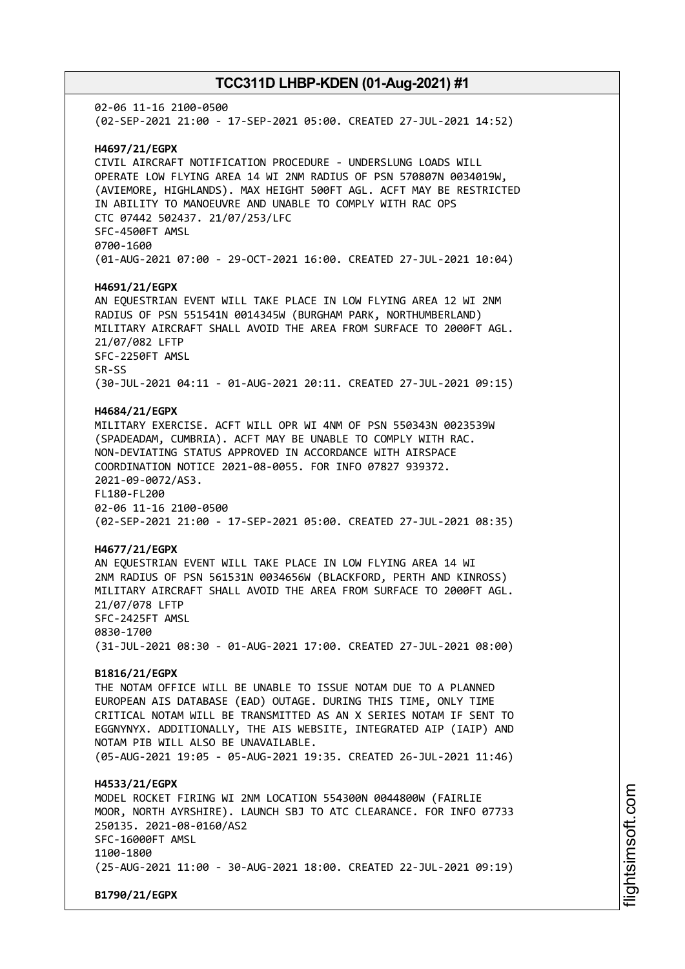02-06 11-16 2100-0500 (02-SEP-2021 21:00 - 17-SEP-2021 05:00. CREATED 27-JUL-2021 14:52) **H4697/21/EGPX** CIVIL AIRCRAFT NOTIFICATION PROCEDURE - UNDERSLUNG LOADS WILL OPERATE LOW FLYING AREA 14 WI 2NM RADIUS OF PSN 570807N 0034019W, (AVIEMORE, HIGHLANDS). MAX HEIGHT 500FT AGL. ACFT MAY BE RESTRICTED IN ABILITY TO MANOEUVRE AND UNABLE TO COMPLY WITH RAC OPS CTC 07442 502437. 21/07/253/LFC SFC-4500FT AMSL 0700-1600 (01-AUG-2021 07:00 - 29-OCT-2021 16:00. CREATED 27-JUL-2021 10:04) **H4691/21/EGPX** AN EQUESTRIAN EVENT WILL TAKE PLACE IN LOW FLYING AREA 12 WI 2NM RADIUS OF PSN 551541N 0014345W (BURGHAM PARK, NORTHUMBERLAND) MILITARY AIRCRAFT SHALL AVOID THE AREA FROM SURFACE TO 2000FT AGL. 21/07/082 LFTP SFC-2250FT AMSL SR-SS (30-JUL-2021 04:11 - 01-AUG-2021 20:11. CREATED 27-JUL-2021 09:15) **H4684/21/EGPX** MILITARY EXERCISE. ACFT WILL OPR WI 4NM OF PSN 550343N 0023539W (SPADEADAM, CUMBRIA). ACFT MAY BE UNABLE TO COMPLY WITH RAC. NON-DEVIATING STATUS APPROVED IN ACCORDANCE WITH AIRSPACE COORDINATION NOTICE 2021-08-0055. FOR INFO 07827 939372. 2021-09-0072/AS3. FL180-FL200 02-06 11-16 2100-0500 (02-SEP-2021 21:00 - 17-SEP-2021 05:00. CREATED 27-JUL-2021 08:35) **H4677/21/EGPX** AN EQUESTRIAN EVENT WILL TAKE PLACE IN LOW FLYING AREA 14 WI 2NM RADIUS OF PSN 561531N 0034656W (BLACKFORD, PERTH AND KINROSS) MILITARY AIRCRAFT SHALL AVOID THE AREA FROM SURFACE TO 2000FT AGL. 21/07/078 LFTP SFC-2425FT AMSL 0830-1700 (31-JUL-2021 08:30 - 01-AUG-2021 17:00. CREATED 27-JUL-2021 08:00) **B1816/21/EGPX** THE NOTAM OFFICE WILL BE UNABLE TO ISSUE NOTAM DUE TO A PLANNED EUROPEAN AIS DATABASE (EAD) OUTAGE. DURING THIS TIME, ONLY TIME CRITICAL NOTAM WILL BE TRANSMITTED AS AN X SERIES NOTAM IF SENT TO EGGNYNYX. ADDITIONALLY, THE AIS WEBSITE, INTEGRATED AIP (IAIP) AND NOTAM PIB WILL ALSO BE UNAVAILABLE. (05-AUG-2021 19:05 - 05-AUG-2021 19:35. CREATED 26-JUL-2021 11:46) **H4533/21/EGPX** MODEL ROCKET FIRING WI 2NM LOCATION 554300N 0044800W (FAIRLIE MOOR, NORTH AYRSHIRE). LAUNCH SBJ TO ATC CLEARANCE. FOR INFO 07733 250135. 2021-08-0160/AS2 SFC-16000FT AMSL 1100-1800 (25-AUG-2021 11:00 - 30-AUG-2021 18:00. CREATED 22-JUL-2021 09:19) **B1790/21/EGPX**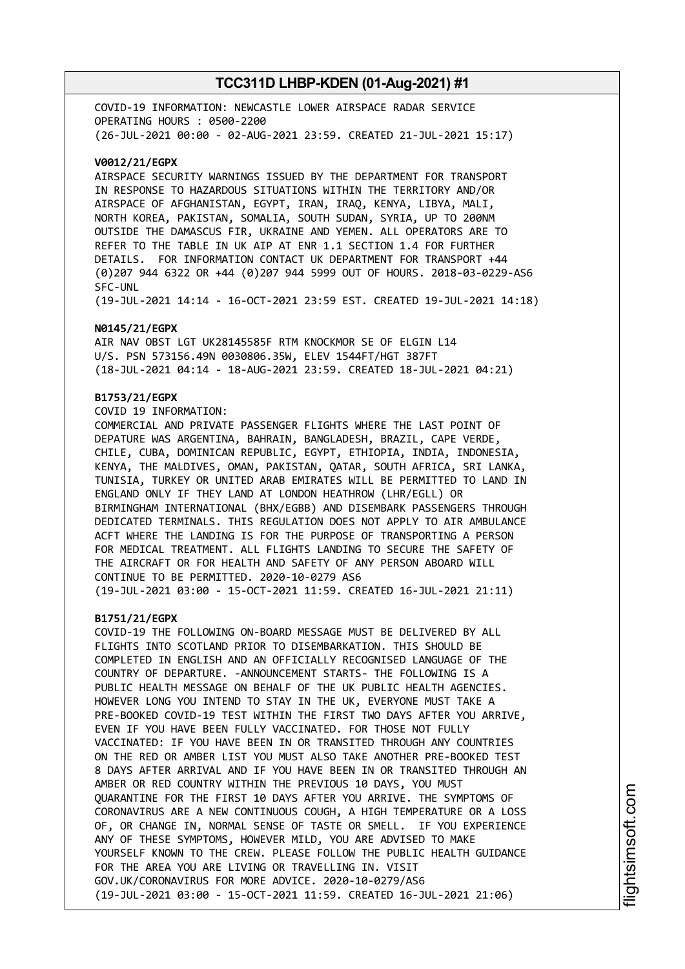COVID-19 INFORMATION: NEWCASTLE LOWER AIRSPACE RADAR SERVICE OPERATING HOURS : 0500-2200 (26-JUL-2021 00:00 - 02-AUG-2021 23:59. CREATED 21-JUL-2021 15:17)

#### **V0012/21/EGPX**

AIRSPACE SECURITY WARNINGS ISSUED BY THE DEPARTMENT FOR TRANSPORT IN RESPONSE TO HAZARDOUS SITUATIONS WITHIN THE TERRITORY AND/OR AIRSPACE OF AFGHANISTAN, EGYPT, IRAN, IRAQ, KENYA, LIBYA, MALI, NORTH KOREA, PAKISTAN, SOMALIA, SOUTH SUDAN, SYRIA, UP TO 200NM OUTSIDE THE DAMASCUS FIR, UKRAINE AND YEMEN. ALL OPERATORS ARE TO REFER TO THE TABLE IN UK AIP AT ENR 1.1 SECTION 1.4 FOR FURTHER DETAILS. FOR INFORMATION CONTACT UK DEPARTMENT FOR TRANSPORT +44 (0)207 944 6322 OR +44 (0)207 944 5999 OUT OF HOURS. 2018-03-0229-AS6 SFC-UNL

(19-JUL-2021 14:14 - 16-OCT-2021 23:59 EST. CREATED 19-JUL-2021 14:18)

#### **N0145/21/EGPX**

AIR NAV OBST LGT UK28145585F RTM KNOCKMOR SE OF ELGIN L14 U/S. PSN 573156.49N 0030806.35W, ELEV 1544FT/HGT 387FT (18-JUL-2021 04:14 - 18-AUG-2021 23:59. CREATED 18-JUL-2021 04:21)

#### **B1753/21/EGPX**

COVID 19 INFORMATION:

COMMERCIAL AND PRIVATE PASSENGER FLIGHTS WHERE THE LAST POINT OF DEPATURE WAS ARGENTINA, BAHRAIN, BANGLADESH, BRAZIL, CAPE VERDE, CHILE, CUBA, DOMINICAN REPUBLIC, EGYPT, ETHIOPIA, INDIA, INDONESIA, KENYA, THE MALDIVES, OMAN, PAKISTAN, QATAR, SOUTH AFRICA, SRI LANKA, TUNISIA, TURKEY OR UNITED ARAB EMIRATES WILL BE PERMITTED TO LAND IN ENGLAND ONLY IF THEY LAND AT LONDON HEATHROW (LHR/EGLL) OR BIRMINGHAM INTERNATIONAL (BHX/EGBB) AND DISEMBARK PASSENGERS THROUGH DEDICATED TERMINALS. THIS REGULATION DOES NOT APPLY TO AIR AMBULANCE ACFT WHERE THE LANDING IS FOR THE PURPOSE OF TRANSPORTING A PERSON FOR MEDICAL TREATMENT. ALL FLIGHTS LANDING TO SECURE THE SAFETY OF THE AIRCRAFT OR FOR HEALTH AND SAFETY OF ANY PERSON ABOARD WILL CONTINUE TO BE PERMITTED. 2020-10-0279 AS6 (19-JUL-2021 03:00 - 15-OCT-2021 11:59. CREATED 16-JUL-2021 21:11)

#### **B1751/21/EGPX**

COVID-19 THE FOLLOWING ON-BOARD MESSAGE MUST BE DELIVERED BY ALL FLIGHTS INTO SCOTLAND PRIOR TO DISEMBARKATION. THIS SHOULD BE COMPLETED IN ENGLISH AND AN OFFICIALLY RECOGNISED LANGUAGE OF THE COUNTRY OF DEPARTURE. -ANNOUNCEMENT STARTS- THE FOLLOWING IS A PUBLIC HEALTH MESSAGE ON BEHALF OF THE UK PUBLIC HEALTH AGENCIES. HOWEVER LONG YOU INTEND TO STAY IN THE UK, EVERYONE MUST TAKE A PRE-BOOKED COVID-19 TEST WITHIN THE FIRST TWO DAYS AFTER YOU ARRIVE, EVEN IF YOU HAVE BEEN FULLY VACCINATED. FOR THOSE NOT FULLY VACCINATED: IF YOU HAVE BEEN IN OR TRANSITED THROUGH ANY COUNTRIES ON THE RED OR AMBER LIST YOU MUST ALSO TAKE ANOTHER PRE-BOOKED TEST 8 DAYS AFTER ARRIVAL AND IF YOU HAVE BEEN IN OR TRANSITED THROUGH AN AMBER OR RED COUNTRY WITHIN THE PREVIOUS 10 DAYS, YOU MUST QUARANTINE FOR THE FIRST 10 DAYS AFTER YOU ARRIVE. THE SYMPTOMS OF CORONAVIRUS ARE A NEW CONTINUOUS COUGH, A HIGH TEMPERATURE OR A LOSS OF, OR CHANGE IN, NORMAL SENSE OF TASTE OR SMELL. IF YOU EXPERIENCE ANY OF THESE SYMPTOMS, HOWEVER MILD, YOU ARE ADVISED TO MAKE YOURSELF KNOWN TO THE CREW. PLEASE FOLLOW THE PUBLIC HEALTH GUIDANCE FOR THE AREA YOU ARE LIVING OR TRAVELLING IN. VISIT GOV.UK/CORONAVIRUS FOR MORE ADVICE. 2020-10-0279/AS6 (19-JUL-2021 03:00 - 15-OCT-2021 11:59. CREATED 16-JUL-2021 21:06)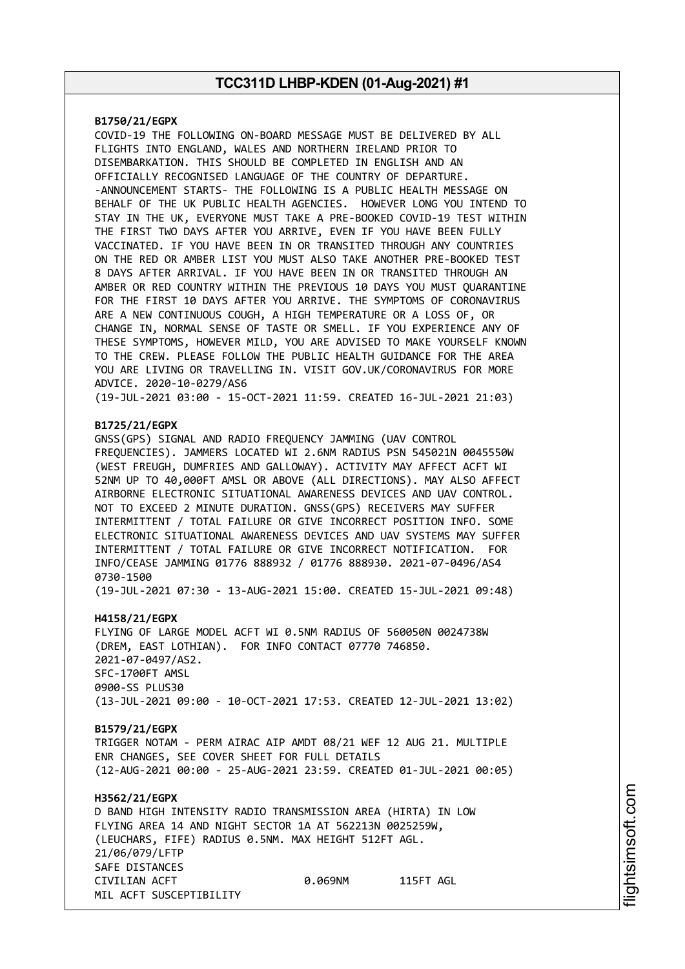#### **B1750/21/EGPX**

COVID-19 THE FOLLOWING ON-BOARD MESSAGE MUST BE DELIVERED BY ALL FLIGHTS INTO ENGLAND, WALES AND NORTHERN IRELAND PRIOR TO DISEMBARKATION. THIS SHOULD BE COMPLETED IN ENGLISH AND AN OFFICIALLY RECOGNISED LANGUAGE OF THE COUNTRY OF DEPARTURE. -ANNOUNCEMENT STARTS- THE FOLLOWING IS A PUBLIC HEALTH MESSAGE ON BEHALF OF THE UK PUBLIC HEALTH AGENCIES. HOWEVER LONG YOU INTEND TO STAY IN THE UK, EVERYONE MUST TAKE A PRE-BOOKED COVID-19 TEST WITHIN THE FIRST TWO DAYS AFTER YOU ARRIVE, EVEN IF YOU HAVE BEEN FULLY VACCINATED. IF YOU HAVE BEEN IN OR TRANSITED THROUGH ANY COUNTRIES ON THE RED OR AMBER LIST YOU MUST ALSO TAKE ANOTHER PRE-BOOKED TEST 8 DAYS AFTER ARRIVAL. IF YOU HAVE BEEN IN OR TRANSITED THROUGH AN AMBER OR RED COUNTRY WITHIN THE PREVIOUS 10 DAYS YOU MUST QUARANTINE FOR THE FIRST 10 DAYS AFTER YOU ARRIVE. THE SYMPTOMS OF CORONAVIRUS ARE A NEW CONTINUOUS COUGH, A HIGH TEMPERATURE OR A LOSS OF, OR CHANGE IN, NORMAL SENSE OF TASTE OR SMELL. IF YOU EXPERIENCE ANY OF THESE SYMPTOMS, HOWEVER MILD, YOU ARE ADVISED TO MAKE YOURSELF KNOWN TO THE CREW. PLEASE FOLLOW THE PUBLIC HEALTH GUIDANCE FOR THE AREA YOU ARE LIVING OR TRAVELLING IN. VISIT GOV.UK/CORONAVIRUS FOR MORE ADVICE. 2020-10-0279/AS6

(19-JUL-2021 03:00 - 15-OCT-2021 11:59. CREATED 16-JUL-2021 21:03)

#### **B1725/21/EGPX**

GNSS(GPS) SIGNAL AND RADIO FREQUENCY JAMMING (UAV CONTROL FREQUENCIES). JAMMERS LOCATED WI 2.6NM RADIUS PSN 545021N 0045550W (WEST FREUGH, DUMFRIES AND GALLOWAY). ACTIVITY MAY AFFECT ACFT WI 52NM UP TO 40,000FT AMSL OR ABOVE (ALL DIRECTIONS). MAY ALSO AFFECT AIRBORNE ELECTRONIC SITUATIONAL AWARENESS DEVICES AND UAV CONTROL. NOT TO EXCEED 2 MINUTE DURATION. GNSS(GPS) RECEIVERS MAY SUFFER INTERMITTENT / TOTAL FAILURE OR GIVE INCORRECT POSITION INFO. SOME ELECTRONIC SITUATIONAL AWARENESS DEVICES AND UAV SYSTEMS MAY SUFFER INTERMITTENT / TOTAL FAILURE OR GIVE INCORRECT NOTIFICATION. FOR INFO/CEASE JAMMING 01776 888932 / 01776 888930. 2021-07-0496/AS4 0730-1500

(19-JUL-2021 07:30 - 13-AUG-2021 15:00. CREATED 15-JUL-2021 09:48)

#### **H4158/21/EGPX**

FLYING OF LARGE MODEL ACFT WI 0.5NM RADIUS OF 560050N 0024738W (DREM, EAST LOTHIAN). FOR INFO CONTACT 07770 746850. 2021-07-0497/AS2. SFC-1700FT AMSL 0900-SS PLUS30 (13-JUL-2021 09:00 - 10-OCT-2021 17:53. CREATED 12-JUL-2021 13:02)

#### **B1579/21/EGPX**

TRIGGER NOTAM - PERM AIRAC AIP AMDT 08/21 WEF 12 AUG 21. MULTIPLE ENR CHANGES, SEE COVER SHEET FOR FULL DETAILS (12-AUG-2021 00:00 - 25-AUG-2021 23:59. CREATED 01-JUL-2021 00:05)

### **H3562/21/EGPX** D BAND HIGH INTENSITY RADIO TRANSMISSION AREA (HIRTA) IN LOW FLYING AREA 14 AND NIGHT SECTOR 1A AT 562213N 0025259W, (LEUCHARS, FIFE) RADIUS 0.5NM. MAX HEIGHT 512FT AGL. 21/06/079/LFTP SAFE DISTANCES CIVILIAN ACFT 0.069NM 115FT AGL MIL ACFT SUSCEPTIBILITY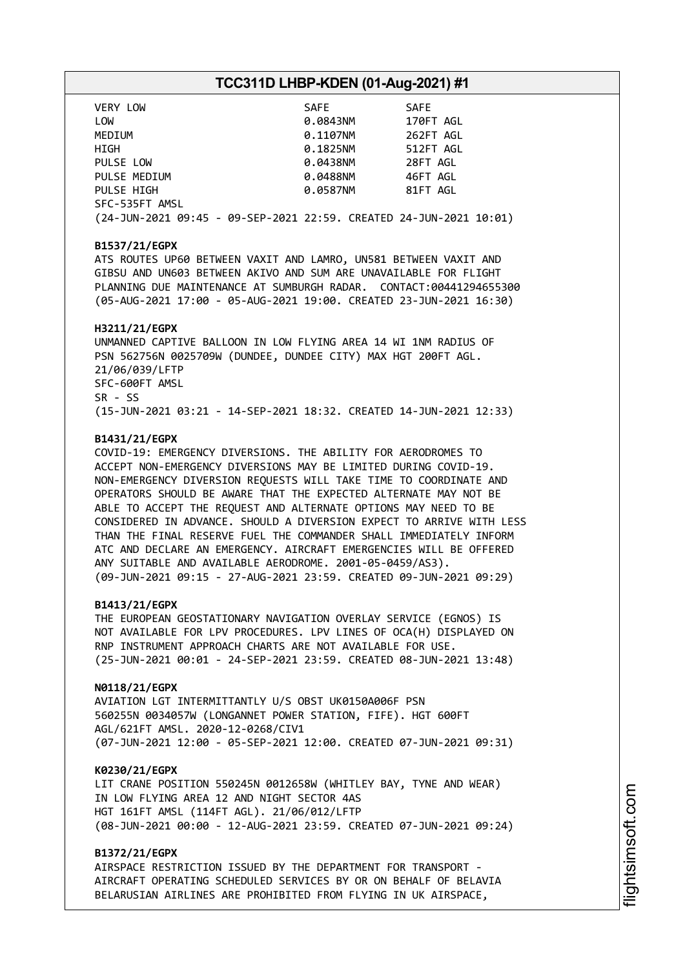| VERY LOW                                                           | SAFE     | <b>SAFE</b> |
|--------------------------------------------------------------------|----------|-------------|
| LOW                                                                | 0.0843NM | 170FT AGL   |
| MEDIUM                                                             | 0.1107NM | 262FT AGL   |
| HIGH                                                               | 0.1825NM | 512FT AGL   |
| PULSE LOW                                                          | 0.0438NM | 28FT AGL    |
| PULSE MEDIUM                                                       | 0.0488NM | 46FT AGL    |
| PULSE HIGH                                                         | 0.0587NM | 81FT AGL    |
| SFC-535FT AMSL                                                     |          |             |
| (24-JUN-2021 09:45 - 09-SEP-2021 22:59. CREATED 24-JUN-2021 10:01) |          |             |

#### **B1537/21/EGPX**

ATS ROUTES UP60 BETWEEN VAXIT AND LAMRO, UN581 BETWEEN VAXIT AND GIBSU AND UN603 BETWEEN AKIVO AND SUM ARE UNAVAILABLE FOR FLIGHT PLANNING DUE MAINTENANCE AT SUMBURGH RADAR. CONTACT:00441294655300 (05-AUG-2021 17:00 - 05-AUG-2021 19:00. CREATED 23-JUN-2021 16:30)

#### **H3211/21/EGPX**

UNMANNED CAPTIVE BALLOON IN LOW FLYING AREA 14 WI 1NM RADIUS OF PSN 562756N 0025709W (DUNDEE, DUNDEE CITY) MAX HGT 200FT AGL. 21/06/039/LFTP SFC-600FT AMSL SR - SS (15-JUN-2021 03:21 - 14-SEP-2021 18:32. CREATED 14-JUN-2021 12:33)

#### **B1431/21/EGPX**

COVID-19: EMERGENCY DIVERSIONS. THE ABILITY FOR AERODROMES TO ACCEPT NON-EMERGENCY DIVERSIONS MAY BE LIMITED DURING COVID-19. NON-EMERGENCY DIVERSION REQUESTS WILL TAKE TIME TO COORDINATE AND OPERATORS SHOULD BE AWARE THAT THE EXPECTED ALTERNATE MAY NOT BE ABLE TO ACCEPT THE REQUEST AND ALTERNATE OPTIONS MAY NEED TO BE CONSIDERED IN ADVANCE. SHOULD A DIVERSION EXPECT TO ARRIVE WITH LESS THAN THE FINAL RESERVE FUEL THE COMMANDER SHALL IMMEDIATELY INFORM ATC AND DECLARE AN EMERGENCY. AIRCRAFT EMERGENCIES WILL BE OFFERED ANY SUITABLE AND AVAILABLE AERODROME. 2001-05-0459/AS3). (09-JUN-2021 09:15 - 27-AUG-2021 23:59. CREATED 09-JUN-2021 09:29)

#### **B1413/21/EGPX**

THE EUROPEAN GEOSTATIONARY NAVIGATION OVERLAY SERVICE (EGNOS) IS NOT AVAILABLE FOR LPV PROCEDURES. LPV LINES OF OCA(H) DISPLAYED ON RNP INSTRUMENT APPROACH CHARTS ARE NOT AVAILABLE FOR USE. (25-JUN-2021 00:01 - 24-SEP-2021 23:59. CREATED 08-JUN-2021 13:48)

#### **N0118/21/EGPX**

AVIATION LGT INTERMITTANTLY U/S OBST UK0150A006F PSN 560255N 0034057W (LONGANNET POWER STATION, FIFE). HGT 600FT AGL/621FT AMSL. 2020-12-0268/CIV1 (07-JUN-2021 12:00 - 05-SEP-2021 12:00. CREATED 07-JUN-2021 09:31)

#### **K0230/21/EGPX**

LIT CRANE POSITION 550245N 0012658W (WHITLEY BAY, TYNE AND WEAR) IN LOW FLYING AREA 12 AND NIGHT SECTOR 4AS HGT 161FT AMSL (114FT AGL). 21/06/012/LFTP (08-JUN-2021 00:00 - 12-AUG-2021 23:59. CREATED 07-JUN-2021 09:24)

#### **B1372/21/EGPX**

AIRSPACE RESTRICTION ISSUED BY THE DEPARTMENT FOR TRANSPORT - AIRCRAFT OPERATING SCHEDULED SERVICES BY OR ON BEHALF OF BELAVIA BELARUSIAN AIRLINES ARE PROHIBITED FROM FLYING IN UK AIRSPACE,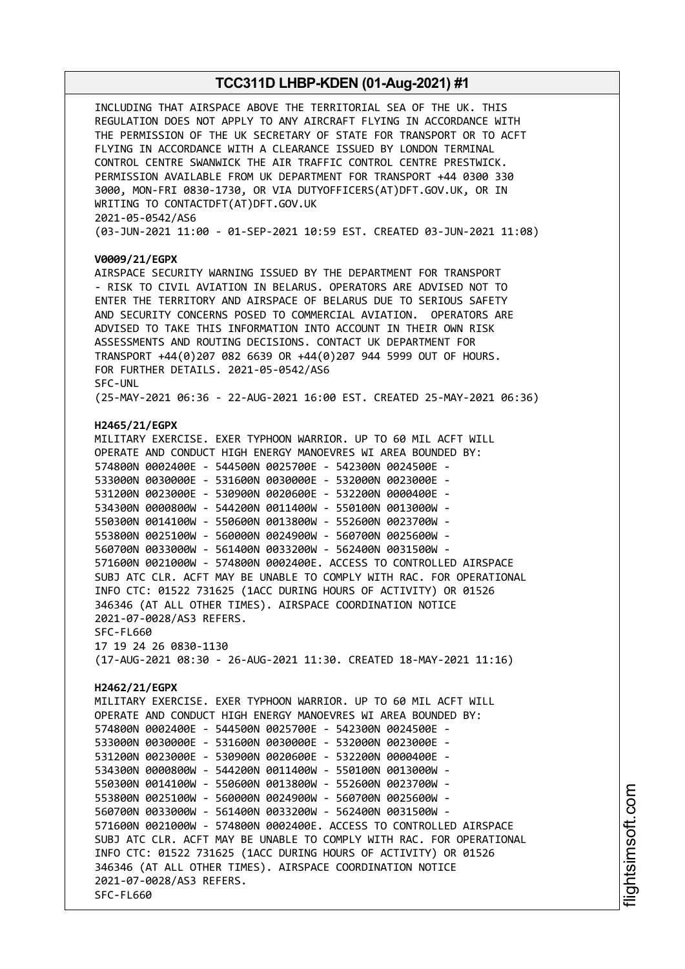INCLUDING THAT AIRSPACE ABOVE THE TERRITORIAL SEA OF THE UK. THIS REGULATION DOES NOT APPLY TO ANY AIRCRAFT FLYING IN ACCORDANCE WITH THE PERMISSION OF THE UK SECRETARY OF STATE FOR TRANSPORT OR TO ACFT FLYING IN ACCORDANCE WITH A CLEARANCE ISSUED BY LONDON TERMINAL CONTROL CENTRE SWANWICK THE AIR TRAFFIC CONTROL CENTRE PRESTWICK. PERMISSION AVAILABLE FROM UK DEPARTMENT FOR TRANSPORT +44 0300 330 3000, MON-FRI 0830-1730, OR VIA DUTYOFFICERS(AT)DFT.GOV.UK, OR IN WRITING TO CONTACTDFT(AT)DFT.GOV.UK 2021-05-0542/AS6 (03-JUN-2021 11:00 - 01-SEP-2021 10:59 EST. CREATED 03-JUN-2021 11:08) **V0009/21/EGPX** AIRSPACE SECURITY WARNING ISSUED BY THE DEPARTMENT FOR TRANSPORT - RISK TO CIVIL AVIATION IN BELARUS. OPERATORS ARE ADVISED NOT TO ENTER THE TERRITORY AND AIRSPACE OF BELARUS DUE TO SERIOUS SAFETY AND SECURITY CONCERNS POSED TO COMMERCIAL AVIATION. OPERATORS ARE ADVISED TO TAKE THIS INFORMATION INTO ACCOUNT IN THEIR OWN RISK ASSESSMENTS AND ROUTING DECISIONS. CONTACT UK DEPARTMENT FOR TRANSPORT +44(0)207 082 6639 OR +44(0)207 944 5999 OUT OF HOURS. FOR FURTHER DETAILS. 2021-05-0542/AS6 SFC-UNL (25-MAY-2021 06:36 - 22-AUG-2021 16:00 EST. CREATED 25-MAY-2021 06:36) **H2465/21/EGPX** MILITARY EXERCISE. EXER TYPHOON WARRIOR. UP TO 60 MIL ACFT WILL OPERATE AND CONDUCT HIGH ENERGY MANOEVRES WI AREA BOUNDED BY: 574800N 0002400E - 544500N 0025700E - 542300N 0024500E - 533000N 0030000E - 531600N 0030000E - 532000N 0023000E - 531200N 0023000E - 530900N 0020600E - 532200N 0000400E - 534300N 0000800W - 544200N 0011400W - 550100N 0013000W - 550300N 0014100W - 550600N 0013800W - 552600N 0023700W - 553800N 0025100W - 560000N 0024900W - 560700N 0025600W - 560700N 0033000W - 561400N 0033200W - 562400N 0031500W - 571600N 0021000W - 574800N 0002400E. ACCESS TO CONTROLLED AIRSPACE SUBJ ATC CLR. ACFT MAY BE UNABLE TO COMPLY WITH RAC. FOR OPERATIONAL INFO CTC: 01522 731625 (1ACC DURING HOURS OF ACTIVITY) OR 01526 346346 (AT ALL OTHER TIMES). AIRSPACE COORDINATION NOTICE 2021-07-0028/AS3 REFERS. SFC-FL660 17 19 24 26 0830-1130 (17-AUG-2021 08:30 - 26-AUG-2021 11:30. CREATED 18-MAY-2021 11:16) **H2462/21/EGPX** MILITARY EXERCISE. EXER TYPHOON WARRIOR. UP TO 60 MIL ACFT WILL OPERATE AND CONDUCT HIGH ENERGY MANOEVRES WI AREA BOUNDED BY: 574800N 0002400E - 544500N 0025700E - 542300N 0024500E - 533000N 0030000E - 531600N 0030000E - 532000N 0023000E - 531200N 0023000E - 530900N 0020600E - 532200N 0000400E - 534300N 0000800W - 544200N 0011400W - 550100N 0013000W - 550300N 0014100W - 550600N 0013800W - 552600N 0023700W - 553800N 0025100W - 560000N 0024900W - 560700N 0025600W - 560700N 0033000W - 561400N 0033200W - 562400N 0031500W - 571600N 0021000W - 574800N 0002400E. ACCESS TO CONTROLLED AIRSPACE SUBJ ATC CLR. ACFT MAY BE UNABLE TO COMPLY WITH RAC. FOR OPERATIONAL INFO CTC: 01522 731625 (1ACC DURING HOURS OF ACTIVITY) OR 01526 346346 (AT ALL OTHER TIMES). AIRSPACE COORDINATION NOTICE 2021-07-0028/AS3 REFERS. SFC-FL660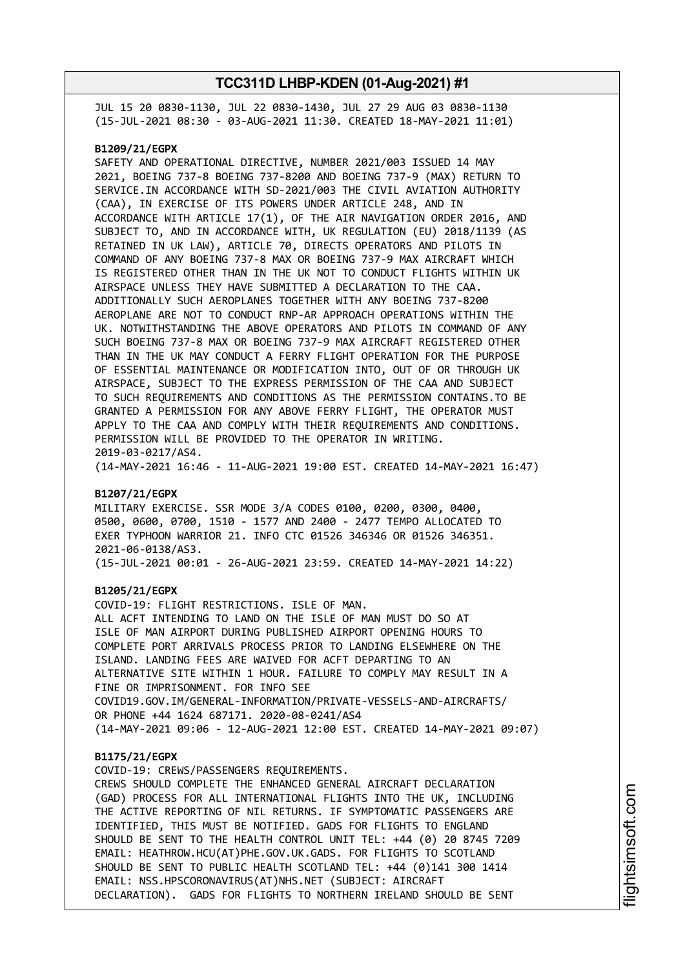JUL 15 20 0830-1130, JUL 22 0830-1430, JUL 27 29 AUG 03 0830-1130 (15-JUL-2021 08:30 - 03-AUG-2021 11:30. CREATED 18-MAY-2021 11:01)

#### **B1209/21/EGPX**

SAFETY AND OPERATIONAL DIRECTIVE, NUMBER 2021/003 ISSUED 14 MAY 2021, BOEING 737-8 BOEING 737-8200 AND BOEING 737-9 (MAX) RETURN TO SERVICE.IN ACCORDANCE WITH SD-2021/003 THE CIVIL AVIATION AUTHORITY (CAA), IN EXERCISE OF ITS POWERS UNDER ARTICLE 248, AND IN ACCORDANCE WITH ARTICLE 17(1), OF THE AIR NAVIGATION ORDER 2016, AND SUBJECT TO, AND IN ACCORDANCE WITH, UK REGULATION (EU) 2018/1139 (AS RETAINED IN UK LAW), ARTICLE 70, DIRECTS OPERATORS AND PILOTS IN COMMAND OF ANY BOEING 737-8 MAX OR BOEING 737-9 MAX AIRCRAFT WHICH IS REGISTERED OTHER THAN IN THE UK NOT TO CONDUCT FLIGHTS WITHIN UK AIRSPACE UNLESS THEY HAVE SUBMITTED A DECLARATION TO THE CAA. ADDITIONALLY SUCH AEROPLANES TOGETHER WITH ANY BOEING 737-8200 AEROPLANE ARE NOT TO CONDUCT RNP-AR APPROACH OPERATIONS WITHIN THE UK. NOTWITHSTANDING THE ABOVE OPERATORS AND PILOTS IN COMMAND OF ANY SUCH BOEING 737-8 MAX OR BOEING 737-9 MAX AIRCRAFT REGISTERED OTHER THAN IN THE UK MAY CONDUCT A FERRY FLIGHT OPERATION FOR THE PURPOSE OF ESSENTIAL MAINTENANCE OR MODIFICATION INTO, OUT OF OR THROUGH UK AIRSPACE, SUBJECT TO THE EXPRESS PERMISSION OF THE CAA AND SUBJECT TO SUCH REQUIREMENTS AND CONDITIONS AS THE PERMISSION CONTAINS.TO BE GRANTED A PERMISSION FOR ANY ABOVE FERRY FLIGHT, THE OPERATOR MUST APPLY TO THE CAA AND COMPLY WITH THEIR REQUIREMENTS AND CONDITIONS. PERMISSION WILL BE PROVIDED TO THE OPERATOR IN WRITING. 2019-03-0217/AS4.

(14-MAY-2021 16:46 - 11-AUG-2021 19:00 EST. CREATED 14-MAY-2021 16:47)

#### **B1207/21/EGPX**

MILITARY EXERCISE. SSR MODE 3/A CODES 0100, 0200, 0300, 0400, 0500, 0600, 0700, 1510 - 1577 AND 2400 - 2477 TEMPO ALLOCATED TO EXER TYPHOON WARRIOR 21. INFO CTC 01526 346346 OR 01526 346351. 2021-06-0138/AS3. (15-JUL-2021 00:01 - 26-AUG-2021 23:59. CREATED 14-MAY-2021 14:22)

#### **B1205/21/EGPX**

COVID-19: FLIGHT RESTRICTIONS. ISLE OF MAN. ALL ACFT INTENDING TO LAND ON THE ISLE OF MAN MUST DO SO AT ISLE OF MAN AIRPORT DURING PUBLISHED AIRPORT OPENING HOURS TO COMPLETE PORT ARRIVALS PROCESS PRIOR TO LANDING ELSEWHERE ON THE ISLAND. LANDING FEES ARE WAIVED FOR ACFT DEPARTING TO AN ALTERNATIVE SITE WITHIN 1 HOUR. FAILURE TO COMPLY MAY RESULT IN A FINE OR IMPRISONMENT. FOR INFO SEE COVID19.GOV.IM/GENERAL-INFORMATION/PRIVATE-VESSELS-AND-AIRCRAFTS/ OR PHONE +44 1624 687171. 2020-08-0241/AS4 (14-MAY-2021 09:06 - 12-AUG-2021 12:00 EST. CREATED 14-MAY-2021 09:07)

#### **B1175/21/EGPX**

COVID-19: CREWS/PASSENGERS REQUIREMENTS. CREWS SHOULD COMPLETE THE ENHANCED GENERAL AIRCRAFT DECLARATION (GAD) PROCESS FOR ALL INTERNATIONAL FLIGHTS INTO THE UK, INCLUDING THE ACTIVE REPORTING OF NIL RETURNS. IF SYMPTOMATIC PASSENGERS ARE IDENTIFIED, THIS MUST BE NOTIFIED. GADS FOR FLIGHTS TO ENGLAND SHOULD BE SENT TO THE HEALTH CONTROL UNIT TEL: +44 (0) 20 8745 7209 EMAIL: HEATHROW.HCU(AT)PHE.GOV.UK.GADS. FOR FLIGHTS TO SCOTLAND SHOULD BE SENT TO PUBLIC HEALTH SCOTLAND TEL: +44 (0)141 300 1414 EMAIL: NSS.HPSCORONAVIRUS(AT)NHS.NET (SUBJECT: AIRCRAFT DECLARATION). GADS FOR FLIGHTS TO NORTHERN IRELAND SHOULD BE SENT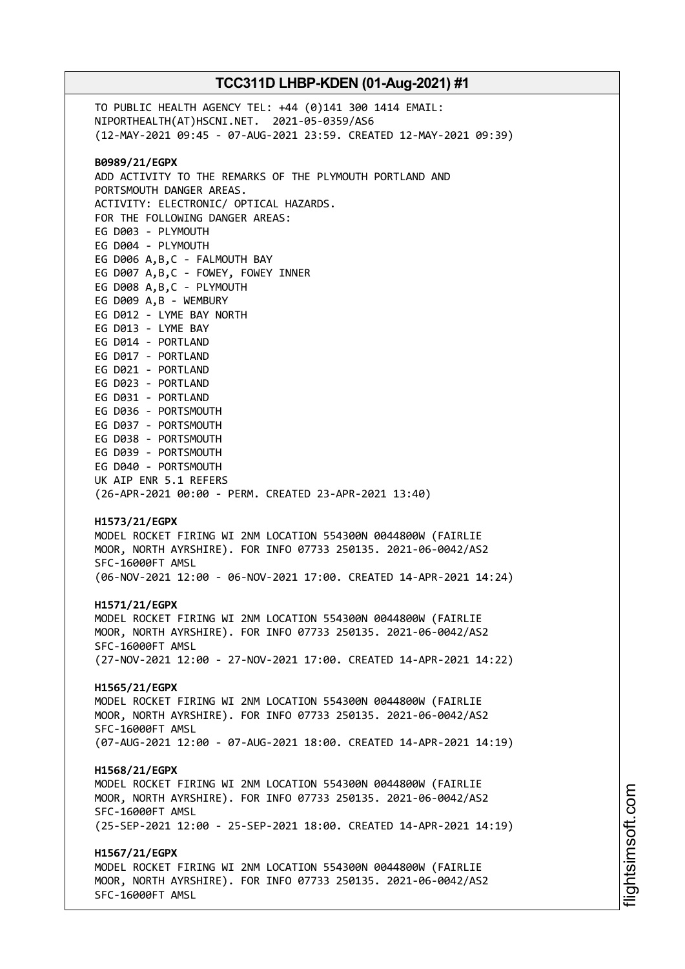TO PUBLIC HEALTH AGENCY TEL: +44 (0)141 300 1414 EMAIL: NIPORTHEALTH(AT)HSCNI.NET. 2021-05-0359/AS6 (12-MAY-2021 09:45 - 07-AUG-2021 23:59. CREATED 12-MAY-2021 09:39) **B0989/21/EGPX** ADD ACTIVITY TO THE REMARKS OF THE PLYMOUTH PORTLAND AND PORTSMOUTH DANGER AREAS. ACTIVITY: ELECTRONIC/ OPTICAL HAZARDS. FOR THE FOLLOWING DANGER AREAS: EG D003 - PLYMOUTH EG D004 - PLYMOUTH EG D006 A,B,C - FALMOUTH BAY EG D007 A,B,C - FOWEY, FOWEY INNER EG D008 A,B,C - PLYMOUTH EG D009 A,B - WEMBURY EG D012 - LYME BAY NORTH EG D013 - LYME BAY EG D014 - PORTLAND EG D017 - PORTLAND EG D021 - PORTLAND EG D023 - PORTLAND EG D031 - PORTLAND EG D036 - PORTSMOUTH EG D037 - PORTSMOUTH EG D038 - PORTSMOUTH EG D039 - PORTSMOUTH EG D040 - PORTSMOUTH UK AIP ENR 5.1 REFERS (26-APR-2021 00:00 - PERM. CREATED 23-APR-2021 13:40) **H1573/21/EGPX** MODEL ROCKET FIRING WI 2NM LOCATION 554300N 0044800W (FAIRLIE MOOR, NORTH AYRSHIRE). FOR INFO 07733 250135. 2021-06-0042/AS2 SFC-16000FT AMSL (06-NOV-2021 12:00 - 06-NOV-2021 17:00. CREATED 14-APR-2021 14:24) **H1571/21/EGPX** MODEL ROCKET FIRING WI 2NM LOCATION 554300N 0044800W (FAIRLIE MOOR, NORTH AYRSHIRE). FOR INFO 07733 250135. 2021-06-0042/AS2 SFC-16000FT AMSL (27-NOV-2021 12:00 - 27-NOV-2021 17:00. CREATED 14-APR-2021 14:22) **H1565/21/EGPX** MODEL ROCKET FIRING WI 2NM LOCATION 554300N 0044800W (FAIRLIE MOOR, NORTH AYRSHIRE). FOR INFO 07733 250135. 2021-06-0042/AS2 SFC-16000FT AMSL (07-AUG-2021 12:00 - 07-AUG-2021 18:00. CREATED 14-APR-2021 14:19) **H1568/21/EGPX** MODEL ROCKET FIRING WI 2NM LOCATION 554300N 0044800W (FAIRLIE MOOR, NORTH AYRSHIRE). FOR INFO 07733 250135. 2021-06-0042/AS2 SFC-16000FT AMSL (25-SEP-2021 12:00 - 25-SEP-2021 18:00. CREATED 14-APR-2021 14:19) **H1567/21/EGPX** MODEL ROCKET FIRING WI 2NM LOCATION 554300N 0044800W (FAIRLIE MOOR, NORTH AYRSHIRE). FOR INFO 07733 250135. 2021-06-0042/AS2 SFC-16000FT AMSL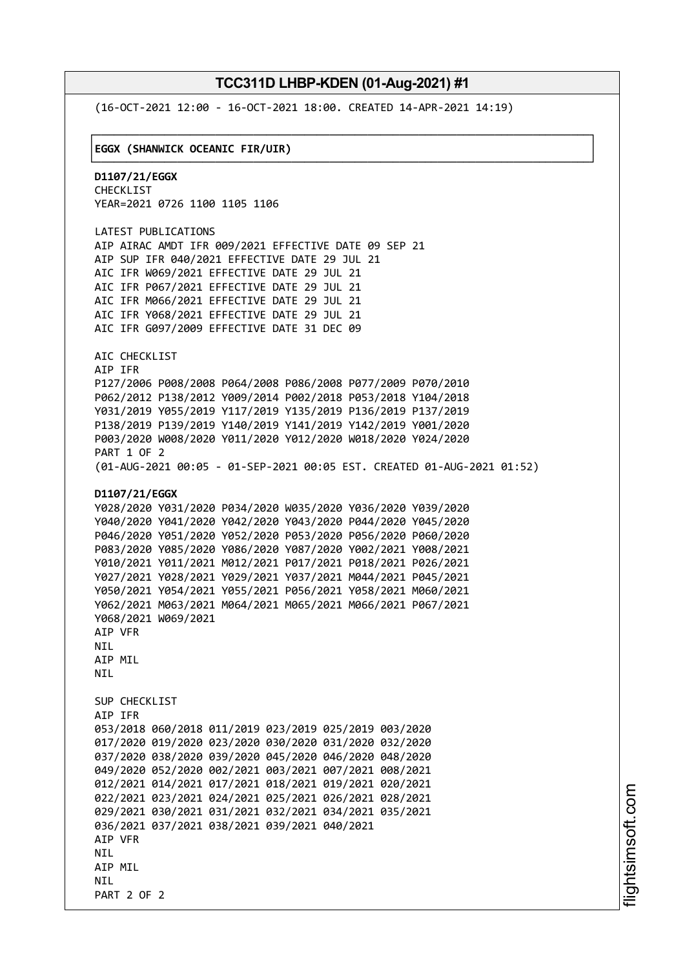└──────────────────────────────────────────────────────────────────────────────┘

(16-OCT-2021 12:00 - 16-OCT-2021 18:00. CREATED 14-APR-2021 14:19)

#### ┌──────────────────────────────────────────────────────────────────────────────┐ │**EGGX (SHANWICK OCEANIC FIR/UIR)** │

**D1107/21/EGGX** CHECKLIST YEAR=2021 0726 1100 1105 1106

LATEST PUBLICATIONS AIP AIRAC AMDT IFR 009/2021 EFFECTIVE DATE 09 SEP 21 AIP SUP IFR 040/2021 EFFECTIVE DATE 29 JUL 21 AIC IFR W069/2021 EFFECTIVE DATE 29 JUL 21 AIC IFR P067/2021 EFFECTIVE DATE 29 JUL 21 AIC IFR M066/2021 EFFECTIVE DATE 29 JUL 21 AIC IFR Y068/2021 EFFECTIVE DATE 29 JUL 21 AIC IFR G097/2009 EFFECTIVE DATE 31 DEC 09

AIC CHECKLIST AIP IFR P127/2006 P008/2008 P064/2008 P086/2008 P077/2009 P070/2010 P062/2012 P138/2012 Y009/2014 P002/2018 P053/2018 Y104/2018 Y031/2019 Y055/2019 Y117/2019 Y135/2019 P136/2019 P137/2019 P138/2019 P139/2019 Y140/2019 Y141/2019 Y142/2019 Y001/2020 P003/2020 W008/2020 Y011/2020 Y012/2020 W018/2020 Y024/2020 PART 1 OF 2 (01-AUG-2021 00:05 - 01-SEP-2021 00:05 EST. CREATED 01-AUG-2021 01:52)

#### **D1107/21/EGGX**

```
Y028/2020 Y031/2020 P034/2020 W035/2020 Y036/2020 Y039/2020
Y040/2020 Y041/2020 Y042/2020 Y043/2020 P044/2020 Y045/2020
P046/2020 Y051/2020 Y052/2020 P053/2020 P056/2020 P060/2020
P083/2020 Y085/2020 Y086/2020 Y087/2020 Y002/2021 Y008/2021
Y010/2021 Y011/2021 M012/2021 P017/2021 P018/2021 P026/2021
Y027/2021 Y028/2021 Y029/2021 Y037/2021 M044/2021 P045/2021
Y050/2021 Y054/2021 Y055/2021 P056/2021 Y058/2021 M060/2021
Y062/2021 M063/2021 M064/2021 M065/2021 M066/2021 P067/2021
Y068/2021 W069/2021
AIP VFR
NIL
AIP MIL
NTI
SUP CHECKLIST
AIP IFR
053/2018 060/2018 011/2019 023/2019 025/2019 003/2020
017/2020 019/2020 023/2020 030/2020 031/2020 032/2020
037/2020 038/2020 039/2020 045/2020 046/2020 048/2020
049/2020 052/2020 002/2021 003/2021 007/2021 008/2021
012/2021 014/2021 017/2021 018/2021 019/2021 020/2021
022/2021 023/2021 024/2021 025/2021 026/2021 028/2021
029/2021 030/2021 031/2021 032/2021 034/2021 035/2021
036/2021 037/2021 038/2021 039/2021 040/2021
AIP VFR
NTI
AIP MIL
NTI
PART 2 OF 2
```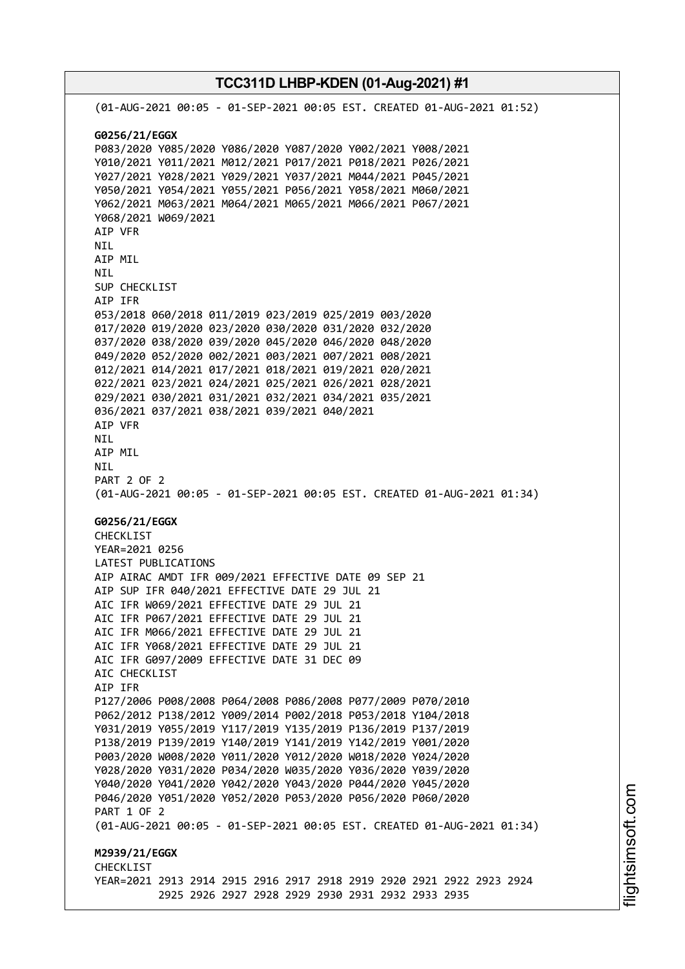**TCC311D LHBP-KDEN (01-Aug-2021) #1** (01-AUG-2021 00:05 - 01-SEP-2021 00:05 EST. CREATED 01-AUG-2021 01:52) **G0256/21/EGGX** P083/2020 Y085/2020 Y086/2020 Y087/2020 Y002/2021 Y008/2021 Y010/2021 Y011/2021 M012/2021 P017/2021 P018/2021 P026/2021 Y027/2021 Y028/2021 Y029/2021 Y037/2021 M044/2021 P045/2021 Y050/2021 Y054/2021 Y055/2021 P056/2021 Y058/2021 M060/2021 Y062/2021 M063/2021 M064/2021 M065/2021 M066/2021 P067/2021 Y068/2021 W069/2021 AIP VFR NIL AIP MIL NIL SUP CHECKLIST AIP IFR 053/2018 060/2018 011/2019 023/2019 025/2019 003/2020 017/2020 019/2020 023/2020 030/2020 031/2020 032/2020 037/2020 038/2020 039/2020 045/2020 046/2020 048/2020 049/2020 052/2020 002/2021 003/2021 007/2021 008/2021 012/2021 014/2021 017/2021 018/2021 019/2021 020/2021 022/2021 023/2021 024/2021 025/2021 026/2021 028/2021 029/2021 030/2021 031/2021 032/2021 034/2021 035/2021 036/2021 037/2021 038/2021 039/2021 040/2021 AIP VFR NIL AIP MIL NIL PART 2 OF 2 (01-AUG-2021 00:05 - 01-SEP-2021 00:05 EST. CREATED 01-AUG-2021 01:34) **G0256/21/EGGX** CHECKLIST YEAR=2021 0256 LATEST PUBLICATIONS AIP AIRAC AMDT IFR 009/2021 EFFECTIVE DATE 09 SEP 21 AIP SUP IFR 040/2021 EFFECTIVE DATE 29 JUL 21 AIC IFR W069/2021 EFFECTIVE DATE 29 JUL 21 AIC IFR P067/2021 EFFECTIVE DATE 29 JUL 21 AIC IFR M066/2021 EFFECTIVE DATE 29 JUL 21 AIC IFR Y068/2021 EFFECTIVE DATE 29 JUL 21 AIC IFR G097/2009 EFFECTIVE DATE 31 DEC 09 AIC CHECKLIST AIP IFR P127/2006 P008/2008 P064/2008 P086/2008 P077/2009 P070/2010 P062/2012 P138/2012 Y009/2014 P002/2018 P053/2018 Y104/2018 Y031/2019 Y055/2019 Y117/2019 Y135/2019 P136/2019 P137/2019 P138/2019 P139/2019 Y140/2019 Y141/2019 Y142/2019 Y001/2020 P003/2020 W008/2020 Y011/2020 Y012/2020 W018/2020 Y024/2020 Y028/2020 Y031/2020 P034/2020 W035/2020 Y036/2020 Y039/2020 Y040/2020 Y041/2020 Y042/2020 Y043/2020 P044/2020 Y045/2020 P046/2020 Y051/2020 Y052/2020 P053/2020 P056/2020 P060/2020 PART 1 OF 2 (01-AUG-2021 00:05 - 01-SEP-2021 00:05 EST. CREATED 01-AUG-2021 01:34) **M2939/21/EGGX CHECKLIST** YEAR=2021 2913 2914 2915 2916 2917 2918 2919 2920 2921 2922 2923 2924 2925 2926 2927 2928 2929 2930 2931 2932 2933 2935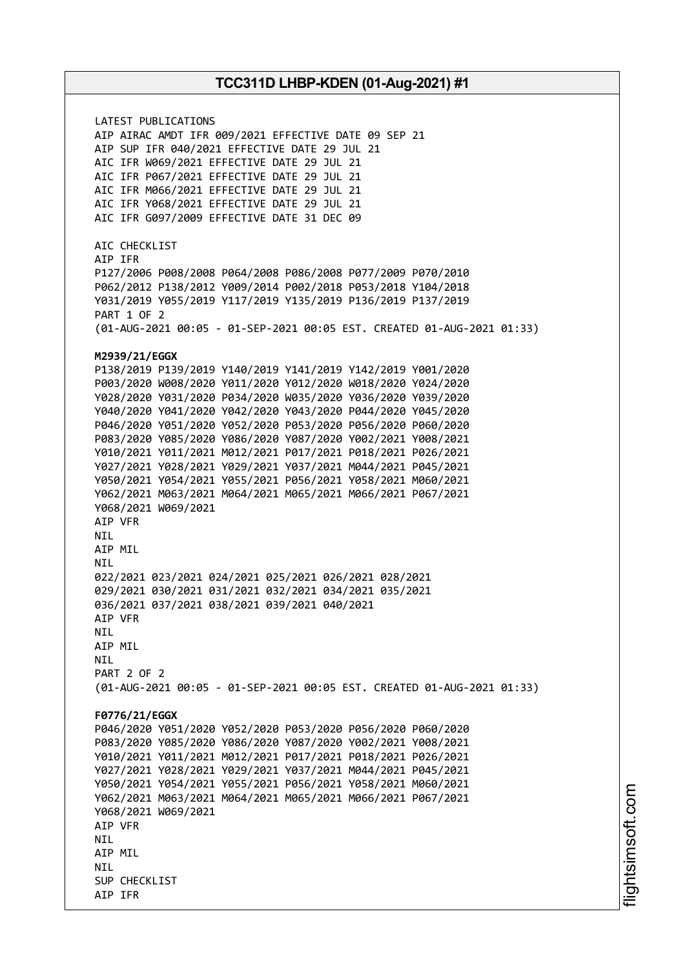LATEST PUBLICATIONS AIP AIRAC AMDT IFR 009/2021 EFFECTIVE DATE 09 SEP 21 AIP SUP IFR 040/2021 EFFECTIVE DATE 29 JUL 21 AIC IFR W069/2021 EFFECTIVE DATE 29 JUL 21 AIC IFR P067/2021 EFFECTIVE DATE 29 JUL 21 AIC IFR M066/2021 EFFECTIVE DATE 29 JUL 21 AIC IFR Y068/2021 EFFECTIVE DATE 29 JUL 21 AIC IFR G097/2009 EFFECTIVE DATE 31 DEC 09 AIC CHECKLIST AIP IFR P127/2006 P008/2008 P064/2008 P086/2008 P077/2009 P070/2010 P062/2012 P138/2012 Y009/2014 P002/2018 P053/2018 Y104/2018 Y031/2019 Y055/2019 Y117/2019 Y135/2019 P136/2019 P137/2019 PART 1 OF 2 (01-AUG-2021 00:05 - 01-SEP-2021 00:05 EST. CREATED 01-AUG-2021 01:33) **M2939/21/EGGX** P138/2019 P139/2019 Y140/2019 Y141/2019 Y142/2019 Y001/2020 P003/2020 W008/2020 Y011/2020 Y012/2020 W018/2020 Y024/2020 Y028/2020 Y031/2020 P034/2020 W035/2020 Y036/2020 Y039/2020 Y040/2020 Y041/2020 Y042/2020 Y043/2020 P044/2020 Y045/2020 P046/2020 Y051/2020 Y052/2020 P053/2020 P056/2020 P060/2020 P083/2020 Y085/2020 Y086/2020 Y087/2020 Y002/2021 Y008/2021 Y010/2021 Y011/2021 M012/2021 P017/2021 P018/2021 P026/2021 Y027/2021 Y028/2021 Y029/2021 Y037/2021 M044/2021 P045/2021 Y050/2021 Y054/2021 Y055/2021 P056/2021 Y058/2021 M060/2021 Y062/2021 M063/2021 M064/2021 M065/2021 M066/2021 P067/2021 Y068/2021 W069/2021 AIP VFR NIL AIP MIL NIL 022/2021 023/2021 024/2021 025/2021 026/2021 028/2021 029/2021 030/2021 031/2021 032/2021 034/2021 035/2021 036/2021 037/2021 038/2021 039/2021 040/2021 AIP VFR NIL AIP MIL **NTI** PART 2 OF 2 (01-AUG-2021 00:05 - 01-SEP-2021 00:05 EST. CREATED 01-AUG-2021 01:33) **F0776/21/EGGX** P046/2020 Y051/2020 Y052/2020 P053/2020 P056/2020 P060/2020 P083/2020 Y085/2020 Y086/2020 Y087/2020 Y002/2021 Y008/2021 Y010/2021 Y011/2021 M012/2021 P017/2021 P018/2021 P026/2021 Y027/2021 Y028/2021 Y029/2021 Y037/2021 M044/2021 P045/2021 Y050/2021 Y054/2021 Y055/2021 P056/2021 Y058/2021 M060/2021 Y062/2021 M063/2021 M064/2021 M065/2021 M066/2021 P067/2021 Y068/2021 W069/2021 AIP VFR **NTI** AIP MIL **NTI** SUP CHECKLIST AIP IFR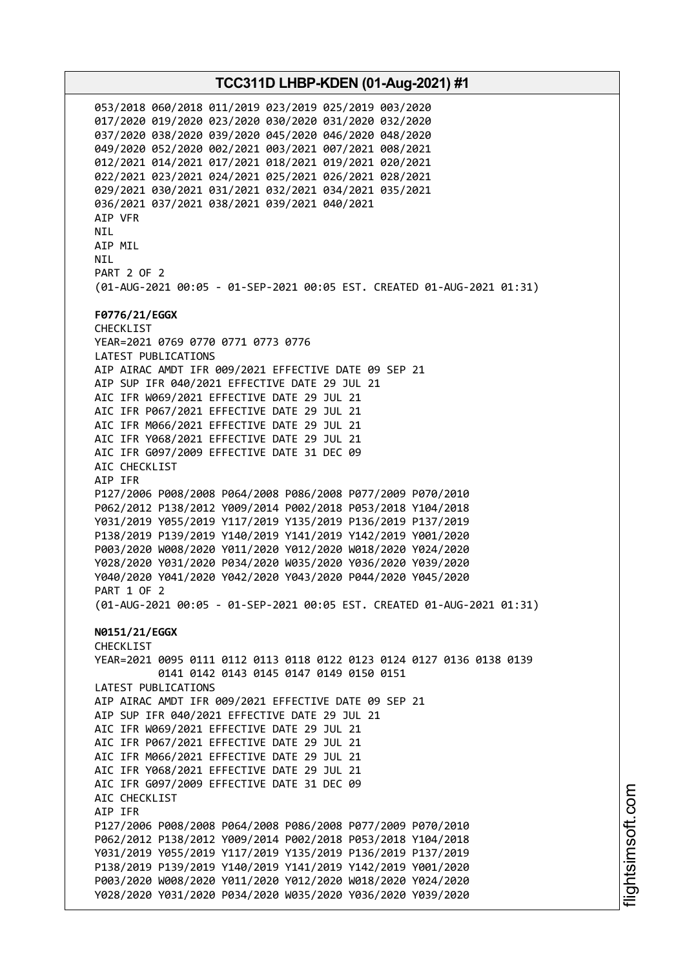053/2018 060/2018 011/2019 023/2019 025/2019 003/2020 017/2020 019/2020 023/2020 030/2020 031/2020 032/2020 037/2020 038/2020 039/2020 045/2020 046/2020 048/2020 049/2020 052/2020 002/2021 003/2021 007/2021 008/2021 012/2021 014/2021 017/2021 018/2021 019/2021 020/2021 022/2021 023/2021 024/2021 025/2021 026/2021 028/2021 029/2021 030/2021 031/2021 032/2021 034/2021 035/2021 036/2021 037/2021 038/2021 039/2021 040/2021 AIP VFR NIL AIP MIL **NTI** PART 2 OF 2 (01-AUG-2021 00:05 - 01-SEP-2021 00:05 EST. CREATED 01-AUG-2021 01:31) **F0776/21/EGGX** CHECKLIST YEAR=2021 0769 0770 0771 0773 0776 LATEST PUBLICATIONS AIP AIRAC AMDT IFR 009/2021 EFFECTIVE DATE 09 SEP 21 AIP SUP IFR 040/2021 EFFECTIVE DATE 29 JUL 21 AIC IFR W069/2021 EFFECTIVE DATE 29 JUL 21 AIC IFR P067/2021 EFFECTIVE DATE 29 JUL 21 AIC IFR M066/2021 EFFECTIVE DATE 29 JUL 21 AIC IFR Y068/2021 EFFECTIVE DATE 29 JUL 21 AIC IFR G097/2009 EFFECTIVE DATE 31 DEC 09 AIC CHECKLIST AIP IFR P127/2006 P008/2008 P064/2008 P086/2008 P077/2009 P070/2010 P062/2012 P138/2012 Y009/2014 P002/2018 P053/2018 Y104/2018 Y031/2019 Y055/2019 Y117/2019 Y135/2019 P136/2019 P137/2019 P138/2019 P139/2019 Y140/2019 Y141/2019 Y142/2019 Y001/2020 P003/2020 W008/2020 Y011/2020 Y012/2020 W018/2020 Y024/2020 Y028/2020 Y031/2020 P034/2020 W035/2020 Y036/2020 Y039/2020 Y040/2020 Y041/2020 Y042/2020 Y043/2020 P044/2020 Y045/2020 PART 1 OF 2 (01-AUG-2021 00:05 - 01-SEP-2021 00:05 EST. CREATED 01-AUG-2021 01:31) **N0151/21/EGGX** CHECKLIST YEAR=2021 0095 0111 0112 0113 0118 0122 0123 0124 0127 0136 0138 0139 0141 0142 0143 0145 0147 0149 0150 0151 LATEST PUBLICATIONS AIP AIRAC AMDT IFR 009/2021 EFFECTIVE DATE 09 SEP 21 AIP SUP IFR 040/2021 EFFECTIVE DATE 29 JUL 21 AIC IFR W069/2021 EFFECTIVE DATE 29 JUL 21 AIC IFR P067/2021 EFFECTIVE DATE 29 JUL 21 AIC IFR M066/2021 EFFECTIVE DATE 29 JUL 21 AIC IFR Y068/2021 EFFECTIVE DATE 29 JUL 21 AIC IFR G097/2009 EFFECTIVE DATE 31 DEC 09 AIC CHECKLIST AIP IFR P127/2006 P008/2008 P064/2008 P086/2008 P077/2009 P070/2010 P062/2012 P138/2012 Y009/2014 P002/2018 P053/2018 Y104/2018 Y031/2019 Y055/2019 Y117/2019 Y135/2019 P136/2019 P137/2019 P138/2019 P139/2019 Y140/2019 Y141/2019 Y142/2019 Y001/2020 P003/2020 W008/2020 Y011/2020 Y012/2020 W018/2020 Y024/2020 Y028/2020 Y031/2020 P034/2020 W035/2020 Y036/2020 Y039/2020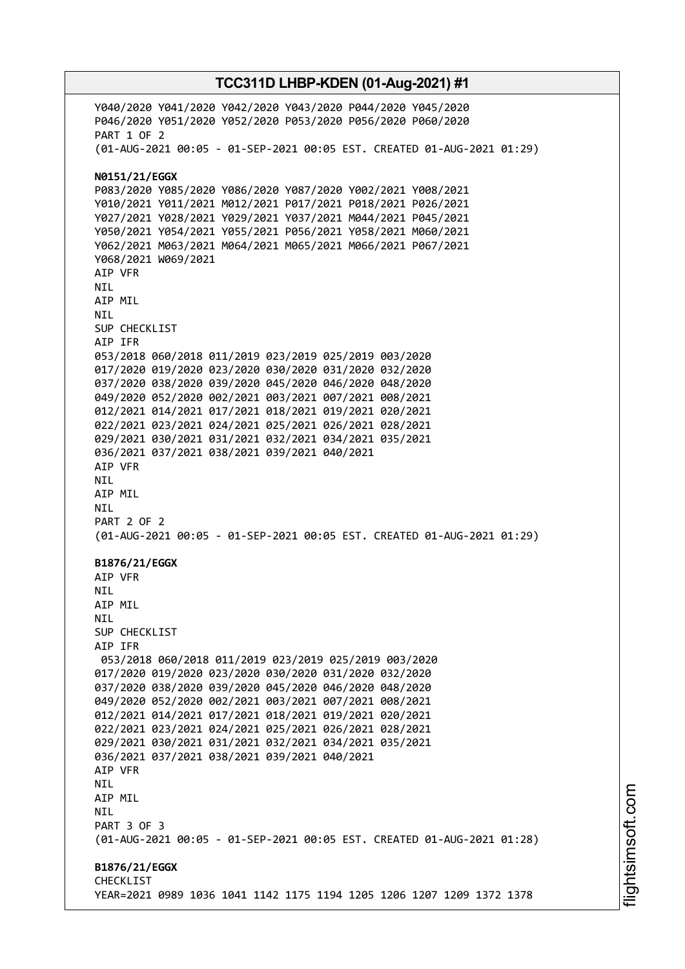Y040/2020 Y041/2020 Y042/2020 Y043/2020 P044/2020 Y045/2020 P046/2020 Y051/2020 Y052/2020 P053/2020 P056/2020 P060/2020 PART 1 OF 2 (01-AUG-2021 00:05 - 01-SEP-2021 00:05 EST. CREATED 01-AUG-2021 01:29) **N0151/21/EGGX** P083/2020 Y085/2020 Y086/2020 Y087/2020 Y002/2021 Y008/2021 Y010/2021 Y011/2021 M012/2021 P017/2021 P018/2021 P026/2021 Y027/2021 Y028/2021 Y029/2021 Y037/2021 M044/2021 P045/2021 Y050/2021 Y054/2021 Y055/2021 P056/2021 Y058/2021 M060/2021 Y062/2021 M063/2021 M064/2021 M065/2021 M066/2021 P067/2021 Y068/2021 W069/2021 AIP VFR NIL AIP MIL NIL SUP CHECKLIST AIP IFR 053/2018 060/2018 011/2019 023/2019 025/2019 003/2020 017/2020 019/2020 023/2020 030/2020 031/2020 032/2020 037/2020 038/2020 039/2020 045/2020 046/2020 048/2020 049/2020 052/2020 002/2021 003/2021 007/2021 008/2021 012/2021 014/2021 017/2021 018/2021 019/2021 020/2021 022/2021 023/2021 024/2021 025/2021 026/2021 028/2021 029/2021 030/2021 031/2021 032/2021 034/2021 035/2021 036/2021 037/2021 038/2021 039/2021 040/2021 AIP VFR NIL AIP MIL NIL PART 2 OF 2 (01-AUG-2021 00:05 - 01-SEP-2021 00:05 EST. CREATED 01-AUG-2021 01:29) **B1876/21/EGGX** AIP VFR **NTI** AIP MIL **NTI** SUP CHECKLIST AIP IFR 053/2018 060/2018 011/2019 023/2019 025/2019 003/2020 017/2020 019/2020 023/2020 030/2020 031/2020 032/2020 037/2020 038/2020 039/2020 045/2020 046/2020 048/2020 049/2020 052/2020 002/2021 003/2021 007/2021 008/2021 012/2021 014/2021 017/2021 018/2021 019/2021 020/2021 022/2021 023/2021 024/2021 025/2021 026/2021 028/2021 029/2021 030/2021 031/2021 032/2021 034/2021 035/2021 036/2021 037/2021 038/2021 039/2021 040/2021 AIP VFR NIL AIP MIL **NTL** PART 3 OF 3 (01-AUG-2021 00:05 - 01-SEP-2021 00:05 EST. CREATED 01-AUG-2021 01:28) **B1876/21/EGGX** CHECKLIST YEAR=2021 0989 1036 1041 1142 1175 1194 1205 1206 1207 1209 1372 1378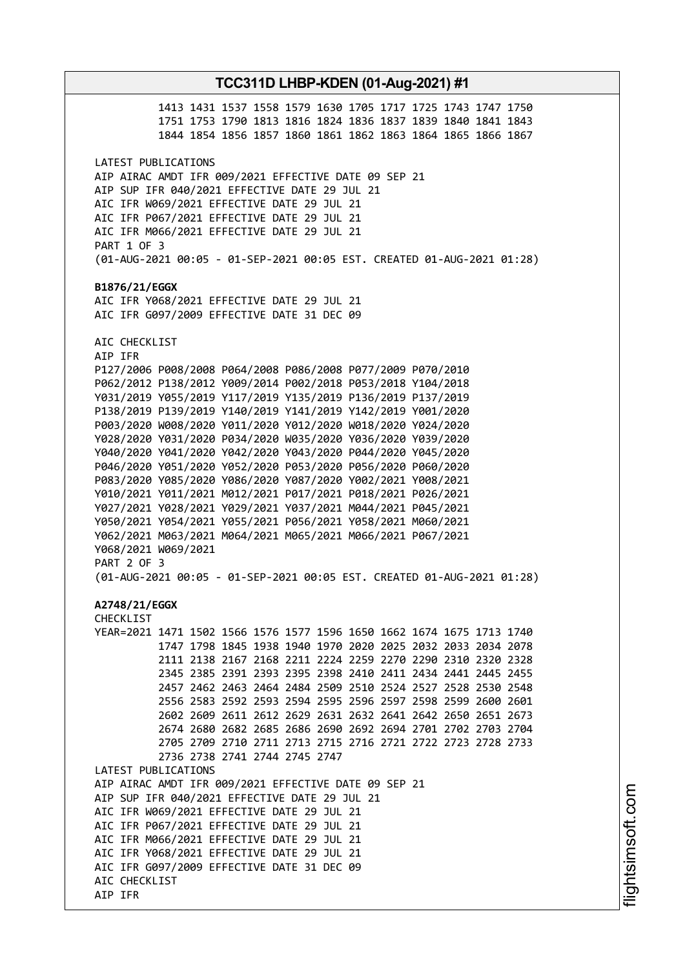1413 1431 1537 1558 1579 1630 1705 1717 1725 1743 1747 1750 1751 1753 1790 1813 1816 1824 1836 1837 1839 1840 1841 1843 1844 1854 1856 1857 1860 1861 1862 1863 1864 1865 1866 1867 LATEST PUBLICATIONS AIP AIRAC AMDT IFR 009/2021 EFFECTIVE DATE 09 SEP 21 AIP SUP IFR 040/2021 EFFECTIVE DATE 29 JUL 21 AIC IFR W069/2021 EFFECTIVE DATE 29 JUL 21 AIC IFR P067/2021 EFFECTIVE DATE 29 JUL 21 AIC IFR M066/2021 EFFECTIVE DATE 29 JUL 21 PART 1 OF 3 (01-AUG-2021 00:05 - 01-SEP-2021 00:05 EST. CREATED 01-AUG-2021 01:28) **B1876/21/EGGX** AIC IFR Y068/2021 EFFECTIVE DATE 29 JUL 21 AIC IFR G097/2009 EFFECTIVE DATE 31 DEC 09 AIC CHECKLIST AIP IFR P127/2006 P008/2008 P064/2008 P086/2008 P077/2009 P070/2010 P062/2012 P138/2012 Y009/2014 P002/2018 P053/2018 Y104/2018 Y031/2019 Y055/2019 Y117/2019 Y135/2019 P136/2019 P137/2019 P138/2019 P139/2019 Y140/2019 Y141/2019 Y142/2019 Y001/2020 P003/2020 W008/2020 Y011/2020 Y012/2020 W018/2020 Y024/2020 Y028/2020 Y031/2020 P034/2020 W035/2020 Y036/2020 Y039/2020 Y040/2020 Y041/2020 Y042/2020 Y043/2020 P044/2020 Y045/2020 P046/2020 Y051/2020 Y052/2020 P053/2020 P056/2020 P060/2020 P083/2020 Y085/2020 Y086/2020 Y087/2020 Y002/2021 Y008/2021 Y010/2021 Y011/2021 M012/2021 P017/2021 P018/2021 P026/2021 Y027/2021 Y028/2021 Y029/2021 Y037/2021 M044/2021 P045/2021 Y050/2021 Y054/2021 Y055/2021 P056/2021 Y058/2021 M060/2021 Y062/2021 M063/2021 M064/2021 M065/2021 M066/2021 P067/2021 Y068/2021 W069/2021 PART 2 OF 3 (01-AUG-2021 00:05 - 01-SEP-2021 00:05 EST. CREATED 01-AUG-2021 01:28) **A2748/21/EGGX** CHECKLIST YEAR=2021 1471 1502 1566 1576 1577 1596 1650 1662 1674 1675 1713 1740 1747 1798 1845 1938 1940 1970 2020 2025 2032 2033 2034 2078 2111 2138 2167 2168 2211 2224 2259 2270 2290 2310 2320 2328 2345 2385 2391 2393 2395 2398 2410 2411 2434 2441 2445 2455 2457 2462 2463 2464 2484 2509 2510 2524 2527 2528 2530 2548 2556 2583 2592 2593 2594 2595 2596 2597 2598 2599 2600 2601 2602 2609 2611 2612 2629 2631 2632 2641 2642 2650 2651 2673 2674 2680 2682 2685 2686 2690 2692 2694 2701 2702 2703 2704 2705 2709 2710 2711 2713 2715 2716 2721 2722 2723 2728 2733 2736 2738 2741 2744 2745 2747 LATEST PUBLICATIONS AIP AIRAC AMDT IFR 009/2021 EFFECTIVE DATE 09 SEP 21 AIP SUP IFR 040/2021 EFFECTIVE DATE 29 JUL 21 AIC IFR W069/2021 EFFECTIVE DATE 29 JUL 21 AIC IFR P067/2021 EFFECTIVE DATE 29 JUL 21 AIC IFR M066/2021 EFFECTIVE DATE 29 JUL 21 AIC IFR Y068/2021 EFFECTIVE DATE 29 JUL 21 AIC IFR G097/2009 EFFECTIVE DATE 31 DEC 09 AIC CHECKLIST AIP IFR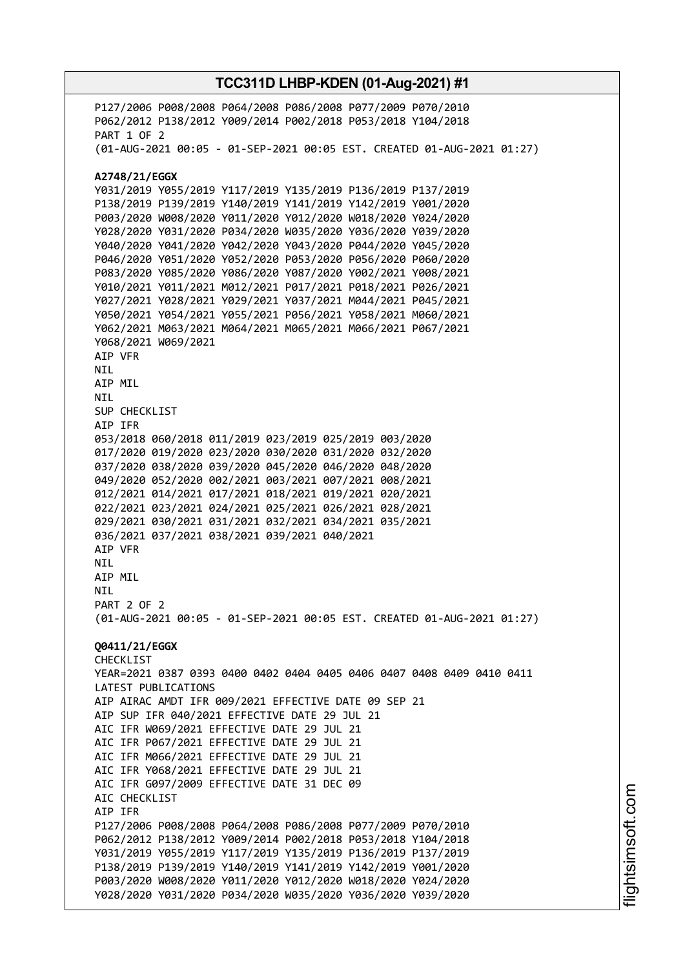P127/2006 P008/2008 P064/2008 P086/2008 P077/2009 P070/2010 P062/2012 P138/2012 Y009/2014 P002/2018 P053/2018 Y104/2018 PART 1 OF 2 (01-AUG-2021 00:05 - 01-SEP-2021 00:05 EST. CREATED 01-AUG-2021 01:27) **A2748/21/EGGX** Y031/2019 Y055/2019 Y117/2019 Y135/2019 P136/2019 P137/2019 P138/2019 P139/2019 Y140/2019 Y141/2019 Y142/2019 Y001/2020 P003/2020 W008/2020 Y011/2020 Y012/2020 W018/2020 Y024/2020 Y028/2020 Y031/2020 P034/2020 W035/2020 Y036/2020 Y039/2020 Y040/2020 Y041/2020 Y042/2020 Y043/2020 P044/2020 Y045/2020 P046/2020 Y051/2020 Y052/2020 P053/2020 P056/2020 P060/2020 P083/2020 Y085/2020 Y086/2020 Y087/2020 Y002/2021 Y008/2021 Y010/2021 Y011/2021 M012/2021 P017/2021 P018/2021 P026/2021 Y027/2021 Y028/2021 Y029/2021 Y037/2021 M044/2021 P045/2021 Y050/2021 Y054/2021 Y055/2021 P056/2021 Y058/2021 M060/2021 Y062/2021 M063/2021 M064/2021 M065/2021 M066/2021 P067/2021 Y068/2021 W069/2021 AIP VFR NIL AIP MIL NIL SUP CHECKLIST AIP IFR 053/2018 060/2018 011/2019 023/2019 025/2019 003/2020 017/2020 019/2020 023/2020 030/2020 031/2020 032/2020 037/2020 038/2020 039/2020 045/2020 046/2020 048/2020 049/2020 052/2020 002/2021 003/2021 007/2021 008/2021 012/2021 014/2021 017/2021 018/2021 019/2021 020/2021 022/2021 023/2021 024/2021 025/2021 026/2021 028/2021 029/2021 030/2021 031/2021 032/2021 034/2021 035/2021 036/2021 037/2021 038/2021 039/2021 040/2021 AIP VFR NIL AIP MIL **NTL** PART 2 OF 2 (01-AUG-2021 00:05 - 01-SEP-2021 00:05 EST. CREATED 01-AUG-2021 01:27) **Q0411/21/EGGX** CHECKLIST YEAR=2021 0387 0393 0400 0402 0404 0405 0406 0407 0408 0409 0410 0411 LATEST PUBLICATIONS AIP AIRAC AMDT IFR 009/2021 EFFECTIVE DATE 09 SEP 21 AIP SUP IFR 040/2021 EFFECTIVE DATE 29 JUL 21 AIC IFR W069/2021 EFFECTIVE DATE 29 JUL 21 AIC IFR P067/2021 EFFECTIVE DATE 29 JUL 21 AIC IFR M066/2021 EFFECTIVE DATE 29 JUL 21 AIC IFR Y068/2021 EFFECTIVE DATE 29 JUL 21 AIC IFR G097/2009 EFFECTIVE DATE 31 DEC 09 AIC CHECKLIST AIP IFR P127/2006 P008/2008 P064/2008 P086/2008 P077/2009 P070/2010 P062/2012 P138/2012 Y009/2014 P002/2018 P053/2018 Y104/2018 Y031/2019 Y055/2019 Y117/2019 Y135/2019 P136/2019 P137/2019 P138/2019 P139/2019 Y140/2019 Y141/2019 Y142/2019 Y001/2020 P003/2020 W008/2020 Y011/2020 Y012/2020 W018/2020 Y024/2020 Y028/2020 Y031/2020 P034/2020 W035/2020 Y036/2020 Y039/2020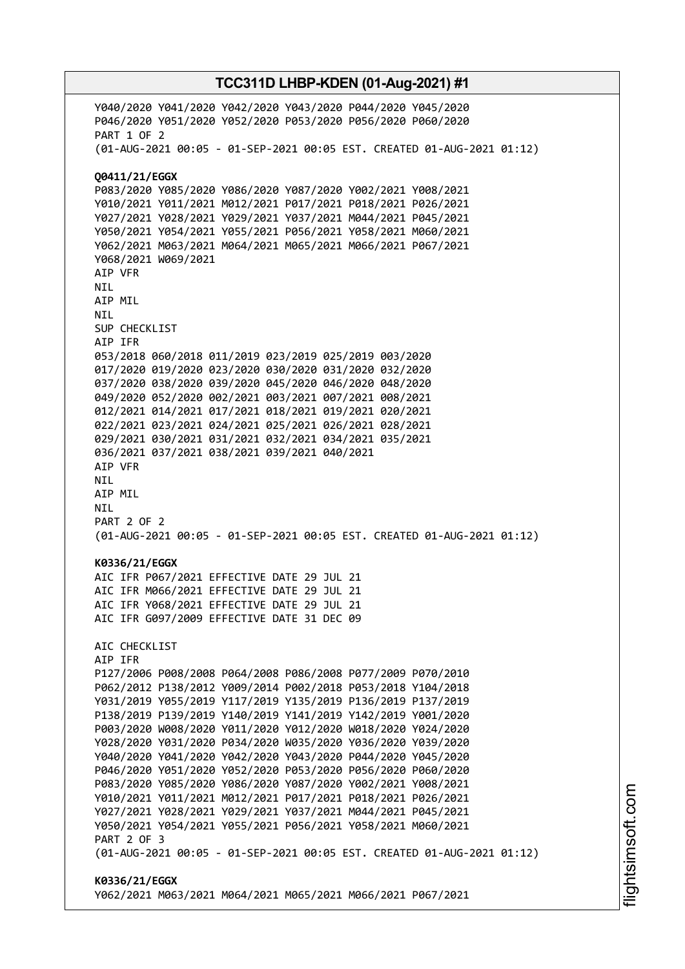Y040/2020 Y041/2020 Y042/2020 Y043/2020 P044/2020 Y045/2020 P046/2020 Y051/2020 Y052/2020 P053/2020 P056/2020 P060/2020 PART 1 OF 2 (01-AUG-2021 00:05 - 01-SEP-2021 00:05 EST. CREATED 01-AUG-2021 01:12) **Q0411/21/EGGX** P083/2020 Y085/2020 Y086/2020 Y087/2020 Y002/2021 Y008/2021 Y010/2021 Y011/2021 M012/2021 P017/2021 P018/2021 P026/2021 Y027/2021 Y028/2021 Y029/2021 Y037/2021 M044/2021 P045/2021 Y050/2021 Y054/2021 Y055/2021 P056/2021 Y058/2021 M060/2021 Y062/2021 M063/2021 M064/2021 M065/2021 M066/2021 P067/2021 Y068/2021 W069/2021 AIP VFR NIL AIP MIL NIL SUP CHECKLIST AIP IFR 053/2018 060/2018 011/2019 023/2019 025/2019 003/2020 017/2020 019/2020 023/2020 030/2020 031/2020 032/2020 037/2020 038/2020 039/2020 045/2020 046/2020 048/2020 049/2020 052/2020 002/2021 003/2021 007/2021 008/2021 012/2021 014/2021 017/2021 018/2021 019/2021 020/2021 022/2021 023/2021 024/2021 025/2021 026/2021 028/2021 029/2021 030/2021 031/2021 032/2021 034/2021 035/2021 036/2021 037/2021 038/2021 039/2021 040/2021 AIP VFR NIL AIP MIL NIL PART 2 OF 2 (01-AUG-2021 00:05 - 01-SEP-2021 00:05 EST. CREATED 01-AUG-2021 01:12) **K0336/21/EGGX** AIC IFR P067/2021 EFFECTIVE DATE 29 JUL 21 AIC IFR M066/2021 EFFECTIVE DATE 29 JUL 21 AIC IFR Y068/2021 EFFECTIVE DATE 29 JUL 21 AIC IFR G097/2009 EFFECTIVE DATE 31 DEC 09 AIC CHECKLIST AIP IFR P127/2006 P008/2008 P064/2008 P086/2008 P077/2009 P070/2010 P062/2012 P138/2012 Y009/2014 P002/2018 P053/2018 Y104/2018 Y031/2019 Y055/2019 Y117/2019 Y135/2019 P136/2019 P137/2019 P138/2019 P139/2019 Y140/2019 Y141/2019 Y142/2019 Y001/2020 P003/2020 W008/2020 Y011/2020 Y012/2020 W018/2020 Y024/2020 Y028/2020 Y031/2020 P034/2020 W035/2020 Y036/2020 Y039/2020 Y040/2020 Y041/2020 Y042/2020 Y043/2020 P044/2020 Y045/2020 P046/2020 Y051/2020 Y052/2020 P053/2020 P056/2020 P060/2020 P083/2020 Y085/2020 Y086/2020 Y087/2020 Y002/2021 Y008/2021 Y010/2021 Y011/2021 M012/2021 P017/2021 P018/2021 P026/2021 Y027/2021 Y028/2021 Y029/2021 Y037/2021 M044/2021 P045/2021 Y050/2021 Y054/2021 Y055/2021 P056/2021 Y058/2021 M060/2021 PART 2 OF 3 (01-AUG-2021 00:05 - 01-SEP-2021 00:05 EST. CREATED 01-AUG-2021 01:12) **K0336/21/EGGX** Y062/2021 M063/2021 M064/2021 M065/2021 M066/2021 P067/2021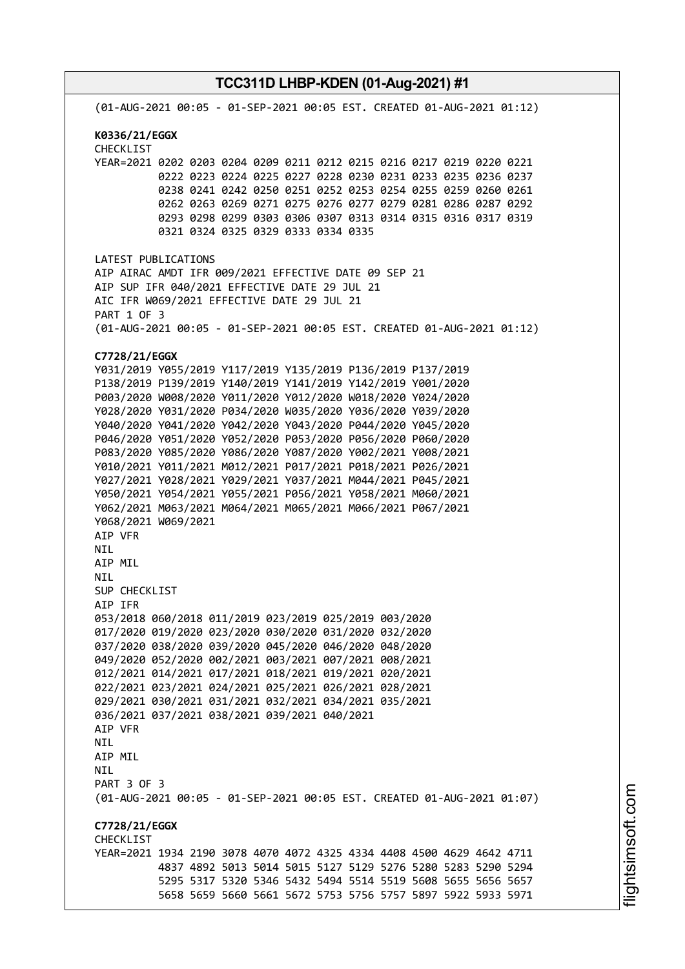**TCC311D LHBP-KDEN (01-Aug-2021) #1** (01-AUG-2021 00:05 - 01-SEP-2021 00:05 EST. CREATED 01-AUG-2021 01:12) **K0336/21/EGGX** CHECKLIST YEAR=2021 0202 0203 0204 0209 0211 0212 0215 0216 0217 0219 0220 0221 0222 0223 0224 0225 0227 0228 0230 0231 0233 0235 0236 0237 0238 0241 0242 0250 0251 0252 0253 0254 0255 0259 0260 0261 0262 0263 0269 0271 0275 0276 0277 0279 0281 0286 0287 0292 0293 0298 0299 0303 0306 0307 0313 0314 0315 0316 0317 0319 0321 0324 0325 0329 0333 0334 0335 LATEST PUBLICATIONS AIP AIRAC AMDT IFR 009/2021 EFFECTIVE DATE 09 SEP 21 AIP SUP IFR 040/2021 EFFECTIVE DATE 29 JUL 21 AIC IFR W069/2021 EFFECTIVE DATE 29 JUL 21 PART 1 OF 3 (01-AUG-2021 00:05 - 01-SEP-2021 00:05 EST. CREATED 01-AUG-2021 01:12) **C7728/21/EGGX** Y031/2019 Y055/2019 Y117/2019 Y135/2019 P136/2019 P137/2019 P138/2019 P139/2019 Y140/2019 Y141/2019 Y142/2019 Y001/2020 P003/2020 W008/2020 Y011/2020 Y012/2020 W018/2020 Y024/2020 Y028/2020 Y031/2020 P034/2020 W035/2020 Y036/2020 Y039/2020 Y040/2020 Y041/2020 Y042/2020 Y043/2020 P044/2020 Y045/2020 P046/2020 Y051/2020 Y052/2020 P053/2020 P056/2020 P060/2020 P083/2020 Y085/2020 Y086/2020 Y087/2020 Y002/2021 Y008/2021 Y010/2021 Y011/2021 M012/2021 P017/2021 P018/2021 P026/2021 Y027/2021 Y028/2021 Y029/2021 Y037/2021 M044/2021 P045/2021 Y050/2021 Y054/2021 Y055/2021 P056/2021 Y058/2021 M060/2021 Y062/2021 M063/2021 M064/2021 M065/2021 M066/2021 P067/2021 Y068/2021 W069/2021 AIP VFR NIL AIP MIL NIL SUP CHECKLIST AIP IFR 053/2018 060/2018 011/2019 023/2019 025/2019 003/2020 017/2020 019/2020 023/2020 030/2020 031/2020 032/2020 037/2020 038/2020 039/2020 045/2020 046/2020 048/2020 049/2020 052/2020 002/2021 003/2021 007/2021 008/2021 012/2021 014/2021 017/2021 018/2021 019/2021 020/2021 022/2021 023/2021 024/2021 025/2021 026/2021 028/2021 029/2021 030/2021 031/2021 032/2021 034/2021 035/2021 036/2021 037/2021 038/2021 039/2021 040/2021 AIP VFR **NTL** AIP MIL NIL PART 3 OF 3 (01-AUG-2021 00:05 - 01-SEP-2021 00:05 EST. CREATED 01-AUG-2021 01:07) **C7728/21/EGGX CHECKLIST** YEAR=2021 1934 2190 3078 4070 4072 4325 4334 4408 4500 4629 4642 4711 4837 4892 5013 5014 5015 5127 5129 5276 5280 5283 5290 5294 5295 5317 5320 5346 5432 5494 5514 5519 5608 5655 5656 5657 5658 5659 5660 5661 5672 5753 5756 5757 5897 5922 5933 5971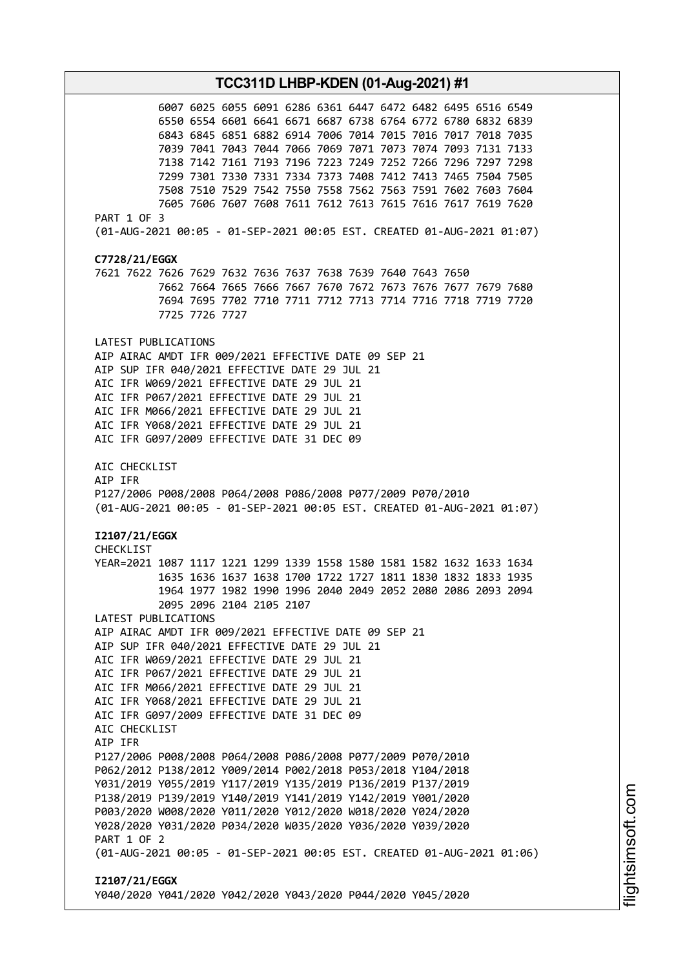**TCC311D LHBP-KDEN (01-Aug-2021) #1** 6007 6025 6055 6091 6286 6361 6447 6472 6482 6495 6516 6549 6550 6554 6601 6641 6671 6687 6738 6764 6772 6780 6832 6839 6843 6845 6851 6882 6914 7006 7014 7015 7016 7017 7018 7035 7039 7041 7043 7044 7066 7069 7071 7073 7074 7093 7131 7133 7138 7142 7161 7193 7196 7223 7249 7252 7266 7296 7297 7298 7299 7301 7330 7331 7334 7373 7408 7412 7413 7465 7504 7505 7508 7510 7529 7542 7550 7558 7562 7563 7591 7602 7603 7604 7605 7606 7607 7608 7611 7612 7613 7615 7616 7617 7619 7620 PART 1 OF 3 (01-AUG-2021 00:05 - 01-SEP-2021 00:05 EST. CREATED 01-AUG-2021 01:07) **C7728/21/EGGX** 7621 7622 7626 7629 7632 7636 7637 7638 7639 7640 7643 7650 7662 7664 7665 7666 7667 7670 7672 7673 7676 7677 7679 7680 7694 7695 7702 7710 7711 7712 7713 7714 7716 7718 7719 7720 7725 7726 7727 LATEST PUBLICATIONS AIP AIRAC AMDT IFR 009/2021 EFFECTIVE DATE 09 SEP 21 AIP SUP IFR 040/2021 EFFECTIVE DATE 29 JUL 21 AIC IFR W069/2021 EFFECTIVE DATE 29 JUL 21 AIC IFR P067/2021 EFFECTIVE DATE 29 JUL 21 AIC IFR M066/2021 EFFECTIVE DATE 29 JUL 21 AIC IFR Y068/2021 EFFECTIVE DATE 29 JUL 21 AIC IFR G097/2009 EFFECTIVE DATE 31 DEC 09 AIC CHECKLIST AIP IFR P127/2006 P008/2008 P064/2008 P086/2008 P077/2009 P070/2010 (01-AUG-2021 00:05 - 01-SEP-2021 00:05 EST. CREATED 01-AUG-2021 01:07) **I2107/21/EGGX** CHECKLIST YEAR=2021 1087 1117 1221 1299 1339 1558 1580 1581 1582 1632 1633 1634 1635 1636 1637 1638 1700 1722 1727 1811 1830 1832 1833 1935 1964 1977 1982 1990 1996 2040 2049 2052 2080 2086 2093 2094 2095 2096 2104 2105 2107 LATEST PUBLICATIONS AIP AIRAC AMDT IFR 009/2021 EFFECTIVE DATE 09 SEP 21 AIP SUP IFR 040/2021 EFFECTIVE DATE 29 JUL 21 AIC IFR W069/2021 EFFECTIVE DATE 29 JUL 21 AIC IFR P067/2021 EFFECTIVE DATE 29 JUL 21 AIC IFR M066/2021 EFFECTIVE DATE 29 JUL 21 AIC IFR Y068/2021 EFFECTIVE DATE 29 JUL 21 AIC IFR G097/2009 EFFECTIVE DATE 31 DEC 09 AIC CHECKLIST AIP IFR P127/2006 P008/2008 P064/2008 P086/2008 P077/2009 P070/2010 P062/2012 P138/2012 Y009/2014 P002/2018 P053/2018 Y104/2018 Y031/2019 Y055/2019 Y117/2019 Y135/2019 P136/2019 P137/2019 P138/2019 P139/2019 Y140/2019 Y141/2019 Y142/2019 Y001/2020 P003/2020 W008/2020 Y011/2020 Y012/2020 W018/2020 Y024/2020 Y028/2020 Y031/2020 P034/2020 W035/2020 Y036/2020 Y039/2020 PART 1 OF 2 (01-AUG-2021 00:05 - 01-SEP-2021 00:05 EST. CREATED 01-AUG-2021 01:06) **I2107/21/EGGX** Y040/2020 Y041/2020 Y042/2020 Y043/2020 P044/2020 Y045/2020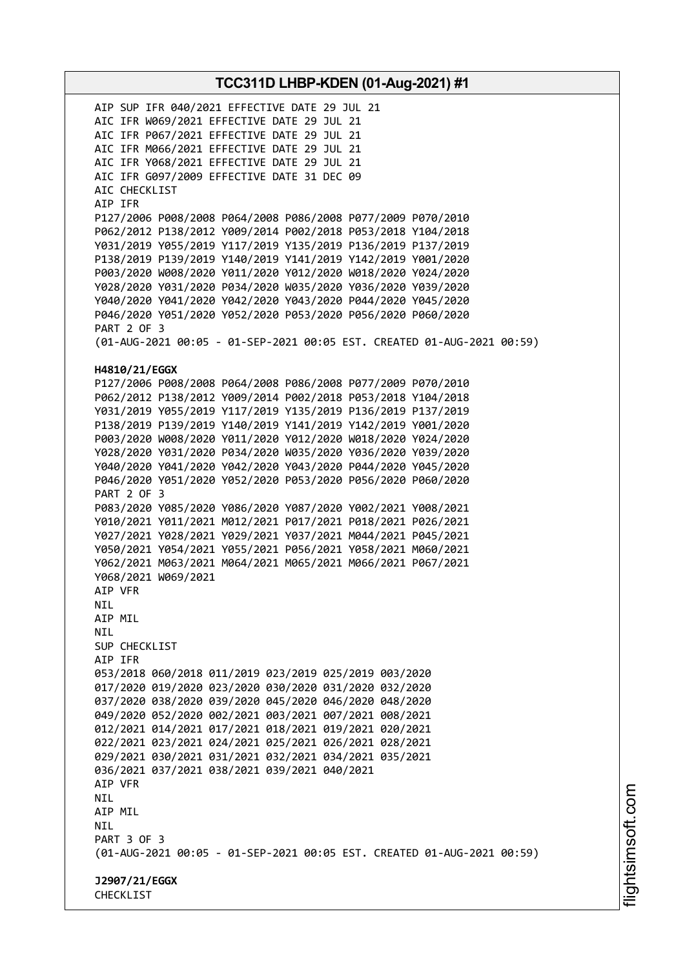AIP SUP IFR 040/2021 EFFECTIVE DATE 29 JUL 21 AIC IFR W069/2021 EFFECTIVE DATE 29 JUL 21 AIC IFR P067/2021 EFFECTIVE DATE 29 JUL 21 AIC IFR M066/2021 EFFECTIVE DATE 29 JUL 21 AIC IFR Y068/2021 EFFECTIVE DATE 29 JUL 21 AIC IFR G097/2009 EFFECTIVE DATE 31 DEC 09 AIC CHECKLIST AIP IFR P127/2006 P008/2008 P064/2008 P086/2008 P077/2009 P070/2010 P062/2012 P138/2012 Y009/2014 P002/2018 P053/2018 Y104/2018 Y031/2019 Y055/2019 Y117/2019 Y135/2019 P136/2019 P137/2019 P138/2019 P139/2019 Y140/2019 Y141/2019 Y142/2019 Y001/2020 P003/2020 W008/2020 Y011/2020 Y012/2020 W018/2020 Y024/2020 Y028/2020 Y031/2020 P034/2020 W035/2020 Y036/2020 Y039/2020 Y040/2020 Y041/2020 Y042/2020 Y043/2020 P044/2020 Y045/2020 P046/2020 Y051/2020 Y052/2020 P053/2020 P056/2020 P060/2020 PART 2 OF 3 (01-AUG-2021 00:05 - 01-SEP-2021 00:05 EST. CREATED 01-AUG-2021 00:59) **H4810/21/EGGX** P127/2006 P008/2008 P064/2008 P086/2008 P077/2009 P070/2010 P062/2012 P138/2012 Y009/2014 P002/2018 P053/2018 Y104/2018 Y031/2019 Y055/2019 Y117/2019 Y135/2019 P136/2019 P137/2019 P138/2019 P139/2019 Y140/2019 Y141/2019 Y142/2019 Y001/2020 P003/2020 W008/2020 Y011/2020 Y012/2020 W018/2020 Y024/2020 Y028/2020 Y031/2020 P034/2020 W035/2020 Y036/2020 Y039/2020 Y040/2020 Y041/2020 Y042/2020 Y043/2020 P044/2020 Y045/2020 P046/2020 Y051/2020 Y052/2020 P053/2020 P056/2020 P060/2020 PART 2 OF 3 P083/2020 Y085/2020 Y086/2020 Y087/2020 Y002/2021 Y008/2021 Y010/2021 Y011/2021 M012/2021 P017/2021 P018/2021 P026/2021 Y027/2021 Y028/2021 Y029/2021 Y037/2021 M044/2021 P045/2021 Y050/2021 Y054/2021 Y055/2021 P056/2021 Y058/2021 M060/2021 Y062/2021 M063/2021 M064/2021 M065/2021 M066/2021 P067/2021 Y068/2021 W069/2021 AIP VFR NIL AIP MIL NIL SUP CHECKLIST AIP IFR 053/2018 060/2018 011/2019 023/2019 025/2019 003/2020 017/2020 019/2020 023/2020 030/2020 031/2020 032/2020 037/2020 038/2020 039/2020 045/2020 046/2020 048/2020 049/2020 052/2020 002/2021 003/2021 007/2021 008/2021 012/2021 014/2021 017/2021 018/2021 019/2021 020/2021 022/2021 023/2021 024/2021 025/2021 026/2021 028/2021 029/2021 030/2021 031/2021 032/2021 034/2021 035/2021 036/2021 037/2021 038/2021 039/2021 040/2021 AIP VFR NIL AIP MIL NIL PART 3 OF 3 (01-AUG-2021 00:05 - 01-SEP-2021 00:05 EST. CREATED 01-AUG-2021 00:59) **J2907/21/EGGX** CHECKLIST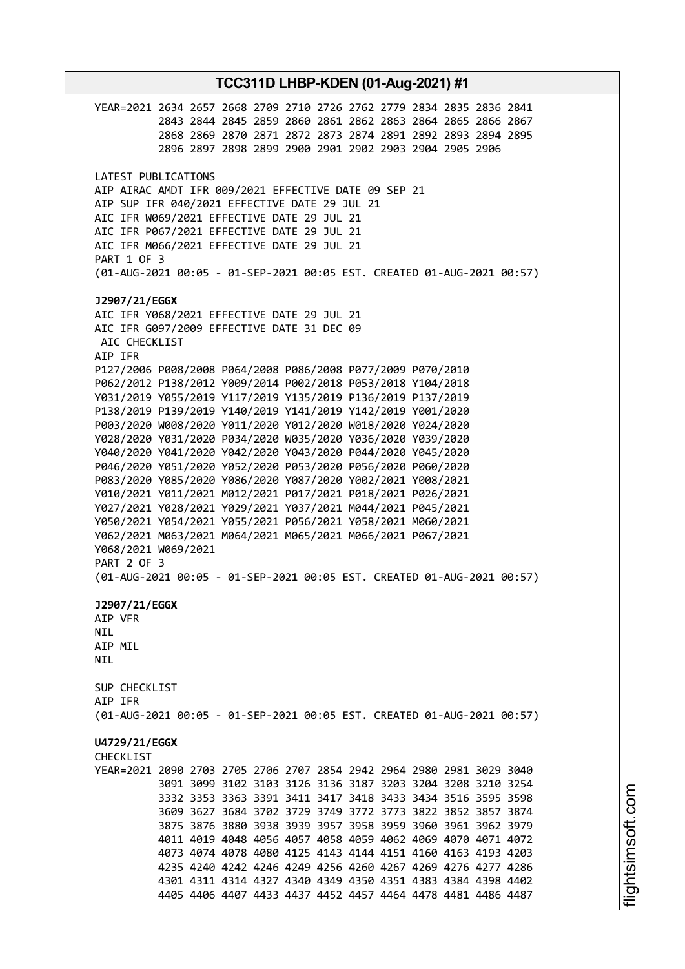**TCC311D LHBP-KDEN (01-Aug-2021) #1** YEAR=2021 2634 2657 2668 2709 2710 2726 2762 2779 2834 2835 2836 2841 2843 2844 2845 2859 2860 2861 2862 2863 2864 2865 2866 2867 2868 2869 2870 2871 2872 2873 2874 2891 2892 2893 2894 2895 2896 2897 2898 2899 2900 2901 2902 2903 2904 2905 2906 LATEST PUBLICATIONS AIP AIRAC AMDT IFR 009/2021 EFFECTIVE DATE 09 SEP 21 AIP SUP IFR 040/2021 EFFECTIVE DATE 29 JUL 21 AIC IFR W069/2021 EFFECTIVE DATE 29 JUL 21 AIC IFR P067/2021 EFFECTIVE DATE 29 JUL 21 AIC IFR M066/2021 EFFECTIVE DATE 29 JUL 21 PART 1 OF 3 (01-AUG-2021 00:05 - 01-SEP-2021 00:05 EST. CREATED 01-AUG-2021 00:57) **J2907/21/EGGX** AIC IFR Y068/2021 EFFECTIVE DATE 29 JUL 21 AIC IFR G097/2009 EFFECTIVE DATE 31 DEC 09 AIC CHECKLIST AIP IFR P127/2006 P008/2008 P064/2008 P086/2008 P077/2009 P070/2010 P062/2012 P138/2012 Y009/2014 P002/2018 P053/2018 Y104/2018 Y031/2019 Y055/2019 Y117/2019 Y135/2019 P136/2019 P137/2019 P138/2019 P139/2019 Y140/2019 Y141/2019 Y142/2019 Y001/2020 P003/2020 W008/2020 Y011/2020 Y012/2020 W018/2020 Y024/2020 Y028/2020 Y031/2020 P034/2020 W035/2020 Y036/2020 Y039/2020 Y040/2020 Y041/2020 Y042/2020 Y043/2020 P044/2020 Y045/2020 P046/2020 Y051/2020 Y052/2020 P053/2020 P056/2020 P060/2020 P083/2020 Y085/2020 Y086/2020 Y087/2020 Y002/2021 Y008/2021 Y010/2021 Y011/2021 M012/2021 P017/2021 P018/2021 P026/2021 Y027/2021 Y028/2021 Y029/2021 Y037/2021 M044/2021 P045/2021 Y050/2021 Y054/2021 Y055/2021 P056/2021 Y058/2021 M060/2021 Y062/2021 M063/2021 M064/2021 M065/2021 M066/2021 P067/2021 Y068/2021 W069/2021 PART 2 OF 3 (01-AUG-2021 00:05 - 01-SEP-2021 00:05 EST. CREATED 01-AUG-2021 00:57) **J2907/21/EGGX** AIP VFR NIL AIP MIL **NTI** SUP CHECKLIST AIP IFR (01-AUG-2021 00:05 - 01-SEP-2021 00:05 EST. CREATED 01-AUG-2021 00:57) **U4729/21/EGGX CHECKLIST** YEAR=2021 2090 2703 2705 2706 2707 2854 2942 2964 2980 2981 3029 3040 3091 3099 3102 3103 3126 3136 3187 3203 3204 3208 3210 3254 3332 3353 3363 3391 3411 3417 3418 3433 3434 3516 3595 3598 3609 3627 3684 3702 3729 3749 3772 3773 3822 3852 3857 3874 3875 3876 3880 3938 3939 3957 3958 3959 3960 3961 3962 3979 4011 4019 4048 4056 4057 4058 4059 4062 4069 4070 4071 4072 4073 4074 4078 4080 4125 4143 4144 4151 4160 4163 4193 4203 4235 4240 4242 4246 4249 4256 4260 4267 4269 4276 4277 4286 4301 4311 4314 4327 4340 4349 4350 4351 4383 4384 4398 4402 4405 4406 4407 4433 4437 4452 4457 4464 4478 4481 4486 4487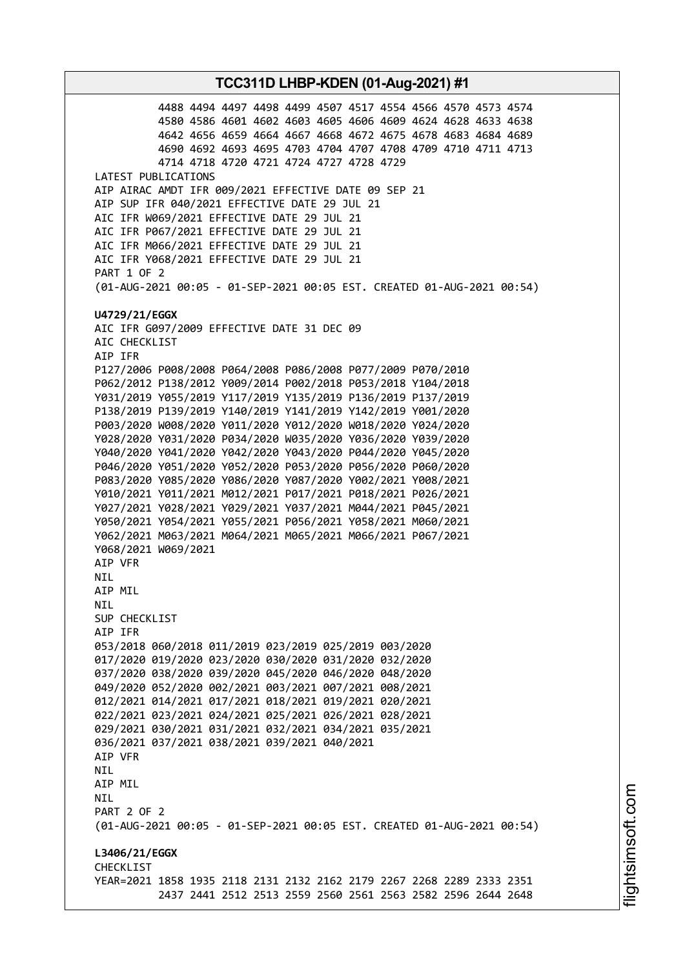4488 4494 4497 4498 4499 4507 4517 4554 4566 4570 4573 4574 4580 4586 4601 4602 4603 4605 4606 4609 4624 4628 4633 4638 4642 4656 4659 4664 4667 4668 4672 4675 4678 4683 4684 4689 4690 4692 4693 4695 4703 4704 4707 4708 4709 4710 4711 4713 4714 4718 4720 4721 4724 4727 4728 4729 LATEST PUBLICATIONS AIP AIRAC AMDT IFR 009/2021 EFFECTIVE DATE 09 SEP 21 AIP SUP IFR 040/2021 EFFECTIVE DATE 29 JUL 21 AIC IFR W069/2021 EFFECTIVE DATE 29 JUL 21 AIC IFR P067/2021 EFFECTIVE DATE 29 JUL 21 AIC IFR M066/2021 EFFECTIVE DATE 29 JUL 21 AIC IFR Y068/2021 EFFECTIVE DATE 29 JUL 21 PART 1 OF 2 (01-AUG-2021 00:05 - 01-SEP-2021 00:05 EST. CREATED 01-AUG-2021 00:54) **U4729/21/EGGX** AIC IFR G097/2009 EFFECTIVE DATE 31 DEC 09 AIC CHECKLIST AIP IFR P127/2006 P008/2008 P064/2008 P086/2008 P077/2009 P070/2010 P062/2012 P138/2012 Y009/2014 P002/2018 P053/2018 Y104/2018 Y031/2019 Y055/2019 Y117/2019 Y135/2019 P136/2019 P137/2019 P138/2019 P139/2019 Y140/2019 Y141/2019 Y142/2019 Y001/2020 P003/2020 W008/2020 Y011/2020 Y012/2020 W018/2020 Y024/2020 Y028/2020 Y031/2020 P034/2020 W035/2020 Y036/2020 Y039/2020 Y040/2020 Y041/2020 Y042/2020 Y043/2020 P044/2020 Y045/2020 P046/2020 Y051/2020 Y052/2020 P053/2020 P056/2020 P060/2020 P083/2020 Y085/2020 Y086/2020 Y087/2020 Y002/2021 Y008/2021 Y010/2021 Y011/2021 M012/2021 P017/2021 P018/2021 P026/2021 Y027/2021 Y028/2021 Y029/2021 Y037/2021 M044/2021 P045/2021 Y050/2021 Y054/2021 Y055/2021 P056/2021 Y058/2021 M060/2021 Y062/2021 M063/2021 M064/2021 M065/2021 M066/2021 P067/2021 Y068/2021 W069/2021 AIP VFR NIL AIP MIL NIL SUP CHECKLIST AIP IFR 053/2018 060/2018 011/2019 023/2019 025/2019 003/2020 017/2020 019/2020 023/2020 030/2020 031/2020 032/2020 037/2020 038/2020 039/2020 045/2020 046/2020 048/2020 049/2020 052/2020 002/2021 003/2021 007/2021 008/2021 012/2021 014/2021 017/2021 018/2021 019/2021 020/2021 022/2021 023/2021 024/2021 025/2021 026/2021 028/2021 029/2021 030/2021 031/2021 032/2021 034/2021 035/2021 036/2021 037/2021 038/2021 039/2021 040/2021 AIP VFR NIL AIP MIL NIL PART 2 OF 2 (01-AUG-2021 00:05 - 01-SEP-2021 00:05 EST. CREATED 01-AUG-2021 00:54) **L3406/21/EGGX CHECKLIST** YEAR=2021 1858 1935 2118 2131 2132 2162 2179 2267 2268 2289 2333 2351 2437 2441 2512 2513 2559 2560 2561 2563 2582 2596 2644 2648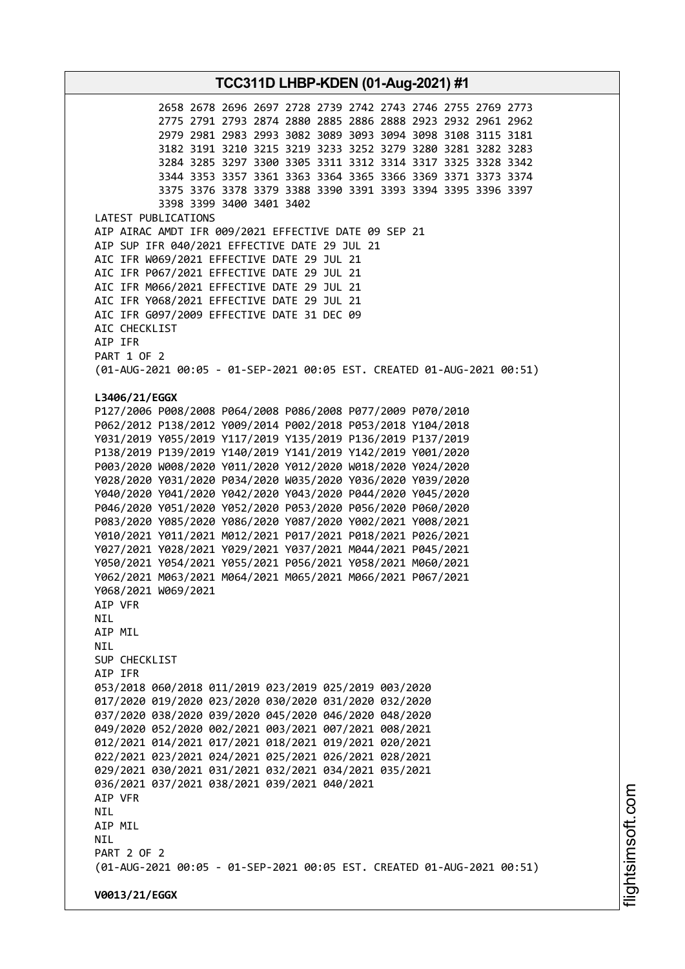2658 2678 2696 2697 2728 2739 2742 2743 2746 2755 2769 2773 2775 2791 2793 2874 2880 2885 2886 2888 2923 2932 2961 2962 2979 2981 2983 2993 3082 3089 3093 3094 3098 3108 3115 3181 3182 3191 3210 3215 3219 3233 3252 3279 3280 3281 3282 3283 3284 3285 3297 3300 3305 3311 3312 3314 3317 3325 3328 3342 3344 3353 3357 3361 3363 3364 3365 3366 3369 3371 3373 3374 3375 3376 3378 3379 3388 3390 3391 3393 3394 3395 3396 3397 3398 3399 3400 3401 3402 LATEST PUBLICATIONS AIP AIRAC AMDT IFR 009/2021 EFFECTIVE DATE 09 SEP 21 AIP SUP IFR 040/2021 EFFECTIVE DATE 29 JUL 21 AIC IFR W069/2021 EFFECTIVE DATE 29 JUL 21 AIC IFR P067/2021 EFFECTIVE DATE 29 JUL 21 AIC IFR M066/2021 EFFECTIVE DATE 29 JUL 21 AIC IFR Y068/2021 EFFECTIVE DATE 29 JUL 21 AIC IFR G097/2009 EFFECTIVE DATE 31 DEC 09 AIC CHECKLIST AIP IFR PART 1 OF 2 (01-AUG-2021 00:05 - 01-SEP-2021 00:05 EST. CREATED 01-AUG-2021 00:51) **L3406/21/EGGX** P127/2006 P008/2008 P064/2008 P086/2008 P077/2009 P070/2010 P062/2012 P138/2012 Y009/2014 P002/2018 P053/2018 Y104/2018 Y031/2019 Y055/2019 Y117/2019 Y135/2019 P136/2019 P137/2019 P138/2019 P139/2019 Y140/2019 Y141/2019 Y142/2019 Y001/2020 P003/2020 W008/2020 Y011/2020 Y012/2020 W018/2020 Y024/2020 Y028/2020 Y031/2020 P034/2020 W035/2020 Y036/2020 Y039/2020 Y040/2020 Y041/2020 Y042/2020 Y043/2020 P044/2020 Y045/2020 P046/2020 Y051/2020 Y052/2020 P053/2020 P056/2020 P060/2020 P083/2020 Y085/2020 Y086/2020 Y087/2020 Y002/2021 Y008/2021 Y010/2021 Y011/2021 M012/2021 P017/2021 P018/2021 P026/2021 Y027/2021 Y028/2021 Y029/2021 Y037/2021 M044/2021 P045/2021 Y050/2021 Y054/2021 Y055/2021 P056/2021 Y058/2021 M060/2021 Y062/2021 M063/2021 M064/2021 M065/2021 M066/2021 P067/2021 Y068/2021 W069/2021 AIP VFR NIL AIP MIL NIL SUP CHECKLIST AIP IFR 053/2018 060/2018 011/2019 023/2019 025/2019 003/2020 017/2020 019/2020 023/2020 030/2020 031/2020 032/2020 037/2020 038/2020 039/2020 045/2020 046/2020 048/2020 049/2020 052/2020 002/2021 003/2021 007/2021 008/2021 012/2021 014/2021 017/2021 018/2021 019/2021 020/2021 022/2021 023/2021 024/2021 025/2021 026/2021 028/2021 029/2021 030/2021 031/2021 032/2021 034/2021 035/2021 036/2021 037/2021 038/2021 039/2021 040/2021 AIP VFR NIL AIP MIL **NTL** PART 2 OF 2 (01-AUG-2021 00:05 - 01-SEP-2021 00:05 EST. CREATED 01-AUG-2021 00:51) **V0013/21/EGGX**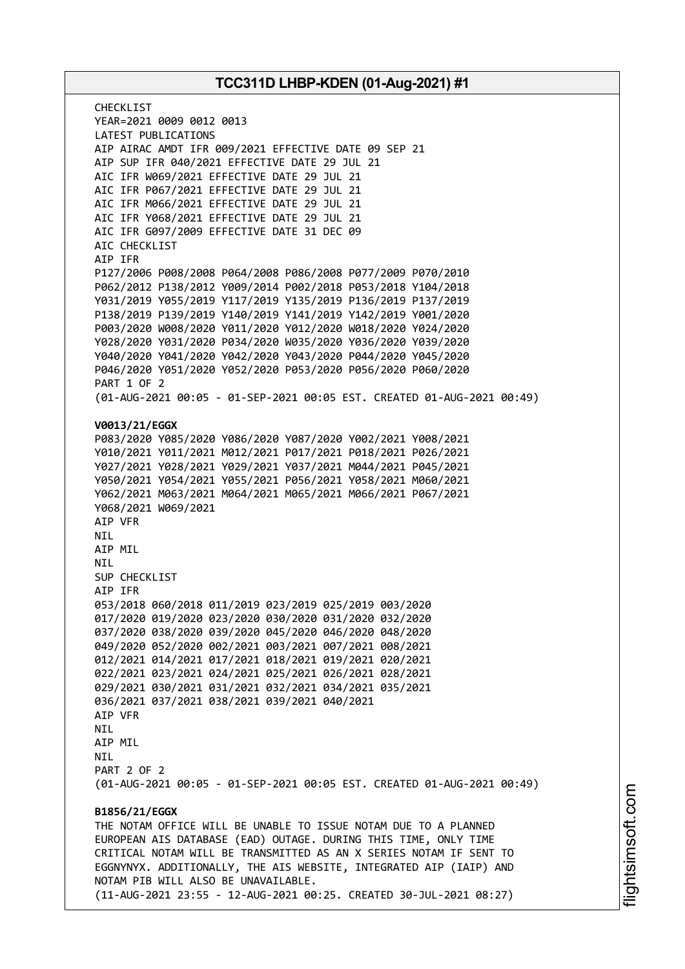CHECKL<sub>IST</sub> YEAR=2021 0009 0012 0013 LATEST PUBLICATIONS AIP AIRAC AMDT IFR 009/2021 EFFECTIVE DATE 09 SEP 21 AIP SUP IFR 040/2021 EFFECTIVE DATE 29 JUL 21 AIC IFR W069/2021 EFFECTIVE DATE 29 JUL 21 AIC IFR P067/2021 EFFECTIVE DATE 29 JUL 21 AIC IFR M066/2021 EFFECTIVE DATE 29 JUL 21 AIC IFR Y068/2021 EFFECTIVE DATE 29 JUL 21 AIC IFR G097/2009 EFFECTIVE DATE 31 DEC 09 AIC CHECKLIST AIP IFR P127/2006 P008/2008 P064/2008 P086/2008 P077/2009 P070/2010 P062/2012 P138/2012 Y009/2014 P002/2018 P053/2018 Y104/2018 Y031/2019 Y055/2019 Y117/2019 Y135/2019 P136/2019 P137/2019 P138/2019 P139/2019 Y140/2019 Y141/2019 Y142/2019 Y001/2020 P003/2020 W008/2020 Y011/2020 Y012/2020 W018/2020 Y024/2020 Y028/2020 Y031/2020 P034/2020 W035/2020 Y036/2020 Y039/2020 Y040/2020 Y041/2020 Y042/2020 Y043/2020 P044/2020 Y045/2020 P046/2020 Y051/2020 Y052/2020 P053/2020 P056/2020 P060/2020 PART 1 OF 2 (01-AUG-2021 00:05 - 01-SEP-2021 00:05 EST. CREATED 01-AUG-2021 00:49) **V0013/21/EGGX** P083/2020 Y085/2020 Y086/2020 Y087/2020 Y002/2021 Y008/2021 Y010/2021 Y011/2021 M012/2021 P017/2021 P018/2021 P026/2021 Y027/2021 Y028/2021 Y029/2021 Y037/2021 M044/2021 P045/2021 Y050/2021 Y054/2021 Y055/2021 P056/2021 Y058/2021 M060/2021 Y062/2021 M063/2021 M064/2021 M065/2021 M066/2021 P067/2021 Y068/2021 W069/2021 AIP VFR NIL AIP MIL **NTI** SUP CHECKLIST AIP IFR 053/2018 060/2018 011/2019 023/2019 025/2019 003/2020 017/2020 019/2020 023/2020 030/2020 031/2020 032/2020 037/2020 038/2020 039/2020 045/2020 046/2020 048/2020 049/2020 052/2020 002/2021 003/2021 007/2021 008/2021 012/2021 014/2021 017/2021 018/2021 019/2021 020/2021 022/2021 023/2021 024/2021 025/2021 026/2021 028/2021 029/2021 030/2021 031/2021 032/2021 034/2021 035/2021 036/2021 037/2021 038/2021 039/2021 040/2021 AIP VFR NIL AIP MIL **NTI** PART 2 OF 2 (01-AUG-2021 00:05 - 01-SEP-2021 00:05 EST. CREATED 01-AUG-2021 00:49) **B1856/21/EGGX** THE NOTAM OFFICE WILL BE UNABLE TO ISSUE NOTAM DUE TO A PLANNED EUROPEAN AIS DATABASE (EAD) OUTAGE. DURING THIS TIME, ONLY TIME CRITICAL NOTAM WILL BE TRANSMITTED AS AN X SERIES NOTAM IF SENT TO EGGNYNYX. ADDITIONALLY, THE AIS WEBSITE, INTEGRATED AIP (IAIP) AND NOTAM PIB WILL ALSO BE UNAVAILABLE. (11-AUG-2021 23:55 - 12-AUG-2021 00:25. CREATED 30-JUL-2021 08:27)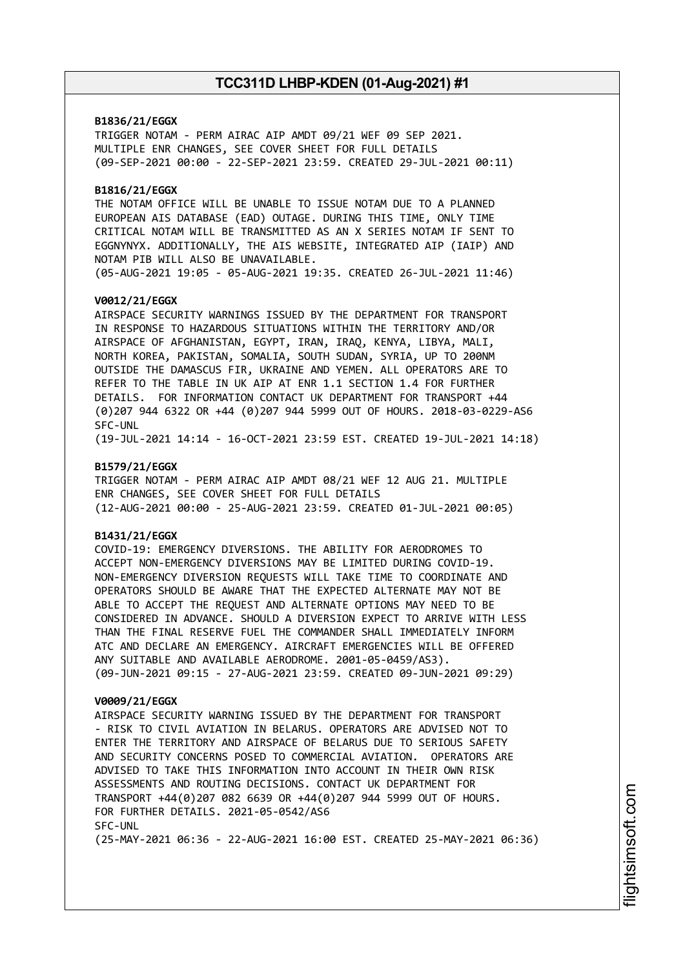### **B1836/21/EGGX**

TRIGGER NOTAM - PERM AIRAC AIP AMDT 09/21 WEF 09 SEP 2021. MULTIPLE ENR CHANGES, SEE COVER SHEET FOR FULL DETAILS (09-SEP-2021 00:00 - 22-SEP-2021 23:59. CREATED 29-JUL-2021 00:11)

### **B1816/21/EGGX**

THE NOTAM OFFICE WILL BE UNABLE TO ISSUE NOTAM DUE TO A PLANNED EUROPEAN AIS DATABASE (EAD) OUTAGE. DURING THIS TIME, ONLY TIME CRITICAL NOTAM WILL BE TRANSMITTED AS AN X SERIES NOTAM IF SENT TO EGGNYNYX. ADDITIONALLY, THE AIS WEBSITE, INTEGRATED AIP (IAIP) AND NOTAM PIB WILL ALSO BE UNAVAILABLE. (05-AUG-2021 19:05 - 05-AUG-2021 19:35. CREATED 26-JUL-2021 11:46)

### **V0012/21/EGGX**

AIRSPACE SECURITY WARNINGS ISSUED BY THE DEPARTMENT FOR TRANSPORT IN RESPONSE TO HAZARDOUS SITUATIONS WITHIN THE TERRITORY AND/OR AIRSPACE OF AFGHANISTAN, EGYPT, IRAN, IRAQ, KENYA, LIBYA, MALI, NORTH KOREA, PAKISTAN, SOMALIA, SOUTH SUDAN, SYRIA, UP TO 200NM OUTSIDE THE DAMASCUS FIR, UKRAINE AND YEMEN. ALL OPERATORS ARE TO REFER TO THE TABLE IN UK AIP AT ENR 1.1 SECTION 1.4 FOR FURTHER DETAILS. FOR INFORMATION CONTACT UK DEPARTMENT FOR TRANSPORT +44 (0)207 944 6322 OR +44 (0)207 944 5999 OUT OF HOURS. 2018-03-0229-AS6 SFC-UNL

(19-JUL-2021 14:14 - 16-OCT-2021 23:59 EST. CREATED 19-JUL-2021 14:18)

### **B1579/21/EGGX**

TRIGGER NOTAM - PERM AIRAC AIP AMDT 08/21 WEF 12 AUG 21. MULTIPLE ENR CHANGES, SEE COVER SHEET FOR FULL DETAILS (12-AUG-2021 00:00 - 25-AUG-2021 23:59. CREATED 01-JUL-2021 00:05)

### **B1431/21/EGGX**

COVID-19: EMERGENCY DIVERSIONS. THE ABILITY FOR AERODROMES TO ACCEPT NON-EMERGENCY DIVERSIONS MAY BE LIMITED DURING COVID-19. NON-EMERGENCY DIVERSION REQUESTS WILL TAKE TIME TO COORDINATE AND OPERATORS SHOULD BE AWARE THAT THE EXPECTED ALTERNATE MAY NOT BE ABLE TO ACCEPT THE REQUEST AND ALTERNATE OPTIONS MAY NEED TO BE CONSIDERED IN ADVANCE. SHOULD A DIVERSION EXPECT TO ARRIVE WITH LESS THAN THE FINAL RESERVE FUEL THE COMMANDER SHALL IMMEDIATELY INFORM ATC AND DECLARE AN EMERGENCY. AIRCRAFT EMERGENCIES WILL BE OFFERED ANY SUITABLE AND AVAILABLE AERODROME. 2001-05-0459/AS3). (09-JUN-2021 09:15 - 27-AUG-2021 23:59. CREATED 09-JUN-2021 09:29)

#### **V0009/21/EGGX**

AIRSPACE SECURITY WARNING ISSUED BY THE DEPARTMENT FOR TRANSPORT - RISK TO CIVIL AVIATION IN BELARUS. OPERATORS ARE ADVISED NOT TO ENTER THE TERRITORY AND AIRSPACE OF BELARUS DUE TO SERIOUS SAFETY AND SECURITY CONCERNS POSED TO COMMERCIAL AVIATION. OPERATORS ARE ADVISED TO TAKE THIS INFORMATION INTO ACCOUNT IN THEIR OWN RISK ASSESSMENTS AND ROUTING DECISIONS. CONTACT UK DEPARTMENT FOR TRANSPORT +44(0)207 082 6639 OR +44(0)207 944 5999 OUT OF HOURS. FOR FURTHER DETAILS. 2021-05-0542/AS6 SFC-UNL (25-MAY-2021 06:36 - 22-AUG-2021 16:00 EST. CREATED 25-MAY-2021 06:36)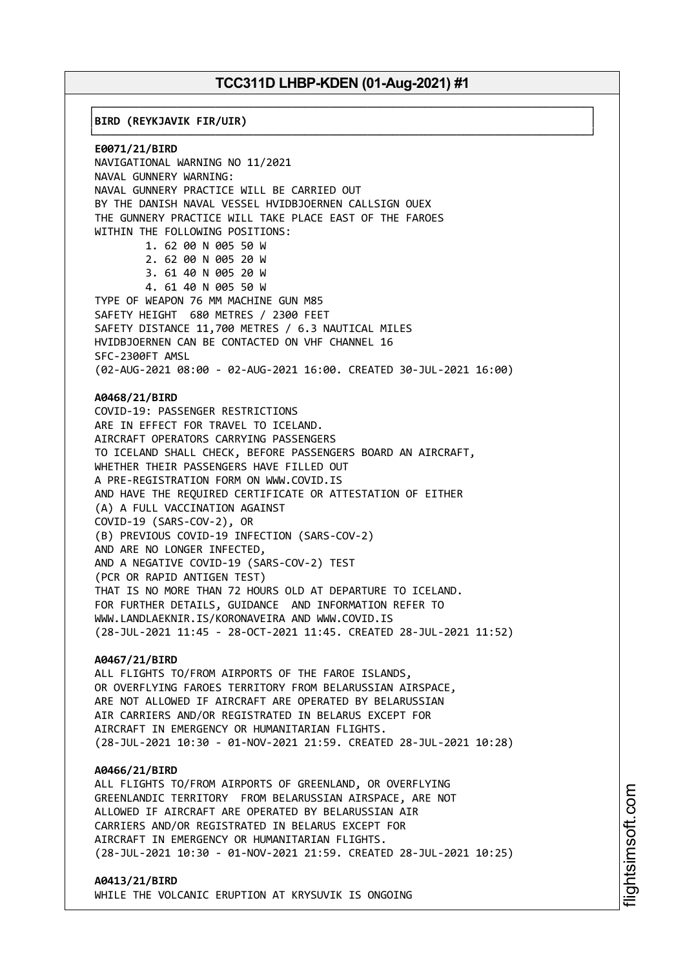┌──────────────────────────────────────────────────────────────────────────────┐

└──────────────────────────────────────────────────────────────────────────────┘

│**BIRD (REYKJAVIK FIR/UIR)** │

**E0071/21/BIRD** NAVIGATIONAL WARNING NO 11/2021 NAVAL GUNNERY WARNING: NAVAL GUNNERY PRACTICE WILL BE CARRIED OUT BY THE DANISH NAVAL VESSEL HVIDBJOERNEN CALLSIGN OUEX THE GUNNERY PRACTICE WILL TAKE PLACE EAST OF THE FAROES WITHIN THE FOLLOWING POSITIONS: 1. 62 00 N 005 50 W 2. 62 00 N 005 20 W 3. 61 40 N 005 20 W 4. 61 40 N 005 50 W TYPE OF WEAPON 76 MM MACHINE GUN M85 SAFETY HEIGHT 680 METRES / 2300 FEET SAFETY DISTANCE 11,700 METRES / 6.3 NAUTICAL MILES HVIDBJOERNEN CAN BE CONTACTED ON VHF CHANNEL 16 SFC-2300FT AMSL (02-AUG-2021 08:00 - 02-AUG-2021 16:00. CREATED 30-JUL-2021 16:00) **A0468/21/BIRD** COVID-19: PASSENGER RESTRICTIONS ARE IN EFFECT FOR TRAVEL TO ICELAND. AIRCRAFT OPERATORS CARRYING PASSENGERS TO ICELAND SHALL CHECK, BEFORE PASSENGERS BOARD AN AIRCRAFT, WHETHER THEIR PASSENGERS HAVE FILLED OUT A PRE-REGISTRATION FORM ON WWW.COVID.IS AND HAVE THE REQUIRED CERTIFICATE OR ATTESTATION OF EITHER (A) A FULL VACCINATION AGAINST COVID-19 (SARS-COV-2), OR (B) PREVIOUS COVID-19 INFECTION (SARS-COV-2) AND ARE NO LONGER INFECTED, AND A NEGATIVE COVID-19 (SARS-COV-2) TEST (PCR OR RAPID ANTIGEN TEST) THAT IS NO MORE THAN 72 HOURS OLD AT DEPARTURE TO ICELAND. FOR FURTHER DETAILS, GUIDANCE AND INFORMATION REFER TO WWW.LANDLAEKNIR.IS/KORONAVEIRA AND WWW.COVID.IS (28-JUL-2021 11:45 - 28-OCT-2021 11:45. CREATED 28-JUL-2021 11:52) **A0467/21/BIRD** ALL FLIGHTS TO/FROM AIRPORTS OF THE FAROE ISLANDS, OR OVERFLYING FAROES TERRITORY FROM BELARUSSIAN AIRSPACE, ARE NOT ALLOWED IF AIRCRAFT ARE OPERATED BY BELARUSSIAN

AIR CARRIERS AND/OR REGISTRATED IN BELARUS EXCEPT FOR AIRCRAFT IN EMERGENCY OR HUMANITARIAN FLIGHTS. (28-JUL-2021 10:30 - 01-NOV-2021 21:59. CREATED 28-JUL-2021 10:28)

#### **A0466/21/BIRD**

ALL FLIGHTS TO/FROM AIRPORTS OF GREENLAND, OR OVERFLYING GREENLANDIC TERRITORY FROM BELARUSSIAN AIRSPACE, ARE NOT ALLOWED IF AIRCRAFT ARE OPERATED BY BELARUSSIAN AIR CARRIERS AND/OR REGISTRATED IN BELARUS EXCEPT FOR AIRCRAFT IN EMERGENCY OR HUMANITARIAN FLIGHTS. (28-JUL-2021 10:30 - 01-NOV-2021 21:59. CREATED 28-JUL-2021 10:25)

#### **A0413/21/BIRD**

WHILE THE VOLCANIC ERUPTION AT KRYSUVIK IS ONGOING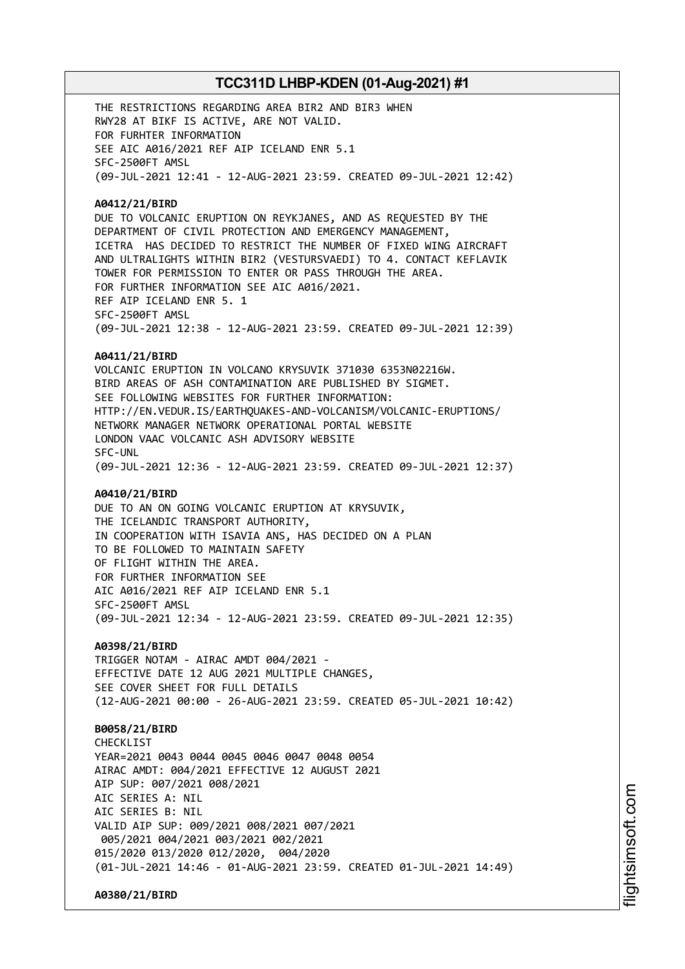THE RESTRICTIONS REGARDING AREA BIR2 AND BIR3 WHEN RWY28 AT BIKF IS ACTIVE, ARE NOT VALID. FOR FURHTER INFORMATION SEE AIC A016/2021 REF AIP ICELAND ENR 5.1 SFC-2500FT AMSL (09-JUL-2021 12:41 - 12-AUG-2021 23:59. CREATED 09-JUL-2021 12:42)

### **A0412/21/BIRD**

DUE TO VOLCANIC ERUPTION ON REYKJANES, AND AS REQUESTED BY THE DEPARTMENT OF CIVIL PROTECTION AND EMERGENCY MANAGEMENT, ICETRA HAS DECIDED TO RESTRICT THE NUMBER OF FIXED WING AIRCRAFT AND ULTRALIGHTS WITHIN BIR2 (VESTURSVAEDI) TO 4. CONTACT KEFLAVIK TOWER FOR PERMISSION TO ENTER OR PASS THROUGH THE AREA. FOR FURTHER INFORMATION SEE AIC A016/2021. REF AIP ICELAND ENR 5. 1 SFC-2500FT AMSL (09-JUL-2021 12:38 - 12-AUG-2021 23:59. CREATED 09-JUL-2021 12:39)

#### **A0411/21/BIRD**

VOLCANIC ERUPTION IN VOLCANO KRYSUVIK 371030 6353N02216W. BIRD AREAS OF ASH CONTAMINATION ARE PUBLISHED BY SIGMET. SEE FOLLOWING WEBSITES FOR FURTHER INFORMATION: HTTP://EN.VEDUR.IS/EARTHQUAKES-AND-VOLCANISM/VOLCANIC-ERUPTIONS/ NETWORK MANAGER NETWORK OPERATIONAL PORTAL WEBSITE LONDON VAAC VOLCANIC ASH ADVISORY WEBSITE SFC-UNL (09-JUL-2021 12:36 - 12-AUG-2021 23:59. CREATED 09-JUL-2021 12:37)

### **A0410/21/BIRD**

DUE TO AN ON GOING VOLCANIC ERUPTION AT KRYSUVIK, THE ICELANDIC TRANSPORT AUTHORITY, IN COOPERATION WITH ISAVIA ANS, HAS DECIDED ON A PLAN TO BE FOLLOWED TO MAINTAIN SAFETY OF FLIGHT WITHIN THE AREA. FOR FURTHER INFORMATION SEE AIC A016/2021 REF AIP ICELAND ENR 5.1 SFC-2500FT AMSL (09-JUL-2021 12:34 - 12-AUG-2021 23:59. CREATED 09-JUL-2021 12:35)

### **A0398/21/BIRD**

TRIGGER NOTAM - AIRAC AMDT 004/2021 - EFFECTIVE DATE 12 AUG 2021 MULTIPLE CHANGES, SEE COVER SHEET FOR FULL DETAILS (12-AUG-2021 00:00 - 26-AUG-2021 23:59. CREATED 05-JUL-2021 10:42)

### **B0058/21/BIRD**

CHECKL<sub>IST</sub> YEAR=2021 0043 0044 0045 0046 0047 0048 0054 AIRAC AMDT: 004/2021 EFFECTIVE 12 AUGUST 2021 AIP SUP: 007/2021 008/2021 AIC SERIES A: NIL AIC SERIES B: NIL VALID AIP SUP: 009/2021 008/2021 007/2021 005/2021 004/2021 003/2021 002/2021 015/2020 013/2020 012/2020, 004/2020 (01-JUL-2021 14:46 - 01-AUG-2021 23:59. CREATED 01-JUL-2021 14:49)

**A0380/21/BIRD**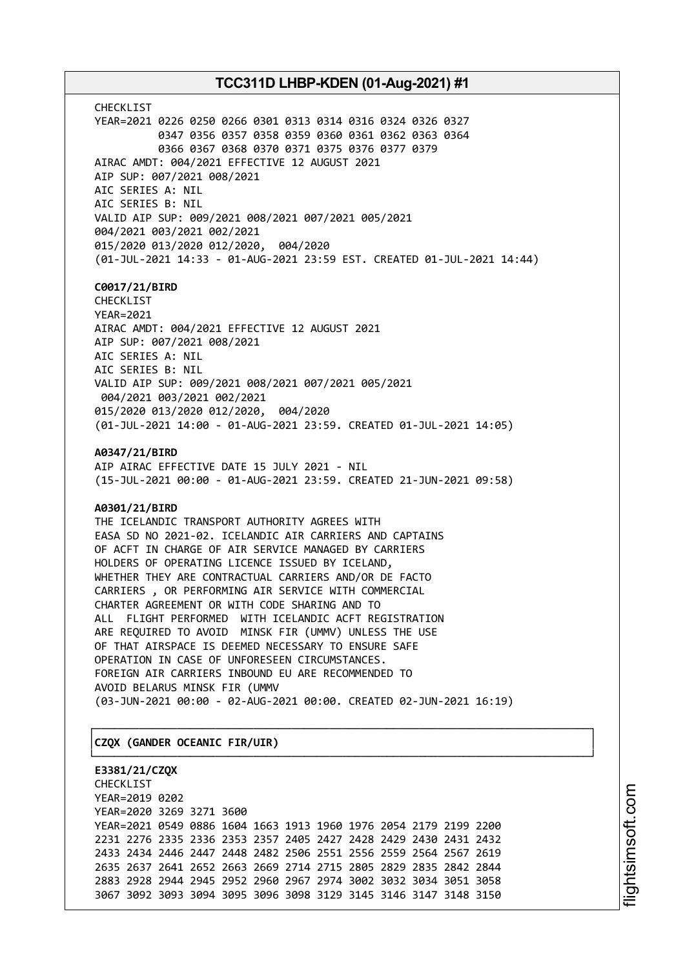CHECKLIST YEAR=2021 0226 0250 0266 0301 0313 0314 0316 0324 0326 0327 0347 0356 0357 0358 0359 0360 0361 0362 0363 0364 0366 0367 0368 0370 0371 0375 0376 0377 0379 AIRAC AMDT: 004/2021 EFFECTIVE 12 AUGUST 2021 AIP SUP: 007/2021 008/2021 AIC SERIES A: NIL AIC SERIES B: NIL VALID AIP SUP: 009/2021 008/2021 007/2021 005/2021 004/2021 003/2021 002/2021 015/2020 013/2020 012/2020, 004/2020 (01-JUL-2021 14:33 - 01-AUG-2021 23:59 EST. CREATED 01-JUL-2021 14:44)

### **C0017/21/BIRD**

CHECKLIST YEAR=2021 AIRAC AMDT: 004/2021 EFFECTIVE 12 AUGUST 2021 AIP SUP: 007/2021 008/2021 AIC SERIES A: NIL AIC SERIES B: NIL VALID AIP SUP: 009/2021 008/2021 007/2021 005/2021 004/2021 003/2021 002/2021 015/2020 013/2020 012/2020, 004/2020 (01-JUL-2021 14:00 - 01-AUG-2021 23:59. CREATED 01-JUL-2021 14:05)

**A0347/21/BIRD**

AIP AIRAC EFFECTIVE DATE 15 JULY 2021 - NIL (15-JUL-2021 00:00 - 01-AUG-2021 23:59. CREATED 21-JUN-2021 09:58)

### **A0301/21/BIRD**

THE ICELANDIC TRANSPORT AUTHORITY AGREES WITH EASA SD NO 2021-02. ICELANDIC AIR CARRIERS AND CAPTAINS OF ACFT IN CHARGE OF AIR SERVICE MANAGED BY CARRIERS HOLDERS OF OPERATING LICENCE ISSUED BY ICELAND, WHETHER THEY ARE CONTRACTUAL CARRIERS AND/OR DE FACTO CARRIERS , OR PERFORMING AIR SERVICE WITH COMMERCIAL CHARTER AGREEMENT OR WITH CODE SHARING AND TO ALL FLIGHT PERFORMED WITH ICELANDIC ACFT REGISTRATION ARE REQUIRED TO AVOID MINSK FIR (UMMV) UNLESS THE USE OF THAT AIRSPACE IS DEEMED NECESSARY TO ENSURE SAFE OPERATION IN CASE OF UNFORESEEN CIRCUMSTANCES. FOREIGN AIR CARRIERS INBOUND EU ARE RECOMMENDED TO AVOID BELARUS MINSK FIR (UMMV (03-JUN-2021 00:00 - 02-AUG-2021 00:00. CREATED 02-JUN-2021 16:19)

┌──────────────────────────────────────────────────────────────────────────────┐

└──────────────────────────────────────────────────────────────────────────────┘

### │**CZQX (GANDER OCEANIC FIR/UIR)** │

**E3381/21/CZQX** CHECKLIST YEAR=2019 0202 YEAR=2020 3269 3271 3600 YEAR=2021 0549 0886 1604 1663 1913 1960 1976 2054 2179 2199 2200 2231 2276 2335 2336 2353 2357 2405 2427 2428 2429 2430 2431 2432 2433 2434 2446 2447 2448 2482 2506 2551 2556 2559 2564 2567 2619 2635 2637 2641 2652 2663 2669 2714 2715 2805 2829 2835 2842 2844 2883 2928 2944 2945 2952 2960 2967 2974 3002 3032 3034 3051 3058 3067 3092 3093 3094 3095 3096 3098 3129 3145 3146 3147 3148 3150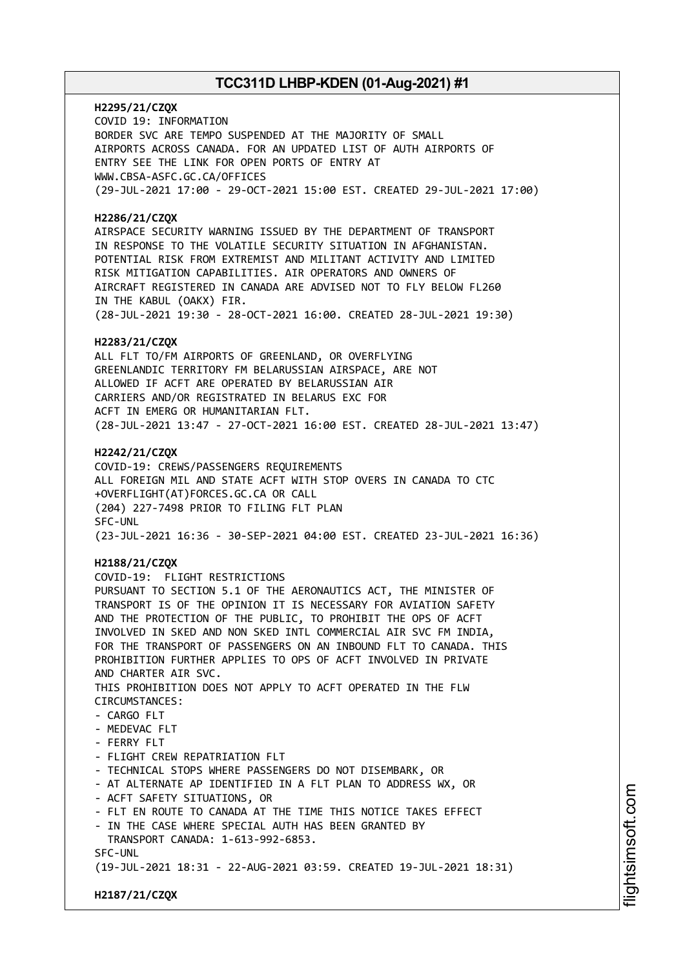**H2295/21/CZQX** COVID 19: INFORMATION BORDER SVC ARE TEMPO SUSPENDED AT THE MAJORITY OF SMALL AIRPORTS ACROSS CANADA. FOR AN UPDATED LIST OF AUTH AIRPORTS OF ENTRY SEE THE LINK FOR OPEN PORTS OF ENTRY AT WWW.CBSA-ASFC.GC.CA/OFFICES (29-JUL-2021 17:00 - 29-OCT-2021 15:00 EST. CREATED 29-JUL-2021 17:00)

### **H2286/21/CZQX**

AIRSPACE SECURITY WARNING ISSUED BY THE DEPARTMENT OF TRANSPORT IN RESPONSE TO THE VOLATILE SECURITY SITUATION IN AFGHANISTAN. POTENTIAL RISK FROM EXTREMIST AND MILITANT ACTIVITY AND LIMITED RISK MITIGATION CAPABILITIES. AIR OPERATORS AND OWNERS OF AIRCRAFT REGISTERED IN CANADA ARE ADVISED NOT TO FLY BELOW FL260 IN THE KABUL (OAKX) FIR. (28-JUL-2021 19:30 - 28-OCT-2021 16:00. CREATED 28-JUL-2021 19:30)

### **H2283/21/CZQX**

ALL FLT TO/FM AIRPORTS OF GREENLAND, OR OVERFLYING GREENLANDIC TERRITORY FM BELARUSSIAN AIRSPACE, ARE NOT ALLOWED IF ACFT ARE OPERATED BY BELARUSSIAN AIR CARRIERS AND/OR REGISTRATED IN BELARUS EXC FOR ACFT IN EMERG OR HUMANITARIAN FLT. (28-JUL-2021 13:47 - 27-OCT-2021 16:00 EST. CREATED 28-JUL-2021 13:47)

### **H2242/21/CZQX**

COVID-19: CREWS/PASSENGERS REQUIREMENTS ALL FOREIGN MIL AND STATE ACFT WITH STOP OVERS IN CANADA TO CTC +OVERFLIGHT(AT)FORCES.GC.CA OR CALL (204) 227-7498 PRIOR TO FILING FLT PLAN SFC-UNL (23-JUL-2021 16:36 - 30-SEP-2021 04:00 EST. CREATED 23-JUL-2021 16:36)

### **H2188/21/CZQX**

COVID-19: FLIGHT RESTRICTIONS PURSUANT TO SECTION 5.1 OF THE AERONAUTICS ACT, THE MINISTER OF TRANSPORT IS OF THE OPINION IT IS NECESSARY FOR AVIATION SAFETY AND THE PROTECTION OF THE PUBLIC, TO PROHIBIT THE OPS OF ACFT INVOLVED IN SKED AND NON SKED INTL COMMERCIAL AIR SVC FM INDIA, FOR THE TRANSPORT OF PASSENGERS ON AN INBOUND FLT TO CANADA. THIS PROHIBITION FURTHER APPLIES TO OPS OF ACFT INVOLVED IN PRIVATE AND CHARTER AIR SVC. THIS PROHIBITION DOES NOT APPLY TO ACFT OPERATED IN THE FLW CIRCUMSTANCES:  $-$  CARGO FLT - MEDEVAC FLT - FERRY FLT - FLIGHT CREW REPATRIATION FLT - TECHNICAL STOPS WHERE PASSENGERS DO NOT DISEMBARK, OR - AT ALTERNATE AP IDENTIFIED IN A FLT PLAN TO ADDRESS WX, OR - ACFT SAFETY SITUATIONS, OR - FLT EN ROUTE TO CANADA AT THE TIME THIS NOTICE TAKES EFFECT - IN THE CASE WHERE SPECIAL AUTH HAS BEEN GRANTED BY TRANSPORT CANADA: 1-613-992-6853. SFC-UNL (19-JUL-2021 18:31 - 22-AUG-2021 03:59. CREATED 19-JUL-2021 18:31)

**H2187/21/CZQX**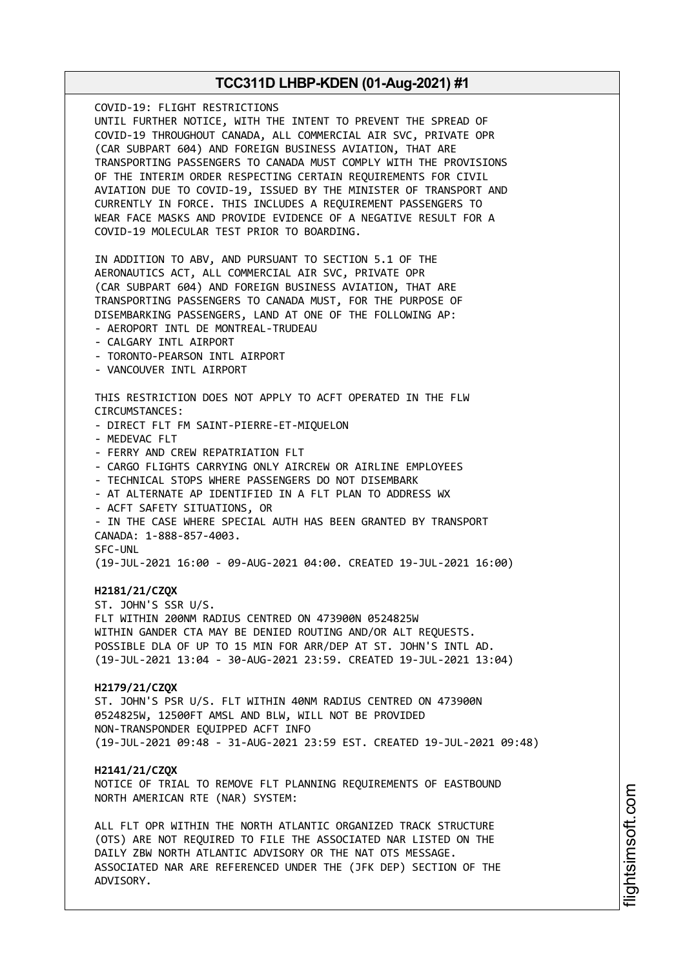COVID-19: FLIGHT RESTRICTIONS UNTIL FURTHER NOTICE, WITH THE INTENT TO PREVENT THE SPREAD OF COVID-19 THROUGHOUT CANADA, ALL COMMERCIAL AIR SVC, PRIVATE OPR (CAR SUBPART 604) AND FOREIGN BUSINESS AVIATION, THAT ARE TRANSPORTING PASSENGERS TO CANADA MUST COMPLY WITH THE PROVISIONS OF THE INTERIM ORDER RESPECTING CERTAIN REQUIREMENTS FOR CIVIL AVIATION DUE TO COVID-19, ISSUED BY THE MINISTER OF TRANSPORT AND CURRENTLY IN FORCE. THIS INCLUDES A REQUIREMENT PASSENGERS TO WEAR FACE MASKS AND PROVIDE EVIDENCE OF A NEGATIVE RESULT FOR A COVID-19 MOLECULAR TEST PRIOR TO BOARDING. IN ADDITION TO ABV, AND PURSUANT TO SECTION 5.1 OF THE AERONAUTICS ACT, ALL COMMERCIAL AIR SVC, PRIVATE OPR (CAR SUBPART 604) AND FOREIGN BUSINESS AVIATION, THAT ARE TRANSPORTING PASSENGERS TO CANADA MUST, FOR THE PURPOSE OF DISEMBARKING PASSENGERS, LAND AT ONE OF THE FOLLOWING AP: - AEROPORT INTL DE MONTREAL-TRUDEAU - CALGARY INTL AIRPORT - TORONTO-PEARSON INTL AIRPORT - VANCOUVER INTL AIRPORT THIS RESTRICTION DOES NOT APPLY TO ACFT OPERATED IN THE FLW CIRCUMSTANCES: - DIRECT FLT FM SAINT-PIERRE-ET-MIQUELON - MEDEVAC FLT - FERRY AND CREW REPATRIATION FLT - CARGO FLIGHTS CARRYING ONLY AIRCREW OR AIRLINE EMPLOYEES - TECHNICAL STOPS WHERE PASSENGERS DO NOT DISEMBARK - AT ALTERNATE AP IDENTIFIED IN A FLT PLAN TO ADDRESS WX - ACFT SAFETY SITUATIONS, OR - IN THE CASE WHERE SPECIAL AUTH HAS BEEN GRANTED BY TRANSPORT CANADA: 1-888-857-4003. SFC-UNL (19-JUL-2021 16:00 - 09-AUG-2021 04:00. CREATED 19-JUL-2021 16:00) **H2181/21/CZQX** ST. JOHN'S SSR U/S. FLT WITHIN 200NM RADIUS CENTRED ON 473900N 0524825W WITHIN GANDER CTA MAY BE DENIED ROUTING AND/OR ALT REQUESTS. POSSIBLE DLA OF UP TO 15 MIN FOR ARR/DEP AT ST. JOHN'S INTL AD. (19-JUL-2021 13:04 - 30-AUG-2021 23:59. CREATED 19-JUL-2021 13:04) **H2179/21/CZQX** ST. JOHN'S PSR U/S. FLT WITHIN 40NM RADIUS CENTRED ON 473900N 0524825W, 12500FT AMSL AND BLW, WILL NOT BE PROVIDED NON-TRANSPONDER EQUIPPED ACFT INFO (19-JUL-2021 09:48 - 31-AUG-2021 23:59 EST. CREATED 19-JUL-2021 09:48) **H2141/21/CZQX** NOTICE OF TRIAL TO REMOVE FLT PLANNING REQUIREMENTS OF EASTBOUND NORTH AMERICAN RTE (NAR) SYSTEM: ALL FLT OPR WITHIN THE NORTH ATLANTIC ORGANIZED TRACK STRUCTURE (OTS) ARE NOT REQUIRED TO FILE THE ASSOCIATED NAR LISTED ON THE DAILY ZBW NORTH ATLANTIC ADVISORY OR THE NAT OTS MESSAGE. ASSOCIATED NAR ARE REFERENCED UNDER THE (JFK DEP) SECTION OF THE ADVISORY.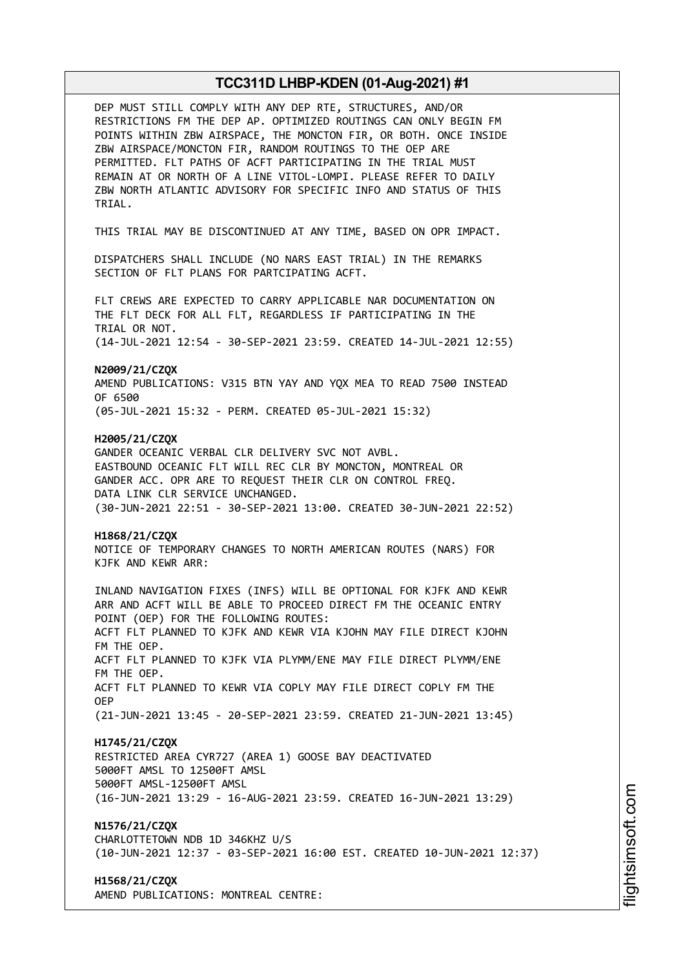| DEP MUST STILL COMPLY WITH ANY DEP RTE, STRUCTURES, AND/OR<br>RESTRICTIONS FM THE DEP AP. OPTIMIZED ROUTINGS CAN ONLY BEGIN FM<br>POINTS WITHIN ZBW AIRSPACE, THE MONCTON FIR, OR BOTH. ONCE INSIDE<br>ZBW AIRSPACE/MONCTON FIR, RANDOM ROUTINGS TO THE OEP ARE<br>PERMITTED. FLT PATHS OF ACFT PARTICIPATING IN THE TRIAL MUST<br>REMAIN AT OR NORTH OF A LINE VITOL-LOMPI. PLEASE REFER TO DAILY<br>ZBW NORTH ATLANTIC ADVISORY FOR SPECIFIC INFO AND STATUS OF THIS<br>TRIAL.                       |
|--------------------------------------------------------------------------------------------------------------------------------------------------------------------------------------------------------------------------------------------------------------------------------------------------------------------------------------------------------------------------------------------------------------------------------------------------------------------------------------------------------|
| THIS TRIAL MAY BE DISCONTINUED AT ANY TIME, BASED ON OPR IMPACT.                                                                                                                                                                                                                                                                                                                                                                                                                                       |
| DISPATCHERS SHALL INCLUDE (NO NARS EAST TRIAL) IN THE REMARKS<br>SECTION OF FLT PLANS FOR PARTCIPATING ACFT.                                                                                                                                                                                                                                                                                                                                                                                           |
| FLT CREWS ARE EXPECTED TO CARRY APPLICABLE NAR DOCUMENTATION ON<br>THE FLT DECK FOR ALL FLT, REGARDLESS IF PARTICIPATING IN THE<br>TRIAL OR NOT.                                                                                                                                                                                                                                                                                                                                                       |
| (14-JUL-2021 12:54 - 30-SEP-2021 23:59. CREATED 14-JUL-2021 12:55)                                                                                                                                                                                                                                                                                                                                                                                                                                     |
| N2009/21/CZQX<br>AMEND PUBLICATIONS: V315 BTN YAY AND YQX MEA TO READ 7500 INSTEAD<br>OF 6500                                                                                                                                                                                                                                                                                                                                                                                                          |
| (05-JUL-2021 15:32 - PERM. CREATED 05-JUL-2021 15:32)                                                                                                                                                                                                                                                                                                                                                                                                                                                  |
| H2005/21/CZQX<br>GANDER OCEANIC VERBAL CLR DELIVERY SVC NOT AVBL.<br>EASTBOUND OCEANIC FLT WILL REC CLR BY MONCTON, MONTREAL OR<br>GANDER ACC. OPR ARE TO REQUEST THEIR CLR ON CONTROL FREQ.<br>DATA LINK CLR SERVICE UNCHANGED.<br>(30-JUN-2021 22:51 - 30-SEP-2021 13:00. CREATED 30-JUN-2021 22:52)                                                                                                                                                                                                 |
| H1868/21/CZQX<br>NOTICE OF TEMPORARY CHANGES TO NORTH AMERICAN ROUTES (NARS) FOR<br>KJFK AND KEWR ARR:                                                                                                                                                                                                                                                                                                                                                                                                 |
| INLAND NAVIGATION FIXES (INFS) WILL BE OPTIONAL FOR KJFK AND KEWR<br>ARR AND ACFT WILL BE ABLE TO PROCEED DIRECT FM THE OCEANIC ENTRY<br>POINT (OEP) FOR THE FOLLOWING ROUTES:<br>ACFT FLT PLANNED TO KJFK AND KEWR VIA KJOHN MAY FILE DIRECT KJOHN<br>FM THE OEP.<br>ACFT FLT PLANNED TO KJFK VIA PLYMM/ENE MAY FILE DIRECT PLYMM/ENE<br>FM THE OEP.<br>ACFT FLT PLANNED TO KEWR VIA COPLY MAY FILE DIRECT COPLY FM THE<br>0EP.<br>(21-JUN-2021 13:45 - 20-SEP-2021 23:59. CREATED 21-JUN-2021 13:45) |
|                                                                                                                                                                                                                                                                                                                                                                                                                                                                                                        |
| H1745/21/CZQX<br>RESTRICTED AREA CYR727 (AREA 1) GOOSE BAY DEACTIVATED<br>5000FT AMSL TO 12500FT AMSL<br>5000FT AMSL-12500FT AMSL<br>(16-JUN-2021 13:29 - 16-AUG-2021 23:59. CREATED 16-JUN-2021 13:29)                                                                                                                                                                                                                                                                                                |
| N1576/21/CZQX<br>CHARLOTTETOWN NDB 1D 346KHZ U/S<br>(10-JUN-2021 12:37 - 03-SEP-2021 16:00 EST. CREATED 10-JUN-2021 12:37)                                                                                                                                                                                                                                                                                                                                                                             |
| H1568/21/CZQX<br>AMEND PUBLICATIONS: MONTREAL CENTRE:                                                                                                                                                                                                                                                                                                                                                                                                                                                  |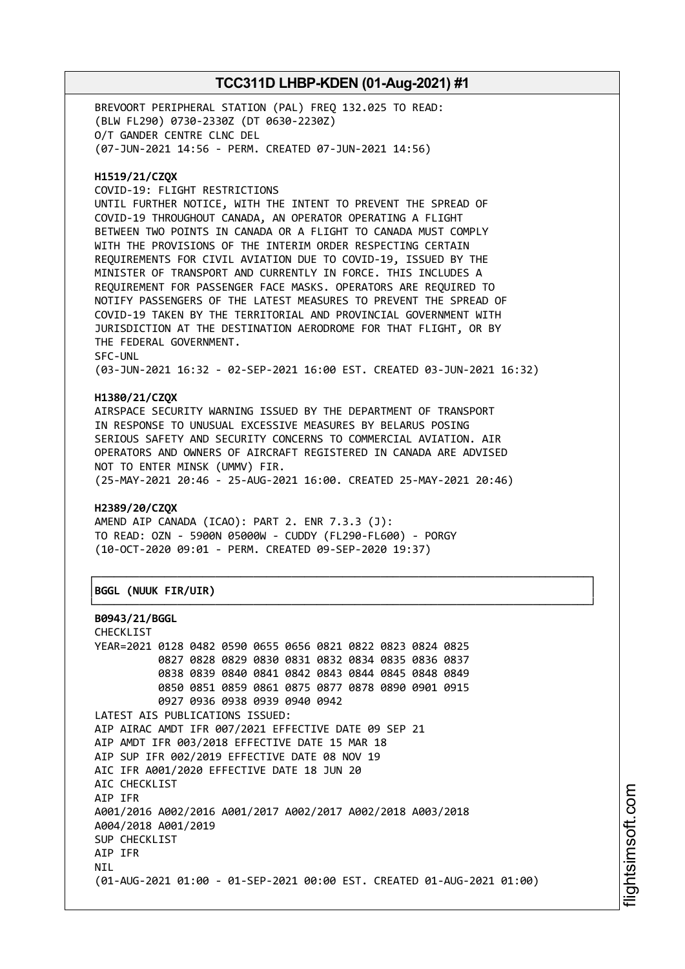BREVOORT PERIPHERAL STATION (PAL) FREQ 132.025 TO READ: (BLW FL290) 0730-2330Z (DT 0630-2230Z) O/T GANDER CENTRE CLNC DEL (07-JUN-2021 14:56 - PERM. CREATED 07-JUN-2021 14:56)

### **H1519/21/CZQX**

COVID-19: FLIGHT RESTRICTIONS

UNTIL FURTHER NOTICE, WITH THE INTENT TO PREVENT THE SPREAD OF COVID-19 THROUGHOUT CANADA, AN OPERATOR OPERATING A FLIGHT BETWEEN TWO POINTS IN CANADA OR A FLIGHT TO CANADA MUST COMPLY WITH THE PROVISIONS OF THE INTERIM ORDER RESPECTING CERTAIN REQUIREMENTS FOR CIVIL AVIATION DUE TO COVID-19, ISSUED BY THE MINISTER OF TRANSPORT AND CURRENTLY IN FORCE. THIS INCLUDES A REQUIREMENT FOR PASSENGER FACE MASKS. OPERATORS ARE REQUIRED TO NOTIFY PASSENGERS OF THE LATEST MEASURES TO PREVENT THE SPREAD OF COVID-19 TAKEN BY THE TERRITORIAL AND PROVINCIAL GOVERNMENT WITH JURISDICTION AT THE DESTINATION AERODROME FOR THAT FLIGHT, OR BY THE FEDERAL GOVERNMENT. SFC-UNL

(03-JUN-2021 16:32 - 02-SEP-2021 16:00 EST. CREATED 03-JUN-2021 16:32)

### **H1380/21/CZQX**

AIRSPACE SECURITY WARNING ISSUED BY THE DEPARTMENT OF TRANSPORT IN RESPONSE TO UNUSUAL EXCESSIVE MEASURES BY BELARUS POSING SERIOUS SAFETY AND SECURITY CONCERNS TO COMMERCIAL AVIATION. AIR OPERATORS AND OWNERS OF AIRCRAFT REGISTERED IN CANADA ARE ADVISED NOT TO ENTER MINSK (UMMV) FIR. (25-MAY-2021 20:46 - 25-AUG-2021 16:00. CREATED 25-MAY-2021 20:46)

┌──────────────────────────────────────────────────────────────────────────────┐

└──────────────────────────────────────────────────────────────────────────────┘

### **H2389/20/CZQX**

AMEND AIP CANADA (ICAO): PART 2. ENR 7.3.3 (J): TO READ: OZN - 5900N 05000W - CUDDY (FL290-FL600) - PORGY (10-OCT-2020 09:01 - PERM. CREATED 09-SEP-2020 19:37)

### │**BGGL (NUUK FIR/UIR)** │

```
B0943/21/BGGL
```
CHECKLIST YEAR=2021 0128 0482 0590 0655 0656 0821 0822 0823 0824 0825 0827 0828 0829 0830 0831 0832 0834 0835 0836 0837 0838 0839 0840 0841 0842 0843 0844 0845 0848 0849 0850 0851 0859 0861 0875 0877 0878 0890 0901 0915 0927 0936 0938 0939 0940 0942 LATEST AIS PUBLICATIONS ISSUED: AIP AIRAC AMDT IFR 007/2021 EFFECTIVE DATE 09 SEP 21 AIP AMDT IFR 003/2018 EFFECTIVE DATE 15 MAR 18 AIP SUP IFR 002/2019 EFFECTIVE DATE 08 NOV 19 AIC IFR A001/2020 EFFECTIVE DATE 18 JUN 20 AIC CHECKLIST AIP IFR A001/2016 A002/2016 A001/2017 A002/2017 A002/2018 A003/2018 A004/2018 A001/2019 SUP CHECKLIST AIP IFR **NTI** (01-AUG-2021 01:00 - 01-SEP-2021 00:00 EST. CREATED 01-AUG-2021 01:00)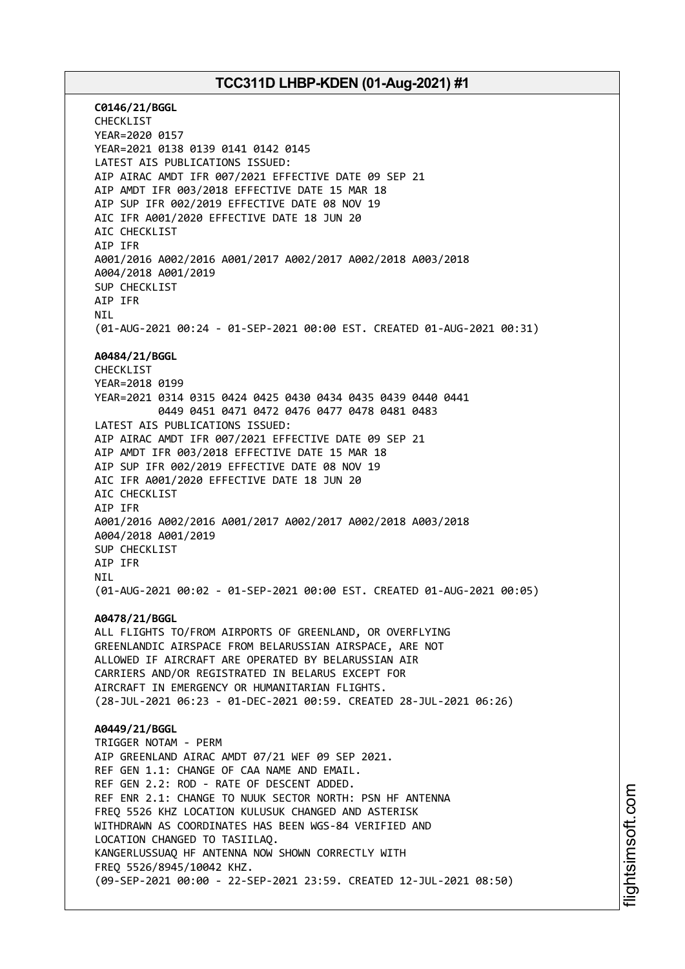**C0146/21/BGGL** CHECKLIST YEAR=2020 0157 YEAR=2021 0138 0139 0141 0142 0145 LATEST AIS PUBLICATIONS ISSUED: AIP AIRAC AMDT IFR 007/2021 EFFECTIVE DATE 09 SEP 21 AIP AMDT IFR 003/2018 EFFECTIVE DATE 15 MAR 18 AIP SUP IFR 002/2019 EFFECTIVE DATE 08 NOV 19 AIC IFR A001/2020 EFFECTIVE DATE 18 JUN 20 AIC CHECKLIST AIP IFR A001/2016 A002/2016 A001/2017 A002/2017 A002/2018 A003/2018 A004/2018 A001/2019 SUP CHECKLIST AIP IFR **NTI** (01-AUG-2021 00:24 - 01-SEP-2021 00:00 EST. CREATED 01-AUG-2021 00:31) **A0484/21/BGGL** CHECKLIST YEAR=2018 0199 YEAR=2021 0314 0315 0424 0425 0430 0434 0435 0439 0440 0441 0449 0451 0471 0472 0476 0477 0478 0481 0483 LATEST AIS PUBLICATIONS ISSUED: AIP AIRAC AMDT IFR 007/2021 EFFECTIVE DATE 09 SEP 21 AIP AMDT IFR 003/2018 EFFECTIVE DATE 15 MAR 18 AIP SUP IFR 002/2019 EFFECTIVE DATE 08 NOV 19 AIC IFR A001/2020 EFFECTIVE DATE 18 JUN 20 AIC CHECKLIST AIP IFR A001/2016 A002/2016 A001/2017 A002/2017 A002/2018 A003/2018 A004/2018 A001/2019 SUP CHECKLIST AIP IFR NIL (01-AUG-2021 00:02 - 01-SEP-2021 00:00 EST. CREATED 01-AUG-2021 00:05) **A0478/21/BGGL** ALL FLIGHTS TO/FROM AIRPORTS OF GREENLAND, OR OVERFLYING GREENLANDIC AIRSPACE FROM BELARUSSIAN AIRSPACE, ARE NOT ALLOWED IF AIRCRAFT ARE OPERATED BY BELARUSSIAN AIR CARRIERS AND/OR REGISTRATED IN BELARUS EXCEPT FOR AIRCRAFT IN EMERGENCY OR HUMANITARIAN FLIGHTS. (28-JUL-2021 06:23 - 01-DEC-2021 00:59. CREATED 28-JUL-2021 06:26) **A0449/21/BGGL** TRIGGER NOTAM - PERM AIP GREENLAND AIRAC AMDT 07/21 WEF 09 SEP 2021. REF GEN 1.1: CHANGE OF CAA NAME AND EMAIL. REF GEN 2.2: ROD - RATE OF DESCENT ADDED. REF ENR 2.1: CHANGE TO NUUK SECTOR NORTH: PSN HF ANTENNA FREQ 5526 KHZ LOCATION KULUSUK CHANGED AND ASTERISK WITHDRAWN AS COORDINATES HAS BEEN WGS-84 VERIFIED AND LOCATION CHANGED TO TASIILAQ. KANGERLUSSUAQ HF ANTENNA NOW SHOWN CORRECTLY WITH FREQ 5526/8945/10042 KHZ. (09-SEP-2021 00:00 - 22-SEP-2021 23:59. CREATED 12-JUL-2021 08:50)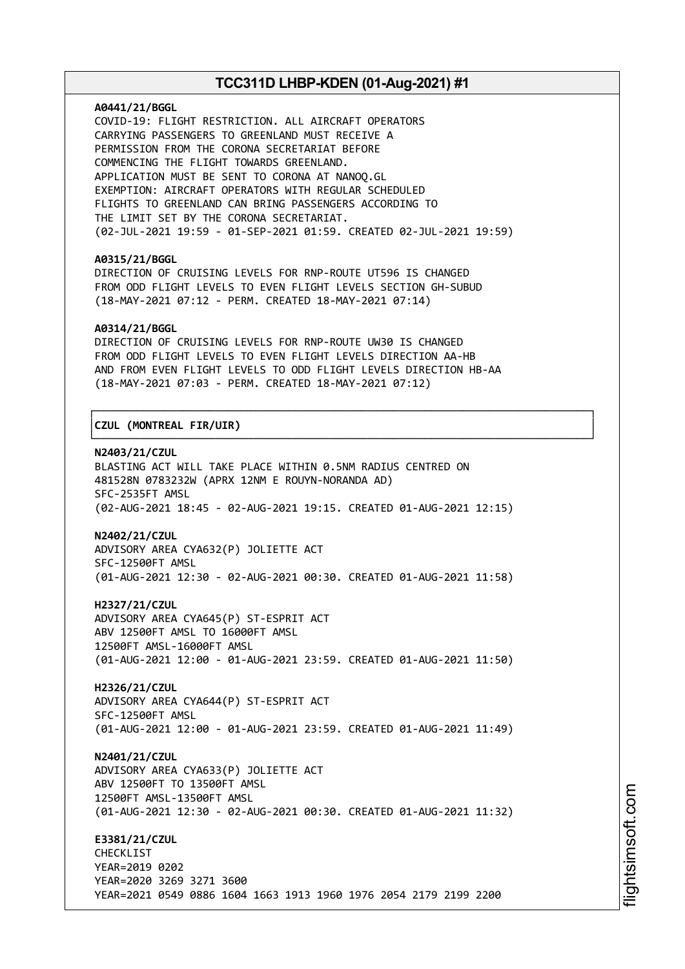#### **A0441/21/BGGL**

COVID-19: FLIGHT RESTRICTION. ALL AIRCRAFT OPERATORS CARRYING PASSENGERS TO GREENLAND MUST RECEIVE A PERMISSION FROM THE CORONA SECRETARIAT BEFORE COMMENCING THE FLIGHT TOWARDS GREENLAND. APPLICATION MUST BE SENT TO CORONA AT NANOQ.GL EXEMPTION: AIRCRAFT OPERATORS WITH REGULAR SCHEDULED FLIGHTS TO GREENLAND CAN BRING PASSENGERS ACCORDING TO THE LIMIT SET BY THE CORONA SECRETARIAT. (02-JUL-2021 19:59 - 01-SEP-2021 01:59. CREATED 02-JUL-2021 19:59)

#### **A0315/21/BGGL**

DIRECTION OF CRUISING LEVELS FOR RNP-ROUTE UT596 IS CHANGED FROM ODD FLIGHT LEVELS TO EVEN FLIGHT LEVELS SECTION GH-SUBUD (18-MAY-2021 07:12 - PERM. CREATED 18-MAY-2021 07:14)

### **A0314/21/BGGL**

DIRECTION OF CRUISING LEVELS FOR RNP-ROUTE UW30 IS CHANGED FROM ODD FLIGHT LEVELS TO EVEN FLIGHT LEVELS DIRECTION AA-HB AND FROM EVEN FLIGHT LEVELS TO ODD FLIGHT LEVELS DIRECTION HB-AA (18-MAY-2021 07:03 - PERM. CREATED 18-MAY-2021 07:12)

┌──────────────────────────────────────────────────────────────────────────────┐

└──────────────────────────────────────────────────────────────────────────────┘

### │**CZUL (MONTREAL FIR/UIR)** │

### **N2403/21/CZUL**

BLASTING ACT WILL TAKE PLACE WITHIN 0.5NM RADIUS CENTRED ON 481528N 0783232W (APRX 12NM E ROUYN-NORANDA AD) SFC-2535FT AMSL (02-AUG-2021 18:45 - 02-AUG-2021 19:15. CREATED 01-AUG-2021 12:15)

#### **N2402/21/CZUL**

ADVISORY AREA CYA632(P) JOLIETTE ACT SFC-12500FT AMSL (01-AUG-2021 12:30 - 02-AUG-2021 00:30. CREATED 01-AUG-2021 11:58)

**H2327/21/CZUL** ADVISORY AREA CYA645(P) ST-ESPRIT ACT ABV 12500FT AMSL TO 16000FT AMSL 12500FT AMSL-16000FT AMSL (01-AUG-2021 12:00 - 01-AUG-2021 23:59. CREATED 01-AUG-2021 11:50)

**H2326/21/CZUL** ADVISORY AREA CYA644(P) ST-ESPRIT ACT SFC-12500FT AMSL (01-AUG-2021 12:00 - 01-AUG-2021 23:59. CREATED 01-AUG-2021 11:49)

**N2401/21/CZUL** ADVISORY AREA CYA633(P) JOLIETTE ACT ABV 12500FT TO 13500FT AMSL 12500FT AMSL-13500FT AMSL (01-AUG-2021 12:30 - 02-AUG-2021 00:30. CREATED 01-AUG-2021 11:32)

**E3381/21/CZUL** CHECKLIST YEAR=2019 0202 YEAR=2020 3269 3271 3600 YEAR=2021 0549 0886 1604 1663 1913 1960 1976 2054 2179 2199 2200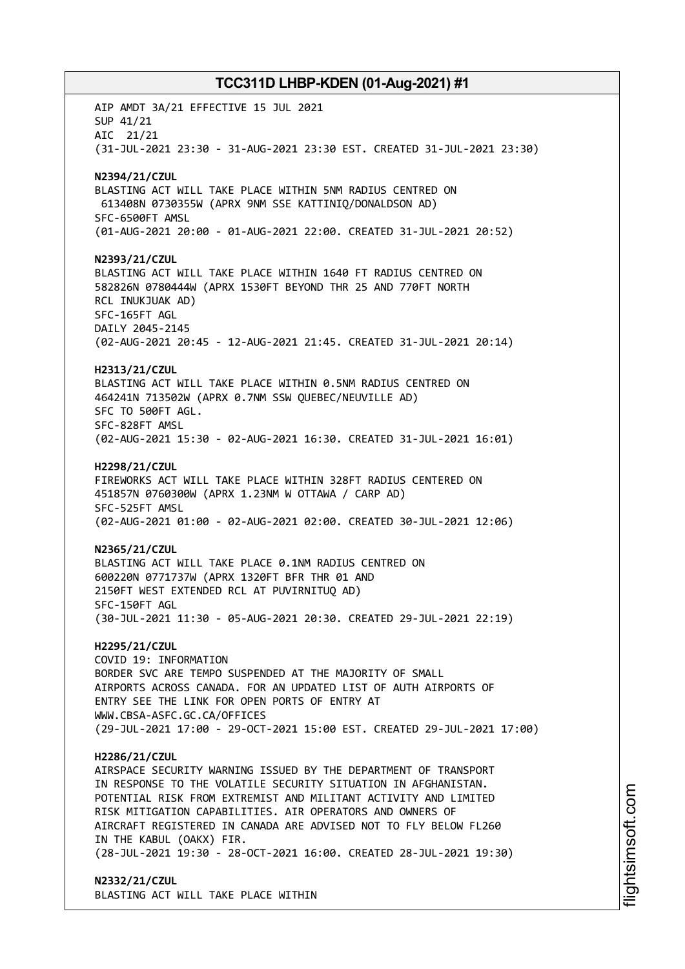AIP AMDT 3A/21 EFFECTIVE 15 JUL 2021 SUP 41/21 AIC 21/21 (31-JUL-2021 23:30 - 31-AUG-2021 23:30 EST. CREATED 31-JUL-2021 23:30) **N2394/21/CZUL** BLASTING ACT WILL TAKE PLACE WITHIN 5NM RADIUS CENTRED ON 613408N 0730355W (APRX 9NM SSE KATTINIQ/DONALDSON AD) SFC-6500FT AMSL (01-AUG-2021 20:00 - 01-AUG-2021 22:00. CREATED 31-JUL-2021 20:52) **N2393/21/CZUL** BLASTING ACT WILL TAKE PLACE WITHIN 1640 FT RADIUS CENTRED ON 582826N 0780444W (APRX 1530FT BEYOND THR 25 AND 770FT NORTH RCL INUKJUAK AD) SFC-165FT AGL DAILY 2045-2145 (02-AUG-2021 20:45 - 12-AUG-2021 21:45. CREATED 31-JUL-2021 20:14) **H2313/21/CZUL** BLASTING ACT WILL TAKE PLACE WITHIN 0.5NM RADIUS CENTRED ON 464241N 713502W (APRX 0.7NM SSW QUEBEC/NEUVILLE AD) SFC TO 500FT AGL. SFC-828FT AMSL (02-AUG-2021 15:30 - 02-AUG-2021 16:30. CREATED 31-JUL-2021 16:01) **H2298/21/CZUL** FIREWORKS ACT WILL TAKE PLACE WITHIN 328FT RADIUS CENTERED ON 451857N 0760300W (APRX 1.23NM W OTTAWA / CARP AD) SFC-525FT AMSL (02-AUG-2021 01:00 - 02-AUG-2021 02:00. CREATED 30-JUL-2021 12:06) **N2365/21/CZUL** BLASTING ACT WILL TAKE PLACE 0.1NM RADIUS CENTRED ON 600220N 0771737W (APRX 1320FT BFR THR 01 AND 2150FT WEST EXTENDED RCL AT PUVIRNITUQ AD) SFC-150FT AGL (30-JUL-2021 11:30 - 05-AUG-2021 20:30. CREATED 29-JUL-2021 22:19) **H2295/21/CZUL** COVID 19: INFORMATION BORDER SVC ARE TEMPO SUSPENDED AT THE MAJORITY OF SMALL AIRPORTS ACROSS CANADA. FOR AN UPDATED LIST OF AUTH AIRPORTS OF ENTRY SEE THE LINK FOR OPEN PORTS OF ENTRY AT WWW.CBSA-ASFC.GC.CA/OFFICES (29-JUL-2021 17:00 - 29-OCT-2021 15:00 EST. CREATED 29-JUL-2021 17:00) **H2286/21/CZUL** AIRSPACE SECURITY WARNING ISSUED BY THE DEPARTMENT OF TRANSPORT IN RESPONSE TO THE VOLATILE SECURITY SITUATION IN AFGHANISTAN. POTENTIAL RISK FROM EXTREMIST AND MILITANT ACTIVITY AND LIMITED RISK MITIGATION CAPABILITIES. AIR OPERATORS AND OWNERS OF AIRCRAFT REGISTERED IN CANADA ARE ADVISED NOT TO FLY BELOW FL260 IN THE KABUL (OAKX) FIR. (28-JUL-2021 19:30 - 28-OCT-2021 16:00. CREATED 28-JUL-2021 19:30) **N2332/21/CZUL** BLASTING ACT WILL TAKE PLACE WITHIN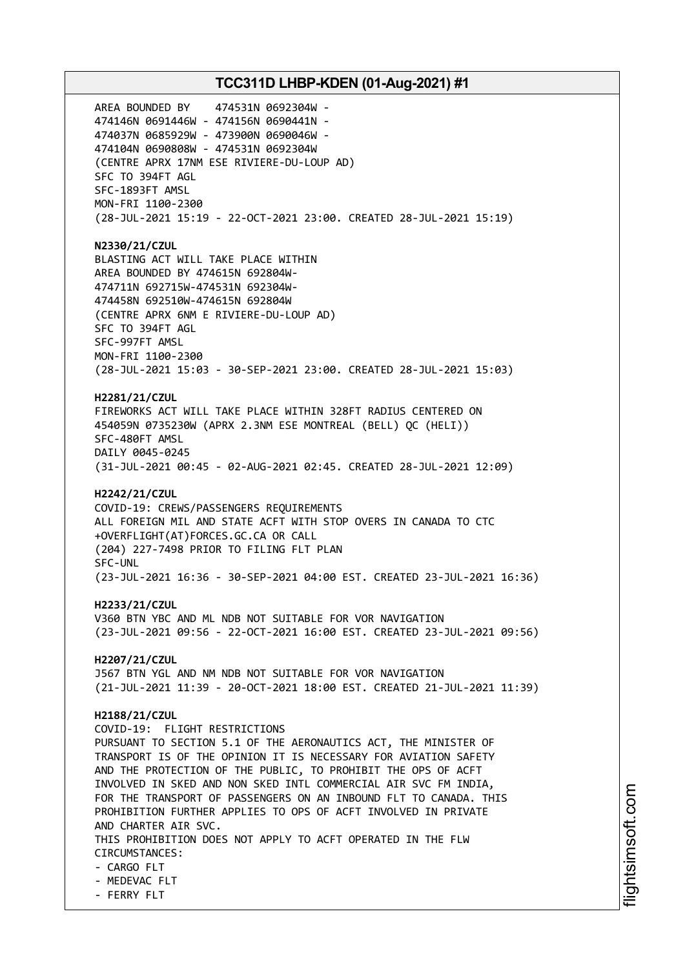AREA BOUNDED BY 474531N 0692304W - 474146N 0691446W - 474156N 0690441N - 474037N 0685929W - 473900N 0690046W - 474104N 0690808W - 474531N 0692304W (CENTRE APRX 17NM ESE RIVIERE-DU-LOUP AD) SFC TO 394FT AGL SFC-1893FT AMSL MON-FRI 1100-2300 (28-JUL-2021 15:19 - 22-OCT-2021 23:00. CREATED 28-JUL-2021 15:19) **N2330/21/CZUL** BLASTING ACT WILL TAKE PLACE WITHIN AREA BOUNDED BY 474615N 692804W-474711N 692715W-474531N 692304W-474458N 692510W-474615N 692804W (CENTRE APRX 6NM E RIVIERE-DU-LOUP AD) SFC TO 394FT AGL SFC-997FT AMSL MON-FRI 1100-2300 (28-JUL-2021 15:03 - 30-SEP-2021 23:00. CREATED 28-JUL-2021 15:03) **H2281/21/CZUL** FIREWORKS ACT WILL TAKE PLACE WITHIN 328FT RADIUS CENTERED ON 454059N 0735230W (APRX 2.3NM ESE MONTREAL (BELL) QC (HELI)) SFC-480FT AMSL DAILY 0045-0245 (31-JUL-2021 00:45 - 02-AUG-2021 02:45. CREATED 28-JUL-2021 12:09) **H2242/21/CZUL** COVID-19: CREWS/PASSENGERS REQUIREMENTS ALL FOREIGN MIL AND STATE ACFT WITH STOP OVERS IN CANADA TO CTC +OVERFLIGHT(AT)FORCES.GC.CA OR CALL (204) 227-7498 PRIOR TO FILING FLT PLAN SFC-UNL (23-JUL-2021 16:36 - 30-SEP-2021 04:00 EST. CREATED 23-JUL-2021 16:36) **H2233/21/CZUL** V360 BTN YBC AND ML NDB NOT SUITABLE FOR VOR NAVIGATION (23-JUL-2021 09:56 - 22-OCT-2021 16:00 EST. CREATED 23-JUL-2021 09:56) **H2207/21/CZUL** J567 BTN YGL AND NM NDB NOT SUITABLE FOR VOR NAVIGATION (21-JUL-2021 11:39 - 20-OCT-2021 18:00 EST. CREATED 21-JUL-2021 11:39) **H2188/21/CZUL** COVID-19: FLIGHT RESTRICTIONS PURSUANT TO SECTION 5.1 OF THE AERONAUTICS ACT, THE MINISTER OF TRANSPORT IS OF THE OPINION IT IS NECESSARY FOR AVIATION SAFETY AND THE PROTECTION OF THE PUBLIC, TO PROHIBIT THE OPS OF ACFT INVOLVED IN SKED AND NON SKED INTL COMMERCIAL AIR SVC FM INDIA, FOR THE TRANSPORT OF PASSENGERS ON AN INBOUND FLT TO CANADA. THIS PROHIBITION FURTHER APPLIES TO OPS OF ACFT INVOLVED IN PRIVATE AND CHARTER AIR SVC. THIS PROHIBITION DOES NOT APPLY TO ACFT OPERATED IN THE FLW CIRCUMSTANCES: - CARGO FLT - MEDEVAC FLT - FERRY FLT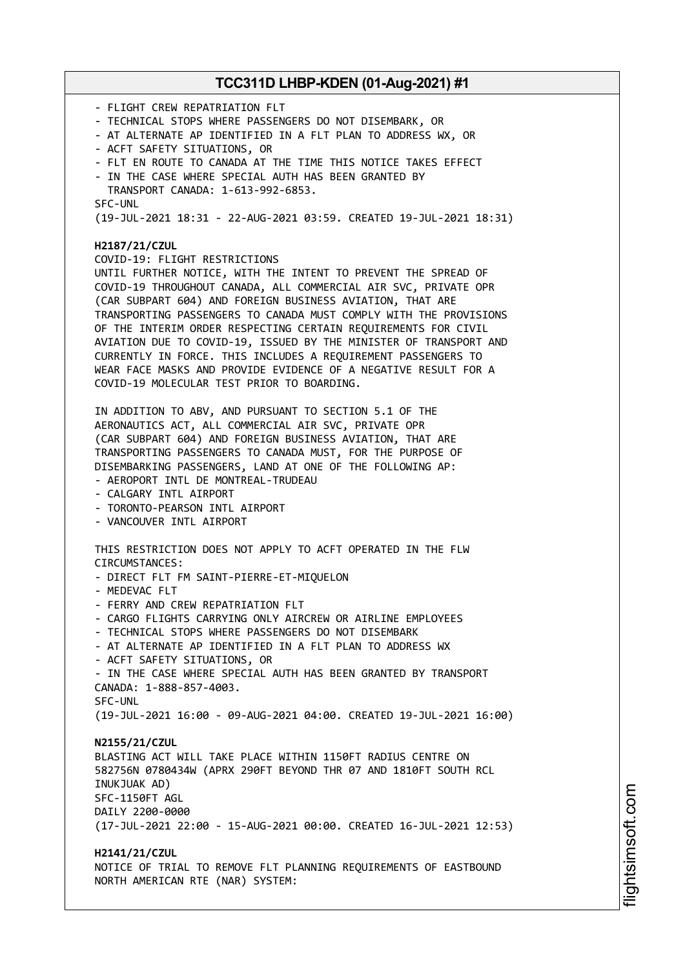- FLIGHT CREW REPATRIATION FLT - TECHNICAL STOPS WHERE PASSENGERS DO NOT DISEMBARK, OR - AT ALTERNATE AP IDENTIFIED IN A FLT PLAN TO ADDRESS WX, OR - ACFT SAFETY SITUATIONS, OR - FLT EN ROUTE TO CANADA AT THE TIME THIS NOTICE TAKES EFFECT - IN THE CASE WHERE SPECIAL AUTH HAS BEEN GRANTED BY TRANSPORT CANADA: 1-613-992-6853. SFC-UNL (19-JUL-2021 18:31 - 22-AUG-2021 03:59. CREATED 19-JUL-2021 18:31) **H2187/21/CZUL** COVID-19: FLIGHT RESTRICTIONS UNTIL FURTHER NOTICE, WITH THE INTENT TO PREVENT THE SPREAD OF COVID-19 THROUGHOUT CANADA, ALL COMMERCIAL AIR SVC, PRIVATE OPR (CAR SUBPART 604) AND FOREIGN BUSINESS AVIATION, THAT ARE TRANSPORTING PASSENGERS TO CANADA MUST COMPLY WITH THE PROVISIONS OF THE INTERIM ORDER RESPECTING CERTAIN REQUIREMENTS FOR CIVIL AVIATION DUE TO COVID-19, ISSUED BY THE MINISTER OF TRANSPORT AND CURRENTLY IN FORCE. THIS INCLUDES A REQUIREMENT PASSENGERS TO WEAR FACE MASKS AND PROVIDE EVIDENCE OF A NEGATIVE RESULT FOR A COVID-19 MOLECULAR TEST PRIOR TO BOARDING. IN ADDITION TO ABV, AND PURSUANT TO SECTION 5.1 OF THE AERONAUTICS ACT, ALL COMMERCIAL AIR SVC, PRIVATE OPR (CAR SUBPART 604) AND FOREIGN BUSINESS AVIATION, THAT ARE TRANSPORTING PASSENGERS TO CANADA MUST, FOR THE PURPOSE OF DISEMBARKING PASSENGERS, LAND AT ONE OF THE FOLLOWING AP: - AEROPORT INTL DE MONTREAL-TRUDEAU - CALGARY INTL AIRPORT - TORONTO-PEARSON INTL AIRPORT - VANCOUVER INTL AIRPORT THIS RESTRICTION DOES NOT APPLY TO ACFT OPERATED IN THE FLW CIRCUMSTANCES: - DIRECT FLT FM SAINT-PIERRE-ET-MIQUELON - MEDEVAC FLT - FERRY AND CREW REPATRIATION FLT - CARGO FLIGHTS CARRYING ONLY AIRCREW OR AIRLINE EMPLOYEES - TECHNICAL STOPS WHERE PASSENGERS DO NOT DISEMBARK - AT ALTERNATE AP IDENTIFIED IN A FLT PLAN TO ADDRESS WX - ACFT SAFETY SITUATIONS, OR - IN THE CASE WHERE SPECIAL AUTH HAS BEEN GRANTED BY TRANSPORT CANADA: 1-888-857-4003. SFC-UNL (19-JUL-2021 16:00 - 09-AUG-2021 04:00. CREATED 19-JUL-2021 16:00) **N2155/21/CZUL** BLASTING ACT WILL TAKE PLACE WITHIN 1150FT RADIUS CENTRE ON 582756N 0780434W (APRX 290FT BEYOND THR 07 AND 1810FT SOUTH RCL INUKJUAK AD) SFC-1150FT AGL DAILY 2200-0000 (17-JUL-2021 22:00 - 15-AUG-2021 00:00. CREATED 16-JUL-2021 12:53) **H2141/21/CZUL** NOTICE OF TRIAL TO REMOVE FLT PLANNING REQUIREMENTS OF EASTBOUND NORTH AMERICAN RTE (NAR) SYSTEM: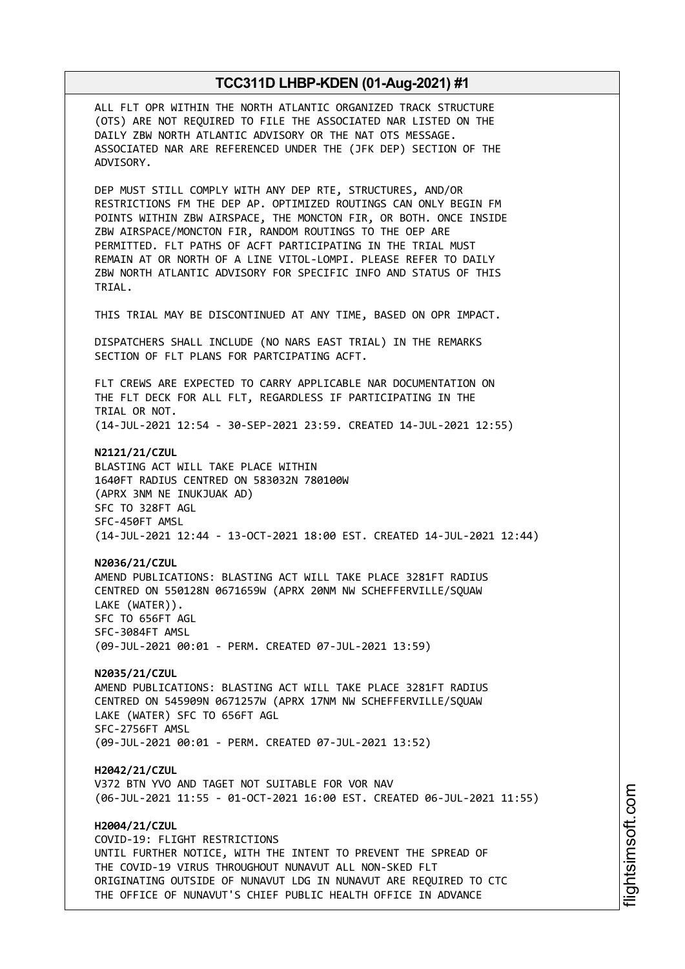ALL FLT OPR WITHIN THE NORTH ATLANTIC ORGANIZED TRACK STRUCTURE (OTS) ARE NOT REQUIRED TO FILE THE ASSOCIATED NAR LISTED ON THE DAILY ZBW NORTH ATLANTIC ADVISORY OR THE NAT OTS MESSAGE. ASSOCIATED NAR ARE REFERENCED UNDER THE (JFK DEP) SECTION OF THE ADVISORY.

DEP MUST STILL COMPLY WITH ANY DEP RTE, STRUCTURES, AND/OR RESTRICTIONS FM THE DEP AP. OPTIMIZED ROUTINGS CAN ONLY BEGIN FM POINTS WITHIN ZBW AIRSPACE, THE MONCTON FIR, OR BOTH. ONCE INSIDE ZBW AIRSPACE/MONCTON FIR, RANDOM ROUTINGS TO THE OEP ARE PERMITTED. FLT PATHS OF ACFT PARTICIPATING IN THE TRIAL MUST REMAIN AT OR NORTH OF A LINE VITOL-LOMPI. PLEASE REFER TO DAILY ZBW NORTH ATLANTIC ADVISORY FOR SPECIFIC INFO AND STATUS OF THIS TRIAL.

THIS TRIAL MAY BE DISCONTINUED AT ANY TIME, BASED ON OPR IMPACT.

DISPATCHERS SHALL INCLUDE (NO NARS EAST TRIAL) IN THE REMARKS SECTION OF FLT PLANS FOR PARTCIPATING ACFT.

FLT CREWS ARE EXPECTED TO CARRY APPLICABLE NAR DOCUMENTATION ON THE FLT DECK FOR ALL FLT, REGARDLESS IF PARTICIPATING IN THE TRIAL OR NOT. (14-JUL-2021 12:54 - 30-SEP-2021 23:59. CREATED 14-JUL-2021 12:55)

**N2121/21/CZUL** BLASTING ACT WILL TAKE PLACE WITHIN 1640FT RADIUS CENTRED ON 583032N 780100W (APRX 3NM NE INUKJUAK AD) SFC TO 328FT AGL SFC-450FT AMSL (14-JUL-2021 12:44 - 13-OCT-2021 18:00 EST. CREATED 14-JUL-2021 12:44)

**N2036/21/CZUL** AMEND PUBLICATIONS: BLASTING ACT WILL TAKE PLACE 3281FT RADIUS CENTRED ON 550128N 0671659W (APRX 20NM NW SCHEFFERVILLE/SQUAW LAKE (WATER)). SFC TO 656FT AGL SFC-3084FT AMSL (09-JUL-2021 00:01 - PERM. CREATED 07-JUL-2021 13:59)

**N2035/21/CZUL** AMEND PUBLICATIONS: BLASTING ACT WILL TAKE PLACE 3281FT RADIUS CENTRED ON 545909N 0671257W (APRX 17NM NW SCHEFFERVILLE/SQUAW LAKE (WATER) SFC TO 656FT AGL SFC-2756FT AMSL (09-JUL-2021 00:01 - PERM. CREATED 07-JUL-2021 13:52)

**H2042/21/CZUL** V372 BTN YVO AND TAGET NOT SUITABLE FOR VOR NAV (06-JUL-2021 11:55 - 01-OCT-2021 16:00 EST. CREATED 06-JUL-2021 11:55)

**H2004/21/CZUL** COVID-19: FLIGHT RESTRICTIONS UNTIL FURTHER NOTICE, WITH THE INTENT TO PREVENT THE SPREAD OF THE COVID-19 VIRUS THROUGHOUT NUNAVUT ALL NON-SKED FLT ORIGINATING OUTSIDE OF NUNAVUT LDG IN NUNAVUT ARE REQUIRED TO CTC THE OFFICE OF NUNAVUT'S CHIEF PUBLIC HEALTH OFFICE IN ADVANCE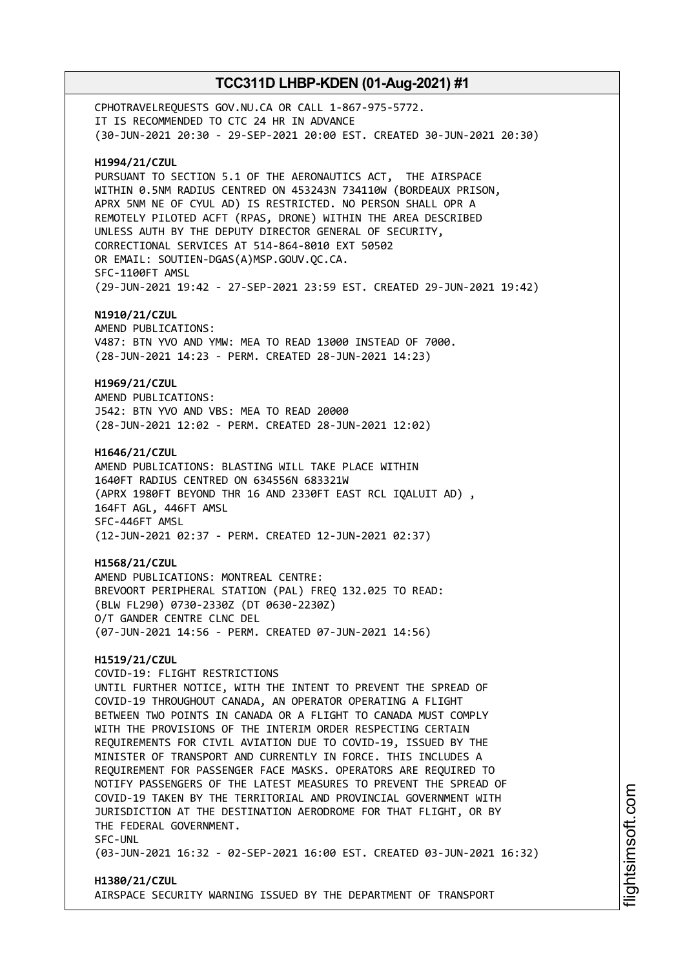CPHOTRAVELREQUESTS GOV.NU.CA OR CALL 1-867-975-5772. IT IS RECOMMENDED TO CTC 24 HR IN ADVANCE (30-JUN-2021 20:30 - 29-SEP-2021 20:00 EST. CREATED 30-JUN-2021 20:30) **H1994/21/CZUL** PURSUANT TO SECTION 5.1 OF THE AERONAUTICS ACT, THE AIRSPACE WITHIN 0.5NM RADIUS CENTRED ON 453243N 734110W (BORDEAUX PRISON, APRX 5NM NE OF CYUL AD) IS RESTRICTED. NO PERSON SHALL OPR A REMOTELY PILOTED ACFT (RPAS, DRONE) WITHIN THE AREA DESCRIBED UNLESS AUTH BY THE DEPUTY DIRECTOR GENERAL OF SECURITY, CORRECTIONAL SERVICES AT 514-864-8010 EXT 50502 OR EMAIL: SOUTIEN-DGAS(A)MSP.GOUV.QC.CA. SFC-1100FT AMSL (29-JUN-2021 19:42 - 27-SEP-2021 23:59 EST. CREATED 29-JUN-2021 19:42) **N1910/21/CZUL** AMEND PUBLICATIONS: V487: BTN YVO AND YMW: MEA TO READ 13000 INSTEAD OF 7000. (28-JUN-2021 14:23 - PERM. CREATED 28-JUN-2021 14:23) **H1969/21/CZUL** AMEND PUBLICATIONS: J542: BTN YVO AND VBS: MEA TO READ 20000 (28-JUN-2021 12:02 - PERM. CREATED 28-JUN-2021 12:02) **H1646/21/CZUL** AMEND PUBLICATIONS: BLASTING WILL TAKE PLACE WITHIN 1640FT RADIUS CENTRED ON 634556N 683321W (APRX 1980FT BEYOND THR 16 AND 2330FT EAST RCL IQALUIT AD) , 164FT AGL, 446FT AMSL SFC-446FT AMSL (12-JUN-2021 02:37 - PERM. CREATED 12-JUN-2021 02:37) **H1568/21/CZUL** AMEND PUBLICATIONS: MONTREAL CENTRE: BREVOORT PERIPHERAL STATION (PAL) FREQ 132.025 TO READ: (BLW FL290) 0730-2330Z (DT 0630-2230Z) O/T GANDER CENTRE CLNC DEL (07-JUN-2021 14:56 - PERM. CREATED 07-JUN-2021 14:56) **H1519/21/CZUL** COVID-19: FLIGHT RESTRICTIONS UNTIL FURTHER NOTICE, WITH THE INTENT TO PREVENT THE SPREAD OF COVID-19 THROUGHOUT CANADA, AN OPERATOR OPERATING A FLIGHT BETWEEN TWO POINTS IN CANADA OR A FLIGHT TO CANADA MUST COMPLY WITH THE PROVISIONS OF THE INTERIM ORDER RESPECTING CERTAIN REQUIREMENTS FOR CIVIL AVIATION DUE TO COVID-19, ISSUED BY THE MINISTER OF TRANSPORT AND CURRENTLY IN FORCE. THIS INCLUDES A REQUIREMENT FOR PASSENGER FACE MASKS. OPERATORS ARE REQUIRED TO NOTIFY PASSENGERS OF THE LATEST MEASURES TO PREVENT THE SPREAD OF COVID-19 TAKEN BY THE TERRITORIAL AND PROVINCIAL GOVERNMENT WITH JURISDICTION AT THE DESTINATION AERODROME FOR THAT FLIGHT, OR BY THE FEDERAL GOVERNMENT. SFC-UNL (03-JUN-2021 16:32 - 02-SEP-2021 16:00 EST. CREATED 03-JUN-2021 16:32)

**H1380/21/CZUL** AIRSPACE SECURITY WARNING ISSUED BY THE DEPARTMENT OF TRANSPORT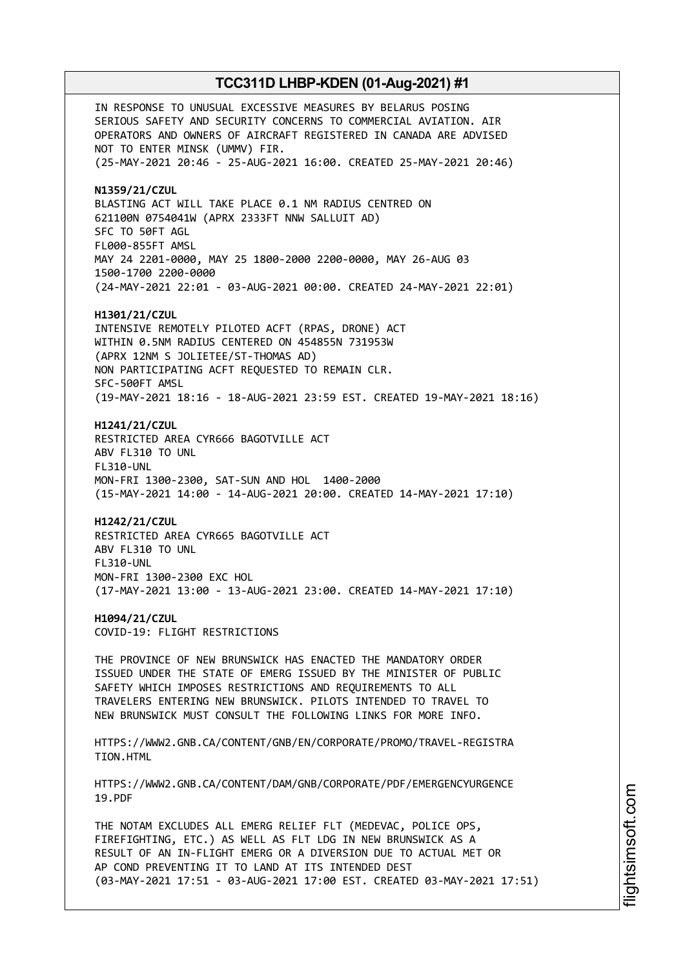IN RESPONSE TO UNUSUAL EXCESSIVE MEASURES BY BELARUS POSING SERIOUS SAFETY AND SECURITY CONCERNS TO COMMERCIAL AVIATION. AIR OPERATORS AND OWNERS OF AIRCRAFT REGISTERED IN CANADA ARE ADVISED NOT TO ENTER MINSK (UMMV) FIR. (25-MAY-2021 20:46 - 25-AUG-2021 16:00. CREATED 25-MAY-2021 20:46) **N1359/21/CZUL** BLASTING ACT WILL TAKE PLACE 0.1 NM RADIUS CENTRED ON 621100N 0754041W (APRX 2333FT NNW SALLUIT AD) SFC TO 50FT AGL FL000-855FT AMSL MAY 24 2201-0000, MAY 25 1800-2000 2200-0000, MAY 26-AUG 03 1500-1700 2200-0000 (24-MAY-2021 22:01 - 03-AUG-2021 00:00. CREATED 24-MAY-2021 22:01) **H1301/21/CZUL** INTENSIVE REMOTELY PILOTED ACFT (RPAS, DRONE) ACT WITHIN 0.5NM RADIUS CENTERED ON 454855N 731953W (APRX 12NM S JOLIETEE/ST-THOMAS AD) NON PARTICIPATING ACFT REQUESTED TO REMAIN CLR. SFC-500FT AMSL (19-MAY-2021 18:16 - 18-AUG-2021 23:59 EST. CREATED 19-MAY-2021 18:16) **H1241/21/CZUL** RESTRICTED AREA CYR666 BAGOTVILLE ACT ABV FL310 TO UNL FL310-UNL MON-FRI 1300-2300, SAT-SUN AND HOL 1400-2000 (15-MAY-2021 14:00 - 14-AUG-2021 20:00. CREATED 14-MAY-2021 17:10) **H1242/21/CZUL** RESTRICTED AREA CYR665 BAGOTVILLE ACT ABV FL310 TO UNL FL310-UNL MON-FRI 1300-2300 EXC HOL (17-MAY-2021 13:00 - 13-AUG-2021 23:00. CREATED 14-MAY-2021 17:10) **H1094/21/CZUL** COVID-19: FLIGHT RESTRICTIONS THE PROVINCE OF NEW BRUNSWICK HAS ENACTED THE MANDATORY ORDER ISSUED UNDER THE STATE OF EMERG ISSUED BY THE MINISTER OF PUBLIC SAFETY WHICH IMPOSES RESTRICTIONS AND REQUIREMENTS TO ALL TRAVELERS ENTERING NEW BRUNSWICK. PILOTS INTENDED TO TRAVEL TO NEW BRUNSWICK MUST CONSULT THE FOLLOWING LINKS FOR MORE INFO. HTTPS://WWW2.GNB.CA/CONTENT/GNB/EN/CORPORATE/PROMO/TRAVEL-REGISTRA TION.HTML HTTPS://WWW2.GNB.CA/CONTENT/DAM/GNB/CORPORATE/PDF/EMERGENCYURGENCE 19.PDF THE NOTAM EXCLUDES ALL EMERG RELIEF FLT (MEDEVAC, POLICE OPS, FIREFIGHTING, ETC.) AS WELL AS FLT LDG IN NEW BRUNSWICK AS A RESULT OF AN IN-FLIGHT EMERG OR A DIVERSION DUE TO ACTUAL MET OR AP COND PREVENTING IT TO LAND AT ITS INTENDED DEST

(03-MAY-2021 17:51 - 03-AUG-2021 17:00 EST. CREATED 03-MAY-2021 17:51)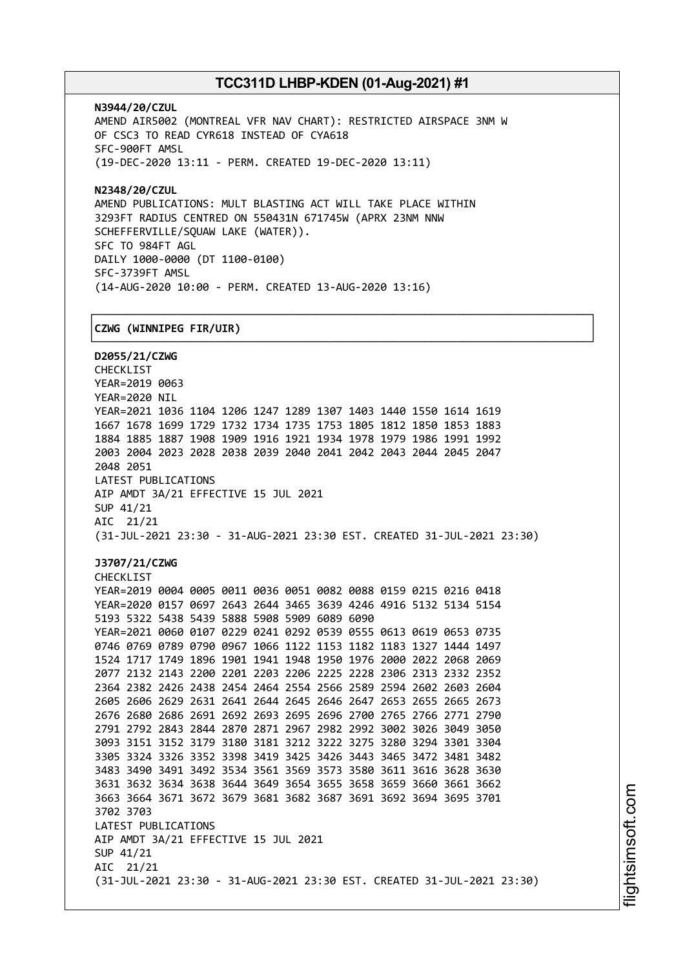┌──────────────────────────────────────────────────────────────────────────────┐

**N3944/20/CZUL** AMEND AIR5002 (MONTREAL VFR NAV CHART): RESTRICTED AIRSPACE 3NM W OF CSC3 TO READ CYR618 INSTEAD OF CYA618 SFC-900FT AMSL (19-DEC-2020 13:11 - PERM. CREATED 19-DEC-2020 13:11)

**N2348/20/CZUL** AMEND PUBLICATIONS: MULT BLASTING ACT WILL TAKE PLACE WITHIN 3293FT RADIUS CENTRED ON 550431N 671745W (APRX 23NM NNW SCHEFFERVILLE/SQUAW LAKE (WATER)). SFC TO 984FT AGL DAILY 1000-0000 (DT 1100-0100) SFC-3739FT AMSL (14-AUG-2020 10:00 - PERM. CREATED 13-AUG-2020 13:16)

### │**CZWG (WINNIPEG FIR/UIR)** │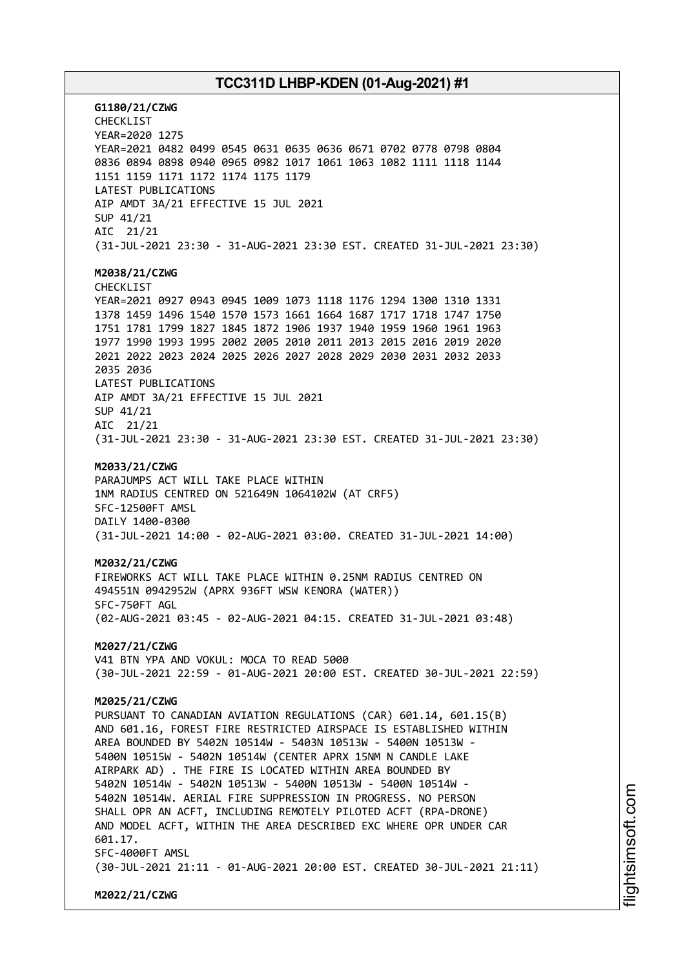**G1180/21/CZWG** CHECKLIST YEAR=2020 1275 YEAR=2021 0482 0499 0545 0631 0635 0636 0671 0702 0778 0798 0804 0836 0894 0898 0940 0965 0982 1017 1061 1063 1082 1111 1118 1144 1151 1159 1171 1172 1174 1175 1179 LATEST PUBLICATIONS AIP AMDT 3A/21 EFFECTIVE 15 JUL 2021 SUP 41/21 AIC 21/21 (31-JUL-2021 23:30 - 31-AUG-2021 23:30 EST. CREATED 31-JUL-2021 23:30) **M2038/21/CZWG** CHECKLIST YEAR=2021 0927 0943 0945 1009 1073 1118 1176 1294 1300 1310 1331 1378 1459 1496 1540 1570 1573 1661 1664 1687 1717 1718 1747 1750 1751 1781 1799 1827 1845 1872 1906 1937 1940 1959 1960 1961 1963 1977 1990 1993 1995 2002 2005 2010 2011 2013 2015 2016 2019 2020 2021 2022 2023 2024 2025 2026 2027 2028 2029 2030 2031 2032 2033 2035 2036 LATEST PUBLICATIONS AIP AMDT 3A/21 EFFECTIVE 15 JUL 2021 SUP 41/21 AIC 21/21 (31-JUL-2021 23:30 - 31-AUG-2021 23:30 EST. CREATED 31-JUL-2021 23:30) **M2033/21/CZWG** PARAJUMPS ACT WILL TAKE PLACE WITHIN 1NM RADIUS CENTRED ON 521649N 1064102W (AT CRF5) SFC-12500FT AMSL DAILY 1400-0300 (31-JUL-2021 14:00 - 02-AUG-2021 03:00. CREATED 31-JUL-2021 14:00) **M2032/21/CZWG** FIREWORKS ACT WILL TAKE PLACE WITHIN 0.25NM RADIUS CENTRED ON 494551N 0942952W (APRX 936FT WSW KENORA (WATER)) SFC-750FT AGL (02-AUG-2021 03:45 - 02-AUG-2021 04:15. CREATED 31-JUL-2021 03:48) **M2027/21/CZWG** V41 BTN YPA AND VOKUL: MOCA TO READ 5000 (30-JUL-2021 22:59 - 01-AUG-2021 20:00 EST. CREATED 30-JUL-2021 22:59) **M2025/21/CZWG** PURSUANT TO CANADIAN AVIATION REGULATIONS (CAR) 601.14, 601.15(B) AND 601.16, FOREST FIRE RESTRICTED AIRSPACE IS ESTABLISHED WITHIN AREA BOUNDED BY 5402N 10514W - 5403N 10513W - 5400N 10513W - 5400N 10515W - 5402N 10514W (CENTER APRX 15NM N CANDLE LAKE AIRPARK AD) . THE FIRE IS LOCATED WITHIN AREA BOUNDED BY 5402N 10514W - 5402N 10513W - 5400N 10513W - 5400N 10514W - 5402N 10514W. AERIAL FIRE SUPPRESSION IN PROGRESS. NO PERSON SHALL OPR AN ACFT, INCLUDING REMOTELY PILOTED ACFT (RPA-DRONE) AND MODEL ACFT, WITHIN THE AREA DESCRIBED EXC WHERE OPR UNDER CAR 601.17. SFC-4000FT AMSL (30-JUL-2021 21:11 - 01-AUG-2021 20:00 EST. CREATED 30-JUL-2021 21:11) **M2022/21/CZWG**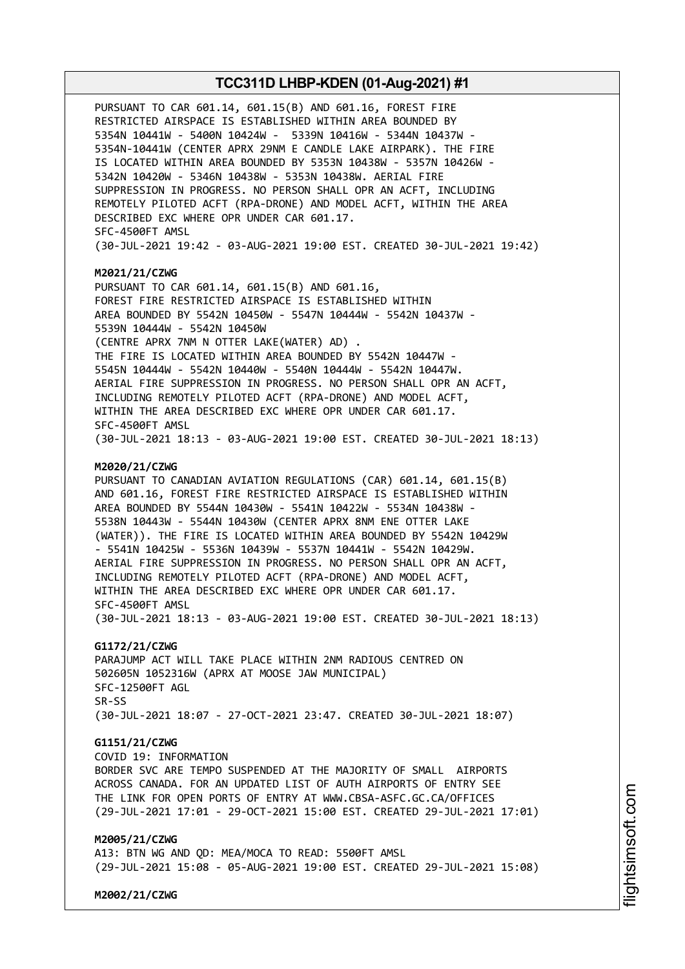PURSUANT TO CAR 601.14, 601.15(B) AND 601.16, FOREST FIRE RESTRICTED AIRSPACE IS ESTABLISHED WITHIN AREA BOUNDED BY 5354N 10441W - 5400N 10424W - 5339N 10416W - 5344N 10437W - 5354N-10441W (CENTER APRX 29NM E CANDLE LAKE AIRPARK). THE FIRE IS LOCATED WITHIN AREA BOUNDED BY 5353N 10438W - 5357N 10426W - 5342N 10420W - 5346N 10438W - 5353N 10438W. AERIAL FIRE SUPPRESSION IN PROGRESS. NO PERSON SHALL OPR AN ACFT, INCLUDING REMOTELY PILOTED ACFT (RPA-DRONE) AND MODEL ACFT, WITHIN THE AREA DESCRIBED EXC WHERE OPR UNDER CAR 601.17. SFC-4500FT AMSL (30-JUL-2021 19:42 - 03-AUG-2021 19:00 EST. CREATED 30-JUL-2021 19:42)

#### **M2021/21/CZWG**

PURSUANT TO CAR 601.14, 601.15(B) AND 601.16, FOREST FIRE RESTRICTED AIRSPACE IS ESTABLISHED WITHIN AREA BOUNDED BY 5542N 10450W - 5547N 10444W - 5542N 10437W - 5539N 10444W - 5542N 10450W (CENTRE APRX 7NM N OTTER LAKE(WATER) AD) . THE FIRE IS LOCATED WITHIN AREA BOUNDED BY 5542N 10447W - 5545N 10444W - 5542N 10440W - 5540N 10444W - 5542N 10447W. AERIAL FIRE SUPPRESSION IN PROGRESS. NO PERSON SHALL OPR AN ACFT, INCLUDING REMOTELY PILOTED ACFT (RPA-DRONE) AND MODEL ACFT, WITHIN THE AREA DESCRIBED EXC WHERE OPR UNDER CAR 601.17. SFC-4500FT AMSL (30-JUL-2021 18:13 - 03-AUG-2021 19:00 EST. CREATED 30-JUL-2021 18:13)

#### **M2020/21/CZWG**

PURSUANT TO CANADIAN AVIATION REGULATIONS (CAR) 601.14, 601.15(B) AND 601.16, FOREST FIRE RESTRICTED AIRSPACE IS ESTABLISHED WITHIN AREA BOUNDED BY 5544N 10430W - 5541N 10422W - 5534N 10438W - 5538N 10443W - 5544N 10430W (CENTER APRX 8NM ENE OTTER LAKE (WATER)). THE FIRE IS LOCATED WITHIN AREA BOUNDED BY 5542N 10429W - 5541N 10425W - 5536N 10439W - 5537N 10441W - 5542N 10429W. AERIAL FIRE SUPPRESSION IN PROGRESS. NO PERSON SHALL OPR AN ACFT, INCLUDING REMOTELY PILOTED ACFT (RPA-DRONE) AND MODEL ACFT, WITHIN THE AREA DESCRIBED EXC WHERE OPR UNDER CAR 601.17. SFC-4500FT AMSL (30-JUL-2021 18:13 - 03-AUG-2021 19:00 EST. CREATED 30-JUL-2021 18:13)

### **G1172/21/CZWG**

PARAJUMP ACT WILL TAKE PLACE WITHIN 2NM RADIOUS CENTRED ON 502605N 1052316W (APRX AT MOOSE JAW MUNICIPAL) SFC-12500FT AGL SR-SS (30-JUL-2021 18:07 - 27-OCT-2021 23:47. CREATED 30-JUL-2021 18:07)

### **G1151/21/CZWG**

COVID 19: INFORMATION BORDER SVC ARE TEMPO SUSPENDED AT THE MAJORITY OF SMALL AIRPORTS ACROSS CANADA. FOR AN UPDATED LIST OF AUTH AIRPORTS OF ENTRY SEE THE LINK FOR OPEN PORTS OF ENTRY AT WWW.CBSA-ASFC.GC.CA/OFFICES

# (29-JUL-2021 17:01 - 29-OCT-2021 15:00 EST. CREATED 29-JUL-2021 17:01)

### **M2005/21/CZWG**

A13: BTN WG AND QD: MEA/MOCA TO READ: 5500FT AMSL (29-JUL-2021 15:08 - 05-AUG-2021 19:00 EST. CREATED 29-JUL-2021 15:08)

**M2002/21/CZWG**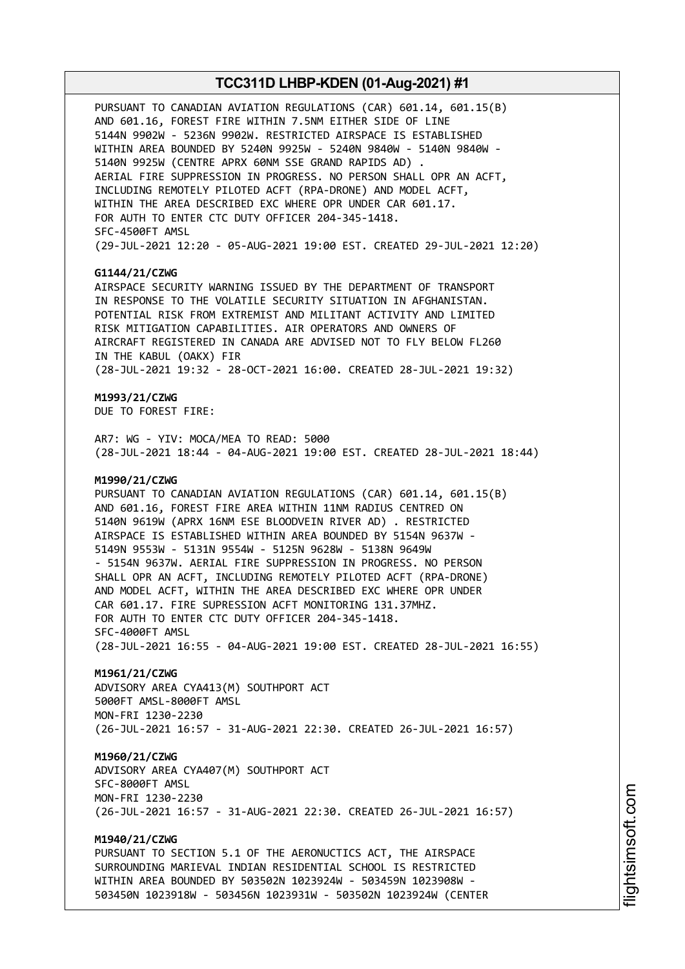PURSUANT TO CANADIAN AVIATION REGULATIONS (CAR) 601.14, 601.15(B) AND 601.16, FOREST FIRE WITHIN 7.5NM EITHER SIDE OF LINE 5144N 9902W - 5236N 9902W. RESTRICTED AIRSPACE IS ESTABLISHED WITHIN AREA BOUNDED BY 5240N 9925W - 5240N 9840W - 5140N 9840W - 5140N 9925W (CENTRE APRX 60NM SSE GRAND RAPIDS AD) . AERIAL FIRE SUPPRESSION IN PROGRESS. NO PERSON SHALL OPR AN ACFT, INCLUDING REMOTELY PILOTED ACFT (RPA-DRONE) AND MODEL ACFT, WITHIN THE AREA DESCRIBED EXC WHERE OPR UNDER CAR 601.17. FOR AUTH TO ENTER CTC DUTY OFFICER 204-345-1418. SFC-4500FT AMSL (29-JUL-2021 12:20 - 05-AUG-2021 19:00 EST. CREATED 29-JUL-2021 12:20)

### **G1144/21/CZWG**

AIRSPACE SECURITY WARNING ISSUED BY THE DEPARTMENT OF TRANSPORT IN RESPONSE TO THE VOLATILE SECURITY SITUATION IN AFGHANISTAN. POTENTIAL RISK FROM EXTREMIST AND MILITANT ACTIVITY AND LIMITED RISK MITIGATION CAPABILITIES. AIR OPERATORS AND OWNERS OF AIRCRAFT REGISTERED IN CANADA ARE ADVISED NOT TO FLY BELOW FL260 IN THE KABUL (OAKX) FIR (28-JUL-2021 19:32 - 28-OCT-2021 16:00. CREATED 28-JUL-2021 19:32)

### **M1993/21/CZWG**

DUE TO FOREST FIRE:

AR7: WG - YIV: MOCA/MEA TO READ: 5000 (28-JUL-2021 18:44 - 04-AUG-2021 19:00 EST. CREATED 28-JUL-2021 18:44)

### **M1990/21/CZWG**

PURSUANT TO CANADIAN AVIATION REGULATIONS (CAR) 601.14, 601.15(B) AND 601.16, FOREST FIRE AREA WITHIN 11NM RADIUS CENTRED ON 5140N 9619W (APRX 16NM ESE BLOODVEIN RIVER AD) . RESTRICTED AIRSPACE IS ESTABLISHED WITHIN AREA BOUNDED BY 5154N 9637W - 5149N 9553W - 5131N 9554W - 5125N 9628W - 5138N 9649W - 5154N 9637W. AERIAL FIRE SUPPRESSION IN PROGRESS. NO PERSON SHALL OPR AN ACFT, INCLUDING REMOTELY PILOTED ACFT (RPA-DRONE) AND MODEL ACFT, WITHIN THE AREA DESCRIBED EXC WHERE OPR UNDER CAR 601.17. FIRE SUPRESSION ACFT MONITORING 131.37MHZ. FOR AUTH TO ENTER CTC DUTY OFFICER 204-345-1418. SFC-4000FT AMSL (28-JUL-2021 16:55 - 04-AUG-2021 19:00 EST. CREATED 28-JUL-2021 16:55)

#### **M1961/21/CZWG**

ADVISORY AREA CYA413(M) SOUTHPORT ACT 5000FT AMSL-8000FT AMSL MON-FRI 1230-2230 (26-JUL-2021 16:57 - 31-AUG-2021 22:30. CREATED 26-JUL-2021 16:57)

### **M1960/21/CZWG**

ADVISORY AREA CYA407(M) SOUTHPORT ACT SFC-8000FT AMSL MON-FRI 1230-2230 (26-JUL-2021 16:57 - 31-AUG-2021 22:30. CREATED 26-JUL-2021 16:57)

### **M1940/21/CZWG**

PURSUANT TO SECTION 5.1 OF THE AERONUCTICS ACT, THE AIRSPACE SURROUNDING MARIEVAL INDIAN RESIDENTIAL SCHOOL IS RESTRICTED WITHIN AREA BOUNDED BY 503502N 1023924W - 503459N 1023908W - 503450N 1023918W - 503456N 1023931W - 503502N 1023924W (CENTER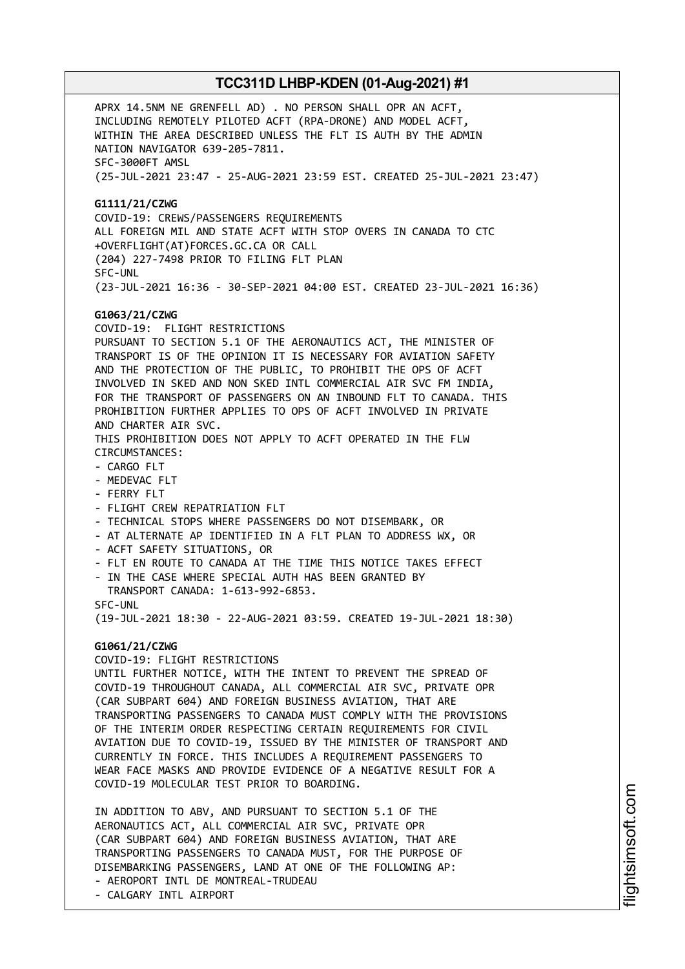APRX 14.5NM NE GRENFELL AD) . NO PERSON SHALL OPR AN ACFT, INCLUDING REMOTELY PILOTED ACFT (RPA-DRONE) AND MODEL ACFT, WITHIN THE AREA DESCRIBED UNLESS THE FLT IS AUTH BY THE ADMIN NATION NAVIGATOR 639-205-7811. SFC-3000FT AMSL (25-JUL-2021 23:47 - 25-AUG-2021 23:59 EST. CREATED 25-JUL-2021 23:47) **G1111/21/CZWG** COVID-19: CREWS/PASSENGERS REQUIREMENTS ALL FOREIGN MIL AND STATE ACFT WITH STOP OVERS IN CANADA TO CTC +OVERFLIGHT(AT)FORCES.GC.CA OR CALL (204) 227-7498 PRIOR TO FILING FLT PLAN SFC-UNL (23-JUL-2021 16:36 - 30-SEP-2021 04:00 EST. CREATED 23-JUL-2021 16:36) **G1063/21/CZWG** COVID-19: FLIGHT RESTRICTIONS PURSUANT TO SECTION 5.1 OF THE AERONAUTICS ACT, THE MINISTER OF TRANSPORT IS OF THE OPINION IT IS NECESSARY FOR AVIATION SAFETY AND THE PROTECTION OF THE PUBLIC, TO PROHIBIT THE OPS OF ACFT INVOLVED IN SKED AND NON SKED INTL COMMERCIAL AIR SVC FM INDIA, FOR THE TRANSPORT OF PASSENGERS ON AN INBOUND FLT TO CANADA. THIS PROHIBITION FURTHER APPLIES TO OPS OF ACFT INVOLVED IN PRIVATE AND CHARTER AIR SVC. THIS PROHIBITION DOES NOT APPLY TO ACFT OPERATED IN THE FLW CIRCUMSTANCES: - CARGO FLT - MEDEVAC FLT - FERRY FLT - FLIGHT CREW REPATRIATION FLT - TECHNICAL STOPS WHERE PASSENGERS DO NOT DISEMBARK, OR - AT ALTERNATE AP IDENTIFIED IN A FLT PLAN TO ADDRESS WX, OR - ACFT SAFETY SITUATIONS, OR - FLT EN ROUTE TO CANADA AT THE TIME THIS NOTICE TAKES EFFECT - IN THE CASE WHERE SPECIAL AUTH HAS BEEN GRANTED BY TRANSPORT CANADA: 1-613-992-6853. SFC-UNL (19-JUL-2021 18:30 - 22-AUG-2021 03:59. CREATED 19-JUL-2021 18:30) **G1061/21/CZWG** COVID-19: FLIGHT RESTRICTIONS UNTIL FURTHER NOTICE, WITH THE INTENT TO PREVENT THE SPREAD OF COVID-19 THROUGHOUT CANADA, ALL COMMERCIAL AIR SVC, PRIVATE OPR (CAR SUBPART 604) AND FOREIGN BUSINESS AVIATION, THAT ARE TRANSPORTING PASSENGERS TO CANADA MUST COMPLY WITH THE PROVISIONS OF THE INTERIM ORDER RESPECTING CERTAIN REQUIREMENTS FOR CIVIL AVIATION DUE TO COVID-19, ISSUED BY THE MINISTER OF TRANSPORT AND CURRENTLY IN FORCE. THIS INCLUDES A REQUIREMENT PASSENGERS TO WEAR FACE MASKS AND PROVIDE EVIDENCE OF A NEGATIVE RESULT FOR A COVID-19 MOLECULAR TEST PRIOR TO BOARDING. IN ADDITION TO ABV, AND PURSUANT TO SECTION 5.1 OF THE AERONAUTICS ACT, ALL COMMERCIAL AIR SVC, PRIVATE OPR (CAR SUBPART 604) AND FOREIGN BUSINESS AVIATION, THAT ARE TRANSPORTING PASSENGERS TO CANADA MUST, FOR THE PURPOSE OF

DISEMBARKING PASSENGERS, LAND AT ONE OF THE FOLLOWING AP: - AEROPORT INTL DE MONTREAL-TRUDEAU

- CALGARY INTL AIRPORT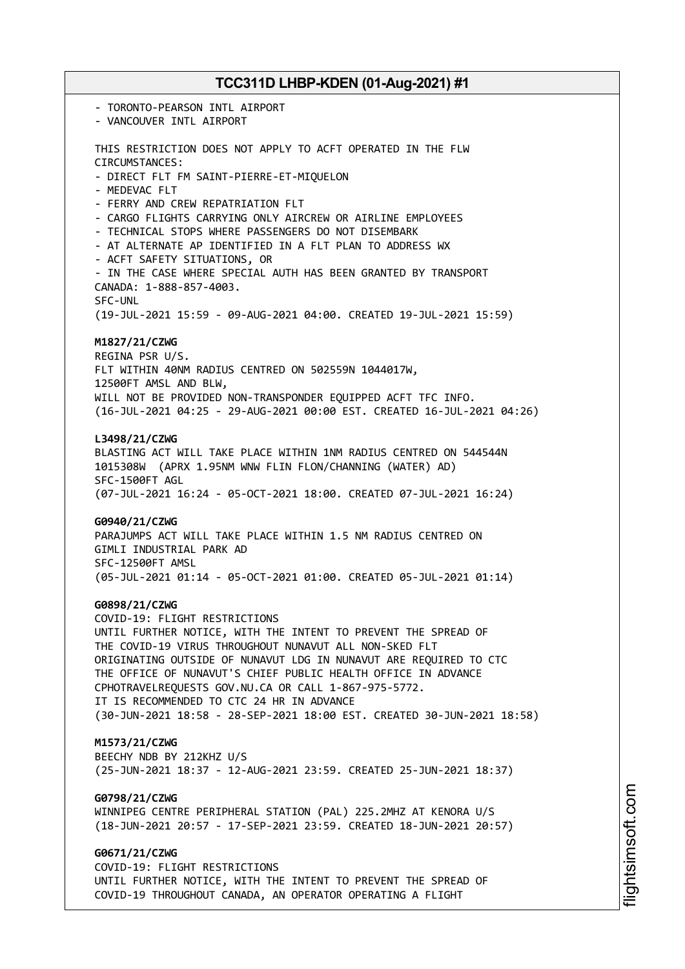- TORONTO-PEARSON INTL AIRPORT - VANCOUVER INTL AIRPORT THIS RESTRICTION DOES NOT APPLY TO ACFT OPERATED IN THE FLW CIRCUMSTANCES: - DIRECT FLT FM SAINT-PIERRE-ET-MIQUELON - MEDEVAC FLT - FERRY AND CREW REPATRIATION FLT - CARGO FLIGHTS CARRYING ONLY AIRCREW OR AIRLINE EMPLOYEES - TECHNICAL STOPS WHERE PASSENGERS DO NOT DISEMBARK - AT ALTERNATE AP IDENTIFIED IN A FLT PLAN TO ADDRESS WX - ACFT SAFETY SITUATIONS, OR - IN THE CASE WHERE SPECIAL AUTH HAS BEEN GRANTED BY TRANSPORT CANADA: 1-888-857-4003. SFC-UNL (19-JUL-2021 15:59 - 09-AUG-2021 04:00. CREATED 19-JUL-2021 15:59) **M1827/21/CZWG** REGINA PSR U/S. FLT WITHIN 40NM RADIUS CENTRED ON 502559N 1044017W, 12500FT AMSL AND BLW, WILL NOT BE PROVIDED NON-TRANSPONDER EQUIPPED ACFT TFC INFO. (16-JUL-2021 04:25 - 29-AUG-2021 00:00 EST. CREATED 16-JUL-2021 04:26) **L3498/21/CZWG** BLASTING ACT WILL TAKE PLACE WITHIN 1NM RADIUS CENTRED ON 544544N 1015308W (APRX 1.95NM WNW FLIN FLON/CHANNING (WATER) AD) SFC-1500FT AGL (07-JUL-2021 16:24 - 05-OCT-2021 18:00. CREATED 07-JUL-2021 16:24) **G0940/21/CZWG** PARAJUMPS ACT WILL TAKE PLACE WITHIN 1.5 NM RADIUS CENTRED ON GIMLI INDUSTRIAL PARK AD SFC-12500FT AMSL (05-JUL-2021 01:14 - 05-OCT-2021 01:00. CREATED 05-JUL-2021 01:14) **G0898/21/CZWG** COVID-19: FLIGHT RESTRICTIONS UNTIL FURTHER NOTICE, WITH THE INTENT TO PREVENT THE SPREAD OF THE COVID-19 VIRUS THROUGHOUT NUNAVUT ALL NON-SKED FLT ORIGINATING OUTSIDE OF NUNAVUT LDG IN NUNAVUT ARE REQUIRED TO CTC THE OFFICE OF NUNAVUT'S CHIEF PUBLIC HEALTH OFFICE IN ADVANCE CPHOTRAVELREQUESTS GOV.NU.CA OR CALL 1-867-975-5772. IT IS RECOMMENDED TO CTC 24 HR IN ADVANCE (30-JUN-2021 18:58 - 28-SEP-2021 18:00 EST. CREATED 30-JUN-2021 18:58) **M1573/21/CZWG** BEECHY NDB BY 212KHZ U/S (25-JUN-2021 18:37 - 12-AUG-2021 23:59. CREATED 25-JUN-2021 18:37) **G0798/21/CZWG** WINNIPEG CENTRE PERIPHERAL STATION (PAL) 225.2MHZ AT KENORA U/S (18-JUN-2021 20:57 - 17-SEP-2021 23:59. CREATED 18-JUN-2021 20:57) **G0671/21/CZWG** COVID-19: FLIGHT RESTRICTIONS UNTIL FURTHER NOTICE, WITH THE INTENT TO PREVENT THE SPREAD OF

COVID-19 THROUGHOUT CANADA, AN OPERATOR OPERATING A FLIGHT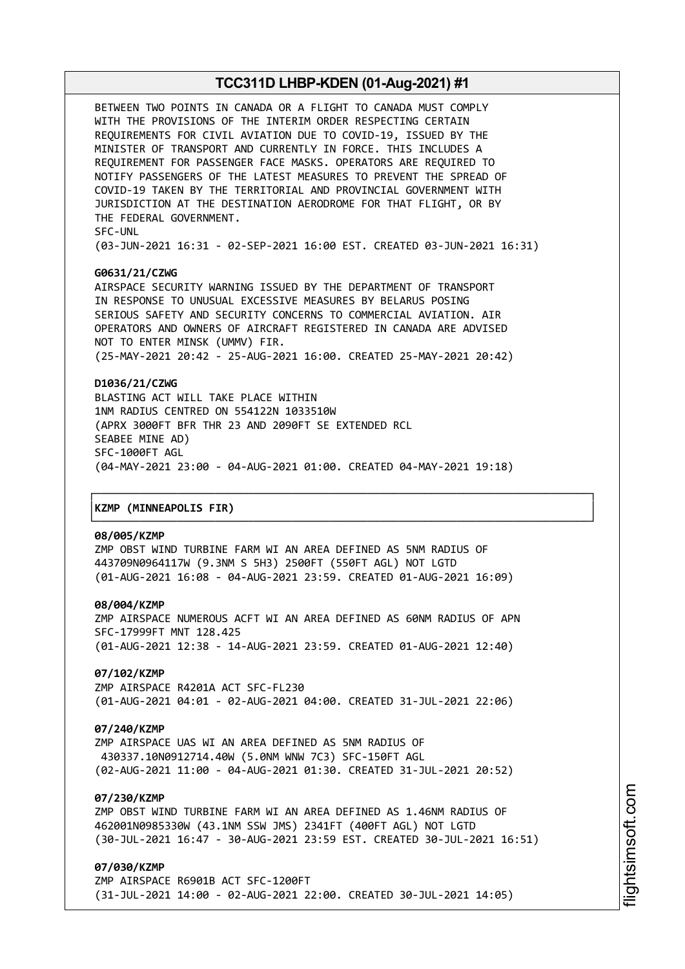BETWEEN TWO POINTS IN CANADA OR A FLIGHT TO CANADA MUST COMPLY WITH THE PROVISIONS OF THE INTERIM ORDER RESPECTING CERTAIN REQUIREMENTS FOR CIVIL AVIATION DUE TO COVID-19, ISSUED BY THE MINISTER OF TRANSPORT AND CURRENTLY IN FORCE. THIS INCLUDES A REQUIREMENT FOR PASSENGER FACE MASKS. OPERATORS ARE REQUIRED TO NOTIFY PASSENGERS OF THE LATEST MEASURES TO PREVENT THE SPREAD OF COVID-19 TAKEN BY THE TERRITORIAL AND PROVINCIAL GOVERNMENT WITH JURISDICTION AT THE DESTINATION AERODROME FOR THAT FLIGHT, OR BY THE FEDERAL GOVERNMENT. SFC-UNL

(03-JUN-2021 16:31 - 02-SEP-2021 16:00 EST. CREATED 03-JUN-2021 16:31)

### **G0631/21/CZWG**

AIRSPACE SECURITY WARNING ISSUED BY THE DEPARTMENT OF TRANSPORT IN RESPONSE TO UNUSUAL EXCESSIVE MEASURES BY BELARUS POSING SERIOUS SAFETY AND SECURITY CONCERNS TO COMMERCIAL AVIATION. AIR OPERATORS AND OWNERS OF AIRCRAFT REGISTERED IN CANADA ARE ADVISED NOT TO ENTER MINSK (UMMV) FIR. (25-MAY-2021 20:42 - 25-AUG-2021 16:00. CREATED 25-MAY-2021 20:42)

### **D1036/21/CZWG**

BLASTING ACT WILL TAKE PLACE WITHIN 1NM RADIUS CENTRED ON 554122N 1033510W (APRX 3000FT BFR THR 23 AND 2090FT SE EXTENDED RCL SEABEE MINE AD) SFC-1000FT AGL (04-MAY-2021 23:00 - 04-AUG-2021 01:00. CREATED 04-MAY-2021 19:18)

┌──────────────────────────────────────────────────────────────────────────────┐

└──────────────────────────────────────────────────────────────────────────────┘

#### │**KZMP (MINNEAPOLIS FIR)** │

#### **08/005/KZMP**

ZMP OBST WIND TURBINE FARM WI AN AREA DEFINED AS 5NM RADIUS OF 443709N0964117W (9.3NM S 5H3) 2500FT (550FT AGL) NOT LGTD (01-AUG-2021 16:08 - 04-AUG-2021 23:59. CREATED 01-AUG-2021 16:09)

#### **08/004/KZMP**

ZMP AIRSPACE NUMEROUS ACFT WI AN AREA DEFINED AS 60NM RADIUS OF APN SFC-17999FT MNT 128.425 (01-AUG-2021 12:38 - 14-AUG-2021 23:59. CREATED 01-AUG-2021 12:40)

### **07/102/KZMP**

ZMP AIRSPACE R4201A ACT SFC-FL230 (01-AUG-2021 04:01 - 02-AUG-2021 04:00. CREATED 31-JUL-2021 22:06)

### **07/240/KZMP**

ZMP AIRSPACE UAS WI AN AREA DEFINED AS 5NM RADIUS OF 430337.10N0912714.40W (5.0NM WNW 7C3) SFC-150FT AGL (02-AUG-2021 11:00 - 04-AUG-2021 01:30. CREATED 31-JUL-2021 20:52)

### **07/230/KZMP**

ZMP OBST WIND TURBINE FARM WI AN AREA DEFINED AS 1.46NM RADIUS OF 462001N0985330W (43.1NM SSW JMS) 2341FT (400FT AGL) NOT LGTD (30-JUL-2021 16:47 - 30-AUG-2021 23:59 EST. CREATED 30-JUL-2021 16:51)

### **07/030/KZMP**

ZMP AIRSPACE R6901B ACT SFC-1200FT (31-JUL-2021 14:00 - 02-AUG-2021 22:00. CREATED 30-JUL-2021 14:05)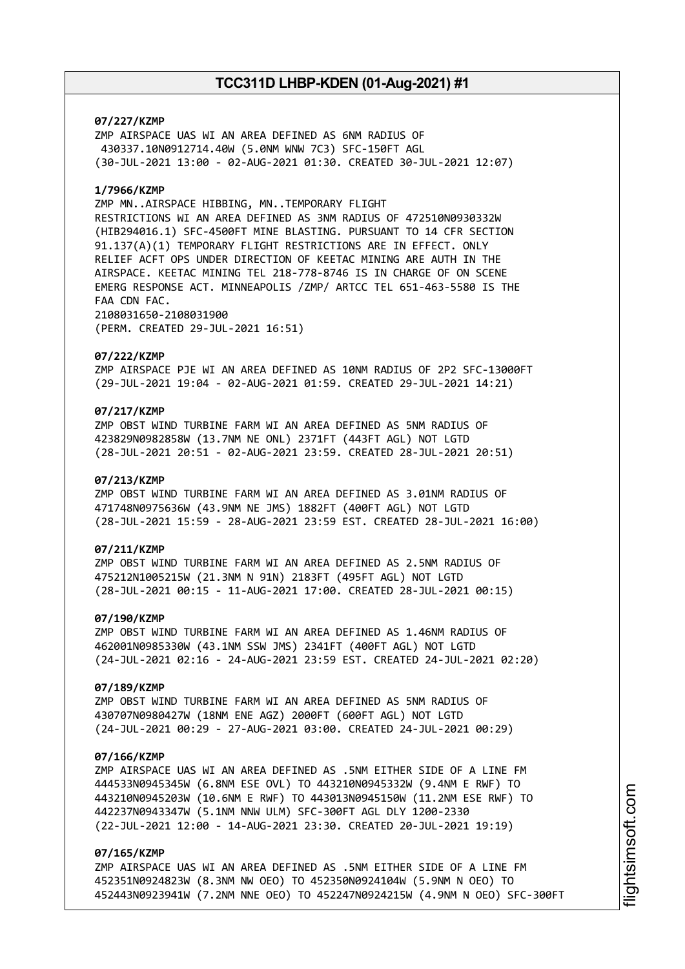### **07/227/KZMP**

ZMP AIRSPACE UAS WI AN AREA DEFINED AS 6NM RADIUS OF 430337.10N0912714.40W (5.0NM WNW 7C3) SFC-150FT AGL (30-JUL-2021 13:00 - 02-AUG-2021 01:30. CREATED 30-JUL-2021 12:07)

### **1/7966/KZMP**

ZMP MN..AIRSPACE HIBBING, MN..TEMPORARY FLIGHT RESTRICTIONS WI AN AREA DEFINED AS 3NM RADIUS OF 472510N0930332W (HIB294016.1) SFC-4500FT MINE BLASTING. PURSUANT TO 14 CFR SECTION 91.137(A)(1) TEMPORARY FLIGHT RESTRICTIONS ARE IN EFFECT. ONLY RELIEF ACFT OPS UNDER DIRECTION OF KEETAC MINING ARE AUTH IN THE AIRSPACE. KEETAC MINING TEL 218-778-8746 IS IN CHARGE OF ON SCENE EMERG RESPONSE ACT. MINNEAPOLIS /ZMP/ ARTCC TEL 651-463-5580 IS THE FAA CDN FAC. 2108031650-2108031900

(PERM. CREATED 29-JUL-2021 16:51)

#### **07/222/KZMP**

ZMP AIRSPACE PJE WI AN AREA DEFINED AS 10NM RADIUS OF 2P2 SFC-13000FT (29-JUL-2021 19:04 - 02-AUG-2021 01:59. CREATED 29-JUL-2021 14:21)

### **07/217/KZMP**

ZMP OBST WIND TURBINE FARM WI AN AREA DEFINED AS 5NM RADIUS OF 423829N0982858W (13.7NM NE ONL) 2371FT (443FT AGL) NOT LGTD (28-JUL-2021 20:51 - 02-AUG-2021 23:59. CREATED 28-JUL-2021 20:51)

### **07/213/KZMP**

ZMP OBST WIND TURBINE FARM WI AN AREA DEFINED AS 3.01NM RADIUS OF 471748N0975636W (43.9NM NE JMS) 1882FT (400FT AGL) NOT LGTD (28-JUL-2021 15:59 - 28-AUG-2021 23:59 EST. CREATED 28-JUL-2021 16:00)

### **07/211/KZMP**

ZMP OBST WIND TURBINE FARM WI AN AREA DEFINED AS 2.5NM RADIUS OF 475212N1005215W (21.3NM N 91N) 2183FT (495FT AGL) NOT LGTD (28-JUL-2021 00:15 - 11-AUG-2021 17:00. CREATED 28-JUL-2021 00:15)

### **07/190/KZMP**

ZMP OBST WIND TURBINE FARM WI AN AREA DEFINED AS 1.46NM RADIUS OF 462001N0985330W (43.1NM SSW JMS) 2341FT (400FT AGL) NOT LGTD (24-JUL-2021 02:16 - 24-AUG-2021 23:59 EST. CREATED 24-JUL-2021 02:20)

#### **07/189/KZMP**

ZMP OBST WIND TURBINE FARM WI AN AREA DEFINED AS 5NM RADIUS OF 430707N0980427W (18NM ENE AGZ) 2000FT (600FT AGL) NOT LGTD (24-JUL-2021 00:29 - 27-AUG-2021 03:00. CREATED 24-JUL-2021 00:29)

### **07/166/KZMP**

ZMP AIRSPACE UAS WI AN AREA DEFINED AS .5NM EITHER SIDE OF A LINE FM 444533N0945345W (6.8NM ESE OVL) TO 443210N0945332W (9.4NM E RWF) TO 443210N0945203W (10.6NM E RWF) TO 443013N0945150W (11.2NM ESE RWF) TO 442237N0943347W (5.1NM NNW ULM) SFC-300FT AGL DLY 1200-2330 (22-JUL-2021 12:00 - 14-AUG-2021 23:30. CREATED 20-JUL-2021 19:19)

### **07/165/KZMP**

ZMP AIRSPACE UAS WI AN AREA DEFINED AS .5NM EITHER SIDE OF A LINE FM 452351N0924823W (8.3NM NW OEO) TO 452350N0924104W (5.9NM N OEO) TO 452443N0923941W (7.2NM NNE OEO) TO 452247N0924215W (4.9NM N OEO) SFC-300FT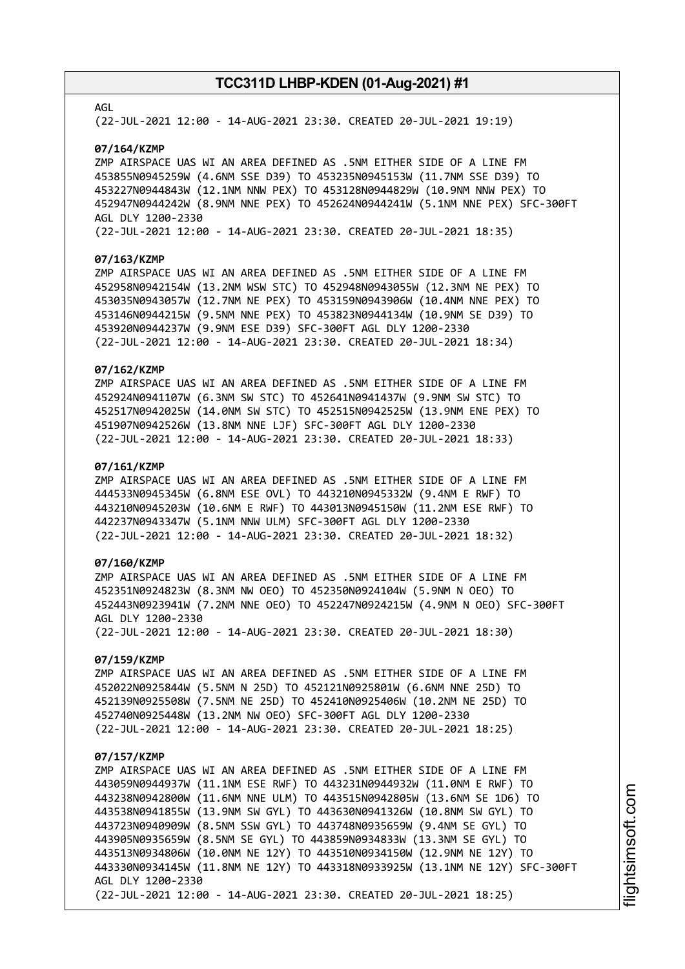### AGL

(22-JUL-2021 12:00 - 14-AUG-2021 23:30. CREATED 20-JUL-2021 19:19)

#### **07/164/KZMP**

ZMP AIRSPACE UAS WI AN AREA DEFINED AS .5NM EITHER SIDE OF A LINE FM 453855N0945259W (4.6NM SSE D39) TO 453235N0945153W (11.7NM SSE D39) TO 453227N0944843W (12.1NM NNW PEX) TO 453128N0944829W (10.9NM NNW PEX) TO 452947N0944242W (8.9NM NNE PEX) TO 452624N0944241W (5.1NM NNE PEX) SFC-300FT AGL DLY 1200-2330

(22-JUL-2021 12:00 - 14-AUG-2021 23:30. CREATED 20-JUL-2021 18:35)

### **07/163/KZMP**

ZMP AIRSPACE UAS WI AN AREA DEFINED AS .5NM EITHER SIDE OF A LINE FM 452958N0942154W (13.2NM WSW STC) TO 452948N0943055W (12.3NM NE PEX) TO 453035N0943057W (12.7NM NE PEX) TO 453159N0943906W (10.4NM NNE PEX) TO 453146N0944215W (9.5NM NNE PEX) TO 453823N0944134W (10.9NM SE D39) TO 453920N0944237W (9.9NM ESE D39) SFC-300FT AGL DLY 1200-2330 (22-JUL-2021 12:00 - 14-AUG-2021 23:30. CREATED 20-JUL-2021 18:34)

### **07/162/KZMP**

ZMP AIRSPACE UAS WI AN AREA DEFINED AS .5NM EITHER SIDE OF A LINE FM 452924N0941107W (6.3NM SW STC) TO 452641N0941437W (9.9NM SW STC) TO 452517N0942025W (14.0NM SW STC) TO 452515N0942525W (13.9NM ENE PEX) TO 451907N0942526W (13.8NM NNE LJF) SFC-300FT AGL DLY 1200-2330 (22-JUL-2021 12:00 - 14-AUG-2021 23:30. CREATED 20-JUL-2021 18:33)

#### **07/161/KZMP**

ZMP AIRSPACE UAS WI AN AREA DEFINED AS .5NM EITHER SIDE OF A LINE FM 444533N0945345W (6.8NM ESE OVL) TO 443210N0945332W (9.4NM E RWF) TO 443210N0945203W (10.6NM E RWF) TO 443013N0945150W (11.2NM ESE RWF) TO 442237N0943347W (5.1NM NNW ULM) SFC-300FT AGL DLY 1200-2330 (22-JUL-2021 12:00 - 14-AUG-2021 23:30. CREATED 20-JUL-2021 18:32)

### **07/160/KZMP**

ZMP AIRSPACE UAS WI AN AREA DEFINED AS .5NM EITHER SIDE OF A LINE FM 452351N0924823W (8.3NM NW OEO) TO 452350N0924104W (5.9NM N OEO) TO 452443N0923941W (7.2NM NNE OEO) TO 452247N0924215W (4.9NM N OEO) SFC-300FT AGL DLY 1200-2330 (22-JUL-2021 12:00 - 14-AUG-2021 23:30. CREATED 20-JUL-2021 18:30)

### **07/159/KZMP**

ZMP AIRSPACE UAS WI AN AREA DEFINED AS .5NM EITHER SIDE OF A LINE FM 452022N0925844W (5.5NM N 25D) TO 452121N0925801W (6.6NM NNE 25D) TO 452139N0925508W (7.5NM NE 25D) TO 452410N0925406W (10.2NM NE 25D) TO 452740N0925448W (13.2NM NW OEO) SFC-300FT AGL DLY 1200-2330 (22-JUL-2021 12:00 - 14-AUG-2021 23:30. CREATED 20-JUL-2021 18:25)

#### **07/157/KZMP**

ZMP AIRSPACE UAS WI AN AREA DEFINED AS .5NM EITHER SIDE OF A LINE FM 443059N0944937W (11.1NM ESE RWF) TO 443231N0944932W (11.0NM E RWF) TO 443238N0942800W (11.6NM NNE ULM) TO 443515N0942805W (13.6NM SE 1D6) TO 443538N0941855W (13.9NM SW GYL) TO 443630N0941326W (10.8NM SW GYL) TO 443723N0940909W (8.5NM SSW GYL) TO 443748N0935659W (9.4NM SE GYL) TO 443905N0935659W (8.5NM SE GYL) TO 443859N0934833W (13.3NM SE GYL) TO 443513N0934806W (10.0NM NE 12Y) TO 443510N0934150W (12.9NM NE 12Y) TO 443330N0934145W (11.8NM NE 12Y) TO 443318N0933925W (13.1NM NE 12Y) SFC-300FT AGL DLY 1200-2330 (22-JUL-2021 12:00 - 14-AUG-2021 23:30. CREATED 20-JUL-2021 18:25)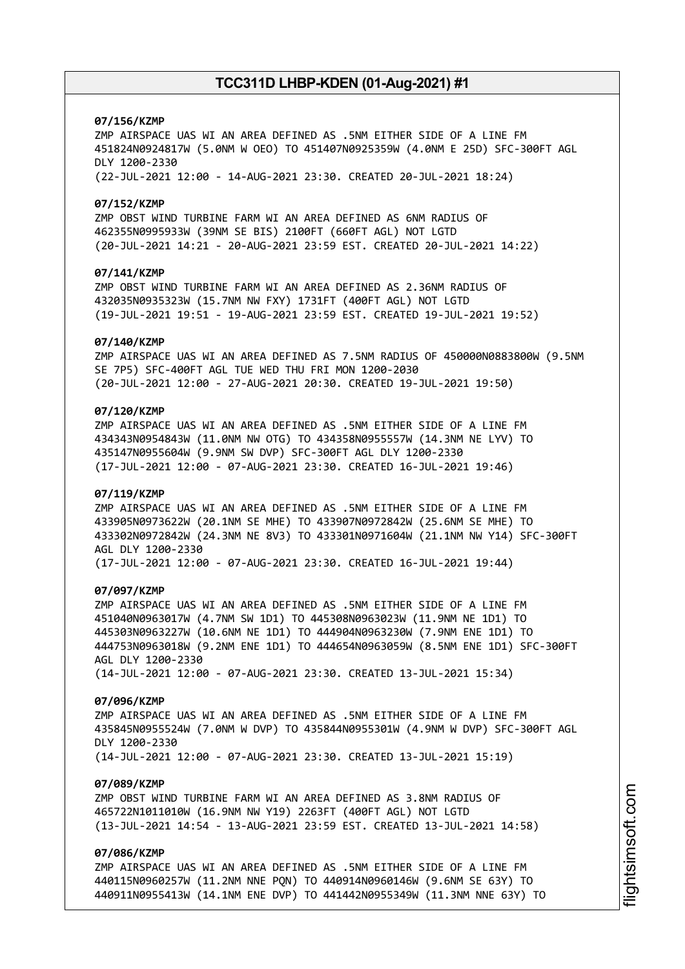# **07/156/KZMP**

ZMP AIRSPACE UAS WI AN AREA DEFINED AS .5NM EITHER SIDE OF A LINE FM 451824N0924817W (5.0NM W OEO) TO 451407N0925359W (4.0NM E 25D) SFC-300FT AGL DLY 1200-2330 (22-JUL-2021 12:00 - 14-AUG-2021 23:30. CREATED 20-JUL-2021 18:24)

### **07/152/KZMP**

ZMP OBST WIND TURBINE FARM WI AN AREA DEFINED AS 6NM RADIUS OF 462355N0995933W (39NM SE BIS) 2100FT (660FT AGL) NOT LGTD (20-JUL-2021 14:21 - 20-AUG-2021 23:59 EST. CREATED 20-JUL-2021 14:22)

# **07/141/KZMP**

ZMP OBST WIND TURBINE FARM WI AN AREA DEFINED AS 2.36NM RADIUS OF 432035N0935323W (15.7NM NW FXY) 1731FT (400FT AGL) NOT LGTD (19-JUL-2021 19:51 - 19-AUG-2021 23:59 EST. CREATED 19-JUL-2021 19:52)

#### **07/140/KZMP**

ZMP AIRSPACE UAS WI AN AREA DEFINED AS 7.5NM RADIUS OF 450000N0883800W (9.5NM SE 7P5) SFC-400FT AGL TUE WED THU FRI MON 1200-2030 (20-JUL-2021 12:00 - 27-AUG-2021 20:30. CREATED 19-JUL-2021 19:50)

# **07/120/KZMP**

ZMP AIRSPACE UAS WI AN AREA DEFINED AS .5NM EITHER SIDE OF A LINE FM 434343N0954843W (11.0NM NW OTG) TO 434358N0955557W (14.3NM NE LYV) TO 435147N0955604W (9.9NM SW DVP) SFC-300FT AGL DLY 1200-2330 (17-JUL-2021 12:00 - 07-AUG-2021 23:30. CREATED 16-JUL-2021 19:46)

### **07/119/KZMP**

ZMP AIRSPACE UAS WI AN AREA DEFINED AS .5NM EITHER SIDE OF A LINE FM 433905N0973622W (20.1NM SE MHE) TO 433907N0972842W (25.6NM SE MHE) TO 433302N0972842W (24.3NM NE 8V3) TO 433301N0971604W (21.1NM NW Y14) SFC-300FT AGL DLY 1200-2330 (17-JUL-2021 12:00 - 07-AUG-2021 23:30. CREATED 16-JUL-2021 19:44)

#### **07/097/KZMP**

ZMP AIRSPACE UAS WI AN AREA DEFINED AS .5NM EITHER SIDE OF A LINE FM 451040N0963017W (4.7NM SW 1D1) TO 445308N0963023W (11.9NM NE 1D1) TO 445303N0963227W (10.6NM NE 1D1) TO 444904N0963230W (7.9NM ENE 1D1) TO 444753N0963018W (9.2NM ENE 1D1) TO 444654N0963059W (8.5NM ENE 1D1) SFC-300FT AGL DLY 1200-2330 (14-JUL-2021 12:00 - 07-AUG-2021 23:30. CREATED 13-JUL-2021 15:34)

# **07/096/KZMP**

ZMP AIRSPACE UAS WI AN AREA DEFINED AS .5NM EITHER SIDE OF A LINE FM 435845N0955524W (7.0NM W DVP) TO 435844N0955301W (4.9NM W DVP) SFC-300FT AGL DLY 1200-2330 (14-JUL-2021 12:00 - 07-AUG-2021 23:30. CREATED 13-JUL-2021 15:19)

### **07/089/KZMP**

ZMP OBST WIND TURBINE FARM WI AN AREA DEFINED AS 3.8NM RADIUS OF 465722N1011010W (16.9NM NW Y19) 2263FT (400FT AGL) NOT LGTD (13-JUL-2021 14:54 - 13-AUG-2021 23:59 EST. CREATED 13-JUL-2021 14:58)

# **07/086/KZMP**

ZMP AIRSPACE UAS WI AN AREA DEFINED AS .5NM EITHER SIDE OF A LINE FM 440115N0960257W (11.2NM NNE PQN) TO 440914N0960146W (9.6NM SE 63Y) TO 440911N0955413W (14.1NM ENE DVP) TO 441442N0955349W (11.3NM NNE 63Y) TO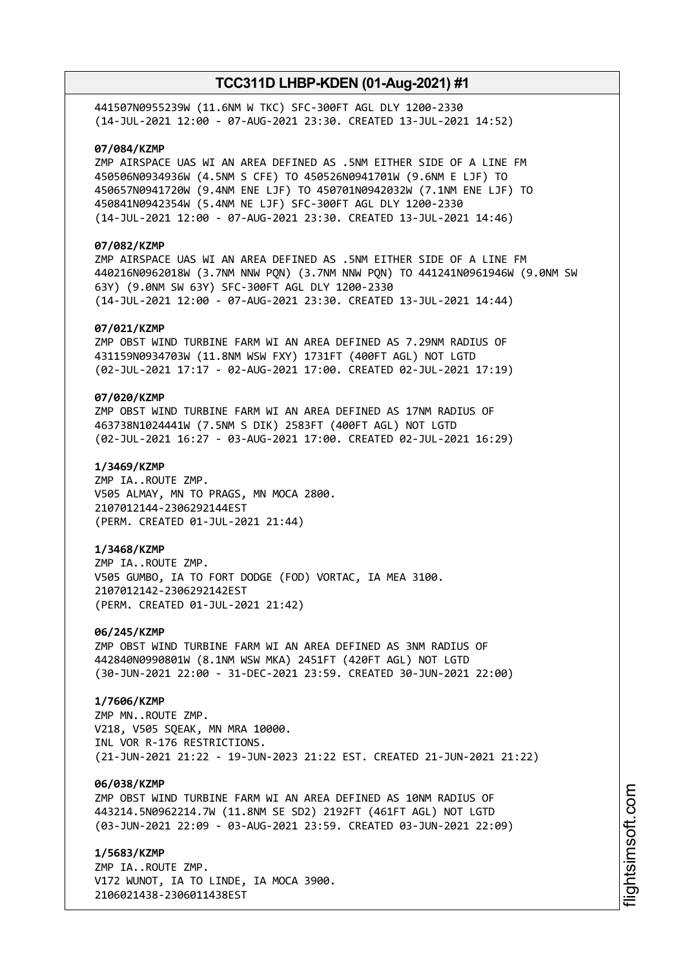441507N0955239W (11.6NM W TKC) SFC-300FT AGL DLY 1200-2330 (14-JUL-2021 12:00 - 07-AUG-2021 23:30. CREATED 13-JUL-2021 14:52)

# **07/084/KZMP**

ZMP AIRSPACE UAS WI AN AREA DEFINED AS .5NM EITHER SIDE OF A LINE FM 450506N0934936W (4.5NM S CFE) TO 450526N0941701W (9.6NM E LJF) TO 450657N0941720W (9.4NM ENE LJF) TO 450701N0942032W (7.1NM ENE LJF) TO 450841N0942354W (5.4NM NE LJF) SFC-300FT AGL DLY 1200-2330 (14-JUL-2021 12:00 - 07-AUG-2021 23:30. CREATED 13-JUL-2021 14:46)

# **07/082/KZMP**

ZMP AIRSPACE UAS WI AN AREA DEFINED AS .5NM EITHER SIDE OF A LINE FM 440216N0962018W (3.7NM NNW PQN) (3.7NM NNW PQN) TO 441241N0961946W (9.0NM SW 63Y) (9.0NM SW 63Y) SFC-300FT AGL DLY 1200-2330 (14-JUL-2021 12:00 - 07-AUG-2021 23:30. CREATED 13-JUL-2021 14:44)

### **07/021/KZMP**

ZMP OBST WIND TURBINE FARM WI AN AREA DEFINED AS 7.29NM RADIUS OF 431159N0934703W (11.8NM WSW FXY) 1731FT (400FT AGL) NOT LGTD (02-JUL-2021 17:17 - 02-AUG-2021 17:00. CREATED 02-JUL-2021 17:19)

# **07/020/KZMP**

ZMP OBST WIND TURBINE FARM WI AN AREA DEFINED AS 17NM RADIUS OF 463738N1024441W (7.5NM S DIK) 2583FT (400FT AGL) NOT LGTD (02-JUL-2021 16:27 - 03-AUG-2021 17:00. CREATED 02-JUL-2021 16:29)

### **1/3469/KZMP**

ZMP IA..ROUTE ZMP. V505 ALMAY, MN TO PRAGS, MN MOCA 2800. 2107012144-2306292144EST (PERM. CREATED 01-JUL-2021 21:44)

### **1/3468/KZMP**

ZMP IA..ROUTE ZMP. V505 GUMBO, IA TO FORT DODGE (FOD) VORTAC, IA MEA 3100. 2107012142-2306292142EST (PERM. CREATED 01-JUL-2021 21:42)

#### **06/245/KZMP**

ZMP OBST WIND TURBINE FARM WI AN AREA DEFINED AS 3NM RADIUS OF 442840N0990801W (8.1NM WSW MKA) 2451FT (420FT AGL) NOT LGTD (30-JUN-2021 22:00 - 31-DEC-2021 23:59. CREATED 30-JUN-2021 22:00)

# **1/7606/KZMP**

ZMP MN..ROUTE ZMP. V218, V505 SQEAK, MN MRA 10000. INL VOR R-176 RESTRICTIONS. (21-JUN-2021 21:22 - 19-JUN-2023 21:22 EST. CREATED 21-JUN-2021 21:22)

### **06/038/KZMP**

ZMP OBST WIND TURBINE FARM WI AN AREA DEFINED AS 10NM RADIUS OF 443214.5N0962214.7W (11.8NM SE SD2) 2192FT (461FT AGL) NOT LGTD (03-JUN-2021 22:09 - 03-AUG-2021 23:59. CREATED 03-JUN-2021 22:09)

**1/5683/KZMP** ZMP IA..ROUTE ZMP. V172 WUNOT, IA TO LINDE, IA MOCA 3900. 2106021438-2306011438EST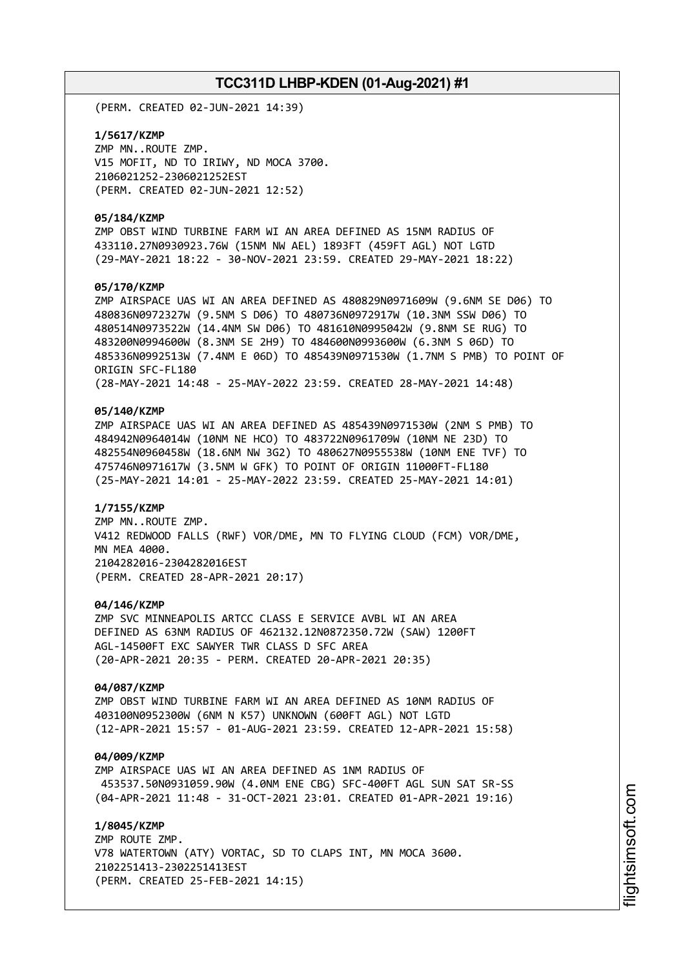(PERM. CREATED 02-JUN-2021 14:39)

**1/5617/KZMP** ZMP MN..ROUTE ZMP. V15 MOFIT, ND TO IRIWY, ND MOCA 3700. 2106021252-2306021252EST (PERM. CREATED 02-JUN-2021 12:52)

### **05/184/KZMP**

ZMP OBST WIND TURBINE FARM WI AN AREA DEFINED AS 15NM RADIUS OF 433110.27N0930923.76W (15NM NW AEL) 1893FT (459FT AGL) NOT LGTD (29-MAY-2021 18:22 - 30-NOV-2021 23:59. CREATED 29-MAY-2021 18:22)

### **05/170/KZMP**

ZMP AIRSPACE UAS WI AN AREA DEFINED AS 480829N0971609W (9.6NM SE D06) TO 480836N0972327W (9.5NM S D06) TO 480736N0972917W (10.3NM SSW D06) TO 480514N0973522W (14.4NM SW D06) TO 481610N0995042W (9.8NM SE RUG) TO 483200N0994600W (8.3NM SE 2H9) TO 484600N0993600W (6.3NM S 06D) TO 485336N0992513W (7.4NM E 06D) TO 485439N0971530W (1.7NM S PMB) TO POINT OF ORIGIN SFC-FL180 (28-MAY-2021 14:48 - 25-MAY-2022 23:59. CREATED 28-MAY-2021 14:48)

### **05/140/KZMP**

ZMP AIRSPACE UAS WI AN AREA DEFINED AS 485439N0971530W (2NM S PMB) TO 484942N0964014W (10NM NE HCO) TO 483722N0961709W (10NM NE 23D) TO 482554N0960458W (18.6NM NW 3G2) TO 480627N0955538W (10NM ENE TVF) TO 475746N0971617W (3.5NM W GFK) TO POINT OF ORIGIN 11000FT-FL180 (25-MAY-2021 14:01 - 25-MAY-2022 23:59. CREATED 25-MAY-2021 14:01)

### **1/7155/KZMP**

ZMP MN..ROUTE ZMP. V412 REDWOOD FALLS (RWF) VOR/DME, MN TO FLYING CLOUD (FCM) VOR/DME, MN MEA 4000. 2104282016-2304282016EST (PERM. CREATED 28-APR-2021 20:17)

### **04/146/KZMP**

ZMP SVC MINNEAPOLIS ARTCC CLASS E SERVICE AVBL WI AN AREA DEFINED AS 63NM RADIUS OF 462132.12N0872350.72W (SAW) 1200FT AGL-14500FT EXC SAWYER TWR CLASS D SFC AREA (20-APR-2021 20:35 - PERM. CREATED 20-APR-2021 20:35)

### **04/087/KZMP**

ZMP OBST WIND TURBINE FARM WI AN AREA DEFINED AS 10NM RADIUS OF 403100N0952300W (6NM N K57) UNKNOWN (600FT AGL) NOT LGTD (12-APR-2021 15:57 - 01-AUG-2021 23:59. CREATED 12-APR-2021 15:58)

### **04/009/KZMP**

ZMP AIRSPACE UAS WI AN AREA DEFINED AS 1NM RADIUS OF 453537.50N0931059.90W (4.0NM ENE CBG) SFC-400FT AGL SUN SAT SR-SS (04-APR-2021 11:48 - 31-OCT-2021 23:01. CREATED 01-APR-2021 19:16)

**1/8045/KZMP** ZMP ROUTE ZMP. V78 WATERTOWN (ATY) VORTAC, SD TO CLAPS INT, MN MOCA 3600. 2102251413-2302251413EST (PERM. CREATED 25-FEB-2021 14:15)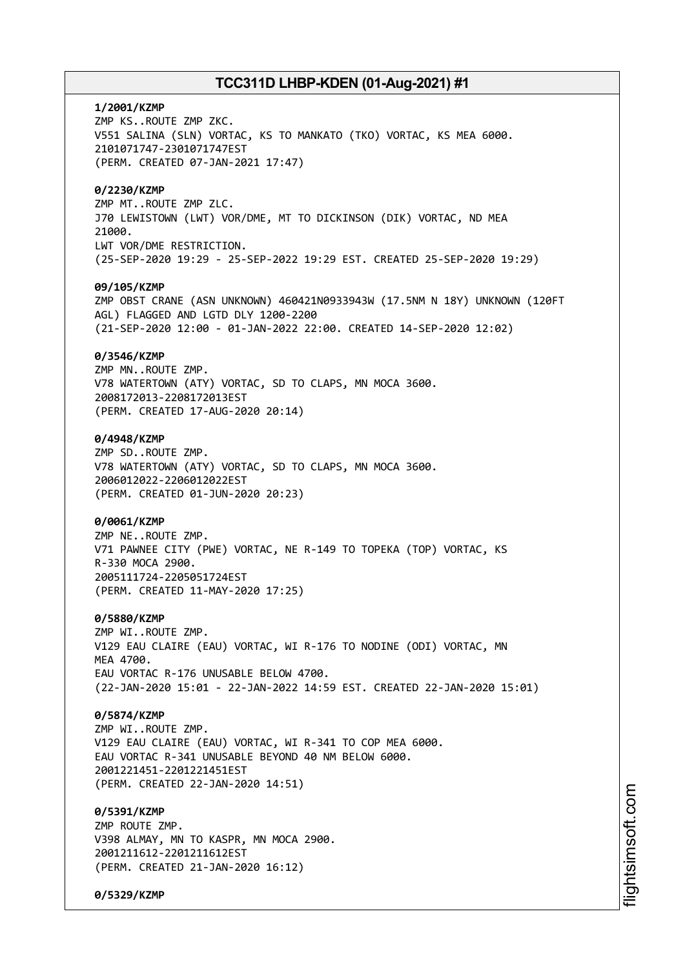**1/2001/KZMP** ZMP KS..ROUTE ZMP ZKC. V551 SALINA (SLN) VORTAC, KS TO MANKATO (TKO) VORTAC, KS MEA 6000. 2101071747-2301071747EST (PERM. CREATED 07-JAN-2021 17:47) **0/2230/KZMP** ZMP MT..ROUTE ZMP ZLC. J70 LEWISTOWN (LWT) VOR/DME, MT TO DICKINSON (DIK) VORTAC, ND MEA 21000. LWT VOR/DME RESTRICTION. (25-SEP-2020 19:29 - 25-SEP-2022 19:29 EST. CREATED 25-SEP-2020 19:29) **09/105/KZMP** ZMP OBST CRANE (ASN UNKNOWN) 460421N0933943W (17.5NM N 18Y) UNKNOWN (120FT AGL) FLAGGED AND LGTD DLY 1200-2200 (21-SEP-2020 12:00 - 01-JAN-2022 22:00. CREATED 14-SEP-2020 12:02) **0/3546/KZMP** ZMP MN..ROUTE ZMP. V78 WATERTOWN (ATY) VORTAC, SD TO CLAPS, MN MOCA 3600. 2008172013-2208172013EST (PERM. CREATED 17-AUG-2020 20:14) **0/4948/KZMP** ZMP SD..ROUTE ZMP. V78 WATERTOWN (ATY) VORTAC, SD TO CLAPS, MN MOCA 3600. 2006012022-2206012022EST (PERM. CREATED 01-JUN-2020 20:23) **0/0061/KZMP** ZMP NE..ROUTE ZMP. V71 PAWNEE CITY (PWE) VORTAC, NE R-149 TO TOPEKA (TOP) VORTAC, KS R-330 MOCA 2900. 2005111724-2205051724EST (PERM. CREATED 11-MAY-2020 17:25) **0/5880/KZMP** ZMP WI..ROUTE ZMP. V129 EAU CLAIRE (EAU) VORTAC, WI R-176 TO NODINE (ODI) VORTAC, MN **MFA 4700** EAU VORTAC R-176 UNUSABLE BELOW 4700. (22-JAN-2020 15:01 - 22-JAN-2022 14:59 EST. CREATED 22-JAN-2020 15:01) **0/5874/KZMP** ZMP WI..ROUTE ZMP. V129 EAU CLAIRE (EAU) VORTAC, WI R-341 TO COP MEA 6000. EAU VORTAC R-341 UNUSABLE BEYOND 40 NM BELOW 6000. 2001221451-2201221451EST (PERM. CREATED 22-JAN-2020 14:51) **0/5391/KZMP** ZMP ROUTE ZMP. V398 ALMAY, MN TO KASPR, MN MOCA 2900. 2001211612-2201211612EST (PERM. CREATED 21-JAN-2020 16:12)

**0/5329/KZMP**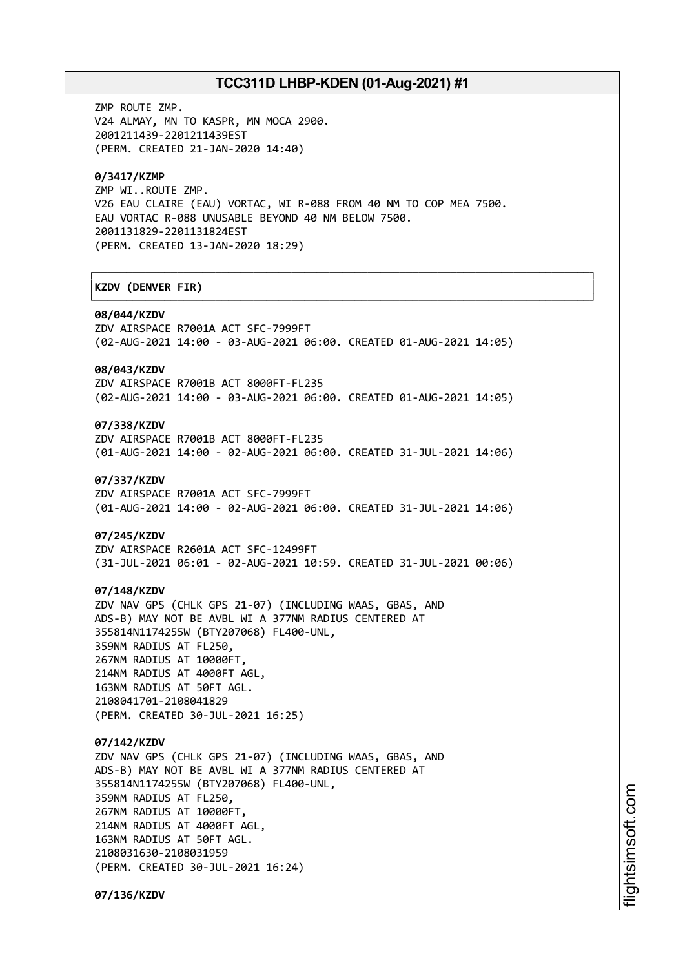┌──────────────────────────────────────────────────────────────────────────────┐

└──────────────────────────────────────────────────────────────────────────────┘

ZMP ROUTE ZMP. V24 ALMAY, MN TO KASPR, MN MOCA 2900. 2001211439-2201211439EST (PERM. CREATED 21-JAN-2020 14:40)

### **0/3417/KZMP**

ZMP WI..ROUTE ZMP. V26 EAU CLAIRE (EAU) VORTAC, WI R-088 FROM 40 NM TO COP MEA 7500. EAU VORTAC R-088 UNUSABLE BEYOND 40 NM BELOW 7500. 2001131829-2201131824EST (PERM. CREATED 13-JAN-2020 18:29)

# │**KZDV (DENVER FIR)** │

#### **08/044/KZDV**

ZDV AIRSPACE R7001A ACT SFC-7999FT (02-AUG-2021 14:00 - 03-AUG-2021 06:00. CREATED 01-AUG-2021 14:05)

# **08/043/KZDV**

ZDV AIRSPACE R7001B ACT 8000FT-FL235 (02-AUG-2021 14:00 - 03-AUG-2021 06:00. CREATED 01-AUG-2021 14:05)

# **07/338/KZDV**

ZDV AIRSPACE R7001B ACT 8000FT-FL235 (01-AUG-2021 14:00 - 02-AUG-2021 06:00. CREATED 31-JUL-2021 14:06)

#### **07/337/KZDV**

ZDV AIRSPACE R7001A ACT SFC-7999FT (01-AUG-2021 14:00 - 02-AUG-2021 06:00. CREATED 31-JUL-2021 14:06)

### **07/245/KZDV**

ZDV AIRSPACE R2601A ACT SFC-12499FT (31-JUL-2021 06:01 - 02-AUG-2021 10:59. CREATED 31-JUL-2021 00:06)

### **07/148/KZDV**

ZDV NAV GPS (CHLK GPS 21-07) (INCLUDING WAAS, GBAS, AND ADS-B) MAY NOT BE AVBL WI A 377NM RADIUS CENTERED AT 355814N1174255W (BTY207068) FL400-UNL, 359NM RADIUS AT FL250, 267NM RADIUS AT 10000FT, 214NM RADIUS AT 4000FT AGL, 163NM RADIUS AT 50FT AGL. 2108041701-2108041829

(PERM. CREATED 30-JUL-2021 16:25)

# **07/142/KZDV**

ZDV NAV GPS (CHLK GPS 21-07) (INCLUDING WAAS, GBAS, AND ADS-B) MAY NOT BE AVBL WI A 377NM RADIUS CENTERED AT 355814N1174255W (BTY207068) FL400-UNL, 359NM RADIUS AT FL250, 267NM RADIUS AT 10000FT, 214NM RADIUS AT 4000FT AGL, 163NM RADIUS AT 50FT AGL. 2108031630-2108031959 (PERM. CREATED 30-JUL-2021 16:24)

**07/136/KZDV**

i⊒<br>⊫ htsim soft.c om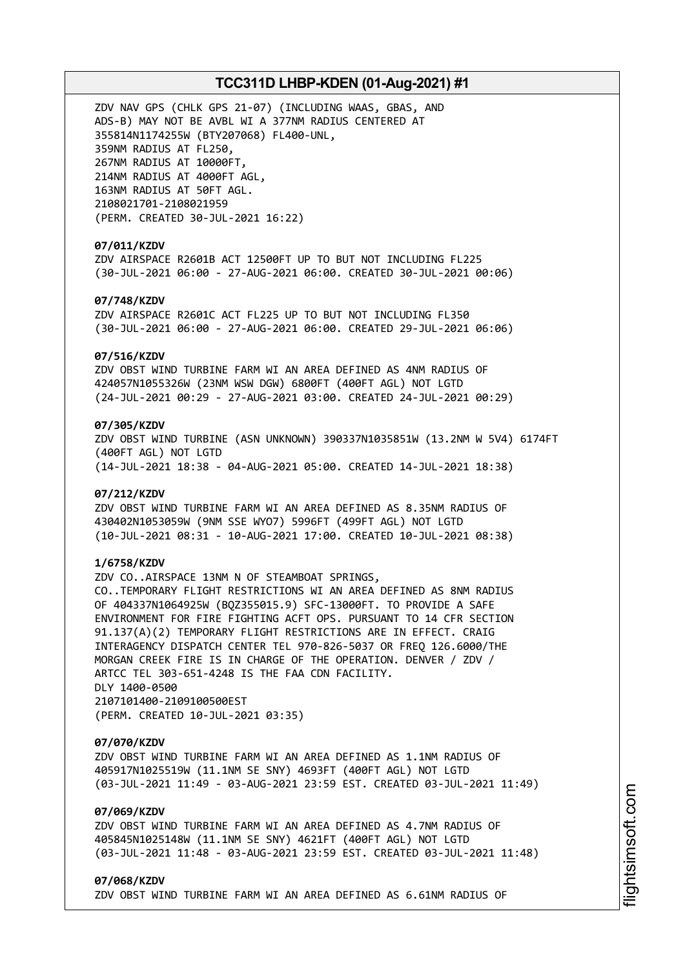ZDV NAV GPS (CHLK GPS 21-07) (INCLUDING WAAS, GBAS, AND ADS-B) MAY NOT BE AVBL WI A 377NM RADIUS CENTERED AT 355814N1174255W (BTY207068) FL400-UNL, 359NM RADIUS AT FL250, 267NM RADIUS AT 10000FT, 214NM RADIUS AT 4000FT AGL, 163NM RADIUS AT 50FT AGL. 2108021701-2108021959 (PERM. CREATED 30-JUL-2021 16:22)

# **07/011/KZDV**

ZDV AIRSPACE R2601B ACT 12500FT UP TO BUT NOT INCLUDING FL225 (30-JUL-2021 06:00 - 27-AUG-2021 06:00. CREATED 30-JUL-2021 00:06)

# **07/748/KZDV**

ZDV AIRSPACE R2601C ACT FL225 UP TO BUT NOT INCLUDING FL350 (30-JUL-2021 06:00 - 27-AUG-2021 06:00. CREATED 29-JUL-2021 06:06)

### **07/516/KZDV**

ZDV OBST WIND TURBINE FARM WI AN AREA DEFINED AS 4NM RADIUS OF 424057N1055326W (23NM WSW DGW) 6800FT (400FT AGL) NOT LGTD (24-JUL-2021 00:29 - 27-AUG-2021 03:00. CREATED 24-JUL-2021 00:29)

# **07/305/KZDV**

ZDV OBST WIND TURBINE (ASN UNKNOWN) 390337N1035851W (13.2NM W 5V4) 6174FT (400FT AGL) NOT LGTD (14-JUL-2021 18:38 - 04-AUG-2021 05:00. CREATED 14-JUL-2021 18:38)

### **07/212/KZDV**

ZDV OBST WIND TURBINE FARM WI AN AREA DEFINED AS 8.35NM RADIUS OF 430402N1053059W (9NM SSE WYO7) 5996FT (499FT AGL) NOT LGTD (10-JUL-2021 08:31 - 10-AUG-2021 17:00. CREATED 10-JUL-2021 08:38)

# **1/6758/KZDV**

ZDV CO..AIRSPACE 13NM N OF STEAMBOAT SPRINGS, CO..TEMPORARY FLIGHT RESTRICTIONS WI AN AREA DEFINED AS 8NM RADIUS OF 404337N1064925W (BQZ355015.9) SFC-13000FT. TO PROVIDE A SAFE ENVIRONMENT FOR FIRE FIGHTING ACFT OPS. PURSUANT TO 14 CFR SECTION 91.137(A)(2) TEMPORARY FLIGHT RESTRICTIONS ARE IN EFFECT. CRAIG INTERAGENCY DISPATCH CENTER TEL 970-826-5037 OR FREQ 126.6000/THE MORGAN CREEK FIRE IS IN CHARGE OF THE OPERATION. DENVER / ZDV / ARTCC TEL 303-651-4248 IS THE FAA CDN FACILITY. DLY 1400-0500 2107101400-2109100500EST (PERM. CREATED 10-JUL-2021 03:35)

#### **07/070/KZDV**

ZDV OBST WIND TURBINE FARM WI AN AREA DEFINED AS 1.1NM RADIUS OF 405917N1025519W (11.1NM SE SNY) 4693FT (400FT AGL) NOT LGTD (03-JUL-2021 11:49 - 03-AUG-2021 23:59 EST. CREATED 03-JUL-2021 11:49)

# **07/069/KZDV**

ZDV OBST WIND TURBINE FARM WI AN AREA DEFINED AS 4.7NM RADIUS OF 405845N1025148W (11.1NM SE SNY) 4621FT (400FT AGL) NOT LGTD (03-JUL-2021 11:48 - 03-AUG-2021 23:59 EST. CREATED 03-JUL-2021 11:48)

#### **07/068/KZDV**

ZDV OBST WIND TURBINE FARM WI AN AREA DEFINED AS 6.61NM RADIUS OF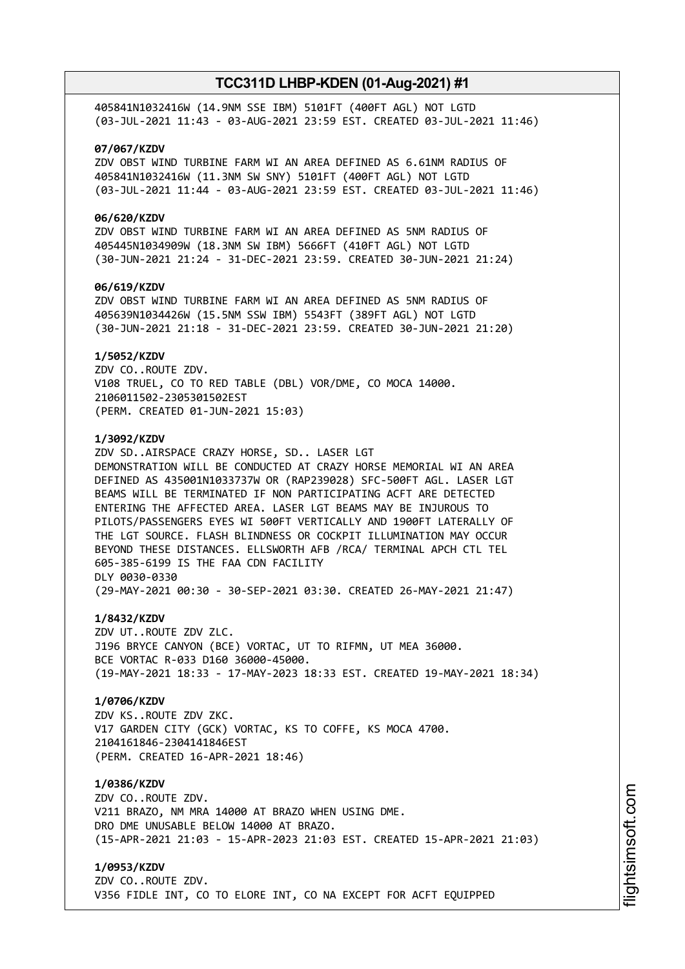405841N1032416W (14.9NM SSE IBM) 5101FT (400FT AGL) NOT LGTD (03-JUL-2021 11:43 - 03-AUG-2021 23:59 EST. CREATED 03-JUL-2021 11:46)

### **07/067/KZDV**

ZDV OBST WIND TURBINE FARM WI AN AREA DEFINED AS 6.61NM RADIUS OF 405841N1032416W (11.3NM SW SNY) 5101FT (400FT AGL) NOT LGTD (03-JUL-2021 11:44 - 03-AUG-2021 23:59 EST. CREATED 03-JUL-2021 11:46)

# **06/620/KZDV**

ZDV OBST WIND TURBINE FARM WI AN AREA DEFINED AS 5NM RADIUS OF 405445N1034909W (18.3NM SW IBM) 5666FT (410FT AGL) NOT LGTD (30-JUN-2021 21:24 - 31-DEC-2021 23:59. CREATED 30-JUN-2021 21:24)

### **06/619/KZDV**

ZDV OBST WIND TURBINE FARM WI AN AREA DEFINED AS 5NM RADIUS OF 405639N1034426W (15.5NM SSW IBM) 5543FT (389FT AGL) NOT LGTD (30-JUN-2021 21:18 - 31-DEC-2021 23:59. CREATED 30-JUN-2021 21:20)

### **1/5052/KZDV**

ZDV CO..ROUTE ZDV. V108 TRUEL, CO TO RED TABLE (DBL) VOR/DME, CO MOCA 14000. 2106011502-2305301502EST (PERM. CREATED 01-JUN-2021 15:03)

### **1/3092/KZDV**

ZDV SD..AIRSPACE CRAZY HORSE, SD.. LASER LGT DEMONSTRATION WILL BE CONDUCTED AT CRAZY HORSE MEMORIAL WI AN AREA DEFINED AS 435001N1033737W OR (RAP239028) SFC-500FT AGL. LASER LGT BEAMS WILL BE TERMINATED IF NON PARTICIPATING ACFT ARE DETECTED ENTERING THE AFFECTED AREA. LASER LGT BEAMS MAY BE INJUROUS TO PILOTS/PASSENGERS EYES WI 500FT VERTICALLY AND 1900FT LATERALLY OF THE LGT SOURCE. FLASH BLINDNESS OR COCKPIT ILLUMINATION MAY OCCUR BEYOND THESE DISTANCES. ELLSWORTH AFB /RCA/ TERMINAL APCH CTL TEL 605-385-6199 IS THE FAA CDN FACILITY DLY 0030-0330 (29-MAY-2021 00:30 - 30-SEP-2021 03:30. CREATED 26-MAY-2021 21:47)

# **1/8432/KZDV**

ZDV UT..ROUTE ZDV ZLC. J196 BRYCE CANYON (BCE) VORTAC, UT TO RIFMN, UT MEA 36000. BCE VORTAC R-033 D160 36000-45000. (19-MAY-2021 18:33 - 17-MAY-2023 18:33 EST. CREATED 19-MAY-2021 18:34)

# **1/0706/KZDV**

ZDV KS..ROUTE ZDV ZKC. V17 GARDEN CITY (GCK) VORTAC, KS TO COFFE, KS MOCA 4700. 2104161846-2304141846EST (PERM. CREATED 16-APR-2021 18:46)

# **1/0386/KZDV**

ZDV CO..ROUTE ZDV. V211 BRAZO, NM MRA 14000 AT BRAZO WHEN USING DME. DRO DME UNUSABLE BELOW 14000 AT BRAZO. (15-APR-2021 21:03 - 15-APR-2023 21:03 EST. CREATED 15-APR-2021 21:03)

# **1/0953/KZDV**

ZDV CO..ROUTE ZDV. V356 FIDLE INT, CO TO ELORE INT, CO NA EXCEPT FOR ACFT EQUIPPED